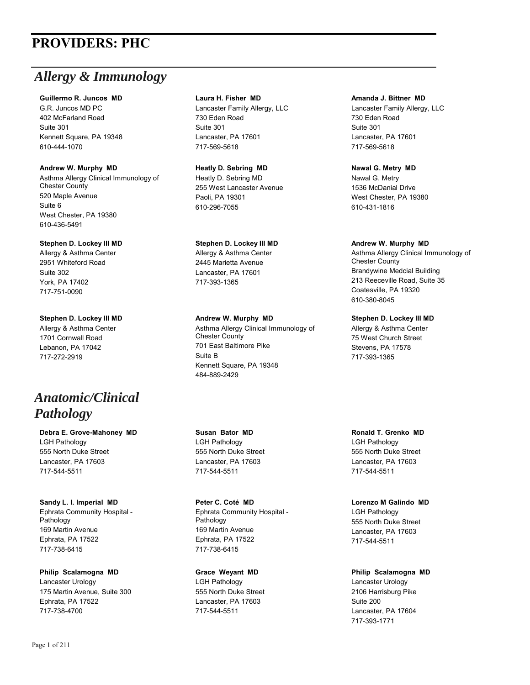# **PROVIDERS: PHC**

# *Allergy & Immunology*

### **Guillermo R. Juncos MD**

G.R. Juncos MD PC 402 McFarland Road Suite 301 Kennett Square, PA 19348 610-444-1070

## **Andrew W. Murphy MD**

Asthma Allergy Clinical Immunology of Chester County 520 Maple Avenue Suite 6 West Chester, PA 19380 610-436-5491

### **Stephen D. Lockey III MD**

Allergy & Asthma Center 2951 Whiteford Road Suite 302 York, PA 17402 717-751-0090

# **Stephen D. Lockey III MD**

Allergy & Asthma Center 1701 Cornwall Road Lebanon, PA 17042 717-272-2919

# *Anatomic/Clinical Pathology*

**Debra E. Grove-Mahoney MD** LGH Pathology 555 North Duke Street Lancaster, PA 17603 717-544-5511

# **Sandy L. I. Imperial MD**

Ephrata Community Hospital - Pathology 169 Martin Avenue Ephrata, PA 17522 717-738-6415

**Philip Scalamogna MD** Lancaster Urology 175 Martin Avenue, Suite 300 Ephrata, PA 17522 717-738-4700

### **Laura H. Fisher MD**

Lancaster Family Allergy, LLC 730 Eden Road Suite 301 Lancaster, PA 17601 717-569-5618

# **Heatly D. Sebring MD**

Heatly D. Sebring MD 255 West Lancaster Avenue Paoli, PA 19301 610-296-7055

# **Stephen D. Lockey III MD**

Allergy & Asthma Center 2445 Marietta Avenue Lancaster, PA 17601 717-393-1365

# **Andrew W. Murphy MD**

Asthma Allergy Clinical Immunology of Chester County 701 East Baltimore Pike Suite B Kennett Square, PA 19348 484-889-2429

# **Susan Bator MD**

LGH Pathology 555 North Duke Street Lancaster, PA 17603 717-544-5511

### **Peter C. Coté MD** Ephrata Community Hospital - Pathology 169 Martin Avenue Ephrata, PA 17522 717-738-6415

**Grace Weyant MD** LGH Pathology 555 North Duke Street Lancaster, PA 17603 717-544-5511

### **Amanda J. Bittner MD**

Lancaster Family Allergy, LLC 730 Eden Road Suite 301 Lancaster, PA 17601 717-569-5618

### **Nawal G. Metry MD**

Nawal G. Metry 1536 McDanial Drive West Chester, PA 19380 610-431-1816

### **Andrew W. Murphy MD**

Asthma Allergy Clinical Immunology of Chester County Brandywine Medcial Building 213 Reeceville Road, Suite 35 Coatesville, PA 19320 610-380-8045

# **Stephen D. Lockey III MD**

Allergy & Asthma Center 75 West Church Street Stevens, PA 17578 717-393-1365

# **Ronald T. Grenko MD**

LGH Pathology 555 North Duke Street Lancaster, PA 17603 717-544-5511

### **Lorenzo M Galindo MD**

LGH Pathology 555 North Duke Street Lancaster, PA 17603 717-544-5511

# **Philip Scalamogna MD** Lancaster Urology 2106 Harrisburg Pike Suite 200 Lancaster, PA 17604

717-393-1771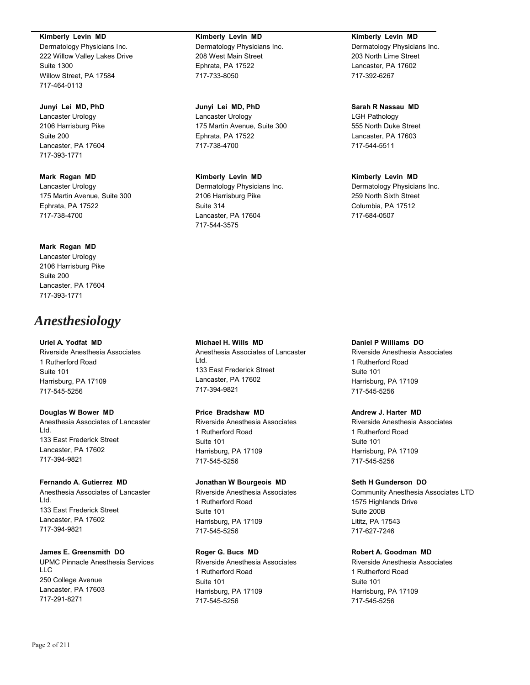**Kimberly Levin MD**

Dermatology Physicians Inc. 222 Willow Valley Lakes Drive Suite 1300 Willow Street, PA 17584 717-464-0113

## **Junyi Lei MD, PhD**

Lancaster Urology 2106 Harrisburg Pike Suite 200 Lancaster, PA 17604 717-393-1771

# **Mark Regan MD** Lancaster Urology 175 Martin Avenue, Suite 300 Ephrata, PA 17522 717-738-4700

# **Mark Regan MD**

Lancaster Urology 2106 Harrisburg Pike Suite 200 Lancaster, PA 17604 717-393-1771

# *Anesthesiology*

### **Uriel A. Yodfat MD**

Riverside Anesthesia Associates 1 Rutherford Road Suite 101 Harrisburg, PA 17109 717-545-5256

# **Douglas W Bower MD**

Anesthesia Associates of Lancaster Ltd. 133 East Frederick Street Lancaster, PA 17602 717-394-9821

### **Fernando A. Gutierrez MD**

Anesthesia Associates of Lancaster Ltd. 133 East Frederick Street Lancaster, PA 17602 717-394-9821

# **James E. Greensmith DO**

UPMC Pinnacle Anesthesia Services LLC 250 College Avenue Lancaster, PA 17603 717-291-8271

# **Kimberly Levin MD** Dermatology Physicians Inc. 208 West Main Street Ephrata, PA 17522 717-733-8050

**Junyi Lei MD, PhD** Lancaster Urology 175 Martin Avenue, Suite 300 Ephrata, PA 17522 717-738-4700

# **Kimberly Levin MD**

Dermatology Physicians Inc. 2106 Harrisburg Pike Suite 314 Lancaster, PA 17604 717-544-3575

**Michael H. Wills MD**

133 East Frederick Street Lancaster, PA 17602 717-394-9821

**Price Bradshaw MD**

1 Rutherford Road

Harrisburg, PA 17109 717-545-5256

1 Rutherford Road Suite 101

Harrisburg, PA 17109 717-545-5256

**Roger G. Bucs MD**

1 Rutherford Road

Harrisburg, PA 17109 717-545-5256

Suite 101

Riverside Anesthesia Associates

Suite 101

Riverside Anesthesia Associates

**Jonathan W Bourgeois MD** Riverside Anesthesia Associates

Ltd.

Anesthesia Associates of Lancaster

### **Kimberly Levin MD**

Dermatology Physicians Inc. 203 North Lime Street Lancaster, PA 17602 717-392-6267

# **Sarah R Nassau MD**

LGH Pathology 555 North Duke Street Lancaster, PA 17603 717-544-5511

# **Kimberly Levin MD**

Dermatology Physicians Inc. 259 North Sixth Street Columbia, PA 17512 717-684-0507

# **Daniel P Williams DO**

Riverside Anesthesia Associates 1 Rutherford Road Suite 101 Harrisburg, PA 17109 717-545-5256

# **Andrew J. Harter MD**

Riverside Anesthesia Associates 1 Rutherford Road Suite 101 Harrisburg, PA 17109 717-545-5256

# **Seth H Gunderson DO**

Community Anesthesia Associates LTD 1575 Highlands Drive Suite 200B Lititz, PA 17543 717-627-7246

# **Robert A. Goodman MD**

Riverside Anesthesia Associates 1 Rutherford Road Suite 101 Harrisburg, PA 17109 717-545-5256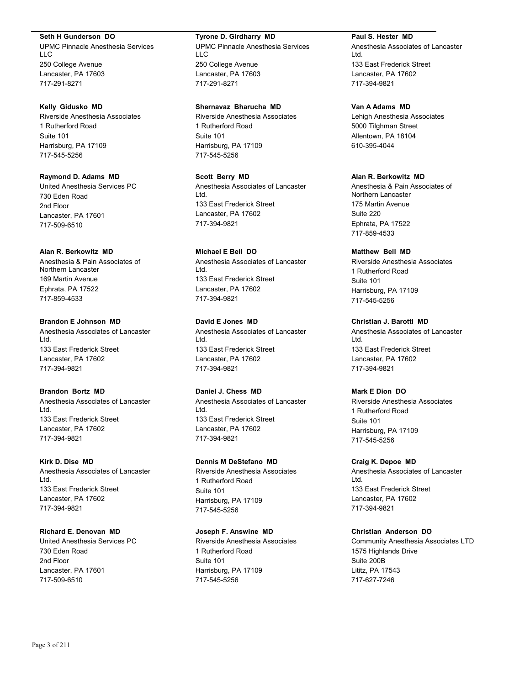### **Seth H Gunderson DO**

UPMC Pinnacle Anesthesia Services LLC 250 College Avenue Lancaster, PA 17603 717-291-8271

### **Kelly Gidusko MD**

Riverside Anesthesia Associates 1 Rutherford Road Suite 101 Harrisburg, PA 17109 717-545-5256

**Raymond D. Adams MD** United Anesthesia Services PC 730 Eden Road 2nd Floor Lancaster, PA 17601 717-509-6510

### **Alan R. Berkowitz MD**

Anesthesia & Pain Associates of Northern Lancaster 169 Martin Avenue Ephrata, PA 17522 717-859-4533

**Brandon E Johnson MD** Anesthesia Associates of Lancaster Ltd. 133 East Frederick Street Lancaster, PA 17602 717-394-9821

**Brandon Bortz MD** Anesthesia Associates of Lancaster Ltd. 133 East Frederick Street Lancaster, PA 17602 717-394-9821

### **Kirk D. Dise MD**

Anesthesia Associates of Lancaster Ltd. 133 East Frederick Street Lancaster, PA 17602 717-394-9821

### **Richard E. Denovan MD**

United Anesthesia Services PC 730 Eden Road 2nd Floor Lancaster, PA 17601 717-509-6510

# **Tyrone D. Girdharry MD**

UPMC Pinnacle Anesthesia Services LLC 250 College Avenue Lancaster, PA 17603 717-291-8271

### **Shernavaz Bharucha MD**

Riverside Anesthesia Associates 1 Rutherford Road Suite 101 Harrisburg, PA 17109 717-545-5256

**Scott Berry MD** Anesthesia Associates of Lancaster Ltd. 133 East Frederick Street Lancaster, PA 17602 717-394-9821

**Michael E Bell DO** Anesthesia Associates of Lancaster Ltd. 133 East Frederick Street Lancaster, PA 17602 717-394-9821

**David E Jones MD** Anesthesia Associates of Lancaster Ltd. 133 East Frederick Street Lancaster, PA 17602 717-394-9821

**Daniel J. Chess MD** Anesthesia Associates of Lancaster Ltd. 133 East Frederick Street Lancaster, PA 17602 717-394-9821

### **Dennis M DeStefano MD**

Riverside Anesthesia Associates 1 Rutherford Road Suite 101 Harrisburg, PA 17109 717-545-5256

### **Joseph F. Answine MD**

Riverside Anesthesia Associates 1 Rutherford Road Suite 101 Harrisburg, PA 17109 717-545-5256

**Paul S. Hester MD** Anesthesia Associates of Lancaster Ltd. 133 East Frederick Street Lancaster, PA 17602 717-394-9821

#### **Van A Adams MD**

Lehigh Anesthesia Associates 5000 Tilghman Street Allentown, PA 18104 610-395-4044

# **Alan R. Berkowitz MD**

Anesthesia & Pain Associates of Northern Lancaster 175 Martin Avenue Suite 220 Ephrata, PA 17522 717-859-4533

### **Matthew Bell MD**

Riverside Anesthesia Associates 1 Rutherford Road Suite 101 Harrisburg, PA 17109 717-545-5256

**Christian J. Barotti MD** Anesthesia Associates of Lancaster Ltd. 133 East Frederick Street Lancaster, PA 17602 717-394-9821

# **Mark E Dion DO**

Riverside Anesthesia Associates 1 Rutherford Road Suite 101 Harrisburg, PA 17109 717-545-5256

### **Craig K. Depoe MD**

Anesthesia Associates of Lancaster Ltd. 133 East Frederick Street Lancaster, PA 17602 717-394-9821

#### **Christian Anderson DO**

Community Anesthesia Associates LTD 1575 Highlands Drive Suite 200B Lititz, PA 17543 717-627-7246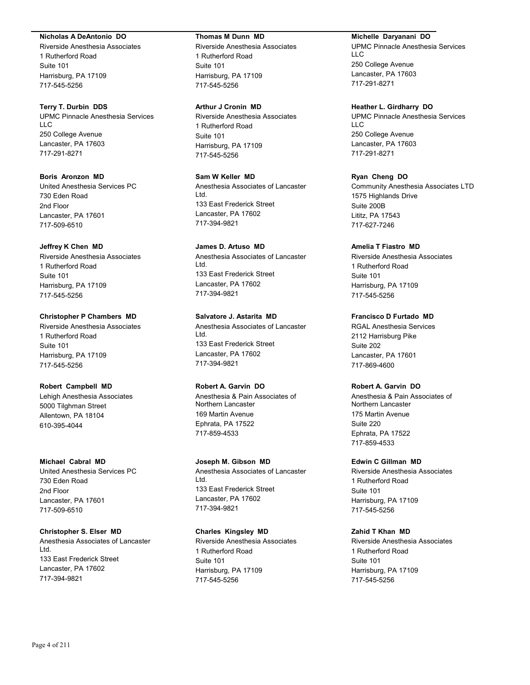### **Nicholas A DeAntonio DO**

Riverside Anesthesia Associates 1 Rutherford Road Suite 101 Harrisburg, PA 17109 717-545-5256

## **Terry T. Durbin DDS**

UPMC Pinnacle Anesthesia Services LLC 250 College Avenue Lancaster, PA 17603 717-291-8271

# **Boris Aronzon MD**

United Anesthesia Services PC 730 Eden Road 2nd Floor Lancaster, PA 17601 717-509-6510

# **Jeffrey K Chen MD**

Riverside Anesthesia Associates 1 Rutherford Road Suite 101 Harrisburg, PA 17109 717-545-5256

# **Christopher P Chambers MD**

Riverside Anesthesia Associates 1 Rutherford Road Suite 101 Harrisburg, PA 17109 717-545-5256

# **Robert Campbell MD**

Lehigh Anesthesia Associates 5000 Tilghman Street Allentown, PA 18104 610-395-4044

# **Michael Cabral MD**

United Anesthesia Services PC 730 Eden Road 2nd Floor Lancaster, PA 17601 717-509-6510

# **Christopher S. Elser MD**

Anesthesia Associates of Lancaster Ltd. 133 East Frederick Street Lancaster, PA 17602 717-394-9821

### **Thomas M Dunn MD**

Riverside Anesthesia Associates 1 Rutherford Road Suite 101 Harrisburg, PA 17109 717-545-5256

### **Arthur J Cronin MD**

Riverside Anesthesia Associates 1 Rutherford Road Suite 101 Harrisburg, PA 17109 717-545-5256

# **Sam W Keller MD**

Anesthesia Associates of Lancaster Ltd. 133 East Frederick Street Lancaster, PA 17602 717-394-9821

# **James D. Artuso MD**

Anesthesia Associates of Lancaster Ltd. 133 East Frederick Street Lancaster, PA 17602 717-394-9821

# **Salvatore J. Astarita MD**

Anesthesia Associates of Lancaster Ltd. 133 East Frederick Street Lancaster, PA 17602 717-394-9821

# **Robert A. Garvin DO**

Anesthesia & Pain Associates of Northern Lancaster 169 Martin Avenue Ephrata, PA 17522 717-859-4533

# **Joseph M. Gibson MD**

Anesthesia Associates of Lancaster Ltd. 133 East Frederick Street Lancaster, PA 17602 717-394-9821

# **Charles Kingsley MD**

Riverside Anesthesia Associates 1 Rutherford Road Suite 101 Harrisburg, PA 17109 717-545-5256

# **Michelle Daryanani DO**

UPMC Pinnacle Anesthesia Services LLC 250 College Avenue Lancaster, PA 17603 717-291-8271

### **Heather L. Girdharry DO**

UPMC Pinnacle Anesthesia Services LLC 250 College Avenue Lancaster, PA 17603 717-291-8271

# **Ryan Cheng DO**

Community Anesthesia Associates LTD 1575 Highlands Drive Suite 200B Lititz, PA 17543 717-627-7246

# **Amelia T Fiastro MD**

Riverside Anesthesia Associates 1 Rutherford Road Suite 101 Harrisburg, PA 17109 717-545-5256

# **Francisco D Furtado MD**

RGAL Anesthesia Services 2112 Harrisburg Pike Suite 202 Lancaster, PA 17601 717-869-4600

# **Robert A. Garvin DO**

Anesthesia & Pain Associates of Northern Lancaster 175 Martin Avenue Suite 220 Ephrata, PA 17522 717-859-4533

# **Edwin C Gillman MD**

Riverside Anesthesia Associates 1 Rutherford Road Suite 101 Harrisburg, PA 17109 717-545-5256

# **Zahid T Khan MD**

Riverside Anesthesia Associates 1 Rutherford Road Suite 101 Harrisburg, PA 17109 717-545-5256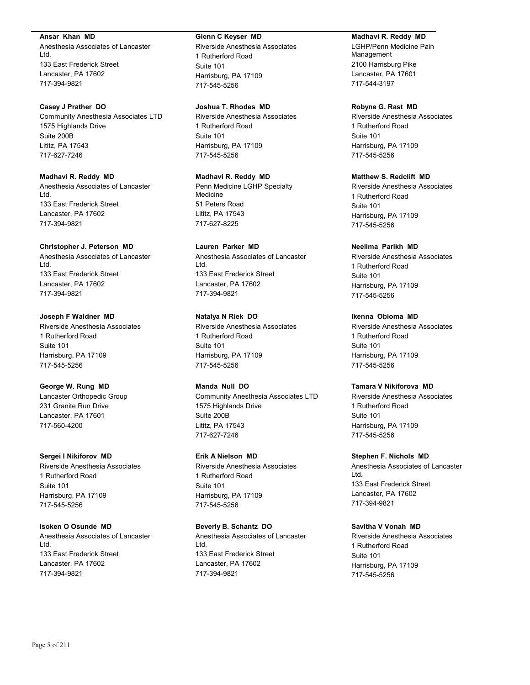### **Ansar Khan MD**

Anesthesia Associates of Lancaster Ltd. 133 East Frederick Street Lancaster, PA 17602 717-394-9821

### **Casey J Prather DO**

Community Anesthesia Associates LTD 1575 Highlands Drive Suite 200B Lititz, PA 17543 717-627-7246

# **Madhavi R. Reddy MD**

Anesthesia Associates of Lancaster Ltd. 133 East Frederick Street Lancaster, PA 17602 717-394-9821

### **Christopher J. Peterson MD**

Anesthesia Associates of Lancaster Ltd. 133 East Frederick Street Lancaster, PA 17602 717-394-9821

### **Joseph F Waldner MD**

Riverside Anesthesia Associates 1 Rutherford Road Suite 101 Harrisburg, PA 17109 717-545-5256

# **George W. Rung MD**

Lancaster Orthopedic Group 231 Granite Run Drive Lancaster, PA 17601 717-560-4200

### **Sergei I Nikiforov MD**

Riverside Anesthesia Associates 1 Rutherford Road Suite 101 Harrisburg, PA 17109 717-545-5256

# **Isoken O Osunde MD**

Anesthesia Associates of Lancaster Ltd. 133 East Frederick Street Lancaster, PA 17602 717-394-9821

### **Glenn C Keyser MD**

Riverside Anesthesia Associates 1 Rutherford Road Suite 101 Harrisburg, PA 17109 717-545-5256

### **Joshua T. Rhodes MD**

Riverside Anesthesia Associates 1 Rutherford Road Suite 101 Harrisburg, PA 17109 717-545-5256

# **Madhavi R. Reddy MD**

Penn Medicine LGHP Specialty Medicine 51 Peters Road Lititz, PA 17543 717-627-8225

# **Lauren Parker MD**

Anesthesia Associates of Lancaster Ltd. 133 East Frederick Street Lancaster, PA 17602 717-394-9821

### **Natalya N Riek DO**

Riverside Anesthesia Associates 1 Rutherford Road Suite 101 Harrisburg, PA 17109 717-545-5256

### **Manda Null DO**

Community Anesthesia Associates LTD 1575 Highlands Drive Suite 200B Lititz, PA 17543 717-627-7246

# **Erik A Nielson MD**

Riverside Anesthesia Associates 1 Rutherford Road Suite 101 Harrisburg, PA 17109 717-545-5256

# **Beverly B. Schantz DO**

Anesthesia Associates of Lancaster Ltd. 133 East Frederick Street Lancaster, PA 17602 717-394-9821

### **Madhavi R. Reddy MD**

LGHP/Penn Medicine Pain Management 2100 Harrisburg Pike Lancaster, PA 17601 717-544-3197

### **Robyne G. Rast MD**

Riverside Anesthesia Associates 1 Rutherford Road Suite 101 Harrisburg, PA 17109 717-545-5256

# **Matthew S. Redclift MD**

Riverside Anesthesia Associates 1 Rutherford Road Suite 101 Harrisburg, PA 17109 717-545-5256

### **Neelima Parikh MD**

Riverside Anesthesia Associates 1 Rutherford Road Suite 101 Harrisburg, PA 17109 717-545-5256

### **Ikenna Obioma MD**

Riverside Anesthesia Associates 1 Rutherford Road Suite 101 Harrisburg, PA 17109 717-545-5256

# **Tamara V Nikiforova MD**

Riverside Anesthesia Associates 1 Rutherford Road Suite 101 Harrisburg, PA 17109 717-545-5256

### **Stephen F. Nichols MD**

Anesthesia Associates of Lancaster Ltd. 133 East Frederick Street Lancaster, PA 17602 717-394-9821

### **Savitha V Vonah MD**

Riverside Anesthesia Associates 1 Rutherford Road Suite 101 Harrisburg, PA 17109 717-545-5256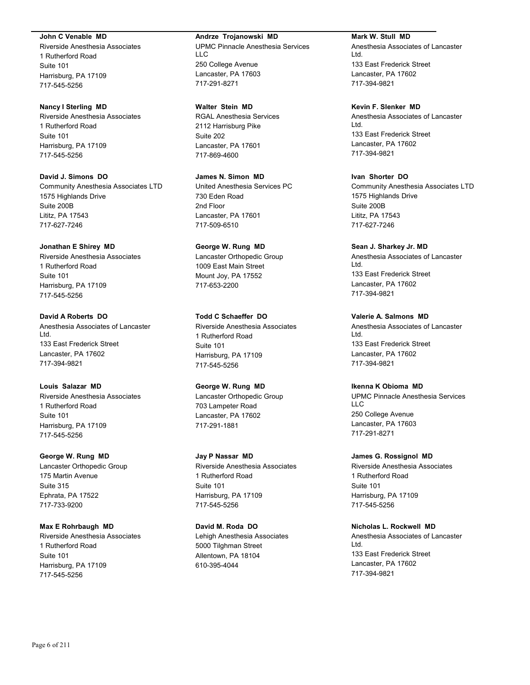### **John C Venable MD**

Riverside Anesthesia Associates 1 Rutherford Road Suite 101 Harrisburg, PA 17109 717-545-5256

### **Nancy I Sterling MD**

Riverside Anesthesia Associates 1 Rutherford Road Suite 101 Harrisburg, PA 17109 717-545-5256

**David J. Simons DO** Community Anesthesia Associates LTD 1575 Highlands Drive Suite 200B Lititz, PA 17543 717-627-7246

# **Jonathan E Shirey MD**

Riverside Anesthesia Associates 1 Rutherford Road Suite 101 Harrisburg, PA 17109 717-545-5256

# **David A Roberts DO**

Anesthesia Associates of Lancaster Ltd. 133 East Frederick Street Lancaster, PA 17602 717-394-9821

# **Louis Salazar MD**

Riverside Anesthesia Associates 1 Rutherford Road Suite 101 Harrisburg, PA 17109 717-545-5256

# **George W. Rung MD**

Lancaster Orthopedic Group 175 Martin Avenue Suite 315 Ephrata, PA 17522 717-733-9200

# **Max E Rohrbaugh MD**

Riverside Anesthesia Associates 1 Rutherford Road Suite 101 Harrisburg, PA 17109 717-545-5256

### **Andrze Trojanowski MD**

UPMC Pinnacle Anesthesia Services LLC 250 College Avenue Lancaster, PA 17603 717-291-8271

### **Walter Stein MD**

RGAL Anesthesia Services 2112 Harrisburg Pike Suite 202 Lancaster, PA 17601 717-869-4600

**James N. Simon MD** United Anesthesia Services PC 730 Eden Road 2nd Floor Lancaster, PA 17601 717-509-6510

# **George W. Rung MD**

Lancaster Orthopedic Group 1009 East Main Street Mount Joy, PA 17552 717-653-2200

# **Todd C Schaeffer DO**

Riverside Anesthesia Associates 1 Rutherford Road Suite 101 Harrisburg, PA 17109 717-545-5256

# **George W. Rung MD**

Lancaster Orthopedic Group 703 Lampeter Road Lancaster, PA 17602 717-291-1881

# **Jay P Nassar MD**

Riverside Anesthesia Associates 1 Rutherford Road Suite 101 Harrisburg, PA 17109 717-545-5256

### **David M. Roda DO**

Lehigh Anesthesia Associates 5000 Tilghman Street Allentown, PA 18104 610-395-4044

# **Mark W. Stull MD**

Anesthesia Associates of Lancaster Ltd. 133 East Frederick Street Lancaster, PA 17602 717-394-9821

# **Kevin F. Slenker MD**

Anesthesia Associates of Lancaster Ltd. 133 East Frederick Street Lancaster, PA 17602 717-394-9821

# **Ivan Shorter DO**

Community Anesthesia Associates LTD 1575 Highlands Drive Suite 200B Lititz, PA 17543 717-627-7246

### **Sean J. Sharkey Jr. MD**

Anesthesia Associates of Lancaster Ltd. 133 East Frederick Street Lancaster, PA 17602 717-394-9821

### **Valerie A. Salmons MD**

Anesthesia Associates of Lancaster Ltd. 133 East Frederick Street Lancaster, PA 17602 717-394-9821

### **Ikenna K Obioma MD**

UPMC Pinnacle Anesthesia Services LLC 250 College Avenue Lancaster, PA 17603 717-291-8271

### **James G. Rossignol MD**

Riverside Anesthesia Associates 1 Rutherford Road Suite 101 Harrisburg, PA 17109 717-545-5256

### **Nicholas L. Rockwell MD**

Anesthesia Associates of Lancaster Ltd. 133 East Frederick Street Lancaster, PA 17602 717-394-9821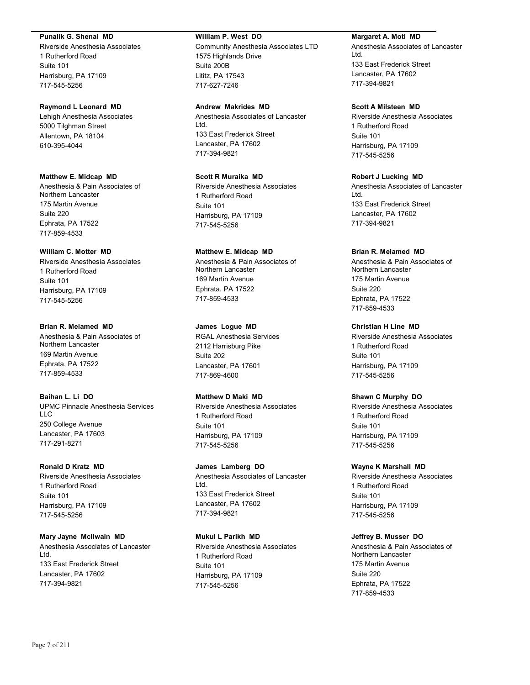### **Punalik G. Shenai MD**

Riverside Anesthesia Associates 1 Rutherford Road Suite 101 Harrisburg, PA 17109 717-545-5256

### **Raymond L Leonard MD**

Lehigh Anesthesia Associates 5000 Tilghman Street Allentown, PA 18104 610-395-4044

# **Matthew E. Midcap MD**

Anesthesia & Pain Associates of Northern Lancaster 175 Martin Avenue Suite 220 Ephrata, PA 17522 717-859-4533

# **William C. Motter MD**

Riverside Anesthesia Associates 1 Rutherford Road Suite 101 Harrisburg, PA 17109 717-545-5256

**Brian R. Melamed MD** Anesthesia & Pain Associates of Northern Lancaster 169 Martin Avenue Ephrata, PA 17522 717-859-4533

**Baihan L. Li DO** UPMC Pinnacle Anesthesia Services LLC 250 College Avenue Lancaster, PA 17603 717-291-8271

### **Ronald D Kratz MD** Riverside Anesthesia Associates

1 Rutherford Road Suite 101 Harrisburg, PA 17109 717-545-5256

**Mary Jayne McIlwain MD** Anesthesia Associates of Lancaster Ltd. 133 East Frederick Street Lancaster, PA 17602 717-394-9821

### **William P. West DO**

Community Anesthesia Associates LTD 1575 Highlands Drive Suite 200B Lititz, PA 17543 717-627-7246

**Andrew Makrides MD** Anesthesia Associates of Lancaster Ltd. 133 East Frederick Street Lancaster, PA 17602 717-394-9821

**Scott R Muraika MD** Riverside Anesthesia Associates 1 Rutherford Road Suite 101 Harrisburg, PA 17109 717-545-5256

**Matthew E. Midcap MD** Anesthesia & Pain Associates of Northern Lancaster 169 Martin Avenue Ephrata, PA 17522 717-859-4533

**James Logue MD** RGAL Anesthesia Services 2112 Harrisburg Pike Suite 202 Lancaster, PA 17601 717-869-4600

# **Matthew D Maki MD**

Riverside Anesthesia Associates 1 Rutherford Road Suite 101 Harrisburg, PA 17109 717-545-5256

**James Lamberg DO** Anesthesia Associates of Lancaster Ltd. 133 East Frederick Street Lancaster, PA 17602 717-394-9821

**Mukul L Parikh MD** Riverside Anesthesia Associates 1 Rutherford Road Suite 101 Harrisburg, PA 17109 717-545-5256

### **Margaret A. Motl MD**

Anesthesia Associates of Lancaster Ltd. 133 East Frederick Street Lancaster, PA 17602 717-394-9821

# **Scott A Milsteen MD**

Riverside Anesthesia Associates 1 Rutherford Road Suite 101 Harrisburg, PA 17109 717-545-5256

**Robert J Lucking MD** Anesthesia Associates of Lancaster Ltd. 133 East Frederick Street Lancaster, PA 17602 717-394-9821

### **Brian R. Melamed MD**

Anesthesia & Pain Associates of Northern Lancaster 175 Martin Avenue Suite 220 Ephrata, PA 17522 717-859-4533

**Christian H Line MD**

Riverside Anesthesia Associates 1 Rutherford Road Suite 101 Harrisburg, PA 17109 717-545-5256

### **Shawn C Murphy DO**

Riverside Anesthesia Associates 1 Rutherford Road Suite 101 Harrisburg, PA 17109 717-545-5256

### **Wayne K Marshall MD**

Riverside Anesthesia Associates 1 Rutherford Road Suite 101 Harrisburg, PA 17109 717-545-5256

### **Jeffrey B. Musser DO**

Anesthesia & Pain Associates of Northern Lancaster 175 Martin Avenue Suite 220 Ephrata, PA 17522 717-859-4533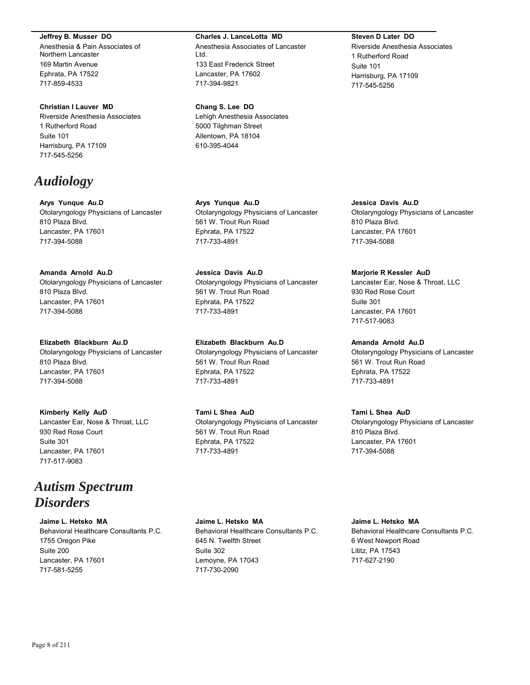### **Jeffrey B. Musser DO**

Anesthesia & Pain Associates of Northern Lancaster 169 Martin Avenue Ephrata, PA 17522 717-859-4533

# **Christian I Lauver MD**

Riverside Anesthesia Associates 1 Rutherford Road Suite 101 Harrisburg, PA 17109 717-545-5256

# *Audiology*

**Arys Yunque Au.D** Otolaryngology Physicians of Lancaster 810 Plaza Blvd. Lancaster, PA 17601 717-394-5088

# **Amanda Arnold Au.D**

Otolaryngology Physicians of Lancaster 810 Plaza Blvd. Lancaster, PA 17601 717-394-5088

**Elizabeth Blackburn Au.D** Otolaryngology Physicians of Lancaster 810 Plaza Blvd. Lancaster, PA 17601 717-394-5088

# **Kimberly Kelly AuD**

Lancaster Ear, Nose & Throat, LLC 930 Red Rose Court Suite 301 Lancaster, PA 17601 717-517-9083

# *Autism Spectrum Disorders*

**Jaime L. Hetsko MA**

Behavioral Healthcare Consultants P.C. 1755 Oregon Pike Suite 200 Lancaster, PA 17601 717-581-5255

#### **Charles J. LanceLotta MD**

Anesthesia Associates of Lancaster Ltd. 133 East Frederick Street Lancaster, PA 17602 717-394-9821

#### **Chang S. Lee DO**

Lehigh Anesthesia Associates 5000 Tilghman Street Allentown, PA 18104 610-395-4044

**Arys Yunque Au.D** Otolaryngology Physicians of Lancaster 561 W. Trout Run Road Ephrata, PA 17522 717-733-4891

**Jessica Davis Au.D** Otolaryngology Physicians of Lancaster 561 W. Trout Run Road Ephrata, PA 17522 717-733-4891

**Elizabeth Blackburn Au.D** Otolaryngology Physicians of Lancaster 561 W. Trout Run Road Ephrata, PA 17522 717-733-4891

**Tami L Shea AuD** Otolaryngology Physicians of Lancaster 561 W. Trout Run Road Ephrata, PA 17522 717-733-4891

**Steven D Later DO**

Riverside Anesthesia Associates 1 Rutherford Road Suite 101 Harrisburg, PA 17109 717-545-5256

**Jessica Davis Au.D** Otolaryngology Physicians of Lancaster 810 Plaza Blvd. Lancaster, PA 17601 717-394-5088

### **Marjorie R Kessler AuD**

Lancaster Ear, Nose & Throat, LLC 930 Red Rose Court Suite 301 Lancaster, PA 17601 717-517-9083

**Amanda Arnold Au.D** Otolaryngology Physicians of Lancaster 561 W. Trout Run Road Ephrata, PA 17522 717-733-4891

# **Tami L Shea AuD**

Otolaryngology Physicians of Lancaster 810 Plaza Blvd. Lancaster, PA 17601 717-394-5088

**Jaime L. Hetsko MA**

Behavioral Healthcare Consultants P.C. 645 N. Twelfth Street Suite 302 Lemoyne, PA 17043 717-730-2090

**Jaime L. Hetsko MA** Behavioral Healthcare Consultants P.C. 6 West Newport Road Lititz, PA 17543 717-627-2190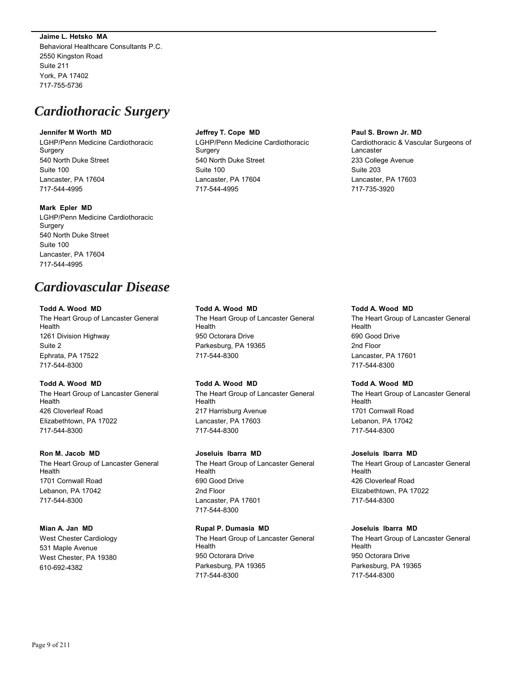**Jaime L. Hetsko MA** Behavioral Healthcare Consultants P.C. 2550 Kingston Road Suite 211 York, PA 17402 717-755-5736

# *Cardiothoracic Surgery*

### **Jennifer M Worth MD**

LGHP/Penn Medicine Cardiothoracic Surgery 540 North Duke Street Suite 100 Lancaster, PA 17604 717-544-4995

### **Mark Epler MD**

LGHP/Penn Medicine Cardiothoracic **Surgery** 540 North Duke Street Suite 100 Lancaster, PA 17604 717-544-4995

# *Cardiovascular Disease*

### **Todd A. Wood MD**

The Heart Group of Lancaster General Health 1261 Division Highway Suite 2 Ephrata, PA 17522 717-544-8300

# **Todd A. Wood MD**

The Heart Group of Lancaster General Health 426 Cloverleaf Road Elizabethtown, PA 17022 717-544-8300

# **Ron M. Jacob MD**

The Heart Group of Lancaster General Health 1701 Cornwall Road Lebanon, PA 17042 717-544-8300

# **Mian A. Jan MD**

West Chester Cardiology 531 Maple Avenue West Chester, PA 19380 610-692-4382

# **Jeffrey T. Cope MD**

LGHP/Penn Medicine Cardiothoracic Surgery 540 North Duke Street Suite 100 Lancaster, PA 17604 717-544-4995

### **Paul S. Brown Jr. MD**

Cardiothoracic & Vascular Surgeons of Lancaster 233 College Avenue Suite 203 Lancaster, PA 17603 717-735-3920

# **Todd A. Wood MD**

The Heart Group of Lancaster General Health 950 Octorara Drive Parkesburg, PA 19365 717-544-8300

# **Todd A. Wood MD**

The Heart Group of Lancaster General Health 217 Harrisburg Avenue Lancaster, PA 17603 717-544-8300

# **Joseluis Ibarra MD**

The Heart Group of Lancaster General Health 690 Good Drive 2nd Floor Lancaster, PA 17601 717-544-8300

# **Rupal P. Dumasia MD**

The Heart Group of Lancaster General **Health** 950 Octorara Drive Parkesburg, PA 19365 717-544-8300

# **Todd A. Wood MD** The Heart Group of Lancaster General Health 690 Good Drive 2nd Floor Lancaster, PA 17601 717-544-8300

# **Todd A. Wood MD**

The Heart Group of Lancaster General Health 1701 Cornwall Road Lebanon, PA 17042 717-544-8300

# **Joseluis Ibarra MD**

The Heart Group of Lancaster General Health 426 Cloverleaf Road Elizabethtown, PA 17022 717-544-8300

# **Joseluis Ibarra MD**

The Heart Group of Lancaster General **Health** 950 Octorara Drive Parkesburg, PA 19365 717-544-8300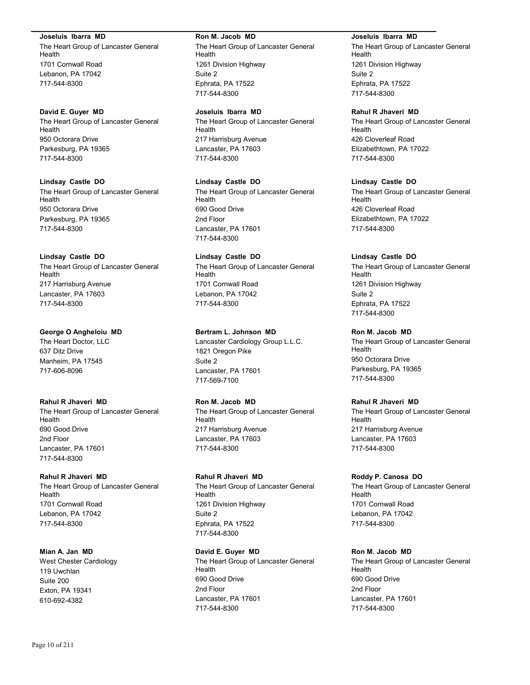### **Joseluis Ibarra MD**

The Heart Group of Lancaster General Health 1701 Cornwall Road Lebanon, PA 17042 717-544-8300

### **David E. Guyer MD**

The Heart Group of Lancaster General Health 950 Octorara Drive Parkesburg, PA 19365 717-544-8300

# **Lindsay Castle DO**

The Heart Group of Lancaster General Health 950 Octorara Drive Parkesburg, PA 19365 717-544-8300

# **Lindsay Castle DO**

The Heart Group of Lancaster General Health 217 Harrisburg Avenue Lancaster, PA 17603 717-544-8300

### **George O Angheloiu MD**

The Heart Doctor, LLC 637 Ditz Drive Manheim, PA 17545 717-606-8096

#### **Rahul R Jhaveri MD**

The Heart Group of Lancaster General Health 690 Good Drive 2nd Floor Lancaster, PA 17601 717-544-8300

### **Rahul R Jhaveri MD**

The Heart Group of Lancaster General Health 1701 Cornwall Road Lebanon, PA 17042 717-544-8300

**Mian A. Jan MD** West Chester Cardiology 119 Uwchlan Suite 200 Exton, PA 19341 610-692-4382

#### **Ron M. Jacob MD**

The Heart Group of Lancaster General Health 1261 Division Highway Suite 2 Ephrata, PA 17522 717-544-8300

### **Joseluis Ibarra MD**

The Heart Group of Lancaster General Health 217 Harrisburg Avenue Lancaster, PA 17603 717-544-8300

# **Lindsay Castle DO**

The Heart Group of Lancaster General Health 690 Good Drive 2nd Floor Lancaster, PA 17601 717-544-8300

# **Lindsay Castle DO** The Heart Group of Lancaster General Health 1701 Cornwall Road Lebanon, PA 17042 717-544-8300

# **Bertram L. Johnson MD**

Lancaster Cardiology Group L.L.C. 1821 Oregon Pike Suite 2 Lancaster, PA 17601 717-569-7100

### **Ron M. Jacob MD**

The Heart Group of Lancaster General Health 217 Harrisburg Avenue Lancaster, PA 17603 717-544-8300

#### **Rahul R Jhaveri MD**

The Heart Group of Lancaster General Health 1261 Division Highway Suite 2 Ephrata, PA 17522 717-544-8300

### **David E. Guyer MD** The Heart Group of Lancaster General

Health 690 Good Drive 2nd Floor Lancaster, PA 17601 717-544-8300

### **Joseluis Ibarra MD**

The Heart Group of Lancaster General Health 1261 Division Highway Suite 2 Ephrata, PA 17522 717-544-8300

# **Rahul R Jhaveri MD**

The Heart Group of Lancaster General Health 426 Cloverleaf Road Elizabethtown, PA 17022 717-544-8300

# **Lindsay Castle DO**

The Heart Group of Lancaster General Health 426 Cloverleaf Road Elizabethtown, PA 17022 717-544-8300

### **Lindsay Castle DO**

The Heart Group of Lancaster General Health 1261 Division Highway Suite 2 Ephrata, PA 17522 717-544-8300

# **Ron M. Jacob MD**

The Heart Group of Lancaster General Health 950 Octorara Drive Parkesburg, PA 19365 717-544-8300

# **Rahul R Jhaveri MD**

The Heart Group of Lancaster General Health 217 Harrisburg Avenue Lancaster, PA 17603 717-544-8300

#### **Roddy P. Canosa DO**

The Heart Group of Lancaster General Health 1701 Cornwall Road Lebanon, PA 17042 717-544-8300

# **Ron M. Jacob MD**

The Heart Group of Lancaster General Health 690 Good Drive 2nd Floor Lancaster, PA 17601 717-544-8300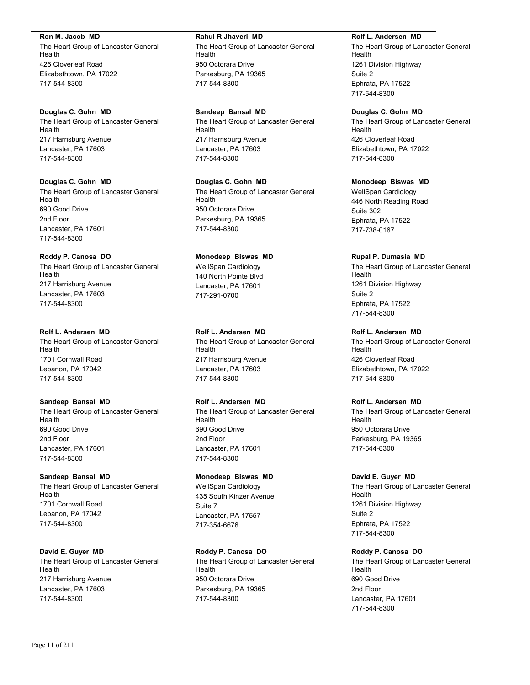**Ron M. Jacob MD**

The Heart Group of Lancaster General Health 426 Cloverleaf Road Elizabethtown, PA 17022 717-544-8300

**Douglas C. Gohn MD** The Heart Group of Lancaster General Health 217 Harrisburg Avenue Lancaster, PA 17603 717-544-8300

**Douglas C. Gohn MD** The Heart Group of Lancaster General Health 690 Good Drive 2nd Floor Lancaster, PA 17601 717-544-8300

**Roddy P. Canosa DO** The Heart Group of Lancaster General Health 217 Harrisburg Avenue Lancaster, PA 17603 717-544-8300

**Rolf L. Andersen MD** The Heart Group of Lancaster General Health 1701 Cornwall Road Lebanon, PA 17042 717-544-8300

**Sandeep Bansal MD** The Heart Group of Lancaster General Health 690 Good Drive 2nd Floor Lancaster, PA 17601 717-544-8300

**Sandeep Bansal MD** The Heart Group of Lancaster General Health 1701 Cornwall Road Lebanon, PA 17042 717-544-8300

**David E. Guyer MD** The Heart Group of Lancaster General Health 217 Harrisburg Avenue Lancaster, PA 17603 717-544-8300

**Rahul R Jhaveri MD**

The Heart Group of Lancaster General Health 950 Octorara Drive Parkesburg, PA 19365 717-544-8300

**Sandeep Bansal MD** The Heart Group of Lancaster General Health 217 Harrisburg Avenue Lancaster, PA 17603 717-544-8300

**Douglas C. Gohn MD** The Heart Group of Lancaster General Health 950 Octorara Drive Parkesburg, PA 19365 717-544-8300

**Monodeep Biswas MD** WellSpan Cardiology 140 North Pointe Blvd Lancaster, PA 17601 717-291-0700

**Rolf L. Andersen MD** The Heart Group of Lancaster General Health 217 Harrisburg Avenue Lancaster, PA 17603 717-544-8300

**Rolf L. Andersen MD** The Heart Group of Lancaster General Health 690 Good Drive 2nd Floor Lancaster, PA 17601 717-544-8300

**Monodeep Biswas MD** WellSpan Cardiology 435 South Kinzer Avenue Suite 7 Lancaster, PA 17557 717-354-6676

**Roddy P. Canosa DO** The Heart Group of Lancaster General Health 950 Octorara Drive Parkesburg, PA 19365 717-544-8300

**Rolf L. Andersen MD**

The Heart Group of Lancaster General Health 1261 Division Highway Suite 2 Ephrata, PA 17522 717-544-8300

**Douglas C. Gohn MD** The Heart Group of Lancaster General Health 426 Cloverleaf Road Elizabethtown, PA 17022 717-544-8300

**Monodeep Biswas MD** WellSpan Cardiology 446 North Reading Road Suite 302 Ephrata, PA 17522 717-738-0167

**Rupal P. Dumasia MD** The Heart Group of Lancaster General Health 1261 Division Highway Suite 2 Ephrata, PA 17522 717-544-8300

**Rolf L. Andersen MD** The Heart Group of Lancaster General Health 426 Cloverleaf Road Elizabethtown, PA 17022 717-544-8300

**Rolf L. Andersen MD** The Heart Group of Lancaster General Health 950 Octorara Drive Parkesburg, PA 19365 717-544-8300

**David E. Guyer MD** The Heart Group of Lancaster General Health 1261 Division Highway Suite 2 Ephrata, PA 17522 717-544-8300

**Roddy P. Canosa DO** The Heart Group of Lancaster General Health 690 Good Drive 2nd Floor Lancaster, PA 17601 717-544-8300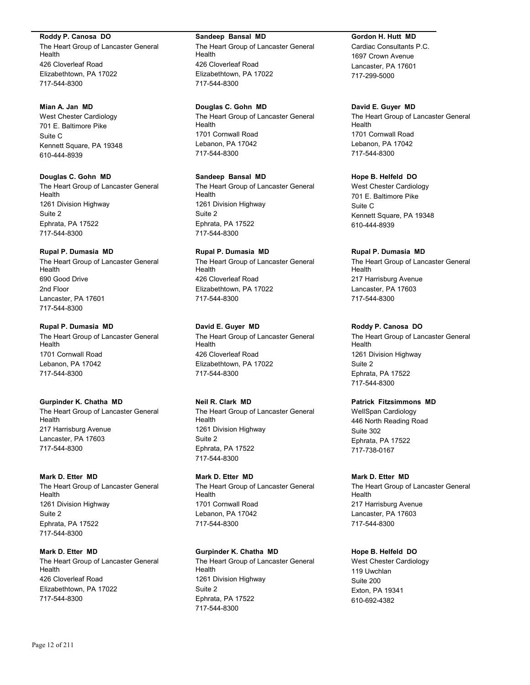# **Roddy P. Canosa DO**

The Heart Group of Lancaster General Health 426 Cloverleaf Road Elizabethtown, PA 17022 717-544-8300

### **Mian A. Jan MD**

West Chester Cardiology 701 E. Baltimore Pike Suite C Kennett Square, PA 19348 610-444-8939

# **Douglas C. Gohn MD**

The Heart Group of Lancaster General Health 1261 Division Highway Suite 2 Ephrata, PA 17522 717-544-8300

### **Rupal P. Dumasia MD**

The Heart Group of Lancaster General Health 690 Good Drive 2nd Floor Lancaster, PA 17601 717-544-8300

# **Rupal P. Dumasia MD**

The Heart Group of Lancaster General Health 1701 Cornwall Road Lebanon, PA 17042 717-544-8300

# **Gurpinder K. Chatha MD**

The Heart Group of Lancaster General Health 217 Harrisburg Avenue Lancaster, PA 17603 717-544-8300

### **Mark D. Etter MD**

The Heart Group of Lancaster General Health 1261 Division Highway Suite 2 Ephrata, PA 17522 717-544-8300

# **Mark D. Etter MD**

The Heart Group of Lancaster General Health 426 Cloverleaf Road Elizabethtown, PA 17022 717-544-8300

### **Sandeep Bansal MD**

The Heart Group of Lancaster General Health 426 Cloverleaf Road Elizabethtown, PA 17022 717-544-8300

**Douglas C. Gohn MD** The Heart Group of Lancaster General Health 1701 Cornwall Road Lebanon, PA 17042 717-544-8300

# **Sandeep Bansal MD**

The Heart Group of Lancaster General Health 1261 Division Highway Suite 2 Ephrata, PA 17522 717-544-8300

# **Rupal P. Dumasia MD**

The Heart Group of Lancaster General Health 426 Cloverleaf Road Elizabethtown, PA 17022 717-544-8300

# **David E. Guyer MD**

The Heart Group of Lancaster General Health 426 Cloverleaf Road Elizabethtown, PA 17022 717-544-8300

# **Neil R. Clark MD**

The Heart Group of Lancaster General Health 1261 Division Highway Suite 2 Ephrata, PA 17522 717-544-8300

### **Mark D. Etter MD** The Heart Group of Lancaster General Health 1701 Cornwall Road Lebanon, PA 17042 717-544-8300

# **Gurpinder K. Chatha MD**

The Heart Group of Lancaster General Health 1261 Division Highway Suite 2 Ephrata, PA 17522 717-544-8300

### **Gordon H. Hutt MD**

Cardiac Consultants P.C. 1697 Crown Avenue Lancaster, PA 17601 717-299-5000

### **David E. Guyer MD**

The Heart Group of Lancaster General Health 1701 Cornwall Road Lebanon, PA 17042 717-544-8300

# **Hope B. Helfeld DO**

West Chester Cardiology 701 E. Baltimore Pike Suite C Kennett Square, PA 19348 610-444-8939

### **Rupal P. Dumasia MD**

The Heart Group of Lancaster General Health 217 Harrisburg Avenue Lancaster, PA 17603 717-544-8300

### **Roddy P. Canosa DO**

The Heart Group of Lancaster General Health 1261 Division Highway Suite 2 Ephrata, PA 17522 717-544-8300

# **Patrick Fitzsimmons MD**

WellSpan Cardiology 446 North Reading Road Suite 302 Ephrata, PA 17522 717-738-0167

# **Mark D. Etter MD**

The Heart Group of Lancaster General Health 217 Harrisburg Avenue Lancaster, PA 17603 717-544-8300

# **Hope B. Helfeld DO**

West Chester Cardiology 119 Uwchlan Suite 200 Exton, PA 19341 610-692-4382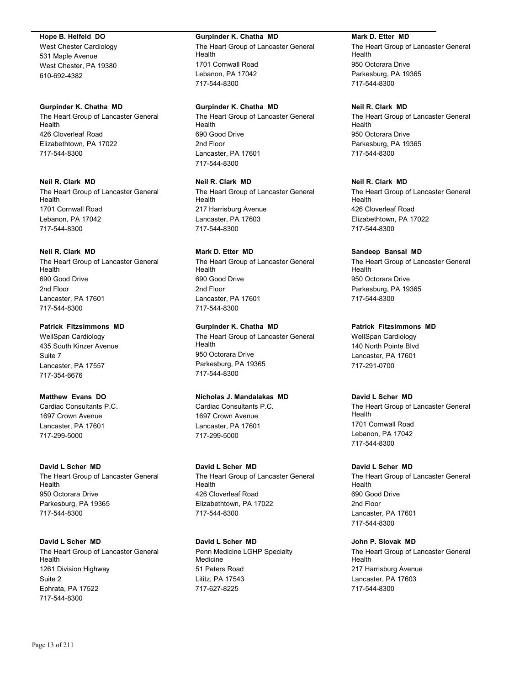### **Hope B. Helfeld DO**

West Chester Cardiology 531 Maple Avenue West Chester, PA 19380 610-692-4382

### **Gurpinder K. Chatha MD**

The Heart Group of Lancaster General Health 426 Cloverleaf Road Elizabethtown, PA 17022 717-544-8300

# **Neil R. Clark MD**

The Heart Group of Lancaster General Health 1701 Cornwall Road Lebanon, PA 17042 717-544-8300

### **Neil R. Clark MD**

The Heart Group of Lancaster General Health 690 Good Drive 2nd Floor Lancaster, PA 17601 717-544-8300

# **Patrick Fitzsimmons MD**

WellSpan Cardiology 435 South Kinzer Avenue Suite 7 Lancaster, PA 17557 717-354-6676

# **Matthew Evans DO**

Cardiac Consultants P.C. 1697 Crown Avenue Lancaster, PA 17601 717-299-5000

#### **David L Scher MD**

The Heart Group of Lancaster General Health 950 Octorara Drive Parkesburg, PA 19365 717-544-8300

# **David L Scher MD**

The Heart Group of Lancaster General Health 1261 Division Highway Suite 2 Ephrata, PA 17522 717-544-8300

#### **Gurpinder K. Chatha MD**

The Heart Group of Lancaster General Health 1701 Cornwall Road Lebanon, PA 17042 717-544-8300

#### **Gurpinder K. Chatha MD**

The Heart Group of Lancaster General Health 690 Good Drive 2nd Floor Lancaster, PA 17601 717-544-8300

**Neil R. Clark MD** The Heart Group of Lancaster General Health 217 Harrisburg Avenue Lancaster, PA 17603 717-544-8300

# **Mark D. Etter MD**

The Heart Group of Lancaster General Health 690 Good Drive 2nd Floor Lancaster, PA 17601 717-544-8300

**Gurpinder K. Chatha MD** The Heart Group of Lancaster General Health 950 Octorara Drive Parkesburg, PA 19365 717-544-8300

# **Nicholas J. Mandalakas MD**

Cardiac Consultants P.C. 1697 Crown Avenue Lancaster, PA 17601 717-299-5000

### **David L Scher MD**

The Heart Group of Lancaster General Health 426 Cloverleaf Road Elizabethtown, PA 17022 717-544-8300

**David L Scher MD** Penn Medicine LGHP Specialty Medicine 51 Peters Road Lititz, PA 17543 717-627-8225

### **Mark D. Etter MD**

The Heart Group of Lancaster General Health 950 Octorara Drive Parkesburg, PA 19365 717-544-8300

# **Neil R. Clark MD**

The Heart Group of Lancaster General Health 950 Octorara Drive Parkesburg, PA 19365 717-544-8300

### **Neil R. Clark MD**

The Heart Group of Lancaster General Health 426 Cloverleaf Road Elizabethtown, PA 17022 717-544-8300

### **Sandeep Bansal MD**

The Heart Group of Lancaster General Health 950 Octorara Drive Parkesburg, PA 19365 717-544-8300

**Patrick Fitzsimmons MD** WellSpan Cardiology 140 North Pointe Blvd Lancaster, PA 17601 717-291-0700

### **David L Scher MD**

The Heart Group of Lancaster General Health 1701 Cornwall Road Lebanon, PA 17042 717-544-8300

#### **David L Scher MD**

The Heart Group of Lancaster General Health 690 Good Drive 2nd Floor Lancaster, PA 17601 717-544-8300

# **John P. Slovak MD**

The Heart Group of Lancaster General Health 217 Harrisburg Avenue Lancaster, PA 17603 717-544-8300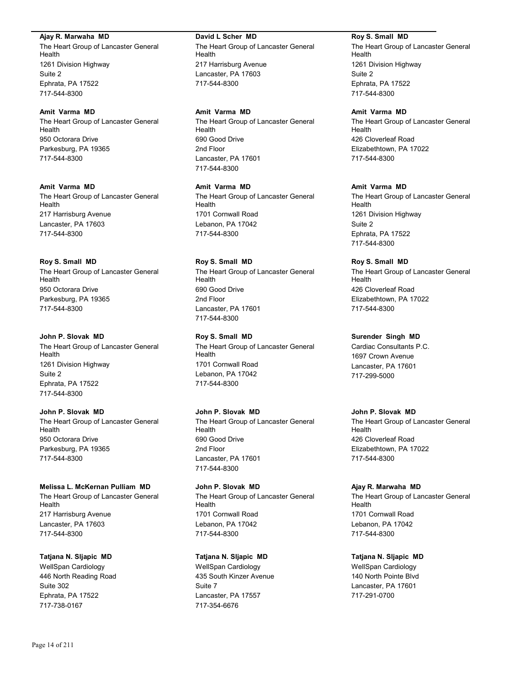### **Ajay R. Marwaha MD**

The Heart Group of Lancaster General Health 1261 Division Highway Suite 2 Ephrata, PA 17522 717-544-8300

### **Amit Varma MD**

The Heart Group of Lancaster General Health 950 Octorara Drive Parkesburg, PA 19365 717-544-8300

# **Amit Varma MD**

The Heart Group of Lancaster General Health 217 Harrisburg Avenue Lancaster, PA 17603 717-544-8300

# **Roy S. Small MD**

The Heart Group of Lancaster General Health 950 Octorara Drive Parkesburg, PA 19365 717-544-8300

# **John P. Slovak MD**

The Heart Group of Lancaster General Health 1261 Division Highway Suite 2 Ephrata, PA 17522 717-544-8300

# **John P. Slovak MD**

The Heart Group of Lancaster General Health 950 Octorara Drive Parkesburg, PA 19365 717-544-8300

# **Melissa L. McKernan Pulliam MD**

The Heart Group of Lancaster General Health 217 Harrisburg Avenue Lancaster, PA 17603 717-544-8300

# **Tatjana N. Sljapic MD**

WellSpan Cardiology 446 North Reading Road Suite 302 Ephrata, PA 17522 717-738-0167

### **David L Scher MD**

The Heart Group of Lancaster General Health 217 Harrisburg Avenue Lancaster, PA 17603 717-544-8300

# **Amit Varma MD**

The Heart Group of Lancaster General Health 690 Good Drive 2nd Floor Lancaster, PA 17601 717-544-8300

**Amit Varma MD** The Heart Group of Lancaster General Health 1701 Cornwall Road Lebanon, PA 17042 717-544-8300

# **Roy S. Small MD**

The Heart Group of Lancaster General Health 690 Good Drive 2nd Floor Lancaster, PA 17601 717-544-8300

# **Roy S. Small MD**

The Heart Group of Lancaster General Health 1701 Cornwall Road Lebanon, PA 17042 717-544-8300

# **John P. Slovak MD**

The Heart Group of Lancaster General Health 690 Good Drive 2nd Floor Lancaster, PA 17601 717-544-8300

**John P. Slovak MD** The Heart Group of Lancaster General Health 1701 Cornwall Road Lebanon, PA 17042 717-544-8300

# **Tatjana N. Sljapic MD**

WellSpan Cardiology 435 South Kinzer Avenue Suite 7 Lancaster, PA 17557 717-354-6676

### **Roy S. Small MD**

The Heart Group of Lancaster General Health 1261 Division Highway Suite 2 Ephrata, PA 17522 717-544-8300

# **Amit Varma MD**

The Heart Group of Lancaster General Health 426 Cloverleaf Road Elizabethtown, PA 17022 717-544-8300

# **Amit Varma MD**

The Heart Group of Lancaster General Health 1261 Division Highway Suite 2 Ephrata, PA 17522 717-544-8300

# **Roy S. Small MD**

The Heart Group of Lancaster General Health 426 Cloverleaf Road Elizabethtown, PA 17022 717-544-8300

# **Surender Singh MD**

Cardiac Consultants P.C. 1697 Crown Avenue Lancaster, PA 17601 717-299-5000

# **John P. Slovak MD**

The Heart Group of Lancaster General Health 426 Cloverleaf Road Elizabethtown, PA 17022 717-544-8300

# **Ajay R. Marwaha MD**

The Heart Group of Lancaster General Health 1701 Cornwall Road Lebanon, PA 17042 717-544-8300

# **Tatjana N. Sljapic MD**

WellSpan Cardiology 140 North Pointe Blvd Lancaster, PA 17601 717-291-0700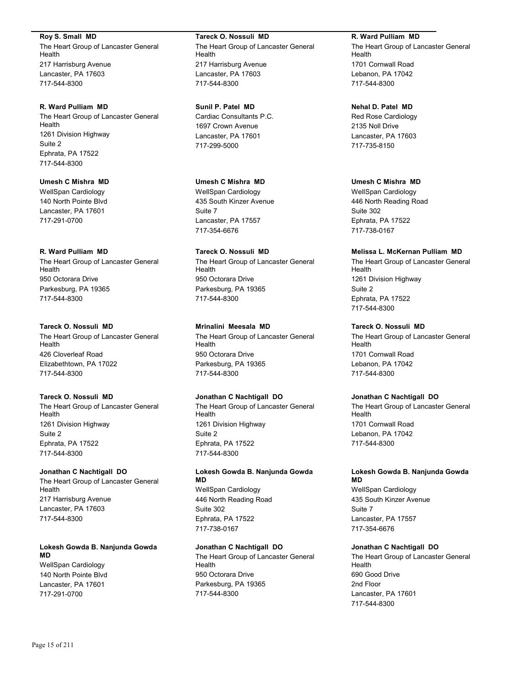**Roy S. Small MD**

The Heart Group of Lancaster General Health 217 Harrisburg Avenue Lancaster, PA 17603 717-544-8300

**R. Ward Pulliam MD**

The Heart Group of Lancaster General Health 1261 Division Highway Suite 2 Ephrata, PA 17522 717-544-8300

**Umesh C Mishra MD** WellSpan Cardiology 140 North Pointe Blvd Lancaster, PA 17601 717-291-0700

# **R. Ward Pulliam MD**

The Heart Group of Lancaster General Health 950 Octorara Drive Parkesburg, PA 19365 717-544-8300

# **Tareck O. Nossuli MD**

The Heart Group of Lancaster General Health 426 Cloverleaf Road Elizabethtown, PA 17022 717-544-8300

# **Tareck O. Nossuli MD**

The Heart Group of Lancaster General Health 1261 Division Highway Suite 2 Ephrata, PA 17522 717-544-8300

### **Jonathan C Nachtigall DO**

The Heart Group of Lancaster General Health 217 Harrisburg Avenue Lancaster, PA 17603 717-544-8300

**Lokesh Gowda B. Nanjunda Gowda MD**

WellSpan Cardiology 140 North Pointe Blvd Lancaster, PA 17601 717-291-0700

**Tareck O. Nossuli MD** The Heart Group of Lancaster General **Health** 217 Harrisburg Avenue Lancaster, PA 17603 717-544-8300

**Sunil P. Patel MD** Cardiac Consultants P.C. 1697 Crown Avenue Lancaster, PA 17601 717-299-5000

**Umesh C Mishra MD** WellSpan Cardiology 435 South Kinzer Avenue Suite 7 Lancaster, PA 17557 717-354-6676

**Tareck O. Nossuli MD** The Heart Group of Lancaster General Health 950 Octorara Drive Parkesburg, PA 19365 717-544-8300

**Mrinalini Meesala MD**

The Heart Group of Lancaster General Health 950 Octorara Drive Parkesburg, PA 19365 717-544-8300

# **Jonathan C Nachtigall DO**

The Heart Group of Lancaster General Health 1261 Division Highway Suite 2 Ephrata, PA 17522 717-544-8300

### **Lokesh Gowda B. Nanjunda Gowda MD**

WellSpan Cardiology 446 North Reading Road Suite 302 Ephrata, PA 17522 717-738-0167

# **Jonathan C Nachtigall DO**

The Heart Group of Lancaster General Health 950 Octorara Drive Parkesburg, PA 19365 717-544-8300

**R. Ward Pulliam MD**

The Heart Group of Lancaster General Health 1701 Cornwall Road Lebanon, PA 17042 717-544-8300

**Nehal D. Patel MD** Red Rose Cardiology 2135 Noll Drive Lancaster, PA 17603

717-735-8150

**Umesh C Mishra MD**

WellSpan Cardiology 446 North Reading Road Suite 302 Ephrata, PA 17522 717-738-0167

# **Melissa L. McKernan Pulliam MD**

The Heart Group of Lancaster General Health 1261 Division Highway Suite 2 Ephrata, PA 17522 717-544-8300

# **Tareck O. Nossuli MD**

The Heart Group of Lancaster General Health 1701 Cornwall Road Lebanon, PA 17042 717-544-8300

# **Jonathan C Nachtigall DO**

The Heart Group of Lancaster General Health 1701 Cornwall Road Lebanon, PA 17042 717-544-8300

### **Lokesh Gowda B. Nanjunda Gowda MD**

WellSpan Cardiology 435 South Kinzer Avenue Suite 7 Lancaster, PA 17557 717-354-6676

# **Jonathan C Nachtigall DO**

The Heart Group of Lancaster General Health 690 Good Drive 2nd Floor Lancaster, PA 17601 717-544-8300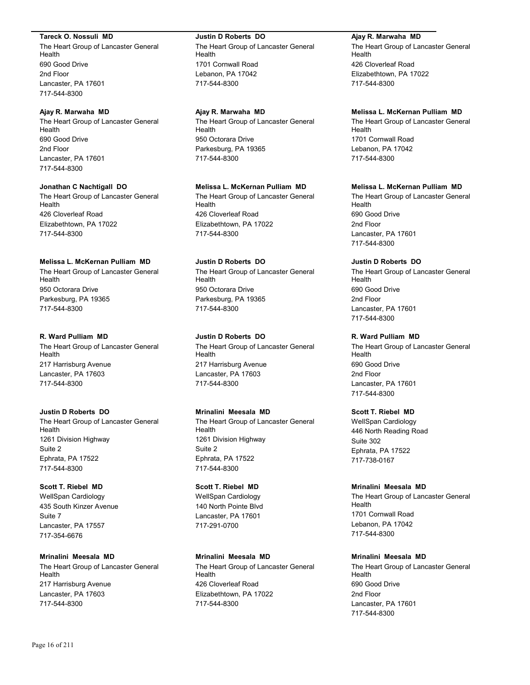### **Tareck O. Nossuli MD**

The Heart Group of Lancaster General Health 690 Good Drive 2nd Floor Lancaster, PA 17601 717-544-8300

# **Ajay R. Marwaha MD**

The Heart Group of Lancaster General Health 690 Good Drive 2nd Floor Lancaster, PA 17601 717-544-8300

### **Jonathan C Nachtigall DO**

The Heart Group of Lancaster General Health 426 Cloverleaf Road Elizabethtown, PA 17022 717-544-8300

# **Melissa L. McKernan Pulliam MD**

The Heart Group of Lancaster General Health 950 Octorara Drive Parkesburg, PA 19365 717-544-8300

# **R. Ward Pulliam MD**

The Heart Group of Lancaster General Health 217 Harrisburg Avenue Lancaster, PA 17603 717-544-8300

# **Justin D Roberts DO**

The Heart Group of Lancaster General Health 1261 Division Highway Suite 2 Ephrata, PA 17522 717-544-8300

# **Scott T. Riebel MD**

WellSpan Cardiology 435 South Kinzer Avenue Suite 7 Lancaster, PA 17557 717-354-6676

# **Mrinalini Meesala MD**

The Heart Group of Lancaster General Health 217 Harrisburg Avenue Lancaster, PA 17603 717-544-8300

### **Justin D Roberts DO**

The Heart Group of Lancaster General Health 1701 Cornwall Road Lebanon, PA 17042 717-544-8300

# **Ajay R. Marwaha MD**

The Heart Group of Lancaster General Health 950 Octorara Drive Parkesburg, PA 19365 717-544-8300

# **Melissa L. McKernan Pulliam MD**

The Heart Group of Lancaster General Health 426 Cloverleaf Road Elizabethtown, PA 17022 717-544-8300

### **Justin D Roberts DO**

The Heart Group of Lancaster General Health 950 Octorara Drive Parkesburg, PA 19365 717-544-8300

# **Justin D Roberts DO**

The Heart Group of Lancaster General Health 217 Harrisburg Avenue Lancaster, PA 17603 717-544-8300

# **Mrinalini Meesala MD**

The Heart Group of Lancaster General Health 1261 Division Highway Suite 2 Ephrata, PA 17522 717-544-8300

# **Scott T. Riebel MD**

WellSpan Cardiology 140 North Pointe Blvd Lancaster, PA 17601 717-291-0700

# **Mrinalini Meesala MD**

The Heart Group of Lancaster General Health 426 Cloverleaf Road Elizabethtown, PA 17022 717-544-8300

### **Ajay R. Marwaha MD**

The Heart Group of Lancaster General Health 426 Cloverleaf Road Elizabethtown, PA 17022 717-544-8300

### **Melissa L. McKernan Pulliam MD**

The Heart Group of Lancaster General Health 1701 Cornwall Road Lebanon, PA 17042 717-544-8300

### **Melissa L. McKernan Pulliam MD**

The Heart Group of Lancaster General Health 690 Good Drive 2nd Floor Lancaster, PA 17601 717-544-8300

### **Justin D Roberts DO**

The Heart Group of Lancaster General Health 690 Good Drive 2nd Floor Lancaster, PA 17601 717-544-8300

# **R. Ward Pulliam MD**

The Heart Group of Lancaster General Health 690 Good Drive 2nd Floor Lancaster, PA 17601 717-544-8300

# **Scott T. Riebel MD**

WellSpan Cardiology 446 North Reading Road Suite 302 Ephrata, PA 17522 717-738-0167

### **Mrinalini Meesala MD**

The Heart Group of Lancaster General Health 1701 Cornwall Road Lebanon, PA 17042 717-544-8300

# **Mrinalini Meesala MD**

The Heart Group of Lancaster General Health 690 Good Drive 2nd Floor Lancaster, PA 17601 717-544-8300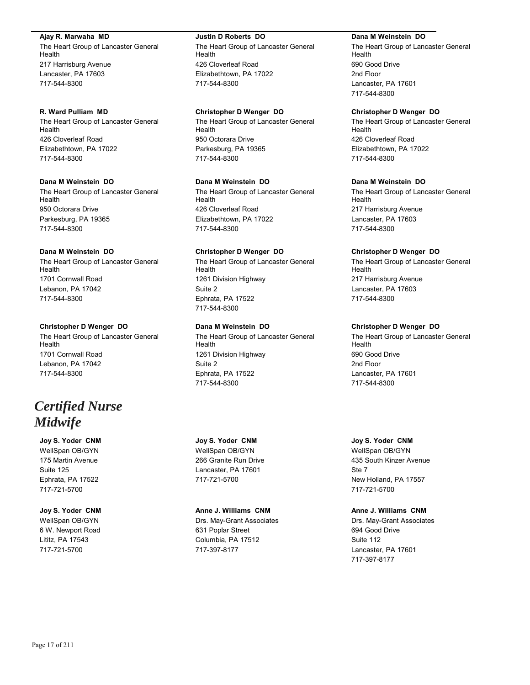### **Ajay R. Marwaha MD**

The Heart Group of Lancaster General Health 217 Harrisburg Avenue Lancaster, PA 17603 717-544-8300

### **R. Ward Pulliam MD**

The Heart Group of Lancaster General Health 426 Cloverleaf Road Elizabethtown, PA 17022 717-544-8300

# **Dana M Weinstein DO**

The Heart Group of Lancaster General Health 950 Octorara Drive Parkesburg, PA 19365 717-544-8300

### **Dana M Weinstein DO**

The Heart Group of Lancaster General Health 1701 Cornwall Road Lebanon, PA 17042 717-544-8300

### **Christopher D Wenger DO**

The Heart Group of Lancaster General Health 1701 Cornwall Road Lebanon, PA 17042 717-544-8300

# *Certified Nurse Midwife*

**Joy S. Yoder CNM** WellSpan OB/GYN 175 Martin Avenue Suite 125 Ephrata, PA 17522 717-721-5700

# **Joy S. Yoder CNM**

WellSpan OB/GYN 6 W. Newport Road Lititz, PA 17543 717-721-5700

### **Justin D Roberts DO**

The Heart Group of Lancaster General Health 426 Cloverleaf Road Elizabethtown, PA 17022 717-544-8300

### **Christopher D Wenger DO**

The Heart Group of Lancaster General Health 950 Octorara Drive Parkesburg, PA 19365 717-544-8300

# **Dana M Weinstein DO**

The Heart Group of Lancaster General Health 426 Cloverleaf Road Elizabethtown, PA 17022 717-544-8300

#### **Christopher D Wenger DO**

The Heart Group of Lancaster General Health 1261 Division Highway Suite 2 Ephrata, PA 17522 717-544-8300

# **Dana M Weinstein DO**

The Heart Group of Lancaster General Health 1261 Division Highway Suite 2 Ephrata, PA 17522 717-544-8300

### **Joy S. Yoder CNM**

WellSpan OB/GYN 266 Granite Run Drive Lancaster, PA 17601 717-721-5700

### **Anne J. Williams CNM**

Drs. May-Grant Associates 631 Poplar Street Columbia, PA 17512 717-397-8177

### **Dana M Weinstein DO**

The Heart Group of Lancaster General Health 690 Good Drive 2nd Floor Lancaster, PA 17601 717-544-8300

### **Christopher D Wenger DO**

The Heart Group of Lancaster General Health 426 Cloverleaf Road Elizabethtown, PA 17022 717-544-8300

# **Dana M Weinstein DO**

The Heart Group of Lancaster General Health 217 Harrisburg Avenue Lancaster, PA 17603 717-544-8300

### **Christopher D Wenger DO**

The Heart Group of Lancaster General Health 217 Harrisburg Avenue Lancaster, PA 17603 717-544-8300

# **Christopher D Wenger DO**

The Heart Group of Lancaster General Health 690 Good Drive 2nd Floor Lancaster, PA 17601 717-544-8300

### **Joy S. Yoder CNM**

WellSpan OB/GYN 435 South Kinzer Avenue Ste 7 New Holland, PA 17557 717-721-5700

### **Anne J. Williams CNM**

Drs. May-Grant Associates 694 Good Drive Suite 112 Lancaster, PA 17601 717-397-8177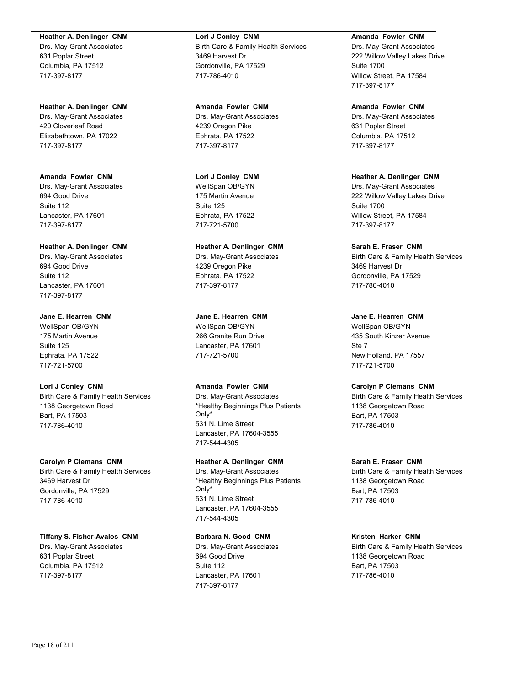### **Heather A. Denlinger CNM**

Drs. May-Grant Associates 631 Poplar Street Columbia, PA 17512 717-397-8177

### **Heather A. Denlinger CNM**

Drs. May-Grant Associates 420 Cloverleaf Road Elizabethtown, PA 17022 717-397-8177

# **Amanda Fowler CNM**

Drs. May-Grant Associates 694 Good Drive Suite 112 Lancaster, PA 17601 717-397-8177

### **Heather A. Denlinger CNM**

Drs. May-Grant Associates 694 Good Drive Suite 112 Lancaster, PA 17601 717-397-8177

### **Jane E. Hearren CNM**

WellSpan OB/GYN 175 Martin Avenue Suite 125 Ephrata, PA 17522 717-721-5700

# **Lori J Conley CNM**

Birth Care & Family Health Services 1138 Georgetown Road Bart, PA 17503 717-786-4010

#### **Carolyn P Clemans CNM**

Birth Care & Family Health Services 3469 Harvest Dr Gordonville, PA 17529 717-786-4010

### **Tiffany S. Fisher-Avalos CNM**

Drs. May-Grant Associates 631 Poplar Street Columbia, PA 17512 717-397-8177

### **Lori J Conley CNM** Birth Care & Family Health Services 3469 Harvest Dr Gordonville, PA 17529 717-786-4010

**Amanda Fowler CNM** Drs. May-Grant Associates 4239 Oregon Pike Ephrata, PA 17522 717-397-8177

### **Lori J Conley CNM**

WellSpan OB/GYN 175 Martin Avenue Suite 125 Ephrata, PA 17522 717-721-5700

# **Heather A. Denlinger CNM**

Drs. May-Grant Associates 4239 Oregon Pike Ephrata, PA 17522 717-397-8177

### **Jane E. Hearren CNM**

WellSpan OB/GYN 266 Granite Run Drive Lancaster, PA 17601 717-721-5700

# **Amanda Fowler CNM**

Drs. May-Grant Associates \*Healthy Beginnings Plus Patients Only\* 531 N. Lime Street Lancaster, PA 17604-3555 717-544-4305

# **Heather A. Denlinger CNM**

Drs. May-Grant Associates \*Healthy Beginnings Plus Patients Only\* 531 N. Lime Street Lancaster, PA 17604-3555 717-544-4305

# **Barbara N. Good CNM**

Drs. May-Grant Associates 694 Good Drive Suite 112 Lancaster, PA 17601 717-397-8177

# **Amanda Fowler CNM**

Drs. May-Grant Associates 222 Willow Valley Lakes Drive Suite 1700 Willow Street, PA 17584 717-397-8177

#### **Amanda Fowler CNM**

Drs. May-Grant Associates 631 Poplar Street Columbia, PA 17512 717-397-8177

# **Heather A. Denlinger CNM**

Drs. May-Grant Associates 222 Willow Valley Lakes Drive Suite 1700 Willow Street, PA 17584 717-397-8177

### **Sarah E. Fraser CNM**

Birth Care & Family Health Services 3469 Harvest Dr Gordonville, PA 17529 717-786-4010

### **Jane E. Hearren CNM**

WellSpan OB/GYN 435 South Kinzer Avenue Ste 7 New Holland, PA 17557 717-721-5700

# **Carolyn P Clemans CNM**

Birth Care & Family Health Services 1138 Georgetown Road Bart, PA 17503 717-786-4010

### **Sarah E. Fraser CNM**

Birth Care & Family Health Services 1138 Georgetown Road Bart, PA 17503 717-786-4010

### **Kristen Harker CNM**

Birth Care & Family Health Services 1138 Georgetown Road Bart, PA 17503 717-786-4010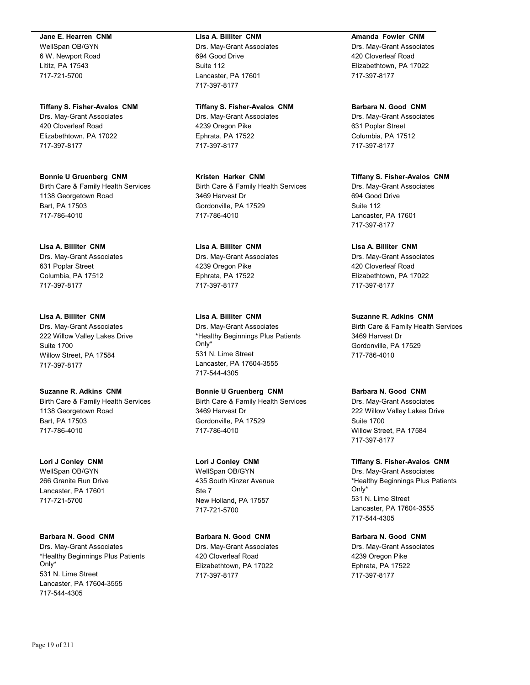# **Jane E. Hearren CNM**

WellSpan OB/GYN 6 W. Newport Road Lititz, PA 17543 717-721-5700

### **Tiffany S. Fisher-Avalos CNM** Drs. May-Grant Associates 420 Cloverleaf Road Elizabethtown, PA 17022 717-397-8177

**Bonnie U Gruenberg CNM** Birth Care & Family Health Services 1138 Georgetown Road Bart, PA 17503 717-786-4010

**Lisa A. Billiter CNM** Drs. May-Grant Associates 631 Poplar Street Columbia, PA 17512 717-397-8177

**Lisa A. Billiter CNM** Drs. May-Grant Associates 222 Willow Valley Lakes Drive Suite 1700 Willow Street, PA 17584 717-397-8177

**Suzanne R. Adkins CNM** Birth Care & Family Health Services 1138 Georgetown Road Bart, PA 17503 717-786-4010

**Lori J Conley CNM** WellSpan OB/GYN 266 Granite Run Drive Lancaster, PA 17601 717-721-5700

**Barbara N. Good CNM** Drs. May-Grant Associates \*Healthy Beginnings Plus Patients Only\* 531 N. Lime Street Lancaster, PA 17604-3555 717-544-4305

### **Lisa A. Billiter CNM**

Drs. May-Grant Associates 694 Good Drive Suite 112 Lancaster, PA 17601 717-397-8177

### **Tiffany S. Fisher-Avalos CNM**

Drs. May-Grant Associates 4239 Oregon Pike Ephrata, PA 17522 717-397-8177

**Kristen Harker CNM** Birth Care & Family Health Services 3469 Harvest Dr Gordonville, PA 17529 717-786-4010

**Lisa A. Billiter CNM** Drs. May-Grant Associates 4239 Oregon Pike Ephrata, PA 17522 717-397-8177

**Lisa A. Billiter CNM** Drs. May-Grant Associates \*Healthy Beginnings Plus Patients Only\* 531 N. Lime Street Lancaster, PA 17604-3555 717-544-4305

**Bonnie U Gruenberg CNM** Birth Care & Family Health Services 3469 Harvest Dr Gordonville, PA 17529 717-786-4010

**Lori J Conley CNM** WellSpan OB/GYN 435 South Kinzer Avenue Ste 7 New Holland, PA 17557 717-721-5700

**Barbara N. Good CNM** Drs. May-Grant Associates 420 Cloverleaf Road Elizabethtown, PA 17022 717-397-8177

# **Amanda Fowler CNM**

Drs. May-Grant Associates 420 Cloverleaf Road Elizabethtown, PA 17022 717-397-8177

**Barbara N. Good CNM** Drs. May-Grant Associates

631 Poplar Street Columbia, PA 17512 717-397-8177

**Tiffany S. Fisher-Avalos CNM** Drs. May-Grant Associates 694 Good Drive Suite 112 Lancaster, PA 17601 717-397-8177

**Lisa A. Billiter CNM** Drs. May-Grant Associates 420 Cloverleaf Road Elizabethtown, PA 17022 717-397-8177

**Suzanne R. Adkins CNM** Birth Care & Family Health Services 3469 Harvest Dr Gordonville, PA 17529 717-786-4010

# **Barbara N. Good CNM**

Drs. May-Grant Associates 222 Willow Valley Lakes Drive Suite 1700 Willow Street, PA 17584 717-397-8177

**Tiffany S. Fisher-Avalos CNM** Drs. May-Grant Associates \*Healthy Beginnings Plus Patients Only\* 531 N. Lime Street Lancaster, PA 17604-3555 717-544-4305

**Barbara N. Good CNM** Drs. May-Grant Associates 4239 Oregon Pike Ephrata, PA 17522

717-397-8177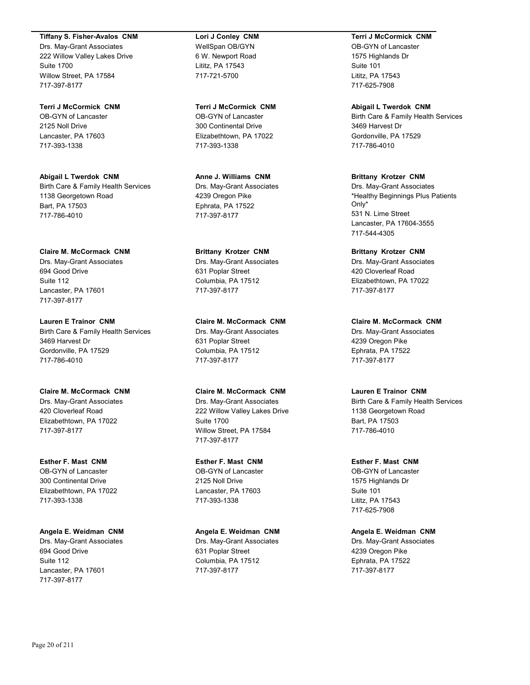### **Tiffany S. Fisher-Avalos CNM**

Drs. May-Grant Associates 222 Willow Valley Lakes Drive Suite 1700 Willow Street, PA 17584 717-397-8177

**Terri J McCormick CNM** OB-GYN of Lancaster 2125 Noll Drive Lancaster, PA 17603 717-393-1338

**Abigail L Twerdok CNM** Birth Care & Family Health Services 1138 Georgetown Road Bart, PA 17503 717-786-4010

**Claire M. McCormack CNM** Drs. May-Grant Associates 694 Good Drive Suite 112 Lancaster, PA 17601 717-397-8177

**Lauren E Trainor CNM** Birth Care & Family Health Services 3469 Harvest Dr Gordonville, PA 17529 717-786-4010

**Claire M. McCormack CNM** Drs. May-Grant Associates 420 Cloverleaf Road Elizabethtown, PA 17022 717-397-8177

**Esther F. Mast CNM** OB-GYN of Lancaster 300 Continental Drive Elizabethtown, PA 17022 717-393-1338

**Angela E. Weidman CNM** Drs. May-Grant Associates 694 Good Drive Suite 112 Lancaster, PA 17601 717-397-8177

**Lori J Conley CNM** WellSpan OB/GYN 6 W. Newport Road Lititz, PA 17543 717-721-5700

**Terri J McCormick CNM** OB-GYN of Lancaster 300 Continental Drive Elizabethtown, PA 17022 717-393-1338

**Anne J. Williams CNM** Drs. May-Grant Associates 4239 Oregon Pike Ephrata, PA 17522 717-397-8177

**Brittany Krotzer CNM** Drs. May-Grant Associates 631 Poplar Street Columbia, PA 17512 717-397-8177

**Claire M. McCormack CNM**

Drs. May-Grant Associates 631 Poplar Street Columbia, PA 17512 717-397-8177

### **Claire M. McCormack CNM**

Drs. May-Grant Associates 222 Willow Valley Lakes Drive Suite 1700 Willow Street, PA 17584 717-397-8177

**Esther F. Mast CNM** OB-GYN of Lancaster 2125 Noll Drive Lancaster, PA 17603 717-393-1338

**Angela E. Weidman CNM** Drs. May-Grant Associates 631 Poplar Street Columbia, PA 17512 717-397-8177

**Terri J McCormick CNM** OB-GYN of Lancaster

1575 Highlands Dr Suite 101 Lititz, PA 17543 717-625-7908

**Abigail L Twerdok CNM** Birth Care & Family Health Services 3469 Harvest Dr Gordonville, PA 17529 717-786-4010

**Brittany Krotzer CNM** Drs. May-Grant Associates \*Healthy Beginnings Plus Patients Only\* 531 N. Lime Street Lancaster, PA 17604-3555 717-544-4305

**Brittany Krotzer CNM** Drs. May-Grant Associates 420 Cloverleaf Road Elizabethtown, PA 17022 717-397-8177

**Claire M. McCormack CNM** Drs. May-Grant Associates 4239 Oregon Pike Ephrata, PA 17522 717-397-8177

# **Lauren E Trainor CNM**

Birth Care & Family Health Services 1138 Georgetown Road Bart, PA 17503 717-786-4010

**Esther F. Mast CNM** OB-GYN of Lancaster 1575 Highlands Dr Suite 101 Lititz, PA 17543

717-625-7908

**Angela E. Weidman CNM** Drs. May-Grant Associates 4239 Oregon Pike Ephrata, PA 17522 717-397-8177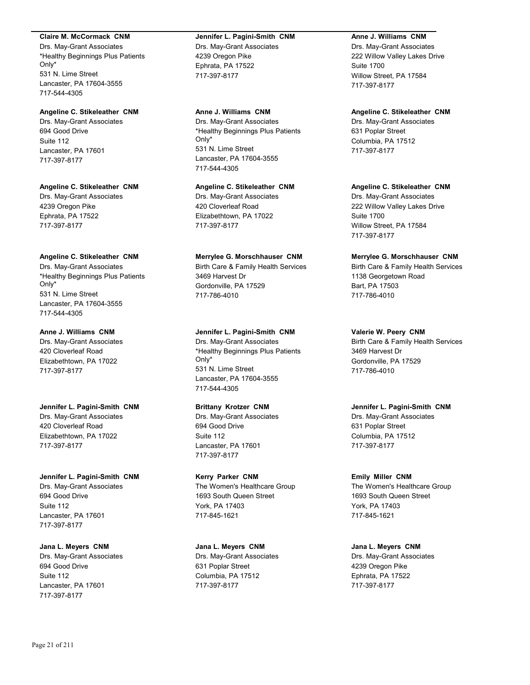### **Claire M. McCormack CNM**

Drs. May-Grant Associates \*Healthy Beginnings Plus Patients Only\* 531 N. Lime Street Lancaster, PA 17604-3555 717-544-4305

# **Angeline C. Stikeleather CNM**

Drs. May-Grant Associates 694 Good Drive Suite 112 Lancaster, PA 17601 717-397-8177

### **Angeline C. Stikeleather CNM**

Drs. May-Grant Associates 4239 Oregon Pike Ephrata, PA 17522 717-397-8177

# **Angeline C. Stikeleather CNM**

Drs. May-Grant Associates \*Healthy Beginnings Plus Patients Only\* 531 N. Lime Street Lancaster, PA 17604-3555 717-544-4305

### **Anne J. Williams CNM**

Drs. May-Grant Associates 420 Cloverleaf Road Elizabethtown, PA 17022 717-397-8177

**Jennifer L. Pagini-Smith CNM** Drs. May-Grant Associates 420 Cloverleaf Road Elizabethtown, PA 17022 717-397-8177

**Jennifer L. Pagini-Smith CNM** Drs. May-Grant Associates 694 Good Drive Suite 112 Lancaster, PA 17601 717-397-8177

**Jana L. Meyers CNM** Drs. May-Grant Associates 694 Good Drive Suite 112 Lancaster, PA 17601 717-397-8177

### **Jennifer L. Pagini-Smith CNM** Drs. May-Grant Associates 4239 Oregon Pike Ephrata, PA 17522 717-397-8177

# **Anne J. Williams CNM**

Drs. May-Grant Associates \*Healthy Beginnings Plus Patients Only\* 531 N. Lime Street Lancaster, PA 17604-3555 717-544-4305

### **Angeline C. Stikeleather CNM**

Drs. May-Grant Associates 420 Cloverleaf Road Elizabethtown, PA 17022 717-397-8177

# **Merrylee G. Morschhauser CNM**

Birth Care & Family Health Services 3469 Harvest Dr Gordonville, PA 17529 717-786-4010

# **Jennifer L. Pagini-Smith CNM**

Drs. May-Grant Associates \*Healthy Beginnings Plus Patients Only\* 531 N. Lime Street Lancaster, PA 17604-3555 717-544-4305

# **Brittany Krotzer CNM**

Drs. May-Grant Associates 694 Good Drive Suite 112 Lancaster, PA 17601 717-397-8177

### **Kerry Parker CNM** The Women's Healthcare Group 1693 South Queen Street York, PA 17403 717-845-1621

**Jana L. Meyers CNM** Drs. May-Grant Associates 631 Poplar Street Columbia, PA 17512 717-397-8177

# **Anne J. Williams CNM**

Drs. May-Grant Associates 222 Willow Valley Lakes Drive Suite 1700 Willow Street, PA 17584 717-397-8177

# **Angeline C. Stikeleather CNM**

Drs. May-Grant Associates 631 Poplar Street Columbia, PA 17512 717-397-8177

### **Angeline C. Stikeleather CNM**

Drs. May-Grant Associates 222 Willow Valley Lakes Drive Suite 1700 Willow Street, PA 17584 717-397-8177

# **Merrylee G. Morschhauser CNM**

Birth Care & Family Health Services 1138 Georgetown Road Bart, PA 17503 717-786-4010

# **Valerie W. Peery CNM**

Birth Care & Family Health Services 3469 Harvest Dr Gordonville, PA 17529 717-786-4010

# **Jennifer L. Pagini-Smith CNM**

Drs. May-Grant Associates 631 Poplar Street Columbia, PA 17512 717-397-8177

# **Emily Miller CNM**

The Women's Healthcare Group 1693 South Queen Street York, PA 17403 717-845-1621

# **Jana L. Meyers CNM**

Drs. May-Grant Associates 4239 Oregon Pike Ephrata, PA 17522 717-397-8177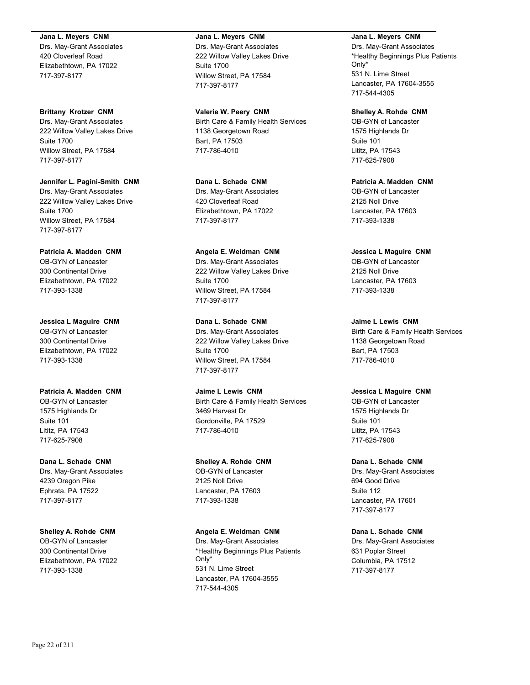### **Jana L. Meyers CNM**

Drs. May-Grant Associates 420 Cloverleaf Road Elizabethtown, PA 17022 717-397-8177

**Brittany Krotzer CNM** Drs. May-Grant Associates 222 Willow Valley Lakes Drive Suite 1700 Willow Street, PA 17584 717-397-8177

**Jennifer L. Pagini-Smith CNM** Drs. May-Grant Associates 222 Willow Valley Lakes Drive Suite 1700 Willow Street, PA 17584 717-397-8177

**Patricia A. Madden CNM** OB-GYN of Lancaster 300 Continental Drive Elizabethtown, PA 17022 717-393-1338

**Jessica L Maguire CNM** OB-GYN of Lancaster 300 Continental Drive Elizabethtown, PA 17022 717-393-1338

**Patricia A. Madden CNM** OB-GYN of Lancaster 1575 Highlands Dr Suite 101 Lititz, PA 17543 717-625-7908

**Dana L. Schade CNM** Drs. May-Grant Associates 4239 Oregon Pike Ephrata, PA 17522 717-397-8177

**Shelley A. Rohde CNM** OB-GYN of Lancaster 300 Continental Drive Elizabethtown, PA 17022 717-393-1338

#### **Jana L. Meyers CNM**

Drs. May-Grant Associates 222 Willow Valley Lakes Drive Suite 1700 Willow Street, PA 17584 717-397-8177

**Valerie W. Peery CNM** Birth Care & Family Health Services 1138 Georgetown Road Bart, PA 17503 717-786-4010

**Dana L. Schade CNM** Drs. May-Grant Associates 420 Cloverleaf Road Elizabethtown, PA 17022 717-397-8177

**Angela E. Weidman CNM** Drs. May-Grant Associates 222 Willow Valley Lakes Drive Suite 1700 Willow Street, PA 17584 717-397-8177

**Dana L. Schade CNM** Drs. May-Grant Associates 222 Willow Valley Lakes Drive Suite 1700 Willow Street, PA 17584 717-397-8177

**Jaime L Lewis CNM** Birth Care & Family Health Services 3469 Harvest Dr Gordonville, PA 17529 717-786-4010

**Shelley A. Rohde CNM** OB-GYN of Lancaster 2125 Noll Drive Lancaster, PA 17603 717-393-1338

**Angela E. Weidman CNM** Drs. May-Grant Associates \*Healthy Beginnings Plus Patients Only\* 531 N. Lime Street Lancaster, PA 17604-3555 717-544-4305

### **Jana L. Meyers CNM**

Drs. May-Grant Associates \*Healthy Beginnings Plus Patients Only\* 531 N. Lime Street Lancaster, PA 17604-3555 717-544-4305

**Shelley A. Rohde CNM** OB-GYN of Lancaster 1575 Highlands Dr Suite 101 Lititz, PA 17543 717-625-7908

**Patricia A. Madden CNM** OB-GYN of Lancaster 2125 Noll Drive Lancaster, PA 17603 717-393-1338

**Jessica L Maguire CNM** OB-GYN of Lancaster 2125 Noll Drive Lancaster, PA 17603 717-393-1338

**Jaime L Lewis CNM** Birth Care & Family Health Services 1138 Georgetown Road Bart, PA 17503 717-786-4010

**Jessica L Maguire CNM** OB-GYN of Lancaster 1575 Highlands Dr Suite 101 Lititz, PA 17543 717-625-7908

**Dana L. Schade CNM** Drs. May-Grant Associates 694 Good Drive Suite 112 Lancaster, PA 17601 717-397-8177

**Dana L. Schade CNM** Drs. May-Grant Associates 631 Poplar Street Columbia, PA 17512 717-397-8177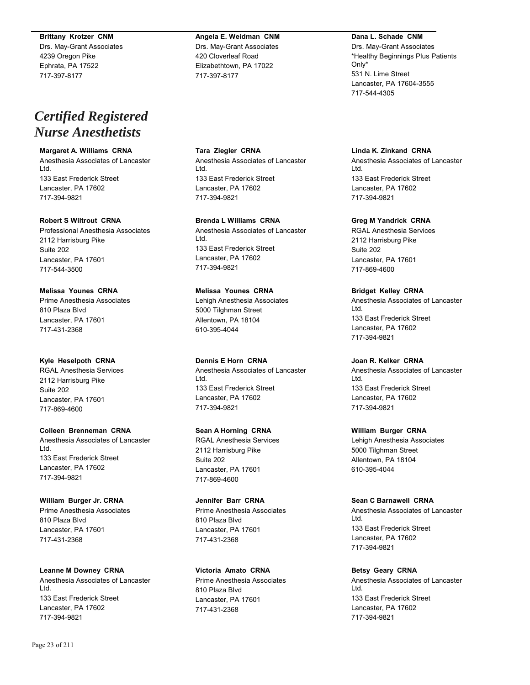### **Brittany Krotzer CNM**

Drs. May-Grant Associates 4239 Oregon Pike Ephrata, PA 17522 717-397-8177

# *Certified Registered Nurse Anesthetists*

# **Margaret A. Williams CRNA**

Anesthesia Associates of Lancaster Ltd. 133 East Frederick Street Lancaster, PA 17602 717-394-9821

### **Robert S Wiltrout CRNA**

Professional Anesthesia Associates 2112 Harrisburg Pike Suite 202 Lancaster, PA 17601 717-544-3500

**Melissa Younes CRNA** Prime Anesthesia Associates 810 Plaza Blvd Lancaster, PA 17601 717-431-2368

**Kyle Heselpoth CRNA** RGAL Anesthesia Services 2112 Harrisburg Pike Suite 202 Lancaster, PA 17601 717-869-4600

**Colleen Brenneman CRNA** Anesthesia Associates of Lancaster Ltd. 133 East Frederick Street Lancaster, PA 17602 717-394-9821

**William Burger Jr. CRNA** Prime Anesthesia Associates 810 Plaza Blvd Lancaster, PA 17601 717-431-2368

# **Leanne M Downey CRNA** Anesthesia Associates of Lancaster Ltd.

133 East Frederick Street Lancaster, PA 17602 717-394-9821

# **Angela E. Weidman CNM**

Drs. May-Grant Associates 420 Cloverleaf Road Elizabethtown, PA 17022 717-397-8177

**Tara Ziegler CRNA** Anesthesia Associates of Lancaster Ltd. 133 East Frederick Street Lancaster, PA 17602 717-394-9821

**Brenda L Williams CRNA**

Anesthesia Associates of Lancaster Ltd. 133 East Frederick Street Lancaster, PA 17602 717-394-9821

**Melissa Younes CRNA** Lehigh Anesthesia Associates

5000 Tilghman Street Allentown, PA 18104 610-395-4044

**Dennis E Horn CRNA** Anesthesia Associates of Lancaster Ltd. 133 East Frederick Street Lancaster, PA 17602 717-394-9821

**Sean A Horning CRNA** RGAL Anesthesia Services 2112 Harrisburg Pike Suite 202 Lancaster, PA 17601 717-869-4600

**Jennifer Barr CRNA** Prime Anesthesia Associates 810 Plaza Blvd Lancaster, PA 17601 717-431-2368

**Victoria Amato CRNA**

Prime Anesthesia Associates 810 Plaza Blvd Lancaster, PA 17601 717-431-2368

### **Dana L. Schade CNM**

Drs. May-Grant Associates \*Healthy Beginnings Plus Patients Only\* 531 N. Lime Street Lancaster, PA 17604-3555 717-544-4305

**Linda K. Zinkand CRNA**

Anesthesia Associates of Lancaster Ltd. 133 East Frederick Street Lancaster, PA 17602 717-394-9821

**Greg M Yandrick CRNA**

RGAL Anesthesia Services 2112 Harrisburg Pike Suite 202 Lancaster, PA 17601 717-869-4600

**Bridget Kelley CRNA** Anesthesia Associates of Lancaster Ltd. 133 East Frederick Street Lancaster, PA 17602 717-394-9821

**Joan R. Kelker CRNA** Anesthesia Associates of Lancaster Ltd. 133 East Frederick Street Lancaster, PA 17602 717-394-9821

**William Burger CRNA** Lehigh Anesthesia Associates 5000 Tilghman Street Allentown, PA 18104 610-395-4044

**Sean C Barnawell CRNA**

Anesthesia Associates of Lancaster Ltd. 133 East Frederick Street Lancaster, PA 17602 717-394-9821

**Betsy Geary CRNA**

Anesthesia Associates of Lancaster Ltd. 133 East Frederick Street Lancaster, PA 17602 717-394-9821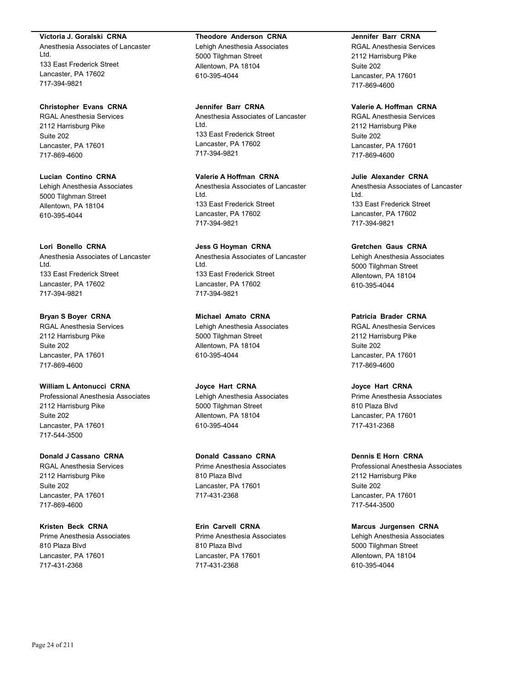### **Victoria J. Goralski CRNA**

Anesthesia Associates of Lancaster Ltd. 133 East Frederick Street Lancaster, PA 17602 717-394-9821

### **Christopher Evans CRNA**

RGAL Anesthesia Services 2112 Harrisburg Pike Suite 202 Lancaster, PA 17601 717-869-4600

**Lucian Contino CRNA** Lehigh Anesthesia Associates 5000 Tilghman Street Allentown, PA 18104 610-395-4044

### **Lori Bonello CRNA**

Anesthesia Associates of Lancaster Ltd. 133 East Frederick Street Lancaster, PA 17602 717-394-9821

# **Bryan S Boyer CRNA**

RGAL Anesthesia Services 2112 Harrisburg Pike Suite 202 Lancaster, PA 17601 717-869-4600

# **William L Antonucci CRNA**

Professional Anesthesia Associates 2112 Harrisburg Pike Suite 202 Lancaster, PA 17601 717-544-3500

## **Donald J Cassano CRNA**

RGAL Anesthesia Services 2112 Harrisburg Pike Suite 202 Lancaster, PA 17601 717-869-4600

### **Kristen Beck CRNA**

Prime Anesthesia Associates 810 Plaza Blvd Lancaster, PA 17601 717-431-2368

### **Theodore Anderson CRNA**

Lehigh Anesthesia Associates 5000 Tilghman Street Allentown, PA 18104 610-395-4044

**Jennifer Barr CRNA** Anesthesia Associates of Lancaster Ltd. 133 East Frederick Street Lancaster, PA 17602 717-394-9821

# **Valerie A Hoffman CRNA**

Anesthesia Associates of Lancaster Ltd. 133 East Frederick Street Lancaster, PA 17602 717-394-9821

# **Jess G Hoyman CRNA**

Anesthesia Associates of Lancaster Ltd. 133 East Frederick Street Lancaster, PA 17602 717-394-9821

# **Michael Amato CRNA**

Lehigh Anesthesia Associates 5000 Tilghman Street Allentown, PA 18104 610-395-4044

### **Joyce Hart CRNA**

Lehigh Anesthesia Associates 5000 Tilghman Street Allentown, PA 18104 610-395-4044

# **Donald Cassano CRNA**

Prime Anesthesia Associates 810 Plaza Blvd Lancaster, PA 17601 717-431-2368

### **Erin Carvell CRNA**

Prime Anesthesia Associates 810 Plaza Blvd Lancaster, PA 17601 717-431-2368

### **Jennifer Barr CRNA**

RGAL Anesthesia Services 2112 Harrisburg Pike Suite 202 Lancaster, PA 17601 717-869-4600

# **Valerie A. Hoffman CRNA**

RGAL Anesthesia Services 2112 Harrisburg Pike Suite 202 Lancaster, PA 17601 717-869-4600

# **Julie Alexander CRNA**

Anesthesia Associates of Lancaster Ltd. 133 East Frederick Street Lancaster, PA 17602 717-394-9821

### **Gretchen Gaus CRNA**

Lehigh Anesthesia Associates 5000 Tilghman Street Allentown, PA 18104 610-395-4044

### **Patricia Brader CRNA**

RGAL Anesthesia Services 2112 Harrisburg Pike Suite 202 Lancaster, PA 17601 717-869-4600

# **Joyce Hart CRNA**

Prime Anesthesia Associates 810 Plaza Blvd Lancaster, PA 17601 717-431-2368

### **Dennis E Horn CRNA**

Professional Anesthesia Associates 2112 Harrisburg Pike Suite 202 Lancaster, PA 17601 717-544-3500

### **Marcus Jurgensen CRNA**

Lehigh Anesthesia Associates 5000 Tilghman Street Allentown, PA 18104 610-395-4044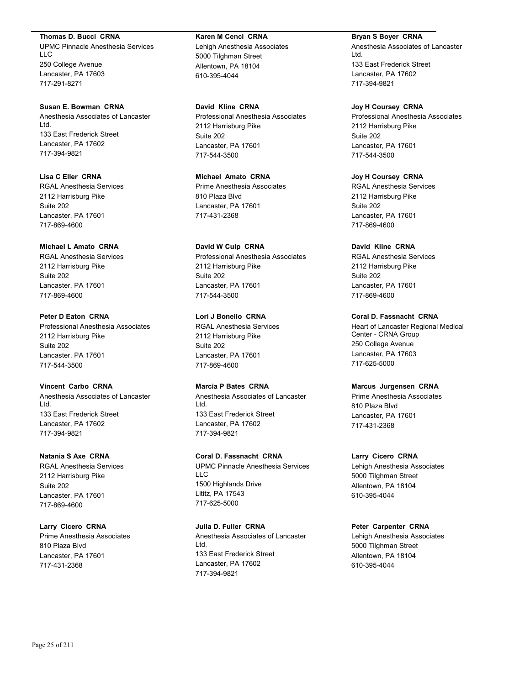#### **Thomas D. Bucci CRNA**

UPMC Pinnacle Anesthesia Services LLC 250 College Avenue Lancaster, PA 17603 717-291-8271

### **Susan E. Bowman CRNA**

Anesthesia Associates of Lancaster Ltd. 133 East Frederick Street Lancaster, PA 17602 717-394-9821

**Lisa C Eller CRNA** RGAL Anesthesia Services 2112 Harrisburg Pike Suite 202 Lancaster, PA 17601 717-869-4600

### **Michael L Amato CRNA**

RGAL Anesthesia Services 2112 Harrisburg Pike Suite 202 Lancaster, PA 17601 717-869-4600

### **Peter D Eaton CRNA**

Professional Anesthesia Associates 2112 Harrisburg Pike Suite 202 Lancaster, PA 17601 717-544-3500

# **Vincent Carbo CRNA**

Anesthesia Associates of Lancaster Ltd. 133 East Frederick Street Lancaster, PA 17602 717-394-9821

### **Natania S Axe CRNA**

RGAL Anesthesia Services 2112 Harrisburg Pike Suite 202 Lancaster, PA 17601 717-869-4600

### **Larry Cicero CRNA**

Prime Anesthesia Associates 810 Plaza Blvd Lancaster, PA 17601 717-431-2368

#### **Karen M Cenci CRNA**

Lehigh Anesthesia Associates 5000 Tilghman Street Allentown, PA 18104 610-395-4044

# **David Kline CRNA**

Professional Anesthesia Associates 2112 Harrisburg Pike Suite 202 Lancaster, PA 17601 717-544-3500

# **Michael Amato CRNA**

Prime Anesthesia Associates 810 Plaza Blvd Lancaster, PA 17601 717-431-2368

# **David W Culp CRNA**

Professional Anesthesia Associates 2112 Harrisburg Pike Suite 202 Lancaster, PA 17601 717-544-3500

### **Lori J Bonello CRNA**

RGAL Anesthesia Services 2112 Harrisburg Pike Suite 202 Lancaster, PA 17601 717-869-4600

### **Marcia P Bates CRNA**

Anesthesia Associates of Lancaster Ltd. 133 East Frederick Street Lancaster, PA 17602 717-394-9821

# **Coral D. Fassnacht CRNA**

UPMC Pinnacle Anesthesia Services LLC 1500 Highlands Drive Lititz, PA 17543 717-625-5000

# **Julia D. Fuller CRNA**

Anesthesia Associates of Lancaster Ltd. 133 East Frederick Street Lancaster, PA 17602 717-394-9821

### **Bryan S Boyer CRNA**

Anesthesia Associates of Lancaster Ltd. 133 East Frederick Street Lancaster, PA 17602 717-394-9821

### **Joy H Coursey CRNA**

Professional Anesthesia Associates 2112 Harrisburg Pike Suite 202 Lancaster, PA 17601 717-544-3500

# **Joy H Coursey CRNA**

RGAL Anesthesia Services 2112 Harrisburg Pike Suite 202 Lancaster, PA 17601 717-869-4600

### **David Kline CRNA**

RGAL Anesthesia Services 2112 Harrisburg Pike Suite 202 Lancaster, PA 17601 717-869-4600

# **Coral D. Fassnacht CRNA**

Heart of Lancaster Regional Medical Center - CRNA Group 250 College Avenue Lancaster, PA 17603 717-625-5000

# **Marcus Jurgensen CRNA**

Prime Anesthesia Associates 810 Plaza Blvd Lancaster, PA 17601 717-431-2368

# **Larry Cicero CRNA**

Lehigh Anesthesia Associates 5000 Tilghman Street Allentown, PA 18104 610-395-4044

# **Peter Carpenter CRNA**

Lehigh Anesthesia Associates 5000 Tilghman Street Allentown, PA 18104 610-395-4044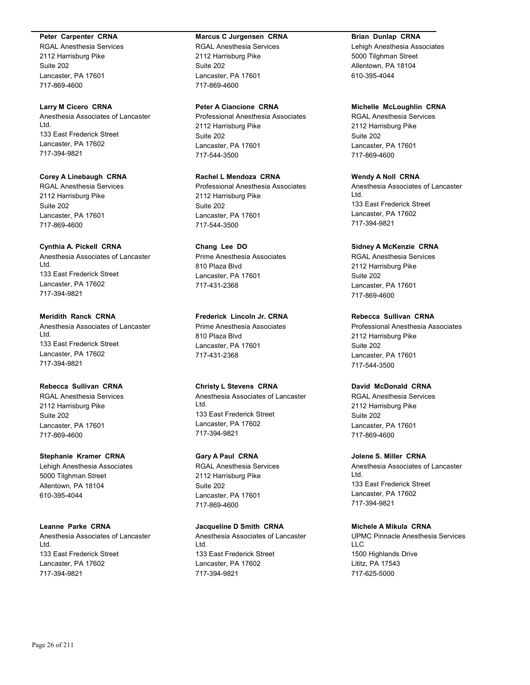### **Peter Carpenter CRNA**

RGAL Anesthesia Services 2112 Harrisburg Pike Suite 202 Lancaster, PA 17601 717-869-4600

#### **Larry M Cicero CRNA**

Anesthesia Associates of Lancaster Ltd. 133 East Frederick Street Lancaster, PA 17602 717-394-9821

# **Corey A Linebaugh CRNA**

RGAL Anesthesia Services 2112 Harrisburg Pike Suite 202 Lancaster, PA 17601 717-869-4600

### **Cynthia A. Pickell CRNA**

Anesthesia Associates of Lancaster Ltd. 133 East Frederick Street Lancaster, PA 17602 717-394-9821

# **Meridith Ranck CRNA**

Anesthesia Associates of Lancaster Ltd. 133 East Frederick Street Lancaster, PA 17602 717-394-9821

# **Rebecca Sullivan CRNA**

RGAL Anesthesia Services 2112 Harrisburg Pike Suite 202 Lancaster, PA 17601 717-869-4600

### **Stephanie Kramer CRNA**

Lehigh Anesthesia Associates 5000 Tilghman Street Allentown, PA 18104 610-395-4044

### **Leanne Parke CRNA**

Anesthesia Associates of Lancaster Ltd. 133 East Frederick Street Lancaster, PA 17602 717-394-9821

#### **Marcus C Jurgensen CRNA**

RGAL Anesthesia Services 2112 Harrisburg Pike Suite 202 Lancaster, PA 17601 717-869-4600

### **Peter A Ciancione CRNA**

Professional Anesthesia Associates 2112 Harrisburg Pike Suite 202 Lancaster, PA 17601 717-544-3500

# **Rachel L Mendoza CRNA**

Professional Anesthesia Associates 2112 Harrisburg Pike Suite 202 Lancaster, PA 17601 717-544-3500

# **Chang Lee DO**

Prime Anesthesia Associates 810 Plaza Blvd Lancaster, PA 17601 717-431-2368

### **Frederick Lincoln Jr. CRNA**

Prime Anesthesia Associates 810 Plaza Blvd Lancaster, PA 17601 717-431-2368

### **Christy L Stevens CRNA**

Anesthesia Associates of Lancaster Ltd. 133 East Frederick Street Lancaster, PA 17602 717-394-9821

# **Gary A Paul CRNA**

RGAL Anesthesia Services 2112 Harrisburg Pike Suite 202 Lancaster, PA 17601 717-869-4600

# **Jacqueline D Smith CRNA**

Anesthesia Associates of Lancaster Ltd. 133 East Frederick Street Lancaster, PA 17602 717-394-9821

# **Brian Dunlap CRNA**

Lehigh Anesthesia Associates 5000 Tilghman Street Allentown, PA 18104 610-395-4044

### **Michelle McLoughlin CRNA**

RGAL Anesthesia Services 2112 Harrisburg Pike Suite 202 Lancaster, PA 17601 717-869-4600

# **Wendy A Noll CRNA**

Anesthesia Associates of Lancaster Ltd. 133 East Frederick Street Lancaster, PA 17602 717-394-9821

### **Sidney A McKenzie CRNA**

RGAL Anesthesia Services 2112 Harrisburg Pike Suite 202 Lancaster, PA 17601 717-869-4600

### **Rebecca Sullivan CRNA**

Professional Anesthesia Associates 2112 Harrisburg Pike Suite 202 Lancaster, PA 17601 717-544-3500

# **David McDonald CRNA**

RGAL Anesthesia Services 2112 Harrisburg Pike Suite 202 Lancaster, PA 17601 717-869-4600

#### **Jolene S. Miller CRNA**

Anesthesia Associates of Lancaster Ltd. 133 East Frederick Street Lancaster, PA 17602 717-394-9821

### **Michele A Mikula CRNA**

UPMC Pinnacle Anesthesia Services LLC 1500 Highlands Drive Lititz, PA 17543 717-625-5000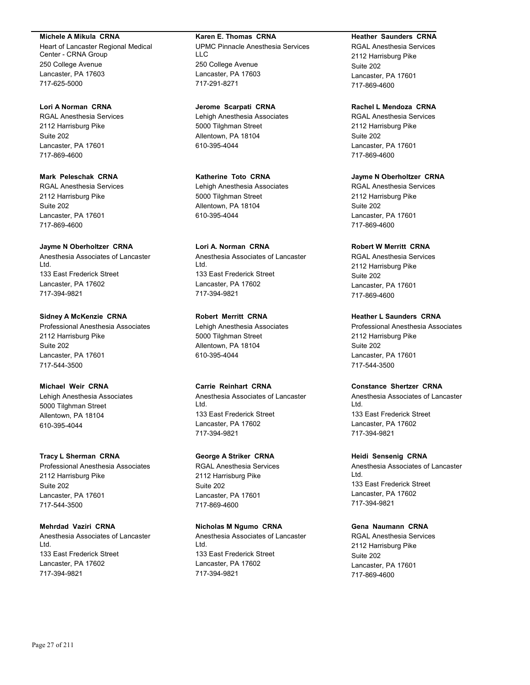### **Michele A Mikula CRNA**

Heart of Lancaster Regional Medical Center - CRNA Group 250 College Avenue Lancaster, PA 17603 717-625-5000

### **Lori A Norman CRNA**

RGAL Anesthesia Services 2112 Harrisburg Pike Suite 202 Lancaster, PA 17601 717-869-4600

# **Mark Peleschak CRNA**

RGAL Anesthesia Services 2112 Harrisburg Pike Suite 202 Lancaster, PA 17601 717-869-4600

### **Jayme N Oberholtzer CRNA**

Anesthesia Associates of Lancaster Ltd. 133 East Frederick Street Lancaster, PA 17602 717-394-9821

### **Sidney A McKenzie CRNA**

Professional Anesthesia Associates 2112 Harrisburg Pike Suite 202 Lancaster, PA 17601 717-544-3500

# **Michael Weir CRNA**

Lehigh Anesthesia Associates 5000 Tilghman Street Allentown, PA 18104 610-395-4044

### **Tracy L Sherman CRNA**

Professional Anesthesia Associates 2112 Harrisburg Pike Suite 202 Lancaster, PA 17601 717-544-3500

# **Mehrdad Vaziri CRNA**

Anesthesia Associates of Lancaster Ltd. 133 East Frederick Street Lancaster, PA 17602 717-394-9821

# **Karen E. Thomas CRNA**

UPMC Pinnacle Anesthesia Services LLC 250 College Avenue Lancaster, PA 17603 717-291-8271

### **Jerome Scarpati CRNA**

Lehigh Anesthesia Associates 5000 Tilghman Street Allentown, PA 18104 610-395-4044

### **Katherine Toto CRNA**

Lehigh Anesthesia Associates 5000 Tilghman Street Allentown, PA 18104 610-395-4044

# **Lori A. Norman CRNA**

Anesthesia Associates of Lancaster Ltd. 133 East Frederick Street Lancaster, PA 17602 717-394-9821

# **Robert Merritt CRNA**

Lehigh Anesthesia Associates 5000 Tilghman Street Allentown, PA 18104 610-395-4044

# **Carrie Reinhart CRNA**

Anesthesia Associates of Lancaster Ltd. 133 East Frederick Street Lancaster, PA 17602 717-394-9821

# **George A Striker CRNA**

RGAL Anesthesia Services 2112 Harrisburg Pike Suite 202 Lancaster, PA 17601 717-869-4600

# **Nicholas M Ngumo CRNA**

Anesthesia Associates of Lancaster Ltd. 133 East Frederick Street Lancaster, PA 17602 717-394-9821

# **Heather Saunders CRNA**

RGAL Anesthesia Services 2112 Harrisburg Pike Suite 202 Lancaster, PA 17601 717-869-4600

# **Rachel L Mendoza CRNA**

RGAL Anesthesia Services 2112 Harrisburg Pike Suite 202 Lancaster, PA 17601 717-869-4600

# **Jayme N Oberholtzer CRNA**

RGAL Anesthesia Services 2112 Harrisburg Pike Suite 202 Lancaster, PA 17601 717-869-4600

### **Robert W Merritt CRNA**

RGAL Anesthesia Services 2112 Harrisburg Pike Suite 202 Lancaster, PA 17601 717-869-4600

### **Heather L Saunders CRNA**

Professional Anesthesia Associates 2112 Harrisburg Pike Suite 202 Lancaster, PA 17601 717-544-3500

# **Constance Shertzer CRNA**

Anesthesia Associates of Lancaster Ltd. 133 East Frederick Street Lancaster, PA 17602 717-394-9821

### **Heidi Sensenig CRNA**

Anesthesia Associates of Lancaster Ltd. 133 East Frederick Street Lancaster, PA 17602 717-394-9821

### **Gena Naumann CRNA**

RGAL Anesthesia Services 2112 Harrisburg Pike Suite 202 Lancaster, PA 17601 717-869-4600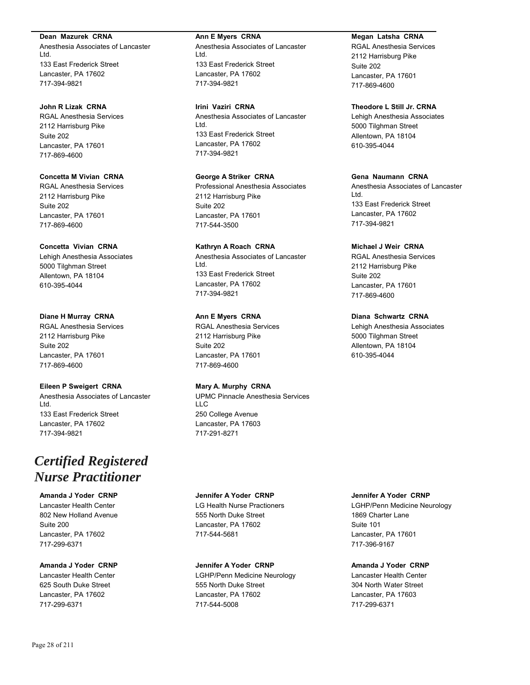### **Dean Mazurek CRNA**

Anesthesia Associates of Lancaster Ltd. 133 East Frederick Street Lancaster, PA 17602 717-394-9821

# **John R Lizak CRNA**

RGAL Anesthesia Services 2112 Harrisburg Pike Suite 202 Lancaster, PA 17601 717-869-4600

# **Concetta M Vivian CRNA**

RGAL Anesthesia Services 2112 Harrisburg Pike Suite 202 Lancaster, PA 17601 717-869-4600

### **Concetta Vivian CRNA**

Lehigh Anesthesia Associates 5000 Tilghman Street Allentown, PA 18104 610-395-4044

### **Diane H Murray CRNA**

RGAL Anesthesia Services 2112 Harrisburg Pike Suite 202 Lancaster, PA 17601 717-869-4600

# **Eileen P Sweigert CRNA**

Anesthesia Associates of Lancaster Ltd. 133 East Frederick Street Lancaster, PA 17602 717-394-9821

# *Certified Registered Nurse Practitioner*

# **Amanda J Yoder CRNP**

Lancaster Health Center 802 New Holland Avenue Suite 200 Lancaster, PA 17602 717-299-6371

### **Amanda J Yoder CRNP**

Lancaster Health Center 625 South Duke Street Lancaster, PA 17602 717-299-6371

### **Ann E Myers CRNA**

Anesthesia Associates of Lancaster Ltd. 133 East Frederick Street Lancaster, PA 17602 717-394-9821

**Irini Vaziri CRNA** Anesthesia Associates of Lancaster Ltd. 133 East Frederick Street Lancaster, PA 17602 717-394-9821

# **George A Striker CRNA**

Professional Anesthesia Associates 2112 Harrisburg Pike Suite 202 Lancaster, PA 17601 717-544-3500

# **Kathryn A Roach CRNA**

Anesthesia Associates of Lancaster Ltd. 133 East Frederick Street Lancaster, PA 17602 717-394-9821

### **Ann E Myers CRNA**

RGAL Anesthesia Services 2112 Harrisburg Pike Suite 202 Lancaster, PA 17601 717-869-4600

### **Mary A. Murphy CRNA**

UPMC Pinnacle Anesthesia Services LLC 250 College Avenue Lancaster, PA 17603 717-291-8271

# **Jennifer A Yoder CRNP**

LG Health Nurse Practioners 555 North Duke Street Lancaster, PA 17602 717-544-5681

### **Jennifer A Yoder CRNP**

LGHP/Penn Medicine Neurology 555 North Duke Street Lancaster, PA 17602 717-544-5008

### **Megan Latsha CRNA**

RGAL Anesthesia Services 2112 Harrisburg Pike Suite 202 Lancaster, PA 17601 717-869-4600

### **Theodore L Still Jr. CRNA**

Lehigh Anesthesia Associates 5000 Tilghman Street Allentown, PA 18104 610-395-4044

# **Gena Naumann CRNA**

Anesthesia Associates of Lancaster Ltd. 133 East Frederick Street Lancaster, PA 17602 717-394-9821

### **Michael J Weir CRNA**

RGAL Anesthesia Services 2112 Harrisburg Pike Suite 202 Lancaster, PA 17601 717-869-4600

### **Diana Schwartz CRNA**

Lehigh Anesthesia Associates 5000 Tilghman Street Allentown, PA 18104 610-395-4044

# **Jennifer A Yoder CRNP**

LGHP/Penn Medicine Neurology 1869 Charter Lane Suite 101 Lancaster, PA 17601 717-396-9167

# **Amanda J Yoder CRNP**

Lancaster Health Center 304 North Water Street Lancaster, PA 17603 717-299-6371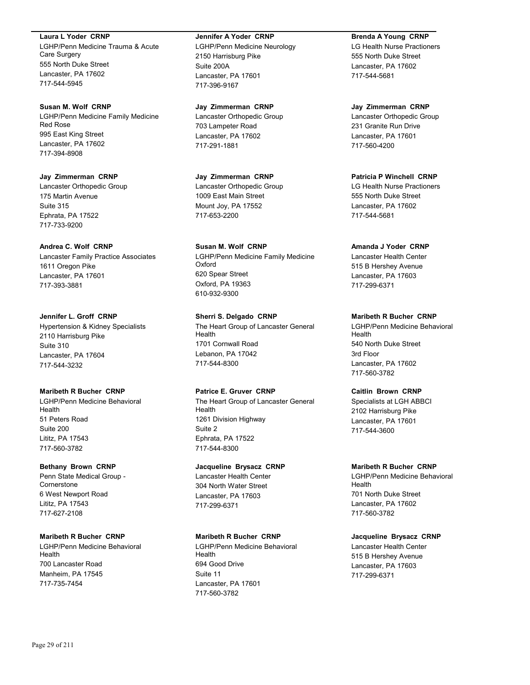### **Laura L Yoder CRNP**

LGHP/Penn Medicine Trauma & Acute Care Surgery 555 North Duke Street Lancaster, PA 17602 717-544-5945

### **Susan M. Wolf CRNP**

LGHP/Penn Medicine Family Medicine Red Rose 995 East King Street Lancaster, PA 17602 717-394-8908

### **Jay Zimmerman CRNP** Lancaster Orthopedic Group

175 Martin Avenue Suite 315 Ephrata, PA 17522 717-733-9200

### **Andrea C. Wolf CRNP**

Lancaster Family Practice Associates 1611 Oregon Pike Lancaster, PA 17601 717-393-3881

### **Jennifer L. Groff CRNP**

Hypertension & Kidney Specialists 2110 Harrisburg Pike Suite 310 Lancaster, PA 17604 717-544-3232

# **Maribeth R Bucher CRNP**

LGHP/Penn Medicine Behavioral Health 51 Peters Road Suite 200 Lititz, PA 17543 717-560-3782

### **Bethany Brown CRNP**

Penn State Medical Group - **Cornerstone** 6 West Newport Road Lititz, PA 17543 717-627-2108

### **Maribeth R Bucher CRNP**

LGHP/Penn Medicine Behavioral Health 700 Lancaster Road Manheim, PA 17545 717-735-7454

#### **Jennifer A Yoder CRNP**

LGHP/Penn Medicine Neurology 2150 Harrisburg Pike Suite 200A Lancaster, PA 17601 717-396-9167

### **Jay Zimmerman CRNP**

Lancaster Orthopedic Group 703 Lampeter Road Lancaster, PA 17602 717-291-1881

# **Jay Zimmerman CRNP**

Lancaster Orthopedic Group 1009 East Main Street Mount Joy, PA 17552 717-653-2200

# **Susan M. Wolf CRNP**

LGHP/Penn Medicine Family Medicine Oxford 620 Spear Street Oxford, PA 19363 610-932-9300

# **Sherri S. Delgado CRNP** The Heart Group of Lancaster General

Health 1701 Cornwall Road Lebanon, PA 17042 717-544-8300

### **Patrice E. Gruver CRNP**

The Heart Group of Lancaster General Health 1261 Division Highway Suite 2 Ephrata, PA 17522 717-544-8300

# **Jacqueline Brysacz CRNP**

Lancaster Health Center 304 North Water Street Lancaster, PA 17603 717-299-6371

# **Maribeth R Bucher CRNP**

LGHP/Penn Medicine Behavioral Health 694 Good Drive Suite 11 Lancaster, PA 17601 717-560-3782

# **Brenda A Young CRNP**

LG Health Nurse Practioners 555 North Duke Street Lancaster, PA 17602 717-544-5681

### **Jay Zimmerman CRNP**

Lancaster Orthopedic Group 231 Granite Run Drive Lancaster, PA 17601 717-560-4200

# **Patricia P Winchell CRNP**

LG Health Nurse Practioners 555 North Duke Street Lancaster, PA 17602 717-544-5681

### **Amanda J Yoder CRNP**

Lancaster Health Center 515 B Hershey Avenue Lancaster, PA 17603 717-299-6371

### **Maribeth R Bucher CRNP**

LGHP/Penn Medicine Behavioral Health 540 North Duke Street 3rd Floor Lancaster, PA 17602 717-560-3782

# **Caitlin Brown CRNP**

Specialists at LGH ABBCI 2102 Harrisburg Pike Lancaster, PA 17601 717-544-3600

### **Maribeth R Bucher CRNP**

LGHP/Penn Medicine Behavioral Health 701 North Duke Street Lancaster, PA 17602 717-560-3782

### **Jacqueline Brysacz CRNP**

Lancaster Health Center 515 B Hershey Avenue Lancaster, PA 17603 717-299-6371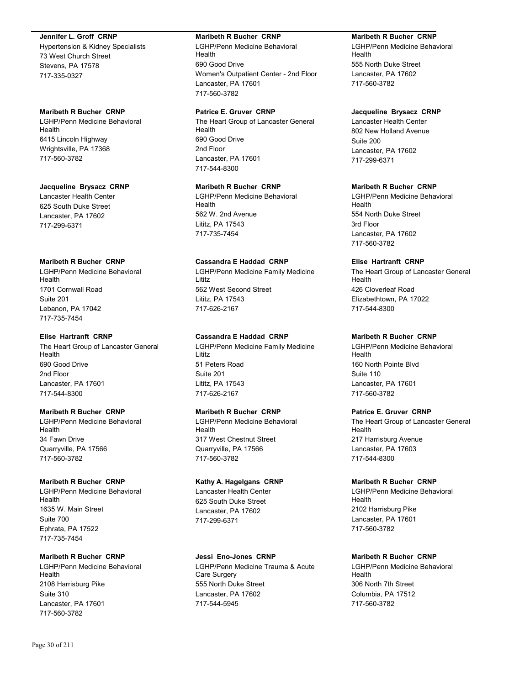### **Jennifer L. Groff CRNP**

Hypertension & Kidney Specialists 73 West Church Street Stevens, PA 17578 717-335-0327

# **Maribeth R Bucher CRNP**

LGHP/Penn Medicine Behavioral Health 6415 Lincoln Highway Wrightsville, PA 17368 717-560-3782

### **Jacqueline Brysacz CRNP**

Lancaster Health Center 625 South Duke Street Lancaster, PA 17602 717-299-6371

# **Maribeth R Bucher CRNP**

LGHP/Penn Medicine Behavioral Health 1701 Cornwall Road Suite 201 Lebanon, PA 17042 717-735-7454

# **Elise Hartranft CRNP**

The Heart Group of Lancaster General Health 690 Good Drive 2nd Floor Lancaster, PA 17601 717-544-8300

# **Maribeth R Bucher CRNP**

LGHP/Penn Medicine Behavioral Health 34 Fawn Drive Quarryville, PA 17566 717-560-3782

# **Maribeth R Bucher CRNP**

LGHP/Penn Medicine Behavioral Health 1635 W. Main Street Suite 700 Ephrata, PA 17522 717-735-7454

# **Maribeth R Bucher CRNP**

LGHP/Penn Medicine Behavioral Health 2108 Harrisburg Pike Suite 310 Lancaster, PA 17601 717-560-3782

# **Maribeth R Bucher CRNP**

LGHP/Penn Medicine Behavioral Health 690 Good Drive Women's Outpatient Center - 2nd Floor Lancaster, PA 17601 717-560-3782

# **Patrice E. Gruver CRNP**

The Heart Group of Lancaster General Health 690 Good Drive 2nd Floor Lancaster, PA 17601 717-544-8300

# **Maribeth R Bucher CRNP**

LGHP/Penn Medicine Behavioral Health 562 W. 2nd Avenue Lititz, PA 17543 717-735-7454

# **Cassandra E Haddad CRNP**

LGHP/Penn Medicine Family Medicine Lititz 562 West Second Street Lititz, PA 17543 717-626-2167

# **Cassandra E Haddad CRNP**

LGHP/Penn Medicine Family Medicine Lititz 51 Peters Road Suite 201 Lititz, PA 17543 717-626-2167

# **Maribeth R Bucher CRNP**

LGHP/Penn Medicine Behavioral Health 317 West Chestnut Street Quarryville, PA 17566 717-560-3782

# **Kathy A. Hagelgans CRNP**

Lancaster Health Center 625 South Duke Street Lancaster, PA 17602 717-299-6371

# **Jessi Eno-Jones CRNP**

LGHP/Penn Medicine Trauma & Acute Care Surgery 555 North Duke Street Lancaster, PA 17602 717-544-5945

# **Maribeth R Bucher CRNP**

LGHP/Penn Medicine Behavioral Health 555 North Duke Street Lancaster, PA 17602 717-560-3782

# **Jacqueline Brysacz CRNP**

Lancaster Health Center 802 New Holland Avenue Suite 200 Lancaster, PA 17602 717-299-6371

# **Maribeth R Bucher CRNP**

LGHP/Penn Medicine Behavioral Health 554 North Duke Street 3rd Floor Lancaster, PA 17602 717-560-3782

# **Elise Hartranft CRNP**

The Heart Group of Lancaster General Health 426 Cloverleaf Road Elizabethtown, PA 17022 717-544-8300

# **Maribeth R Bucher CRNP**

LGHP/Penn Medicine Behavioral Health 160 North Pointe Blvd Suite 110 Lancaster, PA 17601 717-560-3782

# **Patrice E. Gruver CRNP**

The Heart Group of Lancaster General Health 217 Harrisburg Avenue Lancaster, PA 17603 717-544-8300

# **Maribeth R Bucher CRNP**

LGHP/Penn Medicine Behavioral Health 2102 Harrisburg Pike Lancaster, PA 17601 717-560-3782

# **Maribeth R Bucher CRNP**

LGHP/Penn Medicine Behavioral Health 306 North 7th Street Columbia, PA 17512 717-560-3782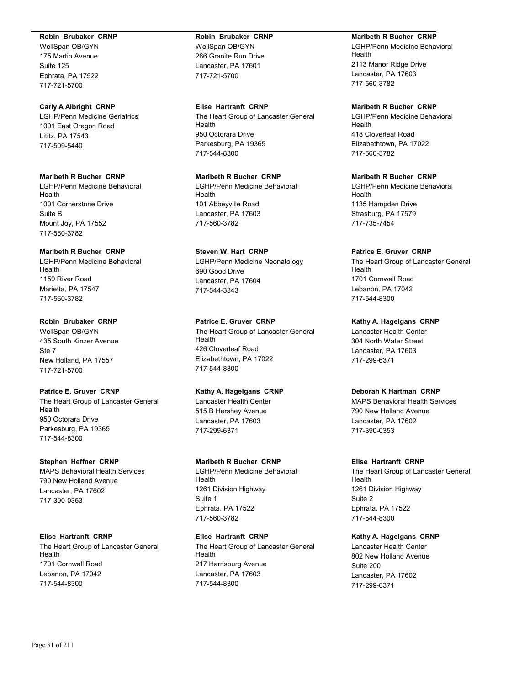### **Robin Brubaker CRNP**

WellSpan OB/GYN 175 Martin Avenue Suite 125 Ephrata, PA 17522 717-721-5700

### **Carly A Albright CRNP**

LGHP/Penn Medicine Geriatrics 1001 East Oregon Road Lititz, PA 17543 717-509-5440

# **Maribeth R Bucher CRNP**

LGHP/Penn Medicine Behavioral Health 1001 Cornerstone Drive Suite B Mount Joy, PA 17552 717-560-3782

# **Maribeth R Bucher CRNP**

LGHP/Penn Medicine Behavioral Health 1159 River Road Marietta, PA 17547 717-560-3782

### **Robin Brubaker CRNP**

WellSpan OB/GYN 435 South Kinzer Avenue  $Sta 7$ New Holland, PA 17557 717-721-5700

### **Patrice E. Gruver CRNP**

The Heart Group of Lancaster General Health 950 Octorara Drive Parkesburg, PA 19365 717-544-8300

### **Stephen Heffner CRNP**

MAPS Behavioral Health Services 790 New Holland Avenue Lancaster, PA 17602 717-390-0353

### **Elise Hartranft CRNP**

The Heart Group of Lancaster General Health 1701 Cornwall Road Lebanon, PA 17042 717-544-8300

# **Robin Brubaker CRNP**

WellSpan OB/GYN 266 Granite Run Drive Lancaster, PA 17601 717-721-5700

### **Elise Hartranft CRNP**

The Heart Group of Lancaster General Health 950 Octorara Drive Parkesburg, PA 19365 717-544-8300

# **Maribeth R Bucher CRNP**

LGHP/Penn Medicine Behavioral Health 101 Abbeyville Road Lancaster, PA 17603 717-560-3782

# **Steven W. Hart CRNP**

LGHP/Penn Medicine Neonatology 690 Good Drive Lancaster, PA 17604 717-544-3343

### **Patrice E. Gruver CRNP**

The Heart Group of Lancaster General Health 426 Cloverleaf Road Elizabethtown, PA 17022 717-544-8300

### **Kathy A. Hagelgans CRNP**

Lancaster Health Center 515 B Hershey Avenue Lancaster, PA 17603 717-299-6371

### **Maribeth R Bucher CRNP**

LGHP/Penn Medicine Behavioral Health 1261 Division Highway Suite 1 Ephrata, PA 17522 717-560-3782

### **Elise Hartranft CRNP**

The Heart Group of Lancaster General Health 217 Harrisburg Avenue Lancaster, PA 17603 717-544-8300

### **Maribeth R Bucher CRNP**

LGHP/Penn Medicine Behavioral Health 2113 Manor Ridge Drive Lancaster, PA 17603 717-560-3782

# **Maribeth R Bucher CRNP**

LGHP/Penn Medicine Behavioral Health 418 Cloverleaf Road Elizabethtown, PA 17022 717-560-3782

# **Maribeth R Bucher CRNP**

LGHP/Penn Medicine Behavioral Health 1135 Hampden Drive Strasburg, PA 17579 717-735-7454

### **Patrice E. Gruver CRNP**

The Heart Group of Lancaster General Health 1701 Cornwall Road Lebanon, PA 17042 717-544-8300

**Kathy A. Hagelgans CRNP** Lancaster Health Center 304 North Water Street Lancaster, PA 17603 717-299-6371

# **Deborah K Hartman CRNP**

MAPS Behavioral Health Services 790 New Holland Avenue Lancaster, PA 17602 717-390-0353

### **Elise Hartranft CRNP**

The Heart Group of Lancaster General Health 1261 Division Highway Suite 2 Ephrata, PA 17522 717-544-8300

# **Kathy A. Hagelgans CRNP**

Lancaster Health Center 802 New Holland Avenue Suite 200 Lancaster, PA 17602 717-299-6371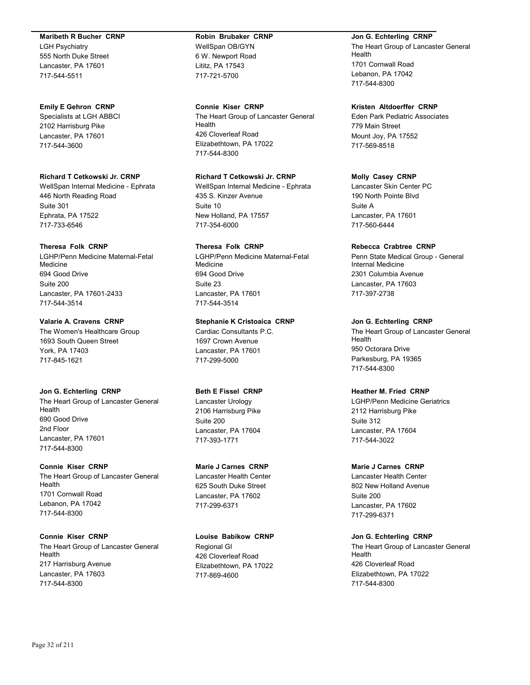### **Maribeth R Bucher CRNP**

LGH Psychiatry 555 North Duke Street Lancaster, PA 17601 717-544-5511

### **Emily E Gehron CRNP**

Specialists at LGH ABBCI 2102 Harrisburg Pike Lancaster, PA 17601 717-544-3600

### **Richard T Cetkowski Jr. CRNP**

WellSpan Internal Medicine - Ephrata 446 North Reading Road Suite 301 Ephrata, PA 17522 717-733-6546

### **Theresa Folk CRNP**

LGHP/Penn Medicine Maternal-Fetal Medicine 694 Good Drive Suite 200 Lancaster, PA 17601-2433 717-544-3514

### **Valarie A. Cravens CRNP**

The Women's Healthcare Group 1693 South Queen Street York, PA 17403 717-845-1621

#### **Jon G. Echterling CRNP**

The Heart Group of Lancaster General Health 690 Good Drive 2nd Floor Lancaster, PA 17601 717-544-8300

### **Connie Kiser CRNP**

The Heart Group of Lancaster General Health 1701 Cornwall Road Lebanon, PA 17042 717-544-8300

### **Connie Kiser CRNP**

The Heart Group of Lancaster General Health 217 Harrisburg Avenue Lancaster, PA 17603 717-544-8300

# **Robin Brubaker CRNP**

WellSpan OB/GYN 6 W. Newport Road Lititz, PA 17543 717-721-5700

### **Connie Kiser CRNP**

The Heart Group of Lancaster General Health 426 Cloverleaf Road Elizabethtown, PA 17022 717-544-8300

### **Richard T Cetkowski Jr. CRNP**

WellSpan Internal Medicine - Ephrata 435 S. Kinzer Avenue Suite 10 New Holland, PA 17557 717-354-6000

# **Theresa Folk CRNP**

LGHP/Penn Medicine Maternal-Fetal Medicine 694 Good Drive Suite 23 Lancaster, PA 17601 717-544-3514

### **Stephanie K Cristoaica CRNP**

Cardiac Consultants P.C. 1697 Crown Avenue Lancaster, PA 17601 717-299-5000

### **Beth E Fissel CRNP**

Lancaster Urology 2106 Harrisburg Pike Suite 200 Lancaster, PA 17604 717-393-1771

# **Marie J Carnes CRNP**

Lancaster Health Center 625 South Duke Street Lancaster, PA 17602 717-299-6371

### **Louise Babikow CRNP**

Regional GI 426 Cloverleaf Road Elizabethtown, PA 17022 717-869-4600

#### **Jon G. Echterling CRNP**

The Heart Group of Lancaster General Health 1701 Cornwall Road Lebanon, PA 17042 717-544-8300

### **Kristen Altdoerffer CRNP**

Eden Park Pediatric Associates 779 Main Street Mount Joy, PA 17552 717-569-8518

### **Molly Casey CRNP**

Lancaster Skin Center PC 190 North Pointe Blvd Suite A Lancaster, PA 17601 717-560-6444

### **Rebecca Crabtree CRNP**

Penn State Medical Group - General Internal Medicine 2301 Columbia Avenue Lancaster, PA 17603 717-397-2738

#### **Jon G. Echterling CRNP**

The Heart Group of Lancaster General Health 950 Octorara Drive Parkesburg, PA 19365 717-544-8300

### **Heather M. Fried CRNP**

LGHP/Penn Medicine Geriatrics 2112 Harrisburg Pike Suite 312 Lancaster, PA 17604 717-544-3022

### **Marie J Carnes CRNP**

Lancaster Health Center 802 New Holland Avenue Suite 200 Lancaster, PA 17602 717-299-6371

### **Jon G. Echterling CRNP**

The Heart Group of Lancaster General Health 426 Cloverleaf Road Elizabethtown, PA 17022 717-544-8300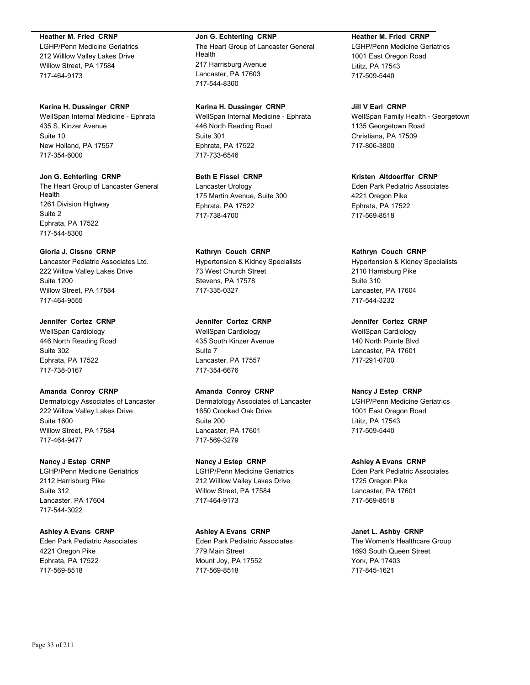### **Heather M. Fried CRNP**

LGHP/Penn Medicine Geriatrics 212 Willlow Valley Lakes Drive Willow Street, PA 17584 717-464-9173

### **Karina H. Dussinger CRNP**

WellSpan Internal Medicine - Ephrata 435 S. Kinzer Avenue Suite 10 New Holland, PA 17557 717-354-6000

# **Jon G. Echterling CRNP**

The Heart Group of Lancaster General Health 1261 Division Highway Suite 2 Ephrata, PA 17522 717-544-8300

# **Gloria J. Cissne CRNP**

Lancaster Pediatric Associates Ltd. 222 Willow Valley Lakes Drive Suite 1200 Willow Street, PA 17584 717-464-9555

# **Jennifer Cortez CRNP**

WellSpan Cardiology 446 North Reading Road Suite 302 Ephrata, PA 17522 717-738-0167

# **Amanda Conroy CRNP**

Dermatology Associates of Lancaster 222 Willow Valley Lakes Drive Suite 1600 Willow Street, PA 17584 717-464-9477

# **Nancy J Estep CRNP**

LGHP/Penn Medicine Geriatrics 2112 Harrisburg Pike Suite 312 Lancaster, PA 17604 717-544-3022

# **Ashley A Evans CRNP**

Eden Park Pediatric Associates 4221 Oregon Pike Ephrata, PA 17522 717-569-8518

# **Jon G. Echterling CRNP**

The Heart Group of Lancaster General Health 217 Harrisburg Avenue Lancaster, PA 17603 717-544-8300

### **Karina H. Dussinger CRNP**

WellSpan Internal Medicine - Ephrata 446 North Reading Road Suite 301 Ephrata, PA 17522 717-733-6546

# **Beth E Fissel CRNP**

Lancaster Urology 175 Martin Avenue, Suite 300 Ephrata, PA 17522 717-738-4700

# **Kathryn Couch CRNP**

Hypertension & Kidney Specialists 73 West Church Street Stevens, PA 17578 717-335-0327

# **Jennifer Cortez CRNP**

WellSpan Cardiology 435 South Kinzer Avenue Suite 7 Lancaster, PA 17557 717-354-6676

# **Amanda Conroy CRNP**

Dermatology Associates of Lancaster 1650 Crooked Oak Drive Suite 200 Lancaster, PA 17601 717-569-3279

# **Nancy J Estep CRNP**

LGHP/Penn Medicine Geriatrics 212 Willlow Valley Lakes Drive Willow Street, PA 17584 717-464-9173

# **Ashley A Evans CRNP**

Eden Park Pediatric Associates 779 Main Street Mount Joy, PA 17552 717-569-8518

# **Heather M. Fried CRNP**

LGHP/Penn Medicine Geriatrics 1001 East Oregon Road Lititz, PA 17543 717-509-5440

# **Jill V Earl CRNP**

WellSpan Family Health - Georgetown 1135 Georgetown Road Christiana, PA 17509 717-806-3800

# **Kristen Altdoerffer CRNP**

Eden Park Pediatric Associates 4221 Oregon Pike Ephrata, PA 17522 717-569-8518

# **Kathryn Couch CRNP**

Hypertension & Kidney Specialists 2110 Harrisburg Pike Suite 310 Lancaster, PA 17604 717-544-3232

**Jennifer Cortez CRNP** WellSpan Cardiology 140 North Pointe Blvd Lancaster, PA 17601 717-291-0700

# **Nancy J Estep CRNP**

LGHP/Penn Medicine Geriatrics 1001 East Oregon Road Lititz, PA 17543 717-509-5440

# **Ashley A Evans CRNP**

Eden Park Pediatric Associates 1725 Oregon Pike Lancaster, PA 17601 717-569-8518

# **Janet L. Ashby CRNP**

The Women's Healthcare Group 1693 South Queen Street York, PA 17403 717-845-1621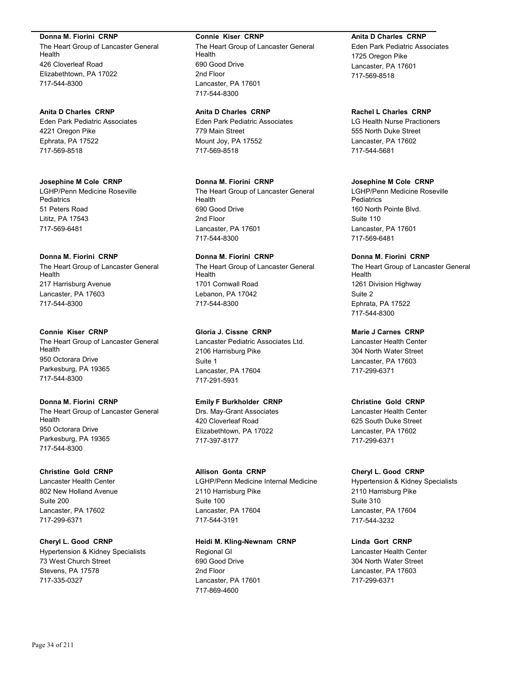### **Donna M. Fiorini CRNP**

The Heart Group of Lancaster General Health 426 Cloverleaf Road Elizabethtown, PA 17022 717-544-8300

### **Anita D Charles CRNP**

Eden Park Pediatric Associates 4221 Oregon Pike Ephrata, PA 17522 717-569-8518

# **Josephine M Cole CRNP**

LGHP/Penn Medicine Roseville **Pediatrics** 51 Peters Road Lititz, PA 17543 717-569-6481

### **Donna M. Fiorini CRNP**

The Heart Group of Lancaster General Health 217 Harrisburg Avenue Lancaster, PA 17603 717-544-8300

### **Connie Kiser CRNP**

The Heart Group of Lancaster General Health 950 Octorara Drive Parkesburg, PA 19365 717-544-8300

### **Donna M. Fiorini CRNP**

The Heart Group of Lancaster General Health 950 Octorara Drive Parkesburg, PA 19365 717-544-8300

# **Christine Gold CRNP**

Lancaster Health Center 802 New Holland Avenue Suite 200 Lancaster, PA 17602 717-299-6371

# **Cheryl L. Good CRNP**

Hypertension & Kidney Specialists 73 West Church Street Stevens, PA 17578 717-335-0327

#### **Connie Kiser CRNP**

The Heart Group of Lancaster General Health 690 Good Drive 2nd Floor Lancaster, PA 17601 717-544-8300

### **Anita D Charles CRNP**

Eden Park Pediatric Associates 779 Main Street Mount Joy, PA 17552 717-569-8518

# **Donna M. Fiorini CRNP**

The Heart Group of Lancaster General Health 690 Good Drive 2nd Floor Lancaster, PA 17601 717-544-8300

# **Donna M. Fiorini CRNP**

The Heart Group of Lancaster General Health 1701 Cornwall Road Lebanon, PA 17042 717-544-8300

### **Gloria J. Cissne CRNP**

Lancaster Pediatric Associates Ltd. 2106 Harrisburg Pike Suite 1 Lancaster, PA 17604 717-291-5931

### **Emily F Burkholder CRNP**

Drs. May-Grant Associates 420 Cloverleaf Road Elizabethtown, PA 17022 717-397-8177

# **Allison Gonta CRNP**

LGHP/Penn Medicine Internal Medicine 2110 Harrisburg Pike Suite 100 Lancaster, PA 17604 717-544-3191

# **Heidi M. Kling-Newnam CRNP**

Regional GI 690 Good Drive 2nd Floor Lancaster, PA 17601 717-869-4600

### **Anita D Charles CRNP**

Eden Park Pediatric Associates 1725 Oregon Pike Lancaster, PA 17601 717-569-8518

### **Rachel L Charles CRNP**

LG Health Nurse Practioners 555 North Duke Street Lancaster, PA 17602 717-544-5681

# **Josephine M Cole CRNP**

LGHP/Penn Medicine Roseville **Pediatrics** 160 North Pointe Blvd. Suite 110 Lancaster, PA 17601 717-569-6481

# **Donna M. Fiorini CRNP**

The Heart Group of Lancaster General Health 1261 Division Highway Suite 2 Ephrata, PA 17522 717-544-8300

# **Marie J Carnes CRNP**

Lancaster Health Center 304 North Water Street Lancaster, PA 17603 717-299-6371

### **Christine Gold CRNP**

Lancaster Health Center 625 South Duke Street Lancaster, PA 17602 717-299-6371

### **Cheryl L. Good CRNP**

Hypertension & Kidney Specialists 2110 Harrisburg Pike Suite 310 Lancaster, PA 17604 717-544-3232

### **Linda Gort CRNP**

Lancaster Health Center 304 North Water Street Lancaster, PA 17603 717-299-6371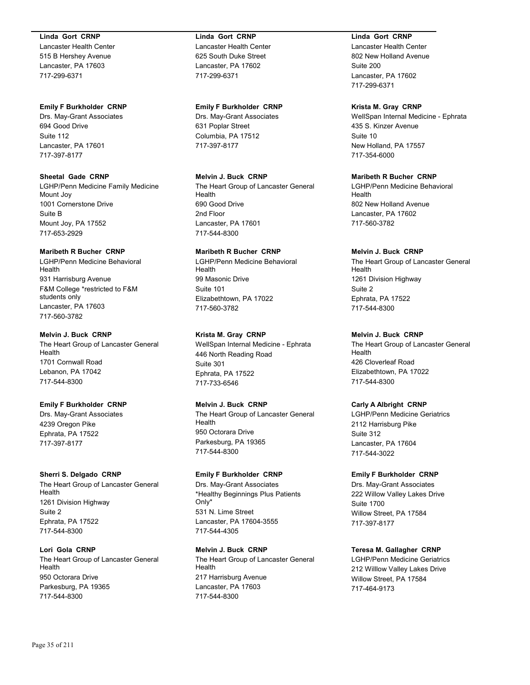### **Linda Gort CRNP**

Lancaster Health Center 515 B Hershey Avenue Lancaster, PA 17603 717-299-6371

### **Emily F Burkholder CRNP**

Drs. May-Grant Associates 694 Good Drive Suite 112 Lancaster, PA 17601 717-397-8177

# **Sheetal Gade CRNP**

LGHP/Penn Medicine Family Medicine Mount Joy 1001 Cornerstone Drive Suite B Mount Joy, PA 17552 717-653-2929

# **Maribeth R Bucher CRNP**

LGHP/Penn Medicine Behavioral Health 931 Harrisburg Avenue F&M College \*restricted to F&M students only Lancaster, PA 17603 717-560-3782

### **Melvin J. Buck CRNP**

The Heart Group of Lancaster General Health 1701 Cornwall Road Lebanon, PA 17042 717-544-8300

# **Emily F Burkholder CRNP**

Drs. May-Grant Associates 4239 Oregon Pike Ephrata, PA 17522 717-397-8177

# **Sherri S. Delgado CRNP**

The Heart Group of Lancaster General Health 1261 Division Highway Suite 2 Ephrata, PA 17522 717-544-8300

# **Lori Gola CRNP**

The Heart Group of Lancaster General Health 950 Octorara Drive Parkesburg, PA 19365 717-544-8300

### **Linda Gort CRNP**

Lancaster Health Center 625 South Duke Street Lancaster, PA 17602 717-299-6371

### **Emily F Burkholder CRNP**

Drs. May-Grant Associates 631 Poplar Street Columbia, PA 17512 717-397-8177

# **Melvin J. Buck CRNP**

The Heart Group of Lancaster General Health 690 Good Drive 2nd Floor Lancaster, PA 17601 717-544-8300

# **Maribeth R Bucher CRNP**

LGHP/Penn Medicine Behavioral Health 99 Masonic Drive Suite 101 Elizabethtown, PA 17022 717-560-3782

# **Krista M. Gray CRNP**

WellSpan Internal Medicine - Ephrata 446 North Reading Road Suite 301 Ephrata, PA 17522 717-733-6546

# **Melvin J. Buck CRNP**

The Heart Group of Lancaster General Health 950 Octorara Drive Parkesburg, PA 19365 717-544-8300

# **Emily F Burkholder CRNP**

Drs. May-Grant Associates \*Healthy Beginnings Plus Patients Only\* 531 N. Lime Street Lancaster, PA 17604-3555 717-544-4305

# **Melvin J. Buck CRNP**

The Heart Group of Lancaster General Health 217 Harrisburg Avenue Lancaster, PA 17603 717-544-8300

# **Linda Gort CRNP**

Lancaster Health Center 802 New Holland Avenue Suite 200 Lancaster, PA 17602 717-299-6371

# **Krista M. Gray CRNP**

WellSpan Internal Medicine - Ephrata 435 S. Kinzer Avenue Suite 10 New Holland, PA 17557 717-354-6000

# **Maribeth R Bucher CRNP**

LGHP/Penn Medicine Behavioral Health 802 New Holland Avenue Lancaster, PA 17602 717-560-3782

# **Melvin J. Buck CRNP**

The Heart Group of Lancaster General Health 1261 Division Highway Suite 2 Ephrata, PA 17522 717-544-8300

# **Melvin J. Buck CRNP**

The Heart Group of Lancaster General Health 426 Cloverleaf Road Elizabethtown, PA 17022 717-544-8300

# **Carly A Albright CRNP**

LGHP/Penn Medicine Geriatrics 2112 Harrisburg Pike Suite 312 Lancaster, PA 17604 717-544-3022

# **Emily F Burkholder CRNP**

Drs. May-Grant Associates 222 Willow Valley Lakes Drive Suite 1700 Willow Street, PA 17584 717-397-8177

# **Teresa M. Gallagher CRNP**

LGHP/Penn Medicine Geriatrics 212 Willlow Valley Lakes Drive Willow Street, PA 17584 717-464-9173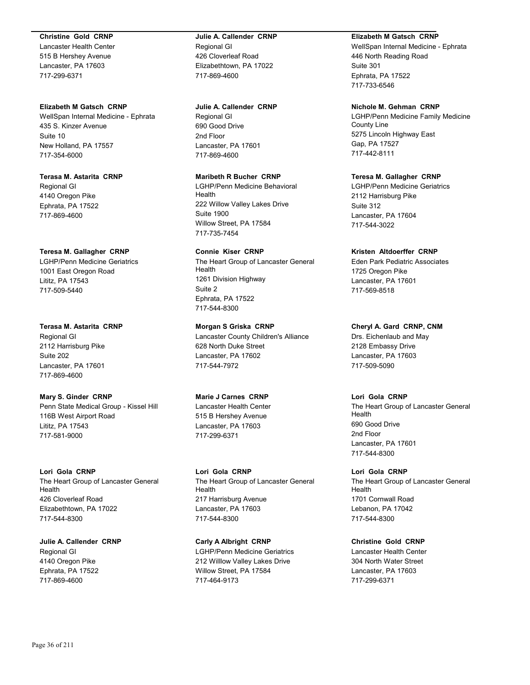### **Christine Gold CRNP**

Lancaster Health Center 515 B Hershey Avenue Lancaster, PA 17603 717-299-6371

### **Elizabeth M Gatsch CRNP**

WellSpan Internal Medicine - Ephrata 435 S. Kinzer Avenue Suite 10 New Holland, PA 17557 717-354-6000

# **Terasa M. Astarita CRNP** Regional GI 4140 Oregon Pike Ephrata, PA 17522 717-869-4600

### **Teresa M. Gallagher CRNP**

LGHP/Penn Medicine Geriatrics 1001 East Oregon Road Lititz, PA 17543 717-509-5440

### **Terasa M. Astarita CRNP**

Regional GI 2112 Harrisburg Pike Suite 202 Lancaster, PA 17601 717-869-4600

### **Mary S. Ginder CRNP**

Penn State Medical Group - Kissel Hill 116B West Airport Road Lititz, PA 17543 717-581-9000

# **Lori Gola CRNP**

The Heart Group of Lancaster General Health 426 Cloverleaf Road Elizabethtown, PA 17022 717-544-8300

# **Julie A. Callender CRNP** Regional GI 4140 Oregon Pike Ephrata, PA 17522 717-869-4600

# **Julie A. Callender CRNP** Regional GI 426 Cloverleaf Road Elizabethtown, PA 17022 717-869-4600

### **Julie A. Callender CRNP**

Regional GI 690 Good Drive 2nd Floor Lancaster, PA 17601 717-869-4600

# **Maribeth R Bucher CRNP**

LGHP/Penn Medicine Behavioral Health 222 Willow Valley Lakes Drive Suite 1900 Willow Street, PA 17584 717-735-7454

### **Connie Kiser CRNP**

The Heart Group of Lancaster General Health 1261 Division Highway Suite 2 Ephrata, PA 17522 717-544-8300

**Morgan S Griska CRNP** Lancaster County Children's Alliance 628 North Duke Street Lancaster, PA 17602 717-544-7972

# **Marie J Carnes CRNP**

Lancaster Health Center 515 B Hershey Avenue Lancaster, PA 17603 717-299-6371

**Lori Gola CRNP** The Heart Group of Lancaster General Health 217 Harrisburg Avenue Lancaster, PA 17603 717-544-8300

**Carly A Albright CRNP** LGHP/Penn Medicine Geriatrics 212 Willlow Valley Lakes Drive Willow Street, PA 17584 717-464-9173

### **Elizabeth M Gatsch CRNP**

WellSpan Internal Medicine - Ephrata 446 North Reading Road Suite 301 Ephrata, PA 17522 717-733-6546

### **Nichole M. Gehman CRNP**

LGHP/Penn Medicine Family Medicine County Line 5275 Lincoln Highway East Gap, PA 17527 717-442-8111

### **Teresa M. Gallagher CRNP**

LGHP/Penn Medicine Geriatrics 2112 Harrisburg Pike Suite 312 Lancaster, PA 17604 717-544-3022

### **Kristen Altdoerffer CRNP**

Eden Park Pediatric Associates 1725 Oregon Pike Lancaster, PA 17601 717-569-8518

### **Cheryl A. Gard CRNP, CNM**

Drs. Eichenlaub and May 2128 Embassy Drive Lancaster, PA 17603 717-509-5090

### **Lori Gola CRNP**

The Heart Group of Lancaster General Health 690 Good Drive 2nd Floor Lancaster, PA 17601 717-544-8300

# **Lori Gola CRNP**

The Heart Group of Lancaster General Health 1701 Cornwall Road Lebanon, PA 17042 717-544-8300

# **Christine Gold CRNP**

Lancaster Health Center 304 North Water Street Lancaster, PA 17603 717-299-6371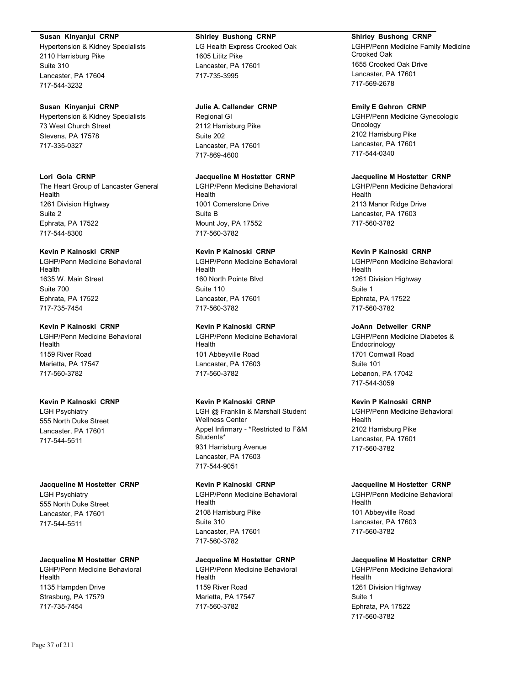#### **Susan Kinyanjui CRNP**

Hypertension & Kidney Specialists 2110 Harrisburg Pike Suite 310 Lancaster, PA 17604 717-544-3232

## **Susan Kinyanjui CRNP**

Hypertension & Kidney Specialists 73 West Church Street Stevens, PA 17578 717-335-0327

## **Lori Gola CRNP**

The Heart Group of Lancaster General Health 1261 Division Highway Suite 2 Ephrata, PA 17522 717-544-8300

## **Kevin P Kalnoski CRNP**

LGHP/Penn Medicine Behavioral Health 1635 W. Main Street Suite 700 Ephrata, PA 17522 717-735-7454

## **Kevin P Kalnoski CRNP**

LGHP/Penn Medicine Behavioral Health 1159 River Road Marietta, PA 17547 717-560-3782

## **Kevin P Kalnoski CRNP**

LGH Psychiatry 555 North Duke Street Lancaster, PA 17601 717-544-5511

### **Jacqueline M Hostetter CRNP** LGH Psychiatry 555 North Duke Street Lancaster, PA 17601

717-544-5511

## **Jacqueline M Hostetter CRNP**

LGHP/Penn Medicine Behavioral Health 1135 Hampden Drive Strasburg, PA 17579 717-735-7454

## **Shirley Bushong CRNP**

LG Health Express Crooked Oak 1605 Lititz Pike Lancaster, PA 17601 717-735-3995

### **Julie A. Callender CRNP**

Regional GI 2112 Harrisburg Pike Suite 202 Lancaster, PA 17601 717-869-4600

### **Jacqueline M Hostetter CRNP**

LGHP/Penn Medicine Behavioral Health 1001 Cornerstone Drive Suite B Mount Joy, PA 17552 717-560-3782

## **Kevin P Kalnoski CRNP**

LGHP/Penn Medicine Behavioral Health 160 North Pointe Blvd Suite 110 Lancaster, PA 17601 717-560-3782

## **Kevin P Kalnoski CRNP**

LGHP/Penn Medicine Behavioral Health 101 Abbeyville Road Lancaster, PA 17603 717-560-3782

## **Kevin P Kalnoski CRNP**

LGH @ Franklin & Marshall Student Wellness Center Appel Infirmary - \*Restricted to F&M Students\* 931 Harrisburg Avenue Lancaster, PA 17603 717-544-9051

# **Kevin P Kalnoski CRNP**

LGHP/Penn Medicine Behavioral Health 2108 Harrisburg Pike Suite 310 Lancaster, PA 17601 717-560-3782

## **Jacqueline M Hostetter CRNP**

LGHP/Penn Medicine Behavioral Health 1159 River Road Marietta, PA 17547 717-560-3782

## **Shirley Bushong CRNP**

LGHP/Penn Medicine Family Medicine Crooked Oak 1655 Crooked Oak Drive Lancaster, PA 17601 717-569-2678

### **Emily E Gehron CRNP**

LGHP/Penn Medicine Gynecologic Oncology 2102 Harrisburg Pike Lancaster, PA 17601 717-544-0340

## **Jacqueline M Hostetter CRNP**

LGHP/Penn Medicine Behavioral Health 2113 Manor Ridge Drive Lancaster, PA 17603 717-560-3782

## **Kevin P Kalnoski CRNP**

LGHP/Penn Medicine Behavioral Health 1261 Division Highway Suite 1 Ephrata, PA 17522 717-560-3782

## **JoAnn Detweiler CRNP**

LGHP/Penn Medicine Diabetes & **Endocrinology** 1701 Cornwall Road Suite 101 Lebanon, PA 17042 717-544-3059

## **Kevin P Kalnoski CRNP**

LGHP/Penn Medicine Behavioral Health 2102 Harrisburg Pike Lancaster, PA 17601 717-560-3782

## **Jacqueline M Hostetter CRNP**

LGHP/Penn Medicine Behavioral Health 101 Abbeyville Road Lancaster, PA 17603 717-560-3782

## **Jacqueline M Hostetter CRNP**

LGHP/Penn Medicine Behavioral Health 1261 Division Highway Suite 1 Ephrata, PA 17522 717-560-3782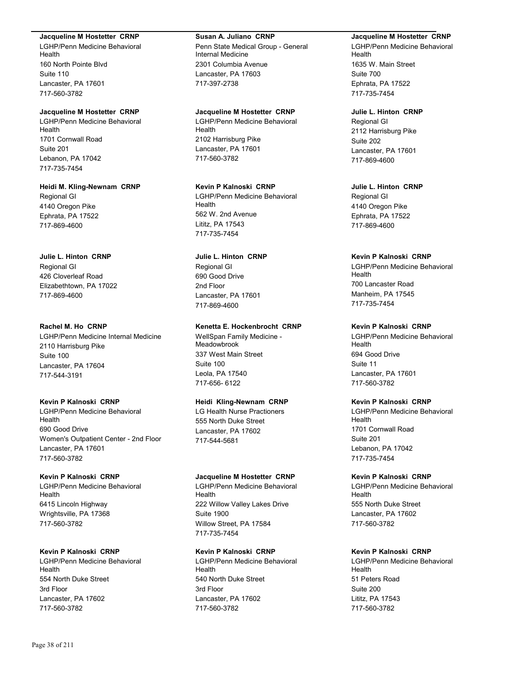#### **Jacqueline M Hostetter CRNP**

LGHP/Penn Medicine Behavioral Health 160 North Pointe Blvd Suite 110 Lancaster, PA 17601 717-560-3782

#### **Jacqueline M Hostetter CRNP**

LGHP/Penn Medicine Behavioral Health 1701 Cornwall Road Suite 201 Lebanon, PA 17042 717-735-7454

#### **Heidi M. Kling-Newnam CRNP**

Regional GI 4140 Oregon Pike Ephrata, PA 17522 717-869-4600

#### **Julie L. Hinton CRNP**

Regional GI 426 Cloverleaf Road Elizabethtown, PA 17022 717-869-4600

#### **Rachel M. Ho CRNP**

LGHP/Penn Medicine Internal Medicine 2110 Harrisburg Pike Suite 100 Lancaster, PA 17604 717-544-3191

### **Kevin P Kalnoski CRNP**

LGHP/Penn Medicine Behavioral Health 690 Good Drive Women's Outpatient Center - 2nd Floor Lancaster, PA 17601 717-560-3782

### **Kevin P Kalnoski CRNP**

LGHP/Penn Medicine Behavioral Health 6415 Lincoln Highway Wrightsville, PA 17368 717-560-3782

## **Kevin P Kalnoski CRNP**

LGHP/Penn Medicine Behavioral Health 554 North Duke Street 3rd Floor Lancaster, PA 17602 717-560-3782

#### **Susan A. Juliano CRNP**

Penn State Medical Group - General Internal Medicine 2301 Columbia Avenue Lancaster, PA 17603 717-397-2738

#### **Jacqueline M Hostetter CRNP**

LGHP/Penn Medicine Behavioral Health 2102 Harrisburg Pike Lancaster, PA 17601 717-560-3782

# **Kevin P Kalnoski CRNP**

LGHP/Penn Medicine Behavioral Health 562 W. 2nd Avenue Lititz, PA 17543 717-735-7454

## **Julie L. Hinton CRNP**

Regional GI 690 Good Drive 2nd Floor Lancaster, PA 17601 717-869-4600

## **Kenetta E. Hockenbrocht CRNP**

WellSpan Family Medicine - Meadowbrook 337 West Main Street Suite 100 Leola, PA 17540 717-656- 6122

#### **Heidi Kling-Newnam CRNP**

LG Health Nurse Practioners 555 North Duke Street Lancaster, PA 17602 717-544-5681

#### **Jacqueline M Hostetter CRNP**

LGHP/Penn Medicine Behavioral Health 222 Willow Valley Lakes Drive Suite 1900 Willow Street, PA 17584 717-735-7454

## **Kevin P Kalnoski CRNP**

LGHP/Penn Medicine Behavioral Health 540 North Duke Street 3rd Floor Lancaster, PA 17602 717-560-3782

#### **Jacqueline M Hostetter CRNP**

LGHP/Penn Medicine Behavioral Health 1635 W. Main Street Suite 700 Ephrata, PA 17522 717-735-7454

#### **Julie L. Hinton CRNP**

Regional GI 2112 Harrisburg Pike Suite 202 Lancaster, PA 17601 717-869-4600

**Julie L. Hinton CRNP** Regional GI 4140 Oregon Pike Ephrata, PA 17522 717-869-4600

### **Kevin P Kalnoski CRNP**

LGHP/Penn Medicine Behavioral Health 700 Lancaster Road Manheim, PA 17545 717-735-7454

## **Kevin P Kalnoski CRNP**

LGHP/Penn Medicine Behavioral Health 694 Good Drive Suite 11 Lancaster, PA 17601 717-560-3782

### **Kevin P Kalnoski CRNP**

LGHP/Penn Medicine Behavioral Health 1701 Cornwall Road Suite 201 Lebanon, PA 17042 717-735-7454

## **Kevin P Kalnoski CRNP**

LGHP/Penn Medicine Behavioral Health 555 North Duke Street Lancaster, PA 17602 717-560-3782

### **Kevin P Kalnoski CRNP**

LGHP/Penn Medicine Behavioral Health 51 Peters Road Suite 200 Lititz, PA 17543 717-560-3782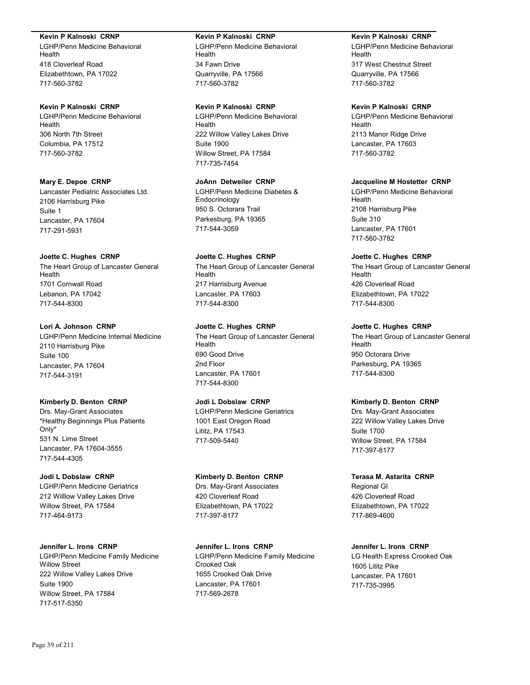#### **Kevin P Kalnoski CRNP**

LGHP/Penn Medicine Behavioral Health 418 Cloverleaf Road Elizabethtown, PA 17022 717-560-3782

## **Kevin P Kalnoski CRNP**

LGHP/Penn Medicine Behavioral Health 306 North 7th Street Columbia, PA 17512 717-560-3782

#### **Mary E. Depoe CRNP**

Lancaster Pediatric Associates Ltd. 2106 Harrisburg Pike Suite 1 Lancaster, PA 17604 717-291-5931

#### **Joette C. Hughes CRNP**

The Heart Group of Lancaster General Health 1701 Cornwall Road Lebanon, PA 17042 717-544-8300

### **Lori A. Johnson CRNP**

LGHP/Penn Medicine Internal Medicine 2110 Harrisburg Pike Suite 100 Lancaster, PA 17604 717-544-3191

#### **Kimberly D. Benton CRNP**

Drs. May-Grant Associates \*Healthy Beginnings Plus Patients Only\* 531 N. Lime Street Lancaster, PA 17604-3555 717-544-4305

#### **Jodi L Dobslaw CRNP**

LGHP/Penn Medicine Geriatrics 212 Willlow Valley Lakes Drive Willow Street, PA 17584 717-464-9173

**Jennifer L. Irons CRNP** LGHP/Penn Medicine Family Medicine Willow Street 222 Willow Valley Lakes Drive Suite 1900 Willow Street, PA 17584 717-517-5350

#### **Kevin P Kalnoski CRNP**

LGHP/Penn Medicine Behavioral Health 34 Fawn Drive Quarryville, PA 17566 717-560-3782

#### **Kevin P Kalnoski CRNP**

LGHP/Penn Medicine Behavioral Health 222 Willow Valley Lakes Drive Suite 1900 Willow Street, PA 17584 717-735-7454

## **JoAnn Detweiler CRNP**

LGHP/Penn Medicine Diabetes & Endocrinology 950 S. Octorara Trail Parkesburg, PA 19365 717-544-3059

# **Joette C. Hughes CRNP**

The Heart Group of Lancaster General Health 217 Harrisburg Avenue Lancaster, PA 17603 717-544-8300

## **Joette C. Hughes CRNP**

The Heart Group of Lancaster General Health 690 Good Drive 2nd Floor Lancaster, PA 17601 717-544-8300

### **Jodi L Dobslaw CRNP**

LGHP/Penn Medicine Geriatrics 1001 East Oregon Road Lititz, PA 17543 717-509-5440

#### **Kimberly D. Benton CRNP**

Drs. May-Grant Associates 420 Cloverleaf Road Elizabethtown, PA 17022 717-397-8177

**Jennifer L. Irons CRNP** LGHP/Penn Medicine Family Medicine Crooked Oak 1655 Crooked Oak Drive Lancaster, PA 17601 717-569-2678

#### **Kevin P Kalnoski CRNP**

LGHP/Penn Medicine Behavioral Health 317 West Chestnut Street Quarryville, PA 17566 717-560-3782

## **Kevin P Kalnoski CRNP**

LGHP/Penn Medicine Behavioral Health 2113 Manor Ridge Drive Lancaster, PA 17603 717-560-3782

### **Jacqueline M Hostetter CRNP**

LGHP/Penn Medicine Behavioral Health 2108 Harrisburg Pike Suite 310 Lancaster, PA 17601 717-560-3782

## **Joette C. Hughes CRNP**

The Heart Group of Lancaster General Health 426 Cloverleaf Road Elizabethtown, PA 17022 717-544-8300

#### **Joette C. Hughes CRNP**

The Heart Group of Lancaster General Health 950 Octorara Drive Parkesburg, PA 19365 717-544-8300

### **Kimberly D. Benton CRNP**

Drs. May-Grant Associates 222 Willow Valley Lakes Drive Suite 1700 Willow Street, PA 17584 717-397-8177

#### **Terasa M. Astarita CRNP**

Regional GI 426 Cloverleaf Road Elizabethtown, PA 17022 717-869-4600

## **Jennifer L. Irons CRNP**

LG Health Express Crooked Oak 1605 Lititz Pike Lancaster, PA 17601 717-735-3995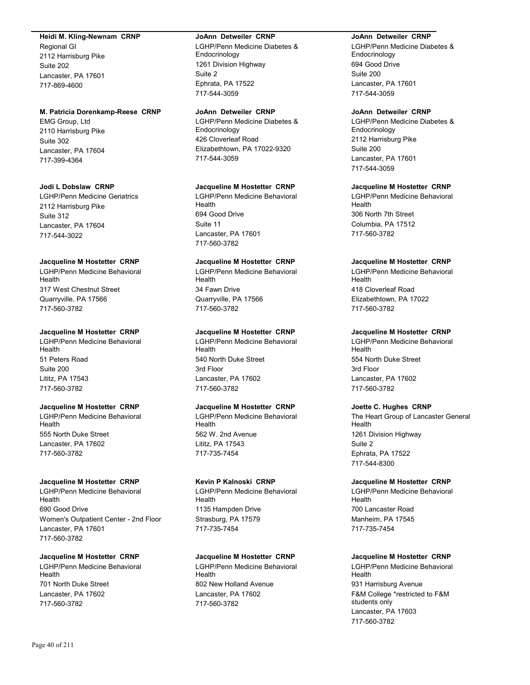#### **Heidi M. Kling-Newnam CRNP**

Regional GI 2112 Harrisburg Pike Suite 202 Lancaster, PA 17601 717-869-4600

#### **M. Patricia Dorenkamp-Reese CRNP**

EMG Group, Ltd 2110 Harrisburg Pike Suite 302 Lancaster, PA 17604 717-399-4364

#### **Jodi L Dobslaw CRNP**

LGHP/Penn Medicine Geriatrics 2112 Harrisburg Pike Suite 312 Lancaster, PA 17604 717-544-3022

#### **Jacqueline M Hostetter CRNP**

LGHP/Penn Medicine Behavioral Health 317 West Chestnut Street Quarryville, PA 17566 717-560-3782

#### **Jacqueline M Hostetter CRNP**

LGHP/Penn Medicine Behavioral Health 51 Peters Road Suite 200 Lititz, PA 17543 717-560-3782

#### **Jacqueline M Hostetter CRNP**

LGHP/Penn Medicine Behavioral Health 555 North Duke Street Lancaster, PA 17602 717-560-3782

#### **Jacqueline M Hostetter CRNP**

LGHP/Penn Medicine Behavioral Health 690 Good Drive Women's Outpatient Center - 2nd Floor Lancaster, PA 17601 717-560-3782

## **Jacqueline M Hostetter CRNP**

LGHP/Penn Medicine Behavioral Health 701 North Duke Street Lancaster, PA 17602 717-560-3782

#### **JoAnn Detweiler CRNP**

LGHP/Penn Medicine Diabetes & Endocrinology 1261 Division Highway Suite 2 Ephrata, PA 17522 717-544-3059

#### **JoAnn Detweiler CRNP**

LGHP/Penn Medicine Diabetes & Endocrinology 426 Cloverleaf Road Elizabethtown, PA 17022-9320 717-544-3059

#### **Jacqueline M Hostetter CRNP**

LGHP/Penn Medicine Behavioral Health 694 Good Drive Suite 11 Lancaster, PA 17601 717-560-3782

### **Jacqueline M Hostetter CRNP**

LGHP/Penn Medicine Behavioral Health 34 Fawn Drive Quarryville, PA 17566 717-560-3782

#### **Jacqueline M Hostetter CRNP**

LGHP/Penn Medicine Behavioral Health 540 North Duke Street 3rd Floor Lancaster, PA 17602 717-560-3782

## **Jacqueline M Hostetter CRNP**

LGHP/Penn Medicine Behavioral Health 562 W. 2nd Avenue Lititz, PA 17543 717-735-7454

#### **Kevin P Kalnoski CRNP**

LGHP/Penn Medicine Behavioral Health 1135 Hampden Drive Strasburg, PA 17579 717-735-7454

#### **Jacqueline M Hostetter CRNP**

LGHP/Penn Medicine Behavioral Health 802 New Holland Avenue Lancaster, PA 17602 717-560-3782

#### **JoAnn Detweiler CRNP**

LGHP/Penn Medicine Diabetes & **Endocrinology** 694 Good Drive Suite 200 Lancaster, PA 17601 717-544-3059

#### **JoAnn Detweiler CRNP**

LGHP/Penn Medicine Diabetes & Endocrinology 2112 Harrisburg Pike Suite 200 Lancaster, PA 17601 717-544-3059

#### **Jacqueline M Hostetter CRNP**

LGHP/Penn Medicine Behavioral Health 306 North 7th Street Columbia, PA 17512 717-560-3782

#### **Jacqueline M Hostetter CRNP**

LGHP/Penn Medicine Behavioral Health 418 Cloverleaf Road Elizabethtown, PA 17022 717-560-3782

#### **Jacqueline M Hostetter CRNP**

LGHP/Penn Medicine Behavioral Health 554 North Duke Street 3rd Floor Lancaster, PA 17602 717-560-3782

#### **Joette C. Hughes CRNP**

The Heart Group of Lancaster General Health 1261 Division Highway Suite 2 Ephrata, PA 17522 717-544-8300

#### **Jacqueline M Hostetter CRNP**

LGHP/Penn Medicine Behavioral Health 700 Lancaster Road Manheim, PA 17545 717-735-7454

## **Jacqueline M Hostetter CRNP**

LGHP/Penn Medicine Behavioral Health 931 Harrisburg Avenue F&M College \*restricted to F&M students only Lancaster, PA 17603 717-560-3782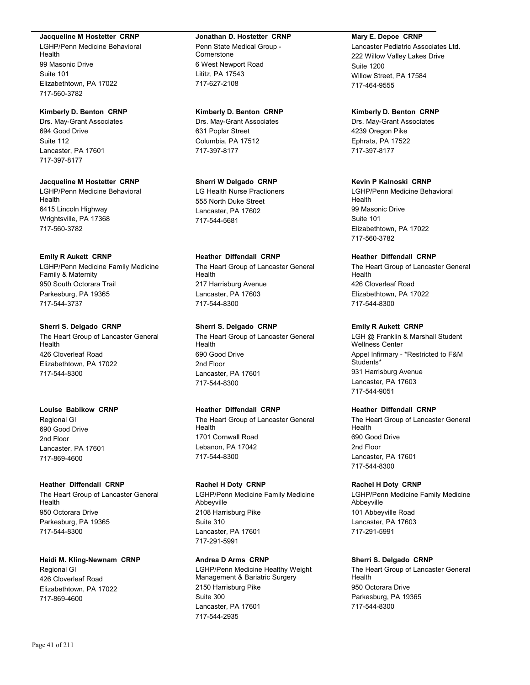#### **Jacqueline M Hostetter CRNP**

LGHP/Penn Medicine Behavioral Health 99 Masonic Drive Suite 101 Elizabethtown, PA 17022 717-560-3782

#### **Kimberly D. Benton CRNP**

Drs. May-Grant Associates 694 Good Drive Suite 112 Lancaster, PA 17601 717-397-8177

## **Jacqueline M Hostetter CRNP**

LGHP/Penn Medicine Behavioral Health 6415 Lincoln Highway Wrightsville, PA 17368 717-560-3782

#### **Emily R Aukett CRNP**

LGHP/Penn Medicine Family Medicine Family & Maternity 950 South Octorara Trail Parkesburg, PA 19365 717-544-3737

### **Sherri S. Delgado CRNP**

The Heart Group of Lancaster General Health 426 Cloverleaf Road Elizabethtown, PA 17022 717-544-8300

#### **Louise Babikow CRNP**

Regional GI 690 Good Drive 2nd Floor Lancaster, PA 17601 717-869-4600

## **Heather Diffendall CRNP**

The Heart Group of Lancaster General Health 950 Octorara Drive Parkesburg, PA 19365 717-544-8300

#### **Heidi M. Kling-Newnam CRNP**

Regional GI 426 Cloverleaf Road Elizabethtown, PA 17022 717-869-4600

#### **Jonathan D. Hostetter CRNP**

Penn State Medical Group - **Cornerstone** 6 West Newport Road Lititz, PA 17543 717-627-2108

#### **Kimberly D. Benton CRNP**

Drs. May-Grant Associates 631 Poplar Street Columbia, PA 17512 717-397-8177

## **Sherri W Delgado CRNP**

LG Health Nurse Practioners 555 North Duke Street Lancaster, PA 17602 717-544-5681

### **Heather Diffendall CRNP**

The Heart Group of Lancaster General Health 217 Harrisburg Avenue Lancaster, PA 17603 717-544-8300

## **Sherri S. Delgado CRNP**

The Heart Group of Lancaster General Health 690 Good Drive 2nd Floor Lancaster, PA 17601 717-544-8300

# **Heather Diffendall CRNP**

The Heart Group of Lancaster General Health 1701 Cornwall Road Lebanon, PA 17042 717-544-8300

## **Rachel H Doty CRNP**

LGHP/Penn Medicine Family Medicine Abbeyville 2108 Harrisburg Pike Suite 310 Lancaster, PA 17601 717-291-5991

### **Andrea D Arms CRNP**

LGHP/Penn Medicine Healthy Weight Management & Bariatric Surgery 2150 Harrisburg Pike Suite 300 Lancaster, PA 17601 717-544-2935

#### **Mary E. Depoe CRNP**

Lancaster Pediatric Associates Ltd. 222 Willow Valley Lakes Drive Suite 1200 Willow Street, PA 17584 717-464-9555

#### **Kimberly D. Benton CRNP**

Drs. May-Grant Associates 4239 Oregon Pike Ephrata, PA 17522 717-397-8177

#### **Kevin P Kalnoski CRNP**

LGHP/Penn Medicine Behavioral Health 99 Masonic Drive Suite 101 Elizabethtown, PA 17022 717-560-3782

## **Heather Diffendall CRNP**

The Heart Group of Lancaster General Health 426 Cloverleaf Road Elizabethtown, PA 17022 717-544-8300

#### **Emily R Aukett CRNP**

LGH @ Franklin & Marshall Student Wellness Center Appel Infirmary - \*Restricted to F&M Students\* 931 Harrisburg Avenue Lancaster, PA 17603 717-544-9051

## **Heather Diffendall CRNP**

The Heart Group of Lancaster General Health 690 Good Drive 2nd Floor Lancaster, PA 17601 717-544-8300

#### **Rachel H Doty CRNP**

LGHP/Penn Medicine Family Medicine Abbeyville 101 Abbeyville Road Lancaster, PA 17603 717-291-5991

#### **Sherri S. Delgado CRNP**

The Heart Group of Lancaster General Health 950 Octorara Drive Parkesburg, PA 19365 717-544-8300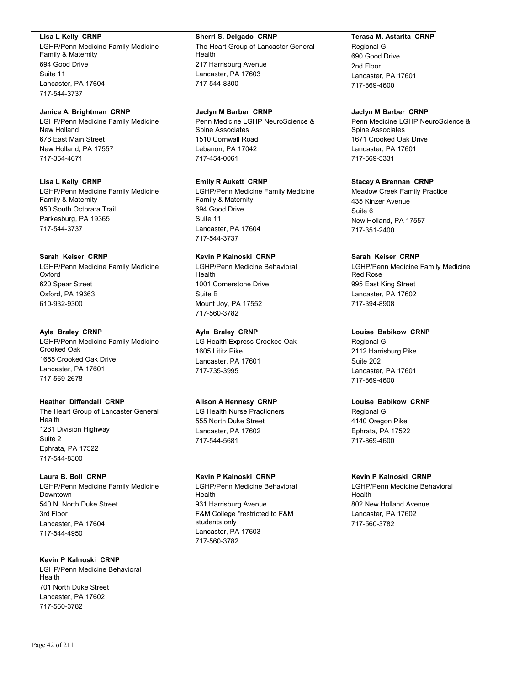#### **Lisa L Kelly CRNP**

LGHP/Penn Medicine Family Medicine Family & Maternity 694 Good Drive Suite 11 Lancaster, PA 17604 717-544-3737

### **Janice A. Brightman CRNP**

LGHP/Penn Medicine Family Medicine New Holland 676 East Main Street New Holland, PA 17557 717-354-4671

### **Lisa L Kelly CRNP**

LGHP/Penn Medicine Family Medicine Family & Maternity 950 South Octorara Trail Parkesburg, PA 19365 717-544-3737

## **Sarah Keiser CRNP**

LGHP/Penn Medicine Family Medicine Oxford 620 Spear Street Oxford, PA 19363 610-932-9300

### **Ayla Braley CRNP**

LGHP/Penn Medicine Family Medicine Crooked Oak 1655 Crooked Oak Drive Lancaster, PA 17601 717-569-2678

## **Heather Diffendall CRNP**

The Heart Group of Lancaster General Health 1261 Division Highway Suite 2 Ephrata, PA 17522 717-544-8300

#### **Laura B. Boll CRNP**

LGHP/Penn Medicine Family Medicine Downtown 540 N. North Duke Street 3rd Floor Lancaster, PA 17604 717-544-4950

## **Kevin P Kalnoski CRNP**

LGHP/Penn Medicine Behavioral Health 701 North Duke Street Lancaster, PA 17602 717-560-3782

#### **Sherri S. Delgado CRNP**

The Heart Group of Lancaster General Health 217 Harrisburg Avenue Lancaster, PA 17603 717-544-8300

## **Jaclyn M Barber CRNP**

Penn Medicine LGHP NeuroScience & Spine Associates 1510 Cornwall Road Lebanon, PA 17042 717-454-0061

## **Emily R Aukett CRNP**

LGHP/Penn Medicine Family Medicine Family & Maternity 694 Good Drive Suite 11 Lancaster, PA 17604 717-544-3737

## **Kevin P Kalnoski CRNP**

LGHP/Penn Medicine Behavioral Health 1001 Cornerstone Drive Suite B Mount Joy, PA 17552 717-560-3782

## **Ayla Braley CRNP**

LG Health Express Crooked Oak 1605 Lititz Pike Lancaster, PA 17601 717-735-3995

## **Alison A Hennesy CRNP**

LG Health Nurse Practioners 555 North Duke Street Lancaster, PA 17602 717-544-5681

## **Kevin P Kalnoski CRNP**

LGHP/Penn Medicine Behavioral Health 931 Harrisburg Avenue F&M College \*restricted to F&M students only Lancaster, PA 17603 717-560-3782

## **Terasa M. Astarita CRNP**

Regional GI 690 Good Drive 2nd Floor Lancaster, PA 17601 717-869-4600

## **Jaclyn M Barber CRNP**

Penn Medicine LGHP NeuroScience & Spine Associates 1671 Crooked Oak Drive Lancaster, PA 17601 717-569-5331

## **Stacey A Brennan CRNP**

Meadow Creek Family Practice 435 Kinzer Avenue Suite 6 New Holland, PA 17557 717-351-2400

### **Sarah Keiser CRNP**

LGHP/Penn Medicine Family Medicine Red Rose 995 East King Street Lancaster, PA 17602 717-394-8908

## **Louise Babikow CRNP**

Regional GI 2112 Harrisburg Pike Suite 202 Lancaster, PA 17601 717-869-4600

## **Louise Babikow CRNP**

Regional GI 4140 Oregon Pike Ephrata, PA 17522 717-869-4600

#### **Kevin P Kalnoski CRNP**

LGHP/Penn Medicine Behavioral Health 802 New Holland Avenue Lancaster, PA 17602 717-560-3782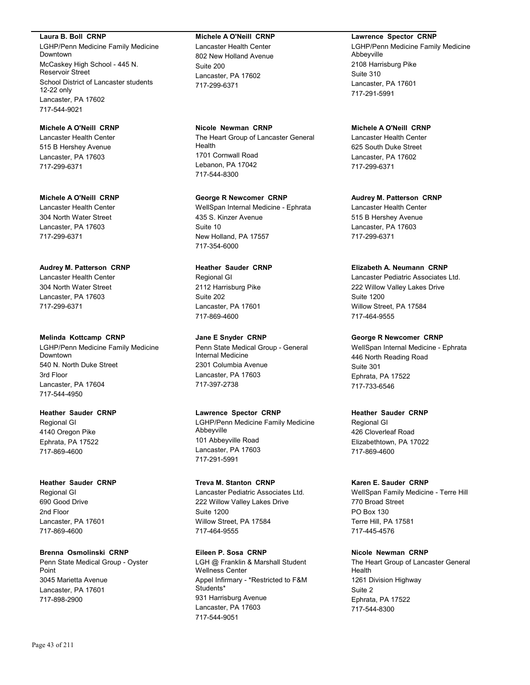#### **Laura B. Boll CRNP**

LGHP/Penn Medicine Family Medicine Downtown McCaskey High School - 445 N. Reservoir Street School District of Lancaster students 12-22 only Lancaster, PA 17602 717-544-9021

## **Michele A O'Neill CRNP**

Lancaster Health Center 515 B Hershey Avenue Lancaster, PA 17603 717-299-6371

#### **Michele A O'Neill CRNP**

Lancaster Health Center 304 North Water Street Lancaster, PA 17603 717-299-6371

### **Audrey M. Patterson CRNP**

Lancaster Health Center 304 North Water Street Lancaster, PA 17603 717-299-6371

### **Melinda Kottcamp CRNP**

LGHP/Penn Medicine Family Medicine Downtown 540 N. North Duke Street 3rd Floor Lancaster, PA 17604 717-544-4950

### **Heather Sauder CRNP**

Regional GI 4140 Oregon Pike Ephrata, PA 17522 717-869-4600

## **Heather Sauder CRNP**

Regional GI 690 Good Drive 2nd Floor Lancaster, PA 17601 717-869-4600

#### **Brenna Osmolinski CRNP**

Penn State Medical Group - Oyster Point 3045 Marietta Avenue Lancaster, PA 17601 717-898-2900

#### **Michele A O'Neill CRNP**

Lancaster Health Center 802 New Holland Avenue Suite 200 Lancaster, PA 17602 717-299-6371

### **Nicole Newman CRNP**

The Heart Group of Lancaster General Health 1701 Cornwall Road Lebanon, PA 17042 717-544-8300

## **George R Newcomer CRNP**

WellSpan Internal Medicine - Ephrata 435 S. Kinzer Avenue Suite 10 New Holland, PA 17557 717-354-6000

## **Heather Sauder CRNP**

Regional GI 2112 Harrisburg Pike Suite 202 Lancaster, PA 17601 717-869-4600

## **Jane E Snyder CRNP**

Penn State Medical Group - General Internal Medicine 2301 Columbia Avenue Lancaster, PA 17603 717-397-2738

## **Lawrence Spector CRNP**

LGHP/Penn Medicine Family Medicine Abbeyville 101 Abbeyville Road Lancaster, PA 17603 717-291-5991

## **Treva M. Stanton CRNP**

Lancaster Pediatric Associates Ltd. 222 Willow Valley Lakes Drive Suite 1200 Willow Street, PA 17584 717-464-9555

## **Eileen P. Sosa CRNP**

LGH @ Franklin & Marshall Student Wellness Center Appel Infirmary - \*Restricted to F&M Students\* 931 Harrisburg Avenue Lancaster, PA 17603 717-544-9051

## **Lawrence Spector CRNP**

LGHP/Penn Medicine Family Medicine Abbeyville 2108 Harrisburg Pike Suite 310 Lancaster, PA 17601 717-291-5991

## **Michele A O'Neill CRNP** Lancaster Health Center 625 South Duke Street Lancaster, PA 17602 717-299-6371

### **Audrey M. Patterson CRNP** Lancaster Health Center 515 B Hershey Avenue Lancaster, PA 17603

717-299-6371

## **Elizabeth A. Neumann CRNP**

Lancaster Pediatric Associates Ltd. 222 Willow Valley Lakes Drive Suite 1200 Willow Street, PA 17584 717-464-9555

## **George R Newcomer CRNP**

WellSpan Internal Medicine - Ephrata 446 North Reading Road Suite 301 Ephrata, PA 17522 717-733-6546

## **Heather Sauder CRNP**

Regional GI 426 Cloverleaf Road Elizabethtown, PA 17022 717-869-4600

## **Karen E. Sauder CRNP**

WellSpan Family Medicine - Terre Hill 770 Broad Street PO Box 130 Terre Hill, PA 17581 717-445-4576

## **Nicole Newman CRNP**

The Heart Group of Lancaster General Health 1261 Division Highway Suite 2 Ephrata, PA 17522 717-544-8300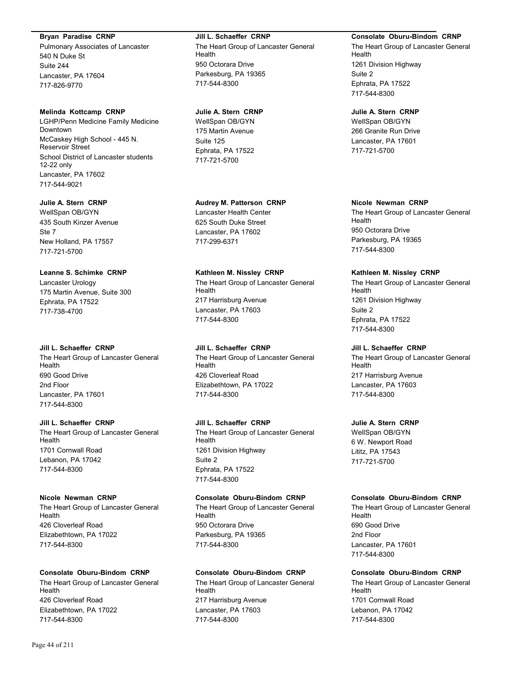#### **Bryan Paradise CRNP**

Pulmonary Associates of Lancaster 540 N Duke St Suite 244 Lancaster, PA 17604 717-826-9770

#### **Melinda Kottcamp CRNP**

LGHP/Penn Medicine Family Medicine Downtown McCaskey High School - 445 N. Reservoir Street School District of Lancaster students 12-22 only Lancaster, PA 17602 717-544-9021

#### **Julie A. Stern CRNP**

WellSpan OB/GYN 435 South Kinzer Avenue Ste 7 New Holland, PA 17557 717-721-5700

## **Leanne S. Schimke CRNP**

Lancaster Urology 175 Martin Avenue, Suite 300 Ephrata, PA 17522 717-738-4700

#### **Jill L. Schaeffer CRNP**

The Heart Group of Lancaster General Health 690 Good Drive 2nd Floor Lancaster, PA 17601 717-544-8300

#### **Jill L. Schaeffer CRNP**

The Heart Group of Lancaster General Health 1701 Cornwall Road Lebanon, PA 17042 717-544-8300

#### **Nicole Newman CRNP**

The Heart Group of Lancaster General Health 426 Cloverleaf Road Elizabethtown, PA 17022 717-544-8300

#### **Consolate Oburu-Bindom CRNP**

The Heart Group of Lancaster General Health 426 Cloverleaf Road Elizabethtown, PA 17022 717-544-8300

#### **Jill L. Schaeffer CRNP**

The Heart Group of Lancaster General Health 950 Octorara Drive Parkesburg, PA 19365 717-544-8300

#### **Julie A. Stern CRNP**

WellSpan OB/GYN 175 Martin Avenue Suite 125 Ephrata, PA 17522 717-721-5700

#### **Audrey M. Patterson CRNP**

Lancaster Health Center 625 South Duke Street Lancaster, PA 17602 717-299-6371

#### **Kathleen M. Nissley CRNP**

The Heart Group of Lancaster General Health 217 Harrisburg Avenue Lancaster, PA 17603 717-544-8300

#### **Jill L. Schaeffer CRNP**

The Heart Group of Lancaster General Health 426 Cloverleaf Road Elizabethtown, PA 17022 717-544-8300

### **Jill L. Schaeffer CRNP**

The Heart Group of Lancaster General Health 1261 Division Highway Suite 2 Ephrata, PA 17522 717-544-8300

### **Consolate Oburu-Bindom CRNP**

The Heart Group of Lancaster General Health 950 Octorara Drive Parkesburg, PA 19365 717-544-8300

#### **Consolate Oburu-Bindom CRNP**

The Heart Group of Lancaster General Health 217 Harrisburg Avenue Lancaster, PA 17603 717-544-8300

#### **Consolate Oburu-Bindom CRNP**

The Heart Group of Lancaster General Health 1261 Division Highway Suite 2 Ephrata, PA 17522 717-544-8300

### **Julie A. Stern CRNP**

WellSpan OB/GYN 266 Granite Run Drive Lancaster, PA 17601 717-721-5700

#### **Nicole Newman CRNP**

The Heart Group of Lancaster General Health 950 Octorara Drive Parkesburg, PA 19365 717-544-8300

## **Kathleen M. Nissley CRNP**

The Heart Group of Lancaster General Health 1261 Division Highway Suite 2 Ephrata, PA 17522 717-544-8300

#### **Jill L. Schaeffer CRNP**

The Heart Group of Lancaster General Health 217 Harrisburg Avenue Lancaster, PA 17603 717-544-8300

#### **Julie A. Stern CRNP**

WellSpan OB/GYN 6 W. Newport Road Lititz, PA 17543 717-721-5700

#### **Consolate Oburu-Bindom CRNP**

The Heart Group of Lancaster General Health 690 Good Drive 2nd Floor Lancaster, PA 17601 717-544-8300

### **Consolate Oburu-Bindom CRNP**

The Heart Group of Lancaster General Health 1701 Cornwall Road Lebanon, PA 17042 717-544-8300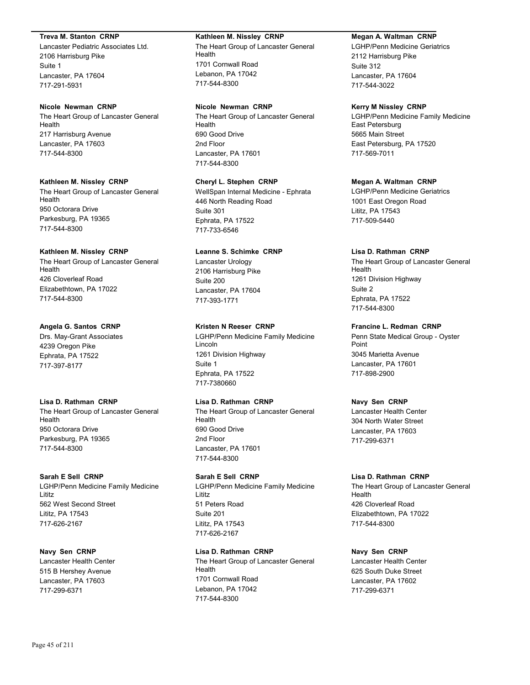#### **Treva M. Stanton CRNP**

Lancaster Pediatric Associates Ltd. 2106 Harrisburg Pike Suite 1 Lancaster, PA 17604 717-291-5931

### **Nicole Newman CRNP**

The Heart Group of Lancaster General Health 217 Harrisburg Avenue Lancaster, PA 17603 717-544-8300

#### **Kathleen M. Nissley CRNP**

The Heart Group of Lancaster General Health 950 Octorara Drive Parkesburg, PA 19365 717-544-8300

#### **Kathleen M. Nissley CRNP**

The Heart Group of Lancaster General Health 426 Cloverleaf Road Elizabethtown, PA 17022 717-544-8300

## **Angela G. Santos CRNP**

Drs. May-Grant Associates 4239 Oregon Pike Ephrata, PA 17522 717-397-8177

#### **Lisa D. Rathman CRNP**

The Heart Group of Lancaster General Health 950 Octorara Drive Parkesburg, PA 19365 717-544-8300

#### **Sarah E Sell CRNP**

LGHP/Penn Medicine Family Medicine Lititz 562 West Second Street Lititz, PA 17543 717-626-2167

## **Navy Sen CRNP**

Lancaster Health Center 515 B Hershey Avenue Lancaster, PA 17603 717-299-6371

#### **Kathleen M. Nissley CRNP**

The Heart Group of Lancaster General Health 1701 Cornwall Road Lebanon, PA 17042 717-544-8300

#### **Nicole Newman CRNP**

The Heart Group of Lancaster General Health 690 Good Drive 2nd Floor Lancaster, PA 17601 717-544-8300

## **Cheryl L. Stephen CRNP**

WellSpan Internal Medicine - Ephrata 446 North Reading Road Suite 301 Ephrata, PA 17522 717-733-6546

### **Leanne S. Schimke CRNP**

Lancaster Urology 2106 Harrisburg Pike Suite 200 Lancaster, PA 17604 717-393-1771

## **Kristen N Reeser CRNP**

LGHP/Penn Medicine Family Medicine Lincoln 1261 Division Highway Suite 1 Ephrata, PA 17522 717-7380660

#### **Lisa D. Rathman CRNP**

The Heart Group of Lancaster General Health 690 Good Drive 2nd Floor Lancaster, PA 17601 717-544-8300

## **Sarah E Sell CRNP**

LGHP/Penn Medicine Family Medicine Lititz 51 Peters Road Suite 201 Lititz, PA 17543 717-626-2167

## **Lisa D. Rathman CRNP**

The Heart Group of Lancaster General Health 1701 Cornwall Road Lebanon, PA 17042 717-544-8300

## **Megan A. Waltman CRNP**

LGHP/Penn Medicine Geriatrics 2112 Harrisburg Pike Suite 312 Lancaster, PA 17604 717-544-3022

#### **Kerry M Nissley CRNP**

LGHP/Penn Medicine Family Medicine East Petersburg 5665 Main Street East Petersburg, PA 17520 717-569-7011

## **Megan A. Waltman CRNP**

LGHP/Penn Medicine Geriatrics 1001 East Oregon Road Lititz, PA 17543 717-509-5440

### **Lisa D. Rathman CRNP**

The Heart Group of Lancaster General Health 1261 Division Highway Suite 2 Ephrata, PA 17522 717-544-8300

## **Francine L. Redman CRNP**

Penn State Medical Group - Oyster Point 3045 Marietta Avenue Lancaster, PA 17601 717-898-2900

#### **Navy Sen CRNP**

Lancaster Health Center 304 North Water Street Lancaster, PA 17603 717-299-6371

## **Lisa D. Rathman CRNP**

The Heart Group of Lancaster General Health 426 Cloverleaf Road Elizabethtown, PA 17022 717-544-8300

## **Navy Sen CRNP**

Lancaster Health Center 625 South Duke Street Lancaster, PA 17602 717-299-6371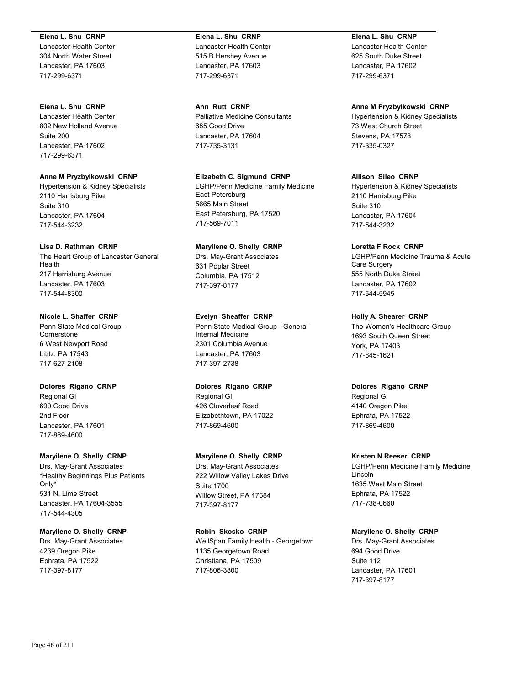#### **Elena L. Shu CRNP**

Lancaster Health Center 304 North Water Street Lancaster, PA 17603 717-299-6371

## **Elena L. Shu CRNP**

Lancaster Health Center 802 New Holland Avenue Suite 200 Lancaster, PA 17602 717-299-6371

## **Anne M Pryzbylkowski CRNP**

Hypertension & Kidney Specialists 2110 Harrisburg Pike Suite 310 Lancaster, PA 17604 717-544-3232

## **Lisa D. Rathman CRNP**

The Heart Group of Lancaster General Health 217 Harrisburg Avenue Lancaster, PA 17603 717-544-8300

## **Nicole L. Shaffer CRNP**

Penn State Medical Group - **Cornerstone** 6 West Newport Road Lititz, PA 17543 717-627-2108

## **Dolores Rigano CRNP**

Regional GI 690 Good Drive 2nd Floor Lancaster, PA 17601 717-869-4600

## **Maryilene O. Shelly CRNP**

Drs. May-Grant Associates \*Healthy Beginnings Plus Patients Only\* 531 N. Lime Street Lancaster, PA 17604-3555 717-544-4305

## **Maryilene O. Shelly CRNP**

Drs. May-Grant Associates 4239 Oregon Pike Ephrata, PA 17522 717-397-8177

# **Elena L. Shu CRNP**

Lancaster Health Center 515 B Hershey Avenue Lancaster, PA 17603 717-299-6371

**Ann Rutt CRNP** Palliative Medicine Consultants 685 Good Drive Lancaster, PA 17604 717-735-3131

**Elizabeth C. Sigmund CRNP** LGHP/Penn Medicine Family Medicine East Petersburg 5665 Main Street East Petersburg, PA 17520 717-569-7011

# **Maryilene O. Shelly CRNP**

Drs. May-Grant Associates 631 Poplar Street Columbia, PA 17512 717-397-8177

## **Evelyn Sheaffer CRNP**

Penn State Medical Group - General Internal Medicine 2301 Columbia Avenue Lancaster, PA 17603 717-397-2738

## **Dolores Rigano CRNP**

Regional GI 426 Cloverleaf Road Elizabethtown, PA 17022 717-869-4600

## **Maryilene O. Shelly CRNP**

Drs. May-Grant Associates 222 Willow Valley Lakes Drive Suite 1700 Willow Street, PA 17584 717-397-8177

## **Robin Skosko CRNP**

WellSpan Family Health - Georgetown 1135 Georgetown Road Christiana, PA 17509 717-806-3800

**Elena L. Shu CRNP** Lancaster Health Center 625 South Duke Street Lancaster, PA 17602 717-299-6371

## **Anne M Pryzbylkowski CRNP**

Hypertension & Kidney Specialists 73 West Church Street Stevens, PA 17578 717-335-0327

### **Allison Sileo CRNP**

Hypertension & Kidney Specialists 2110 Harrisburg Pike Suite 310 Lancaster, PA 17604 717-544-3232

**Loretta F Rock CRNP**

LGHP/Penn Medicine Trauma & Acute Care Surgery 555 North Duke Street Lancaster, PA 17602 717-544-5945

**Holly A. Shearer CRNP**

The Women's Healthcare Group 1693 South Queen Street York, PA 17403 717-845-1621

## **Dolores Rigano CRNP**

Regional GI 4140 Oregon Pike Ephrata, PA 17522 717-869-4600

## **Kristen N Reeser CRNP**

LGHP/Penn Medicine Family Medicine Lincoln 1635 West Main Street Ephrata, PA 17522 717-738-0660

## **Maryilene O. Shelly CRNP**

Drs. May-Grant Associates 694 Good Drive Suite 112 Lancaster, PA 17601 717-397-8177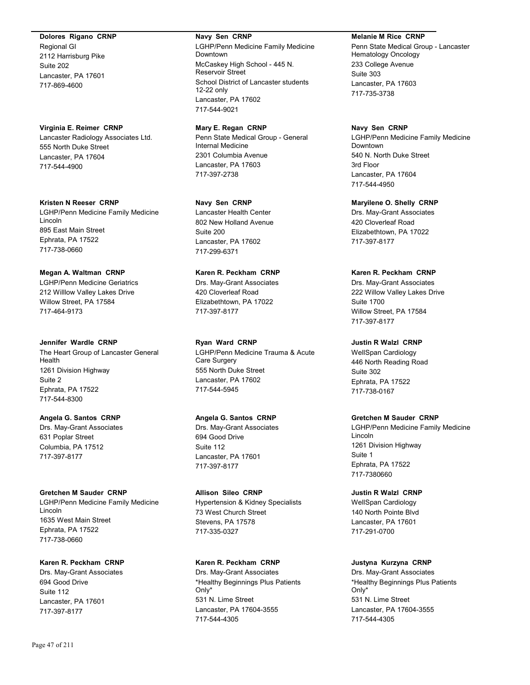**Dolores Rigano CRNP**

Regional GI 2112 Harrisburg Pike Suite 202 Lancaster, PA 17601 717-869-4600

## **Virginia E. Reimer CRNP**

Lancaster Radiology Associates Ltd. 555 North Duke Street Lancaster, PA 17604 717-544-4900

#### **Kristen N Reeser CRNP**

LGHP/Penn Medicine Family Medicine Lincoln 895 East Main Street Ephrata, PA 17522 717-738-0660

## **Megan A. Waltman CRNP**

LGHP/Penn Medicine Geriatrics 212 Willlow Valley Lakes Drive Willow Street, PA 17584 717-464-9173

#### **Jennifer Wardle CRNP**

The Heart Group of Lancaster General Health 1261 Division Highway Suite 2 Ephrata, PA 17522 717-544-8300

## **Angela G. Santos CRNP**

Drs. May-Grant Associates 631 Poplar Street Columbia, PA 17512 717-397-8177

## **Gretchen M Sauder CRNP**

LGHP/Penn Medicine Family Medicine Lincoln 1635 West Main Street Ephrata, PA 17522 717-738-0660

## **Karen R. Peckham CRNP**

Drs. May-Grant Associates 694 Good Drive Suite 112 Lancaster, PA 17601 717-397-8177

#### **Navy Sen CRNP**

LGHP/Penn Medicine Family Medicine Downtown McCaskey High School - 445 N. Reservoir Street School District of Lancaster students 12-22 only Lancaster, PA 17602 717-544-9021

**Mary E. Regan CRNP** Penn State Medical Group - General Internal Medicine 2301 Columbia Avenue Lancaster, PA 17603 717-397-2738

### **Navy Sen CRNP**

Lancaster Health Center 802 New Holland Avenue Suite 200 Lancaster, PA 17602 717-299-6371

## **Karen R. Peckham CRNP**

Drs. May-Grant Associates 420 Cloverleaf Road Elizabethtown, PA 17022 717-397-8177

## **Ryan Ward CRNP**

LGHP/Penn Medicine Trauma & Acute Care Surgery 555 North Duke Street Lancaster, PA 17602 717-544-5945

## **Angela G. Santos CRNP**

Drs. May-Grant Associates 694 Good Drive Suite 112 Lancaster, PA 17601 717-397-8177

#### **Allison Sileo CRNP**

Hypertension & Kidney Specialists 73 West Church Street Stevens, PA 17578 717-335-0327

## **Karen R. Peckham CRNP**

Drs. May-Grant Associates \*Healthy Beginnings Plus Patients Only\* 531 N. Lime Street Lancaster, PA 17604-3555 717-544-4305

#### **Melanie M Rice CRNP**

Penn State Medical Group - Lancaster Hematology Oncology 233 College Avenue Suite 303 Lancaster, PA 17603 717-735-3738

#### **Navy Sen CRNP**

LGHP/Penn Medicine Family Medicine Downtown 540 N. North Duke Street 3rd Floor Lancaster, PA 17604 717-544-4950

**Maryilene O. Shelly CRNP**

Drs. May-Grant Associates 420 Cloverleaf Road Elizabethtown, PA 17022 717-397-8177

## **Karen R. Peckham CRNP**

Drs. May-Grant Associates 222 Willow Valley Lakes Drive Suite 1700 Willow Street, PA 17584 717-397-8177

## **Justin R Walzl CRNP**

WellSpan Cardiology 446 North Reading Road Suite 302 Ephrata, PA 17522 717-738-0167

## **Gretchen M Sauder CRNP**

LGHP/Penn Medicine Family Medicine Lincoln 1261 Division Highway Suite 1 Ephrata, PA 17522 717-7380660

## **Justin R Walzl CRNP**

WellSpan Cardiology 140 North Pointe Blvd Lancaster, PA 17601 717-291-0700

## **Justyna Kurzyna CRNP**

Drs. May-Grant Associates \*Healthy Beginnings Plus Patients Only\* 531 N. Lime Street Lancaster, PA 17604-3555 717-544-4305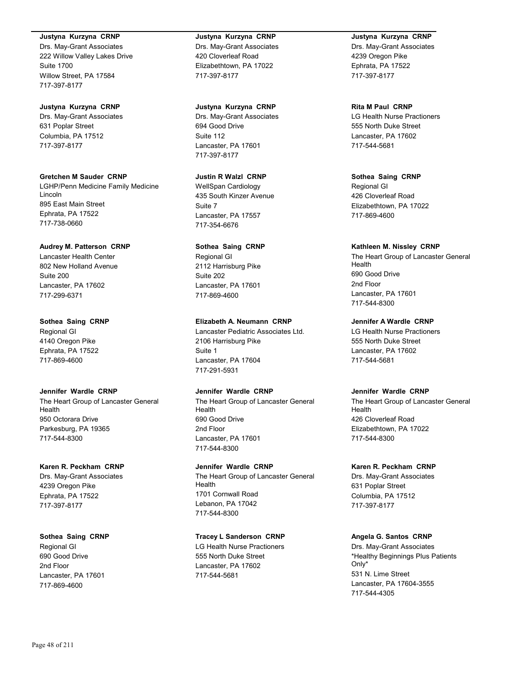#### **Justyna Kurzyna CRNP**

Drs. May-Grant Associates 222 Willow Valley Lakes Drive Suite 1700 Willow Street, PA 17584 717-397-8177

#### **Justyna Kurzyna CRNP**

Drs. May-Grant Associates 631 Poplar Street Columbia, PA 17512 717-397-8177

#### **Gretchen M Sauder CRNP**

LGHP/Penn Medicine Family Medicine Lincoln 895 East Main Street Ephrata, PA 17522 717-738-0660

#### **Audrey M. Patterson CRNP**

Lancaster Health Center 802 New Holland Avenue Suite 200 Lancaster, PA 17602 717-299-6371

#### **Sothea Saing CRNP**

Regional GI 4140 Oregon Pike Ephrata, PA 17522 717-869-4600

#### **Jennifer Wardle CRNP**

The Heart Group of Lancaster General Health 950 Octorara Drive Parkesburg, PA 19365 717-544-8300

#### **Karen R. Peckham CRNP**

Drs. May-Grant Associates 4239 Oregon Pike Ephrata, PA 17522 717-397-8177

#### **Sothea Saing CRNP**

Regional GI 690 Good Drive 2nd Floor Lancaster, PA 17601 717-869-4600

#### **Justyna Kurzyna CRNP**

Drs. May-Grant Associates 420 Cloverleaf Road Elizabethtown, PA 17022 717-397-8177

#### **Justyna Kurzyna CRNP**

Drs. May-Grant Associates 694 Good Drive Suite 112 Lancaster, PA 17601 717-397-8177

### **Justin R Walzl CRNP**

WellSpan Cardiology 435 South Kinzer Avenue Suite 7 Lancaster, PA 17557 717-354-6676

#### **Sothea Saing CRNP**

Regional GI 2112 Harrisburg Pike Suite 202 Lancaster, PA 17601 717-869-4600

#### **Elizabeth A. Neumann CRNP**

Lancaster Pediatric Associates Ltd. 2106 Harrisburg Pike Suite 1 Lancaster, PA 17604 717-291-5931

### **Jennifer Wardle CRNP**

The Heart Group of Lancaster General **Health** 690 Good Drive 2nd Floor Lancaster, PA 17601 717-544-8300

#### **Jennifer Wardle CRNP**

The Heart Group of Lancaster General Health 1701 Cornwall Road Lebanon, PA 17042 717-544-8300

#### **Tracey L Sanderson CRNP**

LG Health Nurse Practioners 555 North Duke Street Lancaster, PA 17602 717-544-5681

## **Justyna Kurzyna CRNP**

Drs. May-Grant Associates 4239 Oregon Pike Ephrata, PA 17522 717-397-8177

#### **Rita M Paul CRNP**

LG Health Nurse Practioners 555 North Duke Street Lancaster, PA 17602 717-544-5681

**Sothea Saing CRNP** Regional GI 426 Cloverleaf Road Elizabethtown, PA 17022 717-869-4600

#### **Kathleen M. Nissley CRNP**

The Heart Group of Lancaster General Health 690 Good Drive 2nd Floor Lancaster, PA 17601 717-544-8300

#### **Jennifer A Wardle CRNP**

LG Health Nurse Practioners 555 North Duke Street Lancaster, PA 17602 717-544-5681

#### **Jennifer Wardle CRNP**

The Heart Group of Lancaster General **Health** 426 Cloverleaf Road Elizabethtown, PA 17022 717-544-8300

#### **Karen R. Peckham CRNP**

Drs. May-Grant Associates 631 Poplar Street Columbia, PA 17512 717-397-8177

#### **Angela G. Santos CRNP**

Drs. May-Grant Associates \*Healthy Beginnings Plus Patients Only\* 531 N. Lime Street Lancaster, PA 17604-3555 717-544-4305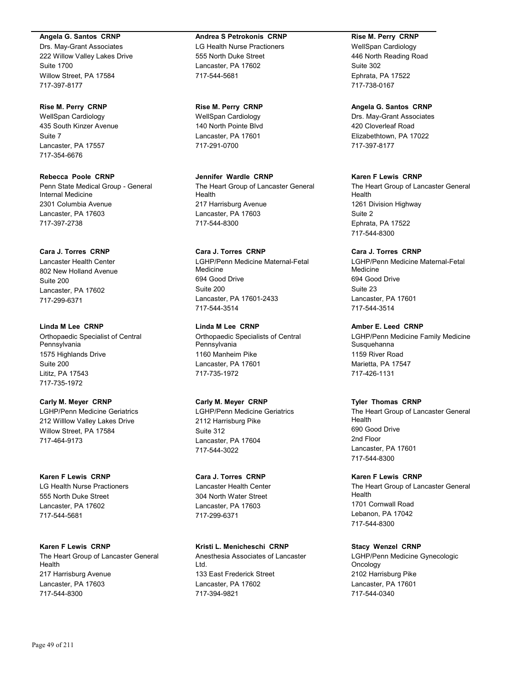#### **Angela G. Santos CRNP**

Drs. May-Grant Associates 222 Willow Valley Lakes Drive Suite 1700 Willow Street, PA 17584 717-397-8177

#### **Rise M. Perry CRNP**

WellSpan Cardiology 435 South Kinzer Avenue Suite 7 Lancaster, PA 17557 717-354-6676

## **Rebecca Poole CRNP**

Penn State Medical Group - General Internal Medicine 2301 Columbia Avenue Lancaster, PA 17603 717-397-2738

## **Cara J. Torres CRNP**

Lancaster Health Center 802 New Holland Avenue Suite 200 Lancaster, PA 17602 717-299-6371

### **Linda M Lee CRNP** Orthopaedic Specialist of Central Pennsylvania 1575 Highlands Drive Suite 200 Lititz, PA 17543 717-735-1972

#### **Carly M. Meyer CRNP**

LGHP/Penn Medicine Geriatrics 212 Willlow Valley Lakes Drive Willow Street, PA 17584 717-464-9173

# **Karen F Lewis CRNP**

LG Health Nurse Practioners 555 North Duke Street Lancaster, PA 17602 717-544-5681

## **Karen F Lewis CRNP** The Heart Group of Lancaster General Health 217 Harrisburg Avenue Lancaster, PA 17603

#### **Andrea S Petrokonis CRNP**

LG Health Nurse Practioners 555 North Duke Street Lancaster, PA 17602 717-544-5681

#### **Rise M. Perry CRNP**

WellSpan Cardiology 140 North Pointe Blvd Lancaster, PA 17601 717-291-0700

### **Jennifer Wardle CRNP** The Heart Group of Lancaster General Health 217 Harrisburg Avenue Lancaster, PA 17603 717-544-8300

## **Cara J. Torres CRNP** LGHP/Penn Medicine Maternal-Fetal Medicine 694 Good Drive Suite 200 Lancaster, PA 17601-2433 717-544-3514

## **Linda M Lee CRNP** Orthopaedic Specialists of Central Pennsylvania 1160 Manheim Pike Lancaster, PA 17601 717-735-1972

## **Carly M. Meyer CRNP**

LGHP/Penn Medicine Geriatrics 2112 Harrisburg Pike Suite 312 Lancaster, PA 17604 717-544-3022

## **Cara J. Torres CRNP**

Lancaster Health Center 304 North Water Street Lancaster, PA 17603 717-299-6371

## **Kristi L. Menicheschi CRNP**

Anesthesia Associates of Lancaster Ltd. 133 East Frederick Street Lancaster, PA 17602 717-394-9821

## **Rise M. Perry CRNP**

WellSpan Cardiology 446 North Reading Road Suite 302 Ephrata, PA 17522 717-738-0167

#### **Angela G. Santos CRNP**

Drs. May-Grant Associates 420 Cloverleaf Road Elizabethtown, PA 17022 717-397-8177

## **Karen F Lewis CRNP**

The Heart Group of Lancaster General Health 1261 Division Highway Suite 2 Ephrata, PA 17522 717-544-8300

### **Cara J. Torres CRNP**

LGHP/Penn Medicine Maternal-Fetal Medicine 694 Good Drive Suite 23 Lancaster, PA 17601 717-544-3514

### **Amber E. Leed CRNP**

LGHP/Penn Medicine Family Medicine **Susquehanna** 1159 River Road Marietta, PA 17547 717-426-1131

#### **Tyler Thomas CRNP**

The Heart Group of Lancaster General Health 690 Good Drive 2nd Floor Lancaster, PA 17601 717-544-8300

#### **Karen F Lewis CRNP**

The Heart Group of Lancaster General Health 1701 Cornwall Road Lebanon, PA 17042 717-544-8300

## **Stacy Wenzel CRNP**

LGHP/Penn Medicine Gynecologic Oncology 2102 Harrisburg Pike Lancaster, PA 17601 717-544-0340

717-544-8300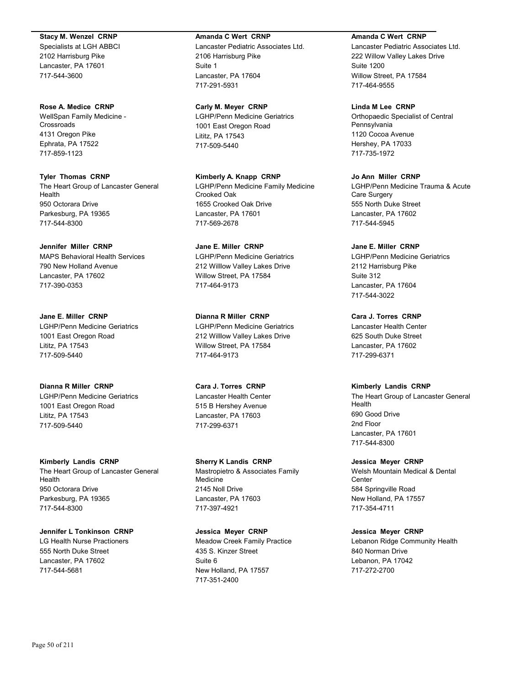#### **Stacy M. Wenzel CRNP**

Specialists at LGH ABBCI 2102 Harrisburg Pike Lancaster, PA 17601 717-544-3600

#### **Rose A. Medice CRNP**

WellSpan Family Medicine - **Crossroads** 4131 Oregon Pike Ephrata, PA 17522 717-859-1123

**Tyler Thomas CRNP** The Heart Group of Lancaster General Health 950 Octorara Drive Parkesburg, PA 19365 717-544-8300

## **Jennifer Miller CRNP**

MAPS Behavioral Health Services 790 New Holland Avenue Lancaster, PA 17602 717-390-0353

**Jane E. Miller CRNP** LGHP/Penn Medicine Geriatrics 1001 East Oregon Road Lititz, PA 17543 717-509-5440

**Dianna R Miller CRNP** LGHP/Penn Medicine Geriatrics 1001 East Oregon Road Lititz, PA 17543 717-509-5440

## **Kimberly Landis CRNP**

The Heart Group of Lancaster General Health 950 Octorara Drive Parkesburg, PA 19365 717-544-8300

## **Jennifer L Tonkinson CRNP**

LG Health Nurse Practioners 555 North Duke Street Lancaster, PA 17602 717-544-5681

### **Amanda C Wert CRNP**

Lancaster Pediatric Associates Ltd. 2106 Harrisburg Pike Suite 1 Lancaster, PA 17604 717-291-5931

### **Carly M. Meyer CRNP**

LGHP/Penn Medicine Geriatrics 1001 East Oregon Road Lititz, PA 17543 717-509-5440

**Kimberly A. Knapp CRNP** LGHP/Penn Medicine Family Medicine Crooked Oak 1655 Crooked Oak Drive Lancaster, PA 17601 717-569-2678

**Jane E. Miller CRNP** LGHP/Penn Medicine Geriatrics 212 Willlow Valley Lakes Drive Willow Street, PA 17584 717-464-9173

**Dianna R Miller CRNP** LGHP/Penn Medicine Geriatrics 212 Willlow Valley Lakes Drive Willow Street, PA 17584 717-464-9173

**Cara J. Torres CRNP** Lancaster Health Center 515 B Hershey Avenue Lancaster, PA 17603 717-299-6371

## **Sherry K Landis CRNP**

Mastropietro & Associates Family **Medicine** 2145 Noll Drive Lancaster, PA 17603 717-397-4921

## **Jessica Meyer CRNP**

Meadow Creek Family Practice 435 S. Kinzer Street Suite 6 New Holland, PA 17557 717-351-2400

### **Amanda C Wert CRNP**

Lancaster Pediatric Associates Ltd. 222 Willow Valley Lakes Drive Suite 1200 Willow Street, PA 17584 717-464-9555

## **Linda M Lee CRNP**

Orthopaedic Specialist of Central Pennsylvania 1120 Cocoa Avenue Hershey, PA 17033 717-735-1972

## **Jo Ann Miller CRNP**

LGHP/Penn Medicine Trauma & Acute Care Surgery 555 North Duke Street Lancaster, PA 17602 717-544-5945

## **Jane E. Miller CRNP**

LGHP/Penn Medicine Geriatrics 2112 Harrisburg Pike Suite 312 Lancaster, PA 17604 717-544-3022

**Cara J. Torres CRNP** Lancaster Health Center 625 South Duke Street Lancaster, PA 17602 717-299-6371

## **Kimberly Landis CRNP**

The Heart Group of Lancaster General Health 690 Good Drive 2nd Floor Lancaster, PA 17601 717-544-8300

## **Jessica Meyer CRNP**

Welsh Mountain Medical & Dental **Center** 584 Springville Road New Holland, PA 17557 717-354-4711

## **Jessica Meyer CRNP**

Lebanon Ridge Community Health 840 Norman Drive Lebanon, PA 17042 717-272-2700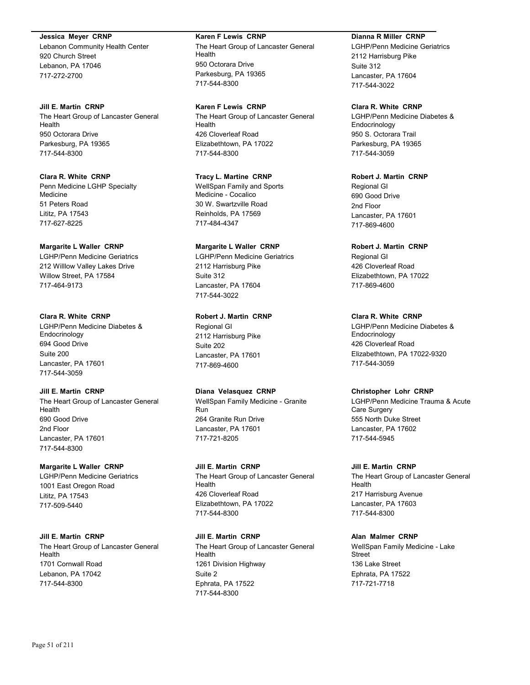#### **Jessica Meyer CRNP**

Lebanon Community Health Center 920 Church Street Lebanon, PA 17046 717-272-2700

#### **Jill E. Martin CRNP**

The Heart Group of Lancaster General Health 950 Octorara Drive Parkesburg, PA 19365 717-544-8300

## **Clara R. White CRNP**

Penn Medicine LGHP Specialty Medicine 51 Peters Road Lititz, PA 17543 717-627-8225

#### **Margarite L Waller CRNP**

LGHP/Penn Medicine Geriatrics 212 Willlow Valley Lakes Drive Willow Street, PA 17584 717-464-9173

#### **Clara R. White CRNP**

LGHP/Penn Medicine Diabetes & Endocrinology 694 Good Drive Suite 200 Lancaster, PA 17601 717-544-3059

## **Jill E. Martin CRNP**

The Heart Group of Lancaster General Health 690 Good Drive 2nd Floor Lancaster, PA 17601 717-544-8300

#### **Margarite L Waller CRNP**

LGHP/Penn Medicine Geriatrics 1001 East Oregon Road Lititz, PA 17543 717-509-5440

#### **Jill E. Martin CRNP**

The Heart Group of Lancaster General Health 1701 Cornwall Road Lebanon, PA 17042 717-544-8300

#### **Karen F Lewis CRNP**

The Heart Group of Lancaster General Health 950 Octorara Drive Parkesburg, PA 19365 717-544-8300

**Karen F Lewis CRNP** The Heart Group of Lancaster General Health 426 Cloverleaf Road Elizabethtown, PA 17022 717-544-8300

### **Tracy L. Martine CRNP**

WellSpan Family and Sports Medicine - Cocalico 30 W. Swartzville Road Reinholds, PA 17569 717-484-4347

### **Margarite L Waller CRNP**

LGHP/Penn Medicine Geriatrics 2112 Harrisburg Pike Suite 312 Lancaster, PA 17604 717-544-3022

#### **Robert J. Martin CRNP**

Regional GI 2112 Harrisburg Pike Suite 202 Lancaster, PA 17601 717-869-4600

#### **Diana Velasquez CRNP**

WellSpan Family Medicine - Granite Run 264 Granite Run Drive Lancaster, PA 17601 717-721-8205

#### **Jill E. Martin CRNP**

The Heart Group of Lancaster General Health 426 Cloverleaf Road Elizabethtown, PA 17022 717-544-8300

**Jill E. Martin CRNP** The Heart Group of Lancaster General Health 1261 Division Highway Suite 2 Ephrata, PA 17522 717-544-8300

#### **Dianna R Miller CRNP**

LGHP/Penn Medicine Geriatrics 2112 Harrisburg Pike Suite 312 Lancaster, PA 17604 717-544-3022

## **Clara R. White CRNP**

LGHP/Penn Medicine Diabetes & Endocrinology 950 S. Octorara Trail Parkesburg, PA 19365 717-544-3059

### **Robert J. Martin CRNP**

Regional GI 690 Good Drive 2nd Floor Lancaster, PA 17601 717-869-4600

#### **Robert J. Martin CRNP**

Regional GI 426 Cloverleaf Road Elizabethtown, PA 17022 717-869-4600

## **Clara R. White CRNP**

LGHP/Penn Medicine Diabetes & Endocrinology 426 Cloverleaf Road Elizabethtown, PA 17022-9320 717-544-3059

#### **Christopher Lohr CRNP**

LGHP/Penn Medicine Trauma & Acute Care Surgery 555 North Duke Street Lancaster, PA 17602 717-544-5945

#### **Jill E. Martin CRNP**

The Heart Group of Lancaster General Health 217 Harrisburg Avenue Lancaster, PA 17603 717-544-8300

#### **Alan Malmer CRNP**

WellSpan Family Medicine - Lake Street 136 Lake Street Ephrata, PA 17522 717-721-7718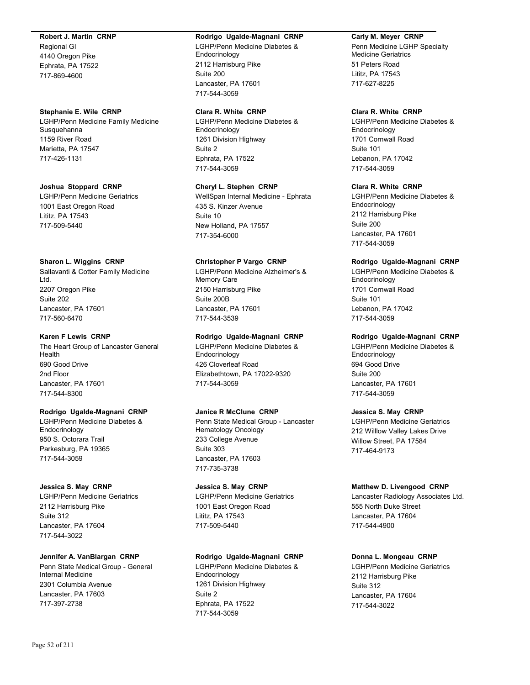### **Robert J. Martin CRNP**

Regional GI 4140 Oregon Pike Ephrata, PA 17522 717-869-4600

### **Stephanie E. Wile CRNP**

LGHP/Penn Medicine Family Medicine Susquehanna 1159 River Road Marietta, PA 17547 717-426-1131

### **Joshua Stoppard CRNP**

LGHP/Penn Medicine Geriatrics 1001 East Oregon Road Lititz, PA 17543 717-509-5440

## **Sharon L. Wiggins CRNP**

Sallavanti & Cotter Family Medicine Ltd. 2207 Oregon Pike Suite 202 Lancaster, PA 17601 717-560-6470

### **Karen F Lewis CRNP**

The Heart Group of Lancaster General Health 690 Good Drive 2nd Floor Lancaster, PA 17601 717-544-8300

## **Rodrigo Ugalde-Magnani CRNP**

LGHP/Penn Medicine Diabetes & Endocrinology 950 S. Octorara Trail Parkesburg, PA 19365 717-544-3059

## **Jessica S. May CRNP**

LGHP/Penn Medicine Geriatrics 2112 Harrisburg Pike Suite 312 Lancaster, PA 17604 717-544-3022

## **Jennifer A. VanBlargan CRNP**

Penn State Medical Group - General Internal Medicine 2301 Columbia Avenue Lancaster, PA 17603 717-397-2738

#### **Rodrigo Ugalde-Magnani CRNP**

LGHP/Penn Medicine Diabetes & Endocrinology 2112 Harrisburg Pike Suite 200 Lancaster, PA 17601 717-544-3059

## **Clara R. White CRNP**

LGHP/Penn Medicine Diabetes & Endocrinology 1261 Division Highway Suite 2 Ephrata, PA 17522 717-544-3059

## **Cheryl L. Stephen CRNP**

WellSpan Internal Medicine - Ephrata 435 S. Kinzer Avenue Suite 10 New Holland, PA 17557 717-354-6000

## **Christopher P Vargo CRNP**

LGHP/Penn Medicine Alzheimer's & Memory Care 2150 Harrisburg Pike Suite 200B Lancaster, PA 17601 717-544-3539

## **Rodrigo Ugalde-Magnani CRNP**

LGHP/Penn Medicine Diabetes & **Endocrinology** 426 Cloverleaf Road Elizabethtown, PA 17022-9320 717-544-3059

## **Janice R McClune CRNP**

Penn State Medical Group - Lancaster Hematology Oncology 233 College Avenue Suite 303 Lancaster, PA 17603 717-735-3738

## **Jessica S. May CRNP**

LGHP/Penn Medicine Geriatrics 1001 East Oregon Road Lititz, PA 17543 717-509-5440

## **Rodrigo Ugalde-Magnani CRNP**

LGHP/Penn Medicine Diabetes & Endocrinology 1261 Division Highway Suite 2 Ephrata, PA 17522 717-544-3059

## **Carly M. Meyer CRNP**

Penn Medicine LGHP Specialty Medicine Geriatrics 51 Peters Road Lititz, PA 17543 717-627-8225

## **Clara R. White CRNP**

LGHP/Penn Medicine Diabetes & Endocrinology 1701 Cornwall Road Suite 101 Lebanon, PA 17042 717-544-3059

## **Clara R. White CRNP**

LGHP/Penn Medicine Diabetes & Endocrinology 2112 Harrisburg Pike Suite 200 Lancaster, PA 17601 717-544-3059

## **Rodrigo Ugalde-Magnani CRNP**

LGHP/Penn Medicine Diabetes & Endocrinology 1701 Cornwall Road Suite 101 Lebanon, PA 17042 717-544-3059

### **Rodrigo Ugalde-Magnani CRNP**

LGHP/Penn Medicine Diabetes & **Endocrinology** 694 Good Drive Suite 200 Lancaster, PA 17601 717-544-3059

## **Jessica S. May CRNP**

LGHP/Penn Medicine Geriatrics 212 Willlow Valley Lakes Drive Willow Street, PA 17584 717-464-9173

## **Matthew D. Livengood CRNP**

Lancaster Radiology Associates Ltd. 555 North Duke Street Lancaster, PA 17604 717-544-4900

## **Donna L. Mongeau CRNP**

LGHP/Penn Medicine Geriatrics 2112 Harrisburg Pike Suite 312 Lancaster, PA 17604 717-544-3022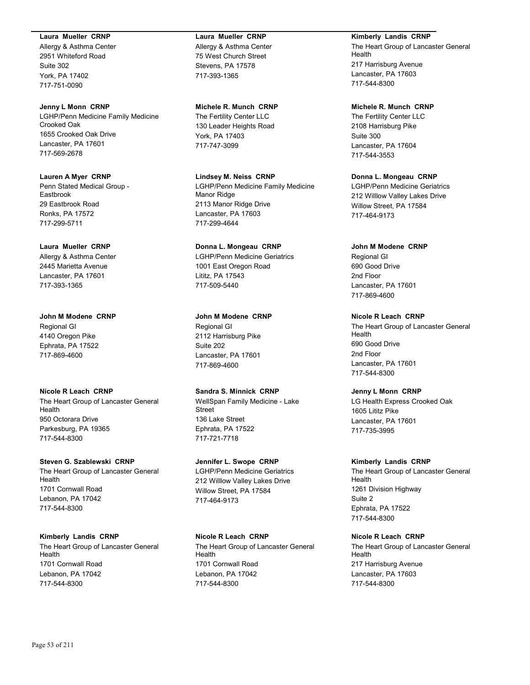#### **Laura Mueller CRNP**

Allergy & Asthma Center 2951 Whiteford Road Suite 302 York, PA 17402 717-751-0090

#### **Jenny L Monn CRNP**

LGHP/Penn Medicine Family Medicine Crooked Oak 1655 Crooked Oak Drive Lancaster, PA 17601 717-569-2678

**Lauren A Myer CRNP** Penn Stated Medical Group - Eastbrook 29 Eastbrook Road Ronks, PA 17572 717-299-5711

#### **Laura Mueller CRNP**

Allergy & Asthma Center 2445 Marietta Avenue Lancaster, PA 17601 717-393-1365

**John M Modene CRNP** Regional GI 4140 Oregon Pike Ephrata, PA 17522 717-869-4600

## **Nicole R Leach CRNP**

The Heart Group of Lancaster General Health 950 Octorara Drive Parkesburg, PA 19365 717-544-8300

#### **Steven G. Szablewski CRNP**

The Heart Group of Lancaster General Health 1701 Cornwall Road Lebanon, PA 17042 717-544-8300

## **Kimberly Landis CRNP**

The Heart Group of Lancaster General Health 1701 Cornwall Road Lebanon, PA 17042 717-544-8300

#### **Laura Mueller CRNP**

Allergy & Asthma Center 75 West Church Street Stevens, PA 17578 717-393-1365

#### **Michele R. Munch CRNP**

The Fertility Center LLC 130 Leader Heights Road York, PA 17403 717-747-3099

**Lindsey M. Neiss CRNP** LGHP/Penn Medicine Family Medicine Manor Ridge 2113 Manor Ridge Drive Lancaster, PA 17603 717-299-4644

# **Donna L. Mongeau CRNP**

LGHP/Penn Medicine Geriatrics 1001 East Oregon Road Lititz, PA 17543 717-509-5440

## **John M Modene CRNP**

Regional GI 2112 Harrisburg Pike Suite 202 Lancaster, PA 17601 717-869-4600

## **Sandra S. Minnick CRNP**

WellSpan Family Medicine - Lake Street 136 Lake Street Ephrata, PA 17522 717-721-7718

## **Jennifer L. Swope CRNP**

LGHP/Penn Medicine Geriatrics 212 Willlow Valley Lakes Drive Willow Street, PA 17584 717-464-9173

## **Nicole R Leach CRNP**

The Heart Group of Lancaster General Health 1701 Cornwall Road Lebanon, PA 17042 717-544-8300

## **Kimberly Landis CRNP**

The Heart Group of Lancaster General Health 217 Harrisburg Avenue Lancaster, PA 17603 717-544-8300

#### **Michele R. Munch CRNP**

The Fertility Center LLC 2108 Harrisburg Pike Suite 300 Lancaster, PA 17604 717-544-3553

## **Donna L. Mongeau CRNP**

LGHP/Penn Medicine Geriatrics 212 Willlow Valley Lakes Drive Willow Street, PA 17584 717-464-9173

### **John M Modene CRNP**

Regional GI 690 Good Drive 2nd Floor Lancaster, PA 17601 717-869-4600

### **Nicole R Leach CRNP**

The Heart Group of Lancaster General Health 690 Good Drive 2nd Floor Lancaster, PA 17601 717-544-8300

#### **Jenny L Monn CRNP**

LG Health Express Crooked Oak 1605 Lititz Pike Lancaster, PA 17601 717-735-3995

## **Kimberly Landis CRNP**

The Heart Group of Lancaster General Health 1261 Division Highway Suite 2 Ephrata, PA 17522 717-544-8300

#### **Nicole R Leach CRNP**

The Heart Group of Lancaster General Health 217 Harrisburg Avenue Lancaster, PA 17603 717-544-8300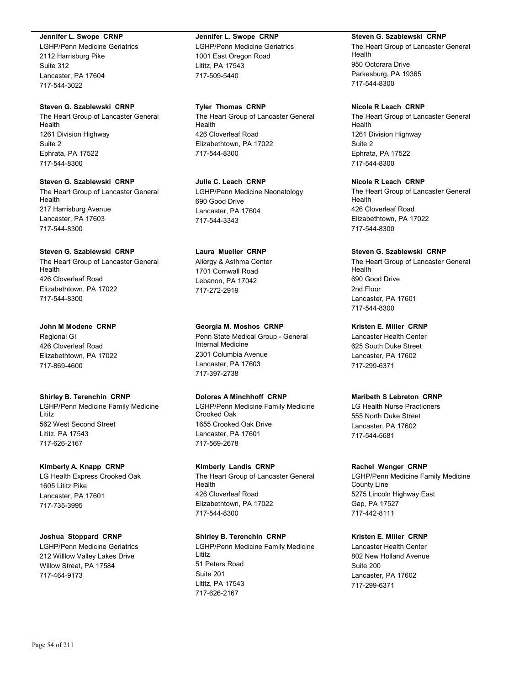#### **Jennifer L. Swope CRNP**

LGHP/Penn Medicine Geriatrics 2112 Harrisburg Pike Suite 312 Lancaster, PA 17604 717-544-3022

#### **Steven G. Szablewski CRNP**

The Heart Group of Lancaster General Health 1261 Division Highway Suite 2 Ephrata, PA 17522 717-544-8300

**Steven G. Szablewski CRNP** The Heart Group of Lancaster General Health 217 Harrisburg Avenue Lancaster, PA 17603 717-544-8300

#### **Steven G. Szablewski CRNP**

The Heart Group of Lancaster General Health 426 Cloverleaf Road Elizabethtown, PA 17022 717-544-8300

#### **John M Modene CRNP**

Regional GI 426 Cloverleaf Road Elizabethtown, PA 17022 717-869-4600

#### **Shirley B. Terenchin CRNP**

LGHP/Penn Medicine Family Medicine Lititz 562 West Second Street Lititz, PA 17543 717-626-2167

#### **Kimberly A. Knapp CRNP**

LG Health Express Crooked Oak 1605 Lititz Pike Lancaster, PA 17601 717-735-3995

#### **Joshua Stoppard CRNP**

LGHP/Penn Medicine Geriatrics 212 Willlow Valley Lakes Drive Willow Street, PA 17584 717-464-9173

# **Jennifer L. Swope CRNP**

LGHP/Penn Medicine Geriatrics 1001 East Oregon Road Lititz, PA 17543 717-509-5440

**Tyler Thomas CRNP** The Heart Group of Lancaster General Health 426 Cloverleaf Road Elizabethtown, PA 17022 717-544-8300

**Julie C. Leach CRNP** LGHP/Penn Medicine Neonatology 690 Good Drive Lancaster, PA 17604 717-544-3343

## **Laura Mueller CRNP** Allergy & Asthma Center 1701 Cornwall Road Lebanon, PA 17042

717-272-2919

**Georgia M. Moshos CRNP**

Penn State Medical Group - General Internal Medicine 2301 Columbia Avenue Lancaster, PA 17603 717-397-2738

#### **Dolores A Minchhoff CRNP**

LGHP/Penn Medicine Family Medicine Crooked Oak 1655 Crooked Oak Drive Lancaster, PA 17601 717-569-2678

#### **Kimberly Landis CRNP**

The Heart Group of Lancaster General Health 426 Cloverleaf Road Elizabethtown, PA 17022 717-544-8300

## **Shirley B. Terenchin CRNP**

LGHP/Penn Medicine Family Medicine Lititz 51 Peters Road Suite 201 Lititz, PA 17543 717-626-2167

#### **Steven G. Szablewski CRNP**

The Heart Group of Lancaster General Health 950 Octorara Drive Parkesburg, PA 19365 717-544-8300

## **Nicole R Leach CRNP**

The Heart Group of Lancaster General Health 1261 Division Highway Suite 2 Ephrata, PA 17522 717-544-8300

## **Nicole R Leach CRNP**

The Heart Group of Lancaster General Health 426 Cloverleaf Road Elizabethtown, PA 17022 717-544-8300

#### **Steven G. Szablewski CRNP**

The Heart Group of Lancaster General Health 690 Good Drive 2nd Floor Lancaster, PA 17601 717-544-8300

#### **Kristen E. Miller CRNP**

Lancaster Health Center 625 South Duke Street Lancaster, PA 17602 717-299-6371

## **Maribeth S Lebreton CRNP**

LG Health Nurse Practioners 555 North Duke Street Lancaster, PA 17602 717-544-5681

#### **Rachel Wenger CRNP**

LGHP/Penn Medicine Family Medicine County Line 5275 Lincoln Highway East Gap, PA 17527 717-442-8111

#### **Kristen E. Miller CRNP**

Lancaster Health Center 802 New Holland Avenue Suite 200 Lancaster, PA 17602 717-299-6371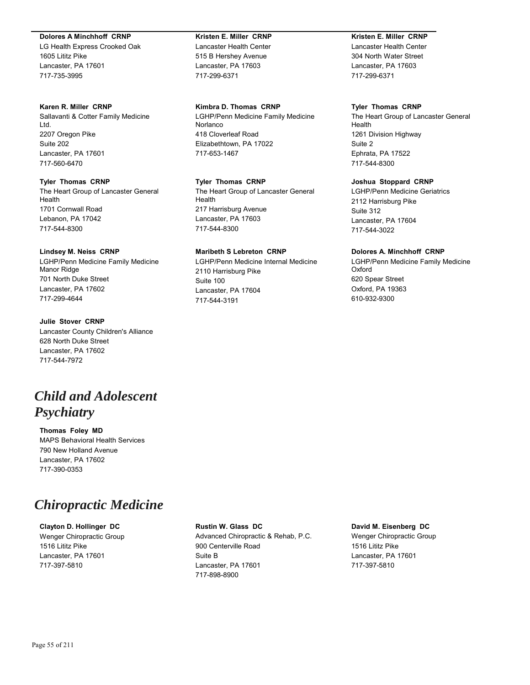#### **Dolores A Minchhoff CRNP**

LG Health Express Crooked Oak 1605 Lititz Pike Lancaster, PA 17601 717-735-3995

#### **Karen R. Miller CRNP**

Sallavanti & Cotter Family Medicine Ltd. 2207 Oregon Pike Suite 202 Lancaster, PA 17601 717-560-6470

## **Tyler Thomas CRNP**

The Heart Group of Lancaster General Health 1701 Cornwall Road Lebanon, PA 17042 717-544-8300

### **Lindsey M. Neiss CRNP**

LGHP/Penn Medicine Family Medicine Manor Ridge 701 North Duke Street Lancaster, PA 17602 717-299-4644

## **Julie Stover CRNP** Lancaster County Children's Alliance 628 North Duke Street Lancaster, PA 17602 717-544-7972

# *Child and Adolescent Psychiatry*

**Thomas Foley MD** MAPS Behavioral Health Services 790 New Holland Avenue Lancaster, PA 17602 717-390-0353

# *Chiropractic Medicine*

**Clayton D. Hollinger DC** Wenger Chiropractic Group 1516 Lititz Pike Lancaster, PA 17601 717-397-5810

## **Kristen E. Miller CRNP** Lancaster Health Center 515 B Hershey Avenue Lancaster, PA 17603 717-299-6371

## **Kimbra D. Thomas CRNP**

LGHP/Penn Medicine Family Medicine Norlanco 418 Cloverleaf Road Elizabethtown, PA 17022 717-653-1467

## **Tyler Thomas CRNP**

The Heart Group of Lancaster General Health 217 Harrisburg Avenue Lancaster, PA 17603 717-544-8300

## **Maribeth S Lebreton CRNP**

LGHP/Penn Medicine Internal Medicine 2110 Harrisburg Pike Suite 100 Lancaster, PA 17604 717-544-3191

## **Kristen E. Miller CRNP**

Lancaster Health Center 304 North Water Street Lancaster, PA 17603 717-299-6371

## **Tyler Thomas CRNP**

The Heart Group of Lancaster General Health 1261 Division Highway Suite 2 Ephrata, PA 17522 717-544-8300

## **Joshua Stoppard CRNP**

LGHP/Penn Medicine Geriatrics 2112 Harrisburg Pike Suite 312 Lancaster, PA 17604 717-544-3022

## **Dolores A. Minchhoff CRNP**

LGHP/Penn Medicine Family Medicine Oxford 620 Spear Street Oxford, PA 19363 610-932-9300

## **Rustin W. Glass DC**

Advanced Chiropractic & Rehab, P.C. 900 Centerville Road Suite B Lancaster, PA 17601 717-898-8900

## **David M. Eisenberg DC**

Wenger Chiropractic Group 1516 Lititz Pike Lancaster, PA 17601 717-397-5810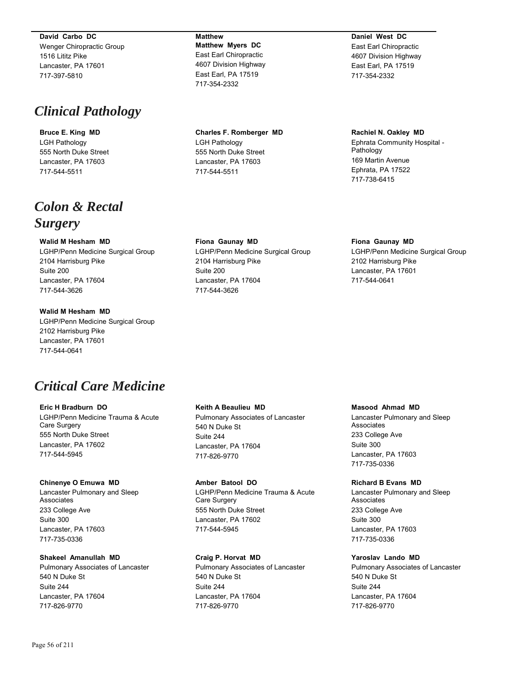**David Carbo DC**

Wenger Chiropractic Group 1516 Lititz Pike Lancaster, PA 17601 717-397-5810

# *Clinical Pathology*

**Bruce E. King MD** LGH Pathology 555 North Duke Street Lancaster, PA 17603 717-544-5511

# *Colon & Rectal Surgery*

## **Walid M Hesham MD**

LGHP/Penn Medicine Surgical Group 2104 Harrisburg Pike Suite 200 Lancaster, PA 17604 717-544-3626

**Walid M Hesham MD**

LGHP/Penn Medicine Surgical Group 2102 Harrisburg Pike Lancaster, PA 17601 717-544-0641

# *Critical Care Medicine*

### **Eric H Bradburn DO** LGHP/Penn Medicine Trauma & Acute Care Surgery 555 North Duke Street Lancaster, PA 17602

## **Chinenye O Emuwa MD**

717-544-5945

Lancaster Pulmonary and Sleep Associates 233 College Ave Suite 300 Lancaster, PA 17603 717-735-0336

## **Shakeel Amanullah MD**

Pulmonary Associates of Lancaster 540 N Duke St Suite 244 Lancaster, PA 17604 717-826-9770

**Matthew Matthew Myers DC** East Earl Chiropractic 4607 Division Highway East Earl, PA 17519 717-354-2332

**Charles F. Romberger MD** LGH Pathology 555 North Duke Street Lancaster, PA 17603 717-544-5511

**Fiona Gaunay MD** LGHP/Penn Medicine Surgical Group 2104 Harrisburg Pike Suite 200 Lancaster, PA 17604 717-544-3626

**Daniel West DC** East Earl Chiropractic 4607 Division Highway East Earl, PA 17519 717-354-2332

**Rachiel N. Oakley MD** Ephrata Community Hospital - Pathology 169 Martin Avenue Ephrata, PA 17522 717-738-6415

## **Fiona Gaunay MD**

LGHP/Penn Medicine Surgical Group 2102 Harrisburg Pike Lancaster, PA 17601 717-544-0641

## **Keith A Beaulieu MD**

Pulmonary Associates of Lancaster 540 N Duke St Suite 244 Lancaster, PA 17604 717-826-9770

#### **Amber Batool DO**

717-826-9770

LGHP/Penn Medicine Trauma & Acute Care Surgery 555 North Duke Street Lancaster, PA 17602 717-544-5945

## **Craig P. Horvat MD** Pulmonary Associates of Lancaster 540 N Duke St Suite 244 Lancaster, PA 17604

#### **Masood Ahmad MD**

Lancaster Pulmonary and Sleep Associates 233 College Ave Suite 300 Lancaster, PA 17603 717-735-0336

#### **Richard B Evans MD**

Lancaster Pulmonary and Sleep Associates 233 College Ave Suite 300 Lancaster, PA 17603 717-735-0336

## **Yaroslav Lando MD**

Pulmonary Associates of Lancaster 540 N Duke St Suite 244 Lancaster, PA 17604 717-826-9770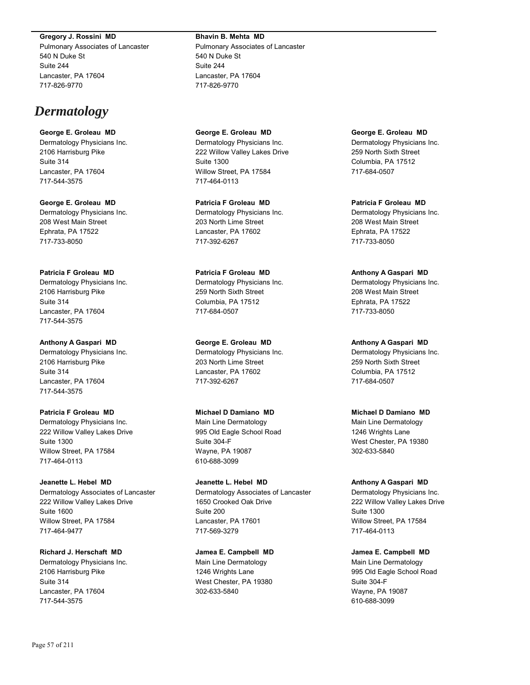#### **Gregory J. Rossini MD**

Pulmonary Associates of Lancaster 540 N Duke St Suite 244 Lancaster, PA 17604 717-826-9770

# *Dermatology*

# **George E. Groleau MD**

Dermatology Physicians Inc. 2106 Harrisburg Pike Suite 314 Lancaster, PA 17604 717-544-3575

**George E. Groleau MD** Dermatology Physicians Inc. 208 West Main Street Ephrata, PA 17522 717-733-8050

**Patricia F Groleau MD** Dermatology Physicians Inc. 2106 Harrisburg Pike Suite 314 Lancaster, PA 17604

#### **Anthony A Gaspari MD**

717-544-3575

Dermatology Physicians Inc. 2106 Harrisburg Pike Suite 314 Lancaster, PA 17604 717-544-3575

**Patricia F Groleau MD**

Dermatology Physicians Inc. 222 Willow Valley Lakes Drive Suite 1300 Willow Street, PA 17584 717-464-0113

**Jeanette L. Hebel MD**

Dermatology Associates of Lancaster 222 Willow Valley Lakes Drive Suite 1600 Willow Street, PA 17584 717-464-9477

**Richard J. Herschaft MD** Dermatology Physicians Inc. 2106 Harrisburg Pike Suite 314 Lancaster, PA 17604 717-544-3575

**Bhavin B. Mehta MD** Pulmonary Associates of Lancaster 540 N Duke St Suite 244 Lancaster, PA 17604

717-826-9770

**George E. Groleau MD** Dermatology Physicians Inc. 222 Willow Valley Lakes Drive Suite 1300 Willow Street, PA 17584 717-464-0113

**Patricia F Groleau MD** Dermatology Physicians Inc. 203 North Lime Street Lancaster, PA 17602 717-392-6267

**Patricia F Groleau MD** Dermatology Physicians Inc. 259 North Sixth Street Columbia, PA 17512 717-684-0507

**George E. Groleau MD**

Dermatology Physicians Inc. 203 North Lime Street Lancaster, PA 17602 717-392-6267

**Michael D Damiano MD**

Main Line Dermatology 995 Old Eagle School Road Suite 304-F Wayne, PA 19087 610-688-3099

**Jeanette L. Hebel MD** Dermatology Associates of Lancaster 1650 Crooked Oak Drive Suite 200 Lancaster, PA 17601 717-569-3279

**Jamea E. Campbell MD** Main Line Dermatology 1246 Wrights Lane West Chester, PA 19380 302-633-5840

**George E. Groleau MD** Dermatology Physicians Inc. 259 North Sixth Street Columbia, PA 17512 717-684-0507

**Patricia F Groleau MD** Dermatology Physicians Inc. 208 West Main Street Ephrata, PA 17522 717-733-8050

**Anthony A Gaspari MD** Dermatology Physicians Inc. 208 West Main Street Ephrata, PA 17522 717-733-8050

**Anthony A Gaspari MD** Dermatology Physicians Inc. 259 North Sixth Street Columbia, PA 17512

**Michael D Damiano MD**

717-684-0507

Main Line Dermatology 1246 Wrights Lane West Chester, PA 19380 302-633-5840

**Anthony A Gaspari MD**

Dermatology Physicians Inc. 222 Willow Valley Lakes Drive Suite 1300 Willow Street, PA 17584 717-464-0113

**Jamea E. Campbell MD** Main Line Dermatology 995 Old Eagle School Road Suite 304-F Wayne, PA 19087 610-688-3099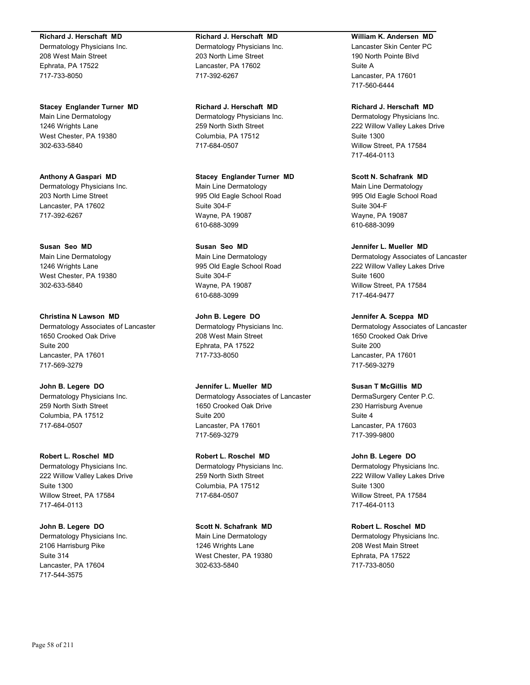#### **Richard J. Herschaft MD**

Dermatology Physicians Inc. 208 West Main Street Ephrata, PA 17522 717-733-8050

**Stacey Englander Turner MD** Main Line Dermatology 1246 Wrights Lane West Chester, PA 19380 302-633-5840

**Anthony A Gaspari MD** Dermatology Physicians Inc. 203 North Lime Street Lancaster, PA 17602 717-392-6267

**Susan Seo MD** Main Line Dermatology 1246 Wrights Lane West Chester, PA 19380 302-633-5840

**Christina N Lawson MD** Dermatology Associates of Lancaster 1650 Crooked Oak Drive Suite 200 Lancaster, PA 17601 717-569-3279

**John B. Legere DO** Dermatology Physicians Inc. 259 North Sixth Street Columbia, PA 17512 717-684-0507

**Robert L. Roschel MD** Dermatology Physicians Inc. 222 Willow Valley Lakes Drive Suite 1300 Willow Street, PA 17584 717-464-0113

**John B. Legere DO** Dermatology Physicians Inc. 2106 Harrisburg Pike Suite 314 Lancaster, PA 17604 717-544-3575

**Richard J. Herschaft MD** Dermatology Physicians Inc. 203 North Lime Street Lancaster, PA 17602 717-392-6267

**Richard J. Herschaft MD** Dermatology Physicians Inc. 259 North Sixth Street Columbia, PA 17512 717-684-0507

**Stacey Englander Turner MD** Main Line Dermatology 995 Old Eagle School Road Suite 304-F Wayne, PA 19087 610-688-3099

**Susan Seo MD** Main Line Dermatology 995 Old Eagle School Road Suite 304-F Wayne, PA 19087 610-688-3099

**John B. Legere DO** Dermatology Physicians Inc. 208 West Main Street Ephrata, PA 17522 717-733-8050

**Jennifer L. Mueller MD** Dermatology Associates of Lancaster 1650 Crooked Oak Drive Suite 200 Lancaster, PA 17601 717-569-3279

**Robert L. Roschel MD** Dermatology Physicians Inc. 259 North Sixth Street Columbia, PA 17512 717-684-0507

**Scott N. Schafrank MD** Main Line Dermatology 1246 Wrights Lane West Chester, PA 19380 302-633-5840

**William K. Andersen MD**

Lancaster Skin Center PC 190 North Pointe Blvd Suite A Lancaster, PA 17601 717-560-6444

**Richard J. Herschaft MD** Dermatology Physicians Inc. 222 Willow Valley Lakes Drive Suite 1300 Willow Street, PA 17584

717-464-0113

**Scott N. Schafrank MD** Main Line Dermatology 995 Old Eagle School Road Suite 304-F Wayne, PA 19087 610-688-3099

**Jennifer L. Mueller MD** Dermatology Associates of Lancaster 222 Willow Valley Lakes Drive Suite 1600 Willow Street, PA 17584 717-464-9477

**Jennifer A. Sceppa MD** Dermatology Associates of Lancaster 1650 Crooked Oak Drive Suite 200 Lancaster, PA 17601 717-569-3279

**Susan T McGillis MD** DermaSurgery Center P.C. 230 Harrisburg Avenue Suite 4 Lancaster, PA 17603 717-399-9800

**John B. Legere DO** Dermatology Physicians Inc. 222 Willow Valley Lakes Drive Suite 1300 Willow Street, PA 17584 717-464-0113

**Robert L. Roschel MD** Dermatology Physicians Inc. 208 West Main Street Ephrata, PA 17522 717-733-8050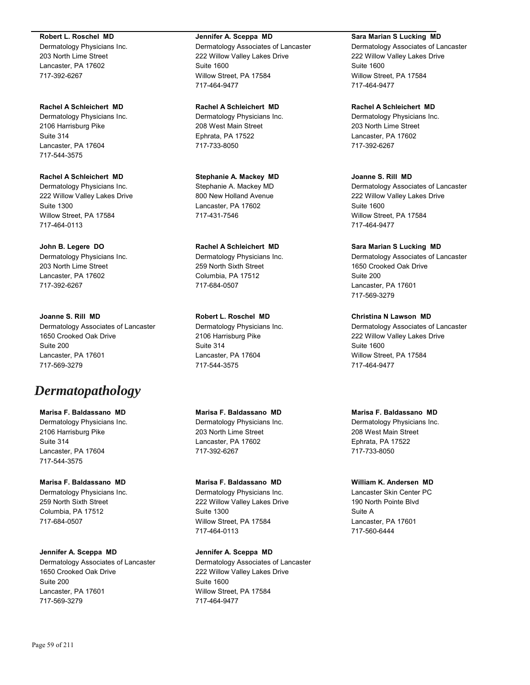#### **Robert L. Roschel MD**

Dermatology Physicians Inc. 203 North Lime Street Lancaster, PA 17602 717-392-6267

**Rachel A Schleichert MD** Dermatology Physicians Inc. 2106 Harrisburg Pike Suite 314 Lancaster, PA 17604 717-544-3575

**Rachel A Schleichert MD** Dermatology Physicians Inc. 222 Willow Valley Lakes Drive Suite 1300 Willow Street, PA 17584 717-464-0113

**John B. Legere DO** Dermatology Physicians Inc. 203 North Lime Street Lancaster, PA 17602 717-392-6267

**Joanne S. Rill MD** Dermatology Associates of Lancaster 1650 Crooked Oak Drive Suite 200 Lancaster, PA 17601 717-569-3279

# *Dermatopathology*

**Marisa F. Baldassano MD** Dermatology Physicians Inc. 2106 Harrisburg Pike Suite 314 Lancaster, PA 17604 717-544-3575

**Marisa F. Baldassano MD** Dermatology Physicians Inc. 259 North Sixth Street Columbia, PA 17512 717-684-0507

**Jennifer A. Sceppa MD** Dermatology Associates of Lancaster 1650 Crooked Oak Drive Suite 200 Lancaster, PA 17601 717-569-3279

#### **Jennifer A. Sceppa MD**

Dermatology Associates of Lancaster 222 Willow Valley Lakes Drive Suite 1600 Willow Street, PA 17584 717-464-9477

**Rachel A Schleichert MD** Dermatology Physicians Inc.

208 West Main Street Ephrata, PA 17522 717-733-8050

**Stephanie A. Mackey MD** Stephanie A. Mackey MD 800 New Holland Avenue Lancaster, PA 17602 717-431-7546

**Rachel A Schleichert MD** Dermatology Physicians Inc. 259 North Sixth Street Columbia, PA 17512 717-684-0507

**Robert L. Roschel MD** Dermatology Physicians Inc. 2106 Harrisburg Pike Suite 314 Lancaster, PA 17604 717-544-3575

**Marisa F. Baldassano MD** Dermatology Physicians Inc. 203 North Lime Street Lancaster, PA 17602 717-392-6267

**Marisa F. Baldassano MD** Dermatology Physicians Inc. 222 Willow Valley Lakes Drive Suite 1300 Willow Street, PA 17584 717-464-0113

**Jennifer A. Sceppa MD** Dermatology Associates of Lancaster 222 Willow Valley Lakes Drive Suite 1600 Willow Street, PA 17584 717-464-9477

#### **Sara Marian S Lucking MD**

Dermatology Associates of Lancaster 222 Willow Valley Lakes Drive Suite 1600 Willow Street, PA 17584 717-464-9477

**Rachel A Schleichert MD**

Dermatology Physicians Inc. 203 North Lime Street Lancaster, PA 17602 717-392-6267

**Joanne S. Rill MD** Dermatology Associates of Lancaster 222 Willow Valley Lakes Drive Suite 1600 Willow Street, PA 17584 717-464-9477

**Sara Marian S Lucking MD** Dermatology Associates of Lancaster 1650 Crooked Oak Drive Suite 200 Lancaster, PA 17601 717-569-3279

**Christina N Lawson MD** Dermatology Associates of Lancaster 222 Willow Valley Lakes Drive Suite 1600 Willow Street, PA 17584 717-464-9477

**Marisa F. Baldassano MD** Dermatology Physicians Inc. 208 West Main Street Ephrata, PA 17522 717-733-8050

**William K. Andersen MD** Lancaster Skin Center PC 190 North Pointe Blvd Suite A Lancaster, PA 17601 717-560-6444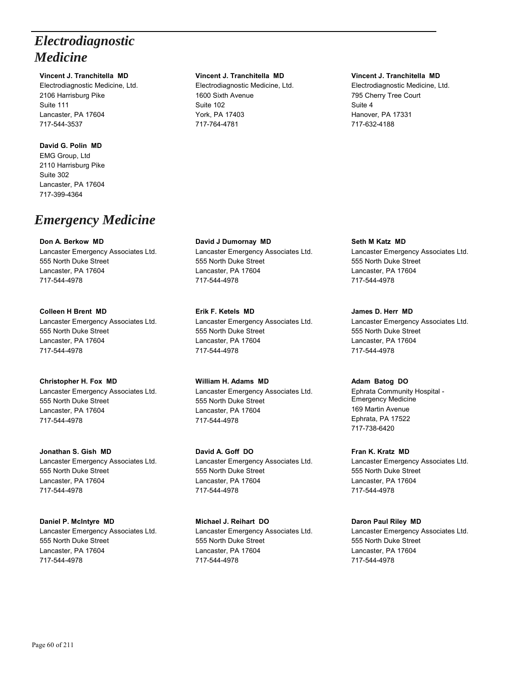# *Electrodiagnostic Medicine*

## **Vincent J. Tranchitella MD**

Electrodiagnostic Medicine, Ltd. 2106 Harrisburg Pike Suite 111 Lancaster, PA 17604 717-544-3537

## **David G. Polin MD**

EMG Group, Ltd 2110 Harrisburg Pike Suite 302 Lancaster, PA 17604 717-399-4364

# *Emergency Medicine*

## **Don A. Berkow MD**

Lancaster Emergency Associates Ltd. 555 North Duke Street Lancaster, PA 17604 717-544-4978

## **Colleen H Brent MD**

Lancaster Emergency Associates Ltd. 555 North Duke Street Lancaster, PA 17604 717-544-4978

## **Christopher H. Fox MD**

Lancaster Emergency Associates Ltd. 555 North Duke Street Lancaster, PA 17604 717-544-4978

**Jonathan S. Gish MD** Lancaster Emergency Associates Ltd. 555 North Duke Street Lancaster, PA 17604 717-544-4978

**Daniel P. McIntyre MD** Lancaster Emergency Associates Ltd. 555 North Duke Street Lancaster, PA 17604 717-544-4978

## **Vincent J. Tranchitella MD**

Electrodiagnostic Medicine, Ltd. 1600 Sixth Avenue Suite 102 York, PA 17403 717-764-4781

**David J Dumornay MD** Lancaster Emergency Associates Ltd. 555 North Duke Street Lancaster, PA 17604 717-544-4978

**Erik F. Ketels MD** Lancaster Emergency Associates Ltd. 555 North Duke Street Lancaster, PA 17604 717-544-4978

**William H. Adams MD** Lancaster Emergency Associates Ltd. 555 North Duke Street Lancaster, PA 17604 717-544-4978

**David A. Goff DO** Lancaster Emergency Associates Ltd. 555 North Duke Street Lancaster, PA 17604 717-544-4978

**Michael J. Reihart DO** Lancaster Emergency Associates Ltd. 555 North Duke Street Lancaster, PA 17604 717-544-4978

## **Vincent J. Tranchitella MD**

Electrodiagnostic Medicine, Ltd. 795 Cherry Tree Court Suite 4 Hanover, PA 17331 717-632-4188

**Seth M Katz MD** Lancaster Emergency Associates Ltd. 555 North Duke Street Lancaster, PA 17604 717-544-4978

**James D. Herr MD** Lancaster Emergency Associates Ltd. 555 North Duke Street Lancaster, PA 17604 717-544-4978

## **Adam Batog DO**

Ephrata Community Hospital - Emergency Medicine 169 Martin Avenue Ephrata, PA 17522 717-738-6420

**Fran K. Kratz MD** Lancaster Emergency Associates Ltd. 555 North Duke Street Lancaster, PA 17604 717-544-4978

# **Daron Paul Riley MD**

Lancaster Emergency Associates Ltd. 555 North Duke Street Lancaster, PA 17604 717-544-4978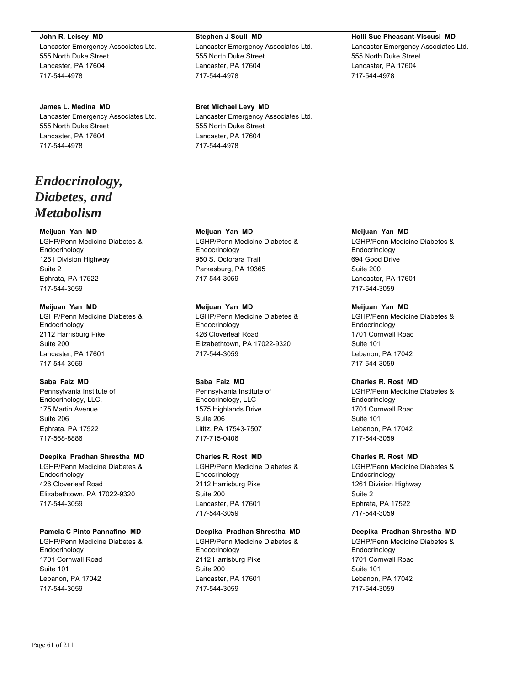**John R. Leisey MD** Lancaster Emergency Associates Ltd. 555 North Duke Street Lancaster, PA 17604 717-544-4978

**James L. Medina MD** Lancaster Emergency Associates Ltd. 555 North Duke Street Lancaster, PA 17604 717-544-4978

# *Endocrinology, Diabetes, and Metabolism*

## **Meijuan Yan MD**

LGHP/Penn Medicine Diabetes & Endocrinology 1261 Division Highway Suite 2 Ephrata, PA 17522 717-544-3059

### **Meijuan Yan MD**

LGHP/Penn Medicine Diabetes & Endocrinology 2112 Harrisburg Pike Suite 200 Lancaster, PA 17601 717-544-3059

## **Saba Faiz MD**

Pennsylvania Institute of Endocrinology, LLC. 175 Martin Avenue Suite 206 Ephrata, PA 17522 717-568-8886

## **Deepika Pradhan Shrestha MD**

LGHP/Penn Medicine Diabetes & Endocrinology 426 Cloverleaf Road Elizabethtown, PA 17022-9320 717-544-3059

## **Pamela C Pinto Pannafino MD**

LGHP/Penn Medicine Diabetes & Endocrinology 1701 Cornwall Road Suite 101 Lebanon, PA 17042 717-544-3059

#### **Stephen J Scull MD**

Lancaster Emergency Associates Ltd. 555 North Duke Street Lancaster, PA 17604 717-544-4978

**Bret Michael Levy MD** Lancaster Emergency Associates Ltd. 555 North Duke Street Lancaster, PA 17604 717-544-4978

**Meijuan Yan MD** LGHP/Penn Medicine Diabetes & Endocrinology 950 S. Octorara Trail Parkesburg, PA 19365 717-544-3059

## **Meijuan Yan MD**

LGHP/Penn Medicine Diabetes & Endocrinology 426 Cloverleaf Road Elizabethtown, PA 17022-9320 717-544-3059

#### **Saba Faiz MD**

Pennsylvania Institute of Endocrinology, LLC 1575 Highlands Drive Suite 206 Lititz, PA 17543-7507 717-715-0406

## **Charles R. Rost MD**

LGHP/Penn Medicine Diabetes & Endocrinology 2112 Harrisburg Pike Suite 200 Lancaster, PA 17601 717-544-3059

## **Deepika Pradhan Shrestha MD**

LGHP/Penn Medicine Diabetes & Endocrinology 2112 Harrisburg Pike Suite 200 Lancaster, PA 17601 717-544-3059

#### **Holli Sue Pheasant-Viscusi MD**

Lancaster Emergency Associates Ltd. 555 North Duke Street Lancaster, PA 17604 717-544-4978

**Meijuan Yan MD** LGHP/Penn Medicine Diabetes & Endocrinology 694 Good Drive Suite 200 Lancaster, PA 17601 717-544-3059

### **Meijuan Yan MD**

LGHP/Penn Medicine Diabetes & Endocrinology 1701 Cornwall Road Suite 101 Lebanon, PA 17042 717-544-3059

### **Charles R. Rost MD**

LGHP/Penn Medicine Diabetes & Endocrinology 1701 Cornwall Road Suite 101 Lebanon, PA 17042 717-544-3059

#### **Charles R. Rost MD**

LGHP/Penn Medicine Diabetes & Endocrinology 1261 Division Highway Suite 2 Ephrata, PA 17522 717-544-3059

#### **Deepika Pradhan Shrestha MD**

LGHP/Penn Medicine Diabetes & Endocrinology 1701 Cornwall Road Suite 101 Lebanon, PA 17042 717-544-3059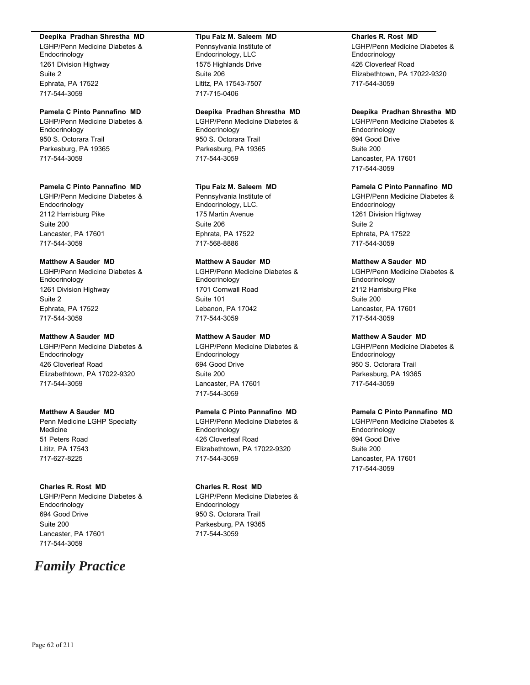#### **Deepika Pradhan Shrestha MD**

LGHP/Penn Medicine Diabetes & Endocrinology 1261 Division Highway Suite 2 Ephrata, PA 17522 717-544-3059

## **Pamela C Pinto Pannafino MD**

LGHP/Penn Medicine Diabetes & Endocrinology 950 S. Octorara Trail Parkesburg, PA 19365 717-544-3059

### **Pamela C Pinto Pannafino MD**

LGHP/Penn Medicine Diabetes & Endocrinology 2112 Harrisburg Pike Suite 200 Lancaster, PA 17601 717-544-3059

### **Matthew A Sauder MD**

LGHP/Penn Medicine Diabetes & Endocrinology 1261 Division Highway Suite 2 Ephrata, PA 17522 717-544-3059

### **Matthew A Sauder MD**

LGHP/Penn Medicine Diabetes & Endocrinology 426 Cloverleaf Road Elizabethtown, PA 17022-9320 717-544-3059

## **Matthew A Sauder MD**

Penn Medicine LGHP Specialty Medicine 51 Peters Road Lititz, PA 17543 717-627-8225

## **Charles R. Rost MD**

LGHP/Penn Medicine Diabetes & Endocrinology 694 Good Drive Suite 200 Lancaster, PA 17601 717-544-3059

# *Family Practice*

#### **Tipu Faiz M. Saleem MD**

Pennsylvania Institute of Endocrinology, LLC 1575 Highlands Drive Suite 206 Lititz, PA 17543-7507 717-715-0406

## **Deepika Pradhan Shrestha MD**

LGHP/Penn Medicine Diabetes & Endocrinology 950 S. Octorara Trail Parkesburg, PA 19365 717-544-3059

## **Tipu Faiz M. Saleem MD**

Pennsylvania Institute of Endocrinology, LLC. 175 Martin Avenue Suite 206 Ephrata, PA 17522 717-568-8886

## **Matthew A Sauder MD**

LGHP/Penn Medicine Diabetes & Endocrinology 1701 Cornwall Road Suite 101 Lebanon, PA 17042 717-544-3059

## **Matthew A Sauder MD**

LGHP/Penn Medicine Diabetes & **Endocrinology** 694 Good Drive Suite 200 Lancaster, PA 17601 717-544-3059

## **Pamela C Pinto Pannafino MD**

LGHP/Penn Medicine Diabetes & Endocrinology 426 Cloverleaf Road Elizabethtown, PA 17022-9320 717-544-3059

#### **Charles R. Rost MD**

LGHP/Penn Medicine Diabetes & Endocrinology 950 S. Octorara Trail Parkesburg, PA 19365 717-544-3059

## **Charles R. Rost MD**

LGHP/Penn Medicine Diabetes & **Endocrinology** 426 Cloverleaf Road Elizabethtown, PA 17022-9320 717-544-3059

#### **Deepika Pradhan Shrestha MD**

LGHP/Penn Medicine Diabetes & Endocrinology 694 Good Drive Suite 200 Lancaster, PA 17601 717-544-3059

## **Pamela C Pinto Pannafino MD**

LGHP/Penn Medicine Diabetes & Endocrinology 1261 Division Highway Suite 2 Ephrata, PA 17522 717-544-3059

## **Matthew A Sauder MD**

LGHP/Penn Medicine Diabetes & Endocrinology 2112 Harrisburg Pike Suite 200 Lancaster, PA 17601 717-544-3059

### **Matthew A Sauder MD**

LGHP/Penn Medicine Diabetes & **Endocrinology** 950 S. Octorara Trail Parkesburg, PA 19365 717-544-3059

## **Pamela C Pinto Pannafino MD**

LGHP/Penn Medicine Diabetes & Endocrinology 694 Good Drive Suite 200 Lancaster, PA 17601 717-544-3059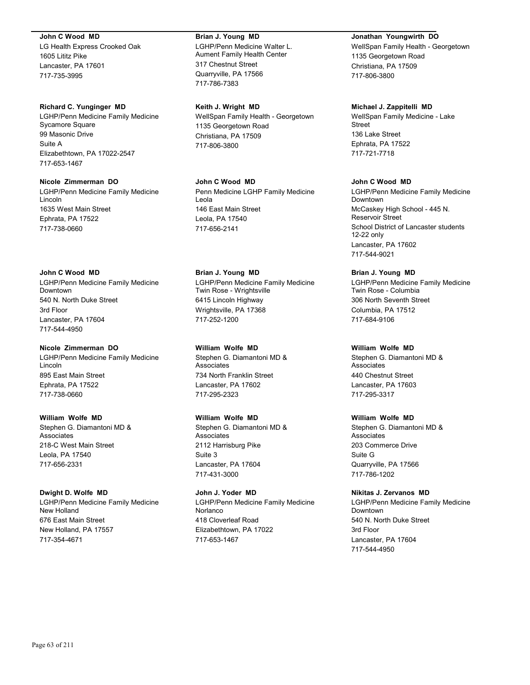#### **John C Wood MD**

LG Health Express Crooked Oak 1605 Lititz Pike Lancaster, PA 17601 717-735-3995

#### **Richard C. Yunginger MD**

LGHP/Penn Medicine Family Medicine Sycamore Square 99 Masonic Drive Suite A Elizabethtown, PA 17022-2547 717-653-1467

#### **Nicole Zimmerman DO**

LGHP/Penn Medicine Family Medicine Lincoln 1635 West Main Street Ephrata, PA 17522 717-738-0660

### **John C Wood MD**

LGHP/Penn Medicine Family Medicine Downtown 540 N. North Duke Street 3rd Floor Lancaster, PA 17604 717-544-4950

## **Nicole Zimmerman DO**

LGHP/Penn Medicine Family Medicine Lincoln 895 East Main Street Ephrata, PA 17522 717-738-0660

#### **William Wolfe MD**

Stephen G. Diamantoni MD & Associates 218-C West Main Street Leola, PA 17540 717-656-2331

#### **Dwight D. Wolfe MD**

LGHP/Penn Medicine Family Medicine New Holland 676 East Main Street New Holland, PA 17557 717-354-4671

#### **Brian J. Young MD**

LGHP/Penn Medicine Walter L. Aument Family Health Center 317 Chestnut Street Quarryville, PA 17566 717-786-7383

#### **Keith J. Wright MD**

WellSpan Family Health - Georgetown 1135 Georgetown Road Christiana, PA 17509 717-806-3800

# **John C Wood MD**

Penn Medicine LGHP Family Medicine Leola 146 East Main Street Leola, PA 17540 717-656-2141

### **Brian J. Young MD**

LGHP/Penn Medicine Family Medicine Twin Rose - Wrightsville 6415 Lincoln Highway Wrightsville, PA 17368 717-252-1200

#### **William Wolfe MD**

Stephen G. Diamantoni MD & Associates 734 North Franklin Street Lancaster, PA 17602 717-295-2323

#### **William Wolfe MD**

Stephen G. Diamantoni MD & Associates 2112 Harrisburg Pike Suite 3 Lancaster, PA 17604 717-431-3000

## **John J. Yoder MD**

LGHP/Penn Medicine Family Medicine Norlanco 418 Cloverleaf Road Elizabethtown, PA 17022 717-653-1467

#### **Jonathan Youngwirth DO**

WellSpan Family Health - Georgetown 1135 Georgetown Road Christiana, PA 17509 717-806-3800

#### **Michael J. Zappitelli MD**

WellSpan Family Medicine - Lake Street 136 Lake Street Ephrata, PA 17522 717-721-7718

## **John C Wood MD**

LGHP/Penn Medicine Family Medicine Downtown McCaskey High School - 445 N. Reservoir Street School District of Lancaster students 12-22 only Lancaster, PA 17602 717-544-9021

## **Brian J. Young MD**

LGHP/Penn Medicine Family Medicine Twin Rose - Columbia 306 North Seventh Street Columbia, PA 17512 717-684-9106

#### **William Wolfe MD**

Stephen G. Diamantoni MD & Associates 440 Chestnut Street Lancaster, PA 17603 717-295-3317

#### **William Wolfe MD**

Stephen G. Diamantoni MD & **Associates** 203 Commerce Drive Suite G Quarryville, PA 17566 717-786-1202

#### **Nikitas J. Zervanos MD**

LGHP/Penn Medicine Family Medicine Downtown 540 N. North Duke Street 3rd Floor Lancaster, PA 17604 717-544-4950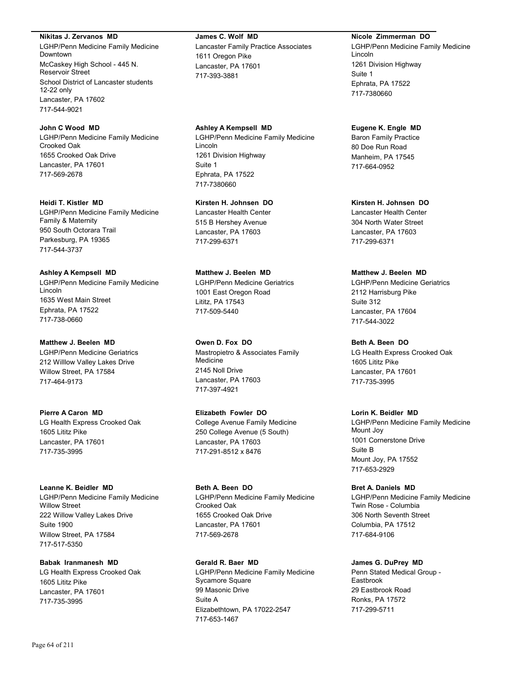**Nikitas J. Zervanos MD**

LGHP/Penn Medicine Family Medicine Downtown McCaskey High School - 445 N. Reservoir Street School District of Lancaster students 12-22 only Lancaster, PA 17602 717-544-9021

**John C Wood MD** LGHP/Penn Medicine Family Medicine Crooked Oak 1655 Crooked Oak Drive Lancaster, PA 17601 717-569-2678

**Heidi T. Kistler MD** LGHP/Penn Medicine Family Medicine Family & Maternity 950 South Octorara Trail Parkesburg, PA 19365 717-544-3737

**Ashley A Kempsell MD** LGHP/Penn Medicine Family Medicine Lincoln 1635 West Main Street Ephrata, PA 17522 717-738-0660

**Matthew J. Beelen MD** LGHP/Penn Medicine Geriatrics 212 Willlow Valley Lakes Drive Willow Street, PA 17584 717-464-9173

**Pierre A Caron MD** LG Health Express Crooked Oak 1605 Lititz Pike Lancaster, PA 17601 717-735-3995

**Leanne K. Beidler MD** LGHP/Penn Medicine Family Medicine Willow Street 222 Willow Valley Lakes Drive Suite 1900 Willow Street, PA 17584 717-517-5350

**Babak Iranmanesh MD** LG Health Express Crooked Oak 1605 Lititz Pike Lancaster, PA 17601 717-735-3995

**James C. Wolf MD** Lancaster Family Practice Associates 1611 Oregon Pike Lancaster, PA 17601 717-393-3881

**Ashley A Kempsell MD** LGHP/Penn Medicine Family Medicine Lincoln 1261 Division Highway Suite 1 Ephrata, PA 17522 717-7380660

**Kirsten H. Johnsen DO** Lancaster Health Center 515 B Hershey Avenue Lancaster, PA 17603 717-299-6371

**Matthew J. Beelen MD** LGHP/Penn Medicine Geriatrics 1001 East Oregon Road Lititz, PA 17543 717-509-5440

**Owen D. Fox DO** Mastropietro & Associates Family Medicine 2145 Noll Drive Lancaster, PA 17603 717-397-4921

**Elizabeth Fowler DO** College Avenue Family Medicine 250 College Avenue (5 South) Lancaster, PA 17603 717-291-8512 x 8476

**Beth A. Been DO** LGHP/Penn Medicine Family Medicine Crooked Oak 1655 Crooked Oak Drive Lancaster, PA 17601 717-569-2678

**Gerald R. Baer MD** LGHP/Penn Medicine Family Medicine Sycamore Square 99 Masonic Drive Suite A Elizabethtown, PA 17022-2547 717-653-1467

**Nicole Zimmerman DO**

LGHP/Penn Medicine Family Medicine Lincoln 1261 Division Highway Suite 1 Ephrata, PA 17522 717-7380660

**Eugene K. Engle MD** Baron Family Practice 80 Doe Run Road Manheim, PA 17545 717-664-0952

**Kirsten H. Johnsen DO** Lancaster Health Center 304 North Water Street Lancaster, PA 17603 717-299-6371

# **Matthew J. Beelen MD**

LGHP/Penn Medicine Geriatrics 2112 Harrisburg Pike Suite 312 Lancaster, PA 17604 717-544-3022

**Beth A. Been DO**

LG Health Express Crooked Oak 1605 Lititz Pike Lancaster, PA 17601 717-735-3995

## **Lorin K. Beidler MD**

LGHP/Penn Medicine Family Medicine Mount Joy 1001 Cornerstone Drive Suite B Mount Joy, PA 17552 717-653-2929

**Bret A. Daniels MD** LGHP/Penn Medicine Family Medicine Twin Rose - Columbia 306 North Seventh Street Columbia, PA 17512 717-684-9106

## **James G. DuPrey MD**

Penn Stated Medical Group - Eastbrook 29 Eastbrook Road Ronks, PA 17572 717-299-5711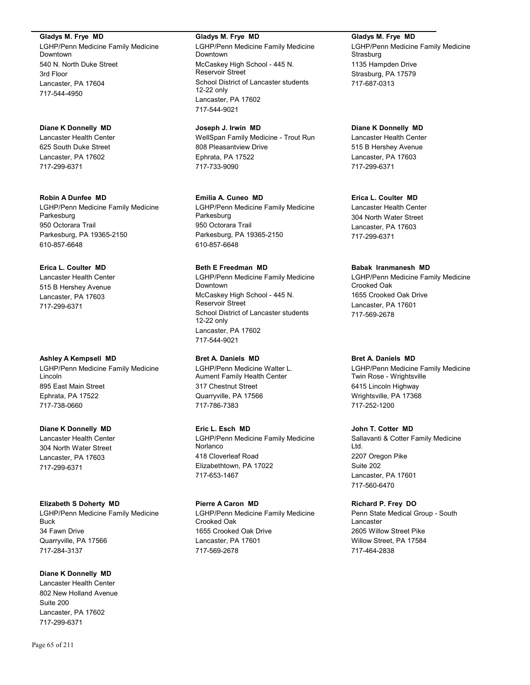**Gladys M. Frye MD**

LGHP/Penn Medicine Family Medicine Downtown 540 N. North Duke Street 3rd Floor Lancaster, PA 17604 717-544-4950

## **Diane K Donnelly MD**

Lancaster Health Center 625 South Duke Street Lancaster, PA 17602 717-299-6371

### **Robin A Dunfee MD**

LGHP/Penn Medicine Family Medicine Parkesburg 950 Octorara Trail Parkesburg, PA 19365-2150 610-857-6648

## **Erica L. Coulter MD**

Lancaster Health Center 515 B Hershey Avenue Lancaster, PA 17603 717-299-6371

#### **Ashley A Kempsell MD**

LGHP/Penn Medicine Family Medicine Lincoln 895 East Main Street Ephrata, PA 17522 717-738-0660

## **Diane K Donnelly MD**

Lancaster Health Center 304 North Water Street Lancaster, PA 17603 717-299-6371

## **Elizabeth S Doherty MD**

LGHP/Penn Medicine Family Medicine Buck 34 Fawn Drive Quarryville, PA 17566 717-284-3137

## **Diane K Donnelly MD**

Lancaster Health Center 802 New Holland Avenue Suite 200 Lancaster, PA 17602 717-299-6371

#### **Gladys M. Frye MD**

LGHP/Penn Medicine Family Medicine Downtown McCaskey High School - 445 N. Reservoir Street School District of Lancaster students 12-22 only Lancaster, PA 17602 717-544-9021

## **Joseph J. Irwin MD**

WellSpan Family Medicine - Trout Run 808 Pleasantview Drive Ephrata, PA 17522 717-733-9090

## **Emilia A. Cuneo MD**

LGHP/Penn Medicine Family Medicine Parkesburg 950 Octorara Trail Parkesburg, PA 19365-2150 610-857-6648

## **Beth E Freedman MD**

LGHP/Penn Medicine Family Medicine Downtown McCaskey High School - 445 N. Reservoir Street School District of Lancaster students 12-22 only Lancaster, PA 17602 717-544-9021

## **Bret A. Daniels MD**

LGHP/Penn Medicine Walter L. Aument Family Health Center 317 Chestnut Street Quarryville, PA 17566 717-786-7383

#### **Eric L. Esch MD**

LGHP/Penn Medicine Family Medicine Norlanco 418 Cloverleaf Road Elizabethtown, PA 17022 717-653-1467

## **Pierre A Caron MD**

LGHP/Penn Medicine Family Medicine Crooked Oak 1655 Crooked Oak Drive Lancaster, PA 17601 717-569-2678

## **Gladys M. Frye MD**

LGHP/Penn Medicine Family Medicine **Strasburg** 1135 Hampden Drive Strasburg, PA 17579 717-687-0313

# **Diane K Donnelly MD**

Lancaster Health Center 515 B Hershey Avenue Lancaster, PA 17603 717-299-6371

## **Erica L. Coulter MD**

Lancaster Health Center 304 North Water Street Lancaster, PA 17603 717-299-6371

### **Babak Iranmanesh MD**

LGHP/Penn Medicine Family Medicine Crooked Oak 1655 Crooked Oak Drive Lancaster, PA 17601 717-569-2678

#### **Bret A. Daniels MD**

LGHP/Penn Medicine Family Medicine Twin Rose - Wrightsville 6415 Lincoln Highway Wrightsville, PA 17368 717-252-1200

## **John T. Cotter MD**

Sallavanti & Cotter Family Medicine Ltd. 2207 Oregon Pike Suite 202 Lancaster, PA 17601 717-560-6470

## **Richard P. Frey DO**

Penn State Medical Group - South Lancaster 2605 Willow Street Pike Willow Street, PA 17584 717-464-2838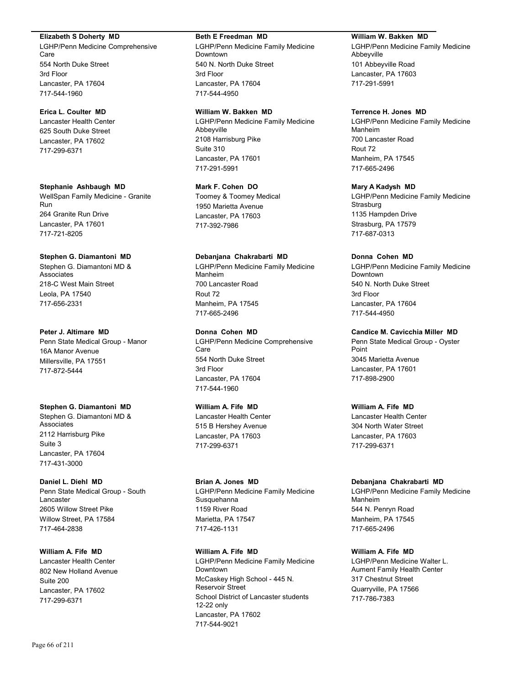#### **Elizabeth S Doherty MD**

LGHP/Penn Medicine Comprehensive Care 554 North Duke Street 3rd Floor Lancaster, PA 17604 717-544-1960

## **Erica L. Coulter MD**

Lancaster Health Center 625 South Duke Street Lancaster, PA 17602 717-299-6371

#### **Stephanie Ashbaugh MD**

WellSpan Family Medicine - Granite Run 264 Granite Run Drive Lancaster, PA 17601 717-721-8205

### **Stephen G. Diamantoni MD**

Stephen G. Diamantoni MD & Associates 218-C West Main Street Leola, PA 17540 717-656-2331

#### **Peter J. Altimare MD**

Penn State Medical Group - Manor 16A Manor Avenue Millersville, PA 17551 717-872-5444

#### **Stephen G. Diamantoni MD**

Stephen G. Diamantoni MD & Associates 2112 Harrisburg Pike Suite 3 Lancaster, PA 17604 717-431-3000

## **Daniel L. Diehl MD**

Penn State Medical Group - South Lancaster 2605 Willow Street Pike Willow Street, PA 17584 717-464-2838

## **William A. Fife MD**

Lancaster Health Center 802 New Holland Avenue Suite 200 Lancaster, PA 17602 717-299-6371

#### **Beth E Freedman MD**

LGHP/Penn Medicine Family Medicine Downtown 540 N. North Duke Street 3rd Floor Lancaster, PA 17604 717-544-4950

#### **William W. Bakken MD**

LGHP/Penn Medicine Family Medicine Abbeyville 2108 Harrisburg Pike Suite 310 Lancaster, PA 17601 717-291-5991

### **Mark F. Cohen DO**

Toomey & Toomey Medical 1950 Marietta Avenue Lancaster, PA 17603 717-392-7986

### **Debanjana Chakrabarti MD**

LGHP/Penn Medicine Family Medicine Manheim 700 Lancaster Road Rout 72 Manheim, PA 17545 717-665-2496

### **Donna Cohen MD**

LGHP/Penn Medicine Comprehensive Care 554 North Duke Street 3rd Floor Lancaster, PA 17604 717-544-1960

## **William A. Fife MD**

Lancaster Health Center 515 B Hershey Avenue Lancaster, PA 17603 717-299-6371

#### **Brian A. Jones MD**

LGHP/Penn Medicine Family Medicine **Susquehanna** 1159 River Road Marietta, PA 17547 717-426-1131

## **William A. Fife MD**

LGHP/Penn Medicine Family Medicine Downtown McCaskey High School - 445 N. Reservoir Street School District of Lancaster students 12-22 only Lancaster, PA 17602 717-544-9021

#### **William W. Bakken MD**

LGHP/Penn Medicine Family Medicine Abbeyville 101 Abbeyville Road Lancaster, PA 17603 717-291-5991

#### **Terrence H. Jones MD**

LGHP/Penn Medicine Family Medicine Manheim 700 Lancaster Road Rout 72 Manheim, PA 17545 717-665-2496

#### **Mary A Kadysh MD**

LGHP/Penn Medicine Family Medicine **Strasburg** 1135 Hampden Drive Strasburg, PA 17579 717-687-0313

#### **Donna Cohen MD**

LGHP/Penn Medicine Family Medicine Downtown 540 N. North Duke Street 3rd Floor Lancaster, PA 17604 717-544-4950

#### **Candice M. Cavicchia Miller MD**

Penn State Medical Group - Oyster Point 3045 Marietta Avenue Lancaster, PA 17601 717-898-2900

## **William A. Fife MD**

Lancaster Health Center 304 North Water Street Lancaster, PA 17603 717-299-6371

#### **Debanjana Chakrabarti MD**

LGHP/Penn Medicine Family Medicine Manheim 544 N. Penryn Road Manheim, PA 17545 717-665-2496

## **William A. Fife MD**

LGHP/Penn Medicine Walter L. Aument Family Health Center 317 Chestnut Street Quarryville, PA 17566 717-786-7383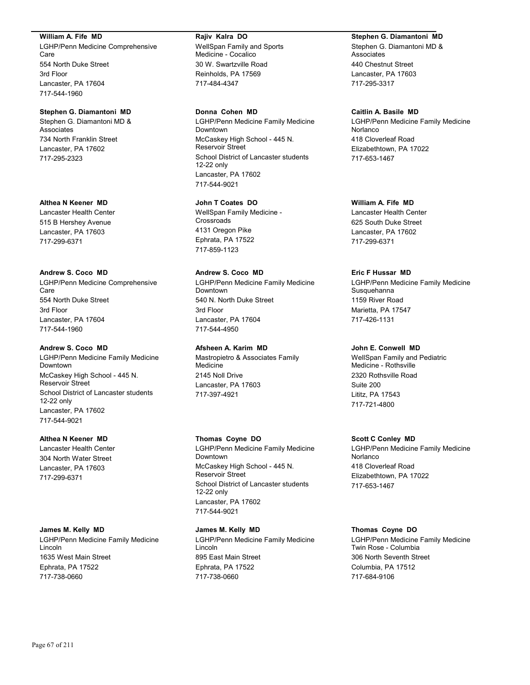#### **William A. Fife MD**

LGHP/Penn Medicine Comprehensive Care 554 North Duke Street 3rd Floor Lancaster, PA 17604 717-544-1960

## **Stephen G. Diamantoni MD**

Stephen G. Diamantoni MD & Associates 734 North Franklin Street Lancaster, PA 17602 717-295-2323

#### **Althea N Keener MD**

Lancaster Health Center 515 B Hershey Avenue Lancaster, PA 17603 717-299-6371

## **Andrew S. Coco MD**

LGHP/Penn Medicine Comprehensive Care 554 North Duke Street 3rd Floor Lancaster, PA 17604 717-544-1960

### **Andrew S. Coco MD**

LGHP/Penn Medicine Family Medicine Downtown McCaskey High School - 445 N. Reservoir Street School District of Lancaster students 12-22 only Lancaster, PA 17602 717-544-9021

## **Althea N Keener MD**

Lancaster Health Center 304 North Water Street Lancaster, PA 17603 717-299-6371

#### **James M. Kelly MD**

LGHP/Penn Medicine Family Medicine Lincoln 1635 West Main Street Ephrata, PA 17522 717-738-0660

#### **Rajiv Kalra DO**

WellSpan Family and Sports Medicine - Cocalico 30 W. Swartzville Road Reinholds, PA 17569 717-484-4347

#### **Donna Cohen MD**

LGHP/Penn Medicine Family Medicine Downtown McCaskey High School - 445 N. Reservoir Street School District of Lancaster students 12-22 only Lancaster, PA 17602 717-544-9021

#### **John T Coates DO**

WellSpan Family Medicine - **Crossroads** 4131 Oregon Pike Ephrata, PA 17522 717-859-1123

## **Andrew S. Coco MD**

LGHP/Penn Medicine Family Medicine Downtown 540 N. North Duke Street 3rd Floor Lancaster, PA 17604 717-544-4950

## **Afsheen A. Karim MD**

Mastropietro & Associates Family Medicine 2145 Noll Drive Lancaster, PA 17603 717-397-4921

## **Thomas Coyne DO**

LGHP/Penn Medicine Family Medicine Downtown McCaskey High School - 445 N. Reservoir Street School District of Lancaster students 12-22 only Lancaster, PA 17602 717-544-9021

#### **James M. Kelly MD**

LGHP/Penn Medicine Family Medicine Lincoln 895 East Main Street Ephrata, PA 17522 717-738-0660

#### **Stephen G. Diamantoni MD**

Stephen G. Diamantoni MD & **Associates** 440 Chestnut Street Lancaster, PA 17603 717-295-3317

#### **Caitlin A. Basile MD**

LGHP/Penn Medicine Family Medicine Norlanco 418 Cloverleaf Road Elizabethtown, PA 17022 717-653-1467

#### **William A. Fife MD**

Lancaster Health Center 625 South Duke Street Lancaster, PA 17602 717-299-6371

## **Eric F Hussar MD**

LGHP/Penn Medicine Family Medicine Susquehanna 1159 River Road Marietta, PA 17547 717-426-1131

#### **John E. Conwell MD**

WellSpan Family and Pediatric Medicine - Rothsville 2320 Rothsville Road Suite 200 Lititz, PA 17543 717-721-4800

#### **Scott C Conley MD**

LGHP/Penn Medicine Family Medicine Norlanco 418 Cloverleaf Road Elizabethtown, PA 17022 717-653-1467

#### **Thomas Coyne DO**

LGHP/Penn Medicine Family Medicine Twin Rose - Columbia 306 North Seventh Street Columbia, PA 17512 717-684-9106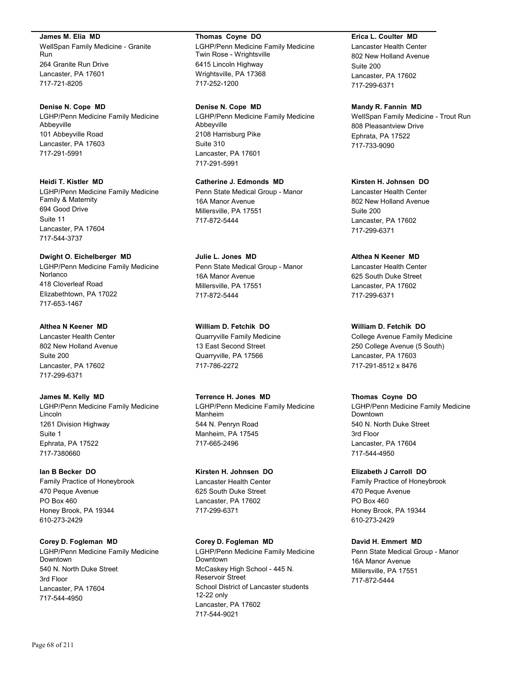**James M. Elia MD**

WellSpan Family Medicine - Granite Run 264 Granite Run Drive Lancaster, PA 17601 717-721-8205

#### **Denise N. Cope MD**

LGHP/Penn Medicine Family Medicine Abbeyville 101 Abbeyville Road Lancaster, PA 17603 717-291-5991

## **Heidi T. Kistler MD**

LGHP/Penn Medicine Family Medicine Family & Maternity 694 Good Drive Suite 11 Lancaster, PA 17604 717-544-3737

#### **Dwight O. Eichelberger MD**

LGHP/Penn Medicine Family Medicine Norlanco 418 Cloverleaf Road Elizabethtown, PA 17022 717-653-1467

### **Althea N Keener MD**

Lancaster Health Center 802 New Holland Avenue Suite 200 Lancaster, PA 17602 717-299-6371

#### **James M. Kelly MD**

LGHP/Penn Medicine Family Medicine Lincoln 1261 Division Highway Suite 1 Ephrata, PA 17522 717-7380660

#### **Ian B Becker DO**

Family Practice of Honeybrook 470 Peque Avenue PO Box 460 Honey Brook, PA 19344 610-273-2429

# **Corey D. Fogleman MD**

LGHP/Penn Medicine Family Medicine Downtown 540 N. North Duke Street 3rd Floor Lancaster, PA 17604 717-544-4950

#### **Thomas Coyne DO**

LGHP/Penn Medicine Family Medicine Twin Rose - Wrightsville 6415 Lincoln Highway Wrightsville, PA 17368 717-252-1200

### **Denise N. Cope MD**

LGHP/Penn Medicine Family Medicine Abbeyville 2108 Harrisburg Pike Suite 310 Lancaster, PA 17601 717-291-5991

## **Catherine J. Edmonds MD**

Penn State Medical Group - Manor 16A Manor Avenue Millersville, PA 17551 717-872-5444

## **Julie L. Jones MD** Penn State Medical Group - Manor 16A Manor Avenue Millersville, PA 17551 717-872-5444

**William D. Fetchik DO** Quarryville Family Medicine 13 East Second Street Quarryville, PA 17566 717-786-2272

## **Terrence H. Jones MD**

LGHP/Penn Medicine Family Medicine Manheim 544 N. Penryn Road Manheim, PA 17545 717-665-2496

## **Kirsten H. Johnsen DO**

Lancaster Health Center 625 South Duke Street Lancaster, PA 17602 717-299-6371

## **Corey D. Fogleman MD**

LGHP/Penn Medicine Family Medicine Downtown McCaskey High School - 445 N. Reservoir Street School District of Lancaster students 12-22 only Lancaster, PA 17602 717-544-9021

## **Erica L. Coulter MD**

Lancaster Health Center 802 New Holland Avenue Suite 200 Lancaster, PA 17602 717-299-6371

#### **Mandy R. Fannin MD**

WellSpan Family Medicine - Trout Run 808 Pleasantview Drive Ephrata, PA 17522 717-733-9090

# **Kirsten H. Johnsen DO** Lancaster Health Center

802 New Holland Avenue Suite 200 Lancaster, PA 17602 717-299-6371

### **Althea N Keener MD**

Lancaster Health Center 625 South Duke Street Lancaster, PA 17602 717-299-6371

# **William D. Fetchik DO**

College Avenue Family Medicine 250 College Avenue (5 South) Lancaster, PA 17603 717-291-8512 x 8476

#### **Thomas Coyne DO**

LGHP/Penn Medicine Family Medicine Downtown 540 N. North Duke Street 3rd Floor Lancaster, PA 17604 717-544-4950

## **Elizabeth J Carroll DO**

Family Practice of Honeybrook 470 Peque Avenue PO Box 460 Honey Brook, PA 19344 610-273-2429

#### **David H. Emmert MD**

Penn State Medical Group - Manor 16A Manor Avenue Millersville, PA 17551 717-872-5444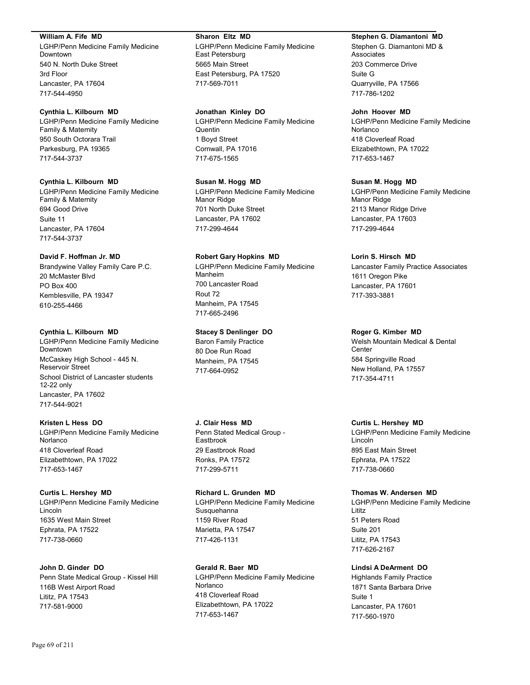#### **William A. Fife MD**

LGHP/Penn Medicine Family Medicine Downtown 540 N. North Duke Street 3rd Floor Lancaster, PA 17604 717-544-4950

#### **Cynthia L. Kilbourn MD**

LGHP/Penn Medicine Family Medicine Family & Maternity 950 South Octorara Trail Parkesburg, PA 19365 717-544-3737

### **Cynthia L. Kilbourn MD**

LGHP/Penn Medicine Family Medicine Family & Maternity 694 Good Drive Suite 11 Lancaster, PA 17604 717-544-3737

## **David F. Hoffman Jr. MD**

Brandywine Valley Family Care P.C. 20 McMaster Blvd PO Box 400 Kemblesville, PA 19347 610-255-4466

#### **Cynthia L. Kilbourn MD**

LGHP/Penn Medicine Family Medicine Downtown McCaskey High School - 445 N. Reservoir Street School District of Lancaster students 12-22 only Lancaster, PA 17602 717-544-9021

#### **Kristen L Hess DO**

LGHP/Penn Medicine Family Medicine Norlanco 418 Cloverleaf Road Elizabethtown, PA 17022 717-653-1467

#### **Curtis L. Hershey MD**

LGHP/Penn Medicine Family Medicine Lincoln 1635 West Main Street Ephrata, PA 17522 717-738-0660

#### **John D. Ginder DO**

Penn State Medical Group - Kissel Hill 116B West Airport Road Lititz, PA 17543 717-581-9000

#### **Sharon Eltz MD**

LGHP/Penn Medicine Family Medicine East Petersburg 5665 Main Street East Petersburg, PA 17520 717-569-7011

#### **Jonathan Kinley DO**

LGHP/Penn Medicine Family Medicine Quentin 1 Boyd Street Cornwall, PA 17016 717-675-1565

#### **Susan M. Hogg MD**

LGHP/Penn Medicine Family Medicine Manor Ridge 701 North Duke Street Lancaster, PA 17602 717-299-4644

### **Robert Gary Hopkins MD**

LGHP/Penn Medicine Family Medicine Manheim 700 Lancaster Road Rout 72 Manheim, PA 17545 717-665-2496

#### **Stacey S Denlinger DO**

Baron Family Practice 80 Doe Run Road Manheim, PA 17545 717-664-0952

### **J. Clair Hess MD**

Penn Stated Medical Group - Eastbrook 29 Eastbrook Road Ronks, PA 17572 717-299-5711

#### **Richard L. Grunden MD**

LGHP/Penn Medicine Family Medicine Susquehanna 1159 River Road Marietta, PA 17547 717-426-1131

#### **Gerald R. Baer MD**

LGHP/Penn Medicine Family Medicine Norlanco 418 Cloverleaf Road Elizabethtown, PA 17022 717-653-1467

#### **Stephen G. Diamantoni MD**

Stephen G. Diamantoni MD & **Associates** 203 Commerce Drive Suite G Quarryville, PA 17566 717-786-1202

#### **John Hoover MD**

LGHP/Penn Medicine Family Medicine Norlanco 418 Cloverleaf Road Elizabethtown, PA 17022 717-653-1467

#### **Susan M. Hogg MD**

LGHP/Penn Medicine Family Medicine Manor Ridge 2113 Manor Ridge Drive Lancaster, PA 17603 717-299-4644

#### **Lorin S. Hirsch MD**

Lancaster Family Practice Associates 1611 Oregon Pike Lancaster, PA 17601 717-393-3881

#### **Roger G. Kimber MD**

Welsh Mountain Medical & Dental **Center** 584 Springville Road New Holland, PA 17557 717-354-4711

### **Curtis L. Hershey MD**

LGHP/Penn Medicine Family Medicine Lincoln 895 East Main Street Ephrata, PA 17522 717-738-0660

#### **Thomas W. Andersen MD**

LGHP/Penn Medicine Family Medicine Lititz 51 Peters Road Suite 201 Lititz, PA 17543 717-626-2167

#### **Lindsi A DeArment DO**

Highlands Family Practice 1871 Santa Barbara Drive Suite 1 Lancaster, PA 17601 717-560-1970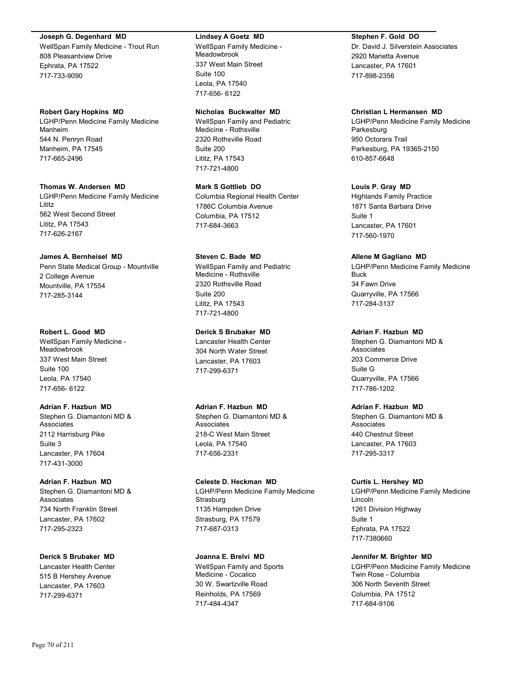#### **Joseph G. Degenhard MD**

WellSpan Family Medicine - Trout Run 808 Pleasantview Drive Ephrata, PA 17522 717-733-9090

#### **Robert Gary Hopkins MD**

LGHP/Penn Medicine Family Medicine Manheim 544 N. Penryn Road Manheim, PA 17545 717-665-2496

**Thomas W. Andersen MD** LGHP/Penn Medicine Family Medicine

Lititz 562 West Second Street Lititz, PA 17543 717-626-2167

### **James A. Bernheisel MD**

Penn State Medical Group - Mountville 2 College Avenue Mountville, PA 17554 717-285-3144

#### **Robert L. Good MD**

WellSpan Family Medicine - Meadowbrook 337 West Main Street Suite 100 Leola, PA 17540 717-656- 6122

## **Adrian F. Hazbun MD**

Stephen G. Diamantoni MD & Associates 2112 Harrisburg Pike Suite 3 Lancaster, PA 17604 717-431-3000

## **Adrian F. Hazbun MD**

Stephen G. Diamantoni MD & Associates 734 North Franklin Street Lancaster, PA 17602 717-295-2323

## **Derick S Brubaker MD**

Lancaster Health Center 515 B Hershey Avenue Lancaster, PA 17603 717-299-6371

#### **Lindsey A Goetz MD**

WellSpan Family Medicine - Meadowbrook 337 West Main Street Suite 100 Leola, PA 17540 717-656- 6122

#### **Nicholas Buckwalter MD**

WellSpan Family and Pediatric Medicine - Rothsville 2320 Rothsville Road Suite 200 Lititz, PA 17543 717-721-4800

**Mark S Gottlieb DO** Columbia Regional Health Center 1786C Columbia Avenue Columbia, PA 17512 717-684-3663

## **Steven C. Bade MD**

WellSpan Family and Pediatric Medicine - Rothsville 2320 Rothsville Road Suite 200 Lititz, PA 17543 717-721-4800

## **Derick S Brubaker MD**

Lancaster Health Center 304 North Water Street Lancaster, PA 17603 717-299-6371

#### **Adrian F. Hazbun MD** Stephen G. Diamantoni MD &

Associates 218-C West Main Street Leola, PA 17540 717-656-2331

#### **Celeste D. Heckman MD** LGHP/Penn Medicine Family Medicine **Strasburg** 1135 Hampden Drive Strasburg, PA 17579 717-687-0313

**Joanna E. Brelvi MD** WellSpan Family and Sports Medicine - Cocalico 30 W. Swartzville Road Reinholds, PA 17569 717-484-4347

### **Stephen F. Gold DO**

Dr. David J. Silverstein Associates 2920 Marietta Avenue Lancaster, PA 17601 717-898-2356

## **Christian L Hermansen MD**

LGHP/Penn Medicine Family Medicine Parkesburg 950 Octorara Trail Parkesburg, PA 19365-2150 610-857-6648

#### **Louis P. Gray MD**

Highlands Family Practice 1871 Santa Barbara Drive Suite 1 Lancaster, PA 17601 717-560-1970

### **Allene M Gagliano MD**

LGHP/Penn Medicine Family Medicine Buck 34 Fawn Drive Quarryville, PA 17566 717-284-3137

### **Adrian F. Hazbun MD**

Stephen G. Diamantoni MD & **Associates** 203 Commerce Drive Suite G Quarryville, PA 17566 717-786-1202

## **Adrian F. Hazbun MD**

Stephen G. Diamantoni MD & Associates 440 Chestnut Street Lancaster, PA 17603 717-295-3317

#### **Curtis L. Hershey MD**

LGHP/Penn Medicine Family Medicine Lincoln 1261 Division Highway Suite 1 Ephrata, PA 17522 717-7380660

#### **Jennifer M. Brighter MD**

LGHP/Penn Medicine Family Medicine Twin Rose - Columbia 306 North Seventh Street Columbia, PA 17512 717-684-9106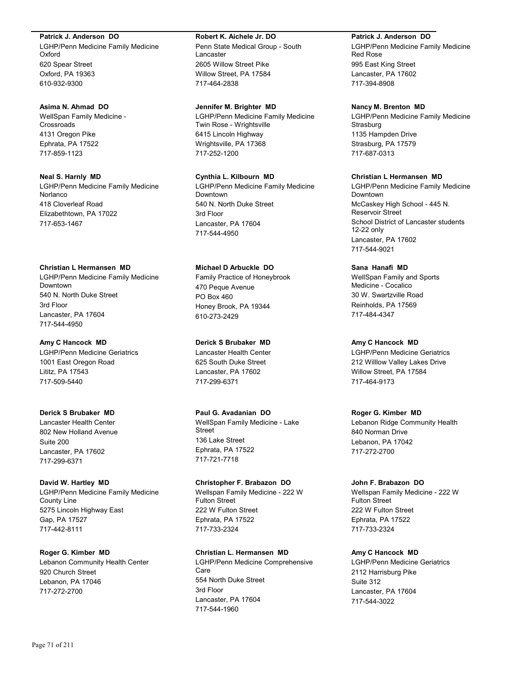#### **Patrick J. Anderson DO**

LGHP/Penn Medicine Family Medicine Oxford 620 Spear Street Oxford, PA 19363 610-932-9300

#### **Asima N. Ahmad DO**

WellSpan Family Medicine - Crossroads 4131 Oregon Pike Ephrata, PA 17522 717-859-1123

## **Neal S. Harnly MD**

LGHP/Penn Medicine Family Medicine Norlanco 418 Cloverleaf Road Elizabethtown, PA 17022 717-653-1467

### **Christian L Hermansen MD**

LGHP/Penn Medicine Family Medicine Downtown 540 N. North Duke Street 3rd Floor Lancaster, PA 17604 717-544-4950

#### **Amy C Hancock MD**

LGHP/Penn Medicine Geriatrics 1001 East Oregon Road Lititz, PA 17543 717-509-5440

### **Derick S Brubaker MD**

Lancaster Health Center 802 New Holland Avenue Suite 200 Lancaster, PA 17602 717-299-6371

## **David W. Hartley MD**

LGHP/Penn Medicine Family Medicine County Line 5275 Lincoln Highway East Gap, PA 17527 717-442-8111

#### **Roger G. Kimber MD**

Lebanon Community Health Center 920 Church Street Lebanon, PA 17046 717-272-2700

#### **Robert K. Aichele Jr. DO**

Penn State Medical Group - South Lancaster 2605 Willow Street Pike Willow Street, PA 17584 717-464-2838

#### **Jennifer M. Brighter MD**

LGHP/Penn Medicine Family Medicine Twin Rose - Wrightsville 6415 Lincoln Highway Wrightsville, PA 17368 717-252-1200

## **Cynthia L. Kilbourn MD**

LGHP/Penn Medicine Family Medicine Downtown 540 N. North Duke Street 3rd Floor Lancaster, PA 17604 717-544-4950

## **Michael D Arbuckle DO**

Family Practice of Honeybrook 470 Peque Avenue PO Box 460 Honey Brook, PA 19344 610-273-2429

## **Derick S Brubaker MD**

Lancaster Health Center 625 South Duke Street Lancaster, PA 17602 717-299-6371

#### **Paul G. Avadanian DO** WellSpan Family Medicine - Lake **Street** 136 Lake Street Ephrata, PA 17522 717-721-7718

#### **Christopher F. Brabazon DO** Wellspan Family Medicine - 222 W Fulton Street 222 W Fulton Street Ephrata, PA 17522 717-733-2324

## **Christian L. Hermansen MD** LGHP/Penn Medicine Comprehensive Care 554 North Duke Street 3rd Floor Lancaster, PA 17604 717-544-1960

#### **Patrick J. Anderson DO**

LGHP/Penn Medicine Family Medicine Red Rose 995 East King Street Lancaster, PA 17602 717-394-8908

#### **Nancy M. Brenton MD**

LGHP/Penn Medicine Family Medicine **Strasburg** 1135 Hampden Drive Strasburg, PA 17579 717-687-0313

## **Christian L Hermansen MD**

LGHP/Penn Medicine Family Medicine Downtown McCaskey High School - 445 N. Reservoir Street School District of Lancaster students 12-22 only Lancaster, PA 17602 717-544-9021

## **Sana Hanafi MD**

WellSpan Family and Sports Medicine - Cocalico 30 W. Swartzville Road Reinholds, PA 17569 717-484-4347

#### **Amy C Hancock MD**

LGHP/Penn Medicine Geriatrics 212 Willlow Valley Lakes Drive Willow Street, PA 17584 717-464-9173

#### **Roger G. Kimber MD**

Lebanon Ridge Community Health 840 Norman Drive Lebanon, PA 17042 717-272-2700

## **John F. Brabazon DO**

Wellspan Family Medicine - 222 W Fulton Street 222 W Fulton Street Ephrata, PA 17522 717-733-2324

### **Amy C Hancock MD**

LGHP/Penn Medicine Geriatrics 2112 Harrisburg Pike Suite 312 Lancaster, PA 17604 717-544-3022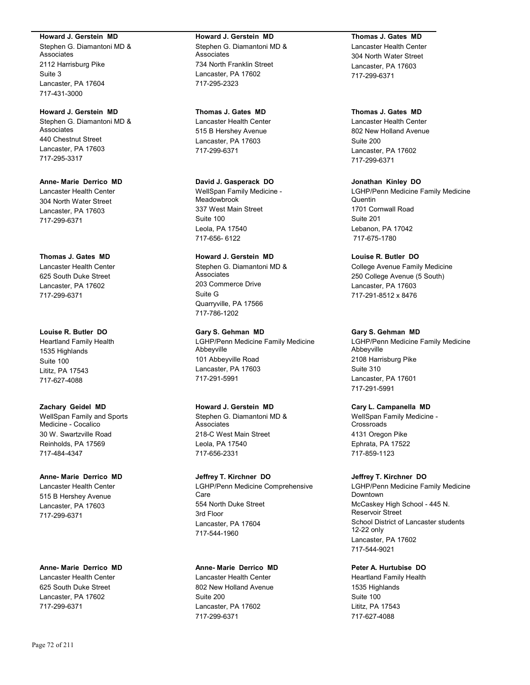#### **Howard J. Gerstein MD**

Stephen G. Diamantoni MD & Associates 2112 Harrisburg Pike Suite 3 Lancaster, PA 17604 717-431-3000

**Howard J. Gerstein MD** Stephen G. Diamantoni MD & Associates

440 Chestnut Street Lancaster, PA 17603 717-295-3317

**Anne- Marie Derrico MD** Lancaster Health Center 304 North Water Street Lancaster, PA 17603 717-299-6371

## **Thomas J. Gates MD**

Lancaster Health Center 625 South Duke Street Lancaster, PA 17602 717-299-6371

### **Louise R. Butler DO**

Heartland Family Health 1535 Highlands Suite 100 Lititz, PA 17543 717-627-4088

## **Zachary Geidel MD**

WellSpan Family and Sports Medicine - Cocalico 30 W. Swartzville Road Reinholds, PA 17569 717-484-4347

## **Anne- Marie Derrico MD**

Lancaster Health Center 515 B Hershey Avenue Lancaster, PA 17603 717-299-6371

#### **Anne- Marie Derrico MD**

Lancaster Health Center 625 South Duke Street Lancaster, PA 17602 717-299-6371

## **Howard J. Gerstein MD** Stephen G. Diamantoni MD &

Associates 734 North Franklin Street Lancaster, PA 17602 717-295-2323

## **Thomas J. Gates MD**

Lancaster Health Center 515 B Hershey Avenue Lancaster, PA 17603 717-299-6371

## **David J. Gasperack DO**

WellSpan Family Medicine - Meadowbrook 337 West Main Street Suite 100 Leola, PA 17540 717-656- 6122

## **Howard J. Gerstein MD**

Stephen G. Diamantoni MD & Associates 203 Commerce Drive Suite G Quarryville, PA 17566 717-786-1202

### **Gary S. Gehman MD**

LGHP/Penn Medicine Family Medicine Abbeyville 101 Abbeyville Road Lancaster, PA 17603 717-291-5991

## **Howard J. Gerstein MD**

Stephen G. Diamantoni MD & Associates 218-C West Main Street Leola, PA 17540 717-656-2331

# **Jeffrey T. Kirchner DO**

LGHP/Penn Medicine Comprehensive Care 554 North Duke Street 3rd Floor Lancaster, PA 17604 717-544-1960

## **Anne- Marie Derrico MD**

Lancaster Health Center 802 New Holland Avenue Suite 200 Lancaster, PA 17602 717-299-6371

## **Thomas J. Gates MD** Lancaster Health Center 304 North Water Street Lancaster, PA 17603 717-299-6371

## **Thomas J. Gates MD**

Lancaster Health Center 802 New Holland Avenue Suite 200 Lancaster, PA 17602 717-299-6371

### **Jonathan Kinley DO**

LGHP/Penn Medicine Family Medicine Quentin 1701 Cornwall Road Suite 201 Lebanon, PA 17042 717-675-1780

## **Louise R. Butler DO**

College Avenue Family Medicine 250 College Avenue (5 South) Lancaster, PA 17603 717-291-8512 x 8476

#### **Gary S. Gehman MD**

LGHP/Penn Medicine Family Medicine Abbeyville 2108 Harrisburg Pike Suite 310 Lancaster, PA 17601 717-291-5991

## **Cary L. Campanella MD**

WellSpan Family Medicine - **Crossroads** 4131 Oregon Pike Ephrata, PA 17522 717-859-1123

#### **Jeffrey T. Kirchner DO**

LGHP/Penn Medicine Family Medicine Downtown McCaskey High School - 445 N. Reservoir Street School District of Lancaster students 12-22 only Lancaster, PA 17602 717-544-9021

## **Peter A. Hurtubise DO**

Heartland Family Health 1535 Highlands Suite 100 Lititz, PA 17543 717-627-4088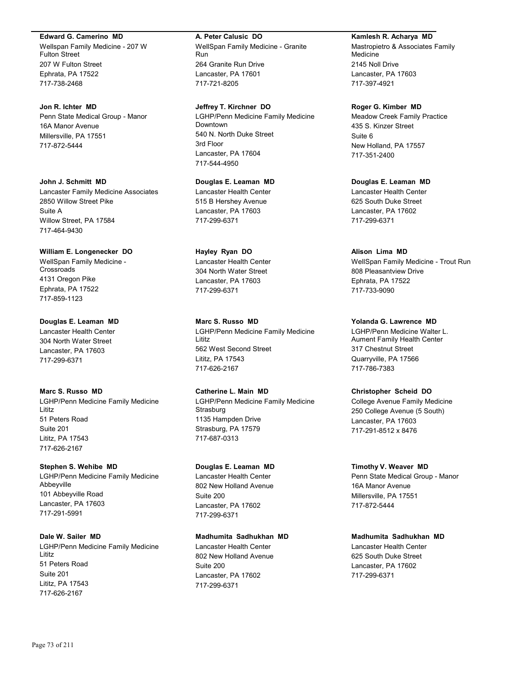#### **Edward G. Camerino MD**

Wellspan Family Medicine - 207 W Fulton Street 207 W Fulton Street Ephrata, PA 17522 717-738-2468

## **Jon R. Ichter MD**

Penn State Medical Group - Manor 16A Manor Avenue Millersville, PA 17551 717-872-5444

# **John J. Schmitt MD**

Lancaster Family Medicine Associates 2850 Willow Street Pike Suite A Willow Street, PA 17584 717-464-9430

## **William E. Longenecker DO**

WellSpan Family Medicine - **Crossroads** 4131 Oregon Pike Ephrata, PA 17522 717-859-1123

# **Douglas E. Leaman MD**

Lancaster Health Center 304 North Water Street Lancaster, PA 17603 717-299-6371

# **Marc S. Russo MD**

LGHP/Penn Medicine Family Medicine Lititz 51 Peters Road Suite 201 Lititz, PA 17543 717-626-2167

# **Stephen S. Wehibe MD**

LGHP/Penn Medicine Family Medicine Abbeyville 101 Abbeyville Road Lancaster, PA 17603 717-291-5991

# **Dale W. Sailer MD**

LGHP/Penn Medicine Family Medicine Lititz 51 Peters Road Suite 201 Lititz, PA 17543 717-626-2167

# **A. Peter Calusic DO**

WellSpan Family Medicine - Granite Run 264 Granite Run Drive Lancaster, PA 17601 717-721-8205

# **Jeffrey T. Kirchner DO** LGHP/Penn Medicine Family Medicine Downtown 540 N. North Duke Street 3rd Floor Lancaster, PA 17604 717-544-4950

# **Douglas E. Leaman MD** Lancaster Health Center 515 B Hershey Avenue Lancaster, PA 17603 717-299-6371

# **Hayley Ryan DO** Lancaster Health Center 304 North Water Street Lancaster, PA 17603 717-299-6371

**Marc S. Russo MD** LGHP/Penn Medicine Family Medicine Lititz 562 West Second Street Lititz, PA 17543 717-626-2167

# **Catherine L. Main MD** LGHP/Penn Medicine Family Medicine **Strasburg** 1135 Hampden Drive Strasburg, PA 17579 717-687-0313

# **Douglas E. Leaman MD** Lancaster Health Center 802 New Holland Avenue Suite 200 Lancaster, PA 17602 717-299-6371

# **Madhumita Sadhukhan MD**

Lancaster Health Center 802 New Holland Avenue Suite 200 Lancaster, PA 17602 717-299-6371

#### **Kamlesh R. Acharya MD**

Mastropietro & Associates Family Medicine 2145 Noll Drive Lancaster, PA 17603 717-397-4921

### **Roger G. Kimber MD**

Meadow Creek Family Practice 435 S. Kinzer Street Suite 6 New Holland, PA 17557 717-351-2400

**Douglas E. Leaman MD** Lancaster Health Center 625 South Duke Street Lancaster, PA 17602 717-299-6371

# **Alison Lima MD**

WellSpan Family Medicine - Trout Run 808 Pleasantview Drive Ephrata, PA 17522 717-733-9090

# **Yolanda G. Lawrence MD**

LGHP/Penn Medicine Walter L. Aument Family Health Center 317 Chestnut Street Quarryville, PA 17566 717-786-7383

#### **Christopher Scheid DO**

College Avenue Family Medicine 250 College Avenue (5 South) Lancaster, PA 17603 717-291-8512 x 8476

#### **Timothy V. Weaver MD**

Penn State Medical Group - Manor 16A Manor Avenue Millersville, PA 17551 717-872-5444

# **Madhumita Sadhukhan MD**

Lancaster Health Center 625 South Duke Street Lancaster, PA 17602 717-299-6371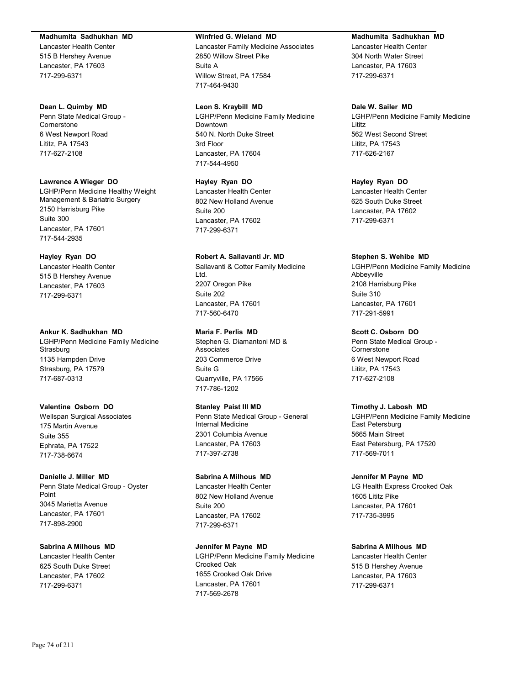#### **Madhumita Sadhukhan MD**

Lancaster Health Center 515 B Hershey Avenue Lancaster, PA 17603 717-299-6371

#### **Dean L. Quimby MD**

Penn State Medical Group - Cornerstone 6 West Newport Road Lititz, PA 17543 717-627-2108

#### **Lawrence A Wieger DO**

LGHP/Penn Medicine Healthy Weight Management & Bariatric Surgery 2150 Harrisburg Pike Suite 300 Lancaster, PA 17601 717-544-2935

# **Hayley Ryan DO**

Lancaster Health Center 515 B Hershey Avenue Lancaster, PA 17603 717-299-6371

#### **Ankur K. Sadhukhan MD**

LGHP/Penn Medicine Family Medicine **Strasburg** 1135 Hampden Drive Strasburg, PA 17579 717-687-0313

# **Valentine Osborn DO**

Wellspan Surgical Associates 175 Martin Avenue Suite 355 Ephrata, PA 17522 717-738-6674

#### **Danielle J. Miller MD**

Penn State Medical Group - Oyster Point 3045 Marietta Avenue Lancaster, PA 17601 717-898-2900

**Sabrina A Milhous MD** Lancaster Health Center 625 South Duke Street Lancaster, PA 17602 717-299-6371

#### **Winfried G. Wieland MD**

Lancaster Family Medicine Associates 2850 Willow Street Pike Suite A Willow Street, PA 17584 717-464-9430

#### **Leon S. Kraybill MD**

LGHP/Penn Medicine Family Medicine Downtown 540 N. North Duke Street 3rd Floor Lancaster, PA 17604 717-544-4950

# **Hayley Ryan DO**

Lancaster Health Center 802 New Holland Avenue Suite 200 Lancaster, PA 17602 717-299-6371

# **Robert A. Sallavanti Jr. MD**

Sallavanti & Cotter Family Medicine Ltd. 2207 Oregon Pike Suite 202 Lancaster, PA 17601 717-560-6470

# **Maria F. Perlis MD**

Stephen G. Diamantoni MD & Associates 203 Commerce Drive Suite G Quarryville, PA 17566 717-786-1202

#### **Stanley Paist III MD**

Penn State Medical Group - General Internal Medicine 2301 Columbia Avenue Lancaster, PA 17603 717-397-2738

#### **Sabrina A Milhous MD**

Lancaster Health Center 802 New Holland Avenue Suite 200 Lancaster, PA 17602 717-299-6371

## **Jennifer M Payne MD** LGHP/Penn Medicine Family Medicine Crooked Oak 1655 Crooked Oak Drive Lancaster, PA 17601 717-569-2678

#### **Madhumita Sadhukhan MD**

Lancaster Health Center 304 North Water Street Lancaster, PA 17603 717-299-6371

## **Dale W. Sailer MD**

LGHP/Penn Medicine Family Medicine Lititz 562 West Second Street Lititz, PA 17543 717-626-2167

# **Hayley Ryan DO**

Lancaster Health Center 625 South Duke Street Lancaster, PA 17602 717-299-6371

## **Stephen S. Wehibe MD**

LGHP/Penn Medicine Family Medicine Abbeyville 2108 Harrisburg Pike Suite 310 Lancaster, PA 17601 717-291-5991

# **Scott C. Osborn DO**

Penn State Medical Group - **Cornerstone** 6 West Newport Road Lititz, PA 17543 717-627-2108

#### **Timothy J. Labosh MD**

LGHP/Penn Medicine Family Medicine East Petersburg 5665 Main Street East Petersburg, PA 17520 717-569-7011

#### **Jennifer M Payne MD**

LG Health Express Crooked Oak 1605 Lititz Pike Lancaster, PA 17601 717-735-3995

# **Sabrina A Milhous MD**

Lancaster Health Center 515 B Hershey Avenue Lancaster, PA 17603 717-299-6371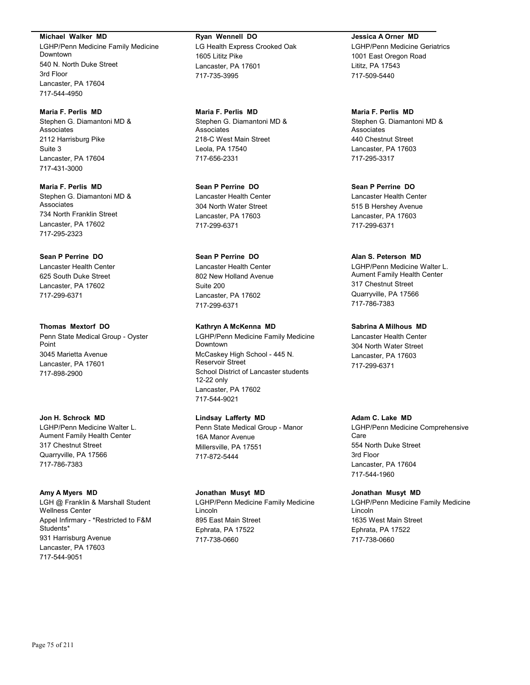**Michael Walker MD**

LGHP/Penn Medicine Family Medicine Downtown 540 N. North Duke Street 3rd Floor Lancaster, PA 17604 717-544-4950

**Maria F. Perlis MD** Stephen G. Diamantoni MD & Associates 2112 Harrisburg Pike Suite 3 Lancaster, PA 17604 717-431-3000

**Maria F. Perlis MD** Stephen G. Diamantoni MD & Associates 734 North Franklin Street Lancaster, PA 17602 717-295-2323

# **Sean P Perrine DO**

Lancaster Health Center 625 South Duke Street Lancaster, PA 17602 717-299-6371

# **Thomas Mextorf DO**

Penn State Medical Group - Oyster Point 3045 Marietta Avenue Lancaster, PA 17601 717-898-2900

# **Jon H. Schrock MD**

LGHP/Penn Medicine Walter L. Aument Family Health Center 317 Chestnut Street Quarryville, PA 17566 717-786-7383

# **Amy A Myers MD**

LGH @ Franklin & Marshall Student Wellness Center Appel Infirmary - \*Restricted to F&M Students\* 931 Harrisburg Avenue Lancaster, PA 17603 717-544-9051

## **Ryan Wennell DO** LG Health Express Crooked Oak 1605 Lititz Pike Lancaster, PA 17601 717-735-3995

**Maria F. Perlis MD** Stephen G. Diamantoni MD & Associates 218-C West Main Street Leola, PA 17540 717-656-2331

**Sean P Perrine DO** Lancaster Health Center 304 North Water Street Lancaster, PA 17603 717-299-6371

# **Sean P Perrine DO** Lancaster Health Center 802 New Holland Avenue Suite 200 Lancaster, PA 17602 717-299-6371

# **Kathryn A McKenna MD**

LGHP/Penn Medicine Family Medicine Downtown McCaskey High School - 445 N. Reservoir Street School District of Lancaster students 12-22 only Lancaster, PA 17602 717-544-9021

# **Lindsay Lafferty MD**

Penn State Medical Group - Manor 16A Manor Avenue Millersville, PA 17551 717-872-5444

#### **Jonathan Musyt MD**

LGHP/Penn Medicine Family Medicine Lincoln 895 East Main Street Ephrata, PA 17522 717-738-0660

#### **Jessica A Orner MD**

LGHP/Penn Medicine Geriatrics 1001 East Oregon Road Lititz, PA 17543 717-509-5440

**Maria F. Perlis MD** Stephen G. Diamantoni MD & Associates 440 Chestnut Street Lancaster, PA 17603 717-295-3317

**Sean P Perrine DO** Lancaster Health Center 515 B Hershey Avenue Lancaster, PA 17603 717-299-6371

## **Alan S. Peterson MD**

LGHP/Penn Medicine Walter L. Aument Family Health Center 317 Chestnut Street Quarryville, PA 17566 717-786-7383

#### **Sabrina A Milhous MD**

Lancaster Health Center 304 North Water Street Lancaster, PA 17603 717-299-6371

# **Adam C. Lake MD**

LGHP/Penn Medicine Comprehensive Care 554 North Duke Street 3rd Floor Lancaster, PA 17604 717-544-1960

#### **Jonathan Musyt MD**

LGHP/Penn Medicine Family Medicine Lincoln 1635 West Main Street Ephrata, PA 17522 717-738-0660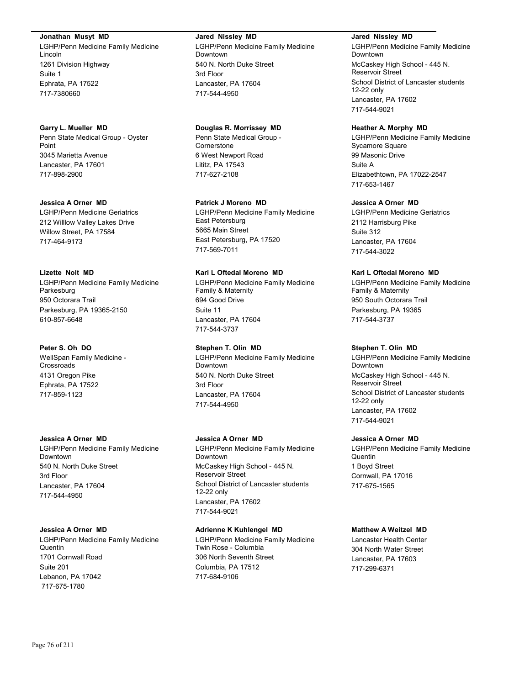**Jonathan Musyt MD**

LGHP/Penn Medicine Family Medicine Lincoln 1261 Division Highway Suite 1 Ephrata, PA 17522 717-7380660

**Garry L. Mueller MD** Penn State Medical Group - Oyster Point 3045 Marietta Avenue Lancaster, PA 17601 717-898-2900

**Jessica A Orner MD** LGHP/Penn Medicine Geriatrics 212 Willlow Valley Lakes Drive Willow Street, PA 17584 717-464-9173

**Lizette Nolt MD** LGHP/Penn Medicine Family Medicine Parkesburg 950 Octorara Trail Parkesburg, PA 19365-2150 610-857-6648

**Peter S. Oh DO** WellSpan Family Medicine - Crossroads 4131 Oregon Pike Ephrata, PA 17522 717-859-1123

**Jessica A Orner MD** LGHP/Penn Medicine Family Medicine Downtown 540 N. North Duke Street 3rd Floor Lancaster, PA 17604 717-544-4950

## **Jessica A Orner MD** LGHP/Penn Medicine Family Medicine

Quentin 1701 Cornwall Road Suite 201 Lebanon, PA 17042 717-675-1780

**Jared Nissley MD** LGHP/Penn Medicine Family Medicine Downtown 540 N. North Duke Street 3rd Floor Lancaster, PA 17604 717-544-4950

**Douglas R. Morrissey MD**

Penn State Medical Group - **Cornerstone** 6 West Newport Road Lititz, PA 17543 717-627-2108

**Patrick J Moreno MD**

LGHP/Penn Medicine Family Medicine East Petersburg 5665 Main Street East Petersburg, PA 17520 717-569-7011

**Kari L Oftedal Moreno MD** LGHP/Penn Medicine Family Medicine Family & Maternity 694 Good Drive Suite 11 Lancaster, PA 17604 717-544-3737

**Stephen T. Olin MD** LGHP/Penn Medicine Family Medicine Downtown 540 N. North Duke Street 3rd Floor Lancaster, PA 17604 717-544-4950

**Jessica A Orner MD** LGHP/Penn Medicine Family Medicine Downtown McCaskey High School - 445 N. Reservoir Street School District of Lancaster students 12-22 only Lancaster, PA 17602 717-544-9021

#### **Adrienne K Kuhlengel MD**

LGHP/Penn Medicine Family Medicine Twin Rose - Columbia 306 North Seventh Street Columbia, PA 17512 717-684-9106

**Jared Nissley MD**

LGHP/Penn Medicine Family Medicine Downtown McCaskey High School - 445 N. Reservoir Street School District of Lancaster students 12-22 only Lancaster, PA 17602 717-544-9021

**Heather A. Morphy MD**

LGHP/Penn Medicine Family Medicine Sycamore Square 99 Masonic Drive Suite A Elizabethtown, PA 17022-2547 717-653-1467

# **Jessica A Orner MD**

LGHP/Penn Medicine Geriatrics 2112 Harrisburg Pike Suite 312 Lancaster, PA 17604 717-544-3022

# **Kari L Oftedal Moreno MD**

LGHP/Penn Medicine Family Medicine Family & Maternity 950 South Octorara Trail Parkesburg, PA 19365 717-544-3737

# **Stephen T. Olin MD**

LGHP/Penn Medicine Family Medicine Downtown McCaskey High School - 445 N. Reservoir Street School District of Lancaster students 12-22 only Lancaster, PA 17602 717-544-9021

# **Jessica A Orner MD**

LGHP/Penn Medicine Family Medicine Quentin 1 Boyd Street Cornwall, PA 17016 717-675-1565

# **Matthew A Weitzel MD**

Lancaster Health Center 304 North Water Street Lancaster, PA 17603 717-299-6371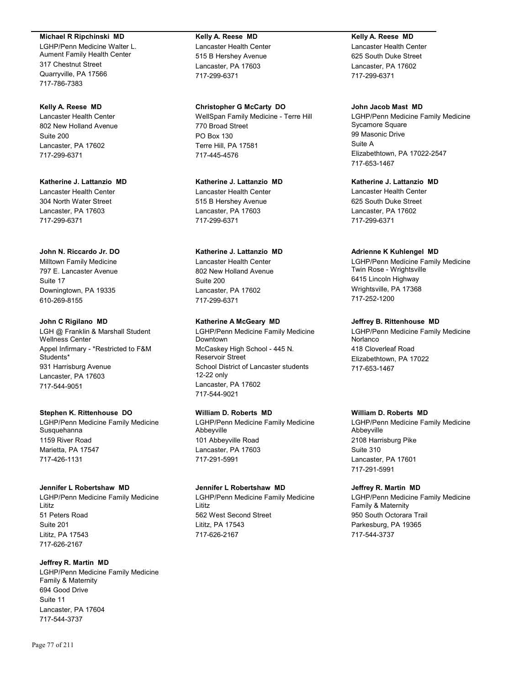#### **Michael R Ripchinski MD**

LGHP/Penn Medicine Walter L. Aument Family Health Center 317 Chestnut Street Quarryville, PA 17566 717-786-7383

#### **Kelly A. Reese MD**

Lancaster Health Center 802 New Holland Avenue Suite 200 Lancaster, PA 17602 717-299-6371

# **Katherine J. Lattanzio MD** Lancaster Health Center 304 North Water Street Lancaster, PA 17603 717-299-6371

#### **John N. Riccardo Jr. DO**

Milltown Family Medicine 797 E. Lancaster Avenue Suite 17 Downingtown, PA 19335 610-269-8155

#### **John C Rigilano MD**

LGH @ Franklin & Marshall Student Wellness Center Appel Infirmary - \*Restricted to F&M Students\* 931 Harrisburg Avenue Lancaster, PA 17603 717-544-9051

#### **Stephen K. Rittenhouse DO**

LGHP/Penn Medicine Family Medicine **Susquehanna** 1159 River Road Marietta, PA 17547 717-426-1131

#### **Jennifer L Robertshaw MD**

LGHP/Penn Medicine Family Medicine Lititz 51 Peters Road Suite 201 Lititz, PA 17543 717-626-2167

# **Jeffrey R. Martin MD**

LGHP/Penn Medicine Family Medicine Family & Maternity 694 Good Drive Suite 11 Lancaster, PA 17604 717-544-3737

#### **Kelly A. Reese MD**

Lancaster Health Center 515 B Hershey Avenue Lancaster, PA 17603 717-299-6371

# **Christopher G McCarty DO**

WellSpan Family Medicine - Terre Hill 770 Broad Street PO Box 130 Terre Hill, PA 17581 717-445-4576

### **Katherine J. Lattanzio MD** Lancaster Health Center

515 B Hershey Avenue Lancaster, PA 17603 717-299-6371

# **Katherine J. Lattanzio MD**

Lancaster Health Center 802 New Holland Avenue Suite 200 Lancaster, PA 17602 717-299-6371

## **Katherine A McGeary MD**

LGHP/Penn Medicine Family Medicine Downtown McCaskey High School - 445 N. Reservoir Street School District of Lancaster students 12-22 only Lancaster, PA 17602 717-544-9021

# **William D. Roberts MD**

LGHP/Penn Medicine Family Medicine Abbeyville 101 Abbeyville Road Lancaster, PA 17603 717-291-5991

#### **Jennifer L Robertshaw MD**

LGHP/Penn Medicine Family Medicine Lititz 562 West Second Street Lititz, PA 17543 717-626-2167

# **Kelly A. Reese MD**

Lancaster Health Center 625 South Duke Street Lancaster, PA 17602 717-299-6371

## **John Jacob Mast MD**

LGHP/Penn Medicine Family Medicine Sycamore Square 99 Masonic Drive Suite A Elizabethtown, PA 17022-2547 717-653-1467

# **Katherine J. Lattanzio MD**

Lancaster Health Center 625 South Duke Street Lancaster, PA 17602 717-299-6371

## **Adrienne K Kuhlengel MD**

LGHP/Penn Medicine Family Medicine Twin Rose - Wrightsville 6415 Lincoln Highway Wrightsville, PA 17368 717-252-1200

## **Jeffrey B. Rittenhouse MD**

LGHP/Penn Medicine Family Medicine Norlanco 418 Cloverleaf Road Elizabethtown, PA 17022 717-653-1467

# **William D. Roberts MD**

LGHP/Penn Medicine Family Medicine Abbeyville 2108 Harrisburg Pike Suite 310 Lancaster, PA 17601 717-291-5991

#### **Jeffrey R. Martin MD**

LGHP/Penn Medicine Family Medicine Family & Maternity 950 South Octorara Trail Parkesburg, PA 19365 717-544-3737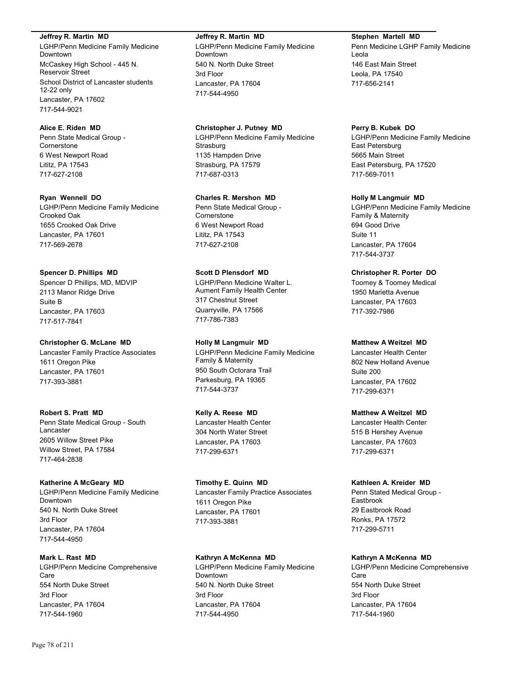**Jeffrey R. Martin MD**

LGHP/Penn Medicine Family Medicine Downtown McCaskey High School - 445 N. Reservoir Street School District of Lancaster students 12-22 only Lancaster, PA 17602 717-544-9021

**Alice E. Riden MD** Penn State Medical Group - Cornerstone 6 West Newport Road Lititz, PA 17543 717-627-2108

**Ryan Wennell DO** LGHP/Penn Medicine Family Medicine Crooked Oak 1655 Crooked Oak Drive Lancaster, PA 17601 717-569-2678

**Spencer D. Phillips MD** Spencer D Phillips, MD, MDVIP 2113 Manor Ridge Drive Suite B Lancaster, PA 17603 717-517-7841

**Christopher G. McLane MD** Lancaster Family Practice Associates 1611 Oregon Pike Lancaster, PA 17601 717-393-3881

**Robert S. Pratt MD** Penn State Medical Group - South Lancaster 2605 Willow Street Pike Willow Street, PA 17584 717-464-2838

**Katherine A McGeary MD** LGHP/Penn Medicine Family Medicine Downtown 540 N. North Duke Street 3rd Floor Lancaster, PA 17604 717-544-4950

**Mark L. Rast MD** LGHP/Penn Medicine Comprehensive Care 554 North Duke Street 3rd Floor Lancaster, PA 17604 717-544-1960

LGHP/Penn Medicine Family Medicine Downtown 540 N. North Duke Street 3rd Floor Lancaster, PA 17604 717-544-4950

**Christopher J. Putney MD** LGHP/Penn Medicine Family Medicine **Strasburg** 1135 Hampden Drive Strasburg, PA 17579 717-687-0313

**Charles R. Mershon MD** Penn State Medical Group - Cornerstone 6 West Newport Road Lititz, PA 17543 717-627-2108

**Scott D Plensdorf MD** LGHP/Penn Medicine Walter L. Aument Family Health Center 317 Chestnut Street Quarryville, PA 17566 717-786-7383 **Holly M Langmuir MD**

LGHP/Penn Medicine Family Medicine Family & Maternity 950 South Octorara Trail Parkesburg, PA 19365 717-544-3737

**Kelly A. Reese MD** Lancaster Health Center 304 North Water Street Lancaster, PA 17603 717-299-6371

**Timothy E. Quinn MD** Lancaster Family Practice Associates 1611 Oregon Pike Lancaster, PA 17601 717-393-3881

**Kathryn A McKenna MD** LGHP/Penn Medicine Family Medicine Downtown 540 N. North Duke Street 3rd Floor Lancaster, PA 17604 717-544-4950

**Stephen Martell MD** Penn Medicine LGHP Family Medicine Leola 146 East Main Street Leola, PA 17540 717-656-2141

**Perry B. Kubek DO** LGHP/Penn Medicine Family Medicine East Petersburg 5665 Main Street East Petersburg, PA 17520 717-569-7011

**Holly M Langmuir MD** LGHP/Penn Medicine Family Medicine Family & Maternity 694 Good Drive Suite 11 Lancaster, PA 17604 717-544-3737

**Christopher R. Porter DO** Toomey & Toomey Medical 1950 Marietta Avenue Lancaster, PA 17603 717-392-7986

**Matthew A Weitzel MD** Lancaster Health Center 802 New Holland Avenue Suite 200 Lancaster, PA 17602 717-299-6371

# **Matthew A Weitzel MD**

Lancaster Health Center 515 B Hershey Avenue Lancaster, PA 17603 717-299-6371

**Kathleen A. Kreider MD**

Penn Stated Medical Group - Eastbrook 29 Eastbrook Road Ronks, PA 17572 717-299-5711

**Kathryn A McKenna MD**

LGHP/Penn Medicine Comprehensive Care 554 North Duke Street 3rd Floor Lancaster, PA 17604 717-544-1960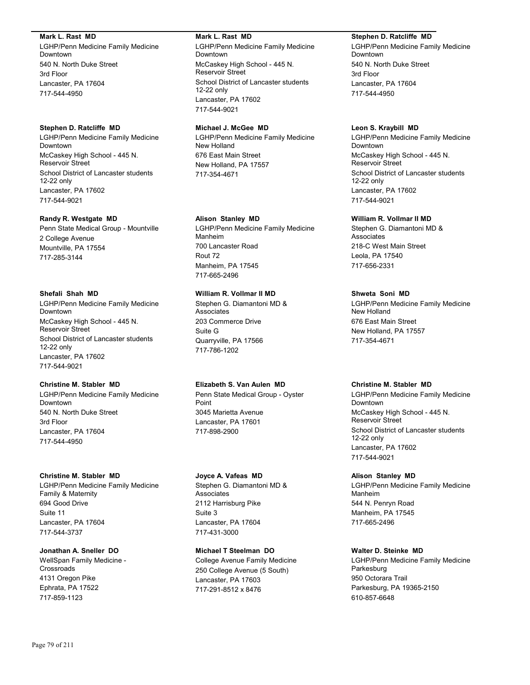#### **Mark L. Rast MD**

LGHP/Penn Medicine Family Medicine Downtown 540 N. North Duke Street 3rd Floor Lancaster, PA 17604 717-544-4950

# **Stephen D. Ratcliffe MD**

LGHP/Penn Medicine Family Medicine Downtown McCaskey High School - 445 N. Reservoir Street School District of Lancaster students 12-22 only Lancaster, PA 17602 717-544-9021

#### **Randy R. Westgate MD**

Penn State Medical Group - Mountville 2 College Avenue Mountville, PA 17554 717-285-3144

#### **Shefali Shah MD**

LGHP/Penn Medicine Family Medicine Downtown McCaskey High School - 445 N. Reservoir Street School District of Lancaster students 12-22 only Lancaster, PA 17602 717-544-9021

### **Christine M. Stabler MD**

LGHP/Penn Medicine Family Medicine Downtown 540 N. North Duke Street 3rd Floor Lancaster, PA 17604 717-544-4950

#### **Christine M. Stabler MD**

LGHP/Penn Medicine Family Medicine Family & Maternity 694 Good Drive Suite 11 Lancaster, PA 17604 717-544-3737

**Jonathan A. Sneller DO** WellSpan Family Medicine - **Crossroads** 4131 Oregon Pike Ephrata, PA 17522 717-859-1123

#### **Mark L. Rast MD**

LGHP/Penn Medicine Family Medicine Downtown McCaskey High School - 445 N. Reservoir Street School District of Lancaster students 12-22 only Lancaster, PA 17602 717-544-9021

# **Michael J. McGee MD**

LGHP/Penn Medicine Family Medicine New Holland 676 East Main Street New Holland, PA 17557 717-354-4671

#### **Alison Stanley MD**

LGHP/Penn Medicine Family Medicine Manheim 700 Lancaster Road Rout 72 Manheim, PA 17545 717-665-2496

# **William R. Vollmar II MD**

Stephen G. Diamantoni MD & **Associates** 203 Commerce Drive Suite G Quarryville, PA 17566 717-786-1202

# **Elizabeth S. Van Aulen MD**

Penn State Medical Group - Oyster Point 3045 Marietta Avenue Lancaster, PA 17601 717-898-2900

#### **Joyce A. Vafeas MD**

Stephen G. Diamantoni MD & **Associates** 2112 Harrisburg Pike Suite 3 Lancaster, PA 17604 717-431-3000

# **Michael T Steelman DO** College Avenue Family Medicine

250 College Avenue (5 South) Lancaster, PA 17603 717-291-8512 x 8476

#### **Stephen D. Ratcliffe MD**

LGHP/Penn Medicine Family Medicine Downtown 540 N. North Duke Street 3rd Floor Lancaster, PA 17604 717-544-4950

#### **Leon S. Kraybill MD**

LGHP/Penn Medicine Family Medicine Downtown McCaskey High School - 445 N. Reservoir Street School District of Lancaster students 12-22 only Lancaster, PA 17602 717-544-9021

## **William R. Vollmar II MD**

Stephen G. Diamantoni MD & Associates 218-C West Main Street Leola, PA 17540 717-656-2331

#### **Shweta Soni MD**

LGHP/Penn Medicine Family Medicine New Holland 676 East Main Street New Holland, PA 17557 717-354-4671

### **Christine M. Stabler MD**

LGHP/Penn Medicine Family Medicine Downtown McCaskey High School - 445 N. Reservoir Street School District of Lancaster students 12-22 only Lancaster, PA 17602 717-544-9021

#### **Alison Stanley MD**

LGHP/Penn Medicine Family Medicine Manheim 544 N. Penryn Road Manheim, PA 17545 717-665-2496

#### **Walter D. Steinke MD**

LGHP/Penn Medicine Family Medicine Parkesburg 950 Octorara Trail Parkesburg, PA 19365-2150 610-857-6648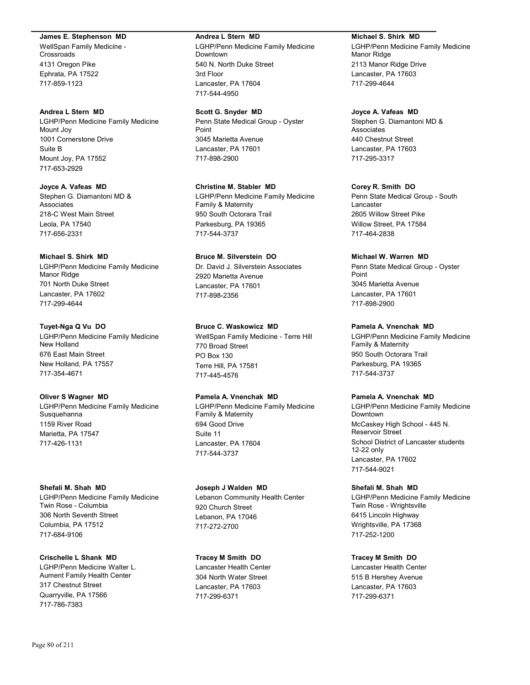#### **James E. Stephenson MD**

WellSpan Family Medicine - **Crossroads** 4131 Oregon Pike Ephrata, PA 17522 717-859-1123

#### **Andrea L Stern MD**

LGHP/Penn Medicine Family Medicine Mount Joy 1001 Cornerstone Drive Suite B Mount Joy, PA 17552 717-653-2929

**Joyce A. Vafeas MD** Stephen G. Diamantoni MD & Associates 218-C West Main Street Leola, PA 17540 717-656-2331

## **Michael S. Shirk MD**

LGHP/Penn Medicine Family Medicine Manor Ridge 701 North Duke Street Lancaster, PA 17602 717-299-4644

# **Tuyet-Nga Q Vu DO**

LGHP/Penn Medicine Family Medicine New Holland 676 East Main Street New Holland, PA 17557 717-354-4671

#### **Oliver S Wagner MD**

LGHP/Penn Medicine Family Medicine Susquehanna 1159 River Road Marietta, PA 17547 717-426-1131

#### **Shefali M. Shah MD**

LGHP/Penn Medicine Family Medicine Twin Rose - Columbia 306 North Seventh Street Columbia, PA 17512 717-684-9106

### **Crischelle L Shank MD**

LGHP/Penn Medicine Walter L. Aument Family Health Center 317 Chestnut Street Quarryville, PA 17566 717-786-7383

#### **Andrea L Stern MD**

LGHP/Penn Medicine Family Medicine Downtown 540 N. North Duke Street 3rd Floor Lancaster, PA 17604 717-544-4950

#### **Scott G. Snyder MD**

Penn State Medical Group - Oyster Point 3045 Marietta Avenue Lancaster, PA 17601 717-898-2900

**Christine M. Stabler MD** LGHP/Penn Medicine Family Medicine Family & Maternity 950 South Octorara Trail Parkesburg, PA 19365 717-544-3737

# **Bruce M. Silverstein DO** Dr. David J. Silverstein Associates 2920 Marietta Avenue Lancaster, PA 17601 717-898-2356

# **Bruce C. Waskowicz MD**

WellSpan Family Medicine - Terre Hill 770 Broad Street PO Box 130 Terre Hill, PA 17581 717-445-4576

# **Pamela A. Vnenchak MD**

LGHP/Penn Medicine Family Medicine Family & Maternity 694 Good Drive Suite 11 Lancaster, PA 17604 717-544-3737

**Joseph J Walden MD** Lebanon Community Health Center 920 Church Street Lebanon, PA 17046 717-272-2700

**Tracey M Smith DO** Lancaster Health Center 304 North Water Street Lancaster, PA 17603 717-299-6371

#### **Michael S. Shirk MD**

LGHP/Penn Medicine Family Medicine Manor Ridge 2113 Manor Ridge Drive Lancaster, PA 17603 717-299-4644

### **Joyce A. Vafeas MD**

Stephen G. Diamantoni MD & **Associates** 440 Chestnut Street Lancaster, PA 17603 717-295-3317

## **Corey R. Smith DO**

Penn State Medical Group - South Lancaster 2605 Willow Street Pike Willow Street, PA 17584 717-464-2838

#### **Michael W. Warren MD**

Penn State Medical Group - Oyster Point 3045 Marietta Avenue Lancaster, PA 17601 717-898-2900

#### **Pamela A. Vnenchak MD**

LGHP/Penn Medicine Family Medicine Family & Maternity 950 South Octorara Trail Parkesburg, PA 19365 717-544-3737

### **Pamela A. Vnenchak MD**

LGHP/Penn Medicine Family Medicine Downtown McCaskey High School - 445 N. Reservoir Street School District of Lancaster students 12-22 only Lancaster, PA 17602 717-544-9021

#### **Shefali M. Shah MD**

LGHP/Penn Medicine Family Medicine Twin Rose - Wrightsville 6415 Lincoln Highway Wrightsville, PA 17368 717-252-1200

# **Tracey M Smith DO**

Lancaster Health Center 515 B Hershey Avenue Lancaster, PA 17603 717-299-6371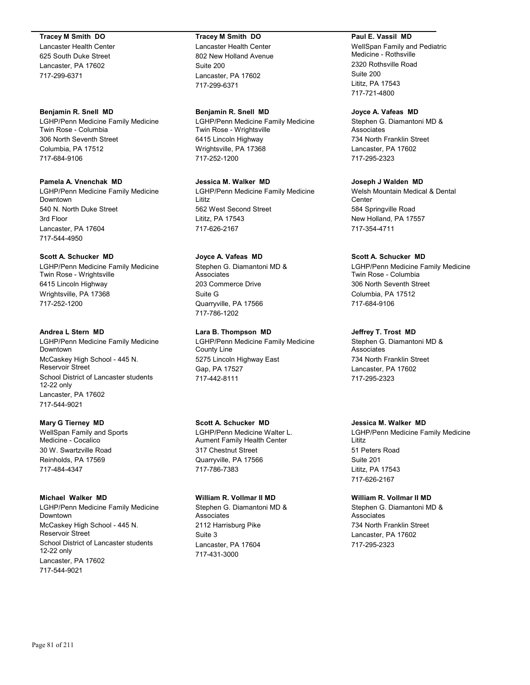## **Tracey M Smith DO**

Lancaster Health Center 625 South Duke Street Lancaster, PA 17602 717-299-6371

### **Benjamin R. Snell MD**

LGHP/Penn Medicine Family Medicine Twin Rose - Columbia 306 North Seventh Street Columbia, PA 17512 717-684-9106

# **Pamela A. Vnenchak MD**

LGHP/Penn Medicine Family Medicine Downtown 540 N. North Duke Street 3rd Floor Lancaster, PA 17604 717-544-4950

# **Scott A. Schucker MD**

LGHP/Penn Medicine Family Medicine Twin Rose - Wrightsville 6415 Lincoln Highway Wrightsville, PA 17368 717-252-1200

## **Andrea L Stern MD**

LGHP/Penn Medicine Family Medicine Downtown McCaskey High School - 445 N. Reservoir Street School District of Lancaster students 12-22 only Lancaster, PA 17602 717-544-9021

# **Mary G Tierney MD**

WellSpan Family and Sports Medicine - Cocalico 30 W. Swartzville Road Reinholds, PA 17569 717-484-4347

# **Michael Walker MD**

LGHP/Penn Medicine Family Medicine Downtown McCaskey High School - 445 N. Reservoir Street School District of Lancaster students 12-22 only Lancaster, PA 17602 717-544-9021

# **Tracey M Smith DO**

Lancaster Health Center 802 New Holland Avenue Suite 200 Lancaster, PA 17602 717-299-6371

# **Benjamin R. Snell MD**

LGHP/Penn Medicine Family Medicine Twin Rose - Wrightsville 6415 Lincoln Highway Wrightsville, PA 17368 717-252-1200

# **Jessica M. Walker MD**

LGHP/Penn Medicine Family Medicine Lititz 562 West Second Street Lititz, PA 17543 717-626-2167

# **Joyce A. Vafeas MD**

Stephen G. Diamantoni MD & Associates 203 Commerce Drive Suite G Quarryville, PA 17566 717-786-1202

# **Lara B. Thompson MD**

LGHP/Penn Medicine Family Medicine County Line 5275 Lincoln Highway East Gap, PA 17527 717-442-8111

# **Scott A. Schucker MD**

LGHP/Penn Medicine Walter L. Aument Family Health Center 317 Chestnut Street Quarryville, PA 17566 717-786-7383

# **William R. Vollmar II MD**

Stephen G. Diamantoni MD & Associates 2112 Harrisburg Pike Suite 3 Lancaster, PA 17604 717-431-3000

## **Paul E. Vassil MD**

WellSpan Family and Pediatric Medicine - Rothsville 2320 Rothsville Road Suite 200 Lititz, PA 17543 717-721-4800

## **Joyce A. Vafeas MD**

Stephen G. Diamantoni MD & **Associates** 734 North Franklin Street Lancaster, PA 17602 717-295-2323

# **Joseph J Walden MD**

Welsh Mountain Medical & Dental **Center** 584 Springville Road New Holland, PA 17557 717-354-4711

# **Scott A. Schucker MD**

LGHP/Penn Medicine Family Medicine Twin Rose - Columbia 306 North Seventh Street Columbia, PA 17512 717-684-9106

# **Jeffrey T. Trost MD**

Stephen G. Diamantoni MD & Associates 734 North Franklin Street Lancaster, PA 17602 717-295-2323

# **Jessica M. Walker MD**

LGHP/Penn Medicine Family Medicine Lititz 51 Peters Road Suite 201 Lititz, PA 17543 717-626-2167

#### **William R. Vollmar II MD**

Stephen G. Diamantoni MD & Associates 734 North Franklin Street Lancaster, PA 17602 717-295-2323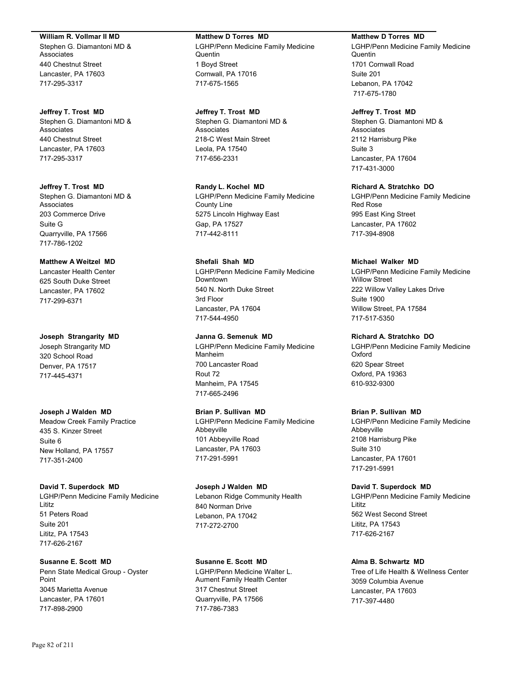#### **William R. Vollmar II MD**

Stephen G. Diamantoni MD & Associates 440 Chestnut Street Lancaster, PA 17603 717-295-3317

**Jeffrey T. Trost MD** Stephen G. Diamantoni MD & Associates 440 Chestnut Street Lancaster, PA 17603 717-295-3317

**Jeffrey T. Trost MD** Stephen G. Diamantoni MD & Associates 203 Commerce Drive Suite G Quarryville, PA 17566 717-786-1202

# **Matthew A Weitzel MD**

Lancaster Health Center 625 South Duke Street Lancaster, PA 17602 717-299-6371

**Joseph Strangarity MD**

Joseph Strangarity MD 320 School Road Denver, PA 17517 717-445-4371

**Joseph J Walden MD**

Meadow Creek Family Practice 435 S. Kinzer Street Suite 6 New Holland, PA 17557 717-351-2400

#### **David T. Superdock MD**

LGHP/Penn Medicine Family Medicine Lititz 51 Peters Road Suite 201 Lititz, PA 17543 717-626-2167

#### **Susanne E. Scott MD**

Penn State Medical Group - Oyster Point 3045 Marietta Avenue Lancaster, PA 17601 717-898-2900

# **Matthew D Torres MD**

LGHP/Penn Medicine Family Medicine **Quentin** 1 Boyd Street Cornwall, PA 17016 717-675-1565

**Jeffrey T. Trost MD** Stephen G. Diamantoni MD &

Associates 218-C West Main Street Leola, PA 17540 717-656-2331

**Randy L. Kochel MD** LGHP/Penn Medicine Family Medicine County Line 5275 Lincoln Highway East Gap, PA 17527 717-442-8111

**Shefali Shah MD**

LGHP/Penn Medicine Family Medicine Downtown 540 N. North Duke Street 3rd Floor Lancaster, PA 17604 717-544-4950

**Janna G. Semenuk MD**

LGHP/Penn Medicine Family Medicine Manheim 700 Lancaster Road Rout 72 Manheim, PA 17545 717-665-2496

## **Brian P. Sullivan MD**

LGHP/Penn Medicine Family Medicine Abbeyville 101 Abbeyville Road Lancaster, PA 17603 717-291-5991

**Joseph J Walden MD** Lebanon Ridge Community Health

840 Norman Drive Lebanon, PA 17042 717-272-2700

# **Susanne E. Scott MD**

LGHP/Penn Medicine Walter L. Aument Family Health Center 317 Chestnut Street Quarryville, PA 17566 717-786-7383

#### **Matthew D Torres MD**

LGHP/Penn Medicine Family Medicine **Quentin** 1701 Cornwall Road Suite 201 Lebanon, PA 17042 717-675-1780

## **Jeffrey T. Trost MD**

Stephen G. Diamantoni MD & Associates 2112 Harrisburg Pike Suite 3 Lancaster, PA 17604 717-431-3000

**Richard A. Stratchko DO** LGHP/Penn Medicine Family Medicine Red Rose

995 East King Street Lancaster, PA 17602 717-394-8908

## **Michael Walker MD**

LGHP/Penn Medicine Family Medicine Willow Street 222 Willow Valley Lakes Drive Suite 1900 Willow Street, PA 17584 717-517-5350

# **Richard A. Stratchko DO**

LGHP/Penn Medicine Family Medicine Oxford 620 Spear Street Oxford, PA 19363 610-932-9300

# **Brian P. Sullivan MD**

LGHP/Penn Medicine Family Medicine Abbeyville 2108 Harrisburg Pike Suite 310 Lancaster, PA 17601 717-291-5991

**David T. Superdock MD**

LGHP/Penn Medicine Family Medicine Lititz 562 West Second Street Lititz, PA 17543 717-626-2167

# **Alma B. Schwartz MD**

Tree of Life Health & Wellness Center 3059 Columbia Avenue Lancaster, PA 17603 717-397-4480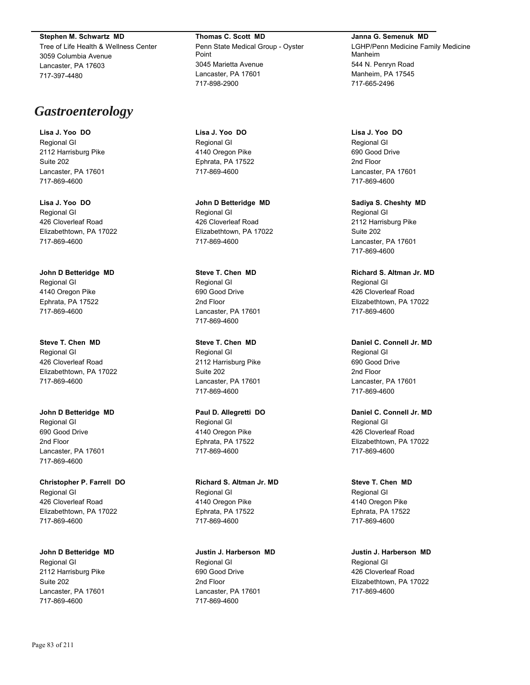**Stephen M. Schwartz MD**

Tree of Life Health & Wellness Center 3059 Columbia Avenue Lancaster, PA 17603 717-397-4480

# *Gastroenterology*

**Lisa J. Yoo DO** Regional GI 2112 Harrisburg Pike Suite 202 Lancaster, PA 17601 717-869-4600

**Lisa J. Yoo DO** Regional GI 426 Cloverleaf Road Elizabethtown, PA 17022 717-869-4600

**John D Betteridge MD** Regional GI 4140 Oregon Pike Ephrata, PA 17522 717-869-4600

**Steve T. Chen MD** Regional GI 426 Cloverleaf Road Elizabethtown, PA 17022 717-869-4600

**John D Betteridge MD** Regional GI 690 Good Drive 2nd Floor Lancaster, PA 17601 717-869-4600

**Christopher P. Farrell DO** Regional GI 426 Cloverleaf Road Elizabethtown, PA 17022 717-869-4600

**John D Betteridge MD** Regional GI 2112 Harrisburg Pike Suite 202 Lancaster, PA 17601 717-869-4600

**Thomas C. Scott MD** Penn State Medical Group - Oyster Point 3045 Marietta Avenue Lancaster, PA 17601 717-898-2900

**Lisa J. Yoo DO** Regional GI 4140 Oregon Pike Ephrata, PA 17522 717-869-4600

**John D Betteridge MD** Regional GI 426 Cloverleaf Road Elizabethtown, PA 17022 717-869-4600

**Steve T. Chen MD** Regional GI 690 Good Drive 2nd Floor Lancaster, PA 17601 717-869-4600

**Steve T. Chen MD** Regional GI 2112 Harrisburg Pike Suite 202 Lancaster, PA 17601 717-869-4600

**Paul D. Allegretti DO** Regional GI 4140 Oregon Pike Ephrata, PA 17522 717-869-4600

**Richard S. Altman Jr. MD** Regional GI 4140 Oregon Pike Ephrata, PA 17522 717-869-4600

**Justin J. Harberson MD** Regional GI 690 Good Drive 2nd Floor Lancaster, PA 17601 717-869-4600

**Janna G. Semenuk MD** LGHP/Penn Medicine Family Medicine Manheim 544 N. Penryn Road Manheim, PA 17545 717-665-2496

**Lisa J. Yoo DO** Regional GI 690 Good Drive 2nd Floor Lancaster, PA 17601 717-869-4600

**Sadiya S. Cheshty MD** Regional GI 2112 Harrisburg Pike Suite 202 Lancaster, PA 17601 717-869-4600

**Richard S. Altman Jr. MD** Regional GI 426 Cloverleaf Road Elizabethtown, PA 17022 717-869-4600

**Daniel C. Connell Jr. MD** Regional GI 690 Good Drive 2nd Floor Lancaster, PA 17601 717-869-4600

**Daniel C. Connell Jr. MD** Regional GI 426 Cloverleaf Road Elizabethtown, PA 17022 717-869-4600

**Steve T. Chen MD** Regional GI 4140 Oregon Pike Ephrata, PA 17522 717-869-4600

**Justin J. Harberson MD** Regional GI 426 Cloverleaf Road Elizabethtown, PA 17022 717-869-4600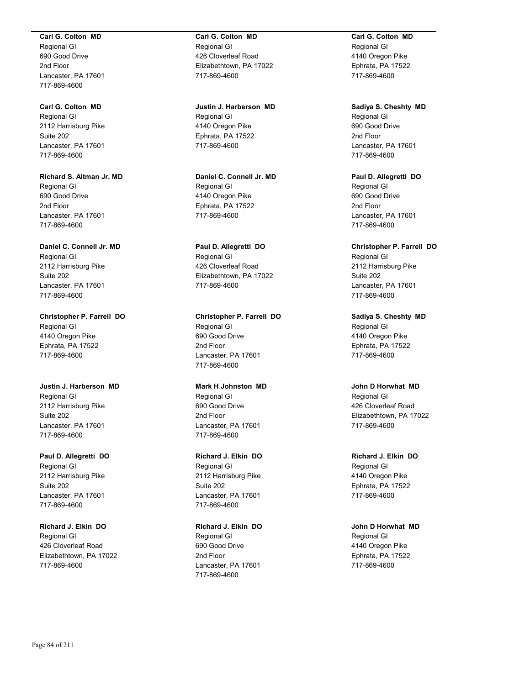#### **Carl G. Colton MD**

Regional GI 690 Good Drive 2nd Floor Lancaster, PA 17601 717-869-4600

**Carl G. Colton MD** Regional GI 2112 Harrisburg Pike Suite 202 Lancaster, PA 17601 717-869-4600

**Richard S. Altman Jr. MD** Regional GI 690 Good Drive 2nd Floor Lancaster, PA 17601 717-869-4600

**Daniel C. Connell Jr. MD** Regional GI 2112 Harrisburg Pike Suite 202 Lancaster, PA 17601 717-869-4600

**Christopher P. Farrell DO** Regional GI 4140 Oregon Pike Ephrata, PA 17522 717-869-4600

**Justin J. Harberson MD** Regional GI 2112 Harrisburg Pike Suite 202 Lancaster, PA 17601 717-869-4600

**Paul D. Allegretti DO** Regional GI 2112 Harrisburg Pike Suite 202 Lancaster, PA 17601 717-869-4600

**Richard J. Elkin DO** Regional GI 426 Cloverleaf Road Elizabethtown, PA 17022 717-869-4600

**Carl G. Colton MD** Regional GI 426 Cloverleaf Road Elizabethtown, PA 17022 717-869-4600

**Justin J. Harberson MD** Regional GI 4140 Oregon Pike Ephrata, PA 17522 717-869-4600

**Daniel C. Connell Jr. MD** Regional GI 4140 Oregon Pike Ephrata, PA 17522 717-869-4600

**Paul D. Allegretti DO** Regional GI 426 Cloverleaf Road Elizabethtown, PA 17022 717-869-4600

**Christopher P. Farrell DO** Regional GI 690 Good Drive 2nd Floor Lancaster, PA 17601 717-869-4600

**Mark H Johnston MD** Regional GI 690 Good Drive 2nd Floor Lancaster, PA 17601 717-869-4600

**Richard J. Elkin DO** Regional GI 2112 Harrisburg Pike Suite 202 Lancaster, PA 17601 717-869-4600

**Richard J. Elkin DO** Regional GI 690 Good Drive 2nd Floor Lancaster, PA 17601 717-869-4600

**Carl G. Colton MD** Regional GI 4140 Oregon Pike Ephrata, PA 17522 717-869-4600

**Sadiya S. Cheshty MD** Regional GI 690 Good Drive 2nd Floor Lancaster, PA 17601 717-869-4600

**Paul D. Allegretti DO** Regional GI 690 Good Drive 2nd Floor Lancaster, PA 17601 717-869-4600

**Christopher P. Farrell DO** Regional GI 2112 Harrisburg Pike Suite 202 Lancaster, PA 17601 717-869-4600

**Sadiya S. Cheshty MD** Regional GI 4140 Oregon Pike Ephrata, PA 17522 717-869-4600

**John D Horwhat MD** Regional GI 426 Cloverleaf Road Elizabethtown, PA 17022 717-869-4600

**Richard J. Elkin DO** Regional GI 4140 Oregon Pike Ephrata, PA 17522 717-869-4600

**John D Horwhat MD** Regional GI 4140 Oregon Pike Ephrata, PA 17522 717-869-4600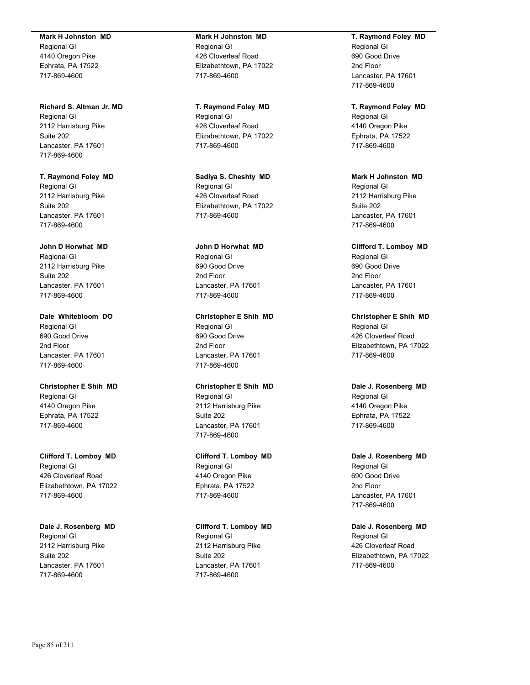#### **Mark H Johnston MD**

Regional GI 4140 Oregon Pike Ephrata, PA 17522 717-869-4600

## **Richard S. Altman Jr. MD**

Regional GI 2112 Harrisburg Pike Suite 202 Lancaster, PA 17601 717-869-4600

**T. Raymond Foley MD** Regional GI 2112 Harrisburg Pike Suite 202 Lancaster, PA 17601 717-869-4600

## **John D Horwhat MD**

Regional GI 2112 Harrisburg Pike Suite 202 Lancaster, PA 17601 717-869-4600

**Dale Whitebloom DO** Regional GI 690 Good Drive 2nd Floor Lancaster, PA 17601 717-869-4600

# **Christopher E Shih MD** Regional GI 4140 Oregon Pike Ephrata, PA 17522 717-869-4600

**Clifford T. Lomboy MD** Regional GI 426 Cloverleaf Road Elizabethtown, PA 17022 717-869-4600

# **Dale J. Rosenberg MD** Regional GI 2112 Harrisburg Pike Suite 202 Lancaster, PA 17601 717-869-4600

# **Mark H Johnston MD** Regional GI 426 Cloverleaf Road Elizabethtown, PA 17022 717-869-4600

**T. Raymond Foley MD** Regional GI 426 Cloverleaf Road Elizabethtown, PA 17022 717-869-4600

**Sadiya S. Cheshty MD** Regional GI 426 Cloverleaf Road Elizabethtown, PA 17022 717-869-4600

# **John D Horwhat MD** Regional GI 690 Good Drive 2nd Floor Lancaster, PA 17601 717-869-4600

# **Christopher E Shih MD** Regional GI 690 Good Drive 2nd Floor Lancaster, PA 17601 717-869-4600

# **Christopher E Shih MD** Regional GI 2112 Harrisburg Pike Suite 202 Lancaster, PA 17601 717-869-4600

# **Clifford T. Lomboy MD** Regional GI 4140 Oregon Pike Ephrata, PA 17522 717-869-4600

# **Clifford T. Lomboy MD** Regional GI 2112 Harrisburg Pike Suite 202 Lancaster, PA 17601 717-869-4600

# **T. Raymond Foley MD** Regional GI 690 Good Drive 2nd Floor Lancaster, PA 17601 717-869-4600

**T. Raymond Foley MD** Regional GI 4140 Oregon Pike Ephrata, PA 17522 717-869-4600

**Mark H Johnston MD** Regional GI 2112 Harrisburg Pike Suite 202 Lancaster, PA 17601 717-869-4600

**Clifford T. Lomboy MD** Regional GI 690 Good Drive 2nd Floor Lancaster, PA 17601 717-869-4600

**Christopher E Shih MD** Regional GI 426 Cloverleaf Road Elizabethtown, PA 17022 717-869-4600

# **Dale J. Rosenberg MD** Regional GI 4140 Oregon Pike Ephrata, PA 17522 717-869-4600

**Dale J. Rosenberg MD** Regional GI 690 Good Drive 2nd Floor Lancaster, PA 17601 717-869-4600

# **Dale J. Rosenberg MD** Regional GI 426 Cloverleaf Road Elizabethtown, PA 17022 717-869-4600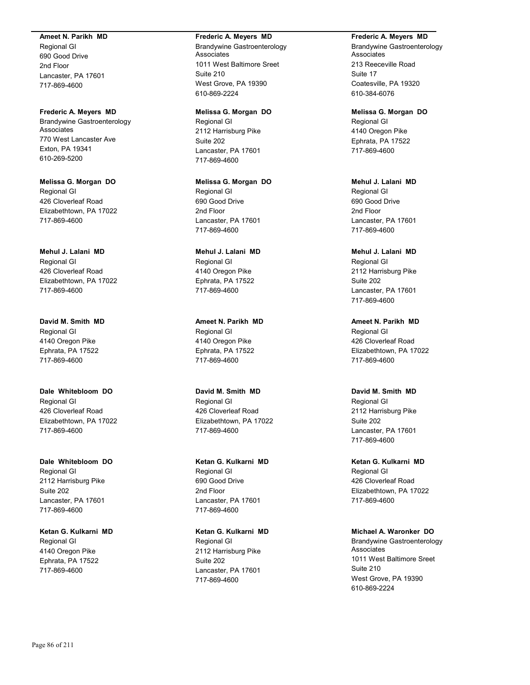#### **Ameet N. Parikh MD**

Regional GI 690 Good Drive 2nd Floor Lancaster, PA 17601 717-869-4600

**Frederic A. Meyers MD** Brandywine Gastroenterology Associates 770 West Lancaster Ave Exton, PA 19341 610-269-5200

**Melissa G. Morgan DO** Regional GI 426 Cloverleaf Road Elizabethtown, PA 17022 717-869-4600

**Mehul J. Lalani MD** Regional GI 426 Cloverleaf Road Elizabethtown, PA 17022 717-869-4600

**David M. Smith MD** Regional GI 4140 Oregon Pike Ephrata, PA 17522 717-869-4600

**Dale Whitebloom DO** Regional GI 426 Cloverleaf Road Elizabethtown, PA 17022 717-869-4600

**Dale Whitebloom DO** Regional GI 2112 Harrisburg Pike Suite 202 Lancaster, PA 17601 717-869-4600

**Ketan G. Kulkarni MD** Regional GI 4140 Oregon Pike Ephrata, PA 17522 717-869-4600

#### **Frederic A. Meyers MD**

Brandywine Gastroenterology Associates 1011 West Baltimore Sreet Suite 210 West Grove, PA 19390 610-869-2224

**Melissa G. Morgan DO** Regional GI 2112 Harrisburg Pike Suite 202 Lancaster, PA 17601 717-869-4600

**Melissa G. Morgan DO** Regional GI 690 Good Drive 2nd Floor Lancaster, PA 17601 717-869-4600

**Mehul J. Lalani MD** Regional GI 4140 Oregon Pike Ephrata, PA 17522 717-869-4600

**Ameet N. Parikh MD** Regional GI 4140 Oregon Pike Ephrata, PA 17522 717-869-4600

**David M. Smith MD** Regional GI 426 Cloverleaf Road Elizabethtown, PA 17022 717-869-4600

**Ketan G. Kulkarni MD** Regional GI 690 Good Drive 2nd Floor Lancaster, PA 17601 717-869-4600

**Ketan G. Kulkarni MD** Regional GI 2112 Harrisburg Pike Suite 202 Lancaster, PA 17601 717-869-4600

**Frederic A. Meyers MD**

Brandywine Gastroenterology **Associates** 213 Reeceville Road Suite 17 Coatesville, PA 19320 610-384-6076

**Melissa G. Morgan DO** Regional GI 4140 Oregon Pike Ephrata, PA 17522 717-869-4600

**Mehul J. Lalani MD** Regional GI 690 Good Drive 2nd Floor Lancaster, PA 17601 717-869-4600

**Mehul J. Lalani MD** Regional GI 2112 Harrisburg Pike Suite 202 Lancaster, PA 17601 717-869-4600

**Ameet N. Parikh MD** Regional GI 426 Cloverleaf Road Elizabethtown, PA 17022 717-869-4600

**David M. Smith MD** Regional GI 2112 Harrisburg Pike Suite 202 Lancaster, PA 17601 717-869-4600

**Ketan G. Kulkarni MD** Regional GI 426 Cloverleaf Road Elizabethtown, PA 17022 717-869-4600

**Michael A. Waronker DO** Brandywine Gastroenterology Associates 1011 West Baltimore Sreet Suite 210 West Grove, PA 19390 610-869-2224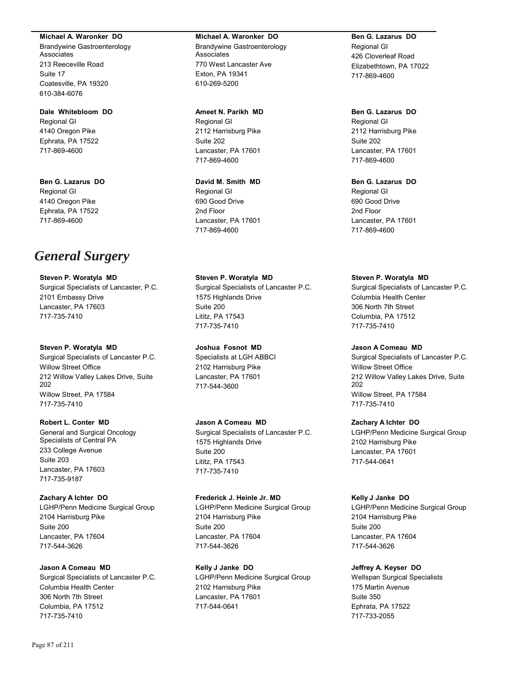#### **Michael A. Waronker DO**

Brandywine Gastroenterology Associates 213 Reeceville Road Suite 17 Coatesville, PA 19320 610-384-6076

# **Dale Whitebloom DO**

Regional GI 4140 Oregon Pike Ephrata, PA 17522 717-869-4600

**Ben G. Lazarus DO** Regional GI 4140 Oregon Pike Ephrata, PA 17522 717-869-4600

# *General Surgery*

**Steven P. Woratyla MD** Surgical Specialists of Lancaster, P.C. 2101 Embassy Drive Lancaster, PA 17603 717-735-7410

## **Steven P. Woratyla MD** Surgical Specialists of Lancaster P.C. Willow Street Office 212 Willow Valley Lakes Drive, Suite 202 Willow Street, PA 17584 717-735-7410

**Robert L. Conter MD**

General and Surgical Oncology Specialists of Central PA 233 College Avenue Suite 203 Lancaster, PA 17603 717-735-9187

# **Zachary A Ichter DO** LGHP/Penn Medicine Surgical Group 2104 Harrisburg Pike Suite 200 Lancaster, PA 17604 717-544-3626

**Jason A Comeau MD** Surgical Specialists of Lancaster P.C. Columbia Health Center 306 North 7th Street Columbia, PA 17512 717-735-7410

# **Michael A. Waronker DO** Brandywine Gastroenterology

Associates 770 West Lancaster Ave Exton, PA 19341 610-269-5200

**Ameet N. Parikh MD** Regional GI 2112 Harrisburg Pike Suite 202 Lancaster, PA 17601 717-869-4600

**David M. Smith MD** Regional GI 690 Good Drive 2nd Floor Lancaster, PA 17601 717-869-4600

**Steven P. Woratyla MD** Surgical Specialists of Lancaster P.C. 1575 Highlands Drive Suite 200 Lititz, PA 17543 717-735-7410

**Joshua Fosnot MD** Specialists at LGH ABBCI 2102 Harrisburg Pike Lancaster, PA 17601 717-544-3600

# **Jason A Comeau MD** Surgical Specialists of Lancaster P.C. 1575 Highlands Drive Suite 200 Lititz, PA 17543 717-735-7410

**Frederick J. Heinle Jr. MD** LGHP/Penn Medicine Surgical Group 2104 Harrisburg Pike Suite 200 Lancaster, PA 17604 717-544-3626

**Kelly J Janke DO** LGHP/Penn Medicine Surgical Group 2102 Harrisburg Pike Lancaster, PA 17601 717-544-0641

# **Ben G. Lazarus DO** Regional GI 426 Cloverleaf Road Elizabethtown, PA 17022 717-869-4600

**Ben G. Lazarus DO** Regional GI 2112 Harrisburg Pike Suite 202 Lancaster, PA 17601 717-869-4600

**Ben G. Lazarus DO** Regional GI 690 Good Drive 2nd Floor Lancaster, PA 17601 717-869-4600

# **Steven P. Woratyla MD**

Surgical Specialists of Lancaster P.C. Columbia Health Center 306 North 7th Street Columbia, PA 17512 717-735-7410

# **Jason A Comeau MD**

Surgical Specialists of Lancaster P.C. Willow Street Office 212 Willow Valley Lakes Drive, Suite 202 Willow Street, PA 17584 717-735-7410

# **Zachary A Ichter DO**

LGHP/Penn Medicine Surgical Group 2102 Harrisburg Pike Lancaster, PA 17601 717-544-0641

# **Kelly J Janke DO**

LGHP/Penn Medicine Surgical Group 2104 Harrisburg Pike Suite 200 Lancaster, PA 17604 717-544-3626

# **Jeffrey A. Keyser DO**

Wellspan Surgical Specialists 175 Martin Avenue Suite 350 Ephrata, PA 17522 717-733-2055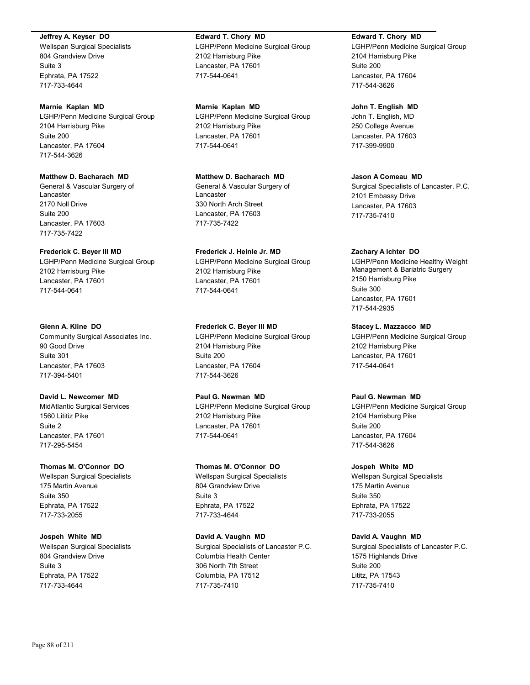### **Jeffrey A. Keyser DO**

Wellspan Surgical Specialists 804 Grandview Drive Suite 3 Ephrata, PA 17522 717-733-4644

### **Marnie Kaplan MD**

LGHP/Penn Medicine Surgical Group 2104 Harrisburg Pike Suite 200 Lancaster, PA 17604 717-544-3626

# **Matthew D. Bacharach MD**

General & Vascular Surgery of Lancaster 2170 Noll Drive Suite 200 Lancaster, PA 17603 717-735-7422

## **Frederick C. Beyer III MD**

LGHP/Penn Medicine Surgical Group 2102 Harrisburg Pike Lancaster, PA 17601 717-544-0641

# **Glenn A. Kline DO**

Community Surgical Associates Inc. 90 Good Drive Suite 301 Lancaster, PA 17603 717-394-5401

# **David L. Newcomer MD**

MidAtlantic Surgical Services 1560 Lititiz Pike Suite 2 Lancaster, PA 17601 717-295-5454

# **Thomas M. O'Connor DO**

Wellspan Surgical Specialists 175 Martin Avenue Suite 350 Ephrata, PA 17522 717-733-2055

# **Jospeh White MD**

Wellspan Surgical Specialists 804 Grandview Drive Suite 3 Ephrata, PA 17522 717-733-4644

# **Edward T. Chory MD**

LGHP/Penn Medicine Surgical Group 2102 Harrisburg Pike Lancaster, PA 17601 717-544-0641

**Marnie Kaplan MD** LGHP/Penn Medicine Surgical Group 2102 Harrisburg Pike Lancaster, PA 17601 717-544-0641

**Matthew D. Bacharach MD** General & Vascular Surgery of Lancaster 330 North Arch Street Lancaster, PA 17603 717-735-7422

**Frederick J. Heinle Jr. MD** LGHP/Penn Medicine Surgical Group 2102 Harrisburg Pike Lancaster, PA 17601 717-544-0641

**Frederick C. Beyer III MD** LGHP/Penn Medicine Surgical Group 2104 Harrisburg Pike Suite 200 Lancaster, PA 17604 717-544-3626

# **Paul G. Newman MD**

LGHP/Penn Medicine Surgical Group 2102 Harrisburg Pike Lancaster, PA 17601 717-544-0641

# **Thomas M. O'Connor DO**

Wellspan Surgical Specialists 804 Grandview Drive Suite 3 Ephrata, PA 17522 717-733-4644

### **David A. Vaughn MD**

Surgical Specialists of Lancaster P.C. Columbia Health Center 306 North 7th Street Columbia, PA 17512 717-735-7410

# **Edward T. Chory MD**

LGHP/Penn Medicine Surgical Group 2104 Harrisburg Pike Suite 200 Lancaster, PA 17604 717-544-3626

### **John T. English MD**

John T. English, MD 250 College Avenue Lancaster, PA 17603 717-399-9900

# **Jason A Comeau MD**

Surgical Specialists of Lancaster, P.C. 2101 Embassy Drive Lancaster, PA 17603 717-735-7410

## **Zachary A Ichter DO**

LGHP/Penn Medicine Healthy Weight Management & Bariatric Surgery 2150 Harrisburg Pike Suite 300 Lancaster, PA 17601 717-544-2935

# **Stacey L. Mazzacco MD**

LGHP/Penn Medicine Surgical Group 2102 Harrisburg Pike Lancaster, PA 17601 717-544-0641

### **Paul G. Newman MD**

LGHP/Penn Medicine Surgical Group 2104 Harrisburg Pike Suite 200 Lancaster, PA 17604 717-544-3626

#### **Jospeh White MD**

Wellspan Surgical Specialists 175 Martin Avenue Suite 350 Ephrata, PA 17522 717-733-2055

# **David A. Vaughn MD**

Surgical Specialists of Lancaster P.C. 1575 Highlands Drive Suite 200 Lititz, PA 17543 717-735-7410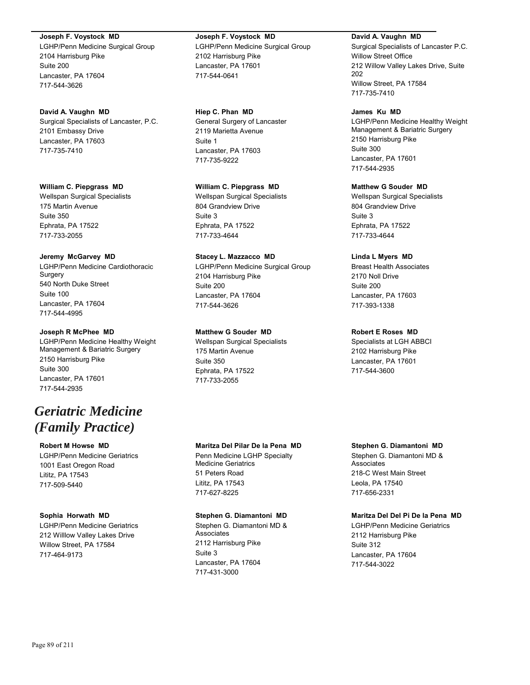#### **Joseph F. Voystock MD**

LGHP/Penn Medicine Surgical Group 2104 Harrisburg Pike Suite 200 Lancaster, PA 17604 717-544-3626

### **David A. Vaughn MD**

Surgical Specialists of Lancaster, P.C. 2101 Embassy Drive Lancaster, PA 17603 717-735-7410

#### **William C. Piepgrass MD**

Wellspan Surgical Specialists 175 Martin Avenue Suite 350 Ephrata, PA 17522 717-733-2055

#### **Jeremy McGarvey MD**

LGHP/Penn Medicine Cardiothoracic Surgery 540 North Duke Street Suite 100 Lancaster, PA 17604 717-544-4995

## **Joseph R McPhee MD**

LGHP/Penn Medicine Healthy Weight Management & Bariatric Surgery 2150 Harrisburg Pike Suite 300 Lancaster, PA 17601 717-544-2935

# *Geriatric Medicine (Family Practice)*

#### **Robert M Howse MD**

LGHP/Penn Medicine Geriatrics 1001 East Oregon Road Lititz, PA 17543 717-509-5440

#### **Sophia Horwath MD**

LGHP/Penn Medicine Geriatrics 212 Willlow Valley Lakes Drive Willow Street, PA 17584 717-464-9173

# **Joseph F. Voystock MD**

LGHP/Penn Medicine Surgical Group 2102 Harrisburg Pike Lancaster, PA 17601 717-544-0641

# **Hiep C. Phan MD**

General Surgery of Lancaster 2119 Marietta Avenue Suite 1 Lancaster, PA 17603 717-735-9222

## **William C. Piepgrass MD**

Wellspan Surgical Specialists 804 Grandview Drive Suite 3 Ephrata, PA 17522 717-733-4644

# **Stacey L. Mazzacco MD**

LGHP/Penn Medicine Surgical Group 2104 Harrisburg Pike Suite 200 Lancaster, PA 17604 717-544-3626

# **Matthew G Souder MD**

Wellspan Surgical Specialists 175 Martin Avenue Suite 350 Ephrata, PA 17522 717-733-2055

#### **David A. Vaughn MD**

Surgical Specialists of Lancaster P.C. Willow Street Office 212 Willow Valley Lakes Drive, Suite 202 Willow Street, PA 17584 717-735-7410

#### **James Ku MD**

LGHP/Penn Medicine Healthy Weight Management & Bariatric Surgery 2150 Harrisburg Pike Suite 300 Lancaster, PA 17601 717-544-2935

## **Matthew G Souder MD**

Wellspan Surgical Specialists 804 Grandview Drive Suite 3 Ephrata, PA 17522 717-733-4644

# **Linda L Myers MD**

Breast Health Associates 2170 Noll Drive Suite 200 Lancaster, PA 17603 717-393-1338

## **Robert E Roses MD**

Specialists at LGH ABBCI 2102 Harrisburg Pike Lancaster, PA 17601 717-544-3600

# **Maritza Del Pilar De la Pena MD**

Penn Medicine LGHP Specialty Medicine Geriatrics 51 Peters Road Lititz, PA 17543 717-627-8225

# **Stephen G. Diamantoni MD**

Stephen G. Diamantoni MD & Associates 2112 Harrisburg Pike Suite 3 Lancaster, PA 17604 717-431-3000

# **Stephen G. Diamantoni MD**

Stephen G. Diamantoni MD & **Associates** 218-C West Main Street Leola, PA 17540 717-656-2331

# **Maritza Del Del Pi De la Pena MD**

LGHP/Penn Medicine Geriatrics 2112 Harrisburg Pike Suite 312 Lancaster, PA 17604 717-544-3022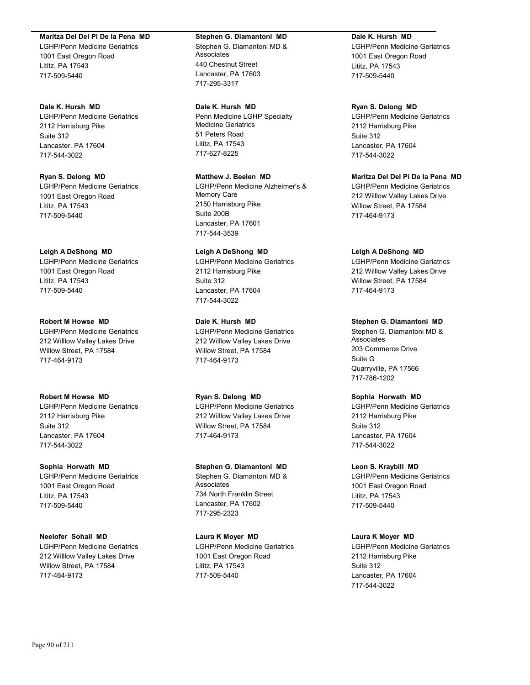#### **Maritza Del Del Pi De la Pena MD**

LGHP/Penn Medicine Geriatrics 1001 East Oregon Road Lititz, PA 17543 717-509-5440

# **Dale K. Hursh MD**

LGHP/Penn Medicine Geriatrics 2112 Harrisburg Pike Suite 312 Lancaster, PA 17604 717-544-3022

**Ryan S. Delong MD** LGHP/Penn Medicine Geriatrics 1001 East Oregon Road Lititz, PA 17543 717-509-5440

### **Leigh A DeShong MD**

LGHP/Penn Medicine Geriatrics 1001 East Oregon Road Lititz, PA 17543 717-509-5440

#### **Robert M Howse MD**

LGHP/Penn Medicine Geriatrics 212 Willlow Valley Lakes Drive Willow Street, PA 17584 717-464-9173

#### **Robert M Howse MD**

LGHP/Penn Medicine Geriatrics 2112 Harrisburg Pike Suite 312 Lancaster, PA 17604 717-544-3022

#### **Sophia Horwath MD**

LGHP/Penn Medicine Geriatrics 1001 East Oregon Road Lititz, PA 17543 717-509-5440

#### **Neelofer Sohail MD**

LGHP/Penn Medicine Geriatrics 212 Willlow Valley Lakes Drive Willow Street, PA 17584 717-464-9173

#### **Stephen G. Diamantoni MD**

Stephen G. Diamantoni MD & Associates 440 Chestnut Street Lancaster, PA 17603 717-295-3317

#### **Dale K. Hursh MD**

Penn Medicine LGHP Specialty Medicine Geriatrics 51 Peters Road Lititz, PA 17543 717-627-8225

# **Matthew J. Beelen MD**

LGHP/Penn Medicine Alzheimer's & Memory Care 2150 Harrisburg Pike Suite 200B Lancaster, PA 17601 717-544-3539

## **Leigh A DeShong MD**

LGHP/Penn Medicine Geriatrics 2112 Harrisburg Pike Suite 312 Lancaster, PA 17604 717-544-3022

#### **Dale K. Hursh MD**

LGHP/Penn Medicine Geriatrics 212 Willlow Valley Lakes Drive Willow Street, PA 17584 717-464-9173

### **Ryan S. Delong MD**

LGHP/Penn Medicine Geriatrics 212 Willlow Valley Lakes Drive Willow Street, PA 17584 717-464-9173

#### **Stephen G. Diamantoni MD**

Stephen G. Diamantoni MD & Associates 734 North Franklin Street Lancaster, PA 17602 717-295-2323

# **Laura K Moyer MD** LGHP/Penn Medicine Geriatrics 1001 East Oregon Road Lititz, PA 17543 717-509-5440

### **Dale K. Hursh MD**

LGHP/Penn Medicine Geriatrics 1001 East Oregon Road Lititz, PA 17543 717-509-5440

#### **Ryan S. Delong MD**

LGHP/Penn Medicine Geriatrics 2112 Harrisburg Pike Suite 312 Lancaster, PA 17604 717-544-3022

# **Maritza Del Del Pi De la Pena MD**

LGHP/Penn Medicine Geriatrics 212 Willlow Valley Lakes Drive Willow Street, PA 17584 717-464-9173

#### **Leigh A DeShong MD**

LGHP/Penn Medicine Geriatrics 212 Willlow Valley Lakes Drive Willow Street, PA 17584 717-464-9173

#### **Stephen G. Diamantoni MD**

Stephen G. Diamantoni MD & Associates 203 Commerce Drive Suite G Quarryville, PA 17566 717-786-1202

### **Sophia Horwath MD**

LGHP/Penn Medicine Geriatrics 2112 Harrisburg Pike Suite 312 Lancaster, PA 17604 717-544-3022

#### **Leon S. Kraybill MD**

LGHP/Penn Medicine Geriatrics 1001 East Oregon Road Lititz, PA 17543 717-509-5440

### **Laura K Moyer MD**

LGHP/Penn Medicine Geriatrics 2112 Harrisburg Pike Suite 312 Lancaster, PA 17604 717-544-3022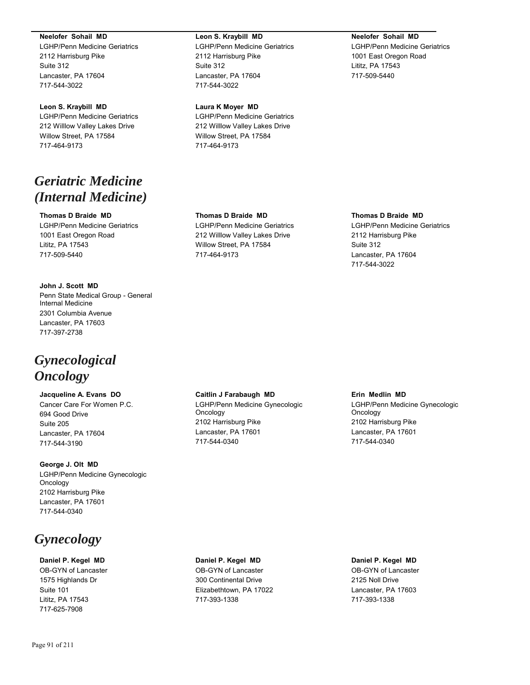#### **Neelofer Sohail MD**

LGHP/Penn Medicine Geriatrics 2112 Harrisburg Pike Suite 312 Lancaster, PA 17604 717-544-3022

#### **Leon S. Kraybill MD**

LGHP/Penn Medicine Geriatrics 212 Willlow Valley Lakes Drive Willow Street, PA 17584 717-464-9173

# *Geriatric Medicine (Internal Medicine)*

### **Thomas D Braide MD**

LGHP/Penn Medicine Geriatrics 1001 East Oregon Road Lititz, PA 17543 717-509-5440

#### **John J. Scott MD**

Penn State Medical Group - General Internal Medicine 2301 Columbia Avenue Lancaster, PA 17603 717-397-2738

# *Gynecological Oncology*

# **Jacqueline A. Evans DO**

Cancer Care For Women P.C. 694 Good Drive Suite 205 Lancaster, PA 17604 717-544-3190

**George J. Olt MD** LGHP/Penn Medicine Gynecologic Oncology 2102 Harrisburg Pike Lancaster, PA 17601 717-544-0340

# *Gynecology*

**Daniel P. Kegel MD** OB-GYN of Lancaster 1575 Highlands Dr Suite 101 Lititz, PA 17543 717-625-7908

#### **Leon S. Kraybill MD**

LGHP/Penn Medicine Geriatrics 2112 Harrisburg Pike Suite 312 Lancaster, PA 17604 717-544-3022

#### **Laura K Moyer MD**

LGHP/Penn Medicine Geriatrics 212 Willlow Valley Lakes Drive Willow Street, PA 17584 717-464-9173

#### **Neelofer Sohail MD**

LGHP/Penn Medicine Geriatrics 1001 East Oregon Road Lititz, PA 17543 717-509-5440

#### **Thomas D Braide MD**

LGHP/Penn Medicine Geriatrics 212 Willlow Valley Lakes Drive Willow Street, PA 17584 717-464-9173

### **Thomas D Braide MD**

LGHP/Penn Medicine Geriatrics 2112 Harrisburg Pike Suite 312 Lancaster, PA 17604 717-544-3022

#### **Caitlin J Farabaugh MD**

LGHP/Penn Medicine Gynecologic Oncology 2102 Harrisburg Pike Lancaster, PA 17601 717-544-0340

#### **Erin Medlin MD**

LGHP/Penn Medicine Gynecologic Oncology 2102 Harrisburg Pike Lancaster, PA 17601 717-544-0340

# **Daniel P. Kegel MD**

OB-GYN of Lancaster 300 Continental Drive Elizabethtown, PA 17022 717-393-1338

**Daniel P. Kegel MD** OB-GYN of Lancaster 2125 Noll Drive Lancaster, PA 17603 717-393-1338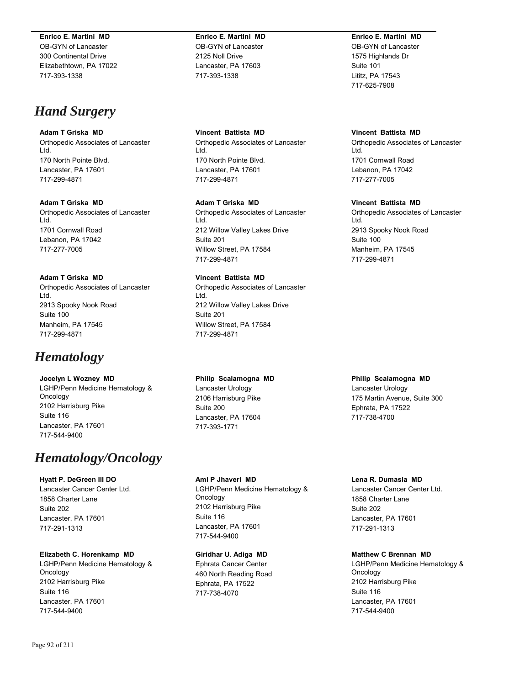#### **Enrico E. Martini MD**

OB-GYN of Lancaster 300 Continental Drive Elizabethtown, PA 17022 717-393-1338

# *Hand Surgery*

# **Adam T Griska MD**

Orthopedic Associates of Lancaster Ltd. 170 North Pointe Blvd. Lancaster, PA 17601 717-299-4871

#### **Adam T Griska MD**

Orthopedic Associates of Lancaster Ltd. 1701 Cornwall Road Lebanon, PA 17042 717-277-7005

## **Adam T Griska MD**

Orthopedic Associates of Lancaster Ltd. 2913 Spooky Nook Road Suite 100 Manheim, PA 17545 717-299-4871

# *Hematology*

**Jocelyn L Wozney MD** LGHP/Penn Medicine Hematology & Oncology 2102 Harrisburg Pike Suite 116 Lancaster, PA 17601 717-544-9400

# *Hematology/Oncology*

**Hyatt P. DeGreen III DO** Lancaster Cancer Center Ltd. 1858 Charter Lane Suite 202 Lancaster, PA 17601 717-291-1313

# **Elizabeth C. Horenkamp MD**

LGHP/Penn Medicine Hematology & Oncology 2102 Harrisburg Pike Suite 116 Lancaster, PA 17601 717-544-9400

**Enrico E. Martini MD** OB-GYN of Lancaster 2125 Noll Drive Lancaster, PA 17603 717-393-1338

### **Vincent Battista MD**

Orthopedic Associates of Lancaster Ltd. 170 North Pointe Blvd. Lancaster, PA 17601 717-299-4871

#### **Adam T Griska MD**

Orthopedic Associates of Lancaster Ltd. 212 Willow Valley Lakes Drive Suite 201 Willow Street, PA 17584 717-299-4871

## **Vincent Battista MD**

Orthopedic Associates of Lancaster Ltd. 212 Willow Valley Lakes Drive Suite 201 Willow Street, PA 17584 717-299-4871

#### **Philip Scalamogna MD**

Lancaster Urology 2106 Harrisburg Pike Suite 200 Lancaster, PA 17604 717-393-1771

**Ami P Jhaveri MD** LGHP/Penn Medicine Hematology & Oncology 2102 Harrisburg Pike Suite 116 Lancaster, PA 17601 717-544-9400

**Giridhar U. Adiga MD** Ephrata Cancer Center 460 North Reading Road Ephrata, PA 17522 717-738-4070

**Enrico E. Martini MD** OB-GYN of Lancaster 1575 Highlands Dr Suite 101 Lititz, PA 17543 717-625-7908

#### **Vincent Battista MD**

Orthopedic Associates of Lancaster Ltd. 1701 Cornwall Road Lebanon, PA 17042 717-277-7005

#### **Vincent Battista MD**

Orthopedic Associates of Lancaster Ltd. 2913 Spooky Nook Road Suite 100 Manheim, PA 17545 717-299-4871

#### **Philip Scalamogna MD**

Lancaster Urology 175 Martin Avenue, Suite 300 Ephrata, PA 17522 717-738-4700

# **Lena R. Dumasia MD**

Lancaster Cancer Center Ltd. 1858 Charter Lane Suite 202 Lancaster, PA 17601 717-291-1313

**Matthew C Brennan MD** LGHP/Penn Medicine Hematology & Oncology 2102 Harrisburg Pike Suite 116

Lancaster, PA 17601 717-544-9400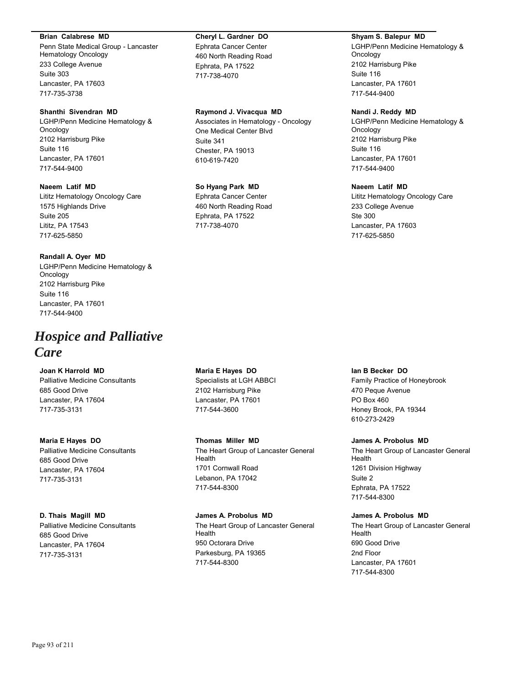#### **Brian Calabrese MD**

Penn State Medical Group - Lancaster Hematology Oncology 233 College Avenue Suite 303 Lancaster, PA 17603 717-735-3738

#### **Shanthi Sivendran MD**

LGHP/Penn Medicine Hematology & Oncology 2102 Harrisburg Pike Suite 116 Lancaster, PA 17601 717-544-9400

#### **Naeem Latif MD**

Lititz Hematology Oncology Care 1575 Highlands Drive Suite 205 Lititz, PA 17543 717-625-5850

#### **Randall A. Oyer MD**

LGHP/Penn Medicine Hematology & Oncology 2102 Harrisburg Pike Suite 116 Lancaster, PA 17601 717-544-9400

# *Hospice and Palliative Care*

# **Joan K Harrold MD**

Palliative Medicine Consultants 685 Good Drive Lancaster, PA 17604 717-735-3131

# **Maria E Hayes DO** Palliative Medicine Consultants 685 Good Drive Lancaster, PA 17604 717-735-3131

# **D. Thais Magill MD**

Palliative Medicine Consultants 685 Good Drive Lancaster, PA 17604 717-735-3131

# **Cheryl L. Gardner DO** Ephrata Cancer Center 460 North Reading Road Ephrata, PA 17522

717-738-4070

# **Raymond J. Vivacqua MD**

Associates in Hematology - Oncology One Medical Center Blvd Suite 341 Chester, PA 19013 610-619-7420

## **So Hyang Park MD**

Ephrata Cancer Center 460 North Reading Road Ephrata, PA 17522 717-738-4070

# **Maria E Hayes DO**

Specialists at LGH ABBCI 2102 Harrisburg Pike Lancaster, PA 17601 717-544-3600

## **Thomas Miller MD** The Heart Group of Lancaster General Health 1701 Cornwall Road Lebanon, PA 17042 717-544-8300

#### **James A. Probolus MD**

The Heart Group of Lancaster General Health 950 Octorara Drive Parkesburg, PA 19365 717-544-8300

#### **Shyam S. Balepur MD**

LGHP/Penn Medicine Hematology & **Oncology** 2102 Harrisburg Pike Suite 116 Lancaster, PA 17601 717-544-9400

### **Nandi J. Reddy MD**

LGHP/Penn Medicine Hematology & Oncology 2102 Harrisburg Pike Suite 116 Lancaster, PA 17601 717-544-9400

## **Naeem Latif MD**

Lititz Hematology Oncology Care 233 College Avenue Ste 300 Lancaster, PA 17603 717-625-5850

#### **Ian B Becker DO**

Family Practice of Honeybrook 470 Peque Avenue PO Box 460 Honey Brook, PA 19344 610-273-2429

#### **James A. Probolus MD**

The Heart Group of Lancaster General Health 1261 Division Highway Suite 2 Ephrata, PA 17522 717-544-8300

## **James A. Probolus MD**

The Heart Group of Lancaster General Health 690 Good Drive 2nd Floor Lancaster, PA 17601 717-544-8300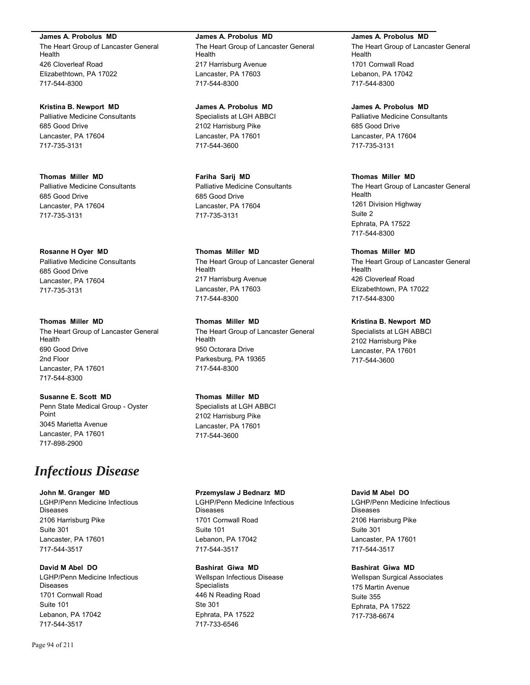**James A. Probolus MD** The Heart Group of Lancaster General Health 426 Cloverleaf Road Elizabethtown, PA 17022 717-544-8300

**Kristina B. Newport MD** Palliative Medicine Consultants 685 Good Drive Lancaster, PA 17604 717-735-3131

**Thomas Miller MD** Palliative Medicine Consultants 685 Good Drive Lancaster, PA 17604 717-735-3131

**Rosanne H Oyer MD** Palliative Medicine Consultants 685 Good Drive Lancaster, PA 17604 717-735-3131

**Thomas Miller MD** The Heart Group of Lancaster General Health 690 Good Drive 2nd Floor Lancaster, PA 17601 717-544-8300

**Susanne E. Scott MD** Penn State Medical Group - Oyster Point 3045 Marietta Avenue Lancaster, PA 17601 717-898-2900

# *Infectious Disease*

**John M. Granger MD** LGHP/Penn Medicine Infectious Diseases 2106 Harrisburg Pike Suite 301 Lancaster, PA 17601 717-544-3517

**David M Abel DO** LGHP/Penn Medicine Infectious Diseases 1701 Cornwall Road Suite 101 Lebanon, PA 17042 717-544-3517

**James A. Probolus MD** The Heart Group of Lancaster General **Health** 217 Harrisburg Avenue Lancaster, PA 17603 717-544-8300

**James A. Probolus MD** Specialists at LGH ABBCI 2102 Harrisburg Pike Lancaster, PA 17601 717-544-3600

**Fariha Sarij MD** Palliative Medicine Consultants 685 Good Drive Lancaster, PA 17604 717-735-3131

**Thomas Miller MD** The Heart Group of Lancaster General Health 217 Harrisburg Avenue Lancaster, PA 17603 717-544-8300

**Thomas Miller MD** The Heart Group of Lancaster General Health 950 Octorara Drive Parkesburg, PA 19365 717-544-8300

**Thomas Miller MD** Specialists at LGH ABBCI 2102 Harrisburg Pike Lancaster, PA 17601 717-544-3600

**Przemyslaw J Bednarz MD**

LGHP/Penn Medicine Infectious Diseases 1701 Cornwall Road Suite 101 Lebanon, PA 17042 717-544-3517

**Bashirat Giwa MD** Wellspan Infectious Disease Specialists 446 N Reading Road Ste 301 Ephrata, PA 17522 717-733-6546

**James A. Probolus MD** The Heart Group of Lancaster General Health 1701 Cornwall Road Lebanon, PA 17042 717-544-8300

**James A. Probolus MD** Palliative Medicine Consultants 685 Good Drive Lancaster, PA 17604 717-735-3131

**Thomas Miller MD** The Heart Group of Lancaster General Health 1261 Division Highway Suite 2 Ephrata, PA 17522 717-544-8300

**Thomas Miller MD** The Heart Group of Lancaster General Health 426 Cloverleaf Road Elizabethtown, PA 17022 717-544-8300

**Kristina B. Newport MD** Specialists at LGH ABBCI 2102 Harrisburg Pike Lancaster, PA 17601 717-544-3600

# **David M Abel DO**

LGHP/Penn Medicine Infectious Diseases 2106 Harrisburg Pike Suite 301 Lancaster, PA 17601 717-544-3517

**Bashirat Giwa MD**

Wellspan Surgical Associates 175 Martin Avenue Suite 355 Ephrata, PA 17522 717-738-6674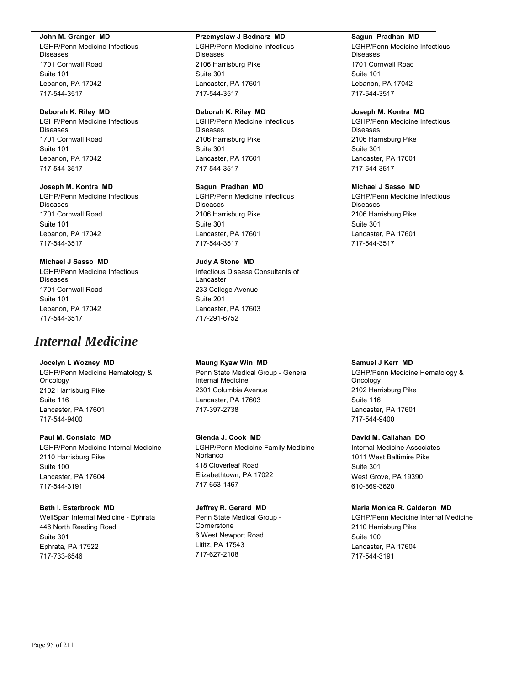#### **John M. Granger MD**

LGHP/Penn Medicine Infectious Diseases 1701 Cornwall Road Suite 101 Lebanon, PA 17042 717-544-3517

#### **Deborah K. Riley MD**

LGHP/Penn Medicine Infectious Diseases 1701 Cornwall Road Suite 101 Lebanon, PA 17042 717-544-3517

#### **Joseph M. Kontra MD**

LGHP/Penn Medicine Infectious Diseases 1701 Cornwall Road Suite 101 Lebanon, PA 17042 717-544-3517

## **Michael J Sasso MD**

LGHP/Penn Medicine Infectious Diseases 1701 Cornwall Road Suite 101 Lebanon, PA 17042 717-544-3517

# *Internal Medicine*

# **Jocelyn L Wozney MD**

LGHP/Penn Medicine Hematology & Oncology 2102 Harrisburg Pike Suite 116 Lancaster, PA 17601 717-544-9400

# **Paul M. Conslato MD** LGHP/Penn Medicine Internal Medicine 2110 Harrisburg Pike Suite 100 Lancaster, PA 17604 717-544-3191

#### **Beth I. Esterbrook MD**

WellSpan Internal Medicine - Ephrata 446 North Reading Road Suite 301 Ephrata, PA 17522 717-733-6546

#### **Przemyslaw J Bednarz MD**

LGHP/Penn Medicine Infectious Diseases 2106 Harrisburg Pike Suite 301 Lancaster, PA 17601 717-544-3517

### **Deborah K. Riley MD**

LGHP/Penn Medicine Infectious Diseases 2106 Harrisburg Pike Suite 301 Lancaster, PA 17601 717-544-3517

#### **Sagun Pradhan MD**

LGHP/Penn Medicine Infectious Diseases 2106 Harrisburg Pike Suite 301 Lancaster, PA 17601 717-544-3517

### **Judy A Stone MD**

Infectious Disease Consultants of Lancaster 233 College Avenue Suite 201 Lancaster, PA 17603 717-291-6752

**Maung Kyaw Win MD** Penn State Medical Group - General Internal Medicine 2301 Columbia Avenue Lancaster, PA 17603

717-397-2738

**Glenda J. Cook MD** LGHP/Penn Medicine Family Medicine **Norlanco** 418 Cloverleaf Road Elizabethtown, PA 17022 717-653-1467

#### **Jeffrey R. Gerard MD**

Penn State Medical Group - **Cornerstone** 6 West Newport Road Lititz, PA 17543 717-627-2108

#### **Sagun Pradhan MD**

LGHP/Penn Medicine Infectious Diseases 1701 Cornwall Road Suite 101 Lebanon, PA 17042 717-544-3517

#### **Joseph M. Kontra MD**

LGHP/Penn Medicine Infectious Diseases 2106 Harrisburg Pike Suite 301 Lancaster, PA 17601 717-544-3517

#### **Michael J Sasso MD**

LGHP/Penn Medicine Infectious Diseases 2106 Harrisburg Pike Suite 301 Lancaster, PA 17601 717-544-3517

**Samuel J Kerr MD** LGHP/Penn Medicine Hematology & Oncology 2102 Harrisburg Pike Suite 116 Lancaster, PA 17601 717-544-9400

#### **David M. Callahan DO**

Internal Medicine Associates 1011 West Baltimire Pike Suite 301 West Grove, PA 19390 610-869-3620

## **Maria Monica R. Calderon MD**

LGHP/Penn Medicine Internal Medicine 2110 Harrisburg Pike Suite 100 Lancaster, PA 17604 717-544-3191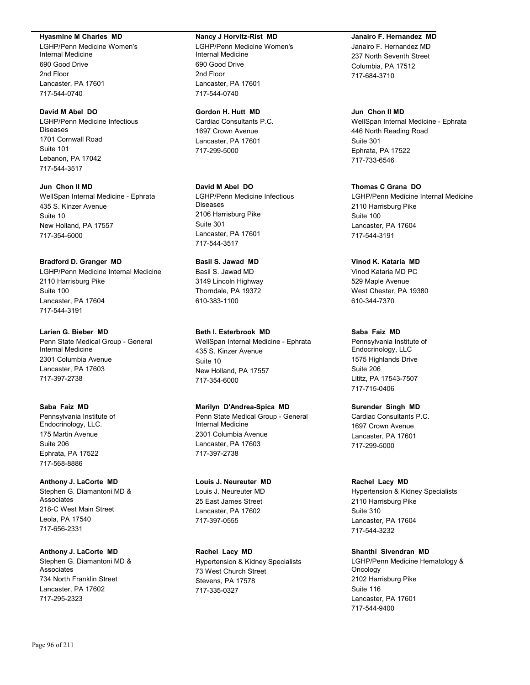#### **Hyasmine M Charles MD**

LGHP/Penn Medicine Women's Internal Medicine 690 Good Drive 2nd Floor Lancaster, PA 17601 717-544-0740

#### **David M Abel DO**

LGHP/Penn Medicine Infectious Diseases 1701 Cornwall Road Suite 101 Lebanon, PA 17042 717-544-3517

**Jun Chon II MD** WellSpan Internal Medicine - Ephrata 435 S. Kinzer Avenue Suite 10 New Holland, PA 17557 717-354-6000

#### **Bradford D. Granger MD**

LGHP/Penn Medicine Internal Medicine 2110 Harrisburg Pike Suite 100 Lancaster, PA 17604 717-544-3191

#### **Larien G. Bieber MD**

Penn State Medical Group - General Internal Medicine 2301 Columbia Avenue Lancaster, PA 17603 717-397-2738

### **Saba Faiz MD**

Pennsylvania Institute of Endocrinology, LLC. 175 Martin Avenue Suite 206 Ephrata, PA 17522 717-568-8886

### **Anthony J. LaCorte MD** Stephen G. Diamantoni MD & Associates 218-C West Main Street Leola, PA 17540 717-656-2331

**Anthony J. LaCorte MD** Stephen G. Diamantoni MD & Associates 734 North Franklin Street Lancaster, PA 17602 717-295-2323

#### **Nancy J Horvitz-Rist MD**

LGHP/Penn Medicine Women's Internal Medicine 690 Good Drive 2nd Floor Lancaster, PA 17601 717-544-0740

#### **Gordon H. Hutt MD**

Cardiac Consultants P.C. 1697 Crown Avenue Lancaster, PA 17601 717-299-5000

## **David M Abel DO**

LGHP/Penn Medicine Infectious Diseases 2106 Harrisburg Pike Suite 301 Lancaster, PA 17601 717-544-3517

# **Basil S. Jawad MD**

Basil S. Jawad MD 3149 Lincoln Highway Thorndale, PA 19372 610-383-1100

## **Beth I. Esterbrook MD**

WellSpan Internal Medicine - Ephrata 435 S. Kinzer Avenue Suite 10 New Holland, PA 17557 717-354-6000

### **Marilyn D'Andrea-Spica MD**

Penn State Medical Group - General Internal Medicine 2301 Columbia Avenue Lancaster, PA 17603 717-397-2738

#### **Louis J. Neureuter MD**

Louis J. Neureuter MD 25 East James Street Lancaster, PA 17602 717-397-0555

**Rachel Lacy MD** Hypertension & Kidney Specialists 73 West Church Street Stevens, PA 17578 717-335-0327

# **Janairo F. Hernandez MD**

Janairo F. Hernandez MD 237 North Seventh Street Columbia, PA 17512 717-684-3710

#### **Jun Chon II MD**

WellSpan Internal Medicine - Ephrata 446 North Reading Road Suite 301 Ephrata, PA 17522 717-733-6546

### **Thomas C Grana DO**

LGHP/Penn Medicine Internal Medicine 2110 Harrisburg Pike Suite 100 Lancaster, PA 17604 717-544-3191

#### **Vinod K. Kataria MD**

Vinod Kataria MD PC 529 Maple Avenue West Chester, PA 19380 610-344-7370

# **Saba Faiz MD**

Pennsylvania Institute of Endocrinology, LLC 1575 Highlands Drive Suite 206 Lititz, PA 17543-7507 717-715-0406

#### **Surender Singh MD**

Cardiac Consultants P.C. 1697 Crown Avenue Lancaster, PA 17601 717-299-5000

#### **Rachel Lacy MD**

Hypertension & Kidney Specialists 2110 Harrisburg Pike Suite 310 Lancaster, PA 17604 717-544-3232

# **Shanthi Sivendran MD**

LGHP/Penn Medicine Hematology & Oncology 2102 Harrisburg Pike Suite 116 Lancaster, PA 17601 717-544-9400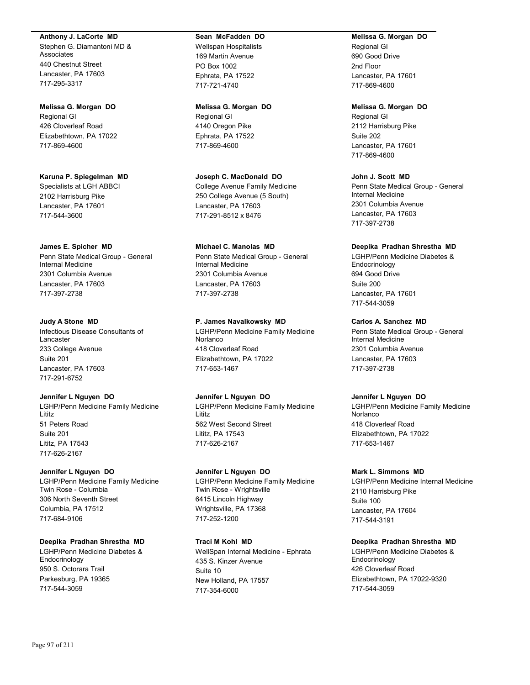**Anthony J. LaCorte MD**

Stephen G. Diamantoni MD & Associates 440 Chestnut Street Lancaster, PA 17603 717-295-3317

**Melissa G. Morgan DO**

Regional GI 426 Cloverleaf Road Elizabethtown, PA 17022 717-869-4600

**Karuna P. Spiegelman MD** Specialists at LGH ABBCI 2102 Harrisburg Pike Lancaster, PA 17601 717-544-3600

**James E. Spicher MD**

Penn State Medical Group - General Internal Medicine 2301 Columbia Avenue Lancaster, PA 17603 717-397-2738

**Judy A Stone MD** Infectious Disease Consultants of Lancaster 233 College Avenue Suite 201 Lancaster, PA 17603 717-291-6752

**Jennifer L Nguyen DO** LGHP/Penn Medicine Family Medicine Lititz 51 Peters Road Suite 201 Lititz, PA 17543 717-626-2167

**Jennifer L Nguyen DO** LGHP/Penn Medicine Family Medicine Twin Rose - Columbia 306 North Seventh Street Columbia, PA 17512 717-684-9106

**Deepika Pradhan Shrestha MD** LGHP/Penn Medicine Diabetes & Endocrinology 950 S. Octorara Trail Parkesburg, PA 19365 717-544-3059

#### **Sean McFadden DO**

Wellspan Hospitalists 169 Martin Avenue PO Box 1002 Ephrata, PA 17522 717-721-4740

**Melissa G. Morgan DO** Regional GI 4140 Oregon Pike Ephrata, PA 17522 717-869-4600

**Joseph C. MacDonald DO** College Avenue Family Medicine 250 College Avenue (5 South) Lancaster, PA 17603 717-291-8512 x 8476

**Michael C. Manolas MD** Penn State Medical Group - General Internal Medicine 2301 Columbia Avenue Lancaster, PA 17603 717-397-2738

**P. James Navalkowsky MD** LGHP/Penn Medicine Family Medicine Norlanco 418 Cloverleaf Road Elizabethtown, PA 17022 717-653-1467

**Jennifer L Nguyen DO** LGHP/Penn Medicine Family Medicine Lititz 562 West Second Street Lititz, PA 17543 717-626-2167

**Jennifer L Nguyen DO** LGHP/Penn Medicine Family Medicine Twin Rose - Wrightsville 6415 Lincoln Highway Wrightsville, PA 17368 717-252-1200

**Traci M Kohl MD** WellSpan Internal Medicine - Ephrata 435 S. Kinzer Avenue Suite 10 New Holland, PA 17557 717-354-6000

**Melissa G. Morgan DO** Regional GI 690 Good Drive 2nd Floor Lancaster, PA 17601 717-869-4600

**Melissa G. Morgan DO**

Regional GI 2112 Harrisburg Pike Suite 202 Lancaster, PA 17601 717-869-4600

**John J. Scott MD** Penn State Medical Group - General Internal Medicine 2301 Columbia Avenue Lancaster, PA 17603 717-397-2738

**Deepika Pradhan Shrestha MD**

LGHP/Penn Medicine Diabetes & Endocrinology 694 Good Drive Suite 200 Lancaster, PA 17601 717-544-3059

**Carlos A. Sanchez MD**

Penn State Medical Group - General Internal Medicine 2301 Columbia Avenue Lancaster, PA 17603 717-397-2738

**Jennifer L Nguyen DO**

LGHP/Penn Medicine Family Medicine Norlanco 418 Cloverleaf Road Elizabethtown, PA 17022 717-653-1467

**Mark L. Simmons MD**

LGHP/Penn Medicine Internal Medicine 2110 Harrisburg Pike Suite 100 Lancaster, PA 17604 717-544-3191

**Deepika Pradhan Shrestha MD**

LGHP/Penn Medicine Diabetes & **Endocrinology** 426 Cloverleaf Road Elizabethtown, PA 17022-9320 717-544-3059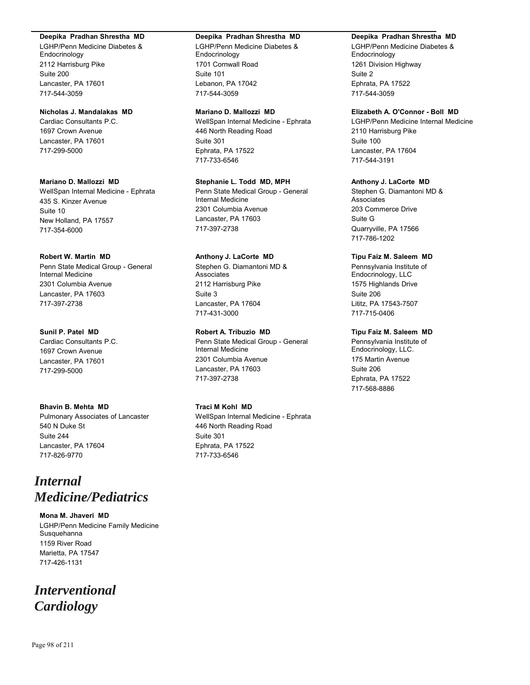#### **Deepika Pradhan Shrestha MD**

LGHP/Penn Medicine Diabetes & Endocrinology 2112 Harrisburg Pike Suite 200 Lancaster, PA 17601 717-544-3059

# **Nicholas J. Mandalakas MD**

Cardiac Consultants P.C. 1697 Crown Avenue Lancaster, PA 17601 717-299-5000

#### **Mariano D. Mallozzi MD**

WellSpan Internal Medicine - Ephrata 435 S. Kinzer Avenue Suite 10 New Holland, PA 17557 717-354-6000

## **Robert W. Martin MD**

Penn State Medical Group - General Internal Medicine 2301 Columbia Avenue Lancaster, PA 17603 717-397-2738

#### **Sunil P. Patel MD**

Cardiac Consultants P.C. 1697 Crown Avenue Lancaster, PA 17601 717-299-5000

# **Bhavin B. Mehta MD**

Pulmonary Associates of Lancaster 540 N Duke St Suite 244 Lancaster, PA 17604 717-826-9770

# *Internal Medicine/Pediatrics*

**Mona M. Jhaveri MD** LGHP/Penn Medicine Family Medicine Susquehanna 1159 River Road Marietta, PA 17547 717-426-1131

# *Interventional Cardiology*

#### **Deepika Pradhan Shrestha MD**

LGHP/Penn Medicine Diabetes & Endocrinology 1701 Cornwall Road Suite 101 Lebanon, PA 17042 717-544-3059

#### **Mariano D. Mallozzi MD**

WellSpan Internal Medicine - Ephrata 446 North Reading Road Suite 301 Ephrata, PA 17522 717-733-6546

## **Stephanie L. Todd MD, MPH**

Penn State Medical Group - General Internal Medicine 2301 Columbia Avenue Lancaster, PA 17603 717-397-2738

# **Anthony J. LaCorte MD**

Stephen G. Diamantoni MD & Associates 2112 Harrisburg Pike Suite 3 Lancaster, PA 17604 717-431-3000

# **Robert A. Tribuzio MD**

Penn State Medical Group - General Internal Medicine 2301 Columbia Avenue Lancaster, PA 17603 717-397-2738

#### **Traci M Kohl MD**

WellSpan Internal Medicine - Ephrata 446 North Reading Road Suite 301 Ephrata, PA 17522 717-733-6546

## **Deepika Pradhan Shrestha MD**

LGHP/Penn Medicine Diabetes & Endocrinology 1261 Division Highway Suite 2 Ephrata, PA 17522 717-544-3059

#### **Elizabeth A. O'Connor - Boll MD**

LGHP/Penn Medicine Internal Medicine 2110 Harrisburg Pike Suite 100 Lancaster, PA 17604 717-544-3191

#### **Anthony J. LaCorte MD**

Stephen G. Diamantoni MD & Associates 203 Commerce Drive Suite G Quarryville, PA 17566 717-786-1202

#### **Tipu Faiz M. Saleem MD**

Pennsylvania Institute of Endocrinology, LLC 1575 Highlands Drive Suite 206 Lititz, PA 17543-7507 717-715-0406

# **Tipu Faiz M. Saleem MD**

Pennsylvania Institute of Endocrinology, LLC. 175 Martin Avenue Suite 206 Ephrata, PA 17522 717-568-8886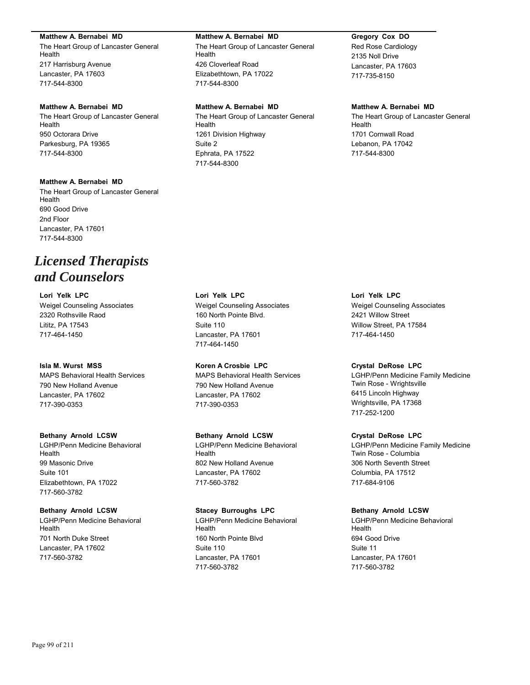#### **Matthew A. Bernabei MD**

The Heart Group of Lancaster General Health 217 Harrisburg Avenue Lancaster, PA 17603 717-544-8300

# **Matthew A. Bernabei MD**

The Heart Group of Lancaster General Health 950 Octorara Drive Parkesburg, PA 19365 717-544-8300

# **Matthew A. Bernabei MD**

The Heart Group of Lancaster General Health 690 Good Drive 2nd Floor Lancaster, PA 17601 717-544-8300

# *Licensed Therapists and Counselors*

**Lori Yelk LPC** Weigel Counseling Associates 2320 Rothsville Raod Lititz, PA 17543 717-464-1450

# **Isla M. Wurst MSS**

MAPS Behavioral Health Services 790 New Holland Avenue Lancaster, PA 17602 717-390-0353

#### **Bethany Arnold LCSW**

LGHP/Penn Medicine Behavioral Health 99 Masonic Drive Suite 101 Elizabethtown, PA 17022 717-560-3782

# **Bethany Arnold LCSW**

LGHP/Penn Medicine Behavioral Health 701 North Duke Street Lancaster, PA 17602 717-560-3782

#### **Matthew A. Bernabei MD**

The Heart Group of Lancaster General Health 426 Cloverleaf Road Elizabethtown, PA 17022 717-544-8300

#### **Matthew A. Bernabei MD**

The Heart Group of Lancaster General Health 1261 Division Highway Suite 2 Ephrata, PA 17522 717-544-8300

# **Gregory Cox DO**

Red Rose Cardiology 2135 Noll Drive Lancaster, PA 17603 717-735-8150

# **Matthew A. Bernabei MD**

The Heart Group of Lancaster General Health 1701 Cornwall Road Lebanon, PA 17042 717-544-8300

**Lori Yelk LPC** Weigel Counseling Associates 160 North Pointe Blvd. Suite 110 Lancaster, PA 17601 717-464-1450

**Koren A Crosbie LPC** MAPS Behavioral Health Services 790 New Holland Avenue Lancaster, PA 17602 717-390-0353

#### **Bethany Arnold LCSW**

LGHP/Penn Medicine Behavioral Health 802 New Holland Avenue Lancaster, PA 17602 717-560-3782

#### **Stacey Burroughs LPC**

LGHP/Penn Medicine Behavioral Health 160 North Pointe Blvd Suite 110 Lancaster, PA 17601 717-560-3782

**Lori Yelk LPC** Weigel Counseling Associates 2421 Willow Street Willow Street, PA 17584 717-464-1450

#### **Crystal DeRose LPC**

LGHP/Penn Medicine Family Medicine Twin Rose - Wrightsville 6415 Lincoln Highway Wrightsville, PA 17368 717-252-1200

#### **Crystal DeRose LPC**

LGHP/Penn Medicine Family Medicine Twin Rose - Columbia 306 North Seventh Street Columbia, PA 17512 717-684-9106

#### **Bethany Arnold LCSW**

LGHP/Penn Medicine Behavioral Health 694 Good Drive Suite 11 Lancaster, PA 17601 717-560-3782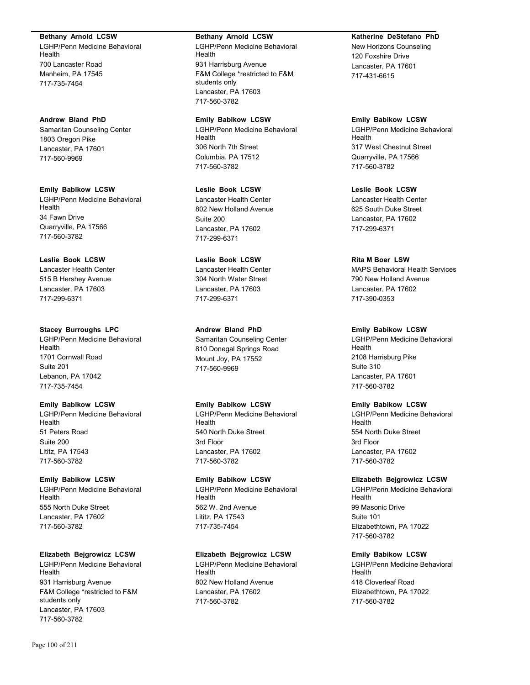#### **Bethany Arnold LCSW**

LGHP/Penn Medicine Behavioral Health 700 Lancaster Road Manheim, PA 17545 717-735-7454

**Andrew Bland PhD** Samaritan Counseling Center 1803 Oregon Pike Lancaster, PA 17601 717-560-9969

**Emily Babikow LCSW** LGHP/Penn Medicine Behavioral Health 34 Fawn Drive Quarryville, PA 17566 717-560-3782

**Leslie Book LCSW** Lancaster Health Center 515 B Hershey Avenue Lancaster, PA 17603 717-299-6371

**Stacey Burroughs LPC** LGHP/Penn Medicine Behavioral Health 1701 Cornwall Road Suite 201 Lebanon, PA 17042 717-735-7454

**Emily Babikow LCSW** LGHP/Penn Medicine Behavioral Health 51 Peters Road Suite 200 Lititz, PA 17543 717-560-3782

**Emily Babikow LCSW** LGHP/Penn Medicine Behavioral Health 555 North Duke Street Lancaster, PA 17602 717-560-3782

**Elizabeth Bejgrowicz LCSW** LGHP/Penn Medicine Behavioral Health 931 Harrisburg Avenue F&M College \*restricted to F&M students only Lancaster, PA 17603 717-560-3782

LGHP/Penn Medicine Behavioral Health 931 Harrisburg Avenue F&M College \*restricted to F&M students only Lancaster, PA 17603 717-560-3782

**Emily Babikow LCSW** LGHP/Penn Medicine Behavioral Health 306 North 7th Street Columbia, PA 17512 717-560-3782

**Leslie Book LCSW** Lancaster Health Center 802 New Holland Avenue Suite 200 Lancaster, PA 17602 717-299-6371

**Leslie Book LCSW** Lancaster Health Center 304 North Water Street Lancaster, PA 17603 717-299-6371

**Andrew Bland PhD** Samaritan Counseling Center 810 Donegal Springs Road Mount Joy, PA 17552 717-560-9969

**Emily Babikow LCSW** LGHP/Penn Medicine Behavioral Health 540 North Duke Street 3rd Floor Lancaster, PA 17602 717-560-3782

**Emily Babikow LCSW** LGHP/Penn Medicine Behavioral Health 562 W. 2nd Avenue Lititz, PA 17543 717-735-7454

**Elizabeth Bejgrowicz LCSW** LGHP/Penn Medicine Behavioral Health

802 New Holland Avenue Lancaster, PA 17602 717-560-3782

#### **Katherine DeStefano PhD**

New Horizons Counseling 120 Foxshire Drive Lancaster, PA 17601 717-431-6615

**Emily Babikow LCSW**

LGHP/Penn Medicine Behavioral Health 317 West Chestnut Street Quarryville, PA 17566 717-560-3782

**Leslie Book LCSW** Lancaster Health Center 625 South Duke Street Lancaster, PA 17602 717-299-6371

# **Rita M Boer LSW**

MAPS Behavioral Health Services 790 New Holland Avenue Lancaster, PA 17602 717-390-0353

# **Emily Babikow LCSW**

LGHP/Penn Medicine Behavioral Health 2108 Harrisburg Pike Suite 310 Lancaster, PA 17601 717-560-3782

# **Emily Babikow LCSW**

LGHP/Penn Medicine Behavioral Health 554 North Duke Street 3rd Floor Lancaster, PA 17602 717-560-3782

# **Elizabeth Bejgrowicz LCSW**

LGHP/Penn Medicine Behavioral Health 99 Masonic Drive Suite 101 Elizabethtown, PA 17022 717-560-3782

# **Emily Babikow LCSW**

LGHP/Penn Medicine Behavioral Health 418 Cloverleaf Road Elizabethtown, PA 17022 717-560-3782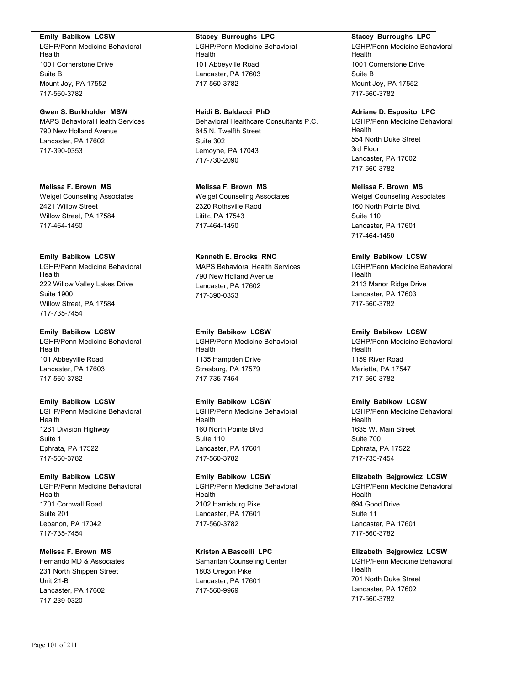#### **Emily Babikow LCSW**

LGHP/Penn Medicine Behavioral Health 1001 Cornerstone Drive Suite B Mount Joy, PA 17552 717-560-3782

**Gwen S. Burkholder MSW** MAPS Behavioral Health Services 790 New Holland Avenue Lancaster, PA 17602 717-390-0353

**Melissa F. Brown MS** Weigel Counseling Associates 2421 Willow Street Willow Street, PA 17584 717-464-1450

# **Emily Babikow LCSW**

LGHP/Penn Medicine Behavioral Health 222 Willow Valley Lakes Drive Suite 1900 Willow Street, PA 17584 717-735-7454

#### **Emily Babikow LCSW**

LGHP/Penn Medicine Behavioral Health 101 Abbeyville Road Lancaster, PA 17603 717-560-3782

#### **Emily Babikow LCSW**

LGHP/Penn Medicine Behavioral Health 1261 Division Highway Suite 1 Ephrata, PA 17522 717-560-3782

## **Emily Babikow LCSW**

LGHP/Penn Medicine Behavioral Health 1701 Cornwall Road Suite 201 Lebanon, PA 17042 717-735-7454

# **Melissa F. Brown MS**

Fernando MD & Associates 231 North Shippen Street Unit 21-B Lancaster, PA 17602 717-239-0320

## **Stacey Burroughs LPC**

LGHP/Penn Medicine Behavioral Health 101 Abbeyville Road Lancaster, PA 17603 717-560-3782

**Heidi B. Baldacci PhD**

Behavioral Healthcare Consultants P.C. 645 N. Twelfth Street Suite 302 Lemoyne, PA 17043 717-730-2090

**Melissa F. Brown MS** Weigel Counseling Associates 2320 Rothsville Raod Lititz, PA 17543 717-464-1450

**Kenneth E. Brooks RNC** MAPS Behavioral Health Services 790 New Holland Avenue Lancaster, PA 17602 717-390-0353

#### **Emily Babikow LCSW**

LGHP/Penn Medicine Behavioral Health 1135 Hampden Drive Strasburg, PA 17579 717-735-7454

#### **Emily Babikow LCSW**

LGHP/Penn Medicine Behavioral Health 160 North Pointe Blvd Suite 110 Lancaster, PA 17601 717-560-3782

# **Emily Babikow LCSW**

LGHP/Penn Medicine Behavioral Health 2102 Harrisburg Pike Lancaster, PA 17601 717-560-3782

# **Kristen A Bascelli LPC**

Samaritan Counseling Center 1803 Oregon Pike Lancaster, PA 17601 717-560-9969

#### **Stacey Burroughs LPC**

LGHP/Penn Medicine Behavioral Health 1001 Cornerstone Drive Suite B Mount Joy, PA 17552 717-560-3782

#### **Adriane D. Esposito LPC**

LGHP/Penn Medicine Behavioral Health 554 North Duke Street 3rd Floor Lancaster, PA 17602 717-560-3782

**Melissa F. Brown MS**

Weigel Counseling Associates 160 North Pointe Blvd. Suite 110 Lancaster, PA 17601 717-464-1450

# **Emily Babikow LCSW**

LGHP/Penn Medicine Behavioral Health 2113 Manor Ridge Drive Lancaster, PA 17603 717-560-3782

#### **Emily Babikow LCSW**

LGHP/Penn Medicine Behavioral Health 1159 River Road Marietta, PA 17547 717-560-3782

#### **Emily Babikow LCSW**

LGHP/Penn Medicine Behavioral Health 1635 W. Main Street Suite 700 Ephrata, PA 17522 717-735-7454

#### **Elizabeth Bejgrowicz LCSW**

LGHP/Penn Medicine Behavioral Health 694 Good Drive Suite 11 Lancaster, PA 17601 717-560-3782

# **Elizabeth Bejgrowicz LCSW**

LGHP/Penn Medicine Behavioral Health 701 North Duke Street Lancaster, PA 17602 717-560-3782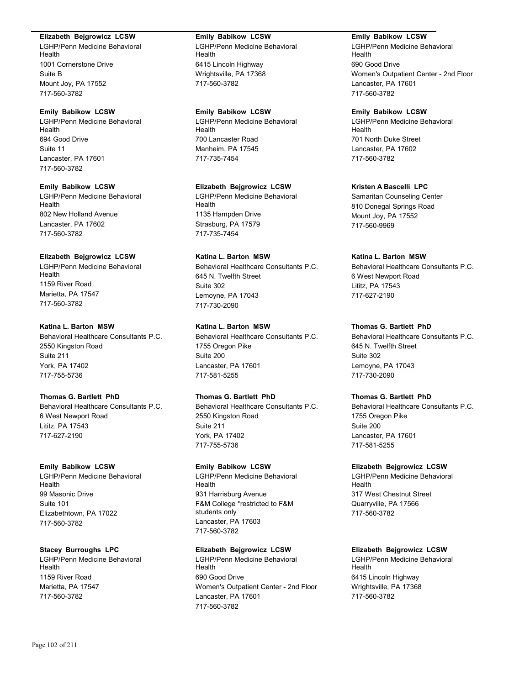#### **Elizabeth Bejgrowicz LCSW**

LGHP/Penn Medicine Behavioral Health 1001 Cornerstone Drive Suite B Mount Joy, PA 17552 717-560-3782

### **Emily Babikow LCSW**

LGHP/Penn Medicine Behavioral Health 694 Good Drive Suite 11 Lancaster, PA 17601 717-560-3782

#### **Emily Babikow LCSW**

LGHP/Penn Medicine Behavioral Health 802 New Holland Avenue Lancaster, PA 17602 717-560-3782

# **Elizabeth Bejgrowicz LCSW**

LGHP/Penn Medicine Behavioral Health 1159 River Road Marietta, PA 17547 717-560-3782

# **Katina L. Barton MSW**

Behavioral Healthcare Consultants P.C. 2550 Kingston Road Suite 211 York, PA 17402 717-755-5736

# **Thomas G. Bartlett PhD**

Behavioral Healthcare Consultants P.C. 6 West Newport Road Lititz, PA 17543 717-627-2190

#### **Emily Babikow LCSW**

LGHP/Penn Medicine Behavioral Health 99 Masonic Drive Suite 101 Elizabethtown, PA 17022 717-560-3782

#### **Stacey Burroughs LPC**

LGHP/Penn Medicine Behavioral Health 1159 River Road Marietta, PA 17547 717-560-3782

## **Emily Babikow LCSW**

LGHP/Penn Medicine Behavioral Health 6415 Lincoln Highway Wrightsville, PA 17368 717-560-3782

#### **Emily Babikow LCSW**

LGHP/Penn Medicine Behavioral Health 700 Lancaster Road Manheim, PA 17545 717-735-7454

#### **Elizabeth Bejgrowicz LCSW**

LGHP/Penn Medicine Behavioral Health 1135 Hampden Drive Strasburg, PA 17579 717-735-7454

# **Katina L. Barton MSW**

Behavioral Healthcare Consultants P.C. 645 N. Twelfth Street Suite 302 Lemoyne, PA 17043 717-730-2090

# **Katina L. Barton MSW**

Behavioral Healthcare Consultants P.C. 1755 Oregon Pike Suite 200 Lancaster, PA 17601 717-581-5255

# **Thomas G. Bartlett PhD**

Behavioral Healthcare Consultants P.C. 2550 Kingston Road Suite 211 York, PA 17402 717-755-5736

# **Emily Babikow LCSW**

LGHP/Penn Medicine Behavioral Health 931 Harrisburg Avenue F&M College \*restricted to F&M students only Lancaster, PA 17603 717-560-3782

## **Elizabeth Bejgrowicz LCSW**

LGHP/Penn Medicine Behavioral Health 690 Good Drive Women's Outpatient Center - 2nd Floor Lancaster, PA 17601 717-560-3782

#### **Emily Babikow LCSW**

LGHP/Penn Medicine Behavioral Health 690 Good Drive Women's Outpatient Center - 2nd Floor Lancaster, PA 17601 717-560-3782

#### **Emily Babikow LCSW**

LGHP/Penn Medicine Behavioral Health 701 North Duke Street Lancaster, PA 17602 717-560-3782

## **Kristen A Bascelli LPC**

Samaritan Counseling Center 810 Donegal Springs Road Mount Joy, PA 17552 717-560-9969

## **Katina L. Barton MSW**

Behavioral Healthcare Consultants P.C. 6 West Newport Road Lititz, PA 17543 717-627-2190

# **Thomas G. Bartlett PhD**

Behavioral Healthcare Consultants P.C. 645 N. Twelfth Street Suite 302 Lemoyne, PA 17043 717-730-2090

# **Thomas G. Bartlett PhD**

Behavioral Healthcare Consultants P.C. 1755 Oregon Pike Suite 200 Lancaster, PA 17601 717-581-5255

#### **Elizabeth Bejgrowicz LCSW**

LGHP/Penn Medicine Behavioral Health 317 West Chestnut Street Quarryville, PA 17566 717-560-3782

# **Elizabeth Bejgrowicz LCSW**

LGHP/Penn Medicine Behavioral Health 6415 Lincoln Highway Wrightsville, PA 17368 717-560-3782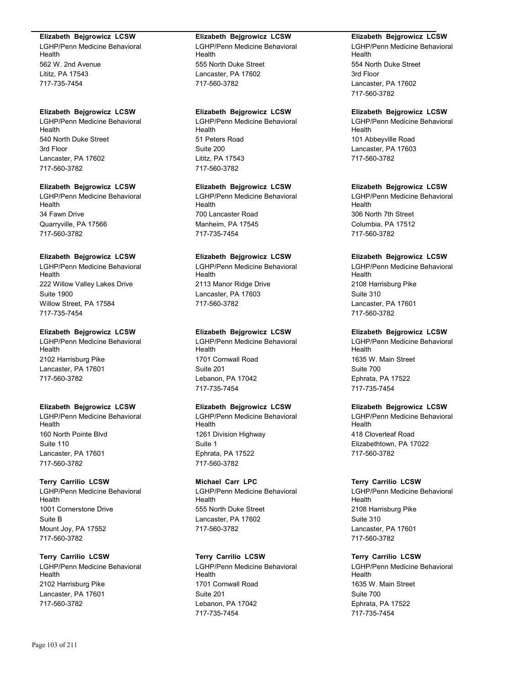#### **Elizabeth Bejgrowicz LCSW**

LGHP/Penn Medicine Behavioral Health 562 W. 2nd Avenue Lititz, PA 17543 717-735-7454

# **Elizabeth Bejgrowicz LCSW**

LGHP/Penn Medicine Behavioral Health 540 North Duke Street 3rd Floor Lancaster, PA 17602 717-560-3782

## **Elizabeth Bejgrowicz LCSW**

LGHP/Penn Medicine Behavioral Health 34 Fawn Drive Quarryville, PA 17566 717-560-3782

# **Elizabeth Bejgrowicz LCSW**

LGHP/Penn Medicine Behavioral Health 222 Willow Valley Lakes Drive Suite 1900 Willow Street, PA 17584 717-735-7454

## **Elizabeth Bejgrowicz LCSW**

LGHP/Penn Medicine Behavioral Health 2102 Harrisburg Pike Lancaster, PA 17601 717-560-3782

# **Elizabeth Bejgrowicz LCSW**

LGHP/Penn Medicine Behavioral Health 160 North Pointe Blvd Suite 110 Lancaster, PA 17601 717-560-3782

# **Terry Carrilio LCSW**

LGHP/Penn Medicine Behavioral Health 1001 Cornerstone Drive Suite B Mount Joy, PA 17552 717-560-3782

# **Terry Carrilio LCSW**

LGHP/Penn Medicine Behavioral Health 2102 Harrisburg Pike Lancaster, PA 17601 717-560-3782

#### **Elizabeth Bejgrowicz LCSW**

LGHP/Penn Medicine Behavioral Health 555 North Duke Street Lancaster, PA 17602 717-560-3782

# **Elizabeth Bejgrowicz LCSW**

LGHP/Penn Medicine Behavioral Health 51 Peters Road Suite 200 Lititz, PA 17543 717-560-3782

# **Elizabeth Bejgrowicz LCSW**

LGHP/Penn Medicine Behavioral Health 700 Lancaster Road Manheim, PA 17545 717-735-7454

# **Elizabeth Bejgrowicz LCSW**

LGHP/Penn Medicine Behavioral Health 2113 Manor Ridge Drive Lancaster, PA 17603 717-560-3782

# **Elizabeth Bejgrowicz LCSW**

LGHP/Penn Medicine Behavioral Health 1701 Cornwall Road Suite 201 Lebanon, PA 17042 717-735-7454

# **Elizabeth Bejgrowicz LCSW**

LGHP/Penn Medicine Behavioral Health 1261 Division Highway Suite 1 Ephrata, PA 17522 717-560-3782

#### **Michael Carr LPC**

LGHP/Penn Medicine Behavioral Health 555 North Duke Street Lancaster, PA 17602 717-560-3782

# **Terry Carrilio LCSW**

LGHP/Penn Medicine Behavioral Health 1701 Cornwall Road Suite 201 Lebanon, PA 17042 717-735-7454

# **Elizabeth Bejgrowicz LCSW**

LGHP/Penn Medicine Behavioral Health 554 North Duke Street 3rd Floor Lancaster, PA 17602 717-560-3782

## **Elizabeth Bejgrowicz LCSW**

LGHP/Penn Medicine Behavioral Health 101 Abbeyville Road Lancaster, PA 17603 717-560-3782

## **Elizabeth Bejgrowicz LCSW**

LGHP/Penn Medicine Behavioral Health 306 North 7th Street Columbia, PA 17512 717-560-3782

## **Elizabeth Bejgrowicz LCSW**

LGHP/Penn Medicine Behavioral Health 2108 Harrisburg Pike Suite 310 Lancaster, PA 17601 717-560-3782

# **Elizabeth Bejgrowicz LCSW**

LGHP/Penn Medicine Behavioral Health 1635 W. Main Street Suite 700 Ephrata, PA 17522 717-735-7454

# **Elizabeth Bejgrowicz LCSW**

LGHP/Penn Medicine Behavioral Health 418 Cloverleaf Road Elizabethtown, PA 17022 717-560-3782

#### **Terry Carrilio LCSW**

LGHP/Penn Medicine Behavioral Health 2108 Harrisburg Pike Suite 310 Lancaster, PA 17601 717-560-3782

# **Terry Carrilio LCSW**

LGHP/Penn Medicine Behavioral Health 1635 W. Main Street Suite 700 Ephrata, PA 17522 717-735-7454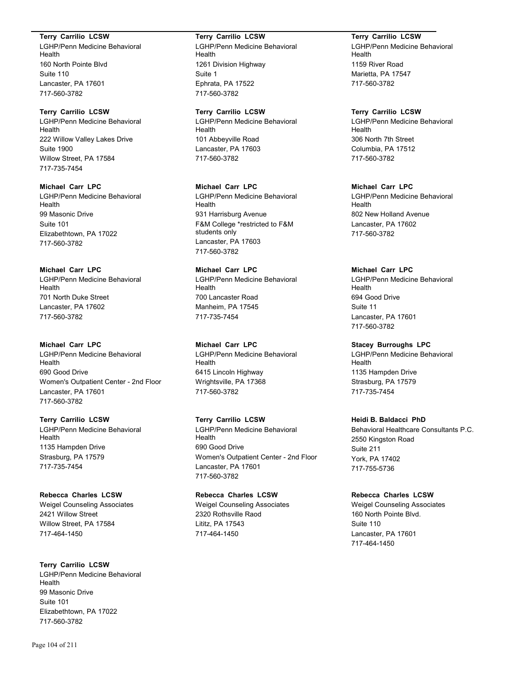#### **Terry Carrilio LCSW**

LGHP/Penn Medicine Behavioral Health 160 North Pointe Blvd Suite 110 Lancaster, PA 17601 717-560-3782

# **Terry Carrilio LCSW**

LGHP/Penn Medicine Behavioral Health 222 Willow Valley Lakes Drive Suite 1900 Willow Street, PA 17584 717-735-7454

# **Michael Carr LPC**

LGHP/Penn Medicine Behavioral Health 99 Masonic Drive Suite 101 Elizabethtown, PA 17022 717-560-3782

# **Michael Carr LPC**

LGHP/Penn Medicine Behavioral Health 701 North Duke Street Lancaster, PA 17602 717-560-3782

#### **Michael Carr LPC**

LGHP/Penn Medicine Behavioral Health 690 Good Drive Women's Outpatient Center - 2nd Floor Lancaster, PA 17601 717-560-3782

# **Terry Carrilio LCSW**

LGHP/Penn Medicine Behavioral Health 1135 Hampden Drive Strasburg, PA 17579 717-735-7454

# **Rebecca Charles LCSW**

Weigel Counseling Associates 2421 Willow Street Willow Street, PA 17584 717-464-1450

# **Terry Carrilio LCSW**

LGHP/Penn Medicine Behavioral Health 99 Masonic Drive Suite 101 Elizabethtown, PA 17022 717-560-3782

# **Terry Carrilio LCSW**

LGHP/Penn Medicine Behavioral Health 1261 Division Highway Suite 1 Ephrata, PA 17522 717-560-3782

## **Terry Carrilio LCSW**

LGHP/Penn Medicine Behavioral Health 101 Abbeyville Road Lancaster, PA 17603 717-560-3782

#### **Michael Carr LPC**

LGHP/Penn Medicine Behavioral Health 931 Harrisburg Avenue F&M College \*restricted to F&M students only Lancaster, PA 17603 717-560-3782

# **Michael Carr LPC**

LGHP/Penn Medicine Behavioral Health 700 Lancaster Road Manheim, PA 17545 717-735-7454

# **Michael Carr LPC**

LGHP/Penn Medicine Behavioral Health 6415 Lincoln Highway Wrightsville, PA 17368 717-560-3782

# **Terry Carrilio LCSW**

LGHP/Penn Medicine Behavioral Health 690 Good Drive Women's Outpatient Center - 2nd Floor Lancaster, PA 17601 717-560-3782

# **Rebecca Charles LCSW**

Weigel Counseling Associates 2320 Rothsville Raod Lititz, PA 17543 717-464-1450

## **Terry Carrilio LCSW**

LGHP/Penn Medicine Behavioral Health 1159 River Road Marietta, PA 17547 717-560-3782

#### **Terry Carrilio LCSW**

LGHP/Penn Medicine Behavioral Health 306 North 7th Street Columbia, PA 17512 717-560-3782

# **Michael Carr LPC**

LGHP/Penn Medicine Behavioral Health 802 New Holland Avenue Lancaster, PA 17602 717-560-3782

# **Michael Carr LPC**

LGHP/Penn Medicine Behavioral Health 694 Good Drive Suite 11 Lancaster, PA 17601 717-560-3782

# **Stacey Burroughs LPC**

LGHP/Penn Medicine Behavioral Health 1135 Hampden Drive Strasburg, PA 17579 717-735-7454

# **Heidi B. Baldacci PhD**

Behavioral Healthcare Consultants P.C. 2550 Kingston Road Suite 211 York, PA 17402 717-755-5736

# **Rebecca Charles LCSW**

Weigel Counseling Associates 160 North Pointe Blvd. Suite 110 Lancaster, PA 17601 717-464-1450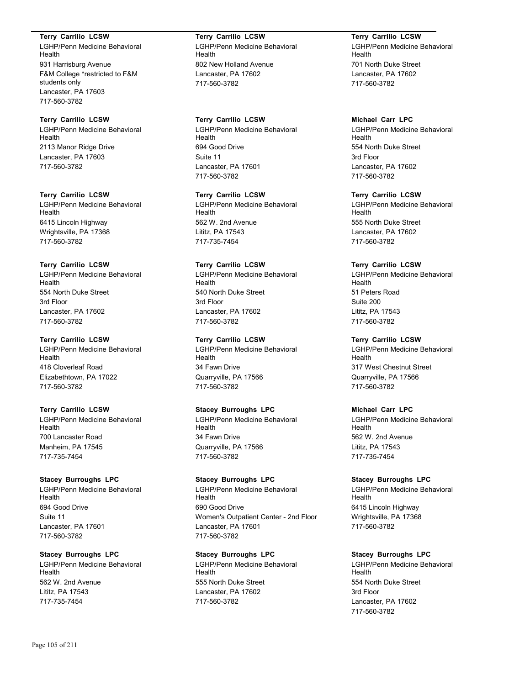### **Terry Carrilio LCSW**

LGHP/Penn Medicine Behavioral Health 931 Harrisburg Avenue F&M College \*restricted to F&M students only Lancaster, PA 17603 717-560-3782

# **Terry Carrilio LCSW**

LGHP/Penn Medicine Behavioral Health 2113 Manor Ridge Drive Lancaster, PA 17603 717-560-3782

# **Terry Carrilio LCSW**

LGHP/Penn Medicine Behavioral Health 6415 Lincoln Highway Wrightsville, PA 17368 717-560-3782

#### **Terry Carrilio LCSW**

LGHP/Penn Medicine Behavioral Health 554 North Duke Street 3rd Floor Lancaster, PA 17602 717-560-3782

#### **Terry Carrilio LCSW**

LGHP/Penn Medicine Behavioral Health 418 Cloverleaf Road Elizabethtown, PA 17022 717-560-3782

# **Terry Carrilio LCSW**

LGHP/Penn Medicine Behavioral Health 700 Lancaster Road Manheim, PA 17545 717-735-7454

#### **Stacey Burroughs LPC**

LGHP/Penn Medicine Behavioral Health 694 Good Drive Suite 11 Lancaster, PA 17601 717-560-3782

# **Stacey Burroughs LPC**

LGHP/Penn Medicine Behavioral Health 562 W. 2nd Avenue Lititz, PA 17543 717-735-7454

**Terry Carrilio LCSW** LGHP/Penn Medicine Behavioral Health 802 New Holland Avenue Lancaster, PA 17602 717-560-3782

# **Terry Carrilio LCSW**

LGHP/Penn Medicine Behavioral Health 694 Good Drive Suite 11 Lancaster, PA 17601 717-560-3782

#### **Terry Carrilio LCSW**

LGHP/Penn Medicine Behavioral Health 562 W. 2nd Avenue Lititz, PA 17543 717-735-7454

#### **Terry Carrilio LCSW**

LGHP/Penn Medicine Behavioral Health 540 North Duke Street 3rd Floor Lancaster, PA 17602 717-560-3782

#### **Terry Carrilio LCSW**

LGHP/Penn Medicine Behavioral Health 34 Fawn Drive Quarryville, PA 17566 717-560-3782

# **Stacey Burroughs LPC**

LGHP/Penn Medicine Behavioral **Health** 34 Fawn Drive Quarryville, PA 17566 717-560-3782

#### **Stacey Burroughs LPC**

LGHP/Penn Medicine Behavioral Health 690 Good Drive Women's Outpatient Center - 2nd Floor Lancaster, PA 17601 717-560-3782

# **Stacey Burroughs LPC**

LGHP/Penn Medicine Behavioral Health 555 North Duke Street Lancaster, PA 17602 717-560-3782

**Terry Carrilio LCSW** LGHP/Penn Medicine Behavioral Health 701 North Duke Street Lancaster, PA 17602 717-560-3782

# **Michael Carr LPC**

LGHP/Penn Medicine Behavioral Health 554 North Duke Street 3rd Floor Lancaster, PA 17602 717-560-3782

#### **Terry Carrilio LCSW**

LGHP/Penn Medicine Behavioral Health 555 North Duke Street Lancaster, PA 17602 717-560-3782

#### **Terry Carrilio LCSW**

LGHP/Penn Medicine Behavioral Health 51 Peters Road Suite 200 Lititz, PA 17543 717-560-3782

#### **Terry Carrilio LCSW**

LGHP/Penn Medicine Behavioral Health 317 West Chestnut Street Quarryville, PA 17566 717-560-3782

# **Michael Carr LPC**

LGHP/Penn Medicine Behavioral Health 562 W. 2nd Avenue Lititz, PA 17543 717-735-7454

#### **Stacey Burroughs LPC**

LGHP/Penn Medicine Behavioral Health 6415 Lincoln Highway Wrightsville, PA 17368 717-560-3782

# **Stacey Burroughs LPC**

LGHP/Penn Medicine Behavioral Health 554 North Duke Street 3rd Floor Lancaster, PA 17602 717-560-3782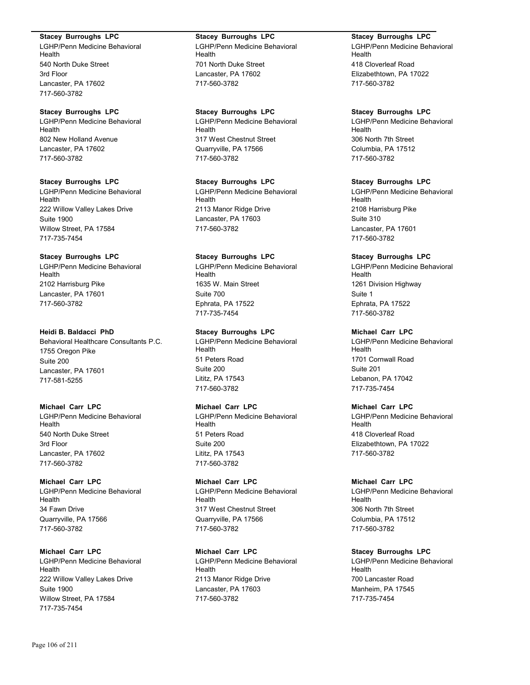#### **Stacey Burroughs LPC**

LGHP/Penn Medicine Behavioral Health 540 North Duke Street 3rd Floor Lancaster, PA 17602 717-560-3782

#### **Stacey Burroughs LPC**

LGHP/Penn Medicine Behavioral Health 802 New Holland Avenue Lancaster, PA 17602 717-560-3782

# **Stacey Burroughs LPC**

LGHP/Penn Medicine Behavioral Health 222 Willow Valley Lakes Drive Suite 1900 Willow Street, PA 17584 717-735-7454

### **Stacey Burroughs LPC**

LGHP/Penn Medicine Behavioral Health 2102 Harrisburg Pike Lancaster, PA 17601 717-560-3782

### **Heidi B. Baldacci PhD**

Behavioral Healthcare Consultants P.C. 1755 Oregon Pike Suite 200 Lancaster, PA 17601 717-581-5255

### **Michael Carr LPC**

LGHP/Penn Medicine Behavioral Health 540 North Duke Street 3rd Floor Lancaster, PA 17602 717-560-3782

# **Michael Carr LPC**

LGHP/Penn Medicine Behavioral Health 34 Fawn Drive Quarryville, PA 17566 717-560-3782

# **Michael Carr LPC**

LGHP/Penn Medicine Behavioral Health 222 Willow Valley Lakes Drive Suite 1900 Willow Street, PA 17584 717-735-7454

# **Stacey Burroughs LPC**

LGHP/Penn Medicine Behavioral Health 701 North Duke Street Lancaster, PA 17602 717-560-3782

# **Stacey Burroughs LPC**

LGHP/Penn Medicine Behavioral Health 317 West Chestnut Street Quarryville, PA 17566 717-560-3782

# **Stacey Burroughs LPC**

LGHP/Penn Medicine Behavioral Health 2113 Manor Ridge Drive Lancaster, PA 17603 717-560-3782

# **Stacey Burroughs LPC**

LGHP/Penn Medicine Behavioral Health 1635 W. Main Street Suite 700 Ephrata, PA 17522 717-735-7454

## **Stacey Burroughs LPC**

LGHP/Penn Medicine Behavioral Health 51 Peters Road Suite 200 Lititz, PA 17543 717-560-3782

# **Michael Carr LPC**

LGHP/Penn Medicine Behavioral Health 51 Peters Road Suite 200 Lititz, PA 17543 717-560-3782

#### **Michael Carr LPC**

LGHP/Penn Medicine Behavioral Health 317 West Chestnut Street Quarryville, PA 17566 717-560-3782

# **Michael Carr LPC** LGHP/Penn Medicine Behavioral Health 2113 Manor Ridge Drive Lancaster, PA 17603 717-560-3782

#### **Stacey Burroughs LPC**

LGHP/Penn Medicine Behavioral Health 418 Cloverleaf Road Elizabethtown, PA 17022 717-560-3782

# **Stacey Burroughs LPC**

LGHP/Penn Medicine Behavioral Health 306 North 7th Street Columbia, PA 17512 717-560-3782

# **Stacey Burroughs LPC**

LGHP/Penn Medicine Behavioral Health 2108 Harrisburg Pike Suite 310 Lancaster, PA 17601 717-560-3782

# **Stacey Burroughs LPC**

LGHP/Penn Medicine Behavioral Health 1261 Division Highway Suite 1 Ephrata, PA 17522 717-560-3782

# **Michael Carr LPC**

LGHP/Penn Medicine Behavioral Health 1701 Cornwall Road Suite 201 Lebanon, PA 17042 717-735-7454

# **Michael Carr LPC**

LGHP/Penn Medicine Behavioral Health 418 Cloverleaf Road Elizabethtown, PA 17022 717-560-3782

# **Michael Carr LPC**

LGHP/Penn Medicine Behavioral Health 306 North 7th Street Columbia, PA 17512 717-560-3782

# **Stacey Burroughs LPC**

LGHP/Penn Medicine Behavioral Health 700 Lancaster Road Manheim, PA 17545 717-735-7454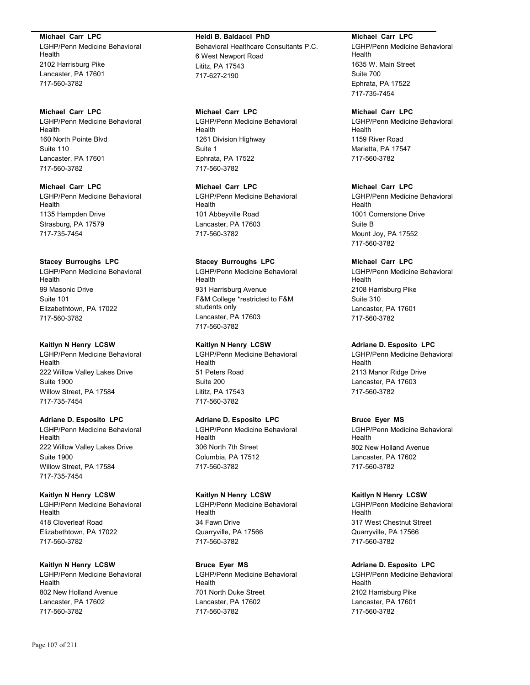**Michael Carr LPC**

LGHP/Penn Medicine Behavioral Health 2102 Harrisburg Pike Lancaster, PA 17601 717-560-3782

#### **Michael Carr LPC**

LGHP/Penn Medicine Behavioral Health 160 North Pointe Blvd Suite 110 Lancaster, PA 17601 717-560-3782

**Michael Carr LPC** LGHP/Penn Medicine Behavioral Health 1135 Hampden Drive Strasburg, PA 17579 717-735-7454

#### **Stacey Burroughs LPC**

LGHP/Penn Medicine Behavioral Health 99 Masonic Drive Suite 101 Elizabethtown, PA 17022 717-560-3782

#### **Kaitlyn N Henry LCSW**

LGHP/Penn Medicine Behavioral Health 222 Willow Valley Lakes Drive Suite 1900 Willow Street, PA 17584 717-735-7454

## **Adriane D. Esposito LPC**

LGHP/Penn Medicine Behavioral Health 222 Willow Valley Lakes Drive Suite 1900 Willow Street, PA 17584 717-735-7454

# **Kaitlyn N Henry LCSW**

LGHP/Penn Medicine Behavioral Health 418 Cloverleaf Road Elizabethtown, PA 17022 717-560-3782

## **Kaitlyn N Henry LCSW**

LGHP/Penn Medicine Behavioral Health 802 New Holland Avenue Lancaster, PA 17602 717-560-3782

# **Heidi B. Baldacci PhD** Behavioral Healthcare Consultants P.C. 6 West Newport Road Lititz, PA 17543 717-627-2190

# **Michael Carr LPC**

LGHP/Penn Medicine Behavioral Health 1261 Division Highway Suite 1 Ephrata, PA 17522 717-560-3782

**Michael Carr LPC** LGHP/Penn Medicine Behavioral Health 101 Abbeyville Road Lancaster, PA 17603 717-560-3782

#### **Stacey Burroughs LPC**

LGHP/Penn Medicine Behavioral Health 931 Harrisburg Avenue F&M College \*restricted to F&M students only Lancaster, PA 17603 717-560-3782

# **Kaitlyn N Henry LCSW**

LGHP/Penn Medicine Behavioral Health 51 Peters Road Suite 200 Lititz, PA 17543 717-560-3782

# **Adriane D. Esposito LPC**

LGHP/Penn Medicine Behavioral Health 306 North 7th Street Columbia, PA 17512 717-560-3782

#### **Kaitlyn N Henry LCSW**

LGHP/Penn Medicine Behavioral Health 34 Fawn Drive Quarryville, PA 17566 717-560-3782

#### **Bruce Eyer MS**

LGHP/Penn Medicine Behavioral Health 701 North Duke Street Lancaster, PA 17602 717-560-3782

**Michael Carr LPC** LGHP/Penn Medicine Behavioral Health 1635 W. Main Street Suite 700 Ephrata, PA 17522 717-735-7454

# **Michael Carr LPC**

LGHP/Penn Medicine Behavioral Health 1159 River Road Marietta, PA 17547 717-560-3782

# **Michael Carr LPC**

LGHP/Penn Medicine Behavioral Health 1001 Cornerstone Drive Suite B Mount Joy, PA 17552 717-560-3782

# **Michael Carr LPC**

LGHP/Penn Medicine Behavioral Health 2108 Harrisburg Pike Suite 310 Lancaster, PA 17601 717-560-3782

### **Adriane D. Esposito LPC**

LGHP/Penn Medicine Behavioral Health 2113 Manor Ridge Drive Lancaster, PA 17603 717-560-3782

# **Bruce Eyer MS**

LGHP/Penn Medicine Behavioral Health 802 New Holland Avenue Lancaster, PA 17602 717-560-3782

#### **Kaitlyn N Henry LCSW**

LGHP/Penn Medicine Behavioral Health 317 West Chestnut Street Quarryville, PA 17566 717-560-3782

# **Adriane D. Esposito LPC**

LGHP/Penn Medicine Behavioral **Health** 2102 Harrisburg Pike Lancaster, PA 17601 717-560-3782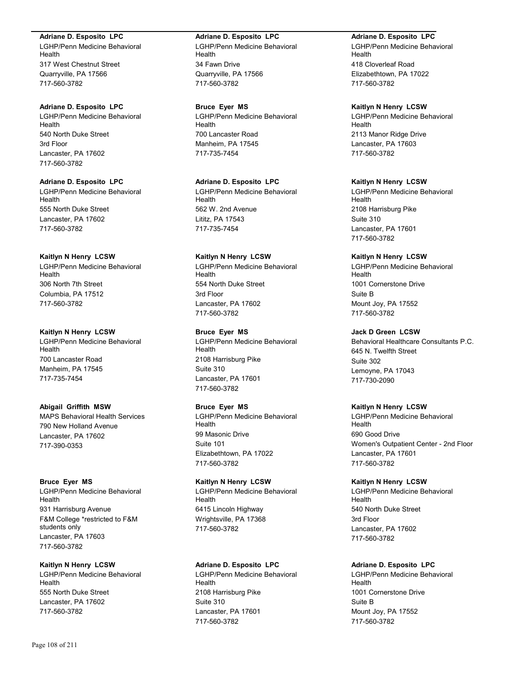#### **Adriane D. Esposito LPC**

LGHP/Penn Medicine Behavioral Health 317 West Chestnut Street Quarryville, PA 17566 717-560-3782

# **Adriane D. Esposito LPC**

LGHP/Penn Medicine Behavioral Health 540 North Duke Street 3rd Floor Lancaster, PA 17602 717-560-3782

# **Adriane D. Esposito LPC**

LGHP/Penn Medicine Behavioral Health 555 North Duke Street Lancaster, PA 17602 717-560-3782

## **Kaitlyn N Henry LCSW**

LGHP/Penn Medicine Behavioral Health 306 North 7th Street Columbia, PA 17512 717-560-3782

#### **Kaitlyn N Henry LCSW**

LGHP/Penn Medicine Behavioral Health 700 Lancaster Road Manheim, PA 17545 717-735-7454

# **Abigail Griffith MSW**

MAPS Behavioral Health Services 790 New Holland Avenue Lancaster, PA 17602 717-390-0353

### **Bruce Eyer MS**

LGHP/Penn Medicine Behavioral Health 931 Harrisburg Avenue F&M College \*restricted to F&M students only Lancaster, PA 17603 717-560-3782

#### **Kaitlyn N Henry LCSW**

LGHP/Penn Medicine Behavioral Health 555 North Duke Street Lancaster, PA 17602 717-560-3782

# **Adriane D. Esposito LPC**

LGHP/Penn Medicine Behavioral Health 34 Fawn Drive Quarryville, PA 17566 717-560-3782

#### **Bruce Eyer MS**

LGHP/Penn Medicine Behavioral Health 700 Lancaster Road Manheim, PA 17545 717-735-7454

# **Adriane D. Esposito LPC**

LGHP/Penn Medicine Behavioral Health 562 W. 2nd Avenue Lititz, PA 17543 717-735-7454

# **Kaitlyn N Henry LCSW**

LGHP/Penn Medicine Behavioral Health 554 North Duke Street 3rd Floor Lancaster, PA 17602 717-560-3782

# **Bruce Eyer MS**

LGHP/Penn Medicine Behavioral Health 2108 Harrisburg Pike Suite 310 Lancaster, PA 17601 717-560-3782

# **Bruce Eyer MS**

LGHP/Penn Medicine Behavioral Health 99 Masonic Drive Suite 101 Elizabethtown, PA 17022 717-560-3782

# **Kaitlyn N Henry LCSW**

LGHP/Penn Medicine Behavioral Health 6415 Lincoln Highway Wrightsville, PA 17368 717-560-3782

# **Adriane D. Esposito LPC** LGHP/Penn Medicine Behavioral **Health** 2108 Harrisburg Pike Suite 310 Lancaster, PA 17601 717-560-3782

# **Adriane D. Esposito LPC**

LGHP/Penn Medicine Behavioral Health 418 Cloverleaf Road Elizabethtown, PA 17022 717-560-3782

#### **Kaitlyn N Henry LCSW**

LGHP/Penn Medicine Behavioral Health 2113 Manor Ridge Drive Lancaster, PA 17603 717-560-3782

## **Kaitlyn N Henry LCSW**

LGHP/Penn Medicine Behavioral Health 2108 Harrisburg Pike Suite 310 Lancaster, PA 17601 717-560-3782

# **Kaitlyn N Henry LCSW**

LGHP/Penn Medicine Behavioral Health 1001 Cornerstone Drive Suite B Mount Joy, PA 17552 717-560-3782

# **Jack D Green LCSW**

Behavioral Healthcare Consultants P.C. 645 N. Twelfth Street Suite 302 Lemoyne, PA 17043 717-730-2090

# **Kaitlyn N Henry LCSW**

LGHP/Penn Medicine Behavioral Health 690 Good Drive Women's Outpatient Center - 2nd Floor Lancaster, PA 17601 717-560-3782

### **Kaitlyn N Henry LCSW**

LGHP/Penn Medicine Behavioral Health 540 North Duke Street 3rd Floor Lancaster, PA 17602 717-560-3782

# **Adriane D. Esposito LPC**

LGHP/Penn Medicine Behavioral Health 1001 Cornerstone Drive Suite B Mount Joy, PA 17552 717-560-3782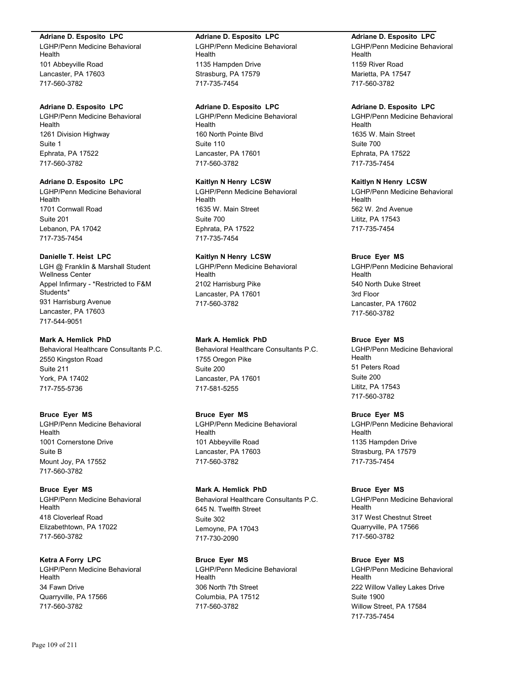#### **Adriane D. Esposito LPC**

LGHP/Penn Medicine Behavioral Health 101 Abbeyville Road Lancaster, PA 17603 717-560-3782

# **Adriane D. Esposito LPC**

LGHP/Penn Medicine Behavioral Health 1261 Division Highway Suite 1 Ephrata, PA 17522 717-560-3782

# **Adriane D. Esposito LPC**

LGHP/Penn Medicine Behavioral Health 1701 Cornwall Road Suite 201 Lebanon, PA 17042 717-735-7454

## **Danielle T. Heist LPC**

LGH @ Franklin & Marshall Student Wellness Center Appel Infirmary - \*Restricted to F&M Students\* 931 Harrisburg Avenue Lancaster, PA 17603 717-544-9051

# **Mark A. Hemlick PhD**

Behavioral Healthcare Consultants P.C. 2550 Kingston Road Suite 211 York, PA 17402 717-755-5736

# **Bruce Eyer MS**

LGHP/Penn Medicine Behavioral Health 1001 Cornerstone Drive Suite B Mount Joy, PA 17552 717-560-3782

# **Bruce Eyer MS**

LGHP/Penn Medicine Behavioral Health 418 Cloverleaf Road Elizabethtown, PA 17022 717-560-3782

# **Ketra A Forry LPC**

LGHP/Penn Medicine Behavioral Health 34 Fawn Drive Quarryville, PA 17566 717-560-3782

#### **Adriane D. Esposito LPC**

LGHP/Penn Medicine Behavioral Health 1135 Hampden Drive Strasburg, PA 17579 717-735-7454

# **Adriane D. Esposito LPC**

LGHP/Penn Medicine Behavioral Health 160 North Pointe Blvd Suite 110 Lancaster, PA 17601 717-560-3782

### **Kaitlyn N Henry LCSW**

LGHP/Penn Medicine Behavioral Health 1635 W. Main Street Suite 700 Ephrata, PA 17522 717-735-7454

# **Kaitlyn N Henry LCSW**

LGHP/Penn Medicine Behavioral Health 2102 Harrisburg Pike Lancaster, PA 17601 717-560-3782

# **Mark A. Hemlick PhD**

Behavioral Healthcare Consultants P.C. 1755 Oregon Pike Suite 200 Lancaster, PA 17601 717-581-5255

# **Bruce Eyer MS**

LGHP/Penn Medicine Behavioral Health 101 Abbeyville Road Lancaster, PA 17603 717-560-3782

# **Mark A. Hemlick PhD**

Behavioral Healthcare Consultants P.C. 645 N. Twelfth Street Suite 302 Lemoyne, PA 17043 717-730-2090

# **Bruce Eyer MS**

LGHP/Penn Medicine Behavioral Health 306 North 7th Street Columbia, PA 17512 717-560-3782

## **Adriane D. Esposito LPC**

LGHP/Penn Medicine Behavioral Health 1159 River Road Marietta, PA 17547 717-560-3782

# **Adriane D. Esposito LPC**

LGHP/Penn Medicine Behavioral Health 1635 W. Main Street Suite 700 Ephrata, PA 17522 717-735-7454

### **Kaitlyn N Henry LCSW**

LGHP/Penn Medicine Behavioral Health 562 W. 2nd Avenue Lititz, PA 17543 717-735-7454

# **Bruce Eyer MS**

LGHP/Penn Medicine Behavioral Health 540 North Duke Street 3rd Floor Lancaster, PA 17602 717-560-3782

# **Bruce Eyer MS**

LGHP/Penn Medicine Behavioral Health 51 Peters Road Suite 200 Lititz, PA 17543 717-560-3782

# **Bruce Eyer MS**

LGHP/Penn Medicine Behavioral Health 1135 Hampden Drive Strasburg, PA 17579 717-735-7454

# **Bruce Eyer MS**

LGHP/Penn Medicine Behavioral Health 317 West Chestnut Street Quarryville, PA 17566 717-560-3782

# **Bruce Eyer MS**

LGHP/Penn Medicine Behavioral Health 222 Willow Valley Lakes Drive Suite 1900 Willow Street, PA 17584 717-735-7454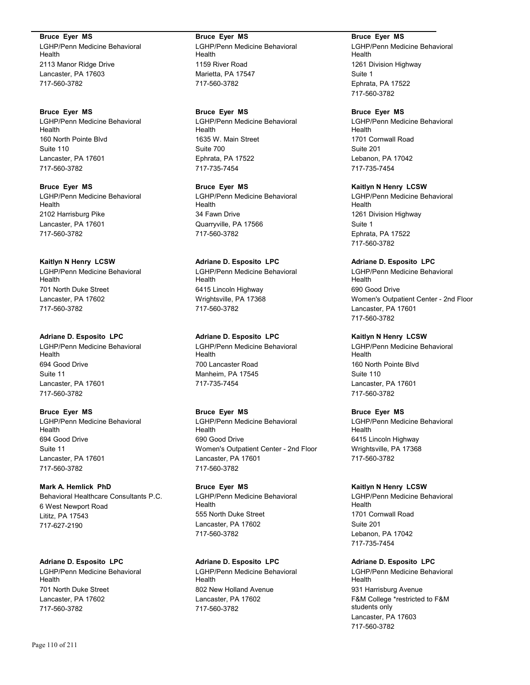**Bruce Eyer MS** LGHP/Penn Medicine Behavioral Health 2113 Manor Ridge Drive Lancaster, PA 17603 717-560-3782

**Bruce Eyer MS** LGHP/Penn Medicine Behavioral Health 160 North Pointe Blvd Suite 110 Lancaster, PA 17601 717-560-3782

**Bruce Eyer MS** LGHP/Penn Medicine Behavioral Health 2102 Harrisburg Pike Lancaster, PA 17601 717-560-3782

**Kaitlyn N Henry LCSW** LGHP/Penn Medicine Behavioral Health 701 North Duke Street Lancaster, PA 17602 717-560-3782

#### **Adriane D. Esposito LPC** LGHP/Penn Medicine Behavioral Health

694 Good Drive Suite 11 Lancaster, PA 17601 717-560-3782

# **Bruce Eyer MS**

LGHP/Penn Medicine Behavioral Health 694 Good Drive Suite 11 Lancaster, PA 17601 717-560-3782

**Mark A. Hemlick PhD** Behavioral Healthcare Consultants P.C. 6 West Newport Road Lititz, PA 17543 717-627-2190

# **Adriane D. Esposito LPC**

LGHP/Penn Medicine Behavioral Health 701 North Duke Street Lancaster, PA 17602 717-560-3782

**Bruce Eyer MS** LGHP/Penn Medicine Behavioral Health 1159 River Road Marietta, PA 17547 717-560-3782

**Bruce Eyer MS**

LGHP/Penn Medicine Behavioral Health 1635 W. Main Street Suite 700 Ephrata, PA 17522 717-735-7454

**Bruce Eyer MS** LGHP/Penn Medicine Behavioral Health 34 Fawn Drive Quarryville, PA 17566 717-560-3782

**Adriane D. Esposito LPC** LGHP/Penn Medicine Behavioral Health 6415 Lincoln Highway Wrightsville, PA 17368 717-560-3782

**Adriane D. Esposito LPC** LGHP/Penn Medicine Behavioral Health 700 Lancaster Road Manheim, PA 17545 717-735-7454

# **Bruce Eyer MS**

LGHP/Penn Medicine Behavioral Health 690 Good Drive Women's Outpatient Center - 2nd Floor Lancaster, PA 17601 717-560-3782

**Bruce Eyer MS** LGHP/Penn Medicine Behavioral Health 555 North Duke Street Lancaster, PA 17602 717-560-3782

# **Adriane D. Esposito LPC**

LGHP/Penn Medicine Behavioral Health 802 New Holland Avenue Lancaster, PA 17602 717-560-3782

**Bruce Eyer MS** LGHP/Penn Medicine Behavioral Health 1261 Division Highway Suite 1 Ephrata, PA 17522 717-560-3782

# **Bruce Eyer MS**

LGHP/Penn Medicine Behavioral Health 1701 Cornwall Road Suite 201 Lebanon, PA 17042 717-735-7454

**Kaitlyn N Henry LCSW**

LGHP/Penn Medicine Behavioral Health 1261 Division Highway Suite 1 Ephrata, PA 17522 717-560-3782

**Adriane D. Esposito LPC**

LGHP/Penn Medicine Behavioral Health 690 Good Drive Women's Outpatient Center - 2nd Floor Lancaster, PA 17601 717-560-3782

# **Kaitlyn N Henry LCSW**

LGHP/Penn Medicine Behavioral Health 160 North Pointe Blvd Suite 110 Lancaster, PA 17601 717-560-3782

# **Bruce Eyer MS**

LGHP/Penn Medicine Behavioral Health 6415 Lincoln Highway Wrightsville, PA 17368 717-560-3782

**Kaitlyn N Henry LCSW**

LGHP/Penn Medicine Behavioral Health 1701 Cornwall Road Suite 201 Lebanon, PA 17042 717-735-7454

# **Adriane D. Esposito LPC**

LGHP/Penn Medicine Behavioral Health 931 Harrisburg Avenue F&M College \*restricted to F&M students only Lancaster, PA 17603 717-560-3782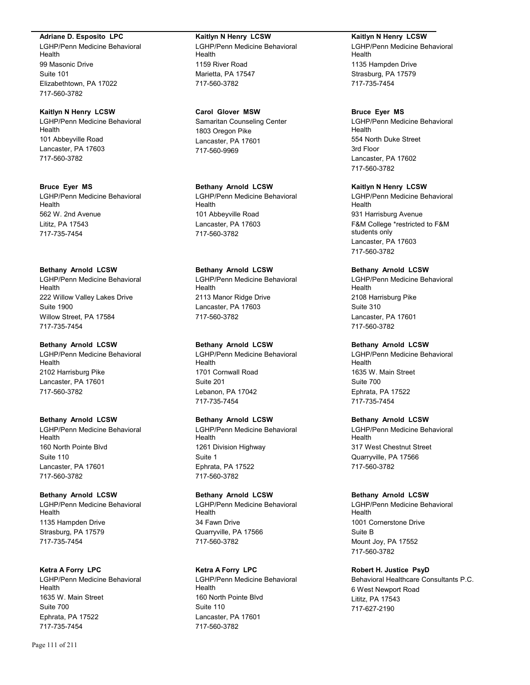#### **Adriane D. Esposito LPC**

LGHP/Penn Medicine Behavioral Health 99 Masonic Drive Suite 101 Elizabethtown, PA 17022 717-560-3782

#### **Kaitlyn N Henry LCSW** LGHP/Penn Medicine Behavioral

Health 101 Abbeyville Road Lancaster, PA 17603 717-560-3782

### **Bruce Eyer MS**

LGHP/Penn Medicine Behavioral Health 562 W. 2nd Avenue Lititz, PA 17543 717-735-7454

# **Bethany Arnold LCSW**

LGHP/Penn Medicine Behavioral Health 222 Willow Valley Lakes Drive Suite 1900 Willow Street, PA 17584 717-735-7454

#### **Bethany Arnold LCSW**

LGHP/Penn Medicine Behavioral Health 2102 Harrisburg Pike Lancaster, PA 17601 717-560-3782

# **Bethany Arnold LCSW**

LGHP/Penn Medicine Behavioral Health 160 North Pointe Blvd Suite 110 Lancaster, PA 17601 717-560-3782

# **Bethany Arnold LCSW**

LGHP/Penn Medicine Behavioral Health 1135 Hampden Drive Strasburg, PA 17579 717-735-7454

# **Ketra A Forry LPC**

LGHP/Penn Medicine Behavioral Health 1635 W. Main Street Suite 700 Ephrata, PA 17522 717-735-7454

# **Kaitlyn N Henry LCSW**

LGHP/Penn Medicine Behavioral Health 1159 River Road Marietta, PA 17547 717-560-3782

# **Carol Glover MSW**

Samaritan Counseling Center 1803 Oregon Pike Lancaster, PA 17601 717-560-9969

# **Bethany Arnold LCSW**

LGHP/Penn Medicine Behavioral Health 101 Abbeyville Road Lancaster, PA 17603 717-560-3782

# **Bethany Arnold LCSW**

LGHP/Penn Medicine Behavioral Health 2113 Manor Ridge Drive Lancaster, PA 17603 717-560-3782

# **Bethany Arnold LCSW**

LGHP/Penn Medicine Behavioral Health 1701 Cornwall Road Suite 201 Lebanon, PA 17042 717-735-7454

# **Bethany Arnold LCSW**

LGHP/Penn Medicine Behavioral Health 1261 Division Highway Suite 1 Ephrata, PA 17522 717-560-3782

# **Bethany Arnold LCSW**

LGHP/Penn Medicine Behavioral Health 34 Fawn Drive Quarryville, PA 17566 717-560-3782

# **Ketra A Forry LPC**

LGHP/Penn Medicine Behavioral Health 160 North Pointe Blvd Suite 110 Lancaster, PA 17601 717-560-3782

#### **Kaitlyn N Henry LCSW**

LGHP/Penn Medicine Behavioral Health 1135 Hampden Drive Strasburg, PA 17579 717-735-7454

### **Bruce Eyer MS**

LGHP/Penn Medicine Behavioral Health 554 North Duke Street 3rd Floor Lancaster, PA 17602 717-560-3782

# **Kaitlyn N Henry LCSW**

LGHP/Penn Medicine Behavioral Health 931 Harrisburg Avenue F&M College \*restricted to F&M students only Lancaster, PA 17603 717-560-3782

# **Bethany Arnold LCSW**

LGHP/Penn Medicine Behavioral Health 2108 Harrisburg Pike Suite 310 Lancaster, PA 17601 717-560-3782

## **Bethany Arnold LCSW**

LGHP/Penn Medicine Behavioral Health 1635 W. Main Street Suite 700 Ephrata, PA 17522 717-735-7454

# **Bethany Arnold LCSW**

LGHP/Penn Medicine Behavioral Health 317 West Chestnut Street Quarryville, PA 17566 717-560-3782

# **Bethany Arnold LCSW**

LGHP/Penn Medicine Behavioral Health 1001 Cornerstone Drive Suite B Mount Joy, PA 17552 717-560-3782

# **Robert H. Justice PsyD**

Behavioral Healthcare Consultants P.C. 6 West Newport Road Lititz, PA 17543 717-627-2190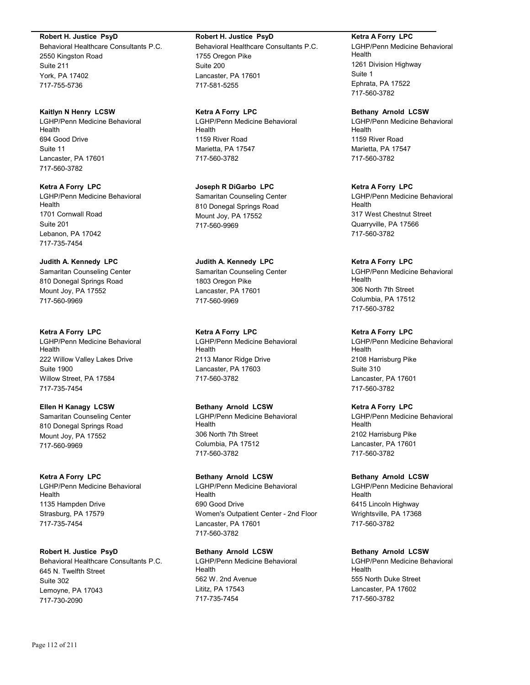#### **Robert H. Justice PsyD**

Behavioral Healthcare Consultants P.C. 2550 Kingston Road Suite 211 York, PA 17402 717-755-5736

**Kaitlyn N Henry LCSW** LGHP/Penn Medicine Behavioral Health 694 Good Drive Suite 11 Lancaster, PA 17601 717-560-3782

**Ketra A Forry LPC** LGHP/Penn Medicine Behavioral Health 1701 Cornwall Road Suite 201 Lebanon, PA 17042 717-735-7454

**Judith A. Kennedy LPC** Samaritan Counseling Center 810 Donegal Springs Road Mount Joy, PA 17552 717-560-9969

**Ketra A Forry LPC** LGHP/Penn Medicine Behavioral Health 222 Willow Valley Lakes Drive Suite 1900 Willow Street, PA 17584 717-735-7454

**Ellen H Kanagy LCSW** Samaritan Counseling Center 810 Donegal Springs Road Mount Joy, PA 17552 717-560-9969

**Ketra A Forry LPC** LGHP/Penn Medicine Behavioral Health 1135 Hampden Drive Strasburg, PA 17579 717-735-7454

**Robert H. Justice PsyD** Behavioral Healthcare Consultants P.C. 645 N. Twelfth Street Suite 302 Lemoyne, PA 17043 717-730-2090

#### **Robert H. Justice PsyD**

Behavioral Healthcare Consultants P.C. 1755 Oregon Pike Suite 200 Lancaster, PA 17601 717-581-5255

**Ketra A Forry LPC** LGHP/Penn Medicine Behavioral Health 1159 River Road Marietta, PA 17547 717-560-3782

**Joseph R DiGarbo LPC** Samaritan Counseling Center 810 Donegal Springs Road Mount Joy, PA 17552 717-560-9969

**Judith A. Kennedy LPC** Samaritan Counseling Center 1803 Oregon Pike Lancaster, PA 17601 717-560-9969

**Ketra A Forry LPC** LGHP/Penn Medicine Behavioral Health 2113 Manor Ridge Drive Lancaster, PA 17603 717-560-3782

**Bethany Arnold LCSW** LGHP/Penn Medicine Behavioral Health 306 North 7th Street Columbia, PA 17512 717-560-3782

**Bethany Arnold LCSW** LGHP/Penn Medicine Behavioral Health 690 Good Drive Women's Outpatient Center - 2nd Floor Lancaster, PA 17601 717-560-3782

**Bethany Arnold LCSW** LGHP/Penn Medicine Behavioral Health 562 W. 2nd Avenue Lititz, PA 17543 717-735-7454

**Ketra A Forry LPC** LGHP/Penn Medicine Behavioral Health 1261 Division Highway Suite 1 Ephrata, PA 17522 717-560-3782

**Bethany Arnold LCSW** LGHP/Penn Medicine Behavioral Health 1159 River Road Marietta, PA 17547 717-560-3782

**Ketra A Forry LPC** LGHP/Penn Medicine Behavioral Health 317 West Chestnut Street Quarryville, PA 17566 717-560-3782

**Ketra A Forry LPC** LGHP/Penn Medicine Behavioral Health 306 North 7th Street Columbia, PA 17512 717-560-3782

**Ketra A Forry LPC** LGHP/Penn Medicine Behavioral Health 2108 Harrisburg Pike Suite 310 Lancaster, PA 17601 717-560-3782

**Ketra A Forry LPC** LGHP/Penn Medicine Behavioral Health 2102 Harrisburg Pike Lancaster, PA 17601 717-560-3782

**Bethany Arnold LCSW** LGHP/Penn Medicine Behavioral Health 6415 Lincoln Highway Wrightsville, PA 17368 717-560-3782

**Bethany Arnold LCSW** LGHP/Penn Medicine Behavioral Health 555 North Duke Street Lancaster, PA 17602 717-560-3782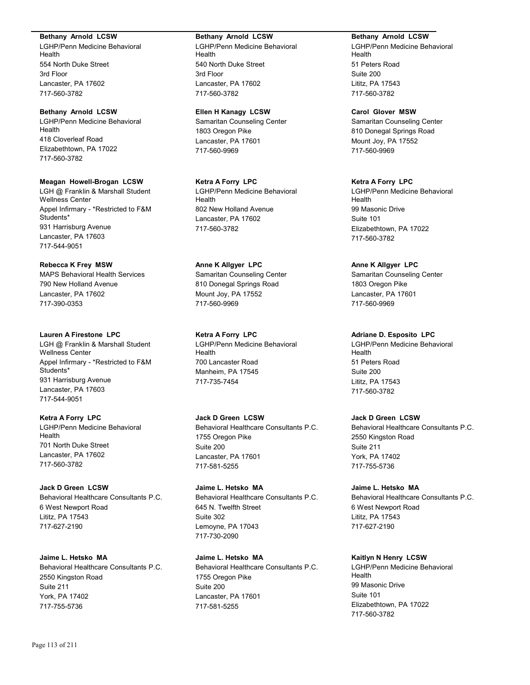#### **Bethany Arnold LCSW**

LGHP/Penn Medicine Behavioral Health 554 North Duke Street 3rd Floor Lancaster, PA 17602 717-560-3782

# **Bethany Arnold LCSW**

LGHP/Penn Medicine Behavioral Health 418 Cloverleaf Road Elizabethtown, PA 17022 717-560-3782

#### **Meagan Howell-Brogan LCSW**

LGH @ Franklin & Marshall Student Wellness Center Appel Infirmary - \*Restricted to F&M Students\* 931 Harrisburg Avenue Lancaster, PA 17603 717-544-9051

#### **Rebecca K Frey MSW**

MAPS Behavioral Health Services 790 New Holland Avenue Lancaster, PA 17602 717-390-0353

# **Lauren A Firestone LPC**

LGH @ Franklin & Marshall Student Wellness Center Appel Infirmary - \*Restricted to F&M Students\* 931 Harrisburg Avenue Lancaster, PA 17603 717-544-9051

# **Ketra A Forry LPC**

LGHP/Penn Medicine Behavioral Health 701 North Duke Street Lancaster, PA 17602 717-560-3782

# **Jack D Green LCSW**

Behavioral Healthcare Consultants P.C. 6 West Newport Road Lititz, PA 17543 717-627-2190

# **Jaime L. Hetsko MA**

Behavioral Healthcare Consultants P.C. 2550 Kingston Road Suite 211 York, PA 17402 717-755-5736

#### **Bethany Arnold LCSW**

LGHP/Penn Medicine Behavioral Health 540 North Duke Street 3rd Floor Lancaster, PA 17602 717-560-3782

## **Ellen H Kanagy LCSW**

Samaritan Counseling Center 1803 Oregon Pike Lancaster, PA 17601 717-560-9969

#### **Ketra A Forry LPC** LGHP/Penn Medicine Behavioral

Health 802 New Holland Avenue Lancaster, PA 17602 717-560-3782

# **Anne K Allgyer LPC**

Samaritan Counseling Center 810 Donegal Springs Road Mount Joy, PA 17552 717-560-9969

# **Ketra A Forry LPC** LGHP/Penn Medicine Behavioral

Health 700 Lancaster Road Manheim, PA 17545 717-735-7454

# **Jack D Green LCSW**

Behavioral Healthcare Consultants P.C. 1755 Oregon Pike Suite 200 Lancaster, PA 17601 717-581-5255

# **Jaime L. Hetsko MA**

Behavioral Healthcare Consultants P.C. 645 N. Twelfth Street Suite 302 Lemoyne, PA 17043 717-730-2090

# **Jaime L. Hetsko MA**

Behavioral Healthcare Consultants P.C. 1755 Oregon Pike Suite 200 Lancaster, PA 17601 717-581-5255

#### **Bethany Arnold LCSW**

LGHP/Penn Medicine Behavioral Health 51 Peters Road Suite 200 Lititz, PA 17543 717-560-3782

### **Carol Glover MSW**

Samaritan Counseling Center 810 Donegal Springs Road Mount Joy, PA 17552 717-560-9969

## **Ketra A Forry LPC**

LGHP/Penn Medicine Behavioral Health 99 Masonic Drive Suite 101 Elizabethtown, PA 17022 717-560-3782

### **Anne K Allgyer LPC**

Samaritan Counseling Center 1803 Oregon Pike Lancaster, PA 17601 717-560-9969

# **Adriane D. Esposito LPC**

LGHP/Penn Medicine Behavioral Health 51 Peters Road Suite 200 Lititz, PA 17543 717-560-3782

# **Jack D Green LCSW**

Behavioral Healthcare Consultants P.C. 2550 Kingston Road Suite 211 York, PA 17402 717-755-5736

# **Jaime L. Hetsko MA**

Behavioral Healthcare Consultants P.C. 6 West Newport Road Lititz, PA 17543 717-627-2190

# **Kaitlyn N Henry LCSW**

LGHP/Penn Medicine Behavioral Health 99 Masonic Drive Suite 101 Elizabethtown, PA 17022 717-560-3782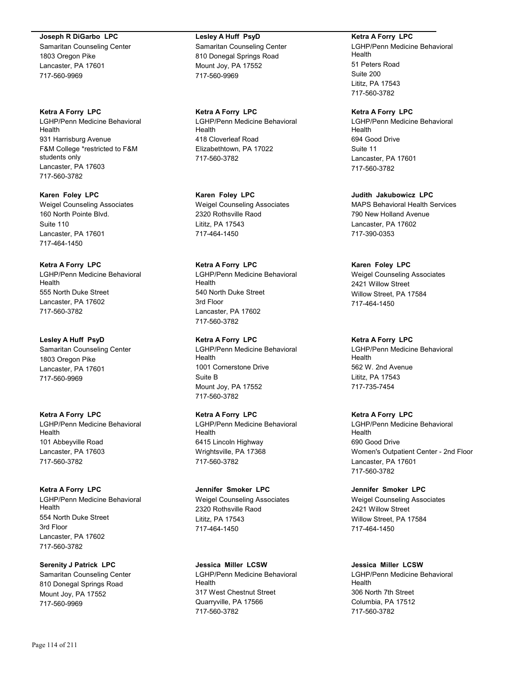#### **Joseph R DiGarbo LPC**

Samaritan Counseling Center 1803 Oregon Pike Lancaster, PA 17601 717-560-9969

**Ketra A Forry LPC** LGHP/Penn Medicine Behavioral Health 931 Harrisburg Avenue F&M College \*restricted to F&M students only Lancaster, PA 17603 717-560-3782

**Karen Foley LPC** Weigel Counseling Associates 160 North Pointe Blvd. Suite 110 Lancaster, PA 17601 717-464-1450

#### **Ketra A Forry LPC**

LGHP/Penn Medicine Behavioral Health 555 North Duke Street Lancaster, PA 17602 717-560-3782

**Lesley A Huff PsyD** Samaritan Counseling Center 1803 Oregon Pike Lancaster, PA 17601 717-560-9969

**Ketra A Forry LPC** LGHP/Penn Medicine Behavioral Health 101 Abbeyville Road Lancaster, PA 17603 717-560-3782

**Ketra A Forry LPC** LGHP/Penn Medicine Behavioral Health 554 North Duke Street 3rd Floor Lancaster, PA 17602 717-560-3782

#### **Serenity J Patrick LPC**

Samaritan Counseling Center 810 Donegal Springs Road Mount Joy, PA 17552 717-560-9969

**Lesley A Huff PsyD** Samaritan Counseling Center 810 Donegal Springs Road Mount Joy, PA 17552 717-560-9969

**Ketra A Forry LPC** LGHP/Penn Medicine Behavioral Health 418 Cloverleaf Road Elizabethtown, PA 17022 717-560-3782

**Karen Foley LPC** Weigel Counseling Associates 2320 Rothsville Raod Lititz, PA 17543 717-464-1450

**Ketra A Forry LPC** LGHP/Penn Medicine Behavioral Health 540 North Duke Street 3rd Floor

Lancaster, PA 17602 717-560-3782

# **Ketra A Forry LPC**

LGHP/Penn Medicine Behavioral Health 1001 Cornerstone Drive Suite B Mount Joy, PA 17552 717-560-3782

**Ketra A Forry LPC**

LGHP/Penn Medicine Behavioral Health 6415 Lincoln Highway Wrightsville, PA 17368 717-560-3782

**Jennifer Smoker LPC**

Weigel Counseling Associates 2320 Rothsville Raod Lititz, PA 17543 717-464-1450

**Jessica Miller LCSW** LGHP/Penn Medicine Behavioral Health 317 West Chestnut Street Quarryville, PA 17566 717-560-3782

**Ketra A Forry LPC**

LGHP/Penn Medicine Behavioral Health 51 Peters Road Suite 200 Lititz, PA 17543 717-560-3782

**Ketra A Forry LPC**

LGHP/Penn Medicine Behavioral Health 694 Good Drive Suite 11 Lancaster, PA 17601 717-560-3782

**Judith Jakubowicz LPC**

MAPS Behavioral Health Services 790 New Holland Avenue Lancaster, PA 17602 717-390-0353

#### **Karen Foley LPC**

Weigel Counseling Associates 2421 Willow Street Willow Street, PA 17584 717-464-1450

#### **Ketra A Forry LPC**

LGHP/Penn Medicine Behavioral Health 562 W. 2nd Avenue Lititz, PA 17543 717-735-7454

#### **Ketra A Forry LPC**

LGHP/Penn Medicine Behavioral Health 690 Good Drive Women's Outpatient Center - 2nd Floor Lancaster, PA 17601 717-560-3782

**Jennifer Smoker LPC**

Weigel Counseling Associates 2421 Willow Street Willow Street, PA 17584 717-464-1450

#### **Jessica Miller LCSW**

LGHP/Penn Medicine Behavioral Health 306 North 7th Street Columbia, PA 17512 717-560-3782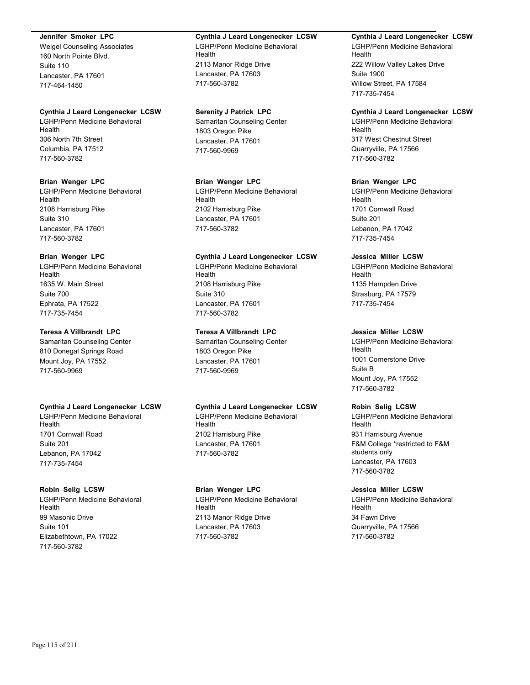#### **Jennifer Smoker LPC**

Weigel Counseling Associates 160 North Pointe Blvd. Suite 110 Lancaster, PA 17601 717-464-1450

#### **Cynthia J Leard Longenecker LCSW**

LGHP/Penn Medicine Behavioral Health 306 North 7th Street Columbia, PA 17512 717-560-3782

#### **Brian Wenger LPC**

LGHP/Penn Medicine Behavioral Health 2108 Harrisburg Pike Suite 310 Lancaster, PA 17601 717-560-3782

## **Brian Wenger LPC**

LGHP/Penn Medicine Behavioral Health 1635 W. Main Street Suite 700 Ephrata, PA 17522 717-735-7454

#### **Teresa A Villbrandt LPC**

Samaritan Counseling Center 810 Donegal Springs Road Mount Joy, PA 17552 717-560-9969

#### **Cynthia J Leard Longenecker LCSW**

LGHP/Penn Medicine Behavioral Health 1701 Cornwall Road Suite 201 Lebanon, PA 17042 717-735-7454

# **Robin Selig LCSW**

LGHP/Penn Medicine Behavioral Health 99 Masonic Drive Suite 101 Elizabethtown, PA 17022 717-560-3782

#### **Cynthia J Leard Longenecker LCSW** LGHP/Penn Medicine Behavioral **Health** 2113 Manor Ridge Drive Lancaster, PA 17603 717-560-3782

#### **Serenity J Patrick LPC**

Samaritan Counseling Center 1803 Oregon Pike Lancaster, PA 17601 717-560-9969

## **Brian Wenger LPC**

LGHP/Penn Medicine Behavioral Health 2102 Harrisburg Pike Lancaster, PA 17601 717-560-3782

### **Cynthia J Leard Longenecker LCSW**

LGHP/Penn Medicine Behavioral **Health** 2108 Harrisburg Pike Suite 310 Lancaster, PA 17601 717-560-3782

# **Teresa A Villbrandt LPC**

Samaritan Counseling Center 1803 Oregon Pike Lancaster, PA 17601 717-560-9969

#### **Cynthia J Leard Longenecker LCSW**

LGHP/Penn Medicine Behavioral Health 2102 Harrisburg Pike Lancaster, PA 17601 717-560-3782

#### **Brian Wenger LPC**

LGHP/Penn Medicine Behavioral **Health** 2113 Manor Ridge Drive Lancaster, PA 17603 717-560-3782

#### **Cynthia J Leard Longenecker LCSW**

LGHP/Penn Medicine Behavioral Health 222 Willow Valley Lakes Drive Suite 1900 Willow Street, PA 17584 717-735-7454

#### **Cynthia J Leard Longenecker LCSW**

LGHP/Penn Medicine Behavioral Health 317 West Chestnut Street Quarryville, PA 17566 717-560-3782

### **Brian Wenger LPC**

LGHP/Penn Medicine Behavioral Health 1701 Cornwall Road Suite 201 Lebanon, PA 17042 717-735-7454

# **Jessica Miller LCSW**

LGHP/Penn Medicine Behavioral Health 1135 Hampden Drive Strasburg, PA 17579 717-735-7454

### **Jessica Miller LCSW**

LGHP/Penn Medicine Behavioral Health 1001 Cornerstone Drive Suite B Mount Joy, PA 17552 717-560-3782

## **Robin Selig LCSW**

LGHP/Penn Medicine Behavioral Health 931 Harrisburg Avenue F&M College \*restricted to F&M students only Lancaster, PA 17603 717-560-3782

# **Jessica Miller LCSW**

LGHP/Penn Medicine Behavioral Health 34 Fawn Drive Quarryville, PA 17566 717-560-3782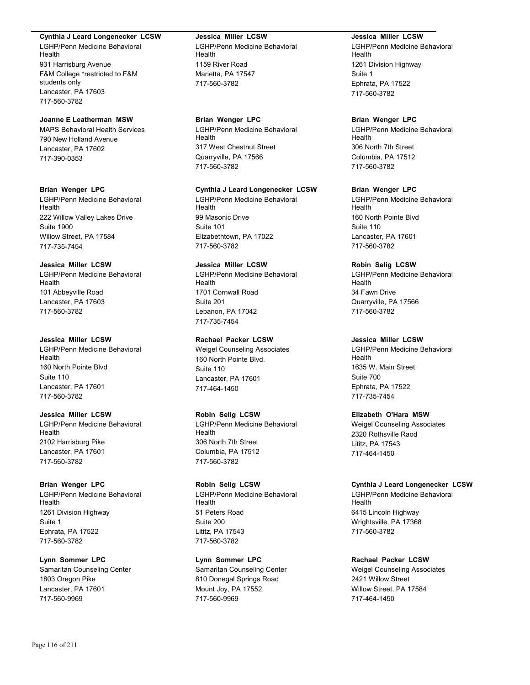#### **Cynthia J Leard Longenecker LCSW**

LGHP/Penn Medicine Behavioral Health 931 Harrisburg Avenue F&M College \*restricted to F&M students only Lancaster, PA 17603 717-560-3782

## **Joanne E Leatherman MSW**

MAPS Behavioral Health Services 790 New Holland Avenue Lancaster, PA 17602 717-390-0353

#### **Brian Wenger LPC**

LGHP/Penn Medicine Behavioral Health 222 Willow Valley Lakes Drive Suite 1900 Willow Street, PA 17584 717-735-7454

#### **Jessica Miller LCSW**

LGHP/Penn Medicine Behavioral Health 101 Abbeyville Road Lancaster, PA 17603 717-560-3782

#### **Jessica Miller LCSW**

LGHP/Penn Medicine Behavioral Health 160 North Pointe Blvd Suite 110 Lancaster, PA 17601 717-560-3782

# **Jessica Miller LCSW**

LGHP/Penn Medicine Behavioral Health 2102 Harrisburg Pike Lancaster, PA 17601 717-560-3782

#### **Brian Wenger LPC**

LGHP/Penn Medicine Behavioral Health 1261 Division Highway Suite 1 Ephrata, PA 17522 717-560-3782

#### **Lynn Sommer LPC**

Samaritan Counseling Center 1803 Oregon Pike Lancaster, PA 17601 717-560-9969

## **Jessica Miller LCSW** LGHP/Penn Medicine Behavioral Health 1159 River Road Marietta, PA 17547 717-560-3782

# **Brian Wenger LPC**

LGHP/Penn Medicine Behavioral Health 317 West Chestnut Street Quarryville, PA 17566 717-560-3782

#### **Cynthia J Leard Longenecker LCSW**

LGHP/Penn Medicine Behavioral Health 99 Masonic Drive Suite 101 Elizabethtown, PA 17022 717-560-3782

# **Jessica Miller LCSW**

LGHP/Penn Medicine Behavioral Health 1701 Cornwall Road Suite 201 Lebanon, PA 17042 717-735-7454

#### **Rachael Packer LCSW**

Weigel Counseling Associates 160 North Pointe Blvd. Suite 110 Lancaster, PA 17601 717-464-1450

## **Robin Selig LCSW**

LGHP/Penn Medicine Behavioral Health 306 North 7th Street Columbia, PA 17512 717-560-3782

# **Robin Selig LCSW**

LGHP/Penn Medicine Behavioral Health 51 Peters Road Suite 200 Lititz, PA 17543 717-560-3782

### **Lynn Sommer LPC**

Samaritan Counseling Center 810 Donegal Springs Road Mount Joy, PA 17552 717-560-9969

#### **Jessica Miller LCSW**

LGHP/Penn Medicine Behavioral Health 1261 Division Highway Suite 1 Ephrata, PA 17522 717-560-3782

#### **Brian Wenger LPC**

LGHP/Penn Medicine Behavioral Health 306 North 7th Street Columbia, PA 17512 717-560-3782

#### **Brian Wenger LPC**

LGHP/Penn Medicine Behavioral Health 160 North Pointe Blvd Suite 110 Lancaster, PA 17601 717-560-3782

#### **Robin Selig LCSW**

LGHP/Penn Medicine Behavioral Health 34 Fawn Drive Quarryville, PA 17566 717-560-3782

#### **Jessica Miller LCSW**

LGHP/Penn Medicine Behavioral Health 1635 W. Main Street Suite 700 Ephrata, PA 17522 717-735-7454

#### **Elizabeth O'Hara MSW**

Weigel Counseling Associates 2320 Rothsville Raod Lititz, PA 17543 717-464-1450

#### **Cynthia J Leard Longenecker LCSW**

LGHP/Penn Medicine Behavioral Health 6415 Lincoln Highway Wrightsville, PA 17368 717-560-3782

#### **Rachael Packer LCSW**

Weigel Counseling Associates 2421 Willow Street Willow Street, PA 17584 717-464-1450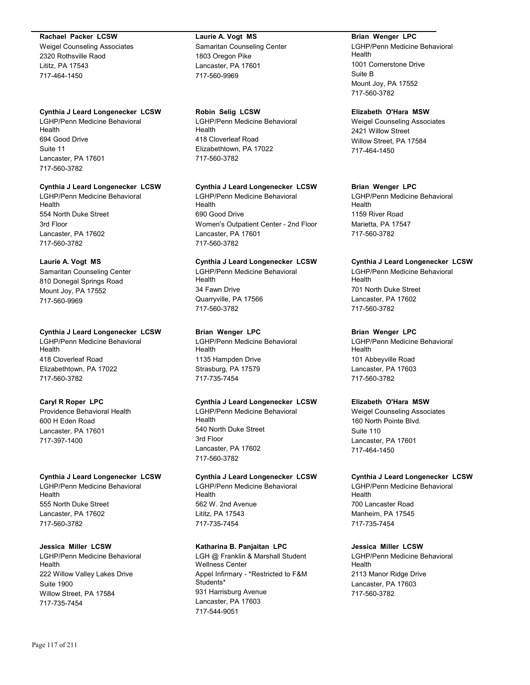#### **Rachael Packer LCSW**

Weigel Counseling Associates 2320 Rothsville Raod Lititz, PA 17543 717-464-1450

### **Cynthia J Leard Longenecker LCSW**

LGHP/Penn Medicine Behavioral Health 694 Good Drive Suite 11 Lancaster, PA 17601 717-560-3782

#### **Cynthia J Leard Longenecker LCSW**

LGHP/Penn Medicine Behavioral Health 554 North Duke Street 3rd Floor Lancaster, PA 17602 717-560-3782

# **Laurie A. Vogt MS**

Samaritan Counseling Center 810 Donegal Springs Road Mount Joy, PA 17552 717-560-9969

### **Cynthia J Leard Longenecker LCSW**

LGHP/Penn Medicine Behavioral Health 418 Cloverleaf Road Elizabethtown, PA 17022 717-560-3782

# **Caryl R Roper LPC**

Providence Behavioral Health 600 H Eden Road Lancaster, PA 17601 717-397-1400

# **Cynthia J Leard Longenecker LCSW**

LGHP/Penn Medicine Behavioral Health 555 North Duke Street Lancaster, PA 17602 717-560-3782

# **Jessica Miller LCSW**

LGHP/Penn Medicine Behavioral Health 222 Willow Valley Lakes Drive Suite 1900 Willow Street, PA 17584 717-735-7454

# **Laurie A. Vogt MS**

Samaritan Counseling Center 1803 Oregon Pike Lancaster, PA 17601 717-560-9969

# **Robin Selig LCSW**

LGHP/Penn Medicine Behavioral Health 418 Cloverleaf Road Elizabethtown, PA 17022 717-560-3782

### **Cynthia J Leard Longenecker LCSW**

LGHP/Penn Medicine Behavioral Health 690 Good Drive Women's Outpatient Center - 2nd Floor Lancaster, PA 17601 717-560-3782

# **Cynthia J Leard Longenecker LCSW**

LGHP/Penn Medicine Behavioral Health 34 Fawn Drive Quarryville, PA 17566 717-560-3782

# **Brian Wenger LPC**

LGHP/Penn Medicine Behavioral Health 1135 Hampden Drive Strasburg, PA 17579 717-735-7454

# **Cynthia J Leard Longenecker LCSW**

LGHP/Penn Medicine Behavioral Health 540 North Duke Street 3rd Floor Lancaster, PA 17602 717-560-3782

#### **Cynthia J Leard Longenecker LCSW**

LGHP/Penn Medicine Behavioral Health 562 W. 2nd Avenue Lititz, PA 17543 717-735-7454

# **Katharina B. Panjaitan LPC**

LGH @ Franklin & Marshall Student Wellness Center Appel Infirmary - \*Restricted to F&M Students\* 931 Harrisburg Avenue Lancaster, PA 17603 717-544-9051

## **Brian Wenger LPC**

LGHP/Penn Medicine Behavioral Health 1001 Cornerstone Drive Suite B Mount Joy, PA 17552 717-560-3782

# **Elizabeth O'Hara MSW**

Weigel Counseling Associates 2421 Willow Street Willow Street, PA 17584 717-464-1450

### **Brian Wenger LPC**

LGHP/Penn Medicine Behavioral Health 1159 River Road Marietta, PA 17547 717-560-3782

# **Cynthia J Leard Longenecker LCSW**

LGHP/Penn Medicine Behavioral Health 701 North Duke Street Lancaster, PA 17602 717-560-3782

# **Brian Wenger LPC**

LGHP/Penn Medicine Behavioral Health 101 Abbeyville Road Lancaster, PA 17603 717-560-3782

# **Elizabeth O'Hara MSW**

Weigel Counseling Associates 160 North Pointe Blvd. Suite 110 Lancaster, PA 17601 717-464-1450

# **Cynthia J Leard Longenecker LCSW**

LGHP/Penn Medicine Behavioral Health 700 Lancaster Road Manheim, PA 17545 717-735-7454

# **Jessica Miller LCSW**

LGHP/Penn Medicine Behavioral Health 2113 Manor Ridge Drive Lancaster, PA 17603 717-560-3782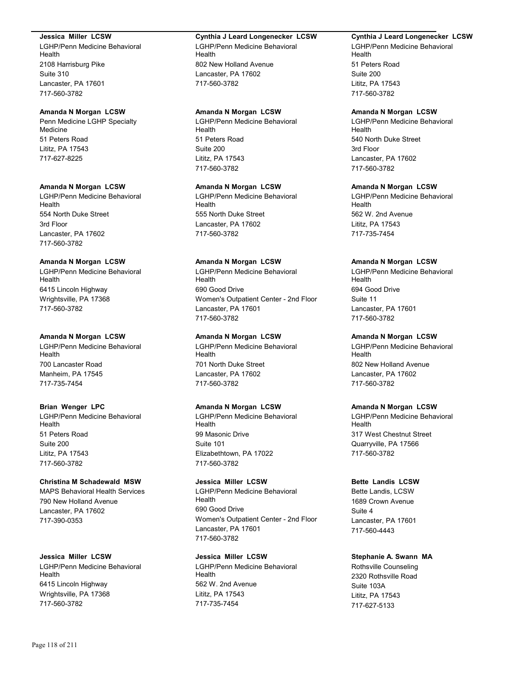#### **Jessica Miller LCSW**

LGHP/Penn Medicine Behavioral Health 2108 Harrisburg Pike Suite 310 Lancaster, PA 17601 717-560-3782

#### **Amanda N Morgan LCSW**

Penn Medicine LGHP Specialty Medicine 51 Peters Road Lititz, PA 17543 717-627-8225

#### **Amanda N Morgan LCSW**

LGHP/Penn Medicine Behavioral Health 554 North Duke Street 3rd Floor Lancaster, PA 17602 717-560-3782

#### **Amanda N Morgan LCSW**

LGHP/Penn Medicine Behavioral Health 6415 Lincoln Highway Wrightsville, PA 17368 717-560-3782

#### **Amanda N Morgan LCSW**

LGHP/Penn Medicine Behavioral Health 700 Lancaster Road Manheim, PA 17545 717-735-7454

#### **Brian Wenger LPC**

LGHP/Penn Medicine Behavioral Health 51 Peters Road Suite 200 Lititz, PA 17543 717-560-3782

## **Christina M Schadewald MSW**

MAPS Behavioral Health Services 790 New Holland Avenue Lancaster, PA 17602 717-390-0353

# **Jessica Miller LCSW**

LGHP/Penn Medicine Behavioral Health 6415 Lincoln Highway Wrightsville, PA 17368 717-560-3782

#### **Cynthia J Leard Longenecker LCSW**

LGHP/Penn Medicine Behavioral Health 802 New Holland Avenue Lancaster, PA 17602 717-560-3782

## **Amanda N Morgan LCSW**

LGHP/Penn Medicine Behavioral Health 51 Peters Road Suite 200 Lititz, PA 17543 717-560-3782

#### **Amanda N Morgan LCSW**

LGHP/Penn Medicine Behavioral Health 555 North Duke Street Lancaster, PA 17602 717-560-3782

#### **Amanda N Morgan LCSW**

LGHP/Penn Medicine Behavioral Health 690 Good Drive Women's Outpatient Center - 2nd Floor Lancaster, PA 17601 717-560-3782

### **Amanda N Morgan LCSW**

LGHP/Penn Medicine Behavioral Health 701 North Duke Street Lancaster, PA 17602 717-560-3782

#### **Amanda N Morgan LCSW**

LGHP/Penn Medicine Behavioral Health 99 Masonic Drive Suite 101 Elizabethtown, PA 17022 717-560-3782

#### **Jessica Miller LCSW**

LGHP/Penn Medicine Behavioral Health 690 Good Drive Women's Outpatient Center - 2nd Floor Lancaster, PA 17601 717-560-3782

**Jessica Miller LCSW** LGHP/Penn Medicine Behavioral Health 562 W. 2nd Avenue Lititz, PA 17543 717-735-7454

#### **Cynthia J Leard Longenecker LCSW**

LGHP/Penn Medicine Behavioral Health 51 Peters Road Suite 200 Lititz, PA 17543 717-560-3782

#### **Amanda N Morgan LCSW**

LGHP/Penn Medicine Behavioral Health 540 North Duke Street 3rd Floor Lancaster, PA 17602 717-560-3782

#### **Amanda N Morgan LCSW**

LGHP/Penn Medicine Behavioral Health 562 W. 2nd Avenue Lititz, PA 17543 717-735-7454

#### **Amanda N Morgan LCSW**

LGHP/Penn Medicine Behavioral Health 694 Good Drive Suite 11 Lancaster, PA 17601 717-560-3782

# **Amanda N Morgan LCSW**

LGHP/Penn Medicine Behavioral Health 802 New Holland Avenue Lancaster, PA 17602 717-560-3782

#### **Amanda N Morgan LCSW**

LGHP/Penn Medicine Behavioral Health 317 West Chestnut Street Quarryville, PA 17566 717-560-3782

#### **Bette Landis LCSW**

Bette Landis, LCSW 1689 Crown Avenue Suite 4 Lancaster, PA 17601 717-560-4443

# **Stephanie A. Swann MA**

Rothsville Counseling 2320 Rothsville Road Suite 103A Lititz, PA 17543 717-627-5133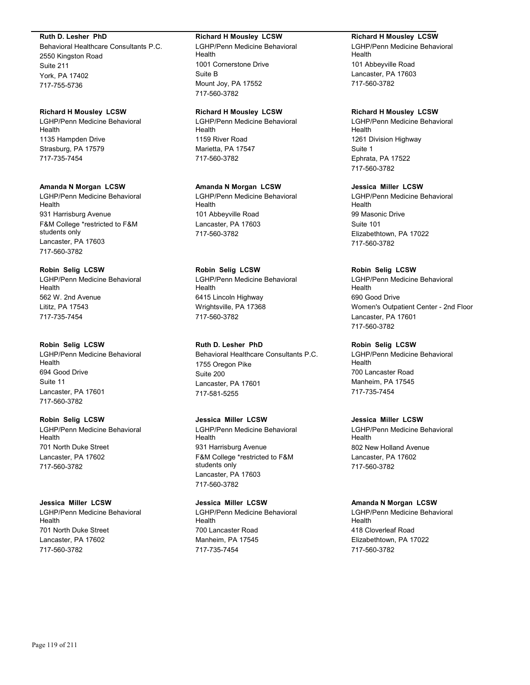#### **Ruth D. Lesher PhD**

Behavioral Healthcare Consultants P.C. 2550 Kingston Road Suite 211 York, PA 17402 717-755-5736

#### **Richard H Mousley LCSW**

LGHP/Penn Medicine Behavioral Health 1135 Hampden Drive Strasburg, PA 17579 717-735-7454

#### **Amanda N Morgan LCSW**

LGHP/Penn Medicine Behavioral Health 931 Harrisburg Avenue F&M College \*restricted to F&M students only Lancaster, PA 17603 717-560-3782

# **Robin Selig LCSW**

LGHP/Penn Medicine Behavioral Health 562 W. 2nd Avenue Lititz, PA 17543 717-735-7454

#### **Robin Selig LCSW**

LGHP/Penn Medicine Behavioral Health 694 Good Drive Suite 11 Lancaster, PA 17601 717-560-3782

#### **Robin Selig LCSW**

LGHP/Penn Medicine Behavioral Health 701 North Duke Street Lancaster, PA 17602 717-560-3782

#### **Jessica Miller LCSW**

LGHP/Penn Medicine Behavioral Health 701 North Duke Street Lancaster, PA 17602 717-560-3782

#### **Richard H Mousley LCSW**

LGHP/Penn Medicine Behavioral Health 1001 Cornerstone Drive Suite B Mount Joy, PA 17552 717-560-3782

# **Richard H Mousley LCSW**

LGHP/Penn Medicine Behavioral Health 1159 River Road Marietta, PA 17547 717-560-3782

#### **Amanda N Morgan LCSW**

LGHP/Penn Medicine Behavioral Health 101 Abbeyville Road Lancaster, PA 17603 717-560-3782

#### **Robin Selig LCSW**

LGHP/Penn Medicine Behavioral Health 6415 Lincoln Highway Wrightsville, PA 17368 717-560-3782

# **Ruth D. Lesher PhD**

Behavioral Healthcare Consultants P.C. 1755 Oregon Pike Suite 200 Lancaster, PA 17601 717-581-5255

# **Jessica Miller LCSW**

LGHP/Penn Medicine Behavioral Health 931 Harrisburg Avenue F&M College \*restricted to F&M students only Lancaster, PA 17603 717-560-3782

# **Jessica Miller LCSW**

LGHP/Penn Medicine Behavioral Health 700 Lancaster Road Manheim, PA 17545 717-735-7454

#### **Richard H Mousley LCSW**

LGHP/Penn Medicine Behavioral Health 101 Abbeyville Road Lancaster, PA 17603 717-560-3782

#### **Richard H Mousley LCSW**

LGHP/Penn Medicine Behavioral Health 1261 Division Highway Suite 1 Ephrata, PA 17522 717-560-3782

#### **Jessica Miller LCSW**

LGHP/Penn Medicine Behavioral Health 99 Masonic Drive Suite 101 Elizabethtown, PA 17022 717-560-3782

#### **Robin Selig LCSW**

LGHP/Penn Medicine Behavioral Health 690 Good Drive Women's Outpatient Center - 2nd Floor Lancaster, PA 17601 717-560-3782

#### **Robin Selig LCSW**

LGHP/Penn Medicine Behavioral Health 700 Lancaster Road Manheim, PA 17545 717-735-7454

#### **Jessica Miller LCSW**

LGHP/Penn Medicine Behavioral Health 802 New Holland Avenue Lancaster, PA 17602 717-560-3782

#### **Amanda N Morgan LCSW**

LGHP/Penn Medicine Behavioral Health 418 Cloverleaf Road Elizabethtown, PA 17022 717-560-3782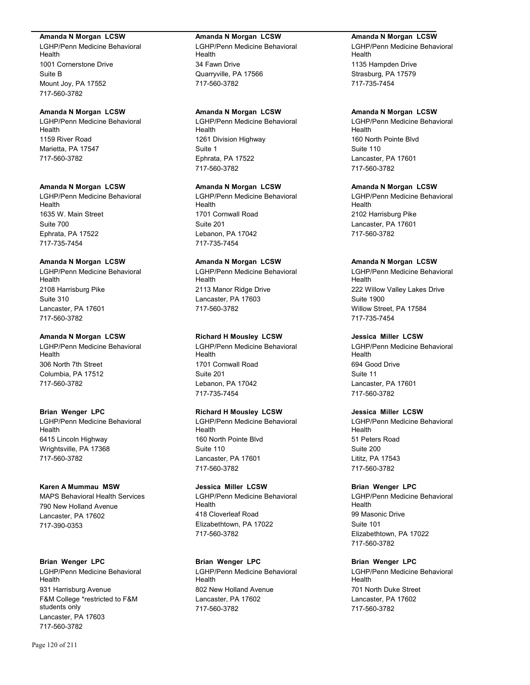#### **Amanda N Morgan LCSW**

LGHP/Penn Medicine Behavioral Health 1001 Cornerstone Drive Suite B Mount Joy, PA 17552 717-560-3782

#### **Amanda N Morgan LCSW**

LGHP/Penn Medicine Behavioral Health 1159 River Road Marietta, PA 17547 717-560-3782

#### **Amanda N Morgan LCSW**

LGHP/Penn Medicine Behavioral Health 1635 W. Main Street Suite 700 Ephrata, PA 17522 717-735-7454

#### **Amanda N Morgan LCSW**

LGHP/Penn Medicine Behavioral Health 2108 Harrisburg Pike Suite 310 Lancaster, PA 17601 717-560-3782

#### **Amanda N Morgan LCSW**

LGHP/Penn Medicine Behavioral Health 306 North 7th Street Columbia, PA 17512 717-560-3782

#### **Brian Wenger LPC**

LGHP/Penn Medicine Behavioral Health 6415 Lincoln Highway Wrightsville, PA 17368 717-560-3782

#### **Karen A Mummau MSW**

MAPS Behavioral Health Services 790 New Holland Avenue Lancaster, PA 17602 717-390-0353

#### **Brian Wenger LPC**

LGHP/Penn Medicine Behavioral Health 931 Harrisburg Avenue F&M College \*restricted to F&M students only Lancaster, PA 17603 717-560-3782

#### **Amanda N Morgan LCSW**

LGHP/Penn Medicine Behavioral Health 34 Fawn Drive Quarryville, PA 17566 717-560-3782

# **Amanda N Morgan LCSW**

LGHP/Penn Medicine Behavioral Health 1261 Division Highway Suite 1 Ephrata, PA 17522 717-560-3782

#### **Amanda N Morgan LCSW**

LGHP/Penn Medicine Behavioral Health 1701 Cornwall Road Suite 201 Lebanon, PA 17042 717-735-7454

## **Amanda N Morgan LCSW**

LGHP/Penn Medicine Behavioral Health 2113 Manor Ridge Drive Lancaster, PA 17603 717-560-3782

#### **Richard H Mousley LCSW**

LGHP/Penn Medicine Behavioral Health 1701 Cornwall Road Suite 201 Lebanon, PA 17042 717-735-7454

# **Richard H Mousley LCSW**

LGHP/Penn Medicine Behavioral Health 160 North Pointe Blvd Suite 110 Lancaster, PA 17601 717-560-3782

### **Jessica Miller LCSW**

LGHP/Penn Medicine Behavioral Health 418 Cloverleaf Road Elizabethtown, PA 17022 717-560-3782

# **Brian Wenger LPC**

LGHP/Penn Medicine Behavioral Health 802 New Holland Avenue Lancaster, PA 17602 717-560-3782

#### **Amanda N Morgan LCSW**

LGHP/Penn Medicine Behavioral Health 1135 Hampden Drive Strasburg, PA 17579 717-735-7454

#### **Amanda N Morgan LCSW**

LGHP/Penn Medicine Behavioral Health 160 North Pointe Blvd Suite 110 Lancaster, PA 17601 717-560-3782

#### **Amanda N Morgan LCSW**

LGHP/Penn Medicine Behavioral Health 2102 Harrisburg Pike Lancaster, PA 17601 717-560-3782

#### **Amanda N Morgan LCSW**

LGHP/Penn Medicine Behavioral Health 222 Willow Valley Lakes Drive Suite 1900 Willow Street, PA 17584 717-735-7454

#### **Jessica Miller LCSW**

LGHP/Penn Medicine Behavioral Health 694 Good Drive Suite 11 Lancaster, PA 17601 717-560-3782

### **Jessica Miller LCSW**

LGHP/Penn Medicine Behavioral Health 51 Peters Road Suite 200 Lititz, PA 17543 717-560-3782

# **Brian Wenger LPC**

LGHP/Penn Medicine Behavioral Health 99 Masonic Drive Suite 101 Elizabethtown, PA 17022 717-560-3782

### **Brian Wenger LPC**

LGHP/Penn Medicine Behavioral Health 701 North Duke Street Lancaster, PA 17602 717-560-3782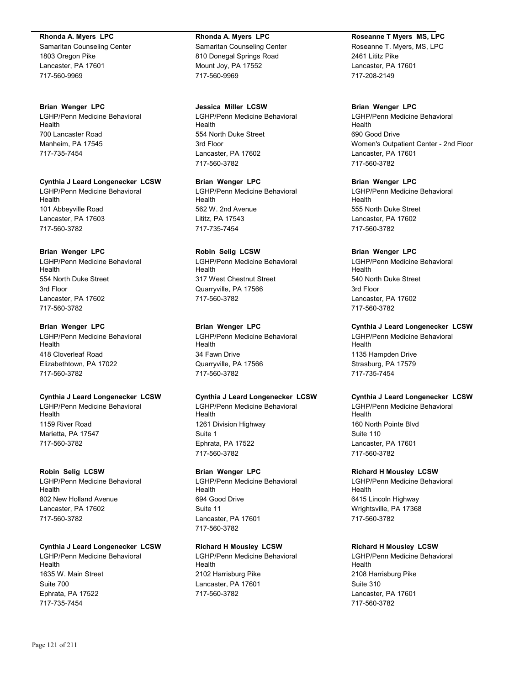#### **Rhonda A. Myers LPC**

Samaritan Counseling Center 1803 Oregon Pike Lancaster, PA 17601 717-560-9969

#### **Brian Wenger LPC**

LGHP/Penn Medicine Behavioral Health 700 Lancaster Road Manheim, PA 17545 717-735-7454

**Cynthia J Leard Longenecker LCSW** LGHP/Penn Medicine Behavioral

Health 101 Abbeyville Road Lancaster, PA 17603 717-560-3782

### **Brian Wenger LPC**

LGHP/Penn Medicine Behavioral Health 554 North Duke Street 3rd Floor Lancaster, PA 17602 717-560-3782

# **Brian Wenger LPC**

LGHP/Penn Medicine Behavioral Health 418 Cloverleaf Road Elizabethtown, PA 17022 717-560-3782

# **Cynthia J Leard Longenecker LCSW**

LGHP/Penn Medicine Behavioral Health 1159 River Road Marietta, PA 17547 717-560-3782

#### **Robin Selig LCSW**

LGHP/Penn Medicine Behavioral Health 802 New Holland Avenue Lancaster, PA 17602 717-560-3782

# **Cynthia J Leard Longenecker LCSW**

LGHP/Penn Medicine Behavioral Health 1635 W. Main Street Suite 700 Ephrata, PA 17522 717-735-7454

## **Rhonda A. Myers LPC** Samaritan Counseling Center 810 Donegal Springs Road Mount Joy, PA 17552 717-560-9969

**Jessica Miller LCSW** LGHP/Penn Medicine Behavioral Health 554 North Duke Street 3rd Floor Lancaster, PA 17602 717-560-3782

**Brian Wenger LPC** LGHP/Penn Medicine Behavioral Health 562 W. 2nd Avenue Lititz, PA 17543 717-735-7454

# **Robin Selig LCSW**

LGHP/Penn Medicine Behavioral Health 317 West Chestnut Street Quarryville, PA 17566 717-560-3782

# **Brian Wenger LPC**

LGHP/Penn Medicine Behavioral **Health** 34 Fawn Drive Quarryville, PA 17566 717-560-3782

# **Cynthia J Leard Longenecker LCSW**

LGHP/Penn Medicine Behavioral Health 1261 Division Highway Suite 1 Ephrata, PA 17522 717-560-3782

# **Brian Wenger LPC**

LGHP/Penn Medicine Behavioral Health 694 Good Drive Suite 11 Lancaster, PA 17601 717-560-3782

# **Richard H Mousley LCSW**

LGHP/Penn Medicine Behavioral **Health** 2102 Harrisburg Pike Lancaster, PA 17601 717-560-3782

# **Roseanne T Myers MS, LPC**

Roseanne T. Myers, MS, LPC 2461 Lititz Pike Lancaster, PA 17601 717-208-2149

## **Brian Wenger LPC**

LGHP/Penn Medicine Behavioral Health 690 Good Drive Women's Outpatient Center - 2nd Floor Lancaster, PA 17601 717-560-3782

**Brian Wenger LPC** LGHP/Penn Medicine Behavioral Health 555 North Duke Street Lancaster, PA 17602 717-560-3782

### **Brian Wenger LPC**

LGHP/Penn Medicine Behavioral Health 540 North Duke Street 3rd Floor Lancaster, PA 17602 717-560-3782

# **Cynthia J Leard Longenecker LCSW**

LGHP/Penn Medicine Behavioral Health 1135 Hampden Drive Strasburg, PA 17579 717-735-7454

# **Cynthia J Leard Longenecker LCSW**

LGHP/Penn Medicine Behavioral Health 160 North Pointe Blvd Suite 110 Lancaster, PA 17601 717-560-3782

# **Richard H Mousley LCSW**

LGHP/Penn Medicine Behavioral Health 6415 Lincoln Highway Wrightsville, PA 17368 717-560-3782

# **Richard H Mousley LCSW**

LGHP/Penn Medicine Behavioral Health 2108 Harrisburg Pike Suite 310 Lancaster, PA 17601 717-560-3782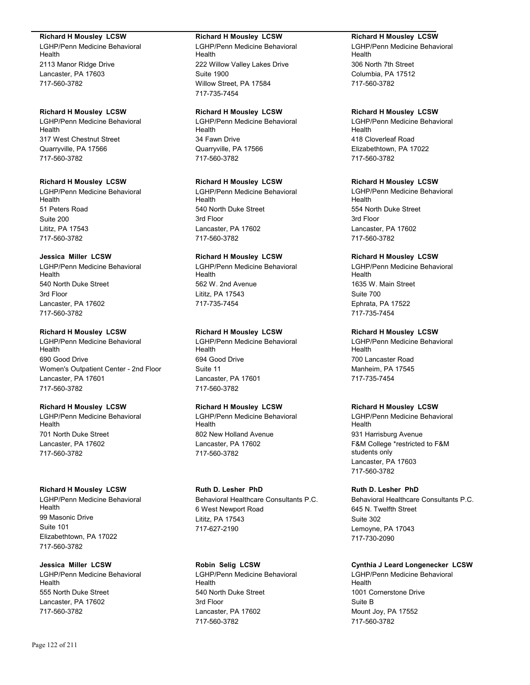#### **Richard H Mousley LCSW**

LGHP/Penn Medicine Behavioral Health 2113 Manor Ridge Drive Lancaster, PA 17603 717-560-3782

## **Richard H Mousley LCSW**

LGHP/Penn Medicine Behavioral Health 317 West Chestnut Street Quarryville, PA 17566 717-560-3782

### **Richard H Mousley LCSW**

LGHP/Penn Medicine Behavioral **Health** 51 Peters Road Suite 200 Lititz, PA 17543 717-560-3782

### **Jessica Miller LCSW**

LGHP/Penn Medicine Behavioral Health 540 North Duke Street 3rd Floor Lancaster, PA 17602 717-560-3782

### **Richard H Mousley LCSW**

LGHP/Penn Medicine Behavioral Health 690 Good Drive Women's Outpatient Center - 2nd Floor Lancaster, PA 17601 717-560-3782

# **Richard H Mousley LCSW**

LGHP/Penn Medicine Behavioral Health 701 North Duke Street Lancaster, PA 17602 717-560-3782

## **Richard H Mousley LCSW**

LGHP/Penn Medicine Behavioral Health 99 Masonic Drive Suite 101 Elizabethtown, PA 17022 717-560-3782

# **Jessica Miller LCSW**

LGHP/Penn Medicine Behavioral Health 555 North Duke Street Lancaster, PA 17602 717-560-3782

## **Richard H Mousley LCSW**

LGHP/Penn Medicine Behavioral Health 222 Willow Valley Lakes Drive Suite 1900 Willow Street, PA 17584 717-735-7454

# **Richard H Mousley LCSW**

LGHP/Penn Medicine Behavioral Health 34 Fawn Drive Quarryville, PA 17566 717-560-3782

# **Richard H Mousley LCSW**

LGHP/Penn Medicine Behavioral Health 540 North Duke Street 3rd Floor Lancaster, PA 17602 717-560-3782

# **Richard H Mousley LCSW**

LGHP/Penn Medicine Behavioral Health 562 W. 2nd Avenue Lititz, PA 17543 717-735-7454

# **Richard H Mousley LCSW**

LGHP/Penn Medicine Behavioral Health 694 Good Drive Suite 11 Lancaster, PA 17601 717-560-3782

# **Richard H Mousley LCSW**

LGHP/Penn Medicine Behavioral Health 802 New Holland Avenue Lancaster, PA 17602 717-560-3782

# **Ruth D. Lesher PhD** Behavioral Healthcare Consultants P.C. 6 West Newport Road Lititz, PA 17543

717-627-2190

**Robin Selig LCSW** LGHP/Penn Medicine Behavioral Health 540 North Duke Street 3rd Floor Lancaster, PA 17602 717-560-3782

# **Richard H Mousley LCSW**

LGHP/Penn Medicine Behavioral Health 306 North 7th Street Columbia, PA 17512 717-560-3782

# **Richard H Mousley LCSW**

LGHP/Penn Medicine Behavioral Health 418 Cloverleaf Road Elizabethtown, PA 17022 717-560-3782

# **Richard H Mousley LCSW**

LGHP/Penn Medicine Behavioral Health 554 North Duke Street 3rd Floor Lancaster, PA 17602 717-560-3782

# **Richard H Mousley LCSW**

LGHP/Penn Medicine Behavioral Health 1635 W. Main Street Suite 700 Ephrata, PA 17522 717-735-7454

# **Richard H Mousley LCSW**

LGHP/Penn Medicine Behavioral Health 700 Lancaster Road Manheim, PA 17545 717-735-7454

# **Richard H Mousley LCSW**

LGHP/Penn Medicine Behavioral Health 931 Harrisburg Avenue F&M College \*restricted to F&M students only Lancaster, PA 17603 717-560-3782

# **Ruth D. Lesher PhD**

Behavioral Healthcare Consultants P.C. 645 N. Twelfth Street Suite 302 Lemoyne, PA 17043 717-730-2090

# **Cynthia J Leard Longenecker LCSW**

LGHP/Penn Medicine Behavioral Health 1001 Cornerstone Drive Suite B Mount Joy, PA 17552 717-560-3782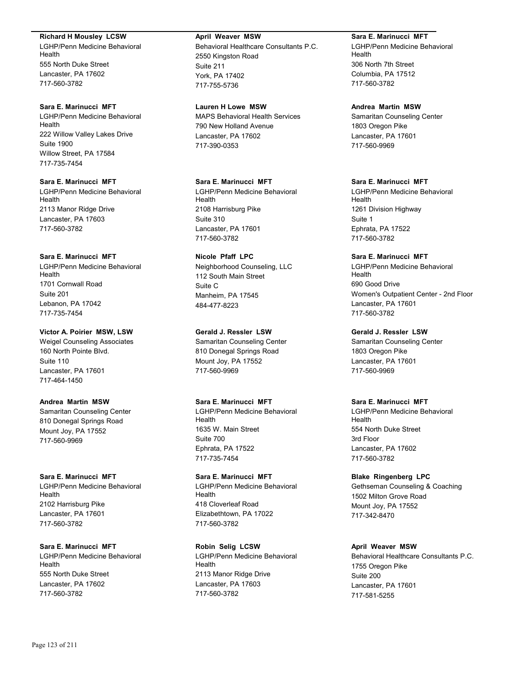#### **Richard H Mousley LCSW**

LGHP/Penn Medicine Behavioral Health 555 North Duke Street Lancaster, PA 17602 717-560-3782

# **Sara E. Marinucci MFT**

LGHP/Penn Medicine Behavioral Health 222 Willow Valley Lakes Drive Suite 1900 Willow Street, PA 17584 717-735-7454

# **Sara E. Marinucci MFT**

LGHP/Penn Medicine Behavioral Health 2113 Manor Ridge Drive Lancaster, PA 17603 717-560-3782

#### **Sara E. Marinucci MFT**

LGHP/Penn Medicine Behavioral Health 1701 Cornwall Road Suite 201 Lebanon, PA 17042 717-735-7454

#### **Victor A. Poirier MSW, LSW**

Weigel Counseling Associates 160 North Pointe Blvd. Suite 110 Lancaster, PA 17601 717-464-1450

#### **Andrea Martin MSW**

Samaritan Counseling Center 810 Donegal Springs Road Mount Joy, PA 17552 717-560-9969

#### **Sara E. Marinucci MFT**

LGHP/Penn Medicine Behavioral Health 2102 Harrisburg Pike Lancaster, PA 17601 717-560-3782

## **Sara E. Marinucci MFT** LGHP/Penn Medicine Behavioral

Health 555 North Duke Street Lancaster, PA 17602 717-560-3782

#### **April Weaver MSW**

Behavioral Healthcare Consultants P.C. 2550 Kingston Road Suite 211 York, PA 17402 717-755-5736

#### **Lauren H Lowe MSW**

MAPS Behavioral Health Services 790 New Holland Avenue Lancaster, PA 17602 717-390-0353

# **Sara E. Marinucci MFT**

LGHP/Penn Medicine Behavioral Health 2108 Harrisburg Pike Suite 310 Lancaster, PA 17601 717-560-3782

## **Nicole Pfaff LPC**

Neighborhood Counseling, LLC 112 South Main Street Suite C Manheim, PA 17545 484-477-8223

### **Gerald J. Ressler LSW**

Samaritan Counseling Center 810 Donegal Springs Road Mount Joy, PA 17552 717-560-9969

#### **Sara E. Marinucci MFT**

LGHP/Penn Medicine Behavioral Health 1635 W. Main Street Suite 700 Ephrata, PA 17522 717-735-7454

#### **Sara E. Marinucci MFT**

LGHP/Penn Medicine Behavioral Health 418 Cloverleaf Road Elizabethtown, PA 17022 717-560-3782

#### **Robin Selig LCSW**

LGHP/Penn Medicine Behavioral **Health** 2113 Manor Ridge Drive Lancaster, PA 17603 717-560-3782

#### **Sara E. Marinucci MFT**

LGHP/Penn Medicine Behavioral Health 306 North 7th Street Columbia, PA 17512 717-560-3782

#### **Andrea Martin MSW**

Samaritan Counseling Center 1803 Oregon Pike Lancaster, PA 17601 717-560-9969

# **Sara E. Marinucci MFT**

LGHP/Penn Medicine Behavioral Health 1261 Division Highway Suite 1 Ephrata, PA 17522 717-560-3782

# **Sara E. Marinucci MFT**

LGHP/Penn Medicine Behavioral Health 690 Good Drive Women's Outpatient Center - 2nd Floor Lancaster, PA 17601 717-560-3782

#### **Gerald J. Ressler LSW**

Samaritan Counseling Center 1803 Oregon Pike Lancaster, PA 17601 717-560-9969

#### **Sara E. Marinucci MFT**

LGHP/Penn Medicine Behavioral Health 554 North Duke Street 3rd Floor Lancaster, PA 17602 717-560-3782

#### **Blake Ringenberg LPC**

Gethseman Counseling & Coaching 1502 Milton Grove Road Mount Joy, PA 17552 717-342-8470

#### **April Weaver MSW**

Behavioral Healthcare Consultants P.C. 1755 Oregon Pike Suite 200 Lancaster, PA 17601 717-581-5255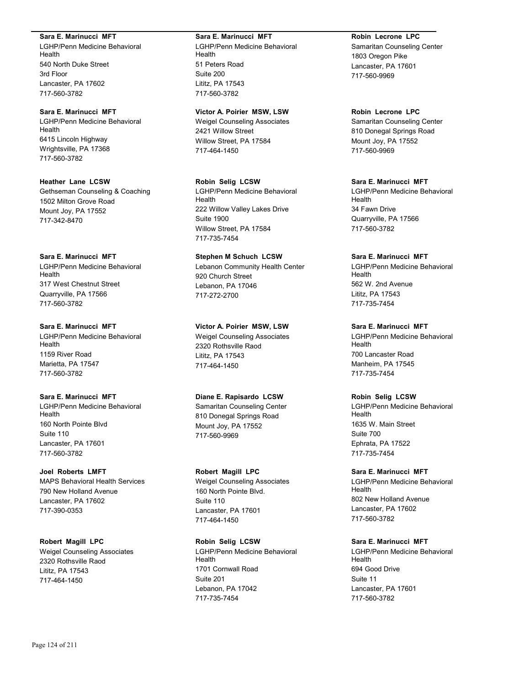#### **Sara E. Marinucci MFT**

LGHP/Penn Medicine Behavioral Health 540 North Duke Street 3rd Floor Lancaster, PA 17602 717-560-3782

# **Sara E. Marinucci MFT**

LGHP/Penn Medicine Behavioral Health 6415 Lincoln Highway Wrightsville, PA 17368 717-560-3782

# **Heather Lane LCSW**

Gethseman Counseling & Coaching 1502 Milton Grove Road Mount Joy, PA 17552 717-342-8470

#### **Sara E. Marinucci MFT**

LGHP/Penn Medicine Behavioral Health 317 West Chestnut Street Quarryville, PA 17566 717-560-3782

# **Sara E. Marinucci MFT**

LGHP/Penn Medicine Behavioral Health 1159 River Road Marietta, PA 17547 717-560-3782

#### **Sara E. Marinucci MFT**

LGHP/Penn Medicine Behavioral Health 160 North Pointe Blvd Suite 110 Lancaster, PA 17601 717-560-3782

# **Joel Roberts LMFT**

MAPS Behavioral Health Services 790 New Holland Avenue Lancaster, PA 17602 717-390-0353

# **Robert Magill LPC**

Weigel Counseling Associates 2320 Rothsville Raod Lititz, PA 17543 717-464-1450

## **Sara E. Marinucci MFT**

LGHP/Penn Medicine Behavioral Health 51 Peters Road Suite 200 Lititz, PA 17543 717-560-3782

# **Victor A. Poirier MSW, LSW**

Weigel Counseling Associates 2421 Willow Street Willow Street, PA 17584 717-464-1450

#### **Robin Selig LCSW**

LGHP/Penn Medicine Behavioral Health 222 Willow Valley Lakes Drive Suite 1900 Willow Street, PA 17584 717-735-7454

## **Stephen M Schuch LCSW**

Lebanon Community Health Center 920 Church Street Lebanon, PA 17046 717-272-2700

# **Victor A. Poirier MSW, LSW**

Weigel Counseling Associates 2320 Rothsville Raod Lititz, PA 17543 717-464-1450

#### **Diane E. Rapisardo LCSW**

Samaritan Counseling Center 810 Donegal Springs Road Mount Joy, PA 17552 717-560-9969

# **Robert Magill LPC**

Weigel Counseling Associates 160 North Pointe Blvd. Suite 110 Lancaster, PA 17601 717-464-1450

## **Robin Selig LCSW** LGHP/Penn Medicine Behavioral Health 1701 Cornwall Road Suite 201 Lebanon, PA 17042 717-735-7454

#### **Robin Lecrone LPC**

Samaritan Counseling Center 1803 Oregon Pike Lancaster, PA 17601 717-560-9969

#### **Robin Lecrone LPC**

Samaritan Counseling Center 810 Donegal Springs Road Mount Joy, PA 17552 717-560-9969

# **Sara E. Marinucci MFT**

LGHP/Penn Medicine Behavioral Health 34 Fawn Drive Quarryville, PA 17566 717-560-3782

#### **Sara E. Marinucci MFT**

LGHP/Penn Medicine Behavioral Health 562 W. 2nd Avenue Lititz, PA 17543 717-735-7454

## **Sara E. Marinucci MFT**

LGHP/Penn Medicine Behavioral Health 700 Lancaster Road Manheim, PA 17545 717-735-7454

#### **Robin Selig LCSW**

LGHP/Penn Medicine Behavioral Health 1635 W. Main Street Suite 700 Ephrata, PA 17522 717-735-7454

#### **Sara E. Marinucci MFT**

LGHP/Penn Medicine Behavioral Health 802 New Holland Avenue Lancaster, PA 17602 717-560-3782

## **Sara E. Marinucci MFT**

LGHP/Penn Medicine Behavioral Health 694 Good Drive Suite 11 Lancaster, PA 17601 717-560-3782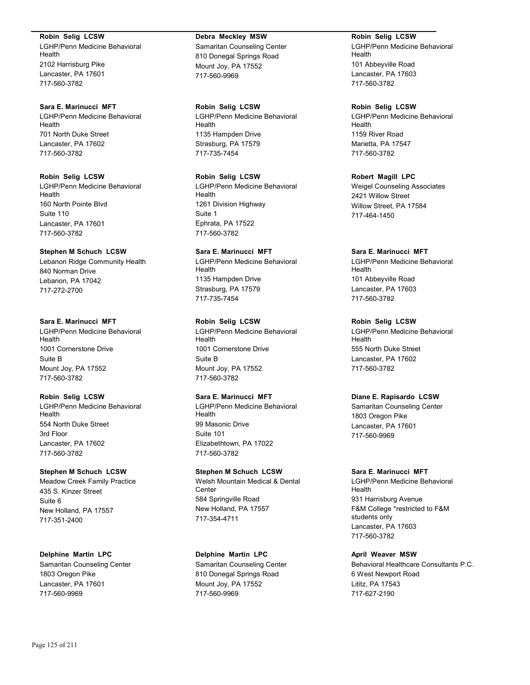**Robin Selig LCSW** LGHP/Penn Medicine Behavioral Health 2102 Harrisburg Pike Lancaster, PA 17601 717-560-3782

**Sara E. Marinucci MFT** LGHP/Penn Medicine Behavioral Health 701 North Duke Street Lancaster, PA 17602 717-560-3782

**Robin Selig LCSW** LGHP/Penn Medicine Behavioral Health 160 North Pointe Blvd Suite 110 Lancaster, PA 17601 717-560-3782

# **Stephen M Schuch LCSW** Lebanon Ridge Community Health 840 Norman Drive Lebanon, PA 17042

717-272-2700

# **Sara E. Marinucci MFT**

LGHP/Penn Medicine Behavioral Health 1001 Cornerstone Drive Suite B Mount Joy, PA 17552 717-560-3782

# **Robin Selig LCSW**

LGHP/Penn Medicine Behavioral Health 554 North Duke Street 3rd Floor Lancaster, PA 17602 717-560-3782

# **Stephen M Schuch LCSW**

Meadow Creek Family Practice 435 S. Kinzer Street Suite 6 New Holland, PA 17557 717-351-2400

**Delphine Martin LPC**

Samaritan Counseling Center 1803 Oregon Pike Lancaster, PA 17601 717-560-9969

**Debra Meckley MSW** Samaritan Counseling Center 810 Donegal Springs Road Mount Joy, PA 17552 717-560-9969

**Robin Selig LCSW** LGHP/Penn Medicine Behavioral Health 1135 Hampden Drive Strasburg, PA 17579 717-735-7454

**Robin Selig LCSW** LGHP/Penn Medicine Behavioral Health 1261 Division Highway Suite 1 Ephrata, PA 17522 717-560-3782

# **Sara E. Marinucci MFT**

LGHP/Penn Medicine Behavioral Health 1135 Hampden Drive Strasburg, PA 17579 717-735-7454

# **Robin Selig LCSW**

LGHP/Penn Medicine Behavioral Health 1001 Cornerstone Drive Suite B Mount Joy, PA 17552 717-560-3782

# **Sara E. Marinucci MFT**

LGHP/Penn Medicine Behavioral Health 99 Masonic Drive Suite 101 Elizabethtown, PA 17022 717-560-3782

# **Stephen M Schuch LCSW**

Welsh Mountain Medical & Dental **Center** 584 Springville Road New Holland, PA 17557 717-354-4711

**Delphine Martin LPC**

Samaritan Counseling Center 810 Donegal Springs Road Mount Joy, PA 17552 717-560-9969

**Robin Selig LCSW** LGHP/Penn Medicine Behavioral Health 101 Abbeyville Road Lancaster, PA 17603 717-560-3782

**Robin Selig LCSW**

LGHP/Penn Medicine Behavioral Health 1159 River Road Marietta, PA 17547 717-560-3782

**Robert Magill LPC** Weigel Counseling Associates 2421 Willow Street Willow Street, PA 17584 717-464-1450

# **Sara E. Marinucci MFT**

LGHP/Penn Medicine Behavioral Health 101 Abbeyville Road Lancaster, PA 17603 717-560-3782

# **Robin Selig LCSW**

LGHP/Penn Medicine Behavioral Health 555 North Duke Street Lancaster, PA 17602 717-560-3782

# **Diane E. Rapisardo LCSW**

Samaritan Counseling Center 1803 Oregon Pike Lancaster, PA 17601 717-560-9969

# **Sara E. Marinucci MFT**

LGHP/Penn Medicine Behavioral Health 931 Harrisburg Avenue F&M College \*restricted to F&M students only Lancaster, PA 17603 717-560-3782

# **April Weaver MSW**

Behavioral Healthcare Consultants P.C. 6 West Newport Road Lititz, PA 17543 717-627-2190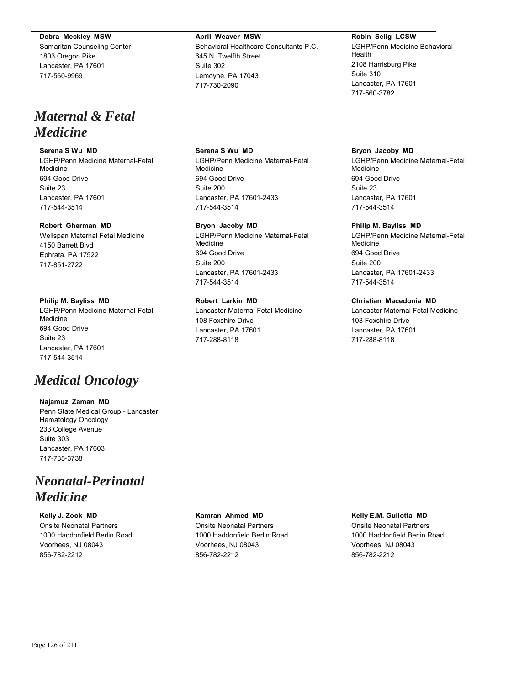#### **Debra Meckley MSW**

Samaritan Counseling Center 1803 Oregon Pike Lancaster, PA 17601 717-560-9969

# *Maternal & Fetal Medicine*

#### **Serena S Wu MD**

LGHP/Penn Medicine Maternal-Fetal Medicine 694 Good Drive Suite 23 Lancaster, PA 17601 717-544-3514

# **Robert Gherman MD**

Wellspan Maternal Fetal Medicine 4150 Barrett Blvd Ephrata, PA 17522 717-851-2722

#### **Philip M. Bayliss MD**

LGHP/Penn Medicine Maternal-Fetal Medicine 694 Good Drive Suite 23 Lancaster, PA 17601 717-544-3514

# *Medical Oncology*

**Najamuz Zaman MD** Penn State Medical Group - Lancaster Hematology Oncology 233 College Avenue Suite 303 Lancaster, PA 17603 717-735-3738

# *Neonatal-Perinatal Medicine*

**Kelly J. Zook MD** Onsite Neonatal Partners 1000 Haddonfield Berlin Road Voorhees, NJ 08043 856-782-2212

# **April Weaver MSW** Behavioral Healthcare Consultants P.C. 645 N. Twelfth Street Suite 302 Lemoyne, PA 17043 717-730-2090

**Serena S Wu MD** LGHP/Penn Medicine Maternal-Fetal Medicine 694 Good Drive Suite 200 Lancaster, PA 17601-2433 717-544-3514

#### **Bryon Jacoby MD**

LGHP/Penn Medicine Maternal-Fetal Medicine 694 Good Drive Suite 200 Lancaster, PA 17601-2433 717-544-3514

## **Robert Larkin MD**

Lancaster Maternal Fetal Medicine 108 Foxshire Drive Lancaster, PA 17601 717-288-8118

# **Robin Selig LCSW**

LGHP/Penn Medicine Behavioral Health 2108 Harrisburg Pike Suite 310 Lancaster, PA 17601 717-560-3782

#### **Bryon Jacoby MD**

LGHP/Penn Medicine Maternal-Fetal Medicine 694 Good Drive Suite 23 Lancaster, PA 17601 717-544-3514

#### **Philip M. Bayliss MD**

LGHP/Penn Medicine Maternal-Fetal Medicine 694 Good Drive Suite 200 Lancaster, PA 17601-2433 717-544-3514

## **Christian Macedonia MD**

Lancaster Maternal Fetal Medicine 108 Foxshire Drive Lancaster, PA 17601 717-288-8118

#### **Kamran Ahmed MD** Onsite Neonatal Partners

1000 Haddonfield Berlin Road Voorhees, NJ 08043 856-782-2212

#### **Kelly E.M. Gullotta MD**

Onsite Neonatal Partners 1000 Haddonfield Berlin Road Voorhees, NJ 08043 856-782-2212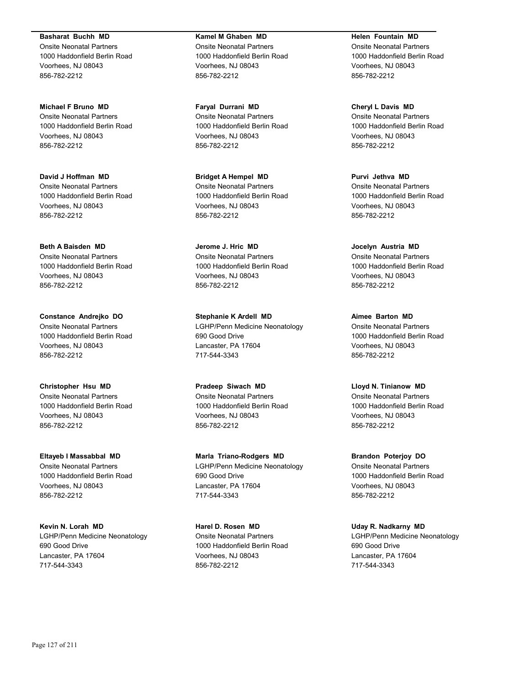**Basharat Buchh MD** Onsite Neonatal Partners 1000 Haddonfield Berlin Road Voorhees, NJ 08043 856-782-2212

**Michael F Bruno MD** Onsite Neonatal Partners 1000 Haddonfield Berlin Road Voorhees, NJ 08043 856-782-2212

**David J Hoffman MD** Onsite Neonatal Partners 1000 Haddonfield Berlin Road Voorhees, NJ 08043 856-782-2212

**Beth A Baisden MD** Onsite Neonatal Partners 1000 Haddonfield Berlin Road Voorhees, NJ 08043 856-782-2212

**Constance Andrejko DO** Onsite Neonatal Partners 1000 Haddonfield Berlin Road Voorhees, NJ 08043 856-782-2212

**Christopher Hsu MD** Onsite Neonatal Partners 1000 Haddonfield Berlin Road Voorhees, NJ 08043 856-782-2212

**Eltayeb I Massabbal MD** Onsite Neonatal Partners 1000 Haddonfield Berlin Road Voorhees, NJ 08043 856-782-2212

**Kevin N. Lorah MD** LGHP/Penn Medicine Neonatology 690 Good Drive Lancaster, PA 17604 717-544-3343

**Kamel M Ghaben MD** Onsite Neonatal Partners 1000 Haddonfield Berlin Road Voorhees, NJ 08043 856-782-2212

**Faryal Durrani MD** Onsite Neonatal Partners 1000 Haddonfield Berlin Road Voorhees, NJ 08043 856-782-2212

**Bridget A Hempel MD** Onsite Neonatal Partners 1000 Haddonfield Berlin Road Voorhees, NJ 08043 856-782-2212

**Jerome J. Hric MD** Onsite Neonatal Partners 1000 Haddonfield Berlin Road Voorhees, NJ 08043 856-782-2212

**Stephanie K Ardell MD** LGHP/Penn Medicine Neonatology 690 Good Drive Lancaster, PA 17604 717-544-3343

**Pradeep Siwach MD** Onsite Neonatal Partners 1000 Haddonfield Berlin Road Voorhees, NJ 08043 856-782-2212

**Marla Triano-Rodgers MD** LGHP/Penn Medicine Neonatology 690 Good Drive Lancaster, PA 17604 717-544-3343

**Harel D. Rosen MD** Onsite Neonatal Partners 1000 Haddonfield Berlin Road Voorhees, NJ 08043 856-782-2212

**Helen Fountain MD** Onsite Neonatal Partners 1000 Haddonfield Berlin Road Voorhees, NJ 08043 856-782-2212

**Cheryl L Davis MD** Onsite Neonatal Partners 1000 Haddonfield Berlin Road Voorhees, NJ 08043 856-782-2212

**Purvi Jethva MD** Onsite Neonatal Partners 1000 Haddonfield Berlin Road Voorhees, NJ 08043 856-782-2212

**Jocelyn Austria MD** Onsite Neonatal Partners 1000 Haddonfield Berlin Road Voorhees, NJ 08043 856-782-2212

**Aimee Barton MD** Onsite Neonatal Partners 1000 Haddonfield Berlin Road Voorhees, NJ 08043 856-782-2212

**Lloyd N. Tinianow MD** Onsite Neonatal Partners 1000 Haddonfield Berlin Road Voorhees, NJ 08043 856-782-2212

**Brandon Poterjoy DO** Onsite Neonatal Partners 1000 Haddonfield Berlin Road Voorhees, NJ 08043 856-782-2212

**Uday R. Nadkarny MD** LGHP/Penn Medicine Neonatology 690 Good Drive Lancaster, PA 17604 717-544-3343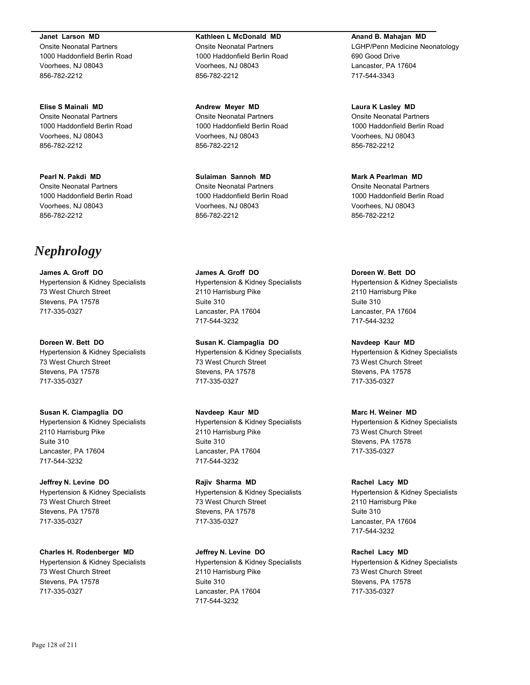**Janet Larson MD** Onsite Neonatal Partners 1000 Haddonfield Berlin Road Voorhees, NJ 08043 856-782-2212

**Elise S Mainali MD** Onsite Neonatal Partners 1000 Haddonfield Berlin Road Voorhees, NJ 08043 856-782-2212

**Pearl N. Pakdi MD** Onsite Neonatal Partners 1000 Haddonfield Berlin Road Voorhees, NJ 08043 856-782-2212

# *Nephrology*

**James A. Groff DO** Hypertension & Kidney Specialists 73 West Church Street Stevens, PA 17578 717-335-0327

**Doreen W. Bett DO** Hypertension & Kidney Specialists 73 West Church Street Stevens, PA 17578 717-335-0327

**Susan K. Ciampaglia DO** Hypertension & Kidney Specialists 2110 Harrisburg Pike Suite 310 Lancaster, PA 17604 717-544-3232

**Jeffrey N. Levine DO** Hypertension & Kidney Specialists 73 West Church Street Stevens, PA 17578 717-335-0327

**Charles H. Rodenberger MD** Hypertension & Kidney Specialists 73 West Church Street Stevens, PA 17578 717-335-0327

**Kathleen L McDonald MD** Onsite Neonatal Partners 1000 Haddonfield Berlin Road Voorhees, NJ 08043 856-782-2212

**Andrew Meyer MD** Onsite Neonatal Partners 1000 Haddonfield Berlin Road Voorhees, NJ 08043 856-782-2212

**Sulaiman Sannoh MD** Onsite Neonatal Partners 1000 Haddonfield Berlin Road Voorhees, NJ 08043 856-782-2212

**James A. Groff DO** Hypertension & Kidney Specialists 2110 Harrisburg Pike Suite 310 Lancaster, PA 17604 717-544-3232

**Susan K. Ciampaglia DO** Hypertension & Kidney Specialists 73 West Church Street Stevens, PA 17578 717-335-0327

**Navdeep Kaur MD** Hypertension & Kidney Specialists 2110 Harrisburg Pike Suite 310 Lancaster, PA 17604 717-544-3232

**Rajiv Sharma MD** Hypertension & Kidney Specialists 73 West Church Street Stevens, PA 17578 717-335-0327

**Jeffrey N. Levine DO** Hypertension & Kidney Specialists 2110 Harrisburg Pike Suite 310 Lancaster, PA 17604 717-544-3232

**Anand B. Mahajan MD**

LGHP/Penn Medicine Neonatology 690 Good Drive Lancaster, PA 17604 717-544-3343

**Laura K Lasley MD** Onsite Neonatal Partners 1000 Haddonfield Berlin Road Voorhees, NJ 08043 856-782-2212

**Mark A Pearlman MD** Onsite Neonatal Partners 1000 Haddonfield Berlin Road Voorhees, NJ 08043 856-782-2212

**Doreen W. Bett DO** Hypertension & Kidney Specialists 2110 Harrisburg Pike Suite 310 Lancaster, PA 17604 717-544-3232

**Navdeep Kaur MD** Hypertension & Kidney Specialists 73 West Church Street Stevens, PA 17578 717-335-0327

**Marc H. Weiner MD** Hypertension & Kidney Specialists 73 West Church Street Stevens, PA 17578 717-335-0327

**Rachel Lacy MD** Hypertension & Kidney Specialists 2110 Harrisburg Pike Suite 310 Lancaster, PA 17604 717-544-3232

**Rachel Lacy MD** Hypertension & Kidney Specialists 73 West Church Street Stevens, PA 17578 717-335-0327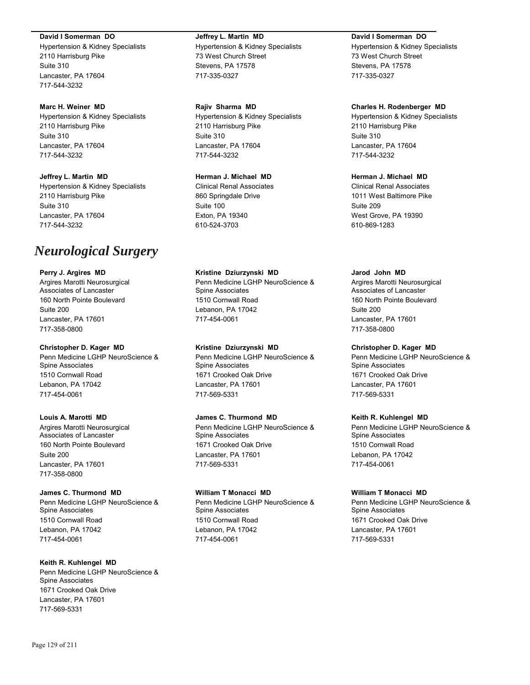#### **David I Somerman DO**

Hypertension & Kidney Specialists 2110 Harrisburg Pike Suite 310 Lancaster, PA 17604 717-544-3232

### **Marc H. Weiner MD**

Hypertension & Kidney Specialists 2110 Harrisburg Pike Suite 310 Lancaster, PA 17604 717-544-3232

# **Jeffrey L. Martin MD**

Hypertension & Kidney Specialists 2110 Harrisburg Pike Suite 310 Lancaster, PA 17604 717-544-3232

# *Neurological Surgery*

### **Perry J. Argires MD**

Argires Marotti Neurosurgical Associates of Lancaster 160 North Pointe Boulevard Suite 200 Lancaster, PA 17601 717-358-0800

### **Christopher D. Kager MD**

Penn Medicine LGHP NeuroScience & Spine Associates 1510 Cornwall Road Lebanon, PA 17042 717-454-0061

#### **Louis A. Marotti MD**

Argires Marotti Neurosurgical Associates of Lancaster 160 North Pointe Boulevard Suite 200 Lancaster, PA 17601 717-358-0800

#### **James C. Thurmond MD**

Penn Medicine LGHP NeuroScience & Spine Associates 1510 Cornwall Road Lebanon, PA 17042 717-454-0061

# **Keith R. Kuhlengel MD**

Penn Medicine LGHP NeuroScience & Spine Associates 1671 Crooked Oak Drive Lancaster, PA 17601 717-569-5331

# **Jeffrey L. Martin MD**

Hypertension & Kidney Specialists 73 West Church Street Stevens, PA 17578 717-335-0327

### **Rajiv Sharma MD**

Hypertension & Kidney Specialists 2110 Harrisburg Pike Suite 310 Lancaster, PA 17604 717-544-3232

# **Herman J. Michael MD**

Clinical Renal Associates 860 Springdale Drive Suite 100 Exton, PA 19340 610-524-3703

### **Kristine Dziurzynski MD**

Penn Medicine LGHP NeuroScience & Spine Associates 1510 Cornwall Road Lebanon, PA 17042 717-454-0061

# **Kristine Dziurzynski MD**

Penn Medicine LGHP NeuroScience & Spine Associates 1671 Crooked Oak Drive Lancaster, PA 17601 717-569-5331

# **James C. Thurmond MD**

Penn Medicine LGHP NeuroScience & Spine Associates 1671 Crooked Oak Drive Lancaster, PA 17601 717-569-5331

# **William T Monacci MD**

Penn Medicine LGHP NeuroScience & Spine Associates 1510 Cornwall Road Lebanon, PA 17042 717-454-0061

## **David I Somerman DO**

Hypertension & Kidney Specialists 73 West Church Street Stevens, PA 17578 717-335-0327

### **Charles H. Rodenberger MD**

Hypertension & Kidney Specialists 2110 Harrisburg Pike Suite 310 Lancaster, PA 17604 717-544-3232

# **Herman J. Michael MD**

Clinical Renal Associates 1011 West Baltimore Pike Suite 209 West Grove, PA 19390 610-869-1283

#### **Jarod John MD**

Argires Marotti Neurosurgical Associates of Lancaster 160 North Pointe Boulevard Suite 200 Lancaster, PA 17601 717-358-0800

# **Christopher D. Kager MD**

Penn Medicine LGHP NeuroScience & Spine Associates 1671 Crooked Oak Drive Lancaster, PA 17601 717-569-5331

# **Keith R. Kuhlengel MD**

Penn Medicine LGHP NeuroScience & Spine Associates 1510 Cornwall Road Lebanon, PA 17042 717-454-0061

# **William T Monacci MD**

Penn Medicine LGHP NeuroScience & Spine Associates 1671 Crooked Oak Drive Lancaster, PA 17601 717-569-5331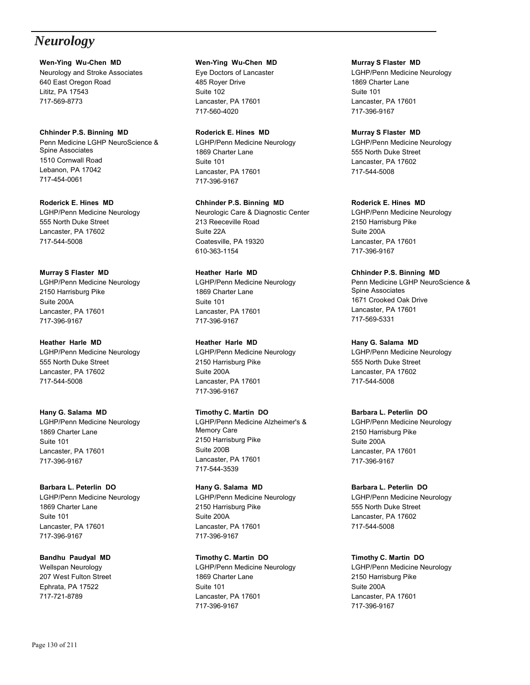# *Neurology*

**Wen-Ying Wu-Chen MD** Neurology and Stroke Associates 640 East Oregon Road Lititz, PA 17543 717-569-8773

**Chhinder P.S. Binning MD** Penn Medicine LGHP NeuroScience & Spine Associates 1510 Cornwall Road Lebanon, PA 17042 717-454-0061

**Roderick E. Hines MD** LGHP/Penn Medicine Neurology 555 North Duke Street Lancaster, PA 17602 717-544-5008

**Murray S Flaster MD** LGHP/Penn Medicine Neurology 2150 Harrisburg Pike Suite 200A Lancaster, PA 17601 717-396-9167

**Heather Harle MD** LGHP/Penn Medicine Neurology 555 North Duke Street Lancaster, PA 17602 717-544-5008

**Hany G. Salama MD** LGHP/Penn Medicine Neurology 1869 Charter Lane Suite 101 Lancaster, PA 17601 717-396-9167

**Barbara L. Peterlin DO** LGHP/Penn Medicine Neurology 1869 Charter Lane Suite 101 Lancaster, PA 17601 717-396-9167

**Bandhu Paudyal MD** Wellspan Neurology 207 West Fulton Street Ephrata, PA 17522 717-721-8789

**Wen-Ying Wu-Chen MD**

Eye Doctors of Lancaster 485 Royer Drive Suite 102 Lancaster, PA 17601 717-560-4020

**Roderick E. Hines MD** LGHP/Penn Medicine Neurology 1869 Charter Lane Suite 101 Lancaster, PA 17601 717-396-9167

**Chhinder P.S. Binning MD** Neurologic Care & Diagnostic Center 213 Reeceville Road Suite 22A Coatesville, PA 19320 610-363-1154

**Heather Harle MD** LGHP/Penn Medicine Neurology 1869 Charter Lane Suite 101 Lancaster, PA 17601 717-396-9167

**Heather Harle MD** LGHP/Penn Medicine Neurology 2150 Harrisburg Pike Suite 200A Lancaster, PA 17601 717-396-9167

**Timothy C. Martin DO** LGHP/Penn Medicine Alzheimer's & Memory Care 2150 Harrisburg Pike Suite 200B Lancaster, PA 17601 717-544-3539

**Hany G. Salama MD** LGHP/Penn Medicine Neurology 2150 Harrisburg Pike Suite 200A Lancaster, PA 17601 717-396-9167

**Timothy C. Martin DO** LGHP/Penn Medicine Neurology 1869 Charter Lane Suite 101 Lancaster, PA 17601 717-396-9167

**Murray S Flaster MD** LGHP/Penn Medicine Neurology 1869 Charter Lane Suite 101 Lancaster, PA 17601 717-396-9167

**Murray S Flaster MD** LGHP/Penn Medicine Neurology 555 North Duke Street Lancaster, PA 17602 717-544-5008

**Roderick E. Hines MD** LGHP/Penn Medicine Neurology 2150 Harrisburg Pike Suite 200A Lancaster, PA 17601 717-396-9167

**Chhinder P.S. Binning MD** Penn Medicine LGHP NeuroScience & Spine Associates 1671 Crooked Oak Drive Lancaster, PA 17601 717-569-5331

**Hany G. Salama MD** LGHP/Penn Medicine Neurology 555 North Duke Street Lancaster, PA 17602 717-544-5008

**Barbara L. Peterlin DO** LGHP/Penn Medicine Neurology 2150 Harrisburg Pike Suite 200A Lancaster, PA 17601 717-396-9167

**Barbara L. Peterlin DO** LGHP/Penn Medicine Neurology 555 North Duke Street Lancaster, PA 17602 717-544-5008

**Timothy C. Martin DO** LGHP/Penn Medicine Neurology 2150 Harrisburg Pike Suite 200A Lancaster, PA 17601 717-396-9167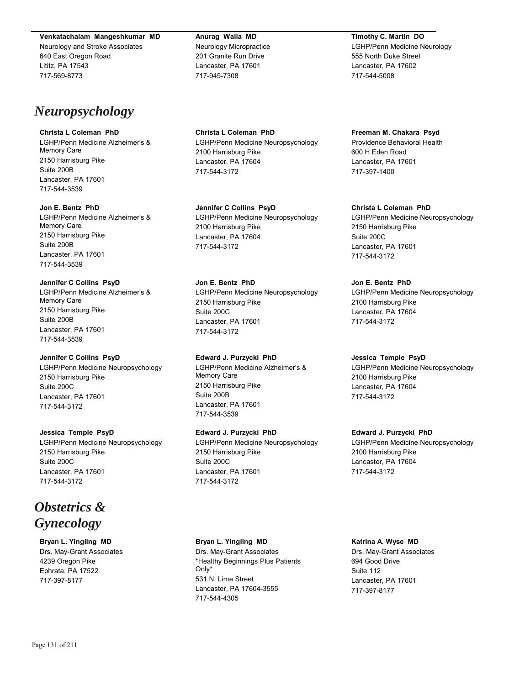**Venkatachalam Mangeshkumar MD**

Neurology and Stroke Associates 640 East Oregon Road Lititz, PA 17543 717-569-8773

# *Neuropsychology*

# **Christa L Coleman PhD**

LGHP/Penn Medicine Alzheimer's & Memory Care 2150 Harrisburg Pike Suite 200B Lancaster, PA 17601 717-544-3539

### **Jon E. Bentz PhD**

LGHP/Penn Medicine Alzheimer's & Memory Care 2150 Harrisburg Pike Suite 200B Lancaster, PA 17601 717-544-3539

# **Jennifer C Collins PsyD**

LGHP/Penn Medicine Alzheimer's & Memory Care 2150 Harrisburg Pike Suite 200B Lancaster, PA 17601 717-544-3539

# **Jennifer C Collins PsyD**

LGHP/Penn Medicine Neuropsychology 2150 Harrisburg Pike Suite 200C Lancaster, PA 17601 717-544-3172

# **Jessica Temple PsyD**

LGHP/Penn Medicine Neuropsychology 2150 Harrisburg Pike Suite 200C Lancaster, PA 17601 717-544-3172

# *Obstetrics & Gynecology*

**Bryan L. Yingling MD** Drs. May-Grant Associates 4239 Oregon Pike Ephrata, PA 17522 717-397-8177

**Anurag Walia MD** Neurology Micropractice 201 Granite Run Drive Lancaster, PA 17601 717-945-7308

**Christa L Coleman PhD** LGHP/Penn Medicine Neuropsychology 2100 Harrisburg Pike Lancaster, PA 17604 717-544-3172

**Jennifer C Collins PsyD** LGHP/Penn Medicine Neuropsychology 2100 Harrisburg Pike Lancaster, PA 17604 717-544-3172

**Jon E. Bentz PhD** LGHP/Penn Medicine Neuropsychology 2150 Harrisburg Pike Suite 200C Lancaster, PA 17601 717-544-3172

**Edward J. Purzycki PhD** LGHP/Penn Medicine Alzheimer's & Memory Care 2150 Harrisburg Pike Suite 200B Lancaster, PA 17601 717-544-3539

# **Edward J. Purzycki PhD**

LGHP/Penn Medicine Neuropsychology 2150 Harrisburg Pike Suite 200C Lancaster, PA 17601 717-544-3172

# **Bryan L. Yingling MD**

Drs. May-Grant Associates \*Healthy Beginnings Plus Patients Only\* 531 N. Lime Street Lancaster, PA 17604-3555 717-544-4305

**Timothy C. Martin DO** LGHP/Penn Medicine Neurology 555 North Duke Street Lancaster, PA 17602 717-544-5008

**Freeman M. Chakara Psyd** Providence Behavioral Health 600 H Eden Road Lancaster, PA 17601 717-397-1400

**Christa L Coleman PhD**

LGHP/Penn Medicine Neuropsychology 2150 Harrisburg Pike Suite 200C Lancaster, PA 17601 717-544-3172

# **Jon E. Bentz PhD**

LGHP/Penn Medicine Neuropsychology 2100 Harrisburg Pike Lancaster, PA 17604 717-544-3172

# **Jessica Temple PsyD**

LGHP/Penn Medicine Neuropsychology 2100 Harrisburg Pike Lancaster, PA 17604 717-544-3172

# **Edward J. Purzycki PhD**

LGHP/Penn Medicine Neuropsychology 2100 Harrisburg Pike Lancaster, PA 17604 717-544-3172

# **Katrina A. Wyse MD**

Drs. May-Grant Associates 694 Good Drive Suite 112 Lancaster, PA 17601 717-397-8177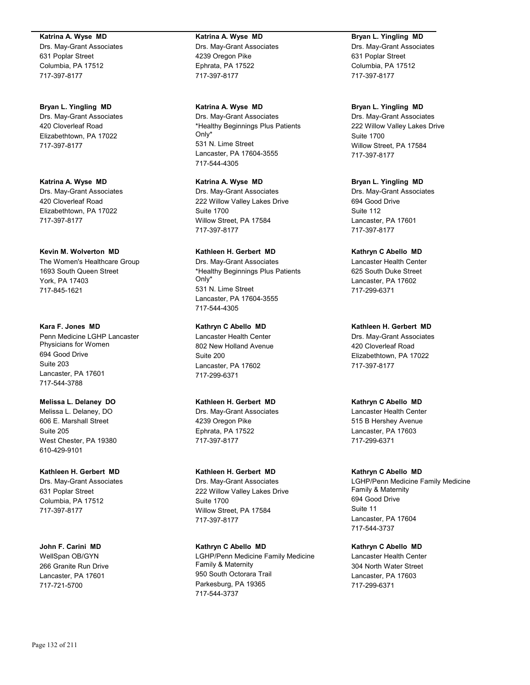#### **Katrina A. Wyse MD**

Drs. May-Grant Associates 631 Poplar Street Columbia, PA 17512 717-397-8177

#### **Bryan L. Yingling MD**

Drs. May-Grant Associates 420 Cloverleaf Road Elizabethtown, PA 17022 717-397-8177

**Katrina A. Wyse MD** Drs. May-Grant Associates 420 Cloverleaf Road Elizabethtown, PA 17022 717-397-8177

#### **Kevin M. Wolverton MD**

The Women's Healthcare Group 1693 South Queen Street York, PA 17403 717-845-1621

## **Kara F. Jones MD**

Penn Medicine LGHP Lancaster Physicians for Women 694 Good Drive Suite 203 Lancaster, PA 17601 717-544-3788

#### **Melissa L. Delaney DO**

Melissa L. Delaney, DO 606 E. Marshall Street Suite 205 West Chester, PA 19380 610-429-9101

# **Kathleen H. Gerbert MD**

Drs. May-Grant Associates 631 Poplar Street Columbia, PA 17512 717-397-8177

**John F. Carini MD** WellSpan OB/GYN 266 Granite Run Drive Lancaster, PA 17601 717-721-5700

# **Katrina A. Wyse MD**

Drs. May-Grant Associates 4239 Oregon Pike Ephrata, PA 17522 717-397-8177

**Katrina A. Wyse MD** Drs. May-Grant Associates \*Healthy Beginnings Plus Patients Only\* 531 N. Lime Street Lancaster, PA 17604-3555 717-544-4305

**Katrina A. Wyse MD** Drs. May-Grant Associates 222 Willow Valley Lakes Drive Suite 1700 Willow Street, PA 17584 717-397-8177

## **Kathleen H. Gerbert MD** Drs. May-Grant Associates

\*Healthy Beginnings Plus Patients Only\* 531 N. Lime Street Lancaster, PA 17604-3555 717-544-4305

# **Kathryn C Abello MD**

Lancaster Health Center 802 New Holland Avenue Suite 200 Lancaster, PA 17602 717-299-6371

**Kathleen H. Gerbert MD** Drs. May-Grant Associates 4239 Oregon Pike Ephrata, PA 17522 717-397-8177

#### **Kathleen H. Gerbert MD**

Drs. May-Grant Associates 222 Willow Valley Lakes Drive Suite 1700 Willow Street, PA 17584 717-397-8177

**Kathryn C Abello MD** LGHP/Penn Medicine Family Medicine Family & Maternity 950 South Octorara Trail Parkesburg, PA 19365 717-544-3737

# **Bryan L. Yingling MD**

Drs. May-Grant Associates 631 Poplar Street Columbia, PA 17512 717-397-8177

#### **Bryan L. Yingling MD**

Drs. May-Grant Associates 222 Willow Valley Lakes Drive Suite 1700 Willow Street, PA 17584 717-397-8177

### **Bryan L. Yingling MD**

Drs. May-Grant Associates 694 Good Drive Suite 112 Lancaster, PA 17601 717-397-8177

## **Kathryn C Abello MD**

Lancaster Health Center 625 South Duke Street Lancaster, PA 17602 717-299-6371

## **Kathleen H. Gerbert MD**

Drs. May-Grant Associates 420 Cloverleaf Road Elizabethtown, PA 17022 717-397-8177

**Kathryn C Abello MD** Lancaster Health Center 515 B Hershey Avenue Lancaster, PA 17603 717-299-6371

#### **Kathryn C Abello MD**

LGHP/Penn Medicine Family Medicine Family & Maternity 694 Good Drive Suite 11 Lancaster, PA 17604 717-544-3737

# **Kathryn C Abello MD**

Lancaster Health Center 304 North Water Street Lancaster, PA 17603 717-299-6371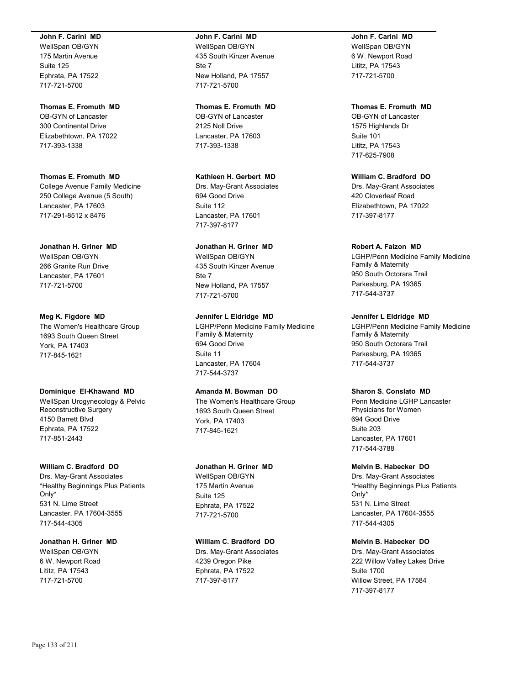#### **John F. Carini MD**

WellSpan OB/GYN 175 Martin Avenue Suite 125 Ephrata, PA 17522 717-721-5700

### **Thomas E. Fromuth MD**

OB-GYN of Lancaster 300 Continental Drive Elizabethtown, PA 17022 717-393-1338

# **Thomas E. Fromuth MD** College Avenue Family Medicine 250 College Avenue (5 South)

Lancaster, PA 17603 717-291-8512 x 8476

# **Jonathan H. Griner MD**

WellSpan OB/GYN 266 Granite Run Drive Lancaster, PA 17601 717-721-5700

# **Meg K. Figdore MD**

The Women's Healthcare Group 1693 South Queen Street York, PA 17403 717-845-1621

# **Dominique El-Khawand MD**

WellSpan Urogynecology & Pelvic Reconstructive Surgery 4150 Barrett Blvd Ephrata, PA 17522 717-851-2443

# **William C. Bradford DO**

Drs. May-Grant Associates \*Healthy Beginnings Plus Patients Only\* 531 N. Lime Street Lancaster, PA 17604-3555 717-544-4305

#### **Jonathan H. Griner MD** WellSpan OB/GYN

6 W. Newport Road Lititz, PA 17543 717-721-5700

#### **John F. Carini MD**

WellSpan OB/GYN 435 South Kinzer Avenue Ste 7 New Holland, PA 17557 717-721-5700

#### **Thomas E. Fromuth MD**

OB-GYN of Lancaster 2125 Noll Drive Lancaster, PA 17603 717-393-1338

# **Kathleen H. Gerbert MD**

Drs. May-Grant Associates 694 Good Drive Suite 112 Lancaster, PA 17601 717-397-8177

# **Jonathan H. Griner MD**

WellSpan OB/GYN 435 South Kinzer Avenue Ste 7 New Holland, PA 17557 717-721-5700

# **Jennifer L Eldridge MD**

LGHP/Penn Medicine Family Medicine Family & Maternity 694 Good Drive Suite 11 Lancaster, PA 17604 717-544-3737

# **Amanda M. Bowman DO**

The Women's Healthcare Group 1693 South Queen Street York, PA 17403 717-845-1621

# **Jonathan H. Griner MD**

WellSpan OB/GYN 175 Martin Avenue Suite 125 Ephrata, PA 17522 717-721-5700

# **William C. Bradford DO**

Drs. May-Grant Associates 4239 Oregon Pike Ephrata, PA 17522 717-397-8177

# **John F. Carini MD**

WellSpan OB/GYN 6 W. Newport Road Lititz, PA 17543 717-721-5700

# **Thomas E. Fromuth MD**

OB-GYN of Lancaster 1575 Highlands Dr Suite 101 Lititz, PA 17543 717-625-7908

# **William C. Bradford DO**

Drs. May-Grant Associates 420 Cloverleaf Road Elizabethtown, PA 17022 717-397-8177

# **Robert A. Faizon MD**

LGHP/Penn Medicine Family Medicine Family & Maternity 950 South Octorara Trail Parkesburg, PA 19365 717-544-3737

# **Jennifer L Eldridge MD**

LGHP/Penn Medicine Family Medicine Family & Maternity 950 South Octorara Trail Parkesburg, PA 19365 717-544-3737

# **Sharon S. Conslato MD**

Penn Medicine LGHP Lancaster Physicians for Women 694 Good Drive Suite 203 Lancaster, PA 17601 717-544-3788

# **Melvin B. Habecker DO**

Drs. May-Grant Associates \*Healthy Beginnings Plus Patients Only\* 531 N. Lime Street Lancaster, PA 17604-3555 717-544-4305

# **Melvin B. Habecker DO**

Drs. May-Grant Associates 222 Willow Valley Lakes Drive Suite 1700 Willow Street, PA 17584 717-397-8177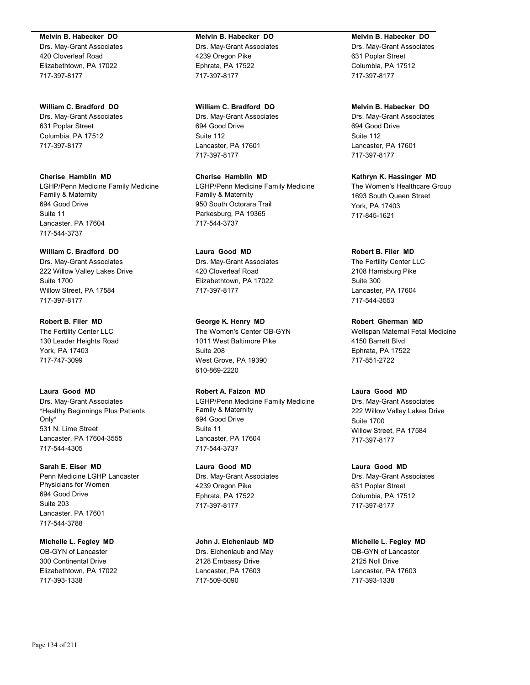#### **Melvin B. Habecker DO**

Drs. May-Grant Associates 420 Cloverleaf Road Elizabethtown, PA 17022 717-397-8177

#### **William C. Bradford DO**

Drs. May-Grant Associates 631 Poplar Street Columbia, PA 17512 717-397-8177

**Cherise Hamblin MD** LGHP/Penn Medicine Family Medicine Family & Maternity 694 Good Drive Suite 11 Lancaster, PA 17604 717-544-3737

# **William C. Bradford DO**

Drs. May-Grant Associates 222 Willow Valley Lakes Drive Suite 1700 Willow Street, PA 17584 717-397-8177

**Robert B. Filer MD** The Fertility Center LLC 130 Leader Heights Road York, PA 17403 717-747-3099

## **Laura Good MD**

Drs. May-Grant Associates \*Healthy Beginnings Plus Patients Only\* 531 N. Lime Street Lancaster, PA 17604-3555 717-544-4305

#### **Sarah E. Eiser MD**

Penn Medicine LGHP Lancaster Physicians for Women 694 Good Drive Suite 203 Lancaster, PA 17601 717-544-3788

#### **Michelle L. Fegley MD** OB-GYN of Lancaster

300 Continental Drive Elizabethtown, PA 17022 717-393-1338

#### **Melvin B. Habecker DO**

Drs. May-Grant Associates 4239 Oregon Pike Ephrata, PA 17522 717-397-8177

#### **William C. Bradford DO**

Drs. May-Grant Associates 694 Good Drive Suite 112 Lancaster, PA 17601 717-397-8177

# **Cherise Hamblin MD**

LGHP/Penn Medicine Family Medicine Family & Maternity 950 South Octorara Trail Parkesburg, PA 19365 717-544-3737

## **Laura Good MD**

Drs. May-Grant Associates 420 Cloverleaf Road Elizabethtown, PA 17022 717-397-8177

#### **George K. Henry MD**

The Women's Center OB-GYN 1011 West Baltimore Pike Suite 208 West Grove, PA 19390 610-869-2220

## **Robert A. Faizon MD**

LGHP/Penn Medicine Family Medicine Family & Maternity 694 Good Drive Suite 11 Lancaster, PA 17604 717-544-3737

# **Laura Good MD**

Drs. May-Grant Associates 4239 Oregon Pike Ephrata, PA 17522 717-397-8177

# **John J. Eichenlaub MD**

Drs. Eichenlaub and May 2128 Embassy Drive Lancaster, PA 17603 717-509-5090

#### **Melvin B. Habecker DO**

Drs. May-Grant Associates 631 Poplar Street Columbia, PA 17512 717-397-8177

## **Melvin B. Habecker DO**

Drs. May-Grant Associates 694 Good Drive Suite 112 Lancaster, PA 17601 717-397-8177

# **Kathryn K. Hassinger MD**

The Women's Healthcare Group 1693 South Queen Street York, PA 17403 717-845-1621

#### **Robert B. Filer MD**

The Fertility Center LLC 2108 Harrisburg Pike Suite 300 Lancaster, PA 17604 717-544-3553

#### **Robert Gherman MD**

Wellspan Maternal Fetal Medicine 4150 Barrett Blvd Ephrata, PA 17522 717-851-2722

# **Laura Good MD**

Drs. May-Grant Associates 222 Willow Valley Lakes Drive Suite 1700 Willow Street, PA 17584 717-397-8177

#### **Laura Good MD**

Drs. May-Grant Associates 631 Poplar Street Columbia, PA 17512 717-397-8177

#### **Michelle L. Fegley MD**

OB-GYN of Lancaster 2125 Noll Drive Lancaster, PA 17603 717-393-1338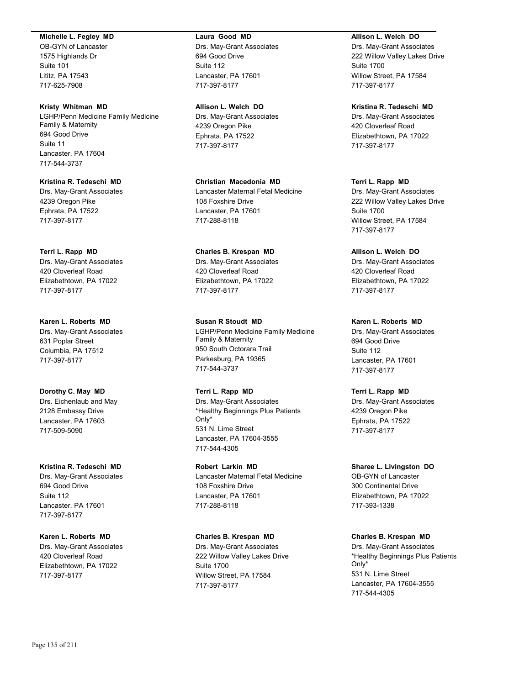#### **Michelle L. Fegley MD**

OB-GYN of Lancaster 1575 Highlands Dr Suite 101 Lititz, PA 17543 717-625-7908

#### **Kristy Whitman MD**

LGHP/Penn Medicine Family Medicine Family & Maternity 694 Good Drive Suite 11 Lancaster, PA 17604 717-544-3737

**Kristina R. Tedeschi MD** Drs. May-Grant Associates 4239 Oregon Pike Ephrata, PA 17522 717-397-8177

# **Terri L. Rapp MD**

Drs. May-Grant Associates 420 Cloverleaf Road Elizabethtown, PA 17022 717-397-8177

**Karen L. Roberts MD** Drs. May-Grant Associates 631 Poplar Street Columbia, PA 17512 717-397-8177

**Dorothy C. May MD** Drs. Eichenlaub and May 2128 Embassy Drive Lancaster, PA 17603 717-509-5090

# **Kristina R. Tedeschi MD**

Drs. May-Grant Associates 694 Good Drive Suite 112 Lancaster, PA 17601 717-397-8177

#### **Karen L. Roberts MD**

Drs. May-Grant Associates 420 Cloverleaf Road Elizabethtown, PA 17022 717-397-8177

#### **Laura Good MD**

Drs. May-Grant Associates 694 Good Drive Suite 112 Lancaster, PA 17601 717-397-8177

#### **Allison L. Welch DO**

Drs. May-Grant Associates 4239 Oregon Pike Ephrata, PA 17522 717-397-8177

**Christian Macedonia MD** Lancaster Maternal Fetal Medicine 108 Foxshire Drive Lancaster, PA 17601 717-288-8118

# **Charles B. Krespan MD** Drs. May-Grant Associates 420 Cloverleaf Road Elizabethtown, PA 17022

717-397-8177

**Susan R Stoudt MD** LGHP/Penn Medicine Family Medicine Family & Maternity 950 South Octorara Trail Parkesburg, PA 19365 717-544-3737

#### **Terri L. Rapp MD** Drs. May-Grant Associates \*Healthy Beginnings Plus Patients Only\* 531 N. Lime Street Lancaster, PA 17604-3555 717-544-4305

**Robert Larkin MD** Lancaster Maternal Fetal Medicine 108 Foxshire Drive Lancaster, PA 17601 717-288-8118

# **Charles B. Krespan MD** Drs. May-Grant Associates 222 Willow Valley Lakes Drive Suite 1700 Willow Street, PA 17584 717-397-8177

## **Allison L. Welch DO**

Drs. May-Grant Associates 222 Willow Valley Lakes Drive Suite 1700 Willow Street, PA 17584 717-397-8177

### **Kristina R. Tedeschi MD**

Drs. May-Grant Associates 420 Cloverleaf Road Elizabethtown, PA 17022 717-397-8177

### **Terri L. Rapp MD**

Drs. May-Grant Associates 222 Willow Valley Lakes Drive Suite 1700 Willow Street, PA 17584 717-397-8177

# **Allison L. Welch DO**

Drs. May-Grant Associates 420 Cloverleaf Road Elizabethtown, PA 17022 717-397-8177

#### **Karen L. Roberts MD**

Drs. May-Grant Associates 694 Good Drive Suite 112 Lancaster, PA 17601 717-397-8177

## **Terri L. Rapp MD**

Drs. May-Grant Associates 4239 Oregon Pike Ephrata, PA 17522 717-397-8177

#### **Sharee L. Livingston DO** OB-GYN of Lancaster

300 Continental Drive Elizabethtown, PA 17022 717-393-1338

#### **Charles B. Krespan MD**

Drs. May-Grant Associates \*Healthy Beginnings Plus Patients Only\* 531 N. Lime Street Lancaster, PA 17604-3555 717-544-4305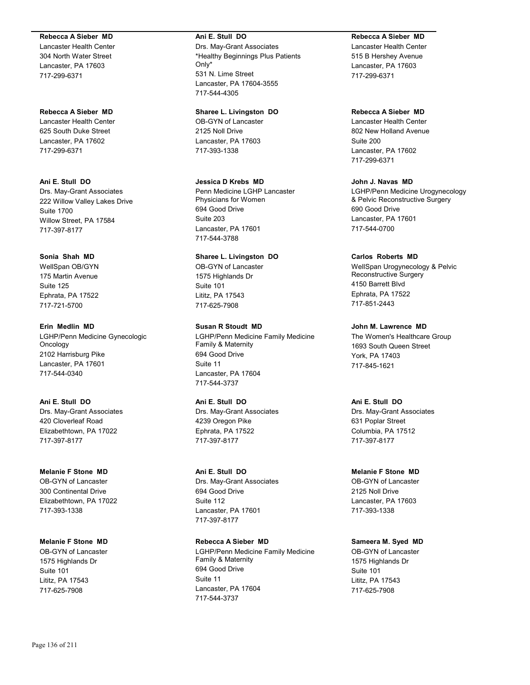#### **Rebecca A Sieber MD**

Lancaster Health Center 304 North Water Street Lancaster, PA 17603 717-299-6371

#### **Rebecca A Sieber MD**

Lancaster Health Center 625 South Duke Street Lancaster, PA 17602 717-299-6371

# **Ani E. Stull DO**

Drs. May-Grant Associates 222 Willow Valley Lakes Drive Suite 1700 Willow Street, PA 17584 717-397-8177

# **Sonia Shah MD**

WellSpan OB/GYN 175 Martin Avenue Suite 125 Ephrata, PA 17522 717-721-5700

## **Erin Medlin MD**

LGHP/Penn Medicine Gynecologic Oncology 2102 Harrisburg Pike Lancaster, PA 17601 717-544-0340

# **Ani E. Stull DO** Drs. May-Grant Associates 420 Cloverleaf Road Elizabethtown, PA 17022 717-397-8177

# **Melanie F Stone MD** OB-GYN of Lancaster

300 Continental Drive Elizabethtown, PA 17022 717-393-1338

# **Melanie F Stone MD**

OB-GYN of Lancaster 1575 Highlands Dr Suite 101 Lititz, PA 17543 717-625-7908

#### **Ani E. Stull DO**

Drs. May-Grant Associates \*Healthy Beginnings Plus Patients Only\* 531 N. Lime Street Lancaster, PA 17604-3555 717-544-4305

# **Sharee L. Livingston DO**

OB-GYN of Lancaster 2125 Noll Drive Lancaster, PA 17603 717-393-1338

# **Jessica D Krebs MD**

Penn Medicine LGHP Lancaster Physicians for Women 694 Good Drive Suite 203 Lancaster, PA 17601 717-544-3788

# **Sharee L. Livingston DO**

OB-GYN of Lancaster 1575 Highlands Dr Suite 101 Lititz, PA 17543 717-625-7908

## **Susan R Stoudt MD**

LGHP/Penn Medicine Family Medicine Family & Maternity 694 Good Drive Suite 11 Lancaster, PA 17604 717-544-3737

# **Ani E. Stull DO** Drs. May-Grant Associates 4239 Oregon Pike Ephrata, PA 17522 717-397-8177

# **Ani E. Stull DO** Drs. May-Grant Associates 694 Good Drive Suite 112 Lancaster, PA 17601 717-397-8177

**Rebecca A Sieber MD** LGHP/Penn Medicine Family Medicine Family & Maternity 694 Good Drive Suite 11 Lancaster, PA 17604 717-544-3737

## **Rebecca A Sieber MD**

Lancaster Health Center 515 B Hershey Avenue Lancaster, PA 17603 717-299-6371

### **Rebecca A Sieber MD**

Lancaster Health Center 802 New Holland Avenue Suite 200 Lancaster, PA 17602 717-299-6371

#### **John J. Navas MD**

LGHP/Penn Medicine Urogynecology & Pelvic Reconstructive Surgery 690 Good Drive Lancaster, PA 17601 717-544-0700

### **Carlos Roberts MD**

WellSpan Urogynecology & Pelvic Reconstructive Surgery 4150 Barrett Blvd Ephrata, PA 17522 717-851-2443

## **John M. Lawrence MD**

The Women's Healthcare Group 1693 South Queen Street York, PA 17403 717-845-1621

# **Ani E. Stull DO**

Drs. May-Grant Associates 631 Poplar Street Columbia, PA 17512 717-397-8177

# **Melanie F Stone MD**

OB-GYN of Lancaster 2125 Noll Drive Lancaster, PA 17603 717-393-1338

# **Sameera M. Syed MD**

OB-GYN of Lancaster 1575 Highlands Dr Suite 101 Lititz, PA 17543 717-625-7908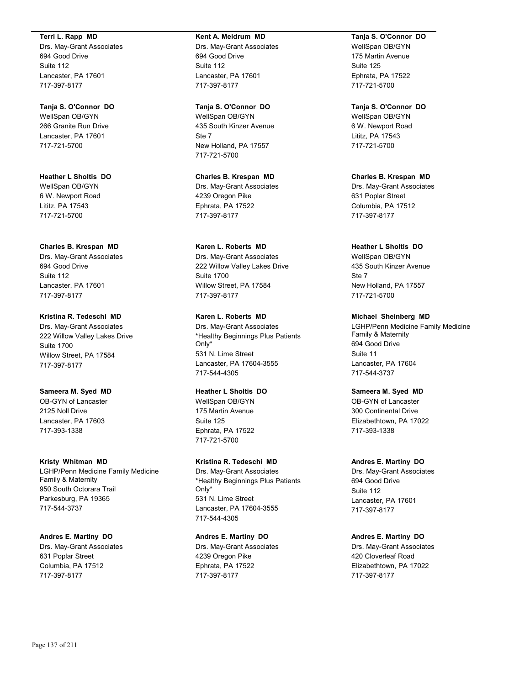#### **Terri L. Rapp MD**

Drs. May-Grant Associates 694 Good Drive Suite 112 Lancaster, PA 17601 717-397-8177

#### **Tanja S. O'Connor DO**

WellSpan OB/GYN 266 Granite Run Drive Lancaster, PA 17601 717-721-5700

**Heather L Sholtis DO** WellSpan OB/GYN 6 W. Newport Road Lititz, PA 17543 717-721-5700

#### **Charles B. Krespan MD**

Drs. May-Grant Associates 694 Good Drive Suite 112 Lancaster, PA 17601 717-397-8177

### **Kristina R. Tedeschi MD**

Drs. May-Grant Associates 222 Willow Valley Lakes Drive Suite 1700 Willow Street, PA 17584 717-397-8177

#### **Sameera M. Syed MD**

OB-GYN of Lancaster 2125 Noll Drive Lancaster, PA 17603 717-393-1338

#### **Kristy Whitman MD**

LGHP/Penn Medicine Family Medicine Family & Maternity 950 South Octorara Trail Parkesburg, PA 19365 717-544-3737

# **Andres E. Martiny DO**

Drs. May-Grant Associates 631 Poplar Street Columbia, PA 17512 717-397-8177

#### **Kent A. Meldrum MD**

Drs. May-Grant Associates 694 Good Drive Suite 112 Lancaster, PA 17601 717-397-8177

#### **Tanja S. O'Connor DO**

WellSpan OB/GYN 435 South Kinzer Avenue Ste 7 New Holland, PA 17557 717-721-5700

**Charles B. Krespan MD** Drs. May-Grant Associates 4239 Oregon Pike Ephrata, PA 17522 717-397-8177

# **Karen L. Roberts MD**

Drs. May-Grant Associates 222 Willow Valley Lakes Drive Suite 1700 Willow Street, PA 17584 717-397-8177

# **Karen L. Roberts MD**

Drs. May-Grant Associates \*Healthy Beginnings Plus Patients Only\* 531 N. Lime Street Lancaster, PA 17604-3555 717-544-4305

# **Heather L Sholtis DO**

WellSpan OB/GYN 175 Martin Avenue Suite 125 Ephrata, PA 17522 717-721-5700

# **Kristina R. Tedeschi MD**

Drs. May-Grant Associates \*Healthy Beginnings Plus Patients Only\* 531 N. Lime Street Lancaster, PA 17604-3555 717-544-4305

# **Andres E. Martiny DO**

Drs. May-Grant Associates 4239 Oregon Pike Ephrata, PA 17522 717-397-8177

# **Tanja S. O'Connor DO**

WellSpan OB/GYN 175 Martin Avenue Suite 125 Ephrata, PA 17522 717-721-5700

#### **Tanja S. O'Connor DO**

WellSpan OB/GYN 6 W. Newport Road Lititz, PA 17543 717-721-5700

**Charles B. Krespan MD** Drs. May-Grant Associates 631 Poplar Street Columbia, PA 17512 717-397-8177

#### **Heather L Sholtis DO** WellSpan OB/GYN 435 South Kinzer Avenue

Ste 7 New Holland, PA 17557 717-721-5700

# **Michael Sheinberg MD**

LGHP/Penn Medicine Family Medicine Family & Maternity 694 Good Drive Suite 11 Lancaster, PA 17604 717-544-3737

#### **Sameera M. Syed MD**

OB-GYN of Lancaster 300 Continental Drive Elizabethtown, PA 17022 717-393-1338

#### **Andres E. Martiny DO**

Drs. May-Grant Associates 694 Good Drive Suite 112 Lancaster, PA 17601 717-397-8177

#### **Andres E. Martiny DO**

Drs. May-Grant Associates 420 Cloverleaf Road Elizabethtown, PA 17022 717-397-8177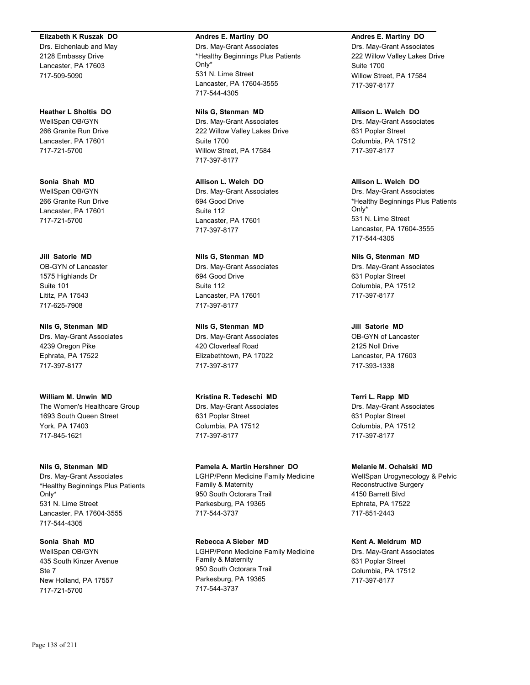#### **Elizabeth K Ruszak DO**

Drs. Eichenlaub and May 2128 Embassy Drive Lancaster, PA 17603 717-509-5090

**Heather L Sholtis DO** WellSpan OB/GYN 266 Granite Run Drive Lancaster, PA 17601 717-721-5700

**Sonia Shah MD** WellSpan OB/GYN 266 Granite Run Drive Lancaster, PA 17601 717-721-5700

**Jill Satorie MD** OB-GYN of Lancaster 1575 Highlands Dr Suite 101 Lititz, PA 17543 717-625-7908

**Nils G, Stenman MD** Drs. May-Grant Associates 4239 Oregon Pike Ephrata, PA 17522 717-397-8177

**William M. Unwin MD** The Women's Healthcare Group 1693 South Queen Street York, PA 17403 717-845-1621

**Nils G, Stenman MD** Drs. May-Grant Associates \*Healthy Beginnings Plus Patients Only\* 531 N. Lime Street Lancaster, PA 17604-3555 717-544-4305

**Sonia Shah MD** WellSpan OB/GYN 435 South Kinzer Avenue Ste 7 New Holland, PA 17557 717-721-5700

#### **Andres E. Martiny DO**

Drs. May-Grant Associates \*Healthy Beginnings Plus Patients Only\* 531 N. Lime Street Lancaster, PA 17604-3555 717-544-4305

**Nils G, Stenman MD** Drs. May-Grant Associates 222 Willow Valley Lakes Drive Suite 1700 Willow Street, PA 17584 717-397-8177

**Allison L. Welch DO** Drs. May-Grant Associates 694 Good Drive Suite 112 Lancaster, PA 17601 717-397-8177

**Nils G, Stenman MD** Drs. May-Grant Associates 694 Good Drive Suite 112 Lancaster, PA 17601 717-397-8177

**Nils G, Stenman MD** Drs. May-Grant Associates 420 Cloverleaf Road Elizabethtown, PA 17022 717-397-8177

**Kristina R. Tedeschi MD** Drs. May-Grant Associates 631 Poplar Street Columbia, PA 17512 717-397-8177

**Pamela A. Martin Hershner DO** LGHP/Penn Medicine Family Medicine Family & Maternity 950 South Octorara Trail Parkesburg, PA 19365 717-544-3737

**Rebecca A Sieber MD** LGHP/Penn Medicine Family Medicine Family & Maternity 950 South Octorara Trail Parkesburg, PA 19365 717-544-3737

**Andres E. Martiny DO** Drs. May-Grant Associates 222 Willow Valley Lakes Drive Suite 1700

Willow Street, PA 17584 717-397-8177

**Allison L. Welch DO** Drs. May-Grant Associates 631 Poplar Street Columbia, PA 17512 717-397-8177

**Allison L. Welch DO** Drs. May-Grant Associates \*Healthy Beginnings Plus Patients Only\* 531 N. Lime Street Lancaster, PA 17604-3555 717-544-4305

**Nils G, Stenman MD** Drs. May-Grant Associates 631 Poplar Street Columbia, PA 17512 717-397-8177

**Jill Satorie MD** OB-GYN of Lancaster 2125 Noll Drive Lancaster, PA 17603 717-393-1338

**Terri L. Rapp MD** Drs. May-Grant Associates 631 Poplar Street Columbia, PA 17512 717-397-8177

**Melanie M. Ochalski MD** WellSpan Urogynecology & Pelvic Reconstructive Surgery 4150 Barrett Blvd Ephrata, PA 17522 717-851-2443

**Kent A. Meldrum MD** Drs. May-Grant Associates 631 Poplar Street Columbia, PA 17512 717-397-8177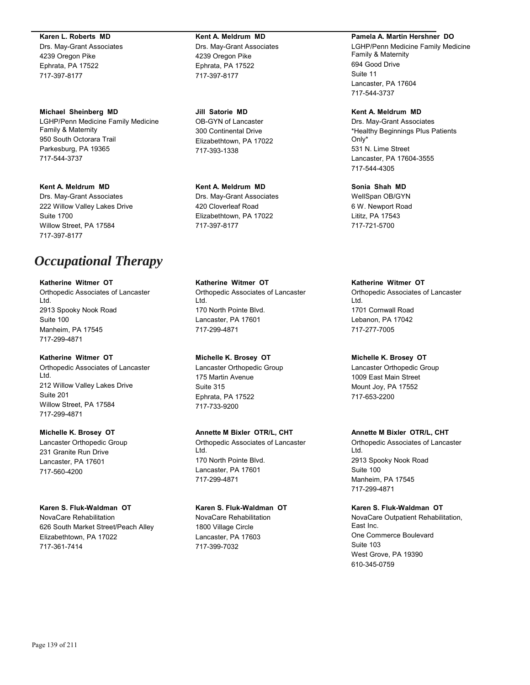#### **Karen L. Roberts MD**

Drs. May-Grant Associates 4239 Oregon Pike Ephrata, PA 17522 717-397-8177

**Michael Sheinberg MD** LGHP/Penn Medicine Family Medicine Family & Maternity 950 South Octorara Trail Parkesburg, PA 19365 717-544-3737

**Kent A. Meldrum MD**

Drs. May-Grant Associates 222 Willow Valley Lakes Drive Suite 1700 Willow Street, PA 17584 717-397-8177

# *Occupational Therapy*

**Katherine Witmer OT** Orthopedic Associates of Lancaster Ltd. 2913 Spooky Nook Road Suite 100 Manheim, PA 17545 717-299-4871

**Katherine Witmer OT** Orthopedic Associates of Lancaster Ltd. 212 Willow Valley Lakes Drive Suite 201 Willow Street, PA 17584 717-299-4871

**Michelle K. Brosey OT** Lancaster Orthopedic Group 231 Granite Run Drive Lancaster, PA 17601 717-560-4200

**Karen S. Fluk-Waldman OT** NovaCare Rehabilitation 626 South Market Street/Peach Alley Elizabethtown, PA 17022 717-361-7414

**Kent A. Meldrum MD** Drs. May-Grant Associates 4239 Oregon Pike Ephrata, PA 17522 717-397-8177

**Jill Satorie MD** OB-GYN of Lancaster 300 Continental Drive Elizabethtown, PA 17022 717-393-1338

**Kent A. Meldrum MD** Drs. May-Grant Associates 420 Cloverleaf Road Elizabethtown, PA 17022 717-397-8177

**Katherine Witmer OT** Orthopedic Associates of Lancaster Ltd. 170 North Pointe Blvd. Lancaster, PA 17601 717-299-4871

**Michelle K. Brosey OT** Lancaster Orthopedic Group 175 Martin Avenue Suite 315 Ephrata, PA 17522 717-733-9200

**Annette M Bixler OTR/L, CHT**

Orthopedic Associates of Lancaster Ltd. 170 North Pointe Blvd. Lancaster, PA 17601 717-299-4871

**Karen S. Fluk-Waldman OT** NovaCare Rehabilitation 1800 Village Circle Lancaster, PA 17603 717-399-7032

**Pamela A. Martin Hershner DO**

LGHP/Penn Medicine Family Medicine Family & Maternity 694 Good Drive Suite 11 Lancaster, PA 17604 717-544-3737

**Kent A. Meldrum MD** Drs. May-Grant Associates \*Healthy Beginnings Plus Patients Only\* 531 N. Lime Street Lancaster, PA 17604-3555 717-544-4305

**Sonia Shah MD** WellSpan OB/GYN 6 W. Newport Road Lititz, PA 17543 717-721-5700

**Katherine Witmer OT** Orthopedic Associates of Lancaster Ltd. 1701 Cornwall Road Lebanon, PA 17042 717-277-7005

**Michelle K. Brosey OT** Lancaster Orthopedic Group 1009 East Main Street Mount Joy, PA 17552 717-653-2200

**Annette M Bixler OTR/L, CHT**

Orthopedic Associates of Lancaster Ltd. 2913 Spooky Nook Road Suite 100 Manheim, PA 17545 717-299-4871

**Karen S. Fluk-Waldman OT**

NovaCare Outpatient Rehabilitation, East Inc. One Commerce Boulevard Suite 103 West Grove, PA 19390 610-345-0759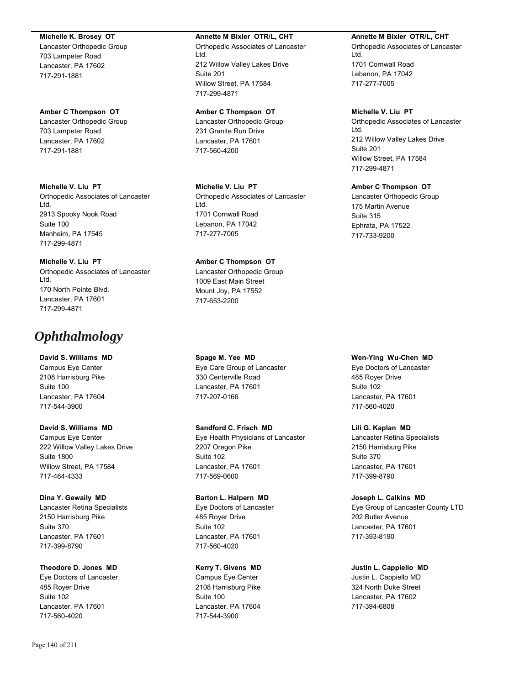#### **Michelle K. Brosey OT**

Lancaster Orthopedic Group 703 Lampeter Road Lancaster, PA 17602 717-291-1881

# **Amber C Thompson OT**

Lancaster Orthopedic Group 703 Lampeter Road Lancaster, PA 17602 717-291-1881

**Michelle V. Liu PT** Orthopedic Associates of Lancaster Ltd. 2913 Spooky Nook Road Suite 100 Manheim, PA 17545 717-299-4871

**Michelle V. Liu PT** Orthopedic Associates of Lancaster Ltd. 170 North Pointe Blvd. Lancaster, PA 17601 717-299-4871

# *Ophthalmology*

**David S. Williams MD** Campus Eye Center 2108 Harrisburg Pike Suite 100 Lancaster, PA 17604 717-544-3900

**David S. Williams MD** Campus Eye Center 222 Willow Valley Lakes Drive Suite 1800 Willow Street, PA 17584 717-464-4333

**Dina Y. Gewaily MD** Lancaster Retina Specialists 2150 Harrisburg Pike Suite 370 Lancaster, PA 17601 717-399-8790

**Theodore D. Jones MD** Eye Doctors of Lancaster 485 Royer Drive Suite 102 Lancaster, PA 17601 717-560-4020

#### **Annette M Bixler OTR/L, CHT**

Orthopedic Associates of Lancaster Ltd. 212 Willow Valley Lakes Drive Suite 201 Willow Street, PA 17584 717-299-4871

# **Amber C Thompson OT**

Lancaster Orthopedic Group 231 Granite Run Drive Lancaster, PA 17601 717-560-4200

**Michelle V. Liu PT** Orthopedic Associates of Lancaster Ltd. 1701 Cornwall Road Lebanon, PA 17042 717-277-7005

# **Amber C Thompson OT**

Lancaster Orthopedic Group 1009 East Main Street Mount Joy, PA 17552 717-653-2200

**Spage M. Yee MD** Eye Care Group of Lancaster 330 Centerville Road Lancaster, PA 17601 717-207-0166

**Sandford C. Frisch MD** Eye Health Physicians of Lancaster 2207 Oregon Pike Suite 102 Lancaster, PA 17601 717-569-0600

**Barton L. Halpern MD** Eye Doctors of Lancaster 485 Royer Drive Suite 102 Lancaster, PA 17601 717-560-4020

**Kerry T. Givens MD**

Campus Eye Center 2108 Harrisburg Pike Suite 100 Lancaster, PA 17604 717-544-3900

#### **Annette M Bixler OTR/L, CHT**

Orthopedic Associates of Lancaster Ltd. 1701 Cornwall Road Lebanon, PA 17042 717-277-7005

## **Michelle V. Liu PT**

Orthopedic Associates of Lancaster Ltd. 212 Willow Valley Lakes Drive Suite 201 Willow Street, PA 17584 717-299-4871

# **Amber C Thompson OT**

Lancaster Orthopedic Group 175 Martin Avenue Suite 315 Ephrata, PA 17522 717-733-9200

**Wen-Ying Wu-Chen MD**

Eye Doctors of Lancaster 485 Royer Drive Suite 102 Lancaster, PA 17601 717-560-4020

**Lili G. Kaplan MD**

Lancaster Retina Specialists 2150 Harrisburg Pike Suite 370 Lancaster, PA 17601 717-399-8790

**Joseph L. Calkins MD** Eye Group of Lancaster County LTD 202 Butler Avenue Lancaster, PA 17601 717-393-8190

**Justin L. Cappiello MD** Justin L. Cappiello MD 324 North Duke Street Lancaster, PA 17602 717-394-6808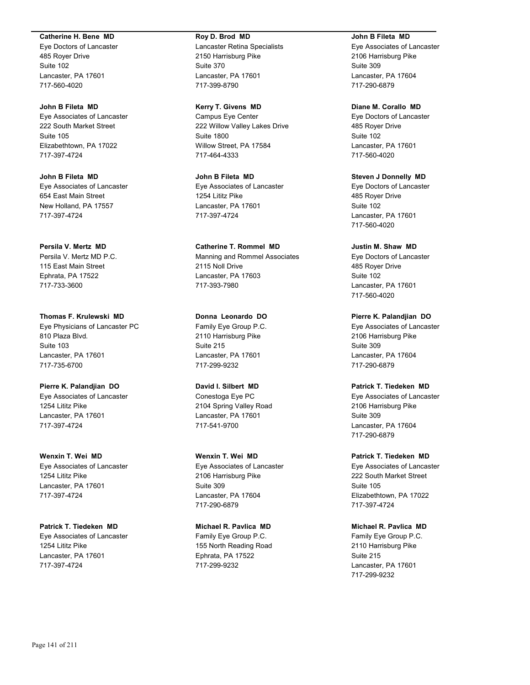#### **Catherine H. Bene MD**

Eye Doctors of Lancaster 485 Royer Drive Suite 102 Lancaster, PA 17601 717-560-4020

# **John B Fileta MD**

Eye Associates of Lancaster 222 South Market Street Suite 105 Elizabethtown, PA 17022 717-397-4724

**John B Fileta MD** Eye Associates of Lancaster 654 East Main Street New Holland, PA 17557 717-397-4724

**Persila V. Mertz MD** Persila V. Mertz MD P.C. 115 East Main Street Ephrata, PA 17522 717-733-3600

**Thomas F. Krulewski MD** Eye Physicians of Lancaster PC 810 Plaza Blvd. Suite 103 Lancaster, PA 17601 717-735-6700

**Pierre K. Palandjian DO** Eye Associates of Lancaster 1254 Lititz Pike Lancaster, PA 17601 717-397-4724

**Wenxin T. Wei MD** Eye Associates of Lancaster 1254 Lititz Pike Lancaster, PA 17601 717-397-4724

**Patrick T. Tiedeken MD** Eye Associates of Lancaster 1254 Lititz Pike Lancaster, PA 17601 717-397-4724

#### **Roy D. Brod MD**

Lancaster Retina Specialists 2150 Harrisburg Pike Suite 370 Lancaster, PA 17601 717-399-8790

**Kerry T. Givens MD**

Campus Eye Center 222 Willow Valley Lakes Drive Suite 1800 Willow Street, PA 17584 717-464-4333

**John B Fileta MD** Eye Associates of Lancaster 1254 Lititz Pike Lancaster, PA 17601 717-397-4724

**Catherine T. Rommel MD** Manning and Rommel Associates 2115 Noll Drive Lancaster, PA 17603 717-393-7980

**Donna Leonardo DO** Family Eye Group P.C. 2110 Harrisburg Pike Suite 215 Lancaster, PA 17601 717-299-9232

**David I. Silbert MD** Conestoga Eye PC 2104 Spring Valley Road Lancaster, PA 17601 717-541-9700

**Wenxin T. Wei MD** Eye Associates of Lancaster 2106 Harrisburg Pike Suite 309 Lancaster, PA 17604 717-290-6879

**Michael R. Pavlica MD** Family Eye Group P.C. 155 North Reading Road Ephrata, PA 17522 717-299-9232

#### **John B Fileta MD**

Eye Associates of Lancaster 2106 Harrisburg Pike Suite 309 Lancaster, PA 17604 717-290-6879

**Diane M. Corallo MD**

Eye Doctors of Lancaster 485 Royer Drive Suite 102 Lancaster, PA 17601 717-560-4020

**Steven J Donnelly MD** Eye Doctors of Lancaster 485 Royer Drive Suite 102 Lancaster, PA 17601 717-560-4020

**Justin M. Shaw MD** Eye Doctors of Lancaster 485 Royer Drive Suite 102 Lancaster, PA 17601 717-560-4020

**Pierre K. Palandjian DO** Eye Associates of Lancaster 2106 Harrisburg Pike Suite 309 Lancaster, PA 17604 717-290-6879

**Patrick T. Tiedeken MD**

Eye Associates of Lancaster 2106 Harrisburg Pike Suite 309 Lancaster, PA 17604 717-290-6879

**Patrick T. Tiedeken MD** Eye Associates of Lancaster 222 South Market Street Suite 105 Elizabethtown, PA 17022 717-397-4724

**Michael R. Pavlica MD** Family Eye Group P.C. 2110 Harrisburg Pike Suite 215 Lancaster, PA 17601 717-299-9232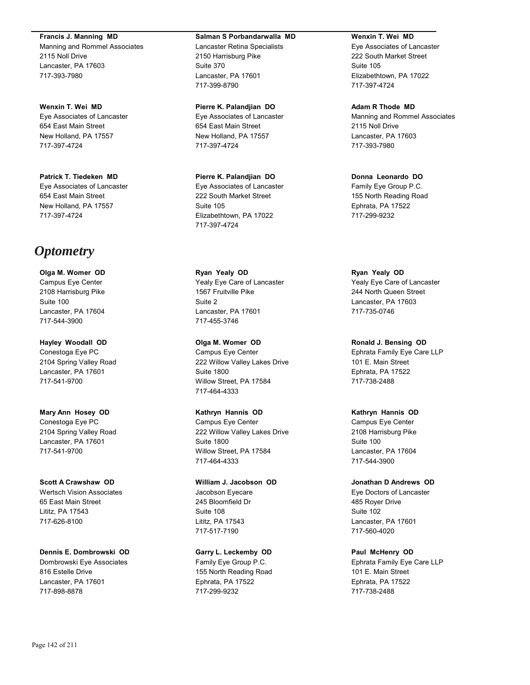**Francis J. Manning MD**

Manning and Rommel Associates 2115 Noll Drive Lancaster, PA 17603 717-393-7980

**Wenxin T. Wei MD** Eye Associates of Lancaster 654 East Main Street New Holland, PA 17557 717-397-4724

**Patrick T. Tiedeken MD** Eye Associates of Lancaster 654 East Main Street New Holland, PA 17557 717-397-4724

# *Optometry*

**Olga M. Womer OD** Campus Eye Center 2108 Harrisburg Pike Suite 100 Lancaster, PA 17604 717-544-3900

**Hayley Woodall OD** Conestoga Eye PC 2104 Spring Valley Road Lancaster, PA 17601 717-541-9700

**Mary Ann Hosey OD** Conestoga Eye PC 2104 Spring Valley Road Lancaster, PA 17601 717-541-9700

**Scott A Crawshaw OD** Wertsch Vision Associates 65 East Main Street Lititz, PA 17543 717-626-8100

**Dennis E. Dombrowski OD** Dombrowski Eye Associates 816 Estelle Drive Lancaster, PA 17601 717-898-8878

#### **Salman S Porbandarwalla MD**

Lancaster Retina Specialists 2150 Harrisburg Pike Suite 370 Lancaster, PA 17601 717-399-8790

**Pierre K. Palandjian DO** Eye Associates of Lancaster 654 East Main Street New Holland, PA 17557 717-397-4724

**Pierre K. Palandjian DO** Eye Associates of Lancaster 222 South Market Street Suite 105 Elizabethtown, PA 17022 717-397-4724

**Ryan Yealy OD** Yealy Eye Care of Lancaster 1567 Fruitville Pike Suite 2 Lancaster, PA 17601 717-455-3746

**Olga M. Womer OD** Campus Eye Center 222 Willow Valley Lakes Drive Suite 1800 Willow Street, PA 17584 717-464-4333

**Kathryn Hannis OD** Campus Eye Center 222 Willow Valley Lakes Drive Suite 1800 Willow Street, PA 17584 717-464-4333

**William J. Jacobson OD** Jacobson Eyecare 245 Bloomfield Dr Suite 108 Lititz, PA 17543 717-517-7190

**Garry L. Leckemby OD** Family Eye Group P.C. 155 North Reading Road Ephrata, PA 17522 717-299-9232

#### **Wenxin T. Wei MD**

Eye Associates of Lancaster 222 South Market Street Suite 105 Elizabethtown, PA 17022 717-397-4724

**Adam R Thode MD**

Manning and Rommel Associates 2115 Noll Drive Lancaster, PA 17603 717-393-7980

**Donna Leonardo DO** Family Eye Group P.C. 155 North Reading Road Ephrata, PA 17522 717-299-9232

**Ryan Yealy OD** Yealy Eye Care of Lancaster 244 North Queen Street Lancaster, PA 17603 717-735-0746

**Ronald J. Bensing OD** Ephrata Family Eye Care LLP 101 E. Main Street Ephrata, PA 17522 717-738-2488

# **Kathryn Hannis OD**

Campus Eye Center 2108 Harrisburg Pike Suite 100 Lancaster, PA 17604 717-544-3900

**Jonathan D Andrews OD** Eye Doctors of Lancaster 485 Royer Drive Suite 102 Lancaster, PA 17601 717-560-4020

**Paul McHenry OD** Ephrata Family Eye Care LLP 101 E. Main Street Ephrata, PA 17522 717-738-2488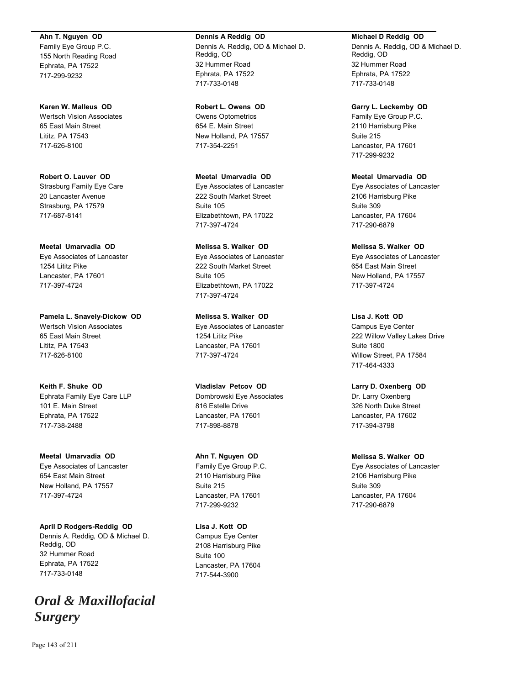**Ahn T. Nguyen OD** Family Eye Group P.C. 155 North Reading Road Ephrata, PA 17522 717-299-9232

**Karen W. Malleus OD** Wertsch Vision Associates 65 East Main Street Lititz, PA 17543 717-626-8100

**Robert O. Lauver OD** Strasburg Family Eye Care 20 Lancaster Avenue Strasburg, PA 17579 717-687-8141

**Meetal Umarvadia OD** Eye Associates of Lancaster 1254 Lititz Pike Lancaster, PA 17601 717-397-4724

**Pamela L. Snavely-Dickow OD** Wertsch Vision Associates 65 East Main Street Lititz, PA 17543 717-626-8100

**Keith F. Shuke OD** Ephrata Family Eye Care LLP 101 E. Main Street Ephrata, PA 17522 717-738-2488

**Meetal Umarvadia OD** Eye Associates of Lancaster 654 East Main Street New Holland, PA 17557 717-397-4724

**April D Rodgers-Reddig OD** Dennis A. Reddig, OD & Michael D. Reddig, OD 32 Hummer Road Ephrata, PA 17522 717-733-0148

# *Oral & Maxillofacial Surgery*

**Dennis A Reddig OD** Dennis A. Reddig, OD & Michael D. Reddig, OD 32 Hummer Road Ephrata, PA 17522 717-733-0148

**Robert L. Owens OD** Owens Optometrics 654 E. Main Street New Holland, PA 17557 717-354-2251

**Meetal Umarvadia OD** Eye Associates of Lancaster 222 South Market Street Suite 105 Elizabethtown, PA 17022 717-397-4724

**Melissa S. Walker OD** Eye Associates of Lancaster 222 South Market Street Suite 105 Elizabethtown, PA 17022 717-397-4724

**Melissa S. Walker OD** Eye Associates of Lancaster 1254 Lititz Pike Lancaster, PA 17601 717-397-4724

**Vladislav Petcov OD** Dombrowski Eye Associates 816 Estelle Drive Lancaster, PA 17601 717-898-8878

**Ahn T. Nguyen OD** Family Eye Group P.C. 2110 Harrisburg Pike Suite 215 Lancaster, PA 17601 717-299-9232

**Lisa J. Kott OD** Campus Eye Center 2108 Harrisburg Pike Suite 100 Lancaster, PA 17604 717-544-3900

# **Michael D Reddig OD**

Dennis A. Reddig, OD & Michael D. Reddig, OD 32 Hummer Road Ephrata, PA 17522 717-733-0148

**Garry L. Leckemby OD**

Family Eye Group P.C. 2110 Harrisburg Pike Suite 215 Lancaster, PA 17601 717-299-9232

**Meetal Umarvadia OD** Eye Associates of Lancaster 2106 Harrisburg Pike Suite 309 Lancaster, PA 17604 717-290-6879

**Melissa S. Walker OD** Eye Associates of Lancaster 654 East Main Street New Holland, PA 17557 717-397-4724

**Lisa J. Kott OD** Campus Eye Center 222 Willow Valley Lakes Drive Suite 1800 Willow Street, PA 17584 717-464-4333

**Larry D. Oxenberg OD** Dr. Larry Oxenberg 326 North Duke Street Lancaster, PA 17602 717-394-3798

**Melissa S. Walker OD** Eye Associates of Lancaster 2106 Harrisburg Pike Suite 309 Lancaster, PA 17604 717-290-6879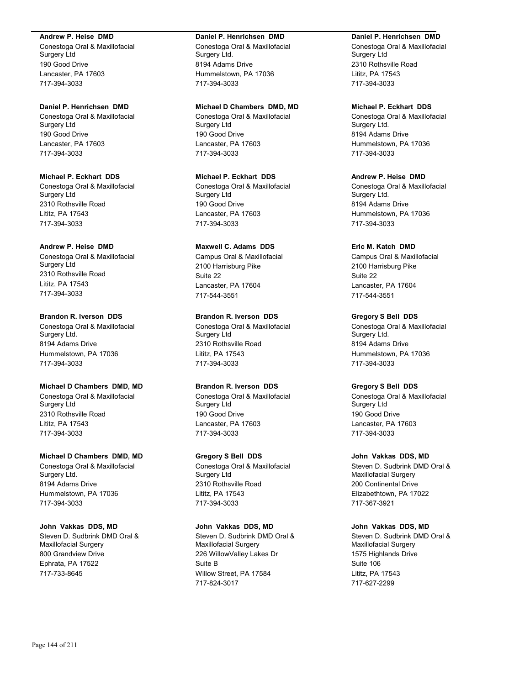#### **Andrew P. Heise DMD**

Conestoga Oral & Maxillofacial Surgery Ltd 190 Good Drive Lancaster, PA 17603 717-394-3033

#### **Daniel P. Henrichsen DMD**

Conestoga Oral & Maxillofacial Surgery Ltd 190 Good Drive Lancaster, PA 17603 717-394-3033

# **Michael P. Eckhart DDS**

Conestoga Oral & Maxillofacial Surgery Ltd 2310 Rothsville Road Lititz, PA 17543 717-394-3033

#### **Andrew P. Heise DMD**

Conestoga Oral & Maxillofacial Surgery Ltd 2310 Rothsville Road Lititz, PA 17543 717-394-3033

#### **Brandon R. Iverson DDS**

Conestoga Oral & Maxillofacial Surgery Ltd. 8194 Adams Drive Hummelstown, PA 17036 717-394-3033

## **Michael D Chambers DMD, MD**

Conestoga Oral & Maxillofacial Surgery Ltd 2310 Rothsville Road Lititz, PA 17543 717-394-3033

## **Michael D Chambers DMD, MD**

Conestoga Oral & Maxillofacial Surgery Ltd. 8194 Adams Drive Hummelstown, PA 17036 717-394-3033

# **John Vakkas DDS, MD**

Steven D. Sudbrink DMD Oral & Maxillofacial Surgery 800 Grandview Drive Ephrata, PA 17522 717-733-8645

#### **Daniel P. Henrichsen DMD**

Conestoga Oral & Maxillofacial Surgery Ltd. 8194 Adams Drive Hummelstown, PA 17036 717-394-3033

#### **Michael D Chambers DMD, MD**

Conestoga Oral & Maxillofacial Surgery Ltd 190 Good Drive Lancaster, PA 17603 717-394-3033

# **Michael P. Eckhart DDS**

Conestoga Oral & Maxillofacial Surgery Ltd 190 Good Drive Lancaster, PA 17603 717-394-3033

#### **Maxwell C. Adams DDS**

Campus Oral & Maxillofacial 2100 Harrisburg Pike Suite 22 Lancaster, PA 17604 717-544-3551

#### **Brandon R. Iverson DDS**

Conestoga Oral & Maxillofacial Surgery Ltd 2310 Rothsville Road Lititz, PA 17543 717-394-3033

## **Brandon R. Iverson DDS**

Conestoga Oral & Maxillofacial Surgery Ltd 190 Good Drive Lancaster, PA 17603 717-394-3033

# **Gregory S Bell DDS**

Conestoga Oral & Maxillofacial Surgery Ltd 2310 Rothsville Road Lititz, PA 17543 717-394-3033

# **John Vakkas DDS, MD**

Steven D. Sudbrink DMD Oral & Maxillofacial Surgery 226 WillowValley Lakes Dr Suite B Willow Street, PA 17584 717-824-3017

#### **Daniel P. Henrichsen DMD**

Conestoga Oral & Maxillofacial Surgery Ltd 2310 Rothsville Road Lititz, PA 17543 717-394-3033

## **Michael P. Eckhart DDS**

Conestoga Oral & Maxillofacial Surgery Ltd. 8194 Adams Drive Hummelstown, PA 17036 717-394-3033

### **Andrew P. Heise DMD**

Conestoga Oral & Maxillofacial Surgery Ltd. 8194 Adams Drive Hummelstown, PA 17036 717-394-3033

#### **Eric M. Katch DMD**

Campus Oral & Maxillofacial 2100 Harrisburg Pike Suite 22 Lancaster, PA 17604 717-544-3551

#### **Gregory S Bell DDS**

Conestoga Oral & Maxillofacial Surgery Ltd. 8194 Adams Drive Hummelstown, PA 17036 717-394-3033

## **Gregory S Bell DDS**

Conestoga Oral & Maxillofacial Surgery Ltd 190 Good Drive Lancaster, PA 17603 717-394-3033

#### **John Vakkas DDS, MD**

Steven D. Sudbrink DMD Oral & Maxillofacial Surgery 200 Continental Drive Elizabethtown, PA 17022 717-367-3921

#### **John Vakkas DDS, MD**

Steven D. Sudbrink DMD Oral & Maxillofacial Surgery 1575 Highlands Drive Suite 106 Lititz, PA 17543 717-627-2299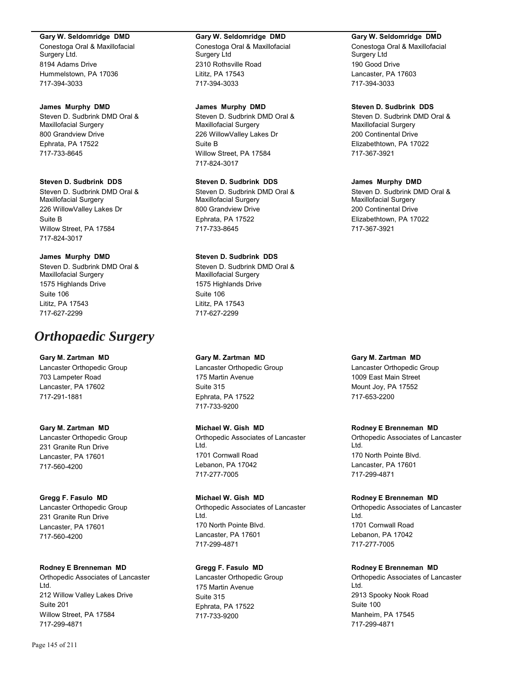#### **Gary W. Seldomridge DMD**

Conestoga Oral & Maxillofacial Surgery Ltd. 8194 Adams Drive Hummelstown, PA 17036 717-394-3033

#### **James Murphy DMD**

Steven D. Sudbrink DMD Oral & Maxillofacial Surgery 800 Grandview Drive Ephrata, PA 17522 717-733-8645

#### **Steven D. Sudbrink DDS**

Steven D. Sudbrink DMD Oral & Maxillofacial Surgery 226 WillowValley Lakes Dr Suite B Willow Street, PA 17584 717-824-3017

## **James Murphy DMD**

Steven D. Sudbrink DMD Oral & Maxillofacial Surgery 1575 Highlands Drive Suite 106 Lititz, PA 17543 717-627-2299

# *Orthopaedic Surgery*

#### **Gary M. Zartman MD**

Lancaster Orthopedic Group 703 Lampeter Road Lancaster, PA 17602 717-291-1881

## **Gary M. Zartman MD**

Lancaster Orthopedic Group 231 Granite Run Drive Lancaster, PA 17601 717-560-4200

#### **Gregg F. Fasulo MD**

Lancaster Orthopedic Group 231 Granite Run Drive Lancaster, PA 17601 717-560-4200

#### **Rodney E Brenneman MD**

Orthopedic Associates of Lancaster Ltd. 212 Willow Valley Lakes Drive Suite 201 Willow Street, PA 17584 717-299-4871

#### **Gary W. Seldomridge DMD**

Conestoga Oral & Maxillofacial Surgery Ltd 2310 Rothsville Road Lititz, PA 17543 717-394-3033

#### **James Murphy DMD**

Steven D. Sudbrink DMD Oral & Maxillofacial Surgery 226 WillowValley Lakes Dr Suite B Willow Street, PA 17584 717-824-3017

## **Steven D. Sudbrink DDS**

Steven D. Sudbrink DMD Oral & Maxillofacial Surgery 800 Grandview Drive Ephrata, PA 17522 717-733-8645

## **Steven D. Sudbrink DDS**

Steven D. Sudbrink DMD Oral & Maxillofacial Surgery 1575 Highlands Drive Suite 106 Lititz, PA 17543 717-627-2299

## **Gary M. Zartman MD**

Lancaster Orthopedic Group 175 Martin Avenue Suite 315 Ephrata, PA 17522 717-733-9200

## **Michael W. Gish MD**

Orthopedic Associates of Lancaster Ltd. 1701 Cornwall Road Lebanon, PA 17042 717-277-7005

#### **Michael W. Gish MD**

Orthopedic Associates of Lancaster Ltd. 170 North Pointe Blvd. Lancaster, PA 17601 717-299-4871

## **Gregg F. Fasulo MD**

Lancaster Orthopedic Group 175 Martin Avenue Suite 315 Ephrata, PA 17522 717-733-9200

## **Gary W. Seldomridge DMD**

Conestoga Oral & Maxillofacial Surgery Ltd 190 Good Drive Lancaster, PA 17603 717-394-3033

## **Steven D. Sudbrink DDS**

Steven D. Sudbrink DMD Oral & Maxillofacial Surgery 200 Continental Drive Elizabethtown, PA 17022 717-367-3921

#### **James Murphy DMD**

Steven D. Sudbrink DMD Oral & Maxillofacial Surgery 200 Continental Drive Elizabethtown, PA 17022 717-367-3921

## **Gary M. Zartman MD**

Lancaster Orthopedic Group 1009 East Main Street Mount Joy, PA 17552 717-653-2200

## **Rodney E Brenneman MD**

Orthopedic Associates of Lancaster Ltd. 170 North Pointe Blvd. Lancaster, PA 17601 717-299-4871

## **Rodney E Brenneman MD**

Orthopedic Associates of Lancaster Ltd. 1701 Cornwall Road Lebanon, PA 17042 717-277-7005

## **Rodney E Brenneman MD**

Orthopedic Associates of Lancaster Ltd. 2913 Spooky Nook Road Suite 100 Manheim, PA 17545 717-299-4871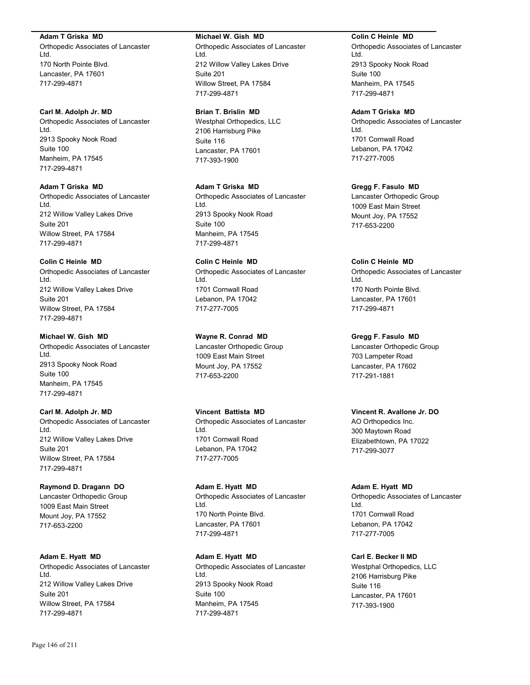#### **Adam T Griska MD**

Orthopedic Associates of Lancaster Ltd. 170 North Pointe Blvd. Lancaster, PA 17601 717-299-4871

#### **Carl M. Adolph Jr. MD**

Orthopedic Associates of Lancaster Ltd. 2913 Spooky Nook Road Suite 100 Manheim, PA 17545 717-299-4871

#### **Adam T Griska MD**

Orthopedic Associates of Lancaster Ltd. 212 Willow Valley Lakes Drive Suite 201 Willow Street, PA 17584 717-299-4871

## **Colin C Heinle MD**

Orthopedic Associates of Lancaster Ltd. 212 Willow Valley Lakes Drive Suite 201 Willow Street, PA 17584 717-299-4871

#### **Michael W. Gish MD**

Orthopedic Associates of Lancaster Ltd. 2913 Spooky Nook Road Suite 100 Manheim, PA 17545 717-299-4871

## **Carl M. Adolph Jr. MD**

Orthopedic Associates of Lancaster Ltd. 212 Willow Valley Lakes Drive Suite 201 Willow Street, PA 17584 717-299-4871

#### **Raymond D. Dragann DO**

Lancaster Orthopedic Group 1009 East Main Street Mount Joy, PA 17552 717-653-2200

#### **Adam E. Hyatt MD**

Orthopedic Associates of Lancaster Ltd. 212 Willow Valley Lakes Drive Suite 201 Willow Street, PA 17584 717-299-4871

#### **Michael W. Gish MD**

Orthopedic Associates of Lancaster Ltd. 212 Willow Valley Lakes Drive Suite 201 Willow Street, PA 17584 717-299-4871

#### **Brian T. Brislin MD**

Westphal Orthopedics, LLC 2106 Harrisburg Pike Suite 116 Lancaster, PA 17601 717-393-1900

#### **Adam T Griska MD**

Orthopedic Associates of Lancaster Ltd. 2913 Spooky Nook Road Suite 100 Manheim, PA 17545 717-299-4871

## **Colin C Heinle MD**

Orthopedic Associates of Lancaster Ltd. 1701 Cornwall Road Lebanon, PA 17042 717-277-7005

#### **Wayne R. Conrad MD**

Lancaster Orthopedic Group 1009 East Main Street Mount Joy, PA 17552 717-653-2200

## **Vincent Battista MD**

Orthopedic Associates of Lancaster Ltd. 1701 Cornwall Road Lebanon, PA 17042 717-277-7005

**Adam E. Hyatt MD** Orthopedic Associates of Lancaster Ltd. 170 North Pointe Blvd. Lancaster, PA 17601 717-299-4871

**Adam E. Hyatt MD** Orthopedic Associates of Lancaster Ltd. 2913 Spooky Nook Road Suite 100 Manheim, PA 17545 717-299-4871

#### **Colin C Heinle MD**

Orthopedic Associates of Lancaster Ltd. 2913 Spooky Nook Road Suite 100 Manheim, PA 17545 717-299-4871

#### **Adam T Griska MD**

Orthopedic Associates of Lancaster Ltd. 1701 Cornwall Road Lebanon, PA 17042 717-277-7005

## **Gregg F. Fasulo MD**

Lancaster Orthopedic Group 1009 East Main Street Mount Joy, PA 17552 717-653-2200

## **Colin C Heinle MD**

Orthopedic Associates of Lancaster Ltd. 170 North Pointe Blvd. Lancaster, PA 17601 717-299-4871

## **Gregg F. Fasulo MD**

Lancaster Orthopedic Group 703 Lampeter Road Lancaster, PA 17602 717-291-1881

## **Vincent R. Avallone Jr. DO**

AO Orthopedics Inc. 300 Maytown Road Elizabethtown, PA 17022 717-299-3077

#### **Adam E. Hyatt MD**

Orthopedic Associates of Lancaster Ltd. 1701 Cornwall Road Lebanon, PA 17042 717-277-7005

## **Carl E. Becker II MD**

Westphal Orthopedics, LLC 2106 Harrisburg Pike Suite 116 Lancaster, PA 17601 717-393-1900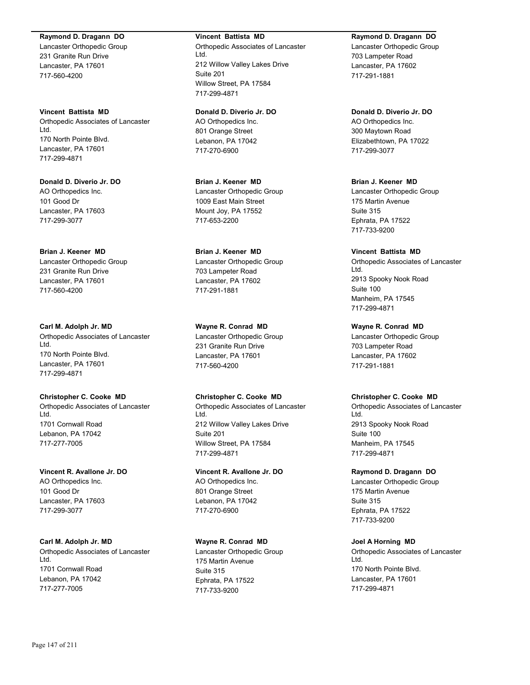#### **Raymond D. Dragann DO**

Lancaster Orthopedic Group 231 Granite Run Drive Lancaster, PA 17601 717-560-4200

**Vincent Battista MD** Orthopedic Associates of Lancaster Ltd. 170 North Pointe Blvd. Lancaster, PA 17601 717-299-4871

**Donald D. Diverio Jr. DO** AO Orthopedics Inc. 101 Good Dr Lancaster, PA 17603 717-299-3077

**Brian J. Keener MD** Lancaster Orthopedic Group 231 Granite Run Drive Lancaster, PA 17601 717-560-4200

**Carl M. Adolph Jr. MD** Orthopedic Associates of Lancaster Ltd. 170 North Pointe Blvd. Lancaster, PA 17601 717-299-4871

**Christopher C. Cooke MD** Orthopedic Associates of Lancaster Ltd. 1701 Cornwall Road Lebanon, PA 17042 717-277-7005

**Vincent R. Avallone Jr. DO** AO Orthopedics Inc. 101 Good Dr Lancaster, PA 17603 717-299-3077

**Carl M. Adolph Jr. MD** Orthopedic Associates of Lancaster Ltd. 1701 Cornwall Road Lebanon, PA 17042 717-277-7005

#### **Vincent Battista MD**

Orthopedic Associates of Lancaster Ltd. 212 Willow Valley Lakes Drive Suite 201 Willow Street, PA 17584 717-299-4871

**Donald D. Diverio Jr. DO** AO Orthopedics Inc. 801 Orange Street Lebanon, PA 17042 717-270-6900

**Brian J. Keener MD** Lancaster Orthopedic Group 1009 East Main Street Mount Joy, PA 17552 717-653-2200

**Brian J. Keener MD** Lancaster Orthopedic Group 703 Lampeter Road Lancaster, PA 17602 717-291-1881

**Wayne R. Conrad MD** Lancaster Orthopedic Group 231 Granite Run Drive Lancaster, PA 17601 717-560-4200

**Christopher C. Cooke MD** Orthopedic Associates of Lancaster Ltd. 212 Willow Valley Lakes Drive Suite 201 Willow Street, PA 17584 717-299-4871

**Vincent R. Avallone Jr. DO** AO Orthopedics Inc. 801 Orange Street Lebanon, PA 17042 717-270-6900

**Wayne R. Conrad MD** Lancaster Orthopedic Group 175 Martin Avenue Suite 315 Ephrata, PA 17522 717-733-9200

#### **Raymond D. Dragann DO**

Lancaster Orthopedic Group 703 Lampeter Road Lancaster, PA 17602 717-291-1881

**Donald D. Diverio Jr. DO** AO Orthopedics Inc. 300 Maytown Road Elizabethtown, PA 17022 717-299-3077

**Brian J. Keener MD** Lancaster Orthopedic Group 175 Martin Avenue Suite 315 Ephrata, PA 17522 717-733-9200

**Vincent Battista MD** Orthopedic Associates of Lancaster Ltd. 2913 Spooky Nook Road Suite 100 Manheim, PA 17545 717-299-4871

**Wayne R. Conrad MD** Lancaster Orthopedic Group 703 Lampeter Road Lancaster, PA 17602 717-291-1881

#### **Christopher C. Cooke MD**

Orthopedic Associates of Lancaster Ltd. 2913 Spooky Nook Road Suite 100 Manheim, PA 17545 717-299-4871

**Raymond D. Dragann DO** Lancaster Orthopedic Group 175 Martin Avenue Suite 315 Ephrata, PA 17522

**Joel A Horning MD**

717-733-9200

Orthopedic Associates of Lancaster Ltd. 170 North Pointe Blvd. Lancaster, PA 17601 717-299-4871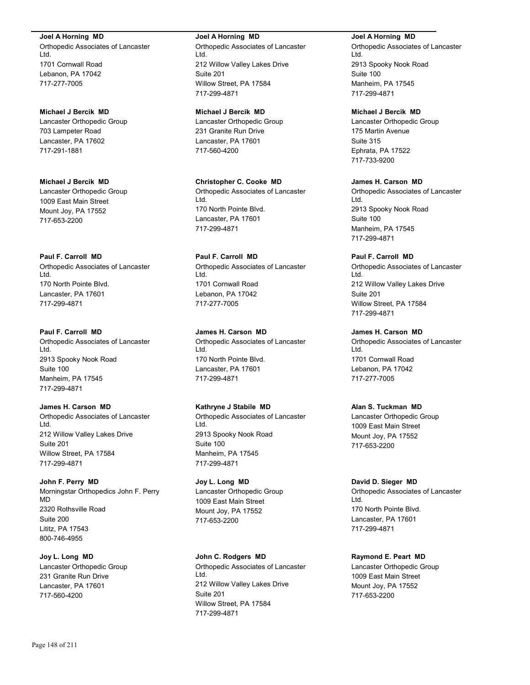**Joel A Horning MD**

Orthopedic Associates of Lancaster Ltd. 1701 Cornwall Road Lebanon, PA 17042 717-277-7005

**Michael J Bercik MD** Lancaster Orthopedic Group 703 Lampeter Road Lancaster, PA 17602 717-291-1881

**Michael J Bercik MD** Lancaster Orthopedic Group 1009 East Main Street Mount Joy, PA 17552 717-653-2200

## **Paul F. Carroll MD**

Orthopedic Associates of Lancaster Ltd. 170 North Pointe Blvd. Lancaster, PA 17601 717-299-4871

#### **Paul F. Carroll MD**

Orthopedic Associates of Lancaster Ltd. 2913 Spooky Nook Road Suite 100 Manheim, PA 17545 717-299-4871

**James H. Carson MD**

Orthopedic Associates of Lancaster Ltd. 212 Willow Valley Lakes Drive Suite 201 Willow Street, PA 17584 717-299-4871

**John F. Perry MD** Morningstar Orthopedics John F. Perry MD 2320 Rothsville Road Suite 200 Lititz, PA 17543

**Joy L. Long MD** Lancaster Orthopedic Group 231 Granite Run Drive Lancaster, PA 17601 717-560-4200

#### **Joel A Horning MD**

Orthopedic Associates of Lancaster Ltd. 212 Willow Valley Lakes Drive Suite 201 Willow Street, PA 17584 717-299-4871

**Michael J Bercik MD**

Lancaster Orthopedic Group 231 Granite Run Drive Lancaster, PA 17601 717-560-4200

**Christopher C. Cooke MD** Orthopedic Associates of Lancaster Ltd. 170 North Pointe Blvd. Lancaster, PA 17601 717-299-4871

**Paul F. Carroll MD** Orthopedic Associates of Lancaster Ltd. 1701 Cornwall Road Lebanon, PA 17042 717-277-7005

**James H. Carson MD** Orthopedic Associates of Lancaster Ltd. 170 North Pointe Blvd. Lancaster, PA 17601 717-299-4871

**Kathryne J Stabile MD** Orthopedic Associates of Lancaster Ltd. 2913 Spooky Nook Road Suite 100 Manheim, PA 17545

717-299-4871 **Joy L. Long MD** Lancaster Orthopedic Group 1009 East Main Street Mount Joy, PA 17552 717-653-2200

**John C. Rodgers MD** Orthopedic Associates of Lancaster Ltd. 212 Willow Valley Lakes Drive Suite 201 Willow Street, PA 17584 717-299-4871

**Joel A Horning MD**

Orthopedic Associates of Lancaster Ltd. 2913 Spooky Nook Road Suite 100 Manheim, PA 17545 717-299-4871

## **Michael J Bercik MD**

Lancaster Orthopedic Group 175 Martin Avenue Suite 315 Ephrata, PA 17522 717-733-9200

## **James H. Carson MD**

Orthopedic Associates of Lancaster Ltd. 2913 Spooky Nook Road Suite 100 Manheim, PA 17545 717-299-4871

**Paul F. Carroll MD**

Orthopedic Associates of Lancaster Ltd. 212 Willow Valley Lakes Drive Suite 201 Willow Street, PA 17584 717-299-4871

## **James H. Carson MD**

Orthopedic Associates of Lancaster Ltd. 1701 Cornwall Road Lebanon, PA 17042 717-277-7005

#### **Alan S. Tuckman MD**

Lancaster Orthopedic Group 1009 East Main Street Mount Joy, PA 17552 717-653-2200

#### **David D. Sieger MD**

Orthopedic Associates of Lancaster Ltd. 170 North Pointe Blvd. Lancaster, PA 17601 717-299-4871

## **Raymond E. Peart MD**

Lancaster Orthopedic Group 1009 East Main Street Mount Joy, PA 17552 717-653-2200

800-746-4955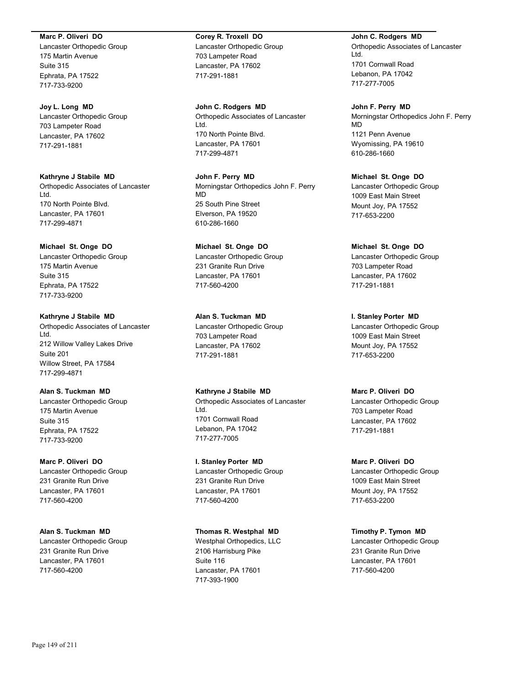#### **Marc P. Oliveri DO**

Lancaster Orthopedic Group 175 Martin Avenue Suite 315 Ephrata, PA 17522 717-733-9200

## **Joy L. Long MD**

Lancaster Orthopedic Group 703 Lampeter Road Lancaster, PA 17602 717-291-1881

**Kathryne J Stabile MD** Orthopedic Associates of Lancaster Ltd. 170 North Pointe Blvd. Lancaster, PA 17601 717-299-4871

## **Michael St. Onge DO**

Lancaster Orthopedic Group 175 Martin Avenue Suite 315 Ephrata, PA 17522 717-733-9200

## **Kathryne J Stabile MD**

Orthopedic Associates of Lancaster Ltd. 212 Willow Valley Lakes Drive Suite 201 Willow Street, PA 17584 717-299-4871

## **Alan S. Tuckman MD**

Lancaster Orthopedic Group 175 Martin Avenue Suite 315 Ephrata, PA 17522 717-733-9200

# **Marc P. Oliveri DO** Lancaster Orthopedic Group 231 Granite Run Drive

Lancaster, PA 17601 717-560-4200

# **Alan S. Tuckman MD**

Lancaster Orthopedic Group 231 Granite Run Drive Lancaster, PA 17601 717-560-4200

# **Corey R. Troxell DO** Lancaster Orthopedic Group

703 Lampeter Road Lancaster, PA 17602 717-291-1881

**John C. Rodgers MD** Orthopedic Associates of Lancaster Ltd. 170 North Pointe Blvd. Lancaster, PA 17601 717-299-4871

**John F. Perry MD** Morningstar Orthopedics John F. Perry MD 25 South Pine Street Elverson, PA 19520 610-286-1660

## **Michael St. Onge DO** Lancaster Orthopedic Group 231 Granite Run Drive Lancaster, PA 17601 717-560-4200

**Alan S. Tuckman MD** Lancaster Orthopedic Group 703 Lampeter Road Lancaster, PA 17602 717-291-1881

# **Kathryne J Stabile MD**

Orthopedic Associates of Lancaster Ltd. 1701 Cornwall Road Lebanon, PA 17042 717-277-7005

## **I. Stanley Porter MD** Lancaster Orthopedic Group 231 Granite Run Drive Lancaster, PA 17601 717-560-4200

## **Thomas R. Westphal MD** Westphal Orthopedics, LLC 2106 Harrisburg Pike Suite 116 Lancaster, PA 17601 717-393-1900

**John C. Rodgers MD** Orthopedic Associates of Lancaster Ltd. 1701 Cornwall Road Lebanon, PA 17042 717-277-7005

**John F. Perry MD** Morningstar Orthopedics John F. Perry MD 1121 Penn Avenue Wyomissing, PA 19610 610-286-1660

**Michael St. Onge DO** Lancaster Orthopedic Group 1009 East Main Street Mount Joy, PA 17552 717-653-2200

**Michael St. Onge DO** Lancaster Orthopedic Group 703 Lampeter Road Lancaster, PA 17602 717-291-1881

**I. Stanley Porter MD** Lancaster Orthopedic Group 1009 East Main Street Mount Joy, PA 17552 717-653-2200

## **Marc P. Oliveri DO**

Lancaster Orthopedic Group 703 Lampeter Road Lancaster, PA 17602 717-291-1881

**Marc P. Oliveri DO** Lancaster Orthopedic Group 1009 East Main Street Mount Joy, PA 17552 717-653-2200

## **Timothy P. Tymon MD** Lancaster Orthopedic Group 231 Granite Run Drive Lancaster, PA 17601 717-560-4200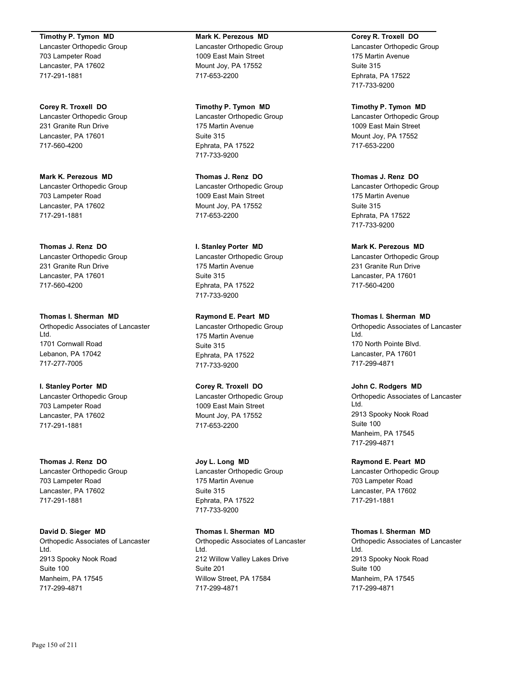**Timothy P. Tymon MD**

Lancaster Orthopedic Group 703 Lampeter Road Lancaster, PA 17602 717-291-1881

**Corey R. Troxell DO** Lancaster Orthopedic Group 231 Granite Run Drive Lancaster, PA 17601 717-560-4200

**Mark K. Perezous MD** Lancaster Orthopedic Group 703 Lampeter Road Lancaster, PA 17602 717-291-1881

**Thomas J. Renz DO** Lancaster Orthopedic Group 231 Granite Run Drive Lancaster, PA 17601 717-560-4200

**Thomas I. Sherman MD** Orthopedic Associates of Lancaster Ltd. 1701 Cornwall Road Lebanon, PA 17042 717-277-7005

**I. Stanley Porter MD** Lancaster Orthopedic Group 703 Lampeter Road Lancaster, PA 17602 717-291-1881

**Thomas J. Renz DO** Lancaster Orthopedic Group 703 Lampeter Road Lancaster, PA 17602 717-291-1881

**David D. Sieger MD** Orthopedic Associates of Lancaster Ltd. 2913 Spooky Nook Road Suite 100 Manheim, PA 17545 717-299-4871

**Mark K. Perezous MD** Lancaster Orthopedic Group 1009 East Main Street Mount Joy, PA 17552 717-653-2200

**Timothy P. Tymon MD** Lancaster Orthopedic Group 175 Martin Avenue Suite 315 Ephrata, PA 17522 717-733-9200

**Thomas J. Renz DO** Lancaster Orthopedic Group 1009 East Main Street Mount Joy, PA 17552 717-653-2200

**I. Stanley Porter MD** Lancaster Orthopedic Group 175 Martin Avenue Suite 315 Ephrata, PA 17522 717-733-9200

**Raymond E. Peart MD** Lancaster Orthopedic Group 175 Martin Avenue Suite 315 Ephrata, PA 17522 717-733-9200

**Corey R. Troxell DO** Lancaster Orthopedic Group 1009 East Main Street Mount Joy, PA 17552 717-653-2200

**Joy L. Long MD** Lancaster Orthopedic Group 175 Martin Avenue Suite 315 Ephrata, PA 17522 717-733-9200

**Thomas I. Sherman MD** Orthopedic Associates of Lancaster Ltd. 212 Willow Valley Lakes Drive Suite 201 Willow Street, PA 17584 717-299-4871

**Corey R. Troxell DO**

Lancaster Orthopedic Group 175 Martin Avenue Suite 315 Ephrata, PA 17522 717-733-9200

**Timothy P. Tymon MD** Lancaster Orthopedic Group 1009 East Main Street Mount Joy, PA 17552 717-653-2200

**Thomas J. Renz DO** Lancaster Orthopedic Group 175 Martin Avenue Suite 315 Ephrata, PA 17522 717-733-9200

**Mark K. Perezous MD** Lancaster Orthopedic Group 231 Granite Run Drive Lancaster, PA 17601 717-560-4200

**Thomas I. Sherman MD** Orthopedic Associates of Lancaster Ltd. 170 North Pointe Blvd. Lancaster, PA 17601 717-299-4871

**John C. Rodgers MD** Orthopedic Associates of Lancaster Ltd. 2913 Spooky Nook Road Suite 100 Manheim, PA 17545 717-299-4871

**Raymond E. Peart MD** Lancaster Orthopedic Group 703 Lampeter Road Lancaster, PA 17602 717-291-1881

**Thomas I. Sherman MD** Orthopedic Associates of Lancaster Ltd. 2913 Spooky Nook Road Suite 100 Manheim, PA 17545

717-299-4871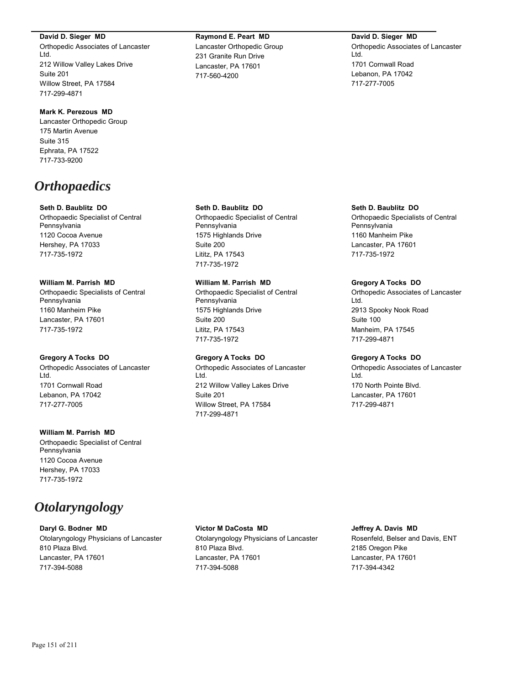**David D. Sieger MD**

Orthopedic Associates of Lancaster Ltd. 212 Willow Valley Lakes Drive Suite 201 Willow Street, PA 17584 717-299-4871

#### **Mark K. Perezous MD**

Lancaster Orthopedic Group 175 Martin Avenue Suite 315 Ephrata, PA 17522 717-733-9200

# *Orthopaedics*

#### **Seth D. Baublitz DO**

Orthopaedic Specialist of Central Pennsylvania 1120 Cocoa Avenue Hershey, PA 17033 717-735-1972

#### **William M. Parrish MD**

Orthopaedic Specialists of Central Pennsylvania 1160 Manheim Pike Lancaster, PA 17601 717-735-1972

#### **Gregory A Tocks DO**

Orthopedic Associates of Lancaster Ltd. 1701 Cornwall Road Lebanon, PA 17042 717-277-7005

## **William M. Parrish MD** Orthopaedic Specialist of Central Pennsylvania 1120 Cocoa Avenue Hershey, PA 17033 717-735-1972

# *Otolaryngology*

#### **Daryl G. Bodner MD**

Otolaryngology Physicians of Lancaster 810 Plaza Blvd. Lancaster, PA 17601 717-394-5088

## **Raymond E. Peart MD** Lancaster Orthopedic Group 231 Granite Run Drive Lancaster, PA 17601 717-560-4200

#### **David D. Sieger MD**

Orthopedic Associates of Lancaster Ltd. 1701 Cornwall Road Lebanon, PA 17042 717-277-7005

#### **Seth D. Baublitz DO**

Orthopaedic Specialist of Central Pennsylvania 1575 Highlands Drive Suite 200 Lititz, PA 17543 717-735-1972

## **William M. Parrish MD**

Orthopaedic Specialist of Central Pennsylvania 1575 Highlands Drive Suite 200 Lititz, PA 17543 717-735-1972

#### **Gregory A Tocks DO**

Orthopedic Associates of Lancaster Ltd. 212 Willow Valley Lakes Drive Suite 201 Willow Street, PA 17584 717-299-4871

## **Seth D. Baublitz DO**

Orthopaedic Specialists of Central Pennsylvania 1160 Manheim Pike Lancaster, PA 17601 717-735-1972

## **Gregory A Tocks DO**

Orthopedic Associates of Lancaster Ltd. 2913 Spooky Nook Road Suite 100 Manheim, PA 17545 717-299-4871

#### **Gregory A Tocks DO**

Orthopedic Associates of Lancaster Ltd. 170 North Pointe Blvd. Lancaster, PA 17601 717-299-4871

# **Victor M DaCosta MD** Otolaryngology Physicians of Lancaster

810 Plaza Blvd. Lancaster, PA 17601 717-394-5088

## **Jeffrey A. Davis MD** Rosenfeld, Belser and Davis, ENT 2185 Oregon Pike Lancaster, PA 17601 717-394-4342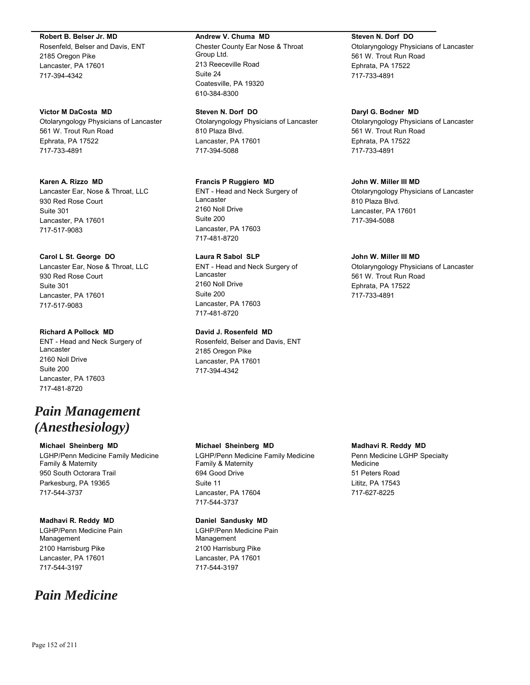#### **Robert B. Belser Jr. MD**

Rosenfeld, Belser and Davis, ENT 2185 Oregon Pike Lancaster, PA 17601 717-394-4342

#### **Victor M DaCosta MD**

Otolaryngology Physicians of Lancaster 561 W. Trout Run Road Ephrata, PA 17522 717-733-4891

## **Karen A. Rizzo MD**

Lancaster Ear, Nose & Throat, LLC 930 Red Rose Court Suite 301 Lancaster, PA 17601 717-517-9083

## **Carol L St. George DO**

Lancaster Ear, Nose & Throat, LLC 930 Red Rose Court Suite 301 Lancaster, PA 17601 717-517-9083

## **Richard A Pollock MD**

ENT - Head and Neck Surgery of Lancaster 2160 Noll Drive Suite 200 Lancaster, PA 17603 717-481-8720

# *Pain Management (Anesthesiology)*

## **Michael Sheinberg MD**

LGHP/Penn Medicine Family Medicine Family & Maternity 950 South Octorara Trail Parkesburg, PA 19365 717-544-3737

## **Madhavi R. Reddy MD**

LGHP/Penn Medicine Pain Management 2100 Harrisburg Pike Lancaster, PA 17601 717-544-3197

# *Pain Medicine*

#### **Andrew V. Chuma MD**

Chester County Ear Nose & Throat Group Ltd. 213 Reeceville Road Suite 24 Coatesville, PA 19320 610-384-8300

## **Steven N. Dorf DO**

Otolaryngology Physicians of Lancaster 810 Plaza Blvd. Lancaster, PA 17601 717-394-5088

## **Francis P Ruggiero MD**

ENT - Head and Neck Surgery of Lancaster 2160 Noll Drive Suite 200 Lancaster, PA 17603 717-481-8720

## **Laura R Sabol SLP**

ENT - Head and Neck Surgery of Lancaster 2160 Noll Drive Suite 200 Lancaster, PA 17603 717-481-8720

## **David J. Rosenfeld MD**

Rosenfeld, Belser and Davis, ENT 2185 Oregon Pike Lancaster, PA 17601 717-394-4342

#### **Michael Sheinberg MD**

LGHP/Penn Medicine Family Medicine Family & Maternity 694 Good Drive Suite 11 Lancaster, PA 17604 717-544-3737

## **Daniel Sandusky MD**

LGHP/Penn Medicine Pain Management 2100 Harrisburg Pike Lancaster, PA 17601 717-544-3197

## **Steven N. Dorf DO**

Otolaryngology Physicians of Lancaster 561 W. Trout Run Road Ephrata, PA 17522 717-733-4891

## **Daryl G. Bodner MD**

Otolaryngology Physicians of Lancaster 561 W. Trout Run Road Ephrata, PA 17522 717-733-4891

## **John W. Miller III MD**

Otolaryngology Physicians of Lancaster 810 Plaza Blvd. Lancaster, PA 17601 717-394-5088

## **John W. Miller III MD**

Otolaryngology Physicians of Lancaster 561 W. Trout Run Road Ephrata, PA 17522 717-733-4891

## **Madhavi R. Reddy MD**

Penn Medicine LGHP Specialty Medicine 51 Peters Road Lititz, PA 17543 717-627-8225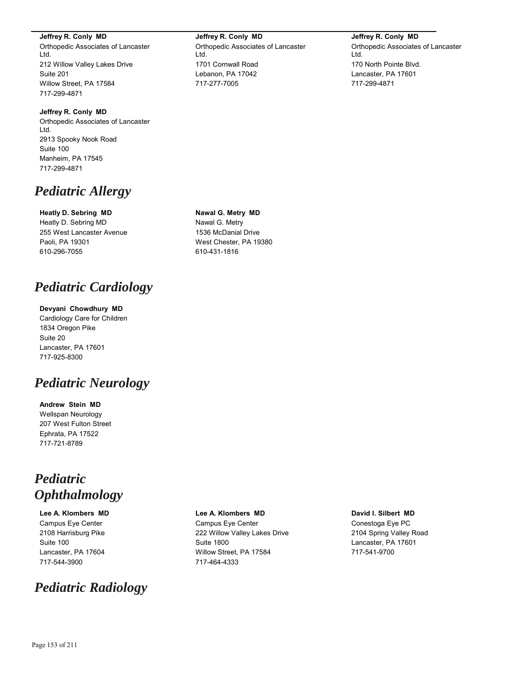**Jeffrey R. Conly MD**

Orthopedic Associates of Lancaster Ltd. 212 Willow Valley Lakes Drive Suite 201 Willow Street, PA 17584 717-299-4871

**Jeffrey R. Conly MD** Orthopedic Associates of Lancaster Ltd. 2913 Spooky Nook Road Suite 100 Manheim, PA 17545 717-299-4871

# *Pediatric Allergy*

## **Heatly D. Sebring MD**

Heatly D. Sebring MD 255 West Lancaster Avenue Paoli, PA 19301 610-296-7055

# *Pediatric Cardiology*

## **Devyani Chowdhury MD**

Cardiology Care for Children 1834 Oregon Pike Suite 20 Lancaster, PA 17601 717-925-8300

# *Pediatric Neurology*

**Andrew Stein MD** Wellspan Neurology 207 West Fulton Street Ephrata, PA 17522 717-721-8789

# *Pediatric Ophthalmology*

# **Lee A. Klombers MD**

Campus Eye Center 2108 Harrisburg Pike Suite 100 Lancaster, PA 17604 717-544-3900

# *Pediatric Radiology*

**Jeffrey R. Conly MD** Orthopedic Associates of Lancaster Ltd. 1701 Cornwall Road Lebanon, PA 17042 717-277-7005

**Jeffrey R. Conly MD** Orthopedic Associates of Lancaster Ltd. 170 North Pointe Blvd. Lancaster, PA 17601 717-299-4871

## **Nawal G. Metry MD** Nawal G. Metry 1536 McDanial Drive West Chester, PA 19380 610-431-1816

# **Lee A. Klombers MD**

Campus Eye Center 222 Willow Valley Lakes Drive Suite 1800 Willow Street, PA 17584 717-464-4333

## **David I. Silbert MD**

Conestoga Eye PC 2104 Spring Valley Road Lancaster, PA 17601 717-541-9700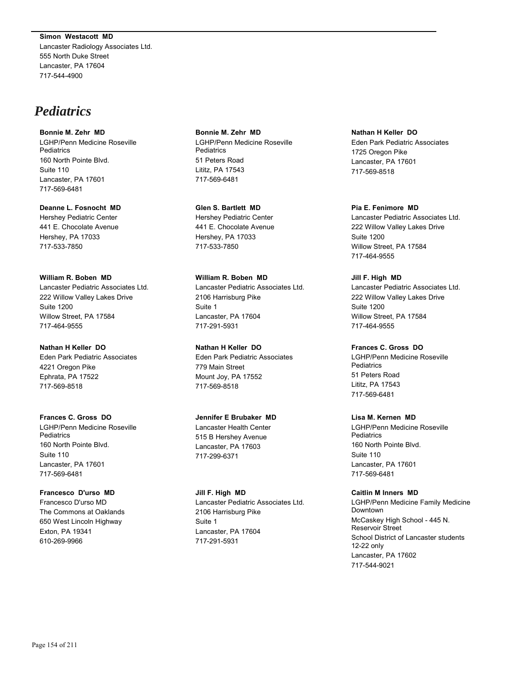**Simon Westacott MD** Lancaster Radiology Associates Ltd. 555 North Duke Street Lancaster, PA 17604 717-544-4900

# *Pediatrics*

**Bonnie M. Zehr MD** LGHP/Penn Medicine Roseville **Pediatrics** 160 North Pointe Blvd. Suite 110 Lancaster, PA 17601 717-569-6481

**Deanne L. Fosnocht MD** Hershey Pediatric Center 441 E. Chocolate Avenue Hershey, PA 17033 717-533-7850

**William R. Boben MD** Lancaster Pediatric Associates Ltd. 222 Willow Valley Lakes Drive Suite 1200 Willow Street, PA 17584 717-464-9555

**Nathan H Keller DO** Eden Park Pediatric Associates 4221 Oregon Pike Ephrata, PA 17522 717-569-8518

**Frances C. Gross DO** LGHP/Penn Medicine Roseville **Pediatrics** 160 North Pointe Blvd. Suite 110 Lancaster, PA 17601 717-569-6481

**Francesco D'urso MD** Francesco D'urso MD The Commons at Oaklands 650 West Lincoln Highway Exton, PA 19341 610-269-9966

**Bonnie M. Zehr MD** LGHP/Penn Medicine Roseville **Pediatrics** 51 Peters Road Lititz, PA 17543 717-569-6481

**Glen S. Bartlett MD** Hershey Pediatric Center 441 E. Chocolate Avenue Hershey, PA 17033 717-533-7850

**William R. Boben MD** Lancaster Pediatric Associates Ltd. 2106 Harrisburg Pike Suite 1 Lancaster, PA 17604 717-291-5931

**Nathan H Keller DO** Eden Park Pediatric Associates 779 Main Street Mount Joy, PA 17552 717-569-8518

**Jennifer E Brubaker MD** Lancaster Health Center 515 B Hershey Avenue Lancaster, PA 17603 717-299-6371

**Jill F. High MD** Lancaster Pediatric Associates Ltd. 2106 Harrisburg Pike Suite 1 Lancaster, PA 17604 717-291-5931

**Nathan H Keller DO** Eden Park Pediatric Associates 1725 Oregon Pike Lancaster, PA 17601 717-569-8518

**Pia E. Fenimore MD** Lancaster Pediatric Associates Ltd. 222 Willow Valley Lakes Drive Suite 1200 Willow Street, PA 17584 717-464-9555

**Jill F. High MD** Lancaster Pediatric Associates Ltd. 222 Willow Valley Lakes Drive Suite 1200 Willow Street, PA 17584 717-464-9555

**Frances C. Gross DO** LGHP/Penn Medicine Roseville **Pediatrics** 51 Peters Road Lititz, PA 17543 717-569-6481

**Lisa M. Kernen MD** LGHP/Penn Medicine Roseville **Pediatrics** 160 North Pointe Blvd. Suite 110 Lancaster, PA 17601

717-569-6481

**Caitlin M Inners MD** LGHP/Penn Medicine Family Medicine Downtown McCaskey High School - 445 N. Reservoir Street School District of Lancaster students 12-22 only Lancaster, PA 17602 717-544-9021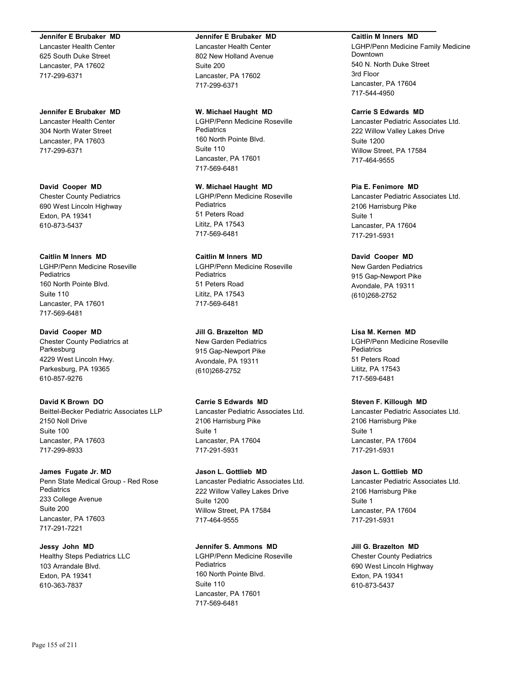#### **Jennifer E Brubaker MD**

Lancaster Health Center 625 South Duke Street Lancaster, PA 17602 717-299-6371

#### **Jennifer E Brubaker MD**

Lancaster Health Center 304 North Water Street Lancaster, PA 17603 717-299-6371

## **David Cooper MD** Chester County Pediatrics 690 West Lincoln Highway

Exton, PA 19341 610-873-5437

## **Caitlin M Inners MD**

LGHP/Penn Medicine Roseville **Pediatrics** 160 North Pointe Blvd. Suite 110 Lancaster, PA 17601 717-569-6481

## **David Cooper MD**

Chester County Pediatrics at Parkesburg 4229 West Lincoln Hwy. Parkesburg, PA 19365 610-857-9276

## **David K Brown DO**

Beittel-Becker Pediatric Associates LLP 2150 Noll Drive Suite 100 Lancaster, PA 17603 717-299-8933

# **James Fugate Jr. MD**

Penn State Medical Group - Red Rose Pediatrics 233 College Avenue Suite 200 Lancaster, PA 17603 717-291-7221

## **Jessy John MD** Healthy Steps Pediatrics LLC 103 Arrandale Blvd. Exton, PA 19341 610-363-7837

#### **Jennifer E Brubaker MD**

Lancaster Health Center 802 New Holland Avenue Suite 200 Lancaster, PA 17602 717-299-6371

#### **W. Michael Haught MD**

LGHP/Penn Medicine Roseville **Pediatrics** 160 North Pointe Blvd. Suite 110 Lancaster, PA 17601 717-569-6481

#### **W. Michael Haught MD** LGHP/Penn Medicine Roseville **Pediatrics** 51 Peters Road Lititz, PA 17543 717-569-6481

**Caitlin M Inners MD** LGHP/Penn Medicine Roseville **Pediatrics** 51 Peters Road Lititz, PA 17543 717-569-6481

## **Jill G. Brazelton MD**

New Garden Pediatrics 915 Gap-Newport Pike Avondale, PA 19311 (610)268-2752

## **Carrie S Edwards MD**

Lancaster Pediatric Associates Ltd. 2106 Harrisburg Pike Suite 1 Lancaster, PA 17604 717-291-5931

## **Jason L. Gottlieb MD** Lancaster Pediatric Associates Ltd. 222 Willow Valley Lakes Drive Suite 1200 Willow Street, PA 17584 717-464-9555

## **Jennifer S. Ammons MD**

LGHP/Penn Medicine Roseville **Pediatrics** 160 North Pointe Blvd. Suite 110 Lancaster, PA 17601 717-569-6481

#### **Caitlin M Inners MD**

LGHP/Penn Medicine Family Medicine Downtown 540 N. North Duke Street 3rd Floor Lancaster, PA 17604 717-544-4950

## **Carrie S Edwards MD**

Lancaster Pediatric Associates Ltd. 222 Willow Valley Lakes Drive Suite 1200 Willow Street, PA 17584 717-464-9555

## **Pia E. Fenimore MD**

Lancaster Pediatric Associates Ltd. 2106 Harrisburg Pike Suite 1 Lancaster, PA 17604 717-291-5931

## **David Cooper MD**

New Garden Pediatrics 915 Gap-Newport Pike Avondale, PA 19311 (610)268-2752

## **Lisa M. Kernen MD**

LGHP/Penn Medicine Roseville **Pediatrics** 51 Peters Road Lititz, PA 17543 717-569-6481

## **Steven F. Killough MD**

Lancaster Pediatric Associates Ltd. 2106 Harrisburg Pike Suite 1 Lancaster, PA 17604 717-291-5931

## **Jason L. Gottlieb MD**

Lancaster Pediatric Associates Ltd. 2106 Harrisburg Pike Suite 1 Lancaster, PA 17604 717-291-5931

## **Jill G. Brazelton MD**

Chester County Pediatrics 690 West Lincoln Highway Exton, PA 19341 610-873-5437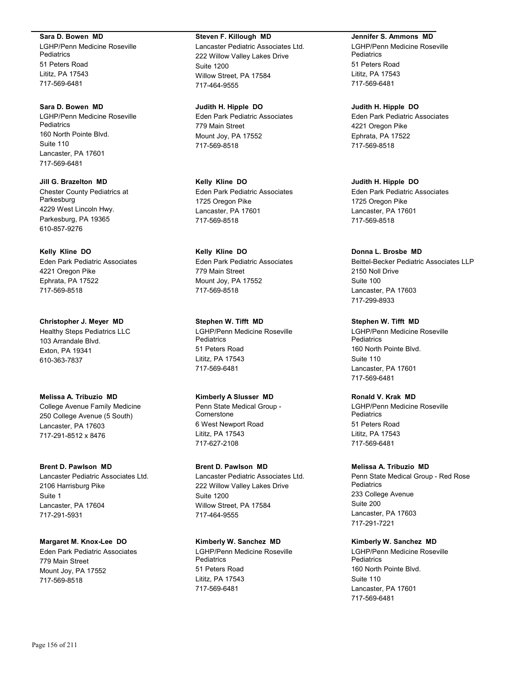**Sara D. Bowen MD**

LGHP/Penn Medicine Roseville **Pediatrics** 51 Peters Road Lititz, PA 17543 717-569-6481

**Sara D. Bowen MD** LGHP/Penn Medicine Roseville **Pediatrics** 160 North Pointe Blvd. Suite 110 Lancaster, PA 17601 717-569-6481

**Jill G. Brazelton MD** Chester County Pediatrics at Parkesburg 4229 West Lincoln Hwy. Parkesburg, PA 19365 610-857-9276

**Kelly Kline DO** Eden Park Pediatric Associates 4221 Oregon Pike Ephrata, PA 17522 717-569-8518

**Christopher J. Meyer MD** Healthy Steps Pediatrics LLC 103 Arrandale Blvd. Exton, PA 19341 610-363-7837

**Melissa A. Tribuzio MD** College Avenue Family Medicine 250 College Avenue (5 South) Lancaster, PA 17603 717-291-8512 x 8476

**Brent D. Pawlson MD** Lancaster Pediatric Associates Ltd. 2106 Harrisburg Pike Suite 1 Lancaster, PA 17604 717-291-5931

**Margaret M. Knox-Lee DO** Eden Park Pediatric Associates 779 Main Street Mount Joy, PA 17552 717-569-8518

**Steven F. Killough MD**

Lancaster Pediatric Associates Ltd. 222 Willow Valley Lakes Drive Suite 1200 Willow Street, PA 17584 717-464-9555

**Judith H. Hipple DO** Eden Park Pediatric Associates 779 Main Street Mount Joy, PA 17552 717-569-8518

**Kelly Kline DO** Eden Park Pediatric Associates 1725 Oregon Pike Lancaster, PA 17601 717-569-8518

**Kelly Kline DO** Eden Park Pediatric Associates 779 Main Street Mount Joy, PA 17552 717-569-8518

**Stephen W. Tifft MD** LGHP/Penn Medicine Roseville **Pediatrics** 51 Peters Road Lititz, PA 17543 717-569-6481

**Kimberly A Slusser MD** Penn State Medical Group - **Cornerstone** 6 West Newport Road Lititz, PA 17543 717-627-2108

**Brent D. Pawlson MD** Lancaster Pediatric Associates Ltd. 222 Willow Valley Lakes Drive Suite 1200 Willow Street, PA 17584 717-464-9555

**Kimberly W. Sanchez MD** LGHP/Penn Medicine Roseville **Pediatrics** 51 Peters Road Lititz, PA 17543 717-569-6481

**Jennifer S. Ammons MD**

LGHP/Penn Medicine Roseville **Pediatrics** 51 Peters Road Lititz, PA 17543 717-569-6481

**Judith H. Hipple DO** Eden Park Pediatric Associates 4221 Oregon Pike Ephrata, PA 17522 717-569-8518

**Judith H. Hipple DO** Eden Park Pediatric Associates 1725 Oregon Pike Lancaster, PA 17601 717-569-8518

**Donna L. Brosbe MD** Beittel-Becker Pediatric Associates LLP 2150 Noll Drive Suite 100 Lancaster, PA 17603 717-299-8933

**Stephen W. Tifft MD** LGHP/Penn Medicine Roseville **Pediatrics** 160 North Pointe Blvd. Suite 110 Lancaster, PA 17601 717-569-6481

**Ronald V. Krak MD** LGHP/Penn Medicine Roseville Pediatrics 51 Peters Road Lititz, PA 17543 717-569-6481

**Melissa A. Tribuzio MD** Penn State Medical Group - Red Rose **Pediatrics** 233 College Avenue Suite 200 Lancaster, PA 17603 717-291-7221

**Kimberly W. Sanchez MD** LGHP/Penn Medicine Roseville **Pediatrics** 160 North Pointe Blvd. Suite 110 Lancaster, PA 17601 717-569-6481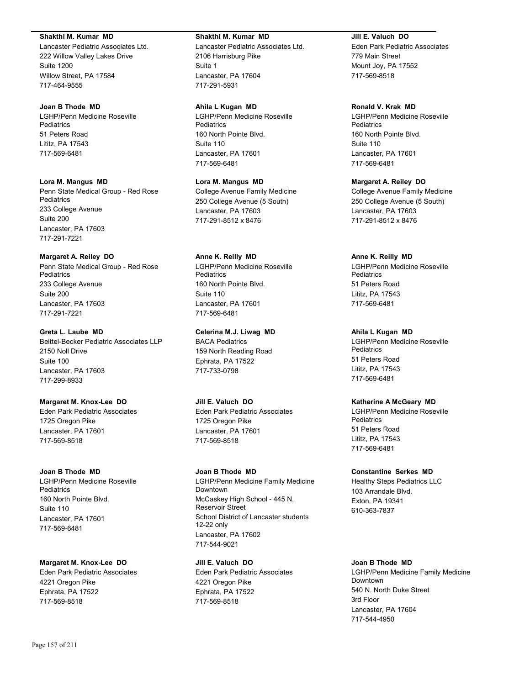#### **Shakthi M. Kumar MD**

Lancaster Pediatric Associates Ltd. 222 Willow Valley Lakes Drive Suite 1200 Willow Street, PA 17584 717-464-9555

#### **Joan B Thode MD**

LGHP/Penn Medicine Roseville **Pediatrics** 51 Peters Road Lititz, PA 17543 717-569-6481

#### **Lora M. Mangus MD**

Penn State Medical Group - Red Rose **Pediatrics** 233 College Avenue Suite 200 Lancaster, PA 17603 717-291-7221

## **Margaret A. Reiley DO**

Penn State Medical Group - Red Rose **Pediatrics** 233 College Avenue Suite 200 Lancaster, PA 17603 717-291-7221

#### **Greta L. Laube MD**

Beittel-Becker Pediatric Associates LLP 2150 Noll Drive Suite 100 Lancaster, PA 17603 717-299-8933

#### **Margaret M. Knox-Lee DO**

Eden Park Pediatric Associates 1725 Oregon Pike Lancaster, PA 17601 717-569-8518

## **Joan B Thode MD**

LGHP/Penn Medicine Roseville **Pediatrics** 160 North Pointe Blvd. Suite 110 Lancaster, PA 17601 717-569-6481

#### **Margaret M. Knox-Lee DO**

Eden Park Pediatric Associates 4221 Oregon Pike Ephrata, PA 17522 717-569-8518

#### **Shakthi M. Kumar MD**

Lancaster Pediatric Associates Ltd. 2106 Harrisburg Pike Suite 1 Lancaster, PA 17604 717-291-5931

#### **Ahila L Kugan MD**

LGHP/Penn Medicine Roseville **Pediatrics** 160 North Pointe Blvd. Suite 110 Lancaster, PA 17601 717-569-6481

#### **Lora M. Mangus MD**

College Avenue Family Medicine 250 College Avenue (5 South) Lancaster, PA 17603 717-291-8512 x 8476

## **Anne K. Reilly MD**

LGHP/Penn Medicine Roseville **Pediatrics** 160 North Pointe Blvd. Suite 110 Lancaster, PA 17601 717-569-6481

## **Celerina M.J. Liwag MD**

BACA Pediatrics 159 North Reading Road Ephrata, PA 17522 717-733-0798

**Jill E. Valuch DO** Eden Park Pediatric Associates 1725 Oregon Pike Lancaster, PA 17601 717-569-8518

#### **Joan B Thode MD**

LGHP/Penn Medicine Family Medicine Downtown McCaskey High School - 445 N. Reservoir Street School District of Lancaster students 12-22 only Lancaster, PA 17602 717-544-9021

#### **Jill E. Valuch DO**

Eden Park Pediatric Associates 4221 Oregon Pike Ephrata, PA 17522 717-569-8518

#### **Jill E. Valuch DO**

Eden Park Pediatric Associates 779 Main Street Mount Joy, PA 17552 717-569-8518

## **Ronald V. Krak MD**

LGHP/Penn Medicine Roseville **Pediatrics** 160 North Pointe Blvd. Suite 110 Lancaster, PA 17601 717-569-6481

#### **Margaret A. Reiley DO**

College Avenue Family Medicine 250 College Avenue (5 South) Lancaster, PA 17603 717-291-8512 x 8476

#### **Anne K. Reilly MD**

LGHP/Penn Medicine Roseville **Pediatrics** 51 Peters Road Lititz, PA 17543 717-569-6481

#### **Ahila L Kugan MD**

LGHP/Penn Medicine Roseville **Pediatrics** 51 Peters Road Lititz, PA 17543 717-569-6481

#### **Katherine A McGeary MD**

LGHP/Penn Medicine Roseville **Pediatrics** 51 Peters Road Lititz, PA 17543 717-569-6481

#### **Constantine Serkes MD**

Healthy Steps Pediatrics LLC 103 Arrandale Blvd. Exton, PA 19341 610-363-7837

## **Joan B Thode MD**

LGHP/Penn Medicine Family Medicine Downtown 540 N. North Duke Street 3rd Floor Lancaster, PA 17604 717-544-4950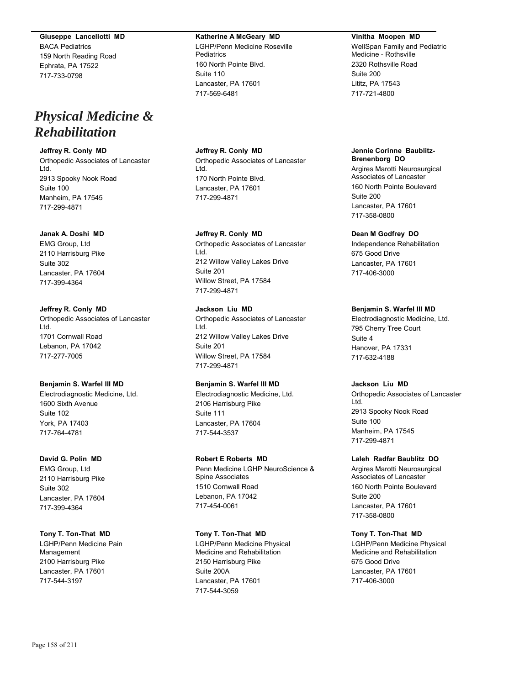**Giuseppe Lancellotti MD** BACA Pediatrics 159 North Reading Road Ephrata, PA 17522 717-733-0798

# *Physical Medicine & Rehabilitation*

## **Jeffrey R. Conly MD**

Orthopedic Associates of Lancaster Ltd. 2913 Spooky Nook Road Suite 100 Manheim, PA 17545 717-299-4871

## **Janak A. Doshi MD**

EMG Group, Ltd 2110 Harrisburg Pike Suite 302 Lancaster, PA 17604 717-399-4364

## **Jeffrey R. Conly MD**

Orthopedic Associates of Lancaster Ltd. 1701 Cornwall Road Lebanon, PA 17042 717-277-7005

## **Benjamin S. Warfel III MD**

Electrodiagnostic Medicine, Ltd. 1600 Sixth Avenue Suite 102 York, PA 17403 717-764-4781

#### **David G. Polin MD**

EMG Group, Ltd 2110 Harrisburg Pike Suite 302 Lancaster, PA 17604 717-399-4364

## **Tony T. Ton-That MD**

LGHP/Penn Medicine Pain Management 2100 Harrisburg Pike Lancaster, PA 17601 717-544-3197

## **Katherine A McGeary MD**

LGHP/Penn Medicine Roseville **Pediatrics** 160 North Pointe Blvd. Suite 110 Lancaster, PA 17601 717-569-6481

**Jeffrey R. Conly MD** Orthopedic Associates of Lancaster Ltd. 170 North Pointe Blvd. Lancaster, PA 17601 717-299-4871

## **Jeffrey R. Conly MD**

Orthopedic Associates of Lancaster Ltd. 212 Willow Valley Lakes Drive Suite 201 Willow Street, PA 17584 717-299-4871

## **Jackson Liu MD**

Orthopedic Associates of Lancaster Ltd. 212 Willow Valley Lakes Drive Suite 201 Willow Street, PA 17584 717-299-4871

## **Benjamin S. Warfel III MD**

Electrodiagnostic Medicine, Ltd. 2106 Harrisburg Pike Suite 111 Lancaster, PA 17604 717-544-3537

## **Robert E Roberts MD**

Penn Medicine LGHP NeuroScience & Spine Associates 1510 Cornwall Road Lebanon, PA 17042 717-454-0061

## **Tony T. Ton-That MD**

LGHP/Penn Medicine Physical Medicine and Rehabilitation 2150 Harrisburg Pike Suite 200A Lancaster, PA 17601 717-544-3059

#### **Vinitha Moopen MD**

WellSpan Family and Pediatric Medicine - Rothsville 2320 Rothsville Road Suite 200 Lititz, PA 17543 717-721-4800

## **Jennie Corinne Baublitz-Brenenborg DO** Argires Marotti Neurosurgical Associates of Lancaster 160 North Pointe Boulevard Suite 200

Lancaster, PA 17601 717-358-0800

## **Dean M Godfrey DO**

Independence Rehabilitation 675 Good Drive Lancaster, PA 17601 717-406-3000

## **Benjamin S. Warfel III MD**

Electrodiagnostic Medicine, Ltd. 795 Cherry Tree Court Suite 4 Hanover, PA 17331 717-632-4188

## **Jackson Liu MD**

Orthopedic Associates of Lancaster Ltd. 2913 Spooky Nook Road Suite 100 Manheim, PA 17545 717-299-4871

## **Laleh Radfar Baublitz DO**

Argires Marotti Neurosurgical Associates of Lancaster 160 North Pointe Boulevard Suite 200 Lancaster, PA 17601 717-358-0800

## **Tony T. Ton-That MD**

LGHP/Penn Medicine Physical Medicine and Rehabilitation 675 Good Drive Lancaster, PA 17601 717-406-3000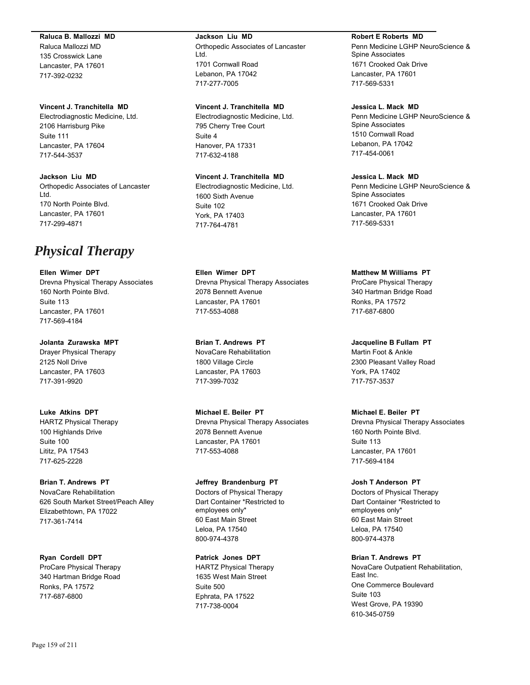### **Raluca B. Mallozzi MD**

Raluca Mallozzi MD 135 Crosswick Lane Lancaster, PA 17601 717-392-0232

#### **Vincent J. Tranchitella MD**

Electrodiagnostic Medicine, Ltd. 2106 Harrisburg Pike Suite 111 Lancaster, PA 17604 717-544-3537

**Jackson Liu MD** Orthopedic Associates of Lancaster Ltd. 170 North Pointe Blvd. Lancaster, PA 17601 717-299-4871

# *Physical Therapy*

**Ellen Wimer DPT** Drevna Physical Therapy Associates 160 North Pointe Blvd. Suite 113 Lancaster, PA 17601 717-569-4184

**Jolanta Zurawska MPT**

Drayer Physical Therapy 2125 Noll Drive Lancaster, PA 17603 717-391-9920

**Luke Atkins DPT** HARTZ Physical Therapy 100 Highlands Drive Suite 100 Lititz, PA 17543 717-625-2228

**Brian T. Andrews PT** NovaCare Rehabilitation 626 South Market Street/Peach Alley Elizabethtown, PA 17022 717-361-7414

**Ryan Cordell DPT** ProCare Physical Therapy 340 Hartman Bridge Road Ronks, PA 17572 717-687-6800

#### **Jackson Liu MD**

Orthopedic Associates of Lancaster Ltd. 1701 Cornwall Road Lebanon, PA 17042 717-277-7005

#### **Vincent J. Tranchitella MD**

Electrodiagnostic Medicine, Ltd. 795 Cherry Tree Court Suite 4 Hanover, PA 17331 717-632-4188

## **Vincent J. Tranchitella MD**

Electrodiagnostic Medicine, Ltd. 1600 Sixth Avenue Suite 102 York, PA 17403 717-764-4781

**Ellen Wimer DPT**

Drevna Physical Therapy Associates 2078 Bennett Avenue Lancaster, PA 17601 717-553-4088

**Brian T. Andrews PT** NovaCare Rehabilitation 1800 Village Circle Lancaster, PA 17603 717-399-7032

**Michael E. Beiler PT** Drevna Physical Therapy Associates 2078 Bennett Avenue Lancaster, PA 17601 717-553-4088

# **Jeffrey Brandenburg PT**

Doctors of Physical Therapy Dart Container \*Restricted to employees only\* 60 East Main Street Leloa, PA 17540 800-974-4378

**Patrick Jones DPT** HARTZ Physical Therapy 1635 West Main Street Suite 500 Ephrata, PA 17522 717-738-0004

#### **Robert E Roberts MD**

Penn Medicine LGHP NeuroScience & Spine Associates 1671 Crooked Oak Drive Lancaster, PA 17601 717-569-5331

## **Jessica L. Mack MD**

Penn Medicine LGHP NeuroScience & Spine Associates 1510 Cornwall Road Lebanon, PA 17042 717-454-0061

## **Jessica L. Mack MD**

Penn Medicine LGHP NeuroScience & Spine Associates 1671 Crooked Oak Drive Lancaster, PA 17601 717-569-5331

#### **Matthew M Williams PT**

ProCare Physical Therapy 340 Hartman Bridge Road Ronks, PA 17572 717-687-6800

**Jacqueline B Fullam PT** Martin Foot & Ankle 2300 Pleasant Valley Road York, PA 17402 717-757-3537

## **Michael E. Beiler PT**

Drevna Physical Therapy Associates 160 North Pointe Blvd. Suite 113 Lancaster, PA 17601 717-569-4184

## **Josh T Anderson PT**

Doctors of Physical Therapy Dart Container \*Restricted to employees only\* 60 East Main Street Leloa, PA 17540 800-974-4378

**Brian T. Andrews PT**

NovaCare Outpatient Rehabilitation, East Inc. One Commerce Boulevard Suite 103 West Grove, PA 19390 610-345-0759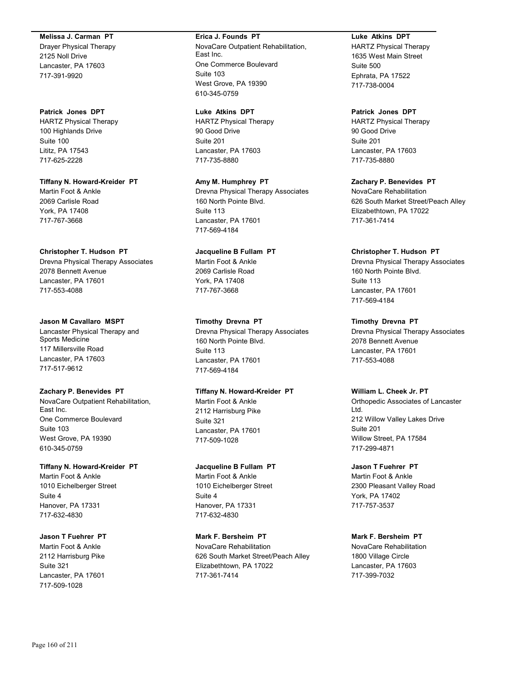#### **Melissa J. Carman PT**

Drayer Physical Therapy 2125 Noll Drive Lancaster, PA 17603 717-391-9920

**Patrick Jones DPT** HARTZ Physical Therapy 100 Highlands Drive Suite 100 Lititz, PA 17543 717-625-2228

**Tiffany N. Howard-Kreider PT** Martin Foot & Ankle 2069 Carlisle Road York, PA 17408 717-767-3668

#### **Christopher T. Hudson PT**

Drevna Physical Therapy Associates 2078 Bennett Avenue Lancaster, PA 17601 717-553-4088

#### **Jason M Cavallaro MSPT**

Lancaster Physical Therapy and Sports Medicine 117 Millersville Road Lancaster, PA 17603 717-517-9612

#### **Zachary P. Benevides PT**

NovaCare Outpatient Rehabilitation, East Inc. One Commerce Boulevard Suite 103 West Grove, PA 19390 610-345-0759

#### **Tiffany N. Howard-Kreider PT**

Martin Foot & Ankle 1010 Eichelberger Street Suite 4 Hanover, PA 17331 717-632-4830

#### **Jason T Fuehrer PT**

Martin Foot & Ankle 2112 Harrisburg Pike Suite 321 Lancaster, PA 17601 717-509-1028

## **Erica J. Founds PT**

NovaCare Outpatient Rehabilitation, East Inc. One Commerce Boulevard Suite 103 West Grove, PA 19390 610-345-0759

#### **Luke Atkins DPT**

HARTZ Physical Therapy 90 Good Drive Suite 201 Lancaster, PA 17603 717-735-8880

**Amy M. Humphrey PT** Drevna Physical Therapy Associates 160 North Pointe Blvd. Suite 113 Lancaster, PA 17601 717-569-4184

# **Jacqueline B Fullam PT** Martin Foot & Ankle

2069 Carlisle Road York, PA 17408 717-767-3668

#### **Timothy Drevna PT**

Drevna Physical Therapy Associates 160 North Pointe Blvd. Suite 113 Lancaster, PA 17601 717-569-4184

## **Tiffany N. Howard-Kreider PT**

Martin Foot & Ankle 2112 Harrisburg Pike Suite 321 Lancaster, PA 17601 717-509-1028

## **Jacqueline B Fullam PT**

Martin Foot & Ankle 1010 Eichelberger Street Suite 4 Hanover, PA 17331 717-632-4830

#### **Mark F. Bersheim PT**

NovaCare Rehabilitation 626 South Market Street/Peach Alley Elizabethtown, PA 17022 717-361-7414

## **Luke Atkins DPT**

HARTZ Physical Therapy 1635 West Main Street Suite 500 Ephrata, PA 17522 717-738-0004

## **Patrick Jones DPT**

HARTZ Physical Therapy 90 Good Drive Suite 201 Lancaster, PA 17603 717-735-8880

**Zachary P. Benevides PT**

NovaCare Rehabilitation 626 South Market Street/Peach Alley Elizabethtown, PA 17022 717-361-7414

#### **Christopher T. Hudson PT**

Drevna Physical Therapy Associates 160 North Pointe Blvd. Suite 113 Lancaster, PA 17601 717-569-4184

#### **Timothy Drevna PT**

Drevna Physical Therapy Associates 2078 Bennett Avenue Lancaster, PA 17601 717-553-4088

## **William L. Cheek Jr. PT**

Orthopedic Associates of Lancaster Ltd. 212 Willow Valley Lakes Drive Suite 201 Willow Street, PA 17584 717-299-4871

## **Jason T Fuehrer PT**

Martin Foot & Ankle 2300 Pleasant Valley Road York, PA 17402 717-757-3537

#### **Mark F. Bersheim PT**

NovaCare Rehabilitation 1800 Village Circle Lancaster, PA 17603 717-399-7032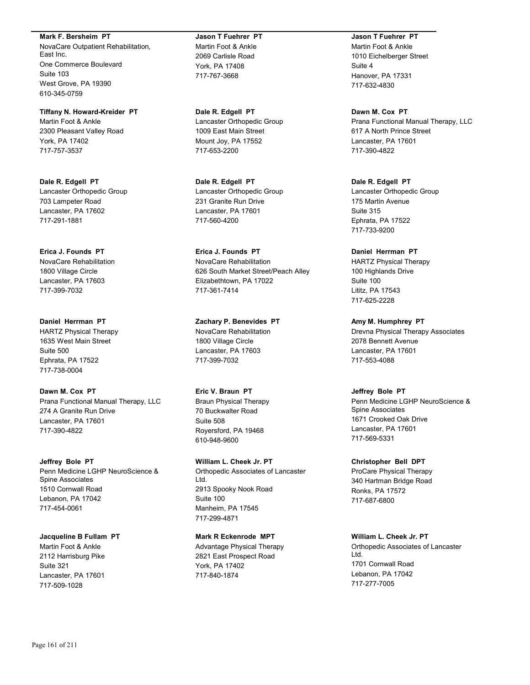**Mark F. Bersheim PT** NovaCare Outpatient Rehabilitation, East Inc. One Commerce Boulevard Suite 103 West Grove, PA 19390 610-345-0759

**Tiffany N. Howard-Kreider PT** Martin Foot & Ankle 2300 Pleasant Valley Road York, PA 17402 717-757-3537

**Dale R. Edgell PT** Lancaster Orthopedic Group 703 Lampeter Road Lancaster, PA 17602 717-291-1881

**Erica J. Founds PT** NovaCare Rehabilitation 1800 Village Circle Lancaster, PA 17603 717-399-7032

**Daniel Herrman PT** HARTZ Physical Therapy 1635 West Main Street Suite 500 Ephrata, PA 17522 717-738-0004

**Dawn M. Cox PT** Prana Functional Manual Therapy, LLC 274 A Granite Run Drive Lancaster, PA 17601 717-390-4822

**Jeffrey Bole PT** Penn Medicine LGHP NeuroScience & Spine Associates 1510 Cornwall Road Lebanon, PA 17042 717-454-0061

**Jacqueline B Fullam PT** Martin Foot & Ankle 2112 Harrisburg Pike Suite 321 Lancaster, PA 17601 717-509-1028

**Jason T Fuehrer PT** Martin Foot & Ankle 2069 Carlisle Road York, PA 17408 717-767-3668

**Dale R. Edgell PT** Lancaster Orthopedic Group 1009 East Main Street Mount Joy, PA 17552 717-653-2200

**Dale R. Edgell PT** Lancaster Orthopedic Group 231 Granite Run Drive Lancaster, PA 17601 717-560-4200

**Erica J. Founds PT** NovaCare Rehabilitation 626 South Market Street/Peach Alley Elizabethtown, PA 17022 717-361-7414

**Zachary P. Benevides PT** NovaCare Rehabilitation 1800 Village Circle Lancaster, PA 17603 717-399-7032

**Eric V. Braun PT** Braun Physical Therapy 70 Buckwalter Road Suite 508 Royersford, PA 19468 610-948-9600

**William L. Cheek Jr. PT** Orthopedic Associates of Lancaster Ltd. 2913 Spooky Nook Road Suite 100 Manheim, PA 17545 717-299-4871

**Mark R Eckenrode MPT** Advantage Physical Therapy 2821 East Prospect Road York, PA 17402 717-840-1874

**Jason T Fuehrer PT** Martin Foot & Ankle 1010 Eichelberger Street Suite 4 Hanover, PA 17331 717-632-4830

**Dawn M. Cox PT** Prana Functional Manual Therapy, LLC 617 A North Prince Street Lancaster, PA 17601 717-390-4822

**Dale R. Edgell PT** Lancaster Orthopedic Group 175 Martin Avenue Suite 315 Ephrata, PA 17522 717-733-9200

**Daniel Herrman PT** HARTZ Physical Therapy 100 Highlands Drive Suite 100 Lititz, PA 17543 717-625-2228

**Amy M. Humphrey PT** Drevna Physical Therapy Associates 2078 Bennett Avenue Lancaster, PA 17601 717-553-4088

**Jeffrey Bole PT** Penn Medicine LGHP NeuroScience & Spine Associates 1671 Crooked Oak Drive Lancaster, PA 17601 717-569-5331

**Christopher Bell DPT** ProCare Physical Therapy 340 Hartman Bridge Road Ronks, PA 17572 717-687-6800

**William L. Cheek Jr. PT** Orthopedic Associates of Lancaster Ltd. 1701 Cornwall Road Lebanon, PA 17042 717-277-7005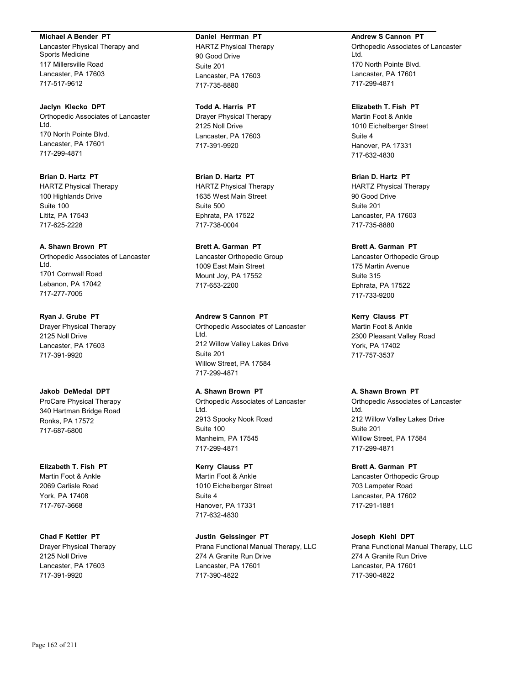#### **Michael A Bender PT**

Lancaster Physical Therapy and Sports Medicine 117 Millersville Road Lancaster, PA 17603 717-517-9612

**Jaclyn Klecko DPT** Orthopedic Associates of Lancaster Ltd. 170 North Pointe Blvd. Lancaster, PA 17601 717-299-4871

**Brian D. Hartz PT** HARTZ Physical Therapy 100 Highlands Drive Suite 100 Lititz, PA 17543 717-625-2228

**A. Shawn Brown PT** Orthopedic Associates of Lancaster Ltd. 1701 Cornwall Road

Lebanon, PA 17042 717-277-7005

**Ryan J. Grube PT** Drayer Physical Therapy 2125 Noll Drive Lancaster, PA 17603 717-391-9920

**Jakob DeMedal DPT** ProCare Physical Therapy 340 Hartman Bridge Road Ronks, PA 17572 717-687-6800

**Elizabeth T. Fish PT** Martin Foot & Ankle 2069 Carlisle Road York, PA 17408 717-767-3668

**Chad F Kettler PT** Drayer Physical Therapy 2125 Noll Drive Lancaster, PA 17603 717-391-9920

**Daniel Herrman PT** HARTZ Physical Therapy 90 Good Drive Suite 201 Lancaster, PA 17603 717-735-8880

**Todd A. Harris PT** Drayer Physical Therapy 2125 Noll Drive Lancaster, PA 17603 717-391-9920

**Brian D. Hartz PT** HARTZ Physical Therapy 1635 West Main Street Suite 500 Ephrata, PA 17522 717-738-0004

**Brett A. Garman PT** Lancaster Orthopedic Group 1009 East Main Street Mount Joy, PA 17552 717-653-2200

**Andrew S Cannon PT** Orthopedic Associates of Lancaster Ltd. 212 Willow Valley Lakes Drive Suite 201 Willow Street, PA 17584 717-299-4871

**A. Shawn Brown PT** Orthopedic Associates of Lancaster Ltd. 2913 Spooky Nook Road Suite 100 Manheim, PA 17545 717-299-4871

**Kerry Clauss PT** Martin Foot & Ankle 1010 Eichelberger Street Suite 4 Hanover, PA 17331 717-632-4830

**Justin Geissinger PT** Prana Functional Manual Therapy, LLC 274 A Granite Run Drive Lancaster, PA 17601 717-390-4822

**Andrew S Cannon PT** Orthopedic Associates of Lancaster Ltd. 170 North Pointe Blvd. Lancaster, PA 17601 717-299-4871

**Elizabeth T. Fish PT** Martin Foot & Ankle 1010 Eichelberger Street Suite 4 Hanover, PA 17331 717-632-4830

**Brian D. Hartz PT** HARTZ Physical Therapy 90 Good Drive Suite 201 Lancaster, PA 17603 717-735-8880

**Brett A. Garman PT** Lancaster Orthopedic Group 175 Martin Avenue Suite 315 Ephrata, PA 17522 717-733-9200

**Kerry Clauss PT** Martin Foot & Ankle 2300 Pleasant Valley Road York, PA 17402 717-757-3537

**A. Shawn Brown PT**

Orthopedic Associates of Lancaster Ltd. 212 Willow Valley Lakes Drive Suite 201 Willow Street, PA 17584 717-299-4871

**Brett A. Garman PT** Lancaster Orthopedic Group 703 Lampeter Road Lancaster, PA 17602 717-291-1881

**Joseph Kiehl DPT** Prana Functional Manual Therapy, LLC 274 A Granite Run Drive Lancaster, PA 17601 717-390-4822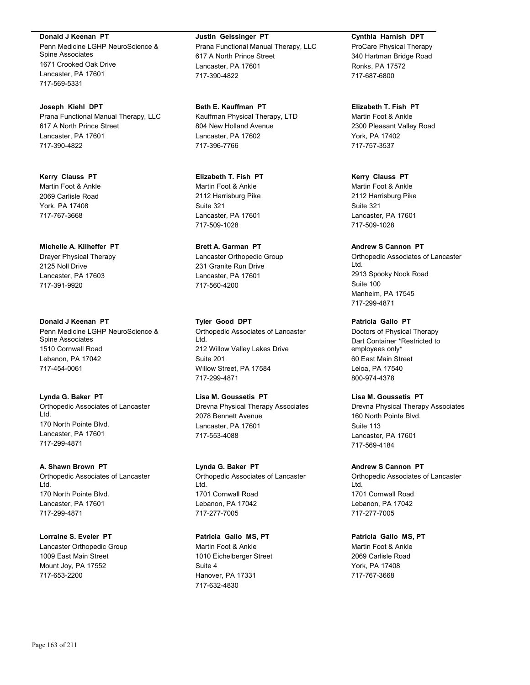**Donald J Keenan PT** Penn Medicine LGHP NeuroScience & Spine Associates 1671 Crooked Oak Drive Lancaster, PA 17601 717-569-5331

**Joseph Kiehl DPT** Prana Functional Manual Therapy, LLC 617 A North Prince Street Lancaster, PA 17601 717-390-4822

**Kerry Clauss PT** Martin Foot & Ankle 2069 Carlisle Road York, PA 17408 717-767-3668

**Michelle A. Kilheffer PT** Drayer Physical Therapy 2125 Noll Drive Lancaster, PA 17603 717-391-9920

**Donald J Keenan PT** Penn Medicine LGHP NeuroScience & Spine Associates 1510 Cornwall Road Lebanon, PA 17042 717-454-0061

**Lynda G. Baker PT** Orthopedic Associates of Lancaster Ltd. 170 North Pointe Blvd. Lancaster, PA 17601 717-299-4871

**A. Shawn Brown PT** Orthopedic Associates of Lancaster Ltd. 170 North Pointe Blvd. Lancaster, PA 17601 717-299-4871

**Lorraine S. Eveler PT** Lancaster Orthopedic Group 1009 East Main Street Mount Joy, PA 17552 717-653-2200

**Justin Geissinger PT** Prana Functional Manual Therapy, LLC 617 A North Prince Street Lancaster, PA 17601 717-390-4822

**Beth E. Kauffman PT** Kauffman Physical Therapy, LTD 804 New Holland Avenue Lancaster, PA 17602 717-396-7766

**Elizabeth T. Fish PT** Martin Foot & Ankle 2112 Harrisburg Pike Suite 321 Lancaster, PA 17601 717-509-1028

**Brett A. Garman PT** Lancaster Orthopedic Group 231 Granite Run Drive Lancaster, PA 17601 717-560-4200

**Tyler Good DPT** Orthopedic Associates of Lancaster Ltd. 212 Willow Valley Lakes Drive Suite 201 Willow Street, PA 17584 717-299-4871

**Lisa M. Goussetis PT** Drevna Physical Therapy Associates 2078 Bennett Avenue Lancaster, PA 17601 717-553-4088

**Lynda G. Baker PT** Orthopedic Associates of Lancaster Ltd. 1701 Cornwall Road Lebanon, PA 17042 717-277-7005

**Patricia Gallo MS, PT** Martin Foot & Ankle 1010 Eichelberger Street Suite 4 Hanover, PA 17331 717-632-4830

**Cynthia Harnish DPT** ProCare Physical Therapy 340 Hartman Bridge Road Ronks, PA 17572 717-687-6800

**Elizabeth T. Fish PT** Martin Foot & Ankle 2300 Pleasant Valley Road York, PA 17402 717-757-3537

**Kerry Clauss PT** Martin Foot & Ankle 2112 Harrisburg Pike Suite 321 Lancaster, PA 17601 717-509-1028

**Andrew S Cannon PT** Orthopedic Associates of Lancaster Ltd. 2913 Spooky Nook Road Suite 100 Manheim, PA 17545 717-299-4871

**Patricia Gallo PT** Doctors of Physical Therapy Dart Container \*Restricted to employees only\* 60 East Main Street Leloa, PA 17540 800-974-4378

**Lisa M. Goussetis PT** Drevna Physical Therapy Associates 160 North Pointe Blvd. Suite 113 Lancaster, PA 17601 717-569-4184

**Andrew S Cannon PT** Orthopedic Associates of Lancaster Ltd. 1701 Cornwall Road Lebanon, PA 17042 717-277-7005

**Patricia Gallo MS, PT** Martin Foot & Ankle 2069 Carlisle Road York, PA 17408 717-767-3668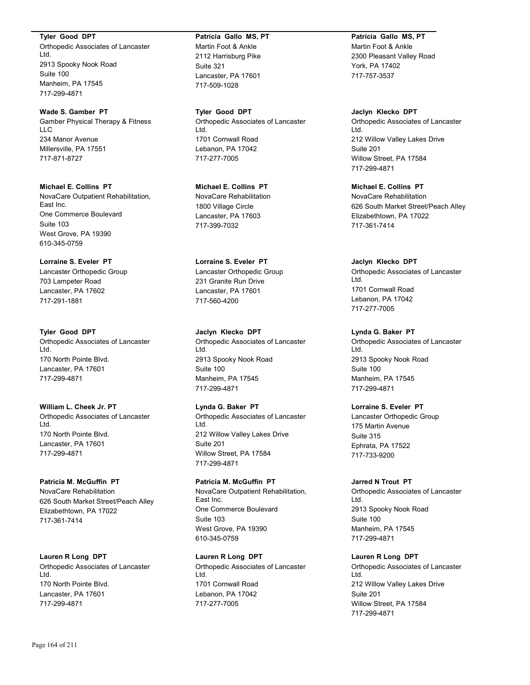**Tyler Good DPT**

Orthopedic Associates of Lancaster Ltd. 2913 Spooky Nook Road Suite 100 Manheim, PA 17545 717-299-4871

**Wade S. Gamber PT** Gamber Physical Therapy & Fitness LLC 234 Manor Avenue Millersville, PA 17551 717-871-8727

**Michael E. Collins PT** NovaCare Outpatient Rehabilitation, East Inc. One Commerce Boulevard Suite 103 West Grove, PA 19390 610-345-0759

**Lorraine S. Eveler PT** Lancaster Orthopedic Group 703 Lampeter Road Lancaster, PA 17602 717-291-1881

**Tyler Good DPT** Orthopedic Associates of Lancaster Ltd. 170 North Pointe Blvd. Lancaster, PA 17601 717-299-4871

**William L. Cheek Jr. PT** Orthopedic Associates of Lancaster Ltd. 170 North Pointe Blvd. Lancaster, PA 17601 717-299-4871

## **Patricia M. McGuffin PT** NovaCare Rehabilitation 626 South Market Street/Peach Alley Elizabethtown, PA 17022 717-361-7414

**Lauren R Long DPT** Orthopedic Associates of Lancaster Ltd. 170 North Pointe Blvd. Lancaster, PA 17601 717-299-4871

## **Patricia Gallo MS, PT** Martin Foot & Ankle 2112 Harrisburg Pike Suite 321 Lancaster, PA 17601 717-509-1028

**Tyler Good DPT** Orthopedic Associates of Lancaster Ltd. 1701 Cornwall Road Lebanon, PA 17042 717-277-7005

**Michael E. Collins PT** NovaCare Rehabilitation 1800 Village Circle Lancaster, PA 17603 717-399-7032

**Lorraine S. Eveler PT** Lancaster Orthopedic Group 231 Granite Run Drive Lancaster, PA 17601 717-560-4200

**Jaclyn Klecko DPT** Orthopedic Associates of Lancaster Ltd. 2913 Spooky Nook Road Suite 100 Manheim, PA 17545 717-299-4871

**Lynda G. Baker PT** Orthopedic Associates of Lancaster Ltd. 212 Willow Valley Lakes Drive Suite 201 Willow Street, PA 17584 717-299-4871

**Patricia M. McGuffin PT** NovaCare Outpatient Rehabilitation, East Inc. One Commerce Boulevard Suite 103 West Grove, PA 19390 610-345-0759

**Lauren R Long DPT** Orthopedic Associates of Lancaster Ltd. 1701 Cornwall Road Lebanon, PA 17042 717-277-7005

**Patricia Gallo MS, PT** Martin Foot & Ankle 2300 Pleasant Valley Road York, PA 17402 717-757-3537

**Jaclyn Klecko DPT** Orthopedic Associates of Lancaster Ltd. 212 Willow Valley Lakes Drive Suite 201 Willow Street, PA 17584 717-299-4871

**Michael E. Collins PT** NovaCare Rehabilitation 626 South Market Street/Peach Alley Elizabethtown, PA 17022 717-361-7414

**Jaclyn Klecko DPT** Orthopedic Associates of Lancaster Ltd. 1701 Cornwall Road Lebanon, PA 17042 717-277-7005

**Lynda G. Baker PT** Orthopedic Associates of Lancaster Ltd. 2913 Spooky Nook Road Suite 100 Manheim, PA 17545 717-299-4871

**Lorraine S. Eveler PT** Lancaster Orthopedic Group 175 Martin Avenue Suite 315 Ephrata, PA 17522 717-733-9200

**Jarred N Trout PT** Orthopedic Associates of Lancaster Ltd. 2913 Spooky Nook Road Suite 100 Manheim, PA 17545 717-299-4871

**Lauren R Long DPT** Orthopedic Associates of Lancaster Ltd. 212 Willow Valley Lakes Drive Suite 201 Willow Street, PA 17584 717-299-4871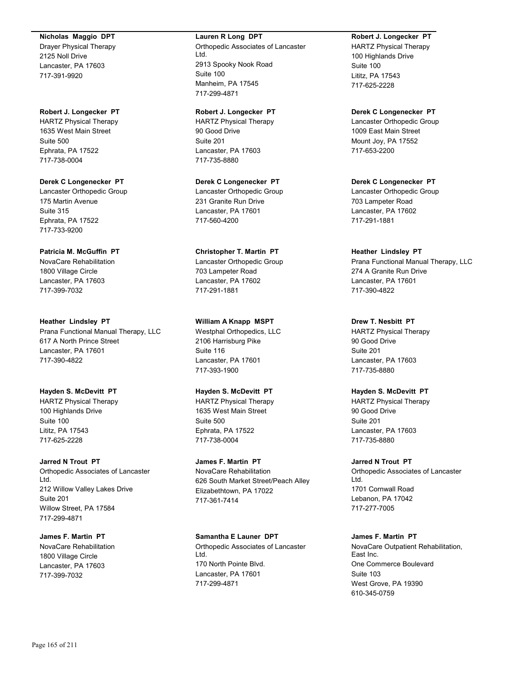#### **Nicholas Maggio DPT**

Drayer Physical Therapy 2125 Noll Drive Lancaster, PA 17603 717-391-9920

**Robert J. Longecker PT** HARTZ Physical Therapy 1635 West Main Street Suite 500 Ephrata, PA 17522 717-738-0004

**Derek C Longenecker PT** Lancaster Orthopedic Group 175 Martin Avenue Suite 315 Ephrata, PA 17522 717-733-9200

## **Patricia M. McGuffin PT**

NovaCare Rehabilitation 1800 Village Circle Lancaster, PA 17603 717-399-7032

**Heather Lindsley PT** Prana Functional Manual Therapy, LLC 617 A North Prince Street Lancaster, PA 17601 717-390-4822

**Hayden S. McDevitt PT** HARTZ Physical Therapy 100 Highlands Drive Suite 100 Lititz, PA 17543 717-625-2228

**Jarred N Trout PT**

Orthopedic Associates of Lancaster Ltd. 212 Willow Valley Lakes Drive Suite 201 Willow Street, PA 17584 717-299-4871

**James F. Martin PT**

NovaCare Rehabilitation 1800 Village Circle Lancaster, PA 17603 717-399-7032

#### **Lauren R Long DPT**

Orthopedic Associates of Lancaster Ltd. 2913 Spooky Nook Road Suite 100 Manheim, PA 17545 717-299-4871

**Robert J. Longecker PT** HARTZ Physical Therapy 90 Good Drive Suite 201 Lancaster, PA 17603 717-735-8880

**Derek C Longenecker PT** Lancaster Orthopedic Group 231 Granite Run Drive Lancaster, PA 17601 717-560-4200

**Christopher T. Martin PT**

Lancaster Orthopedic Group 703 Lampeter Road Lancaster, PA 17602 717-291-1881

**William A Knapp MSPT**

Westphal Orthopedics, LLC 2106 Harrisburg Pike Suite 116 Lancaster, PA 17601 717-393-1900

#### **Hayden S. McDevitt PT**

HARTZ Physical Therapy 1635 West Main Street Suite 500 Ephrata, PA 17522 717-738-0004

**James F. Martin PT** NovaCare Rehabilitation 626 South Market Street/Peach Alley Elizabethtown, PA 17022 717-361-7414

**Samantha E Launer DPT**

Orthopedic Associates of Lancaster Ltd. 170 North Pointe Blvd. Lancaster, PA 17601 717-299-4871

**Robert J. Longecker PT** HARTZ Physical Therapy 100 Highlands Drive Suite 100 Lititz, PA 17543 717-625-2228

**Derek C Longenecker PT** Lancaster Orthopedic Group 1009 East Main Street Mount Joy, PA 17552 717-653-2200

**Derek C Longenecker PT** Lancaster Orthopedic Group 703 Lampeter Road Lancaster, PA 17602 717-291-1881

**Heather Lindsley PT** Prana Functional Manual Therapy, LLC 274 A Granite Run Drive Lancaster, PA 17601 717-390-4822

**Drew T. Nesbitt PT** HARTZ Physical Therapy 90 Good Drive Suite 201 Lancaster, PA 17603 717-735-8880

**Hayden S. McDevitt PT**

HARTZ Physical Therapy 90 Good Drive Suite 201 Lancaster, PA 17603 717-735-8880

**Jarred N Trout PT**

Orthopedic Associates of Lancaster Ltd. 1701 Cornwall Road Lebanon, PA 17042 717-277-7005

#### **James F. Martin PT**

NovaCare Outpatient Rehabilitation, East Inc. One Commerce Boulevard Suite 103 West Grove, PA 19390 610-345-0759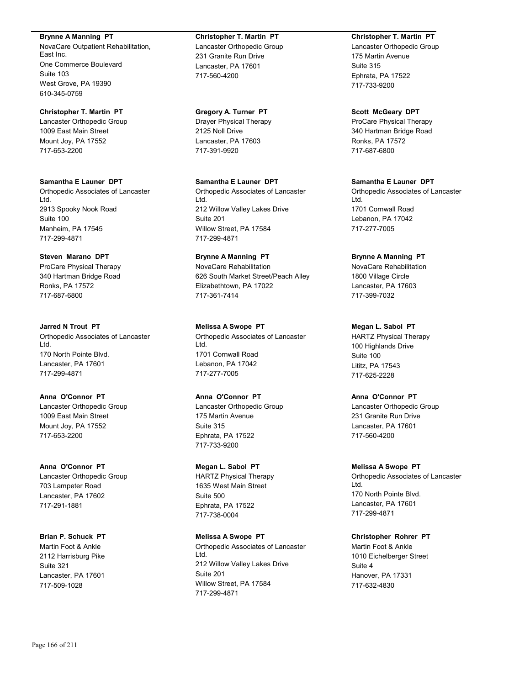**Brynne A Manning PT**

NovaCare Outpatient Rehabilitation, East Inc. One Commerce Boulevard Suite 103 West Grove, PA 19390 610-345-0759

**Christopher T. Martin PT** Lancaster Orthopedic Group 1009 East Main Street Mount Joy, PA 17552 717-653-2200

**Samantha E Launer DPT** Orthopedic Associates of Lancaster Ltd. 2913 Spooky Nook Road Suite 100 Manheim, PA 17545 717-299-4871

**Steven Marano DPT** ProCare Physical Therapy 340 Hartman Bridge Road Ronks, PA 17572 717-687-6800

**Jarred N Trout PT** Orthopedic Associates of Lancaster Ltd. 170 North Pointe Blvd. Lancaster, PA 17601 717-299-4871

**Anna O'Connor PT** Lancaster Orthopedic Group 1009 East Main Street Mount Joy, PA 17552 717-653-2200

**Anna O'Connor PT** Lancaster Orthopedic Group 703 Lampeter Road Lancaster, PA 17602 717-291-1881

**Brian P. Schuck PT** Martin Foot & Ankle 2112 Harrisburg Pike Suite 321 Lancaster, PA 17601 717-509-1028

**Christopher T. Martin PT** Lancaster Orthopedic Group 231 Granite Run Drive Lancaster, PA 17601 717-560-4200

**Gregory A. Turner PT** Drayer Physical Therapy 2125 Noll Drive Lancaster, PA 17603 717-391-9920

**Samantha E Launer DPT** Orthopedic Associates of Lancaster Ltd. 212 Willow Valley Lakes Drive Suite 201 Willow Street, PA 17584 717-299-4871

**Brynne A Manning PT** NovaCare Rehabilitation 626 South Market Street/Peach Alley Elizabethtown, PA 17022 717-361-7414

**Melissa A Swope PT** Orthopedic Associates of Lancaster Ltd. 1701 Cornwall Road Lebanon, PA 17042 717-277-7005

**Anna O'Connor PT** Lancaster Orthopedic Group 175 Martin Avenue Suite 315 Ephrata, PA 17522 717-733-9200

**Megan L. Sabol PT** HARTZ Physical Therapy 1635 West Main Street Suite 500 Ephrata, PA 17522 717-738-0004

**Melissa A Swope PT** Orthopedic Associates of Lancaster Ltd. 212 Willow Valley Lakes Drive Suite 201 Willow Street, PA 17584 717-299-4871

**Christopher T. Martin PT**

Lancaster Orthopedic Group 175 Martin Avenue Suite 315 Ephrata, PA 17522 717-733-9200

**Scott McGeary DPT** ProCare Physical Therapy 340 Hartman Bridge Road Ronks, PA 17572 717-687-6800

**Samantha E Launer DPT** Orthopedic Associates of Lancaster Ltd. 1701 Cornwall Road Lebanon, PA 17042 717-277-7005

**Brynne A Manning PT** NovaCare Rehabilitation 1800 Village Circle Lancaster, PA 17603 717-399-7032

**Megan L. Sabol PT** HARTZ Physical Therapy 100 Highlands Drive Suite 100 Lititz, PA 17543 717-625-2228

**Anna O'Connor PT** Lancaster Orthopedic Group 231 Granite Run Drive Lancaster, PA 17601 717-560-4200

**Melissa A Swope PT** Orthopedic Associates of Lancaster Ltd. 170 North Pointe Blvd. Lancaster, PA 17601 717-299-4871

**Christopher Rohrer PT** Martin Foot & Ankle 1010 Eichelberger Street Suite 4 Hanover, PA 17331 717-632-4830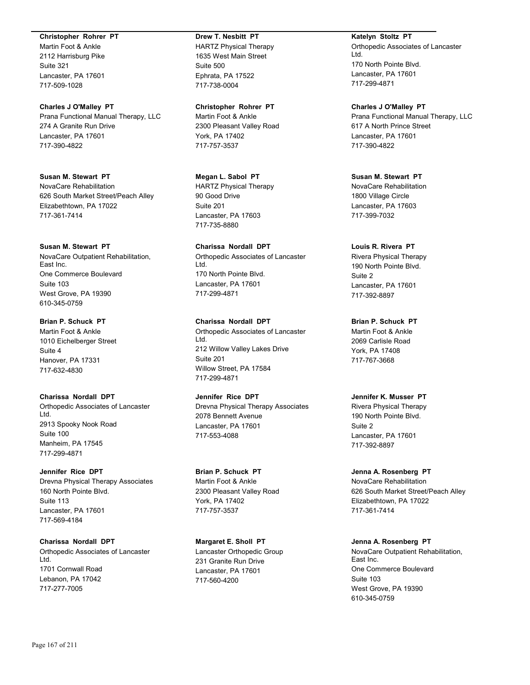#### **Christopher Rohrer PT**

Martin Foot & Ankle 2112 Harrisburg Pike Suite 321 Lancaster, PA 17601 717-509-1028

#### **Charles J O'Malley PT**

Prana Functional Manual Therapy, LLC 274 A Granite Run Drive Lancaster, PA 17601 717-390-4822

**Susan M. Stewart PT** NovaCare Rehabilitation 626 South Market Street/Peach Alley Elizabethtown, PA 17022 717-361-7414

#### **Susan M. Stewart PT**

NovaCare Outpatient Rehabilitation, East Inc. One Commerce Boulevard Suite 103 West Grove, PA 19390 610-345-0759

#### **Brian P. Schuck PT**

Martin Foot & Ankle 1010 Eichelberger Street Suite 4 Hanover, PA 17331 717-632-4830

## **Charissa Nordall DPT**

Orthopedic Associates of Lancaster Ltd. 2913 Spooky Nook Road Suite 100 Manheim, PA 17545 717-299-4871

#### **Jennifer Rice DPT**

Drevna Physical Therapy Associates 160 North Pointe Blvd. Suite 113 Lancaster, PA 17601 717-569-4184

**Charissa Nordall DPT** Orthopedic Associates of Lancaster

Ltd. 1701 Cornwall Road Lebanon, PA 17042 717-277-7005

## **Drew T. Nesbitt PT** HARTZ Physical Therapy 1635 West Main Street Suite 500 Ephrata, PA 17522 717-738-0004

#### **Christopher Rohrer PT**

Martin Foot & Ankle 2300 Pleasant Valley Road York, PA 17402 717-757-3537

## **Megan L. Sabol PT** HARTZ Physical Therapy 90 Good Drive Suite 201 Lancaster, PA 17603 717-735-8880

## **Charissa Nordall DPT** Orthopedic Associates of Lancaster Ltd. 170 North Pointe Blvd. Lancaster, PA 17601 717-299-4871

# **Charissa Nordall DPT**

Orthopedic Associates of Lancaster Ltd. 212 Willow Valley Lakes Drive Suite 201 Willow Street, PA 17584 717-299-4871

## **Jennifer Rice DPT**

Drevna Physical Therapy Associates 2078 Bennett Avenue Lancaster, PA 17601 717-553-4088

## **Brian P. Schuck PT** Martin Foot & Ankle 2300 Pleasant Valley Road York, PA 17402 717-757-3537

**Margaret E. Sholl PT** Lancaster Orthopedic Group 231 Granite Run Drive Lancaster, PA 17601 717-560-4200

## **Katelyn Stoltz PT** Orthopedic Associates of Lancaster Ltd. 170 North Pointe Blvd. Lancaster, PA 17601 717-299-4871

#### **Charles J O'Malley PT**

Prana Functional Manual Therapy, LLC 617 A North Prince Street Lancaster, PA 17601 717-390-4822

## **Susan M. Stewart PT**

NovaCare Rehabilitation 1800 Village Circle Lancaster, PA 17603 717-399-7032

## **Louis R. Rivera PT**

Rivera Physical Therapy 190 North Pointe Blvd. Suite 2 Lancaster, PA 17601 717-392-8897

## **Brian P. Schuck PT**

Martin Foot & Ankle 2069 Carlisle Road York, PA 17408 717-767-3668

#### **Jennifer K. Musser PT**

Rivera Physical Therapy 190 North Pointe Blvd. Suite 2 Lancaster, PA 17601 717-392-8897

## **Jenna A. Rosenberg PT**

NovaCare Rehabilitation 626 South Market Street/Peach Alley Elizabethtown, PA 17022 717-361-7414

# **Jenna A. Rosenberg PT**

NovaCare Outpatient Rehabilitation, East Inc. One Commerce Boulevard Suite 103 West Grove, PA 19390 610-345-0759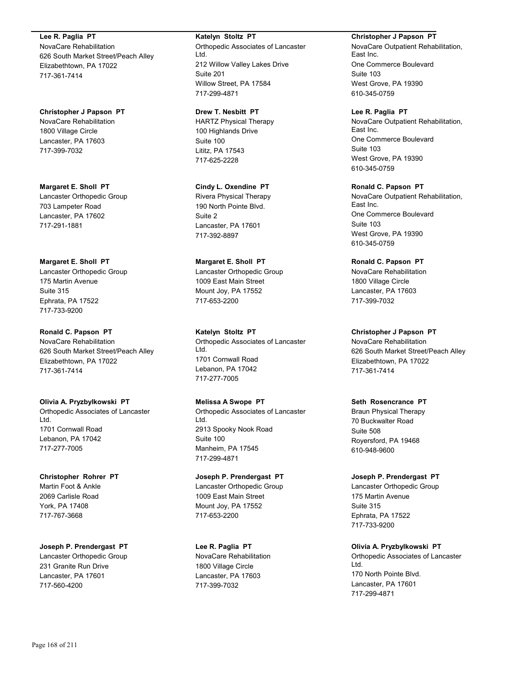**Lee R. Paglia PT** NovaCare Rehabilitation 626 South Market Street/Peach Alley Elizabethtown, PA 17022 717-361-7414

**Christopher J Papson PT** NovaCare Rehabilitation 1800 Village Circle Lancaster, PA 17603 717-399-7032

**Margaret E. Sholl PT** Lancaster Orthopedic Group 703 Lampeter Road Lancaster, PA 17602 717-291-1881

**Margaret E. Sholl PT** Lancaster Orthopedic Group 175 Martin Avenue Suite 315 Ephrata, PA 17522 717-733-9200

**Ronald C. Papson PT** NovaCare Rehabilitation 626 South Market Street/Peach Alley Elizabethtown, PA 17022 717-361-7414

**Olivia A. Pryzbylkowski PT** Orthopedic Associates of Lancaster Ltd. 1701 Cornwall Road Lebanon, PA 17042 717-277-7005

**Christopher Rohrer PT** Martin Foot & Ankle 2069 Carlisle Road York, PA 17408 717-767-3668

**Joseph P. Prendergast PT** Lancaster Orthopedic Group 231 Granite Run Drive Lancaster, PA 17601 717-560-4200

**Katelyn Stoltz PT** Orthopedic Associates of Lancaster Ltd. 212 Willow Valley Lakes Drive Suite 201 Willow Street, PA 17584 717-299-4871

**Drew T. Nesbitt PT** HARTZ Physical Therapy 100 Highlands Drive Suite 100 Lititz, PA 17543 717-625-2228

**Cindy L. Oxendine PT** Rivera Physical Therapy 190 North Pointe Blvd. Suite 2 Lancaster, PA 17601 717-392-8897

**Margaret E. Sholl PT** Lancaster Orthopedic Group 1009 East Main Street Mount Joy, PA 17552 717-653-2200

**Katelyn Stoltz PT** Orthopedic Associates of Lancaster Ltd. 1701 Cornwall Road Lebanon, PA 17042 717-277-7005

**Melissa A Swope PT** Orthopedic Associates of Lancaster Ltd. 2913 Spooky Nook Road Suite 100 Manheim, PA 17545 717-299-4871

**Joseph P. Prendergast PT** Lancaster Orthopedic Group 1009 East Main Street Mount Joy, PA 17552 717-653-2200

**Lee R. Paglia PT** NovaCare Rehabilitation 1800 Village Circle Lancaster, PA 17603 717-399-7032

**Christopher J Papson PT** NovaCare Outpatient Rehabilitation,

East Inc. One Commerce Boulevard Suite 103 West Grove, PA 19390 610-345-0759

**Lee R. Paglia PT** NovaCare Outpatient Rehabilitation, East Inc. One Commerce Boulevard Suite 103 West Grove, PA 19390 610-345-0759

**Ronald C. Papson PT** NovaCare Outpatient Rehabilitation, East Inc. One Commerce Boulevard Suite 103 West Grove, PA 19390 610-345-0759

**Ronald C. Papson PT** NovaCare Rehabilitation 1800 Village Circle Lancaster, PA 17603 717-399-7032

**Christopher J Papson PT** NovaCare Rehabilitation 626 South Market Street/Peach Alley Elizabethtown, PA 17022 717-361-7414

**Seth Rosencrance PT** Braun Physical Therapy 70 Buckwalter Road Suite 508 Royersford, PA 19468 610-948-9600

**Joseph P. Prendergast PT** Lancaster Orthopedic Group 175 Martin Avenue Suite 315 Ephrata, PA 17522 717-733-9200

**Olivia A. Pryzbylkowski PT** Orthopedic Associates of Lancaster Ltd. 170 North Pointe Blvd. Lancaster, PA 17601 717-299-4871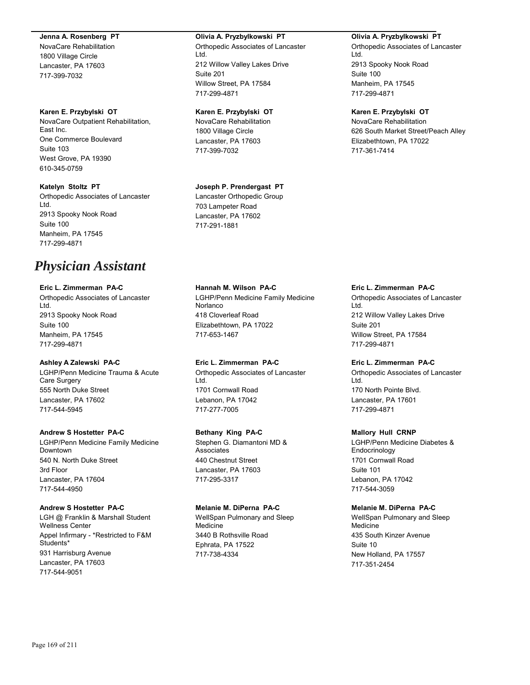#### **Jenna A. Rosenberg PT**

NovaCare Rehabilitation 1800 Village Circle Lancaster, PA 17603 717-399-7032

#### **Karen E. Przybylski OT**

NovaCare Outpatient Rehabilitation, East Inc. One Commerce Boulevard Suite 103 West Grove, PA 19390 610-345-0759

#### **Katelyn Stoltz PT**

Orthopedic Associates of Lancaster Ltd. 2913 Spooky Nook Road Suite 100 Manheim, PA 17545 717-299-4871

# *Physician Assistant*

## **Eric L. Zimmerman PA-C**

Orthopedic Associates of Lancaster Ltd. 2913 Spooky Nook Road Suite 100 Manheim, PA 17545 717-299-4871

## **Ashley A Zalewski PA-C**

LGHP/Penn Medicine Trauma & Acute Care Surgery 555 North Duke Street Lancaster, PA 17602 717-544-5945

## **Andrew S Hostetter PA-C** LGHP/Penn Medicine Family Medicine Downtown 540 N. North Duke Street 3rd Floor Lancaster, PA 17604 717-544-4950

## **Andrew S Hostetter PA-C**

LGH @ Franklin & Marshall Student Wellness Center Appel Infirmary - \*Restricted to F&M Students\* 931 Harrisburg Avenue Lancaster, PA 17603 717-544-9051

## **Olivia A. Pryzbylkowski PT**

Orthopedic Associates of Lancaster Ltd. 212 Willow Valley Lakes Drive Suite 201 Willow Street, PA 17584 717-299-4871

## **Karen E. Przybylski OT**

NovaCare Rehabilitation 1800 Village Circle Lancaster, PA 17603 717-399-7032

## **Joseph P. Prendergast PT**

Lancaster Orthopedic Group 703 Lampeter Road Lancaster, PA 17602 717-291-1881

## **Hannah M. Wilson PA-C** LGHP/Penn Medicine Family Medicine Norlanco 418 Cloverleaf Road Elizabethtown, PA 17022 717-653-1467

**Eric L. Zimmerman PA-C** Orthopedic Associates of Lancaster Ltd. 1701 Cornwall Road Lebanon, PA 17042 717-277-7005

## **Bethany King PA-C**

Stephen G. Diamantoni MD & Associates 440 Chestnut Street Lancaster, PA 17603 717-295-3317

## **Melanie M. DiPerna PA-C**

WellSpan Pulmonary and Sleep Medicine 3440 B Rothsville Road Ephrata, PA 17522 717-738-4334

## **Olivia A. Pryzbylkowski PT**

Orthopedic Associates of Lancaster Ltd. 2913 Spooky Nook Road Suite 100 Manheim, PA 17545 717-299-4871

## **Karen E. Przybylski OT**

NovaCare Rehabilitation 626 South Market Street/Peach Alley Elizabethtown, PA 17022 717-361-7414

## **Eric L. Zimmerman PA-C**

Orthopedic Associates of Lancaster Ltd. 212 Willow Valley Lakes Drive Suite 201 Willow Street, PA 17584 717-299-4871

#### **Eric L. Zimmerman PA-C** Orthopedic Associates of Lancaster

Ltd. 170 North Pointe Blvd. Lancaster, PA 17601 717-299-4871

## **Mallory Hull CRNP**

LGHP/Penn Medicine Diabetes & **Endocrinology** 1701 Cornwall Road Suite 101 Lebanon, PA 17042 717-544-3059

## **Melanie M. DiPerna PA-C**

WellSpan Pulmonary and Sleep Medicine 435 South Kinzer Avenue Suite 10 New Holland, PA 17557 717-351-2454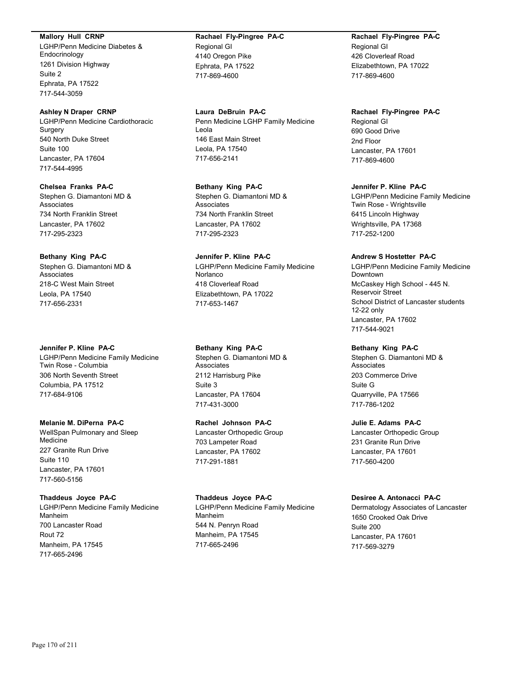#### **Mallory Hull CRNP**

LGHP/Penn Medicine Diabetes & Endocrinology 1261 Division Highway Suite 2 Ephrata, PA 17522 717-544-3059

#### **Ashley N Draper CRNP**

LGHP/Penn Medicine Cardiothoracic Surgery 540 North Duke Street Suite 100 Lancaster, PA 17604 717-544-4995

#### **Chelsea Franks PA-C**

Stephen G. Diamantoni MD & Associates 734 North Franklin Street Lancaster, PA 17602 717-295-2323

#### **Bethany King PA-C**

Stephen G. Diamantoni MD & Associates 218-C West Main Street Leola, PA 17540 717-656-2331

#### **Jennifer P. Kline PA-C**

LGHP/Penn Medicine Family Medicine Twin Rose - Columbia 306 North Seventh Street Columbia, PA 17512 717-684-9106

## **Melanie M. DiPerna PA-C**

WellSpan Pulmonary and Sleep Medicine 227 Granite Run Drive Suite 110 Lancaster, PA 17601 717-560-5156

#### **Thaddeus Joyce PA-C**

LGHP/Penn Medicine Family Medicine Manheim 700 Lancaster Road Rout 72 Manheim, PA 17545 717-665-2496

## **Rachael Fly-Pingree PA-C** Regional GI 4140 Oregon Pike Ephrata, PA 17522 717-869-4600

**Laura DeBruin PA-C** Penn Medicine LGHP Family Medicine Leola 146 East Main Street Leola, PA 17540 717-656-2141

#### **Bethany King PA-C** Stephen G. Diamantoni MD & Associates 734 North Franklin Street Lancaster, PA 17602 717-295-2323

## **Jennifer P. Kline PA-C** LGHP/Penn Medicine Family Medicine Norlanco 418 Cloverleaf Road Elizabethtown, PA 17022 717-653-1467

## **Bethany King PA-C**

Stephen G. Diamantoni MD & Associates 2112 Harrisburg Pike Suite 3 Lancaster, PA 17604 717-431-3000

## **Rachel Johnson PA-C**

Lancaster Orthopedic Group 703 Lampeter Road Lancaster, PA 17602 717-291-1881

#### **Thaddeus Joyce PA-C**

LGHP/Penn Medicine Family Medicine Manheim 544 N. Penryn Road Manheim, PA 17545 717-665-2496

## **Rachael Fly-Pingree PA-C** Regional GI

426 Cloverleaf Road Elizabethtown, PA 17022 717-869-4600

## **Rachael Fly-Pingree PA-C**

Regional GI 690 Good Drive 2nd Floor Lancaster, PA 17601 717-869-4600

#### **Jennifer P. Kline PA-C**

LGHP/Penn Medicine Family Medicine Twin Rose - Wrightsville 6415 Lincoln Highway Wrightsville, PA 17368 717-252-1200

#### **Andrew S Hostetter PA-C**

LGHP/Penn Medicine Family Medicine Downtown McCaskey High School - 445 N. Reservoir Street School District of Lancaster students 12-22 only Lancaster, PA 17602 717-544-9021

#### **Bethany King PA-C**

Stephen G. Diamantoni MD & Associates 203 Commerce Drive Suite G Quarryville, PA 17566 717-786-1202

#### **Julie E. Adams PA-C**

Lancaster Orthopedic Group 231 Granite Run Drive Lancaster, PA 17601 717-560-4200

#### **Desiree A. Antonacci PA-C**

Dermatology Associates of Lancaster 1650 Crooked Oak Drive Suite 200 Lancaster, PA 17601 717-569-3279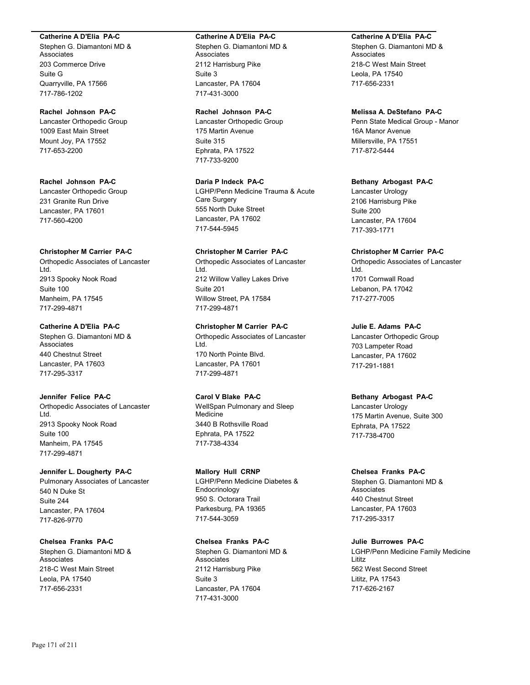#### **Catherine A D'Elia PA-C**

Stephen G. Diamantoni MD & Associates 203 Commerce Drive Suite G Quarryville, PA 17566 717-786-1202

## **Rachel Johnson PA-C**

Lancaster Orthopedic Group 1009 East Main Street Mount Joy, PA 17552 717-653-2200

**Rachel Johnson PA-C** Lancaster Orthopedic Group

231 Granite Run Drive Lancaster, PA 17601 717-560-4200

#### **Christopher M Carrier PA-C**

Orthopedic Associates of Lancaster Ltd. 2913 Spooky Nook Road Suite 100 Manheim, PA 17545 717-299-4871

## **Catherine A D'Elia PA-C**

Stephen G. Diamantoni MD & Associates 440 Chestnut Street Lancaster, PA 17603 717-295-3317

#### **Jennifer Felice PA-C**

Orthopedic Associates of Lancaster Ltd. 2913 Spooky Nook Road Suite 100 Manheim, PA 17545 717-299-4871

#### **Jennifer L. Dougherty PA-C**

Pulmonary Associates of Lancaster 540 N Duke St Suite 244 Lancaster, PA 17604 717-826-9770

## **Chelsea Franks PA-C**

Stephen G. Diamantoni MD & Associates 218-C West Main Street Leola, PA 17540 717-656-2331

#### **Catherine A D'Elia PA-C**

Stephen G. Diamantoni MD & Associates 2112 Harrisburg Pike Suite 3 Lancaster, PA 17604 717-431-3000

#### **Rachel Johnson PA-C**

Lancaster Orthopedic Group 175 Martin Avenue Suite 315 Ephrata, PA 17522 717-733-9200

## **Daria P Indeck PA-C**

LGHP/Penn Medicine Trauma & Acute Care Surgery 555 North Duke Street Lancaster, PA 17602 717-544-5945

#### **Christopher M Carrier PA-C**

Orthopedic Associates of Lancaster Ltd. 212 Willow Valley Lakes Drive Suite 201 Willow Street, PA 17584 717-299-4871

## **Christopher M Carrier PA-C**

Orthopedic Associates of Lancaster Ltd. 170 North Pointe Blvd. Lancaster, PA 17601 717-299-4871

## **Carol V Blake PA-C**

WellSpan Pulmonary and Sleep Medicine 3440 B Rothsville Road Ephrata, PA 17522 717-738-4334

#### **Mallory Hull CRNP**

LGHP/Penn Medicine Diabetes & Endocrinology 950 S. Octorara Trail Parkesburg, PA 19365 717-544-3059

## **Chelsea Franks PA-C**

Stephen G. Diamantoni MD & Associates 2112 Harrisburg Pike Suite 3 Lancaster, PA 17604 717-431-3000

## **Catherine A D'Elia PA-C**

Stephen G. Diamantoni MD & **Associates** 218-C West Main Street Leola, PA 17540 717-656-2331

#### **Melissa A. DeStefano PA-C**

Penn State Medical Group - Manor 16A Manor Avenue Millersville, PA 17551 717-872-5444

#### **Bethany Arbogast PA-C**

Lancaster Urology 2106 Harrisburg Pike Suite 200 Lancaster, PA 17604 717-393-1771

#### **Christopher M Carrier PA-C**

Orthopedic Associates of Lancaster Ltd. 1701 Cornwall Road Lebanon, PA 17042 717-277-7005

## **Julie E. Adams PA-C**

Lancaster Orthopedic Group 703 Lampeter Road Lancaster, PA 17602 717-291-1881

#### **Bethany Arbogast PA-C**

Lancaster Urology 175 Martin Avenue, Suite 300 Ephrata, PA 17522 717-738-4700

#### **Chelsea Franks PA-C**

Stephen G. Diamantoni MD & Associates 440 Chestnut Street Lancaster, PA 17603 717-295-3317

#### **Julie Burrowes PA-C**

LGHP/Penn Medicine Family Medicine Lititz 562 West Second Street Lititz, PA 17543 717-626-2167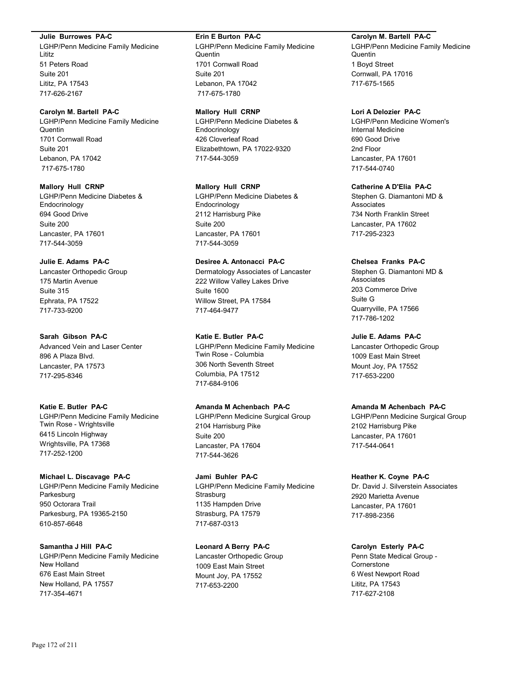#### **Julie Burrowes PA-C**

LGHP/Penn Medicine Family Medicine Lititz 51 Peters Road Suite 201 Lititz, PA 17543 717-626-2167

#### **Carolyn M. Bartell PA-C**

LGHP/Penn Medicine Family Medicine Quentin 1701 Cornwall Road Suite 201 Lebanon, PA 17042 717-675-1780

#### **Mallory Hull CRNP**

LGHP/Penn Medicine Diabetes & Endocrinology 694 Good Drive Suite 200 Lancaster, PA 17601 717-544-3059

## **Julie E. Adams PA-C**

Lancaster Orthopedic Group 175 Martin Avenue Suite 315 Ephrata, PA 17522 717-733-9200

#### **Sarah Gibson PA-C**

Advanced Vein and Laser Center 896 A Plaza Blvd. Lancaster, PA 17573 717-295-8346

## **Katie E. Butler PA-C**

LGHP/Penn Medicine Family Medicine Twin Rose - Wrightsville 6415 Lincoln Highway Wrightsville, PA 17368 717-252-1200

## **Michael L. Discavage PA-C**

LGHP/Penn Medicine Family Medicine Parkesburg 950 Octorara Trail Parkesburg, PA 19365-2150 610-857-6648

**Samantha J Hill PA-C** LGHP/Penn Medicine Family Medicine New Holland 676 East Main Street New Holland, PA 17557 717-354-4671

#### **Erin E Burton PA-C**

LGHP/Penn Medicine Family Medicine **Quentin** 1701 Cornwall Road Suite 201 Lebanon, PA 17042 717-675-1780

#### **Mallory Hull CRNP**

LGHP/Penn Medicine Diabetes & Endocrinology 426 Cloverleaf Road Elizabethtown, PA 17022-9320 717-544-3059

#### **Mallory Hull CRNP**

LGHP/Penn Medicine Diabetes & Endocrinology 2112 Harrisburg Pike Suite 200 Lancaster, PA 17601 717-544-3059

## **Desiree A. Antonacci PA-C**

Dermatology Associates of Lancaster 222 Willow Valley Lakes Drive Suite 1600 Willow Street, PA 17584 717-464-9477

#### **Katie E. Butler PA-C**

LGHP/Penn Medicine Family Medicine Twin Rose - Columbia 306 North Seventh Street Columbia, PA 17512 717-684-9106

## **Amanda M Achenbach PA-C**

LGHP/Penn Medicine Surgical Group 2104 Harrisburg Pike Suite 200 Lancaster, PA 17604 717-544-3626

#### **Jami Buhler PA-C** LGHP/Penn Medicine Family Medicine **Strasburg** 1135 Hampden Drive Strasburg, PA 17579 717-687-0313

**Leonard A Berry PA-C** Lancaster Orthopedic Group 1009 East Main Street Mount Joy, PA 17552

717-653-2200

#### **Carolyn M. Bartell PA-C**

LGHP/Penn Medicine Family Medicine **Quentin** 1 Boyd Street Cornwall, PA 17016 717-675-1565

#### **Lori A Delozier PA-C**

LGHP/Penn Medicine Women's Internal Medicine 690 Good Drive 2nd Floor Lancaster, PA 17601 717-544-0740

## **Catherine A D'Elia PA-C**

Stephen G. Diamantoni MD & Associates 734 North Franklin Street Lancaster, PA 17602 717-295-2323

#### **Chelsea Franks PA-C**

Stephen G. Diamantoni MD & Associates 203 Commerce Drive Suite G Quarryville, PA 17566 717-786-1202

## **Julie E. Adams PA-C**

Lancaster Orthopedic Group 1009 East Main Street Mount Joy, PA 17552 717-653-2200

## **Amanda M Achenbach PA-C**

LGHP/Penn Medicine Surgical Group 2102 Harrisburg Pike Lancaster, PA 17601 717-544-0641

#### **Heather K. Coyne PA-C**

Dr. David J. Silverstein Associates 2920 Marietta Avenue Lancaster, PA 17601 717-898-2356

#### **Carolyn Esterly PA-C**

Penn State Medical Group - **Cornerstone** 6 West Newport Road Lititz, PA 17543 717-627-2108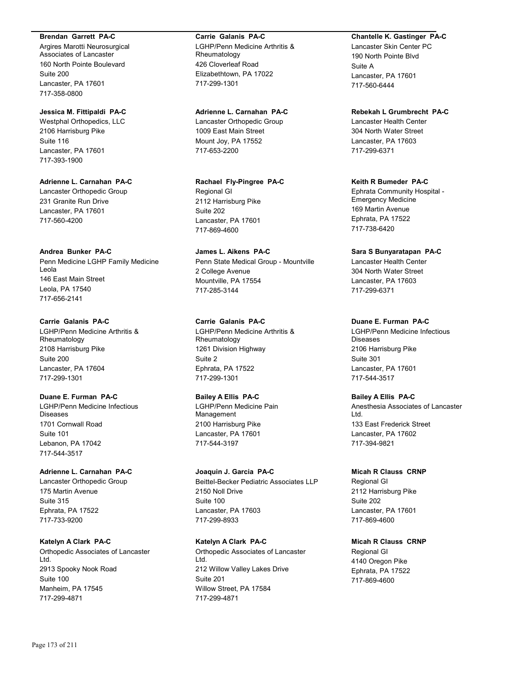#### **Brendan Garrett PA-C**

Argires Marotti Neurosurgical Associates of Lancaster 160 North Pointe Boulevard Suite 200 Lancaster, PA 17601 717-358-0800

## **Jessica M. Fittipaldi PA-C**

Westphal Orthopedics, LLC 2106 Harrisburg Pike Suite 116 Lancaster, PA 17601 717-393-1900

**Adrienne L. Carnahan PA-C** Lancaster Orthopedic Group 231 Granite Run Drive Lancaster, PA 17601 717-560-4200

#### **Andrea Bunker PA-C**

Penn Medicine LGHP Family Medicine Leola 146 East Main Street Leola, PA 17540 717-656-2141

## **Carrie Galanis PA-C**

LGHP/Penn Medicine Arthritis & Rheumatology 2108 Harrisburg Pike Suite 200 Lancaster, PA 17604 717-299-1301

## **Duane E. Furman PA-C**

LGHP/Penn Medicine Infectious Diseases 1701 Cornwall Road Suite 101 Lebanon, PA 17042 717-544-3517

#### **Adrienne L. Carnahan PA-C**

Lancaster Orthopedic Group 175 Martin Avenue Suite 315 Ephrata, PA 17522 717-733-9200

## **Katelyn A Clark PA-C**

Orthopedic Associates of Lancaster Ltd. 2913 Spooky Nook Road Suite 100 Manheim, PA 17545 717-299-4871

#### **Carrie Galanis PA-C**

LGHP/Penn Medicine Arthritis & Rheumatology 426 Cloverleaf Road Elizabethtown, PA 17022 717-299-1301

#### **Adrienne L. Carnahan PA-C**

Lancaster Orthopedic Group 1009 East Main Street Mount Joy, PA 17552 717-653-2200

**Rachael Fly-Pingree PA-C** Regional GI 2112 Harrisburg Pike Suite 202 Lancaster, PA 17601 717-869-4600

**James L. Aikens PA-C** Penn State Medical Group - Mountville 2 College Avenue Mountville, PA 17554 717-285-3144

## **Carrie Galanis PA-C**

LGHP/Penn Medicine Arthritis & Rheumatology 1261 Division Highway Suite 2 Ephrata, PA 17522 717-299-1301

## **Bailey A Ellis PA-C**

LGHP/Penn Medicine Pain Management 2100 Harrisburg Pike Lancaster, PA 17601 717-544-3197

## **Joaquin J. Garcia PA-C** Beittel-Becker Pediatric Associates LLP 2150 Noll Drive Suite 100 Lancaster, PA 17603 717-299-8933

**Katelyn A Clark PA-C** Orthopedic Associates of Lancaster Ltd. 212 Willow Valley Lakes Drive Suite 201 Willow Street, PA 17584 717-299-4871

## **Chantelle K. Gastinger PA-C**

Lancaster Skin Center PC 190 North Pointe Blvd Suite A Lancaster, PA 17601 717-560-6444

## **Rebekah L Grumbrecht PA-C**

Lancaster Health Center 304 North Water Street Lancaster, PA 17603 717-299-6371

## **Keith R Bumeder PA-C**

Ephrata Community Hospital - Emergency Medicine 169 Martin Avenue Ephrata, PA 17522 717-738-6420

## **Sara S Bunyaratapan PA-C**

Lancaster Health Center 304 North Water Street Lancaster, PA 17603 717-299-6371

## **Duane E. Furman PA-C**

LGHP/Penn Medicine Infectious Diseases 2106 Harrisburg Pike Suite 301 Lancaster, PA 17601 717-544-3517

#### **Bailey A Ellis PA-C**

Anesthesia Associates of Lancaster Ltd. 133 East Frederick Street Lancaster, PA 17602 717-394-9821

## **Micah R Clauss CRNP**

Regional GI 2112 Harrisburg Pike Suite 202 Lancaster, PA 17601 717-869-4600

#### **Micah R Clauss CRNP**

Regional GI 4140 Oregon Pike Ephrata, PA 17522 717-869-4600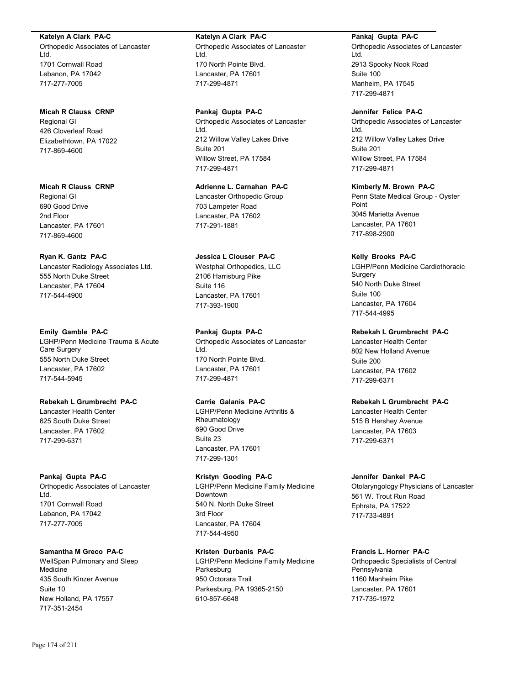#### **Katelyn A Clark PA-C**

Orthopedic Associates of Lancaster Ltd. 1701 Cornwall Road Lebanon, PA 17042 717-277-7005

#### **Micah R Clauss CRNP**

Regional GI 426 Cloverleaf Road Elizabethtown, PA 17022 717-869-4600

**Micah R Clauss CRNP** Regional GI 690 Good Drive 2nd Floor Lancaster, PA 17601 717-869-4600

## **Ryan K. Gantz PA-C**

Lancaster Radiology Associates Ltd. 555 North Duke Street Lancaster, PA 17604 717-544-4900

#### **Emily Gamble PA-C**

LGHP/Penn Medicine Trauma & Acute Care Surgery 555 North Duke Street Lancaster, PA 17602 717-544-5945

## **Rebekah L Grumbrecht PA-C**

Lancaster Health Center 625 South Duke Street Lancaster, PA 17602 717-299-6371

#### **Pankaj Gupta PA-C**

Orthopedic Associates of Lancaster Ltd. 1701 Cornwall Road Lebanon, PA 17042 717-277-7005

## **Samantha M Greco PA-C**

WellSpan Pulmonary and Sleep Medicine 435 South Kinzer Avenue Suite 10 New Holland, PA 17557 717-351-2454

## **Katelyn A Clark PA-C**

Orthopedic Associates of Lancaster Ltd. 170 North Pointe Blvd. Lancaster, PA 17601 717-299-4871

**Pankaj Gupta PA-C** Orthopedic Associates of Lancaster Ltd. 212 Willow Valley Lakes Drive Suite 201 Willow Street, PA 17584 717-299-4871

**Adrienne L. Carnahan PA-C** Lancaster Orthopedic Group 703 Lampeter Road Lancaster, PA 17602 717-291-1881

## **Jessica L Clouser PA-C** Westphal Orthopedics, LLC 2106 Harrisburg Pike Suite 116 Lancaster, PA 17601 717-393-1900

**Pankaj Gupta PA-C** Orthopedic Associates of Lancaster Ltd. 170 North Pointe Blvd. Lancaster, PA 17601 717-299-4871

## **Carrie Galanis PA-C**

LGHP/Penn Medicine Arthritis & Rheumatology 690 Good Drive Suite 23 Lancaster, PA 17601 717-299-1301

## **Kristyn Gooding PA-C** LGHP/Penn Medicine Family Medicine Downtown 540 N. North Duke Street 3rd Floor Lancaster, PA 17604 717-544-4950

**Kristen Durbanis PA-C** LGHP/Penn Medicine Family Medicine Parkesburg 950 Octorara Trail Parkesburg, PA 19365-2150 610-857-6648

## **Pankaj Gupta PA-C**

Orthopedic Associates of Lancaster Ltd. 2913 Spooky Nook Road Suite 100 Manheim, PA 17545 717-299-4871

#### **Jennifer Felice PA-C**

Orthopedic Associates of Lancaster Ltd. 212 Willow Valley Lakes Drive Suite 201 Willow Street, PA 17584 717-299-4871

**Kimberly M. Brown PA-C** Penn State Medical Group - Oyster Point 3045 Marietta Avenue Lancaster, PA 17601 717-898-2900

## **Kelly Brooks PA-C**

LGHP/Penn Medicine Cardiothoracic Surgery 540 North Duke Street Suite 100 Lancaster, PA 17604 717-544-4995

## **Rebekah L Grumbrecht PA-C**

Lancaster Health Center 802 New Holland Avenue Suite 200 Lancaster, PA 17602 717-299-6371

# **Rebekah L Grumbrecht PA-C**

Lancaster Health Center 515 B Hershey Avenue Lancaster, PA 17603 717-299-6371

## **Jennifer Dankel PA-C**

Otolaryngology Physicians of Lancaster 561 W. Trout Run Road Ephrata, PA 17522 717-733-4891

# **Francis L. Horner PA-C**

Orthopaedic Specialists of Central Pennsylvania 1160 Manheim Pike Lancaster, PA 17601 717-735-1972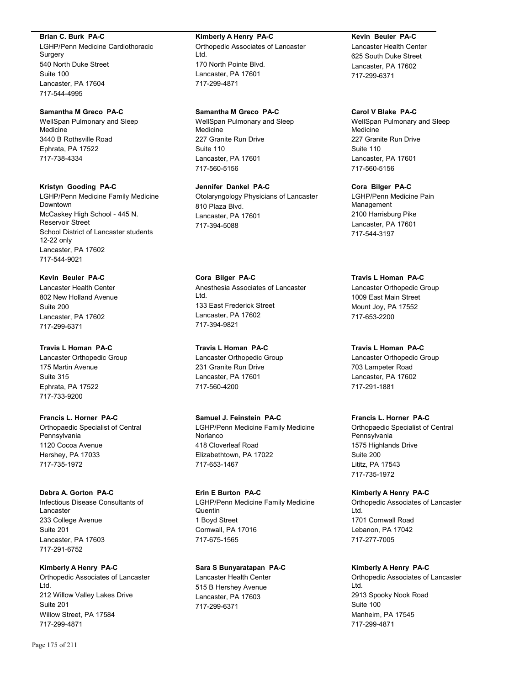#### **Brian C. Burk PA-C**

LGHP/Penn Medicine Cardiothoracic Surgery 540 North Duke Street Suite 100 Lancaster, PA 17604 717-544-4995

#### **Samantha M Greco PA-C**

WellSpan Pulmonary and Sleep Medicine 3440 B Rothsville Road Ephrata, PA 17522 717-738-4334

#### **Kristyn Gooding PA-C**

LGHP/Penn Medicine Family Medicine Downtown McCaskey High School - 445 N. Reservoir Street School District of Lancaster students 12-22 only Lancaster, PA 17602 717-544-9021

**Kevin Beuler PA-C** Lancaster Health Center 802 New Holland Avenue Suite 200 Lancaster, PA 17602 717-299-6371

## **Travis L Homan PA-C**

Lancaster Orthopedic Group 175 Martin Avenue Suite 315 Ephrata, PA 17522 717-733-9200

## **Francis L. Horner PA-C**

Orthopaedic Specialist of Central Pennsylvania 1120 Cocoa Avenue Hershey, PA 17033 717-735-1972

## **Debra A. Gorton PA-C**

Infectious Disease Consultants of Lancaster 233 College Avenue Suite 201 Lancaster, PA 17603 717-291-6752

#### **Kimberly A Henry PA-C**

Orthopedic Associates of Lancaster Ltd. 212 Willow Valley Lakes Drive Suite 201 Willow Street, PA 17584 717-299-4871

#### **Kimberly A Henry PA-C**

Orthopedic Associates of Lancaster Ltd. 170 North Pointe Blvd. Lancaster, PA 17601 717-299-4871

## **Samantha M Greco PA-C**

WellSpan Pulmonary and Sleep Medicine 227 Granite Run Drive Suite 110 Lancaster, PA 17601 717-560-5156

**Jennifer Dankel PA-C** Otolaryngology Physicians of Lancaster 810 Plaza Blvd. Lancaster, PA 17601 717-394-5088

**Cora Bilger PA-C** Anesthesia Associates of Lancaster Ltd. 133 East Frederick Street Lancaster, PA 17602 717-394-9821

**Travis L Homan PA-C** Lancaster Orthopedic Group 231 Granite Run Drive Lancaster, PA 17601 717-560-4200

**Samuel J. Feinstein PA-C** LGHP/Penn Medicine Family Medicine Norlanco 418 Cloverleaf Road Elizabethtown, PA 17022 717-653-1467

**Erin E Burton PA-C** LGHP/Penn Medicine Family Medicine Quentin 1 Boyd Street Cornwall, PA 17016 717-675-1565

## **Sara S Bunyaratapan PA-C**

Lancaster Health Center 515 B Hershey Avenue Lancaster, PA 17603 717-299-6371

#### **Kevin Beuler PA-C**

Lancaster Health Center 625 South Duke Street Lancaster, PA 17602 717-299-6371

#### **Carol V Blake PA-C**

WellSpan Pulmonary and Sleep Medicine 227 Granite Run Drive Suite 110 Lancaster, PA 17601 717-560-5156

**Cora Bilger PA-C**

LGHP/Penn Medicine Pain Management 2100 Harrisburg Pike Lancaster, PA 17601 717-544-3197

#### **Travis L Homan PA-C**

Lancaster Orthopedic Group 1009 East Main Street Mount Joy, PA 17552 717-653-2200

#### **Travis L Homan PA-C**

Lancaster Orthopedic Group 703 Lampeter Road Lancaster, PA 17602 717-291-1881

#### **Francis L. Horner PA-C**

Orthopaedic Specialist of Central Pennsylvania 1575 Highlands Drive Suite 200 Lititz, PA 17543 717-735-1972

## **Kimberly A Henry PA-C**

Orthopedic Associates of Lancaster Ltd. 1701 Cornwall Road Lebanon, PA 17042 717-277-7005

#### **Kimberly A Henry PA-C**

Orthopedic Associates of Lancaster Ltd. 2913 Spooky Nook Road Suite 100 Manheim, PA 17545 717-299-4871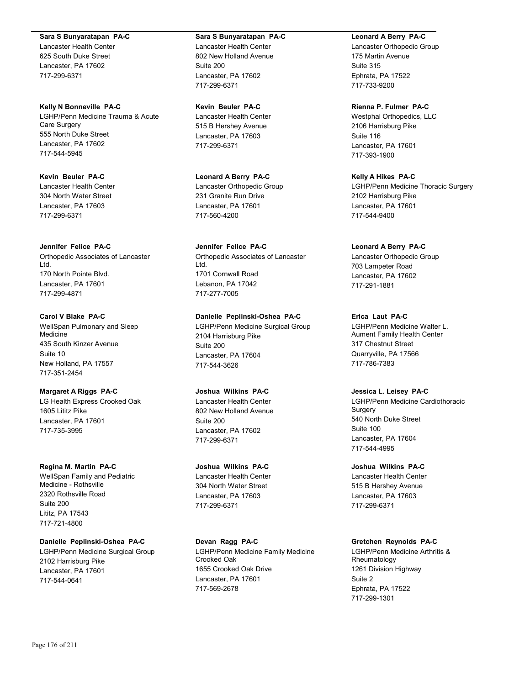#### **Sara S Bunyaratapan PA-C**

Lancaster Health Center 625 South Duke Street Lancaster, PA 17602 717-299-6371

**Kelly N Bonneville PA-C** LGHP/Penn Medicine Trauma & Acute Care Surgery 555 North Duke Street Lancaster, PA 17602 717-544-5945

**Kevin Beuler PA-C** Lancaster Health Center 304 North Water Street Lancaster, PA 17603 717-299-6371

**Jennifer Felice PA-C** Orthopedic Associates of Lancaster Ltd. 170 North Pointe Blvd. Lancaster, PA 17601 717-299-4871

**Carol V Blake PA-C** WellSpan Pulmonary and Sleep **Medicine** 435 South Kinzer Avenue Suite 10 New Holland, PA 17557 717-351-2454

**Margaret A Riggs PA-C** LG Health Express Crooked Oak 1605 Lititz Pike Lancaster, PA 17601 717-735-3995

**Regina M. Martin PA-C** WellSpan Family and Pediatric Medicine - Rothsville 2320 Rothsville Road Suite 200 Lititz, PA 17543

**Danielle Peplinski-Oshea PA-C** LGHP/Penn Medicine Surgical Group 2102 Harrisburg Pike Lancaster, PA 17601 717-544-0641

**Sara S Bunyaratapan PA-C** Lancaster Health Center 802 New Holland Avenue Suite 200 Lancaster, PA 17602 717-299-6371

**Kevin Beuler PA-C** Lancaster Health Center 515 B Hershey Avenue Lancaster, PA 17603 717-299-6371

**Leonard A Berry PA-C** Lancaster Orthopedic Group 231 Granite Run Drive Lancaster, PA 17601 717-560-4200

**Jennifer Felice PA-C** Orthopedic Associates of Lancaster Ltd. 1701 Cornwall Road Lebanon, PA 17042 717-277-7005

**Danielle Peplinski-Oshea PA-C** LGHP/Penn Medicine Surgical Group 2104 Harrisburg Pike Suite 200 Lancaster, PA 17604 717-544-3626

**Joshua Wilkins PA-C** Lancaster Health Center 802 New Holland Avenue Suite 200 Lancaster, PA 17602 717-299-6371

**Joshua Wilkins PA-C** Lancaster Health Center 304 North Water Street Lancaster, PA 17603 717-299-6371

**Devan Ragg PA-C** LGHP/Penn Medicine Family Medicine Crooked Oak 1655 Crooked Oak Drive Lancaster, PA 17601 717-569-2678

**Leonard A Berry PA-C**

Lancaster Orthopedic Group 175 Martin Avenue Suite 315 Ephrata, PA 17522 717-733-9200

**Rienna P. Fulmer PA-C**

Westphal Orthopedics, LLC 2106 Harrisburg Pike Suite 116 Lancaster, PA 17601 717-393-1900

**Kelly A Hikes PA-C** LGHP/Penn Medicine Thoracic Surgery 2102 Harrisburg Pike Lancaster, PA 17601 717-544-9400

**Leonard A Berry PA-C** Lancaster Orthopedic Group 703 Lampeter Road Lancaster, PA 17602 717-291-1881

**Erica Laut PA-C** LGHP/Penn Medicine Walter L. Aument Family Health Center 317 Chestnut Street Quarryville, PA 17566 717-786-7383

# **Jessica L. Leisey PA-C**

LGHP/Penn Medicine Cardiothoracic Surgery 540 North Duke Street Suite 100 Lancaster, PA 17604 717-544-4995

**Joshua Wilkins PA-C** Lancaster Health Center 515 B Hershey Avenue Lancaster, PA 17603 717-299-6371

## **Gretchen Reynolds PA-C**

LGHP/Penn Medicine Arthritis & Rheumatology 1261 Division Highway Suite 2 Ephrata, PA 17522 717-299-1301

717-721-4800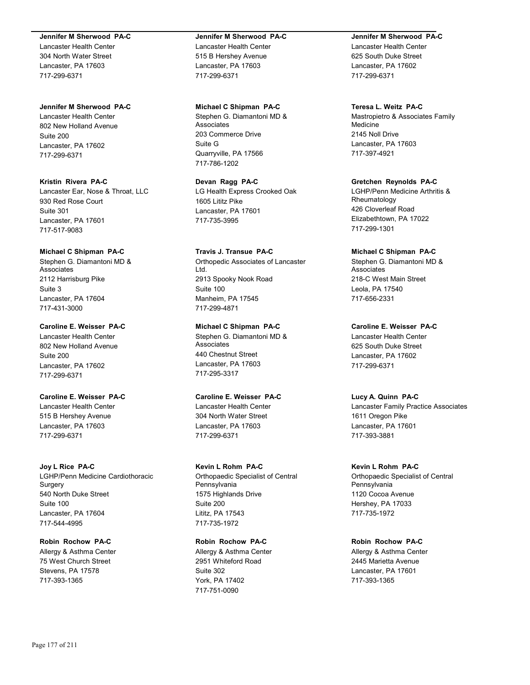#### **Jennifer M Sherwood PA-C**

Lancaster Health Center 304 North Water Street Lancaster, PA 17603 717-299-6371

#### **Jennifer M Sherwood PA-C**

Lancaster Health Center 802 New Holland Avenue Suite 200 Lancaster, PA 17602 717-299-6371

# **Kristin Rivera PA-C** Lancaster Ear, Nose & Throat, LLC

930 Red Rose Court Suite 301 Lancaster, PA 17601 717-517-9083

#### **Michael C Shipman PA-C**

Stephen G. Diamantoni MD & Associates 2112 Harrisburg Pike Suite 3 Lancaster, PA 17604 717-431-3000

## **Caroline E. Weisser PA-C**

Lancaster Health Center 802 New Holland Avenue Suite 200 Lancaster, PA 17602 717-299-6371

## **Caroline E. Weisser PA-C**

Lancaster Health Center 515 B Hershey Avenue Lancaster, PA 17603 717-299-6371

#### **Joy L Rice PA-C**

LGHP/Penn Medicine Cardiothoracic **Surgery** 540 North Duke Street Suite 100 Lancaster, PA 17604 717-544-4995

# **Robin Rochow PA-C**

Allergy & Asthma Center 75 West Church Street Stevens, PA 17578 717-393-1365

## **Jennifer M Sherwood PA-C**

Lancaster Health Center 515 B Hershey Avenue Lancaster, PA 17603 717-299-6371

#### **Michael C Shipman PA-C**

Stephen G. Diamantoni MD & Associates 203 Commerce Drive Suite G Quarryville, PA 17566 717-786-1202

## **Devan Ragg PA-C**

LG Health Express Crooked Oak 1605 Lititz Pike Lancaster, PA 17601 717-735-3995

# **Travis J. Transue PA-C**

Orthopedic Associates of Lancaster Ltd. 2913 Spooky Nook Road Suite 100 Manheim, PA 17545 717-299-4871

## **Michael C Shipman PA-C**

Stephen G. Diamantoni MD & Associates 440 Chestnut Street Lancaster, PA 17603 717-295-3317

## **Caroline E. Weisser PA-C**

Lancaster Health Center 304 North Water Street Lancaster, PA 17603 717-299-6371

## **Kevin L Rohm PA-C**

Orthopaedic Specialist of Central Pennsylvania 1575 Highlands Drive Suite 200 Lititz, PA 17543 717-735-1972

## **Robin Rochow PA-C**

Allergy & Asthma Center 2951 Whiteford Road Suite 302 York, PA 17402 717-751-0090

#### **Jennifer M Sherwood PA-C**

Lancaster Health Center 625 South Duke Street Lancaster, PA 17602 717-299-6371

## **Teresa L. Weitz PA-C**

Mastropietro & Associates Family Medicine 2145 Noll Drive Lancaster, PA 17603 717-397-4921

## **Gretchen Reynolds PA-C**

LGHP/Penn Medicine Arthritis & Rheumatology 426 Cloverleaf Road Elizabethtown, PA 17022 717-299-1301

#### **Michael C Shipman PA-C**

Stephen G. Diamantoni MD & **Associates** 218-C West Main Street Leola, PA 17540 717-656-2331

**Caroline E. Weisser PA-C** Lancaster Health Center 625 South Duke Street Lancaster, PA 17602 717-299-6371

#### **Lucy A. Quinn PA-C**

Lancaster Family Practice Associates 1611 Oregon Pike Lancaster, PA 17601 717-393-3881

#### **Kevin L Rohm PA-C**

Orthopaedic Specialist of Central Pennsylvania 1120 Cocoa Avenue Hershey, PA 17033 717-735-1972

#### **Robin Rochow PA-C**

Allergy & Asthma Center 2445 Marietta Avenue Lancaster, PA 17601 717-393-1365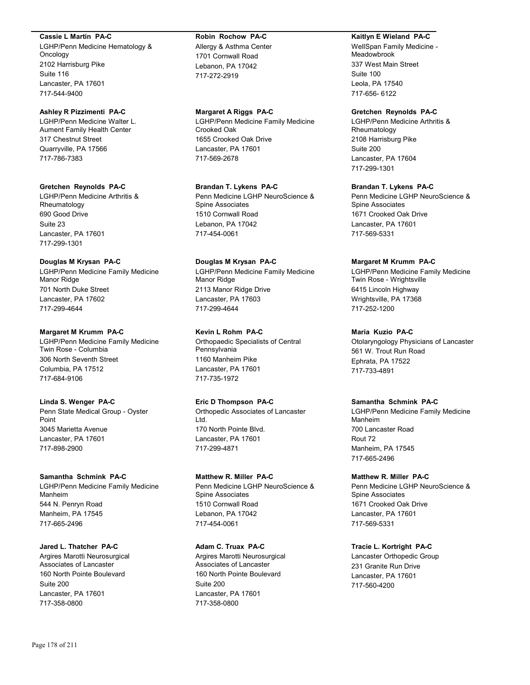#### **Cassie L Martin PA-C**

LGHP/Penn Medicine Hematology & Oncology 2102 Harrisburg Pike Suite 116 Lancaster, PA 17601 717-544-9400

## **Ashley R Pizzimenti PA-C**

LGHP/Penn Medicine Walter L. Aument Family Health Center 317 Chestnut Street Quarryville, PA 17566 717-786-7383

#### **Gretchen Reynolds PA-C**

LGHP/Penn Medicine Arthritis & Rheumatology 690 Good Drive Suite 23 Lancaster, PA 17601 717-299-1301

## **Douglas M Krysan PA-C**

LGHP/Penn Medicine Family Medicine Manor Ridge 701 North Duke Street Lancaster, PA 17602 717-299-4644

## **Margaret M Krumm PA-C**

LGHP/Penn Medicine Family Medicine Twin Rose - Columbia 306 North Seventh Street Columbia, PA 17512 717-684-9106

# **Linda S. Wenger PA-C**

Penn State Medical Group - Oyster Point 3045 Marietta Avenue Lancaster, PA 17601 717-898-2900

# **Samantha Schmink PA-C**

LGHP/Penn Medicine Family Medicine Manheim 544 N. Penryn Road Manheim, PA 17545 717-665-2496

## **Jared L. Thatcher PA-C** Argires Marotti Neurosurgical

Associates of Lancaster 160 North Pointe Boulevard Suite 200 Lancaster, PA 17601 717-358-0800

#### **Robin Rochow PA-C**

Allergy & Asthma Center 1701 Cornwall Road Lebanon, PA 17042 717-272-2919

## **Margaret A Riggs PA-C**

LGHP/Penn Medicine Family Medicine Crooked Oak 1655 Crooked Oak Drive Lancaster, PA 17601 717-569-2678

## **Brandan T. Lykens PA-C**

Penn Medicine LGHP NeuroScience & Spine Associates 1510 Cornwall Road Lebanon, PA 17042 717-454-0061

## **Douglas M Krysan PA-C**

LGHP/Penn Medicine Family Medicine Manor Ridge 2113 Manor Ridge Drive Lancaster, PA 17603 717-299-4644

## **Kevin L Rohm PA-C**

Orthopaedic Specialists of Central Pennsylvania 1160 Manheim Pike Lancaster, PA 17601 717-735-1972

## **Eric D Thompson PA-C**

Orthopedic Associates of Lancaster Ltd. 170 North Pointe Blvd. Lancaster, PA 17601 717-299-4871

## **Matthew R. Miller PA-C**

Penn Medicine LGHP NeuroScience & Spine Associates 1510 Cornwall Road Lebanon, PA 17042 717-454-0061

## **Adam C. Truax PA-C**

Argires Marotti Neurosurgical Associates of Lancaster 160 North Pointe Boulevard Suite 200 Lancaster, PA 17601 717-358-0800

## **Kaitlyn E Wieland PA-C**

WellSpan Family Medicine - **Meadowbrook** 337 West Main Street Suite 100 Leola, PA 17540 717-656- 6122

## **Gretchen Reynolds PA-C**

LGHP/Penn Medicine Arthritis & Rheumatology 2108 Harrisburg Pike Suite 200 Lancaster, PA 17604 717-299-1301

## **Brandan T. Lykens PA-C**

Penn Medicine LGHP NeuroScience & Spine Associates 1671 Crooked Oak Drive Lancaster, PA 17601 717-569-5331

## **Margaret M Krumm PA-C**

LGHP/Penn Medicine Family Medicine Twin Rose - Wrightsville 6415 Lincoln Highway Wrightsville, PA 17368 717-252-1200

## **Maria Kuzio PA-C**

Otolaryngology Physicians of Lancaster 561 W. Trout Run Road Ephrata, PA 17522 717-733-4891

## **Samantha Schmink PA-C**

LGHP/Penn Medicine Family Medicine Manheim 700 Lancaster Road Rout 72 Manheim, PA 17545 717-665-2496

## **Matthew R. Miller PA-C**

Penn Medicine LGHP NeuroScience & Spine Associates 1671 Crooked Oak Drive Lancaster, PA 17601 717-569-5331

## **Tracie L. Kortright PA-C**

Lancaster Orthopedic Group 231 Granite Run Drive Lancaster, PA 17601 717-560-4200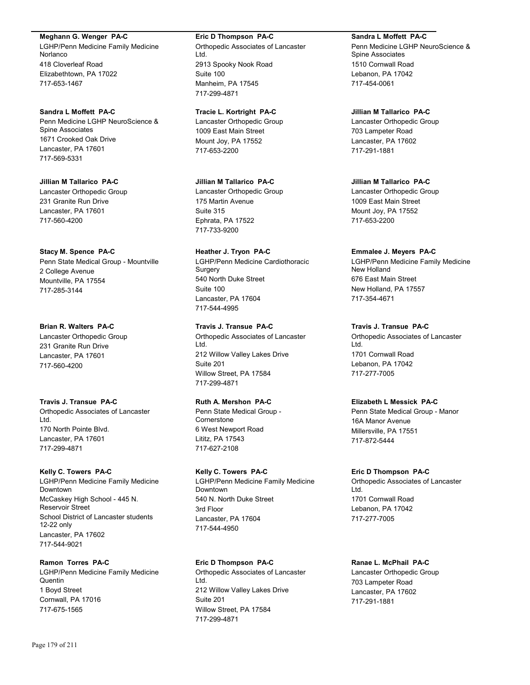**Meghann G. Wenger PA-C**

LGHP/Penn Medicine Family Medicine Norlanco 418 Cloverleaf Road Elizabethtown, PA 17022 717-653-1467

**Sandra L Moffett PA-C** Penn Medicine LGHP NeuroScience & Spine Associates 1671 Crooked Oak Drive Lancaster, PA 17601 717-569-5331

**Jillian M Tallarico PA-C** Lancaster Orthopedic Group 231 Granite Run Drive Lancaster, PA 17601 717-560-4200

## **Stacy M. Spence PA-C**

Penn State Medical Group - Mountville 2 College Avenue Mountville, PA 17554 717-285-3144

## **Brian R. Walters PA-C**

Lancaster Orthopedic Group 231 Granite Run Drive Lancaster, PA 17601 717-560-4200

**Travis J. Transue PA-C**

Orthopedic Associates of Lancaster Ltd. 170 North Pointe Blvd. Lancaster, PA 17601 717-299-4871

## **Kelly C. Towers PA-C**

LGHP/Penn Medicine Family Medicine Downtown McCaskey High School - 445 N. Reservoir Street School District of Lancaster students 12-22 only Lancaster, PA 17602 717-544-9021

## **Ramon Torres PA-C**

LGHP/Penn Medicine Family Medicine Quentin 1 Boyd Street Cornwall, PA 17016 717-675-1565

## **Eric D Thompson PA-C**

Orthopedic Associates of Lancaster Ltd. 2913 Spooky Nook Road Suite 100 Manheim, PA 17545 717-299-4871

**Tracie L. Kortright PA-C** Lancaster Orthopedic Group 1009 East Main Street Mount Joy, PA 17552 717-653-2200

**Jillian M Tallarico PA-C** Lancaster Orthopedic Group 175 Martin Avenue Suite 315 Ephrata, PA 17522 717-733-9200

**Heather J. Tryon PA-C** LGHP/Penn Medicine Cardiothoracic Surgery 540 North Duke Street Suite 100 Lancaster, PA 17604 717-544-4995

**Travis J. Transue PA-C** Orthopedic Associates of Lancaster Ltd. 212 Willow Valley Lakes Drive Suite 201 Willow Street, PA 17584 717-299-4871

# **Ruth A. Mershon PA-C**

Penn State Medical Group - Cornerstone 6 West Newport Road Lititz, PA 17543 717-627-2108

**Kelly C. Towers PA-C**

LGHP/Penn Medicine Family Medicine Downtown 540 N. North Duke Street 3rd Floor Lancaster, PA 17604 717-544-4950

## **Eric D Thompson PA-C**

Orthopedic Associates of Lancaster Ltd. 212 Willow Valley Lakes Drive Suite 201 Willow Street, PA 17584 717-299-4871

**Sandra L Moffett PA-C** Penn Medicine LGHP NeuroScience &

Spine Associates 1510 Cornwall Road Lebanon, PA 17042 717-454-0061

**Jillian M Tallarico PA-C** Lancaster Orthopedic Group 703 Lampeter Road Lancaster, PA 17602 717-291-1881

**Jillian M Tallarico PA-C** Lancaster Orthopedic Group 1009 East Main Street Mount Joy, PA 17552 717-653-2200

## **Emmalee J. Meyers PA-C**

LGHP/Penn Medicine Family Medicine New Holland 676 East Main Street New Holland, PA 17557 717-354-4671

## **Travis J. Transue PA-C**

Orthopedic Associates of Lancaster Ltd. 1701 Cornwall Road Lebanon, PA 17042 717-277-7005

## **Elizabeth L Messick PA-C**

Penn State Medical Group - Manor 16A Manor Avenue Millersville, PA 17551 717-872-5444

## **Eric D Thompson PA-C**

Orthopedic Associates of Lancaster Ltd. 1701 Cornwall Road Lebanon, PA 17042 717-277-7005

## **Ranae L. McPhail PA-C**

Lancaster Orthopedic Group 703 Lampeter Road Lancaster, PA 17602 717-291-1881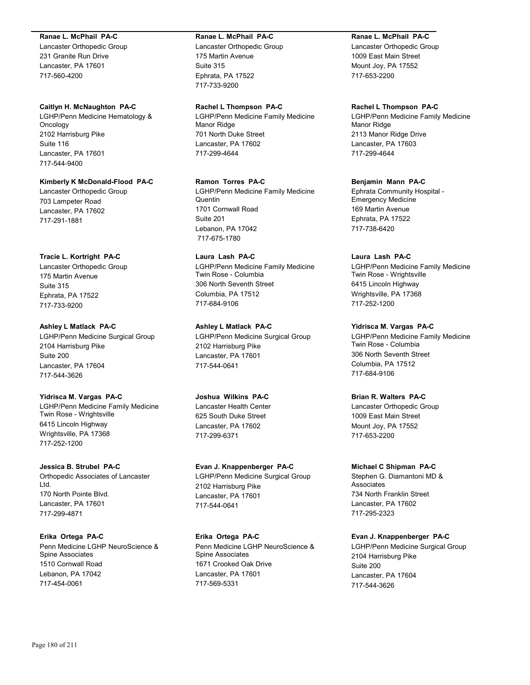#### **Ranae L. McPhail PA-C**

Lancaster Orthopedic Group 231 Granite Run Drive Lancaster, PA 17601 717-560-4200

#### **Caitlyn H. McNaughton PA-C**

LGHP/Penn Medicine Hematology & Oncology 2102 Harrisburg Pike Suite 116 Lancaster, PA 17601 717-544-9400

## **Kimberly K McDonald-Flood PA-C**

Lancaster Orthopedic Group 703 Lampeter Road Lancaster, PA 17602 717-291-1881

## **Tracie L. Kortright PA-C**

Lancaster Orthopedic Group 175 Martin Avenue Suite 315 Ephrata, PA 17522 717-733-9200

## **Ashley L Matlack PA-C**

LGHP/Penn Medicine Surgical Group 2104 Harrisburg Pike Suite 200 Lancaster, PA 17604 717-544-3626

## **Yidrisca M. Vargas PA-C**

LGHP/Penn Medicine Family Medicine Twin Rose - Wrightsville 6415 Lincoln Highway Wrightsville, PA 17368 717-252-1200

## **Jessica B. Strubel PA-C**

Orthopedic Associates of Lancaster Ltd. 170 North Pointe Blvd. Lancaster, PA 17601 717-299-4871

## **Erika Ortega PA-C**

Penn Medicine LGHP NeuroScience & Spine Associates 1510 Cornwall Road Lebanon, PA 17042 717-454-0061

#### **Ranae L. McPhail PA-C**

Lancaster Orthopedic Group 175 Martin Avenue Suite 315 Ephrata, PA 17522 717-733-9200

#### **Rachel L Thompson PA-C**

LGHP/Penn Medicine Family Medicine Manor Ridge 701 North Duke Street Lancaster, PA 17602 717-299-4644

## **Ramon Torres PA-C**

LGHP/Penn Medicine Family Medicine **Quentin** 1701 Cornwall Road Suite 201 Lebanon, PA 17042 717-675-1780

## **Laura Lash PA-C** LGHP/Penn Medicine Family Medicine Twin Rose - Columbia 306 North Seventh Street Columbia, PA 17512 717-684-9106

# **Ashley L Matlack PA-C**

LGHP/Penn Medicine Surgical Group 2102 Harrisburg Pike Lancaster, PA 17601 717-544-0641

## **Joshua Wilkins PA-C**

Lancaster Health Center 625 South Duke Street Lancaster, PA 17602 717-299-6371

## **Evan J. Knappenberger PA-C**

LGHP/Penn Medicine Surgical Group 2102 Harrisburg Pike Lancaster, PA 17601 717-544-0641

## **Erika Ortega PA-C**

Penn Medicine LGHP NeuroScience & Spine Associates 1671 Crooked Oak Drive Lancaster, PA 17601 717-569-5331

## **Ranae L. McPhail PA-C**

Lancaster Orthopedic Group 1009 East Main Street Mount Joy, PA 17552 717-653-2200

## **Rachel L Thompson PA-C**

LGHP/Penn Medicine Family Medicine Manor Ridge 2113 Manor Ridge Drive Lancaster, PA 17603 717-299-4644

## **Benjamin Mann PA-C**

Ephrata Community Hospital - Emergency Medicine 169 Martin Avenue Ephrata, PA 17522 717-738-6420

## **Laura Lash PA-C**

LGHP/Penn Medicine Family Medicine Twin Rose - Wrightsville 6415 Lincoln Highway Wrightsville, PA 17368 717-252-1200

## **Yidrisca M. Vargas PA-C**

LGHP/Penn Medicine Family Medicine Twin Rose - Columbia 306 North Seventh Street Columbia, PA 17512 717-684-9106

## **Brian R. Walters PA-C**

Lancaster Orthopedic Group 1009 East Main Street Mount Joy, PA 17552 717-653-2200

## **Michael C Shipman PA-C**

Stephen G. Diamantoni MD & Associates 734 North Franklin Street Lancaster, PA 17602 717-295-2323

## **Evan J. Knappenberger PA-C**

LGHP/Penn Medicine Surgical Group 2104 Harrisburg Pike Suite 200 Lancaster, PA 17604 717-544-3626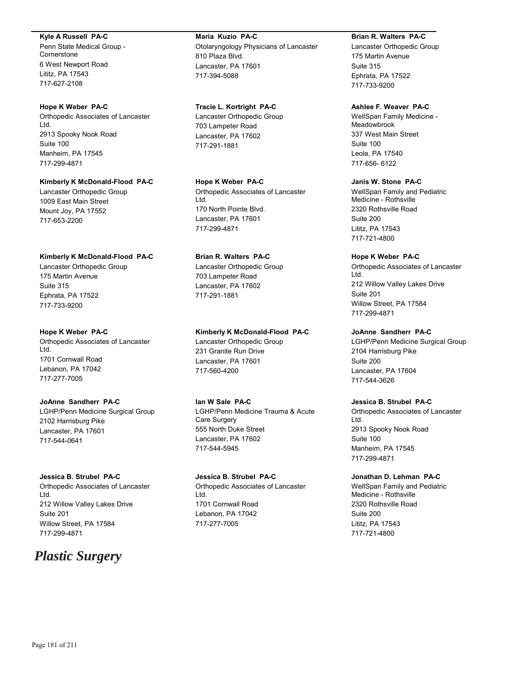#### **Kyle A Russell PA-C**

Penn State Medical Group - **Cornerstone** 6 West Newport Road Lititz, PA 17543 717-627-2108

#### **Hope K Weber PA-C**

Orthopedic Associates of Lancaster Ltd. 2913 Spooky Nook Road Suite 100 Manheim, PA 17545 717-299-4871

## **Kimberly K McDonald-Flood PA-C**

Lancaster Orthopedic Group 1009 East Main Street Mount Joy, PA 17552 717-653-2200

## **Kimberly K McDonald-Flood PA-C**

Lancaster Orthopedic Group 175 Martin Avenue Suite 315 Ephrata, PA 17522 717-733-9200

#### **Hope K Weber PA-C**

Orthopedic Associates of Lancaster Ltd. 1701 Cornwall Road Lebanon, PA 17042 717-277-7005

## **JoAnne Sandherr PA-C**

LGHP/Penn Medicine Surgical Group 2102 Harrisburg Pike Lancaster, PA 17601 717-544-0641

## **Jessica B. Strubel PA-C**

Orthopedic Associates of Lancaster Ltd. 212 Willow Valley Lakes Drive Suite 201 Willow Street, PA 17584 717-299-4871

# *Plastic Surgery*

**Maria Kuzio PA-C** Otolaryngology Physicians of Lancaster 810 Plaza Blvd. Lancaster, PA 17601 717-394-5088

### **Tracie L. Kortright PA-C** Lancaster Orthopedic Group 703 Lampeter Road Lancaster, PA 17602

717-291-1881

## **Hope K Weber PA-C** Orthopedic Associates of Lancaster Ltd. 170 North Pointe Blvd. Lancaster, PA 17601 717-299-4871

# **Brian R. Walters PA-C**

Lancaster Orthopedic Group 703 Lampeter Road Lancaster, PA 17602 717-291-1881

## **Kimberly K McDonald-Flood PA-C**

Lancaster Orthopedic Group 231 Granite Run Drive Lancaster, PA 17601 717-560-4200

## **Ian W Sale PA-C** LGHP/Penn Medicine Trauma & Acute Care Surgery 555 North Duke Street

Lancaster, PA 17602 717-544-5945

## **Jessica B. Strubel PA-C**

Orthopedic Associates of Lancaster Ltd. 1701 Cornwall Road Lebanon, PA 17042 717-277-7005

## **Brian R. Walters PA-C**

Lancaster Orthopedic Group 175 Martin Avenue Suite 315 Ephrata, PA 17522 717-733-9200

# **Ashlee F. Weaver PA-C**

WellSpan Family Medicine - Meadowbrook 337 West Main Street Suite 100 Leola, PA 17540 717-656- 6122

## **Janis W. Stone PA-C**

WellSpan Family and Pediatric Medicine - Rothsville 2320 Rothsville Road Suite 200 Lititz, PA 17543 717-721-4800

## **Hope K Weber PA-C**

Orthopedic Associates of Lancaster Ltd. 212 Willow Valley Lakes Drive Suite 201 Willow Street, PA 17584 717-299-4871

## **JoAnne Sandherr PA-C**

LGHP/Penn Medicine Surgical Group 2104 Harrisburg Pike Suite 200 Lancaster, PA 17604 717-544-3626

## **Jessica B. Strubel PA-C**

Orthopedic Associates of Lancaster Ltd. 2913 Spooky Nook Road Suite 100 Manheim, PA 17545 717-299-4871

## **Jonathan D. Lehman PA-C**

WellSpan Family and Pediatric Medicine - Rothsville 2320 Rothsville Road Suite 200 Lititz, PA 17543 717-721-4800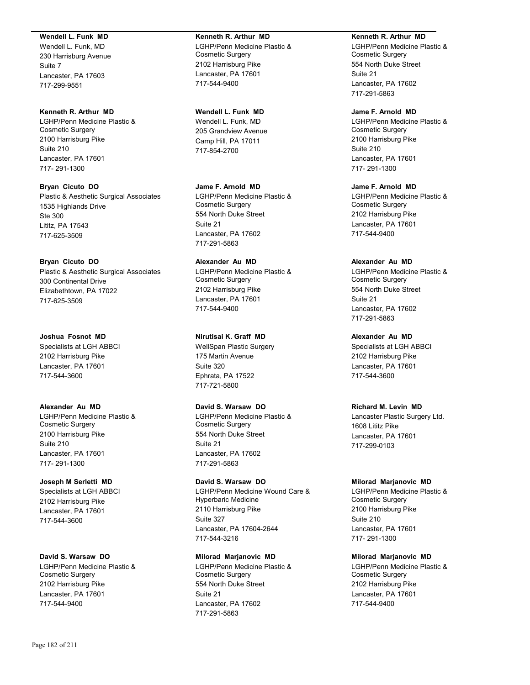### **Wendell L. Funk MD**

Wendell L. Funk, MD 230 Harrisburg Avenue Suite 7 Lancaster, PA 17603 717-299-9551

## **Kenneth R. Arthur MD**

LGHP/Penn Medicine Plastic & Cosmetic Surgery 2100 Harrisburg Pike Suite 210 Lancaster, PA 17601 717- 291-1300

**Bryan Cicuto DO** Plastic & Aesthetic Surgical Associates 1535 Highlands Drive Ste 300 Lititz, PA 17543 717-625-3509

## **Bryan Cicuto DO**

Plastic & Aesthetic Surgical Associates 300 Continental Drive Elizabethtown, PA 17022 717-625-3509

## **Joshua Fosnot MD**

Specialists at LGH ABBCI 2102 Harrisburg Pike Lancaster, PA 17601 717-544-3600

## **Alexander Au MD**

LGHP/Penn Medicine Plastic & Cosmetic Surgery 2100 Harrisburg Pike Suite 210 Lancaster, PA 17601 717- 291-1300

# **Joseph M Serletti MD**

Specialists at LGH ABBCI 2102 Harrisburg Pike Lancaster, PA 17601 717-544-3600

## **David S. Warsaw DO**

LGHP/Penn Medicine Plastic & Cosmetic Surgery 2102 Harrisburg Pike Lancaster, PA 17601 717-544-9400

#### **Kenneth R. Arthur MD**

LGHP/Penn Medicine Plastic & Cosmetic Surgery 2102 Harrisburg Pike Lancaster, PA 17601 717-544-9400

## **Wendell L. Funk MD**

Wendell L. Funk, MD 205 Grandview Avenue Camp Hill, PA 17011 717-854-2700

## **Jame F. Arnold MD**

LGHP/Penn Medicine Plastic & Cosmetic Surgery 554 North Duke Street Suite 21 Lancaster, PA 17602 717-291-5863

# **Alexander Au MD**

LGHP/Penn Medicine Plastic & Cosmetic Surgery 2102 Harrisburg Pike Lancaster, PA 17601 717-544-9400

## **Nirutisai K. Graff MD**

WellSpan Plastic Surgery 175 Martin Avenue Suite 320 Ephrata, PA 17522 717-721-5800

## **David S. Warsaw DO**

LGHP/Penn Medicine Plastic & Cosmetic Surgery 554 North Duke Street Suite 21 Lancaster, PA 17602 717-291-5863

## **David S. Warsaw DO**

LGHP/Penn Medicine Wound Care & Hyperbaric Medicine 2110 Harrisburg Pike Suite 327 Lancaster, PA 17604-2644 717-544-3216

## **Milorad Marjanovic MD**

LGHP/Penn Medicine Plastic & Cosmetic Surgery 554 North Duke Street Suite 21 Lancaster, PA 17602 717-291-5863

#### **Kenneth R. Arthur MD**

LGHP/Penn Medicine Plastic & Cosmetic Surgery 554 North Duke Street Suite 21 Lancaster, PA 17602 717-291-5863

### **Jame F. Arnold MD**

LGHP/Penn Medicine Plastic & Cosmetic Surgery 2100 Harrisburg Pike Suite 210 Lancaster, PA 17601 717- 291-1300

## **Jame F. Arnold MD**

LGHP/Penn Medicine Plastic & Cosmetic Surgery 2102 Harrisburg Pike Lancaster, PA 17601 717-544-9400

## **Alexander Au MD**

LGHP/Penn Medicine Plastic & Cosmetic Surgery 554 North Duke Street Suite 21 Lancaster, PA 17602 717-291-5863

## **Alexander Au MD**

Specialists at LGH ABBCI 2102 Harrisburg Pike Lancaster, PA 17601 717-544-3600

## **Richard M. Levin MD**

Lancaster Plastic Surgery Ltd. 1608 Lititz Pike Lancaster, PA 17601 717-299-0103

## **Milorad Marjanovic MD**

LGHP/Penn Medicine Plastic & Cosmetic Surgery 2100 Harrisburg Pike Suite 210 Lancaster, PA 17601 717- 291-1300

## **Milorad Marjanovic MD**

LGHP/Penn Medicine Plastic & Cosmetic Surgery 2102 Harrisburg Pike Lancaster, PA 17601 717-544-9400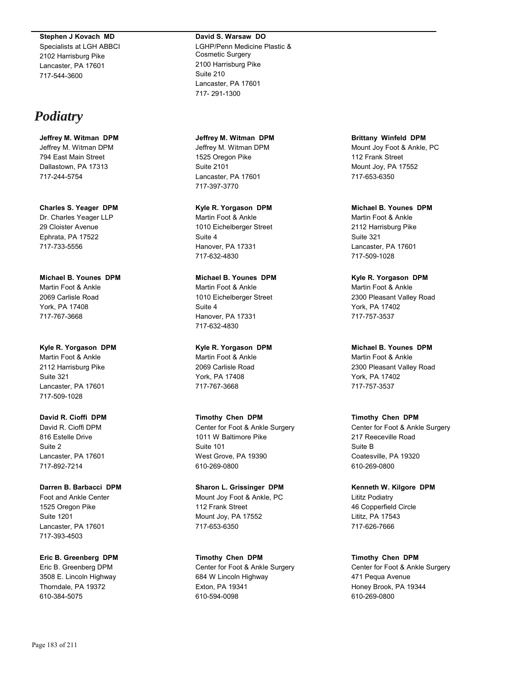#### **Stephen J Kovach MD**

Specialists at LGH ABBCI 2102 Harrisburg Pike Lancaster, PA 17601 717-544-3600

# *Podiatry*

**Jeffrey M. Witman DPM** Jeffrey M. Witman DPM 794 East Main Street Dallastown, PA 17313 717-244-5754

**Charles S. Yeager DPM** Dr. Charles Yeager LLP 29 Cloister Avenue Ephrata, PA 17522 717-733-5556

**Michael B. Younes DPM** Martin Foot & Ankle 2069 Carlisle Road York, PA 17408 717-767-3668

## **Kyle R. Yorgason DPM**

Martin Foot & Ankle 2112 Harrisburg Pike Suite 321 Lancaster, PA 17601 717-509-1028

## **David R. Cioffi DPM**

David R. Cioffi DPM 816 Estelle Drive Suite 2 Lancaster, PA 17601 717-892-7214

**Darren B. Barbacci DPM**

Foot and Ankle Center 1525 Oregon Pike Suite 1201 Lancaster, PA 17601 717-393-4503

## **Eric B. Greenberg DPM**

Eric B. Greenberg DPM 3508 E. Lincoln Highway Thorndale, PA 19372 610-384-5075

# **David S. Warsaw DO**

LGHP/Penn Medicine Plastic & Cosmetic Surgery 2100 Harrisburg Pike Suite 210 Lancaster, PA 17601 717- 291-1300

**Jeffrey M. Witman DPM** Jeffrey M. Witman DPM 1525 Oregon Pike Suite 2101 Lancaster, PA 17601 717-397-3770

**Kyle R. Yorgason DPM** Martin Foot & Ankle 1010 Eichelberger Street Suite 4 Hanover, PA 17331 717-632-4830

# **Michael B. Younes DPM**

Martin Foot & Ankle 1010 Eichelberger Street Suite 4 Hanover, PA 17331 717-632-4830

## **Kyle R. Yorgason DPM**

Martin Foot & Ankle 2069 Carlisle Road York, PA 17408 717-767-3668

**Timothy Chen DPM**

Center for Foot & Ankle Surgery 1011 W Baltimore Pike Suite 101 West Grove, PA 19390 610-269-0800

**Sharon L. Grissinger DPM** Mount Joy Foot & Ankle, PC 112 Frank Street Mount Joy, PA 17552 717-653-6350

**Timothy Chen DPM** Center for Foot & Ankle Surgery 684 W Lincoln Highway Exton, PA 19341 610-594-0098

**Brittany Winfeld DPM** Mount Joy Foot & Ankle, PC 112 Frank Street Mount Joy, PA 17552 717-653-6350

**Michael B. Younes DPM** Martin Foot & Ankle 2112 Harrisburg Pike Suite 321 Lancaster, PA 17601 717-509-1028

**Kyle R. Yorgason DPM** Martin Foot & Ankle 2300 Pleasant Valley Road York, PA 17402 717-757-3537

**Michael B. Younes DPM** Martin Foot & Ankle 2300 Pleasant Valley Road York, PA 17402 717-757-3537

## **Timothy Chen DPM**

Center for Foot & Ankle Surgery 217 Reeceville Road Suite B Coatesville, PA 19320 610-269-0800

**Kenneth W. Kilgore DPM** Lititz Podiatry 46 Copperfield Circle Lititz, PA 17543 717-626-7666

**Timothy Chen DPM** Center for Foot & Ankle Surgery 471 Pequa Avenue Honey Brook, PA 19344 610-269-0800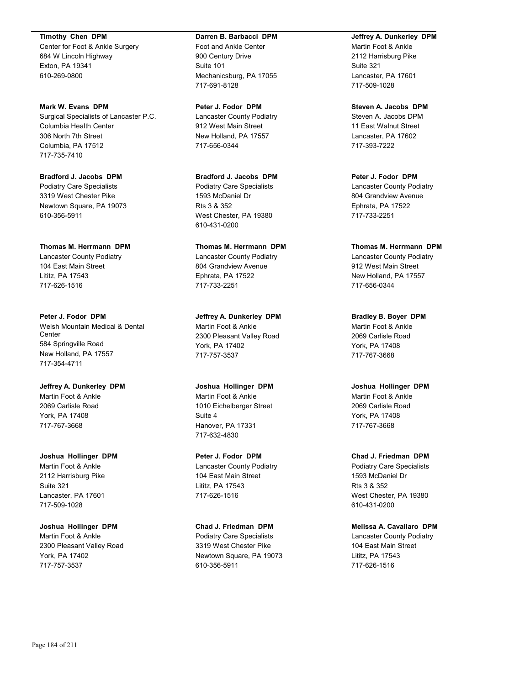**Timothy Chen DPM**

Center for Foot & Ankle Surgery 684 W Lincoln Highway Exton, PA 19341 610-269-0800

**Mark W. Evans DPM** Surgical Specialists of Lancaster P.C. Columbia Health Center 306 North 7th Street Columbia, PA 17512 717-735-7410

**Bradford J. Jacobs DPM** Podiatry Care Specialists 3319 West Chester Pike Newtown Square, PA 19073 610-356-5911

**Thomas M. Herrmann DPM** Lancaster County Podiatry 104 East Main Street Lititz, PA 17543 717-626-1516

**Peter J. Fodor DPM** Welsh Mountain Medical & Dental Center 584 Springville Road New Holland, PA 17557 717-354-4711

**Jeffrey A. Dunkerley DPM** Martin Foot & Ankle 2069 Carlisle Road York, PA 17408 717-767-3668

**Joshua Hollinger DPM** Martin Foot & Ankle 2112 Harrisburg Pike Suite 321 Lancaster, PA 17601 717-509-1028

**Joshua Hollinger DPM** Martin Foot & Ankle 2300 Pleasant Valley Road York, PA 17402 717-757-3537

#### **Darren B. Barbacci DPM**

Foot and Ankle Center 900 Century Drive Suite 101 Mechanicsburg, PA 17055 717-691-8128

**Peter J. Fodor DPM** Lancaster County Podiatry 912 West Main Street New Holland, PA 17557 717-656-0344

**Bradford J. Jacobs DPM** Podiatry Care Specialists 1593 McDaniel Dr Rts 3 & 352 West Chester, PA 19380 610-431-0200

**Thomas M. Herrmann DPM**

Lancaster County Podiatry 804 Grandview Avenue Ephrata, PA 17522 717-733-2251

**Jeffrey A. Dunkerley DPM** Martin Foot & Ankle 2300 Pleasant Valley Road York, PA 17402 717-757-3537

**Joshua Hollinger DPM** Martin Foot & Ankle 1010 Eichelberger Street Suite 4 Hanover, PA 17331 717-632-4830

**Peter J. Fodor DPM** Lancaster County Podiatry 104 East Main Street Lititz, PA 17543 717-626-1516

**Chad J. Friedman DPM** Podiatry Care Specialists 3319 West Chester Pike Newtown Square, PA 19073 610-356-5911

## **Jeffrey A. Dunkerley DPM**

Martin Foot & Ankle 2112 Harrisburg Pike Suite 321 Lancaster, PA 17601 717-509-1028

**Steven A. Jacobs DPM** Steven A. Jacobs DPM 11 East Walnut Street Lancaster, PA 17602 717-393-7222

**Peter J. Fodor DPM** Lancaster County Podiatry 804 Grandview Avenue Ephrata, PA 17522 717-733-2251

**Thomas M. Herrmann DPM** Lancaster County Podiatry 912 West Main Street New Holland, PA 17557 717-656-0344

**Bradley B. Boyer DPM** Martin Foot & Ankle 2069 Carlisle Road York, PA 17408 717-767-3668

**Joshua Hollinger DPM** Martin Foot & Ankle 2069 Carlisle Road York, PA 17408 717-767-3668

**Chad J. Friedman DPM** Podiatry Care Specialists 1593 McDaniel Dr Rts 3 & 352 West Chester, PA 19380 610-431-0200

**Melissa A. Cavallaro DPM** Lancaster County Podiatry 104 East Main Street Lititz, PA 17543 717-626-1516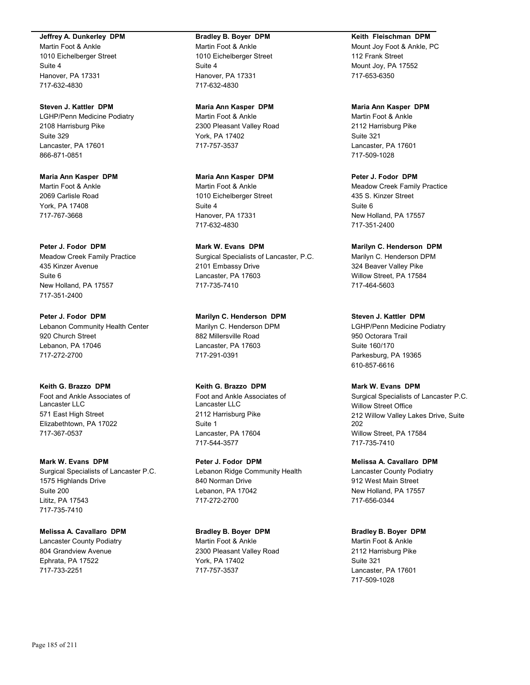#### **Jeffrey A. Dunkerley DPM**

Martin Foot & Ankle 1010 Eichelberger Street Suite 4 Hanover, PA 17331 717-632-4830

## **Steven J. Kattler DPM**

LGHP/Penn Medicine Podiatry 2108 Harrisburg Pike Suite 329 Lancaster, PA 17601 866-871-0851

**Maria Ann Kasper DPM** Martin Foot & Ankle 2069 Carlisle Road York, PA 17408 717-767-3668

**Peter J. Fodor DPM**

Meadow Creek Family Practice 435 Kinzer Avenue Suite 6 New Holland, PA 17557 717-351-2400

**Peter J. Fodor DPM** Lebanon Community Health Center 920 Church Street Lebanon, PA 17046 717-272-2700

### **Keith G. Brazzo DPM**

Foot and Ankle Associates of Lancaster LLC 571 East High Street Elizabethtown, PA 17022 717-367-0537

**Mark W. Evans DPM** Surgical Specialists of Lancaster P.C. 1575 Highlands Drive Suite 200 Lititz, PA 17543 717-735-7410

#### **Melissa A. Cavallaro DPM**

Lancaster County Podiatry 804 Grandview Avenue Ephrata, PA 17522 717-733-2251

#### **Bradley B. Boyer DPM**

Martin Foot & Ankle 1010 Eichelberger Street Suite 4 Hanover, PA 17331 717-632-4830

#### **Maria Ann Kasper DPM**

Martin Foot & Ankle 2300 Pleasant Valley Road York, PA 17402 717-757-3537

**Maria Ann Kasper DPM** Martin Foot & Ankle 1010 Eichelberger Street Suite 4 Hanover, PA 17331 717-632-4830

**Mark W. Evans DPM** Surgical Specialists of Lancaster, P.C. 2101 Embassy Drive Lancaster, PA 17603 717-735-7410

**Marilyn C. Henderson DPM** Marilyn C. Henderson DPM 882 Millersville Road Lancaster, PA 17603 717-291-0391

### **Keith G. Brazzo DPM**

Foot and Ankle Associates of Lancaster LLC 2112 Harrisburg Pike Suite 1 Lancaster, PA 17604 717-544-3577

**Peter J. Fodor DPM** Lebanon Ridge Community Health 840 Norman Drive Lebanon, PA 17042 717-272-2700

**Bradley B. Boyer DPM** Martin Foot & Ankle 2300 Pleasant Valley Road York, PA 17402 717-757-3537

#### **Keith Fleischman DPM**

Mount Joy Foot & Ankle, PC 112 Frank Street Mount Joy, PA 17552 717-653-6350

#### **Maria Ann Kasper DPM**

Martin Foot & Ankle 2112 Harrisburg Pike Suite 321 Lancaster, PA 17601 717-509-1028

## **Peter J. Fodor DPM**

Meadow Creek Family Practice 435 S. Kinzer Street Suite 6 New Holland, PA 17557 717-351-2400

**Marilyn C. Henderson DPM**

Marilyn C. Henderson DPM 324 Beaver Valley Pike Willow Street, PA 17584 717-464-5603

**Steven J. Kattler DPM**

LGHP/Penn Medicine Podiatry 950 Octorara Trail Suite 160/170 Parkesburg, PA 19365 610-857-6616

#### **Mark W. Evans DPM**

Surgical Specialists of Lancaster P.C. Willow Street Office 212 Willow Valley Lakes Drive, Suite 202 Willow Street, PA 17584 717-735-7410

**Melissa A. Cavallaro DPM** Lancaster County Podiatry 912 West Main Street New Holland, PA 17557

## **Bradley B. Boyer DPM**

717-656-0344

Martin Foot & Ankle 2112 Harrisburg Pike Suite 321 Lancaster, PA 17601 717-509-1028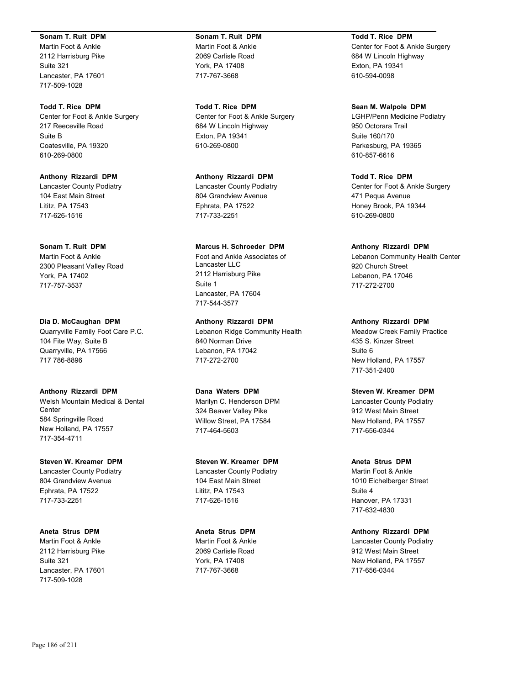#### **Sonam T. Ruit DPM**

Martin Foot & Ankle 2112 Harrisburg Pike Suite 321 Lancaster, PA 17601 717-509-1028

**Todd T. Rice DPM** Center for Foot & Ankle Surgery

217 Reeceville Road Suite B Coatesville, PA 19320 610-269-0800

**Anthony Rizzardi DPM** Lancaster County Podiatry 104 East Main Street Lititz, PA 17543 717-626-1516

**Sonam T. Ruit DPM** Martin Foot & Ankle

2300 Pleasant Valley Road York, PA 17402 717-757-3537

**Dia D. McCaughan DPM** Quarryville Family Foot Care P.C. 104 Fite Way, Suite B Quarryville, PA 17566 717 786-8896

**Anthony Rizzardi DPM** Welsh Mountain Medical & Dental **Center** 584 Springville Road New Holland, PA 17557 717-354-4711

**Steven W. Kreamer DPM** Lancaster County Podiatry 804 Grandview Avenue Ephrata, PA 17522 717-733-2251

**Aneta Strus DPM** Martin Foot & Ankle 2112 Harrisburg Pike Suite 321 Lancaster, PA 17601 717-509-1028

**Sonam T. Ruit DPM** Martin Foot & Ankle 2069 Carlisle Road York, PA 17408 717-767-3668

**Todd T. Rice DPM** Center for Foot & Ankle Surgery 684 W Lincoln Highway Exton, PA 19341 610-269-0800

**Anthony Rizzardi DPM** Lancaster County Podiatry 804 Grandview Avenue Ephrata, PA 17522 717-733-2251

## **Marcus H. Schroeder DPM**

Foot and Ankle Associates of Lancaster LLC 2112 Harrisburg Pike Suite 1 Lancaster, PA 17604 717-544-3577

**Anthony Rizzardi DPM** Lebanon Ridge Community Health 840 Norman Drive Lebanon, PA 17042 717-272-2700

**Dana Waters DPM** Marilyn C. Henderson DPM 324 Beaver Valley Pike Willow Street, PA 17584 717-464-5603

**Steven W. Kreamer DPM** Lancaster County Podiatry 104 East Main Street Lititz, PA 17543 717-626-1516

**Aneta Strus DPM** Martin Foot & Ankle 2069 Carlisle Road York, PA 17408 717-767-3668

**Todd T. Rice DPM**

Center for Foot & Ankle Surgery 684 W Lincoln Highway Exton, PA 19341 610-594-0098

**Sean M. Walpole DPM**

LGHP/Penn Medicine Podiatry 950 Octorara Trail Suite 160/170 Parkesburg, PA 19365 610-857-6616

**Todd T. Rice DPM** Center for Foot & Ankle Surgery 471 Pequa Avenue Honey Brook, PA 19344 610-269-0800

**Anthony Rizzardi DPM** Lebanon Community Health Center 920 Church Street Lebanon, PA 17046 717-272-2700

**Anthony Rizzardi DPM** Meadow Creek Family Practice 435 S. Kinzer Street Suite 6 New Holland, PA 17557 717-351-2400

**Steven W. Kreamer DPM** Lancaster County Podiatry 912 West Main Street New Holland, PA 17557 717-656-0344

**Aneta Strus DPM** Martin Foot & Ankle 1010 Eichelberger Street Suite 4 Hanover, PA 17331 717-632-4830

**Anthony Rizzardi DPM** Lancaster County Podiatry 912 West Main Street New Holland, PA 17557 717-656-0344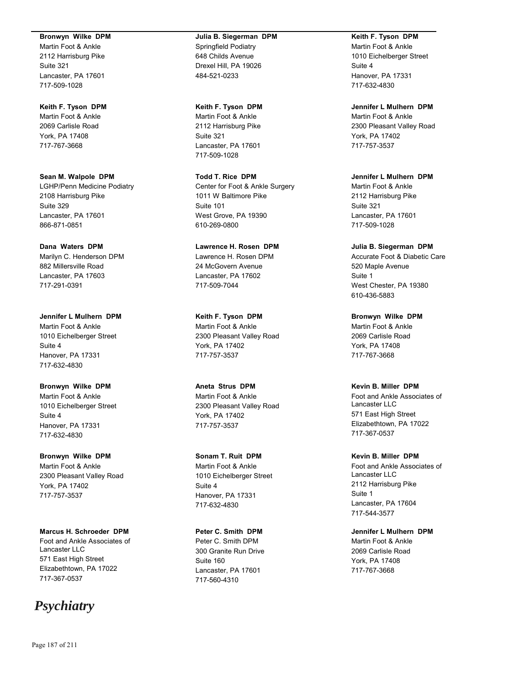#### **Bronwyn Wilke DPM**

Martin Foot & Ankle 2112 Harrisburg Pike Suite 321 Lancaster, PA 17601 717-509-1028

#### **Keith F. Tyson DPM**

Martin Foot & Ankle 2069 Carlisle Road York, PA 17408 717-767-3668

**Sean M. Walpole DPM** LGHP/Penn Medicine Podiatry 2108 Harrisburg Pike Suite 329 Lancaster, PA 17601 866-871-0851

**Dana Waters DPM** Marilyn C. Henderson DPM

882 Millersville Road Lancaster, PA 17603 717-291-0391

**Jennifer L Mulhern DPM** Martin Foot & Ankle 1010 Eichelberger Street Suite 4 Hanover, PA 17331 717-632-4830

**Bronwyn Wilke DPM** Martin Foot & Ankle 1010 Eichelberger Street Suite 4 Hanover, PA 17331 717-632-4830

**Bronwyn Wilke DPM** Martin Foot & Ankle 2300 Pleasant Valley Road York, PA 17402 717-757-3537

**Marcus H. Schroeder DPM** Foot and Ankle Associates of Lancaster LLC 571 East High Street Elizabethtown, PA 17022 717-367-0537

# *Psychiatry*

**Julia B. Siegerman DPM** Springfield Podiatry 648 Childs Avenue Drexel Hill, PA 19026 484-521-0233

**Keith F. Tyson DPM**

Martin Foot & Ankle 2112 Harrisburg Pike Suite 321 Lancaster, PA 17601 717-509-1028

**Todd T. Rice DPM** Center for Foot & Ankle Surgery 1011 W Baltimore Pike Suite 101 West Grove, PA 19390 610-269-0800

**Lawrence H. Rosen DPM** Lawrence H. Rosen DPM 24 McGovern Avenue Lancaster, PA 17602 717-509-7044

**Keith F. Tyson DPM** Martin Foot & Ankle 2300 Pleasant Valley Road York, PA 17402 717-757-3537

**Aneta Strus DPM** Martin Foot & Ankle 2300 Pleasant Valley Road York, PA 17402 717-757-3537

**Sonam T. Ruit DPM** Martin Foot & Ankle 1010 Eichelberger Street Suite 4 Hanover, PA 17331 717-632-4830

**Peter C. Smith DPM** Peter C. Smith DPM 300 Granite Run Drive Suite 160 Lancaster, PA 17601 717-560-4310

**Keith F. Tyson DPM**

Martin Foot & Ankle 1010 Eichelberger Street Suite 4 Hanover, PA 17331 717-632-4830

**Jennifer L Mulhern DPM** Martin Foot & Ankle 2300 Pleasant Valley Road York, PA 17402 717-757-3537

**Jennifer L Mulhern DPM** Martin Foot & Ankle 2112 Harrisburg Pike Suite 321 Lancaster, PA 17601 717-509-1028

**Julia B. Siegerman DPM** Accurate Foot & Diabetic Care 520 Maple Avenue Suite 1 West Chester, PA 19380 610-436-5883

**Bronwyn Wilke DPM** Martin Foot & Ankle 2069 Carlisle Road York, PA 17408 717-767-3668

**Kevin B. Miller DPM** Foot and Ankle Associates of Lancaster LLC 571 East High Street Elizabethtown, PA 17022 717-367-0537

**Kevin B. Miller DPM** Foot and Ankle Associates of Lancaster LLC 2112 Harrisburg Pike Suite 1 Lancaster, PA 17604 717-544-3577

**Jennifer L Mulhern DPM** Martin Foot & Ankle 2069 Carlisle Road York, PA 17408 717-767-3668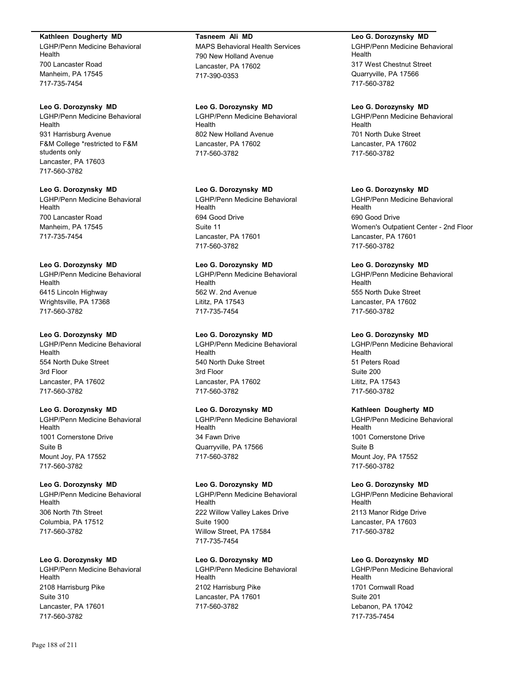#### **Kathleen Dougherty MD**

LGHP/Penn Medicine Behavioral Health 700 Lancaster Road Manheim, PA 17545 717-735-7454

#### **Leo G. Dorozynsky MD**

LGHP/Penn Medicine Behavioral Health 931 Harrisburg Avenue F&M College \*restricted to F&M students only Lancaster, PA 17603 717-560-3782

## **Leo G. Dorozynsky MD**

LGHP/Penn Medicine Behavioral Health 700 Lancaster Road Manheim, PA 17545 717-735-7454

#### **Leo G. Dorozynsky MD**

LGHP/Penn Medicine Behavioral Health 6415 Lincoln Highway Wrightsville, PA 17368 717-560-3782

#### **Leo G. Dorozynsky MD**

LGHP/Penn Medicine Behavioral Health 554 North Duke Street 3rd Floor Lancaster, PA 17602 717-560-3782

## **Leo G. Dorozynsky MD**

LGHP/Penn Medicine Behavioral Health 1001 Cornerstone Drive Suite B Mount Joy, PA 17552 717-560-3782

## **Leo G. Dorozynsky MD**

LGHP/Penn Medicine Behavioral Health 306 North 7th Street Columbia, PA 17512 717-560-3782

#### **Leo G. Dorozynsky MD**

LGHP/Penn Medicine Behavioral Health 2108 Harrisburg Pike Suite 310 Lancaster, PA 17601 717-560-3782

**Tasneem Ali MD** MAPS Behavioral Health Services 790 New Holland Avenue Lancaster, PA 17602 717-390-0353

**Leo G. Dorozynsky MD** LGHP/Penn Medicine Behavioral Health 802 New Holland Avenue Lancaster, PA 17602 717-560-3782

## **Leo G. Dorozynsky MD**

LGHP/Penn Medicine Behavioral Health 694 Good Drive Suite 11 Lancaster, PA 17601 717-560-3782

## **Leo G. Dorozynsky MD**

LGHP/Penn Medicine Behavioral Health 562 W. 2nd Avenue Lititz, PA 17543 717-735-7454

#### **Leo G. Dorozynsky MD**

LGHP/Penn Medicine Behavioral Health 540 North Duke Street 3rd Floor Lancaster, PA 17602 717-560-3782

## **Leo G. Dorozynsky MD**

LGHP/Penn Medicine Behavioral Health 34 Fawn Drive Quarryville, PA 17566 717-560-3782

## **Leo G. Dorozynsky MD**

LGHP/Penn Medicine Behavioral Health 222 Willow Valley Lakes Drive Suite 1900 Willow Street, PA 17584 717-735-7454

## **Leo G. Dorozynsky MD**

LGHP/Penn Medicine Behavioral Health 2102 Harrisburg Pike Lancaster, PA 17601 717-560-3782

**Leo G. Dorozynsky MD** LGHP/Penn Medicine Behavioral Health 317 West Chestnut Street Quarryville, PA 17566 717-560-3782

#### **Leo G. Dorozynsky MD**

LGHP/Penn Medicine Behavioral Health 701 North Duke Street Lancaster, PA 17602 717-560-3782

#### **Leo G. Dorozynsky MD**

LGHP/Penn Medicine Behavioral Health 690 Good Drive Women's Outpatient Center - 2nd Floor Lancaster, PA 17601 717-560-3782

#### **Leo G. Dorozynsky MD**

LGHP/Penn Medicine Behavioral Health 555 North Duke Street Lancaster, PA 17602 717-560-3782

#### **Leo G. Dorozynsky MD**

LGHP/Penn Medicine Behavioral Health 51 Peters Road Suite 200 Lititz, PA 17543 717-560-3782

#### **Kathleen Dougherty MD**

LGHP/Penn Medicine Behavioral Health 1001 Cornerstone Drive Suite B Mount Joy, PA 17552 717-560-3782

## **Leo G. Dorozynsky MD**

LGHP/Penn Medicine Behavioral Health 2113 Manor Ridge Drive Lancaster, PA 17603 717-560-3782

#### **Leo G. Dorozynsky MD**

LGHP/Penn Medicine Behavioral Health 1701 Cornwall Road Suite 201 Lebanon, PA 17042 717-735-7454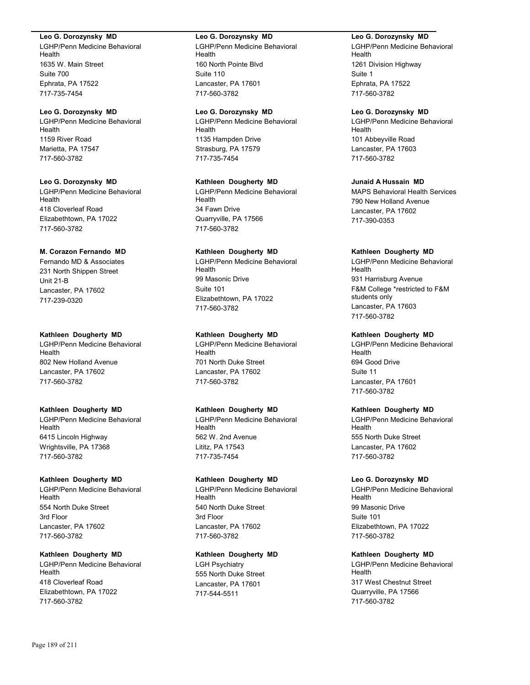#### **Leo G. Dorozynsky MD**

LGHP/Penn Medicine Behavioral Health 1635 W. Main Street Suite 700 Ephrata, PA 17522 717-735-7454

## **Leo G. Dorozynsky MD**

LGHP/Penn Medicine Behavioral Health 1159 River Road Marietta, PA 17547 717-560-3782

## **Leo G. Dorozynsky MD**

LGHP/Penn Medicine Behavioral Health 418 Cloverleaf Road Elizabethtown, PA 17022 717-560-3782

#### **M. Corazon Fernando MD**

Fernando MD & Associates 231 North Shippen Street Unit 21-B Lancaster, PA 17602 717-239-0320

#### **Kathleen Dougherty MD**

LGHP/Penn Medicine Behavioral Health 802 New Holland Avenue Lancaster, PA 17602 717-560-3782

#### **Kathleen Dougherty MD**

LGHP/Penn Medicine Behavioral Health 6415 Lincoln Highway Wrightsville, PA 17368 717-560-3782

#### **Kathleen Dougherty MD**

LGHP/Penn Medicine Behavioral Health 554 North Duke Street 3rd Floor Lancaster, PA 17602 717-560-3782

## **Kathleen Dougherty MD**

LGHP/Penn Medicine Behavioral Health 418 Cloverleaf Road Elizabethtown, PA 17022 717-560-3782

#### **Leo G. Dorozynsky MD**

LGHP/Penn Medicine Behavioral Health 160 North Pointe Blvd Suite 110 Lancaster, PA 17601 717-560-3782

## **Leo G. Dorozynsky MD**

LGHP/Penn Medicine Behavioral Health 1135 Hampden Drive Strasburg, PA 17579 717-735-7454

## **Kathleen Dougherty MD**

LGHP/Penn Medicine Behavioral Health 34 Fawn Drive Quarryville, PA 17566 717-560-3782

#### **Kathleen Dougherty MD**

LGHP/Penn Medicine Behavioral Health 99 Masonic Drive Suite 101 Elizabethtown, PA 17022 717-560-3782

#### **Kathleen Dougherty MD**

LGHP/Penn Medicine Behavioral Health 701 North Duke Street Lancaster, PA 17602 717-560-3782

## **Kathleen Dougherty MD**

LGHP/Penn Medicine Behavioral Health 562 W. 2nd Avenue Lititz, PA 17543 717-735-7454

#### **Kathleen Dougherty MD**

LGHP/Penn Medicine Behavioral Health 540 North Duke Street 3rd Floor Lancaster, PA 17602 717-560-3782

#### **Kathleen Dougherty MD**

LGH Psychiatry 555 North Duke Street Lancaster, PA 17601 717-544-5511

## **Leo G. Dorozynsky MD**

LGHP/Penn Medicine Behavioral Health 1261 Division Highway Suite 1 Ephrata, PA 17522 717-560-3782

#### **Leo G. Dorozynsky MD**

LGHP/Penn Medicine Behavioral Health 101 Abbeyville Road Lancaster, PA 17603 717-560-3782

# **Junaid A Hussain MD**

MAPS Behavioral Health Services 790 New Holland Avenue Lancaster, PA 17602 717-390-0353

## **Kathleen Dougherty MD**

LGHP/Penn Medicine Behavioral Health 931 Harrisburg Avenue F&M College \*restricted to F&M students only Lancaster, PA 17603 717-560-3782

#### **Kathleen Dougherty MD**

LGHP/Penn Medicine Behavioral Health 694 Good Drive Suite 11 Lancaster, PA 17601 717-560-3782

#### **Kathleen Dougherty MD**

LGHP/Penn Medicine Behavioral Health 555 North Duke Street Lancaster, PA 17602 717-560-3782

#### **Leo G. Dorozynsky MD**

LGHP/Penn Medicine Behavioral Health 99 Masonic Drive Suite 101 Elizabethtown, PA 17022 717-560-3782

## **Kathleen Dougherty MD**

LGHP/Penn Medicine Behavioral Health 317 West Chestnut Street Quarryville, PA 17566 717-560-3782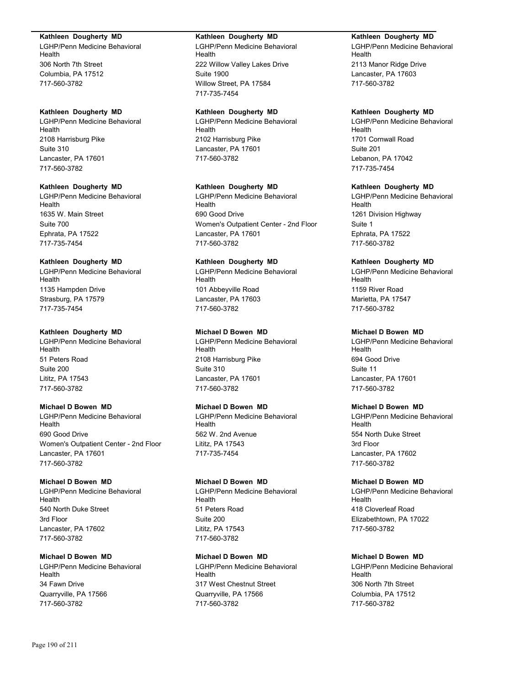### **Kathleen Dougherty MD**

LGHP/Penn Medicine Behavioral Health 306 North 7th Street Columbia, PA 17512 717-560-3782

## **Kathleen Dougherty MD**

LGHP/Penn Medicine Behavioral Health 2108 Harrisburg Pike Suite 310 Lancaster, PA 17601 717-560-3782

#### **Kathleen Dougherty MD**

LGHP/Penn Medicine Behavioral Health 1635 W. Main Street Suite 700 Ephrata, PA 17522 717-735-7454

#### **Kathleen Dougherty MD**

LGHP/Penn Medicine Behavioral Health 1135 Hampden Drive Strasburg, PA 17579 717-735-7454

## **Kathleen Dougherty MD**

LGHP/Penn Medicine Behavioral Health 51 Peters Road Suite 200 Lititz, PA 17543 717-560-3782

## **Michael D Bowen MD**

LGHP/Penn Medicine Behavioral Health 690 Good Drive Women's Outpatient Center - 2nd Floor Lancaster, PA 17601 717-560-3782

#### **Michael D Bowen MD**

LGHP/Penn Medicine Behavioral Health 540 North Duke Street 3rd Floor Lancaster, PA 17602 717-560-3782

## **Michael D Bowen MD**

LGHP/Penn Medicine Behavioral Health 34 Fawn Drive Quarryville, PA 17566 717-560-3782

### **Kathleen Dougherty MD**

LGHP/Penn Medicine Behavioral Health 222 Willow Valley Lakes Drive Suite 1900 Willow Street, PA 17584 717-735-7454

## **Kathleen Dougherty MD**

LGHP/Penn Medicine Behavioral Health 2102 Harrisburg Pike Lancaster, PA 17601 717-560-3782

## **Kathleen Dougherty MD**

LGHP/Penn Medicine Behavioral Health 690 Good Drive Women's Outpatient Center - 2nd Floor Lancaster, PA 17601 717-560-3782

## **Kathleen Dougherty MD**

LGHP/Penn Medicine Behavioral Health 101 Abbeyville Road Lancaster, PA 17603 717-560-3782

## **Michael D Bowen MD**

LGHP/Penn Medicine Behavioral Health 2108 Harrisburg Pike Suite 310 Lancaster, PA 17601 717-560-3782

## **Michael D Bowen MD**

LGHP/Penn Medicine Behavioral Health 562 W. 2nd Avenue Lititz, PA 17543 717-735-7454

#### **Michael D Bowen MD**

LGHP/Penn Medicine Behavioral Health 51 Peters Road Suite 200 Lititz, PA 17543 717-560-3782

# **Michael D Bowen MD**

LGHP/Penn Medicine Behavioral Health 317 West Chestnut Street Quarryville, PA 17566 717-560-3782

## **Kathleen Dougherty MD**

LGHP/Penn Medicine Behavioral Health 2113 Manor Ridge Drive Lancaster, PA 17603 717-560-3782

## **Kathleen Dougherty MD**

LGHP/Penn Medicine Behavioral Health 1701 Cornwall Road Suite 201 Lebanon, PA 17042 717-735-7454

## **Kathleen Dougherty MD**

LGHP/Penn Medicine Behavioral Health 1261 Division Highway Suite 1 Ephrata, PA 17522 717-560-3782

## **Kathleen Dougherty MD**

LGHP/Penn Medicine Behavioral Health 1159 River Road Marietta, PA 17547 717-560-3782

## **Michael D Bowen MD**

LGHP/Penn Medicine Behavioral Health 694 Good Drive Suite 11 Lancaster, PA 17601 717-560-3782

## **Michael D Bowen MD**

LGHP/Penn Medicine Behavioral Health 554 North Duke Street 3rd Floor Lancaster, PA 17602 717-560-3782

## **Michael D Bowen MD**

LGHP/Penn Medicine Behavioral Health 418 Cloverleaf Road Elizabethtown, PA 17022 717-560-3782

# **Michael D Bowen MD**

LGHP/Penn Medicine Behavioral Health 306 North 7th Street Columbia, PA 17512 717-560-3782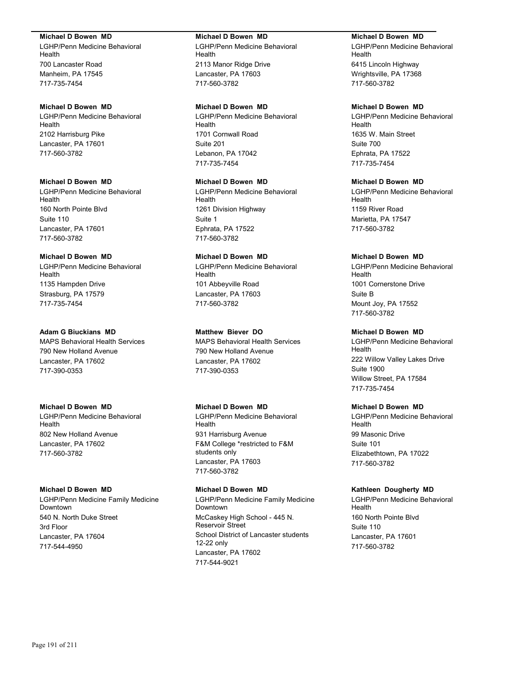#### **Michael D Bowen MD**

LGHP/Penn Medicine Behavioral Health 700 Lancaster Road Manheim, PA 17545 717-735-7454

### **Michael D Bowen MD**

LGHP/Penn Medicine Behavioral Health 2102 Harrisburg Pike Lancaster, PA 17601 717-560-3782

# **Michael D Bowen MD**

LGHP/Penn Medicine Behavioral Health 160 North Pointe Blvd Suite 110 Lancaster, PA 17601 717-560-3782

## **Michael D Bowen MD**

LGHP/Penn Medicine Behavioral Health 1135 Hampden Drive Strasburg, PA 17579 717-735-7454

#### **Adam G Biuckians MD**

MAPS Behavioral Health Services 790 New Holland Avenue Lancaster, PA 17602 717-390-0353

### **Michael D Bowen MD**

LGHP/Penn Medicine Behavioral Health 802 New Holland Avenue Lancaster, PA 17602 717-560-3782

## **Michael D Bowen MD**

LGHP/Penn Medicine Family Medicine Downtown 540 N. North Duke Street 3rd Floor Lancaster, PA 17604 717-544-4950

#### **Michael D Bowen MD**

LGHP/Penn Medicine Behavioral Health 2113 Manor Ridge Drive Lancaster, PA 17603 717-560-3782

### **Michael D Bowen MD**

LGHP/Penn Medicine Behavioral Health 1701 Cornwall Road Suite 201 Lebanon, PA 17042 717-735-7454

# **Michael D Bowen MD**

LGHP/Penn Medicine Behavioral Health 1261 Division Highway Suite 1 Ephrata, PA 17522 717-560-3782

## **Michael D Bowen MD**

LGHP/Penn Medicine Behavioral Health 101 Abbeyville Road Lancaster, PA 17603 717-560-3782

## **Matthew Biever DO**

MAPS Behavioral Health Services 790 New Holland Avenue Lancaster, PA 17602 717-390-0353

#### **Michael D Bowen MD**

LGHP/Penn Medicine Behavioral Health 931 Harrisburg Avenue F&M College \*restricted to F&M students only Lancaster, PA 17603 717-560-3782

#### **Michael D Bowen MD**

LGHP/Penn Medicine Family Medicine Downtown McCaskey High School - 445 N. Reservoir Street School District of Lancaster students 12-22 only Lancaster, PA 17602 717-544-9021

### **Michael D Bowen MD**

LGHP/Penn Medicine Behavioral Health 6415 Lincoln Highway Wrightsville, PA 17368 717-560-3782

## **Michael D Bowen MD**

LGHP/Penn Medicine Behavioral Health 1635 W. Main Street Suite 700 Ephrata, PA 17522 717-735-7454

# **Michael D Bowen MD**

LGHP/Penn Medicine Behavioral Health 1159 River Road Marietta, PA 17547 717-560-3782

## **Michael D Bowen MD**

LGHP/Penn Medicine Behavioral Health 1001 Cornerstone Drive Suite B Mount Joy, PA 17552 717-560-3782

## **Michael D Bowen MD**

LGHP/Penn Medicine Behavioral Health 222 Willow Valley Lakes Drive Suite 1900 Willow Street, PA 17584 717-735-7454

### **Michael D Bowen MD**

LGHP/Penn Medicine Behavioral Health 99 Masonic Drive Suite 101 Elizabethtown, PA 17022 717-560-3782

#### **Kathleen Dougherty MD**

LGHP/Penn Medicine Behavioral Health 160 North Pointe Blvd Suite 110 Lancaster, PA 17601 717-560-3782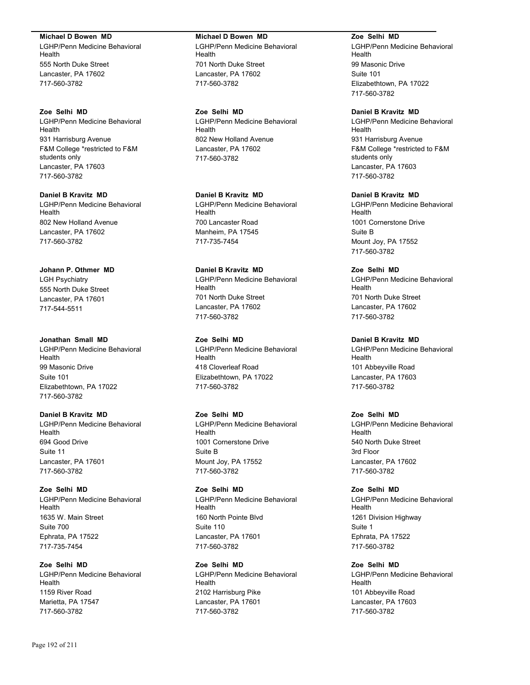#### **Michael D Bowen MD**

LGHP/Penn Medicine Behavioral Health 555 North Duke Street Lancaster, PA 17602 717-560-3782

#### **Zoe Selhi MD**

LGHP/Penn Medicine Behavioral Health 931 Harrisburg Avenue F&M College \*restricted to F&M students only Lancaster, PA 17603 717-560-3782

**Daniel B Kravitz MD** LGHP/Penn Medicine Behavioral

Health 802 New Holland Avenue Lancaster, PA 17602 717-560-3782

**Johann P. Othmer MD** LGH Psychiatry 555 North Duke Street Lancaster, PA 17601 717-544-5511

**Jonathan Small MD** LGHP/Penn Medicine Behavioral Health 99 Masonic Drive Suite 101 Elizabethtown, PA 17022 717-560-3782

**Daniel B Kravitz MD** LGHP/Penn Medicine Behavioral Health 694 Good Drive Suite 11 Lancaster, PA 17601 717-560-3782

**Zoe Selhi MD** LGHP/Penn Medicine Behavioral **Health** 1635 W. Main Street Suite 700 Ephrata, PA 17522 717-735-7454

**Zoe Selhi MD** LGHP/Penn Medicine Behavioral Health 1159 River Road Marietta, PA 17547 717-560-3782

**Michael D Bowen MD** LGHP/Penn Medicine Behavioral Health 701 North Duke Street Lancaster, PA 17602 717-560-3782

**Zoe Selhi MD** LGHP/Penn Medicine Behavioral Health 802 New Holland Avenue Lancaster, PA 17602 717-560-3782

**Daniel B Kravitz MD**

LGHP/Penn Medicine Behavioral Health 700 Lancaster Road Manheim, PA 17545 717-735-7454

**Daniel B Kravitz MD** LGHP/Penn Medicine Behavioral Health 701 North Duke Street Lancaster, PA 17602 717-560-3782

**Zoe Selhi MD** LGHP/Penn Medicine Behavioral Health 418 Cloverleaf Road Elizabethtown, PA 17022 717-560-3782

**Zoe Selhi MD** LGHP/Penn Medicine Behavioral Health 1001 Cornerstone Drive Suite B Mount Joy, PA 17552 717-560-3782

**Zoe Selhi MD** LGHP/Penn Medicine Behavioral Health 160 North Pointe Blvd Suite 110 Lancaster, PA 17601 717-560-3782

**Zoe Selhi MD** LGHP/Penn Medicine Behavioral Health 2102 Harrisburg Pike Lancaster, PA 17601 717-560-3782

**Zoe Selhi MD** LGHP/Penn Medicine Behavioral Health 99 Masonic Drive Suite 101 Elizabethtown, PA 17022 717-560-3782

#### **Daniel B Kravitz MD**

LGHP/Penn Medicine Behavioral Health 931 Harrisburg Avenue F&M College \*restricted to F&M students only Lancaster, PA 17603 717-560-3782

## **Daniel B Kravitz MD**

LGHP/Penn Medicine Behavioral Health 1001 Cornerstone Drive Suite B Mount Joy, PA 17552 717-560-3782

**Zoe Selhi MD** LGHP/Penn Medicine Behavioral Health 701 North Duke Street Lancaster, PA 17602 717-560-3782

**Daniel B Kravitz MD** LGHP/Penn Medicine Behavioral Health 101 Abbeyville Road Lancaster, PA 17603 717-560-3782

**Zoe Selhi MD** LGHP/Penn Medicine Behavioral Health 540 North Duke Street 3rd Floor Lancaster, PA 17602 717-560-3782

**Zoe Selhi MD** LGHP/Penn Medicine Behavioral Health 1261 Division Highway Suite 1 Ephrata, PA 17522 717-560-3782

**Zoe Selhi MD** LGHP/Penn Medicine Behavioral Health 101 Abbeyville Road Lancaster, PA 17603 717-560-3782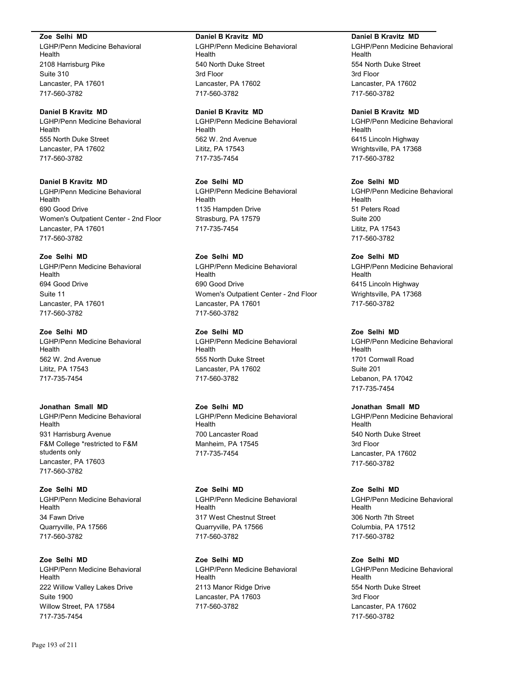#### **Zoe Selhi MD**

LGHP/Penn Medicine Behavioral Health 2108 Harrisburg Pike Suite 310 Lancaster, PA 17601 717-560-3782

#### **Daniel B Kravitz MD**

LGHP/Penn Medicine Behavioral Health 555 North Duke Street Lancaster, PA 17602 717-560-3782

## **Daniel B Kravitz MD**

LGHP/Penn Medicine Behavioral Health 690 Good Drive Women's Outpatient Center - 2nd Floor Lancaster, PA 17601 717-560-3782

## **Zoe Selhi MD**

LGHP/Penn Medicine Behavioral Health 694 Good Drive Suite 11 Lancaster, PA 17601 717-560-3782

## **Zoe Selhi MD**

LGHP/Penn Medicine Behavioral Health 562 W. 2nd Avenue Lititz, PA 17543 717-735-7454

## **Jonathan Small MD**

LGHP/Penn Medicine Behavioral Health 931 Harrisburg Avenue F&M College \*restricted to F&M students only Lancaster, PA 17603 717-560-3782

## **Zoe Selhi MD** LGHP/Penn Medicine Behavioral **Health** 34 Fawn Drive Quarryville, PA 17566 717-560-3782

**Zoe Selhi MD** LGHP/Penn Medicine Behavioral Health 222 Willow Valley Lakes Drive Suite 1900 Willow Street, PA 17584 717-735-7454

#### **Daniel B Kravitz MD**

LGHP/Penn Medicine Behavioral Health 540 North Duke Street 3rd Floor Lancaster, PA 17602 717-560-3782

#### **Daniel B Kravitz MD**

LGHP/Penn Medicine Behavioral Health 562 W. 2nd Avenue Lititz, PA 17543 717-735-7454

**Zoe Selhi MD** LGHP/Penn Medicine Behavioral Health 1135 Hampden Drive Strasburg, PA 17579 717-735-7454

## **Zoe Selhi MD**

LGHP/Penn Medicine Behavioral Health 690 Good Drive Women's Outpatient Center - 2nd Floor Lancaster, PA 17601 717-560-3782

# **Zoe Selhi MD**

LGHP/Penn Medicine Behavioral Health 555 North Duke Street Lancaster, PA 17602 717-560-3782

#### **Zoe Selhi MD**

LGHP/Penn Medicine Behavioral Health 700 Lancaster Road Manheim, PA 17545 717-735-7454

## **Zoe Selhi MD** LGHP/Penn Medicine Behavioral Health 317 West Chestnut Street Quarryville, PA 17566

717-560-3782

**Zoe Selhi MD** LGHP/Penn Medicine Behavioral Health 2113 Manor Ridge Drive Lancaster, PA 17603 717-560-3782

#### **Daniel B Kravitz MD**

LGHP/Penn Medicine Behavioral Health 554 North Duke Street 3rd Floor Lancaster, PA 17602 717-560-3782

#### **Daniel B Kravitz MD**

LGHP/Penn Medicine Behavioral Health 6415 Lincoln Highway Wrightsville, PA 17368 717-560-3782

## **Zoe Selhi MD**

LGHP/Penn Medicine Behavioral Health 51 Peters Road Suite 200 Lititz, PA 17543 717-560-3782

**Zoe Selhi MD** LGHP/Penn Medicine Behavioral Health 6415 Lincoln Highway Wrightsville, PA 17368 717-560-3782

## **Zoe Selhi MD**

LGHP/Penn Medicine Behavioral Health 1701 Cornwall Road Suite 201 Lebanon, PA 17042 717-735-7454

## **Jonathan Small MD**

LGHP/Penn Medicine Behavioral Health 540 North Duke Street 3rd Floor Lancaster, PA 17602 717-560-3782

# **Zoe Selhi MD**

LGHP/Penn Medicine Behavioral Health 306 North 7th Street Columbia, PA 17512 717-560-3782

## **Zoe Selhi MD**

LGHP/Penn Medicine Behavioral Health 554 North Duke Street 3rd Floor Lancaster, PA 17602 717-560-3782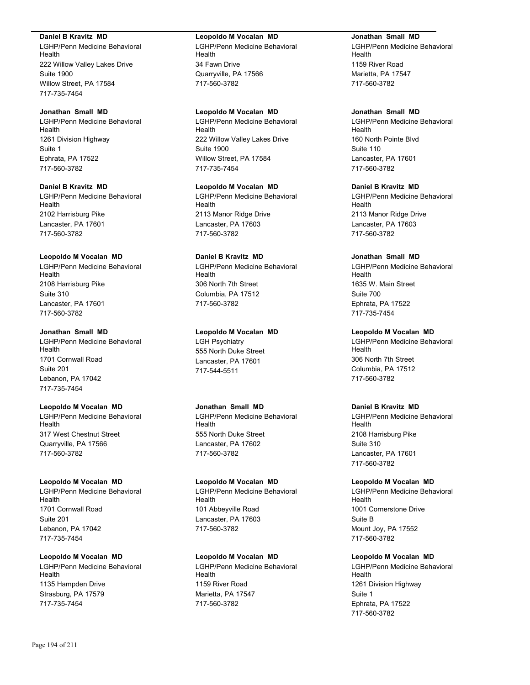#### **Daniel B Kravitz MD**

LGHP/Penn Medicine Behavioral Health 222 Willow Valley Lakes Drive Suite 1900 Willow Street, PA 17584 717-735-7454

#### **Jonathan Small MD** LGHP/Penn Medicine Behavioral Health

1261 Division Highway Suite 1 Ephrata, PA 17522 717-560-3782

## **Daniel B Kravitz MD** LGHP/Penn Medicine Behavioral Health 2102 Harrisburg Pike Lancaster, PA 17601 717-560-3782

## **Leopoldo M Vocalan MD**

LGHP/Penn Medicine Behavioral Health 2108 Harrisburg Pike Suite 310 Lancaster, PA 17601 717-560-3782

## **Jonathan Small MD**

LGHP/Penn Medicine Behavioral Health 1701 Cornwall Road Suite 201 Lebanon, PA 17042 717-735-7454

## **Leopoldo M Vocalan MD**

LGHP/Penn Medicine Behavioral Health 317 West Chestnut Street Quarryville, PA 17566 717-560-3782

### **Leopoldo M Vocalan MD**

LGHP/Penn Medicine Behavioral Health 1701 Cornwall Road Suite 201 Lebanon, PA 17042 717-735-7454

## **Leopoldo M Vocalan MD**

LGHP/Penn Medicine Behavioral Health 1135 Hampden Drive Strasburg, PA 17579 717-735-7454

## **Leopoldo M Vocalan MD**

LGHP/Penn Medicine Behavioral Health 34 Fawn Drive Quarryville, PA 17566 717-560-3782

## **Leopoldo M Vocalan MD**

LGHP/Penn Medicine Behavioral Health 222 Willow Valley Lakes Drive Suite 1900 Willow Street, PA 17584 717-735-7454

# **Leopoldo M Vocalan MD**

LGHP/Penn Medicine Behavioral Health 2113 Manor Ridge Drive Lancaster, PA 17603 717-560-3782

# **Daniel B Kravitz MD**

LGHP/Penn Medicine Behavioral Health 306 North 7th Street Columbia, PA 17512 717-560-3782

## **Leopoldo M Vocalan MD**

LGH Psychiatry 555 North Duke Street Lancaster, PA 17601 717-544-5511

## **Jonathan Small MD**

LGHP/Penn Medicine Behavioral Health 555 North Duke Street Lancaster, PA 17602 717-560-3782

## **Leopoldo M Vocalan MD**

LGHP/Penn Medicine Behavioral Health 101 Abbeyville Road Lancaster, PA 17603 717-560-3782

## **Leopoldo M Vocalan MD**

LGHP/Penn Medicine Behavioral Health 1159 River Road Marietta, PA 17547 717-560-3782

### **Jonathan Small MD**

LGHP/Penn Medicine Behavioral Health 1159 River Road Marietta, PA 17547 717-560-3782

## **Jonathan Small MD**

LGHP/Penn Medicine Behavioral Health 160 North Pointe Blvd Suite 110 Lancaster, PA 17601 717-560-3782

## **Daniel B Kravitz MD**

LGHP/Penn Medicine Behavioral Health 2113 Manor Ridge Drive Lancaster, PA 17603 717-560-3782

## **Jonathan Small MD**

LGHP/Penn Medicine Behavioral Health 1635 W. Main Street Suite 700 Ephrata, PA 17522 717-735-7454

## **Leopoldo M Vocalan MD**

LGHP/Penn Medicine Behavioral Health 306 North 7th Street Columbia, PA 17512 717-560-3782

## **Daniel B Kravitz MD**

LGHP/Penn Medicine Behavioral Health 2108 Harrisburg Pike Suite 310 Lancaster, PA 17601 717-560-3782

## **Leopoldo M Vocalan MD**

LGHP/Penn Medicine Behavioral Health 1001 Cornerstone Drive Suite B Mount Joy, PA 17552 717-560-3782

# **Leopoldo M Vocalan MD**

LGHP/Penn Medicine Behavioral Health 1261 Division Highway Suite 1 Ephrata, PA 17522 717-560-3782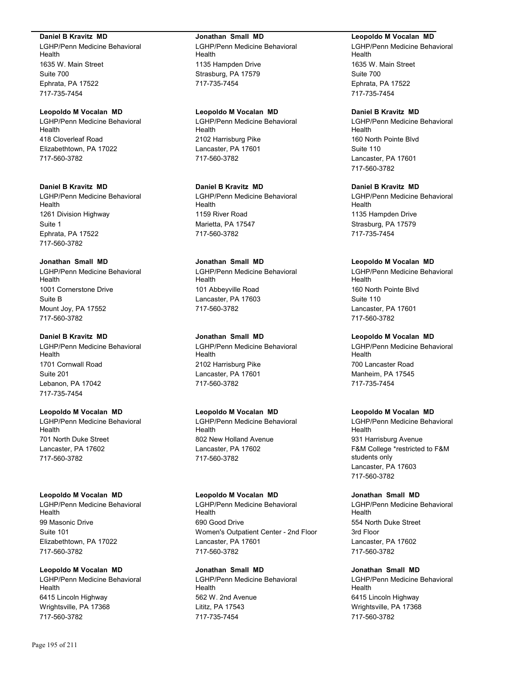#### **Daniel B Kravitz MD**

LGHP/Penn Medicine Behavioral Health 1635 W. Main Street Suite 700 Ephrata, PA 17522 717-735-7454

## **Leopoldo M Vocalan MD**

LGHP/Penn Medicine Behavioral Health 418 Cloverleaf Road Elizabethtown, PA 17022 717-560-3782

## **Daniel B Kravitz MD**

LGHP/Penn Medicine Behavioral Health 1261 Division Highway Suite 1 Ephrata, PA 17522 717-560-3782

## **Jonathan Small MD**

LGHP/Penn Medicine Behavioral Health 1001 Cornerstone Drive Suite B Mount Joy, PA 17552 717-560-3782

## **Daniel B Kravitz MD**

LGHP/Penn Medicine Behavioral Health 1701 Cornwall Road Suite 201 Lebanon, PA 17042 717-735-7454

## **Leopoldo M Vocalan MD**

LGHP/Penn Medicine Behavioral Health 701 North Duke Street Lancaster, PA 17602 717-560-3782

#### **Leopoldo M Vocalan MD**

LGHP/Penn Medicine Behavioral Health 99 Masonic Drive Suite 101 Elizabethtown, PA 17022 717-560-3782

# **Leopoldo M Vocalan MD**

LGHP/Penn Medicine Behavioral Health 6415 Lincoln Highway Wrightsville, PA 17368 717-560-3782

### **Jonathan Small MD**

LGHP/Penn Medicine Behavioral Health 1135 Hampden Drive Strasburg, PA 17579 717-735-7454

### **Leopoldo M Vocalan MD**

LGHP/Penn Medicine Behavioral Health 2102 Harrisburg Pike Lancaster, PA 17601 717-560-3782

## **Daniel B Kravitz MD** LGHP/Penn Medicine Behavioral Health 1159 River Road

Marietta, PA 17547 717-560-3782

## **Jonathan Small MD**

LGHP/Penn Medicine Behavioral Health 101 Abbeyville Road Lancaster, PA 17603 717-560-3782

## **Jonathan Small MD**

LGHP/Penn Medicine Behavioral Health 2102 Harrisburg Pike Lancaster, PA 17601 717-560-3782

## **Leopoldo M Vocalan MD**

LGHP/Penn Medicine Behavioral Health 802 New Holland Avenue Lancaster, PA 17602 717-560-3782

#### **Leopoldo M Vocalan MD**

LGHP/Penn Medicine Behavioral Health 690 Good Drive Women's Outpatient Center - 2nd Floor Lancaster, PA 17601 717-560-3782

# **Jonathan Small MD**

LGHP/Penn Medicine Behavioral Health 562 W. 2nd Avenue Lititz, PA 17543 717-735-7454

#### **Leopoldo M Vocalan MD**

LGHP/Penn Medicine Behavioral Health 1635 W. Main Street Suite 700 Ephrata, PA 17522 717-735-7454

### **Daniel B Kravitz MD**

LGHP/Penn Medicine Behavioral Health 160 North Pointe Blvd Suite 110 Lancaster, PA 17601 717-560-3782

## **Daniel B Kravitz MD**

LGHP/Penn Medicine Behavioral Health 1135 Hampden Drive Strasburg, PA 17579 717-735-7454

## **Leopoldo M Vocalan MD**

LGHP/Penn Medicine Behavioral Health 160 North Pointe Blvd Suite 110 Lancaster, PA 17601 717-560-3782

## **Leopoldo M Vocalan MD**

LGHP/Penn Medicine Behavioral Health 700 Lancaster Road Manheim, PA 17545 717-735-7454

## **Leopoldo M Vocalan MD**

LGHP/Penn Medicine Behavioral Health 931 Harrisburg Avenue F&M College \*restricted to F&M students only Lancaster, PA 17603 717-560-3782

#### **Jonathan Small MD**

LGHP/Penn Medicine Behavioral Health 554 North Duke Street 3rd Floor Lancaster, PA 17602 717-560-3782

#### **Jonathan Small MD**

LGHP/Penn Medicine Behavioral Health 6415 Lincoln Highway Wrightsville, PA 17368 717-560-3782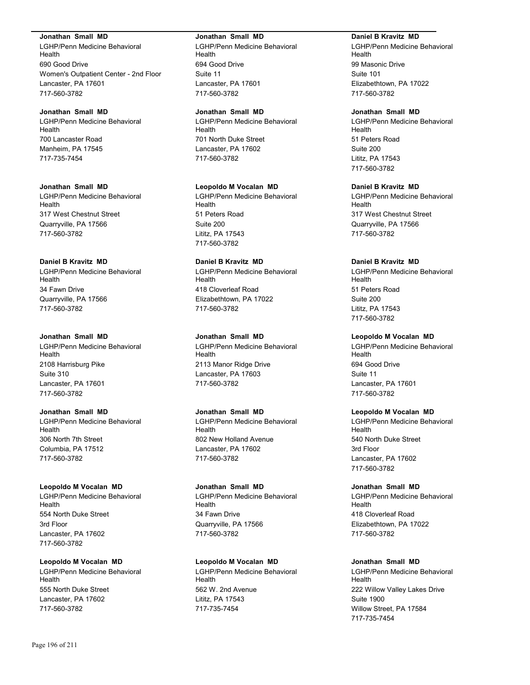#### **Jonathan Small MD**

LGHP/Penn Medicine Behavioral Health 690 Good Drive Women's Outpatient Center - 2nd Floor Lancaster, PA 17601 717-560-3782

#### **Jonathan Small MD**

LGHP/Penn Medicine Behavioral Health 700 Lancaster Road Manheim, PA 17545 717-735-7454

### **Jonathan Small MD**

LGHP/Penn Medicine Behavioral Health 317 West Chestnut Street Quarryville, PA 17566 717-560-3782

#### **Daniel B Kravitz MD**

LGHP/Penn Medicine Behavioral Health 34 Fawn Drive Quarryville, PA 17566 717-560-3782

#### **Jonathan Small MD**

LGHP/Penn Medicine Behavioral Health 2108 Harrisburg Pike Suite 310 Lancaster, PA 17601 717-560-3782

## **Jonathan Small MD**

LGHP/Penn Medicine Behavioral Health 306 North 7th Street Columbia, PA 17512 717-560-3782

#### **Leopoldo M Vocalan MD**

LGHP/Penn Medicine Behavioral Health 554 North Duke Street 3rd Floor Lancaster, PA 17602 717-560-3782

## **Leopoldo M Vocalan MD**

LGHP/Penn Medicine Behavioral Health 555 North Duke Street Lancaster, PA 17602 717-560-3782

#### **Jonathan Small MD**

LGHP/Penn Medicine Behavioral Health 694 Good Drive Suite 11 Lancaster, PA 17601 717-560-3782

#### **Jonathan Small MD**

LGHP/Penn Medicine Behavioral Health 701 North Duke Street Lancaster, PA 17602 717-560-3782

#### **Leopoldo M Vocalan MD**

LGHP/Penn Medicine Behavioral Health 51 Peters Road Suite 200 Lititz, PA 17543 717-560-3782

## **Daniel B Kravitz MD**

LGHP/Penn Medicine Behavioral Health 418 Cloverleaf Road Elizabethtown, PA 17022 717-560-3782

#### **Jonathan Small MD**

LGHP/Penn Medicine Behavioral Health 2113 Manor Ridge Drive Lancaster, PA 17603 717-560-3782

## **Jonathan Small MD**

LGHP/Penn Medicine Behavioral Health 802 New Holland Avenue Lancaster, PA 17602 717-560-3782

#### **Jonathan Small MD**

LGHP/Penn Medicine Behavioral Health 34 Fawn Drive Quarryville, PA 17566 717-560-3782

## **Leopoldo M Vocalan MD**

LGHP/Penn Medicine Behavioral Health 562 W. 2nd Avenue Lititz, PA 17543 717-735-7454

#### **Daniel B Kravitz MD**

LGHP/Penn Medicine Behavioral Health 99 Masonic Drive Suite 101 Elizabethtown, PA 17022 717-560-3782

#### **Jonathan Small MD**

LGHP/Penn Medicine Behavioral Health 51 Peters Road Suite 200 Lititz, PA 17543 717-560-3782

### **Daniel B Kravitz MD**

LGHP/Penn Medicine Behavioral Health 317 West Chestnut Street Quarryville, PA 17566 717-560-3782

## **Daniel B Kravitz MD**

LGHP/Penn Medicine Behavioral Health 51 Peters Road Suite 200 Lititz, PA 17543 717-560-3782

## **Leopoldo M Vocalan MD**

LGHP/Penn Medicine Behavioral Health 694 Good Drive Suite 11 Lancaster, PA 17601 717-560-3782

#### **Leopoldo M Vocalan MD**

LGHP/Penn Medicine Behavioral Health 540 North Duke Street 3rd Floor Lancaster, PA 17602 717-560-3782

## **Jonathan Small MD**

LGHP/Penn Medicine Behavioral Health 418 Cloverleaf Road Elizabethtown, PA 17022 717-560-3782

#### **Jonathan Small MD**

LGHP/Penn Medicine Behavioral Health 222 Willow Valley Lakes Drive Suite 1900 Willow Street, PA 17584 717-735-7454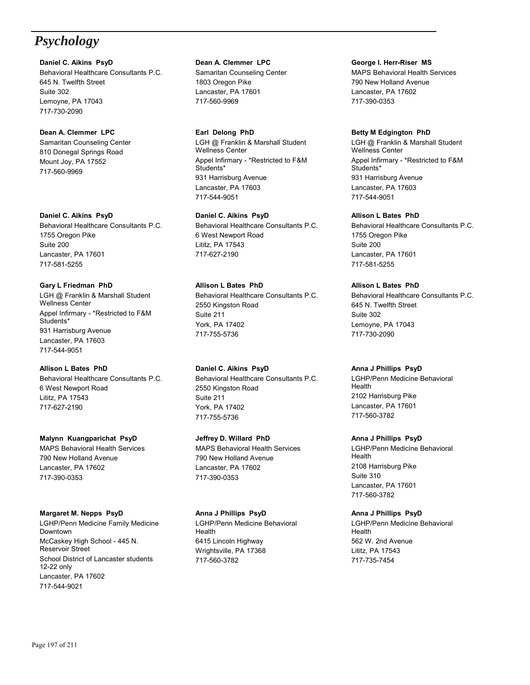# *Psychology*

**Daniel C. Aikins PsyD** Behavioral Healthcare Consultants P.C. 645 N. Twelfth Street Suite 302 Lemoyne, PA 17043 717-730-2090

## **Dean A. Clemmer LPC** Samaritan Counseling Center 810 Donegal Springs Road Mount Joy, PA 17552 717-560-9969

**Daniel C. Aikins PsyD** Behavioral Healthcare Consultants P.C. 1755 Oregon Pike Suite 200 Lancaster, PA 17601 717-581-5255

**Gary L Friedman PhD** LGH @ Franklin & Marshall Student Wellness Center Appel Infirmary - \*Restricted to F&M Students\* 931 Harrisburg Avenue Lancaster, PA 17603 717-544-9051

**Allison L Bates PhD** Behavioral Healthcare Consultants P.C. 6 West Newport Road Lititz, PA 17543 717-627-2190

**Malynn Kuangparichat PsyD** MAPS Behavioral Health Services 790 New Holland Avenue Lancaster, PA 17602 717-390-0353

## **Margaret M. Nepps PsyD** LGHP/Penn Medicine Family Medicine Downtown McCaskey High School - 445 N. Reservoir Street School District of Lancaster students 12-22 only Lancaster, PA 17602

**Dean A. Clemmer LPC** Samaritan Counseling Center 1803 Oregon Pike Lancaster, PA 17601 717-560-9969

**Earl Delong PhD** LGH @ Franklin & Marshall Student Wellness Center Appel Infirmary - \*Restricted to F&M Students\* 931 Harrisburg Avenue Lancaster, PA 17603 717-544-9051

**Daniel C. Aikins PsyD** Behavioral Healthcare Consultants P.C. 6 West Newport Road Lititz, PA 17543 717-627-2190

**Allison L Bates PhD** Behavioral Healthcare Consultants P.C. 2550 Kingston Road Suite 211 York, PA 17402 717-755-5736

**Daniel C. Aikins PsyD** Behavioral Healthcare Consultants P.C. 2550 Kingston Road Suite 211 York, PA 17402 717-755-5736

**Jeffrey D. Willard PhD** MAPS Behavioral Health Services 790 New Holland Avenue Lancaster, PA 17602 717-390-0353

**Anna J Phillips PsyD** LGHP/Penn Medicine Behavioral Health 6415 Lincoln Highway Wrightsville, PA 17368 717-560-3782

## **George I. Herr-Riser MS** MAPS Behavioral Health Services 790 New Holland Avenue Lancaster, PA 17602 717-390-0353

## **Betty M Edgington PhD**

LGH @ Franklin & Marshall Student Wellness Center Appel Infirmary - \*Restricted to F&M Students\* 931 Harrisburg Avenue Lancaster, PA 17603 717-544-9051

**Allison L Bates PhD**

Behavioral Healthcare Consultants P.C. 1755 Oregon Pike Suite 200 Lancaster, PA 17601 717-581-5255

**Allison L Bates PhD** Behavioral Healthcare Consultants P.C. 645 N. Twelfth Street Suite 302 Lemoyne, PA 17043 717-730-2090

**Anna J Phillips PsyD** LGHP/Penn Medicine Behavioral Health 2102 Harrisburg Pike Lancaster, PA 17601 717-560-3782

**Anna J Phillips PsyD** LGHP/Penn Medicine Behavioral Health 2108 Harrisburg Pike Suite 310 Lancaster, PA 17601 717-560-3782

**Anna J Phillips PsyD** LGHP/Penn Medicine Behavioral Health 562 W. 2nd Avenue Lititz, PA 17543 717-735-7454

717-544-9021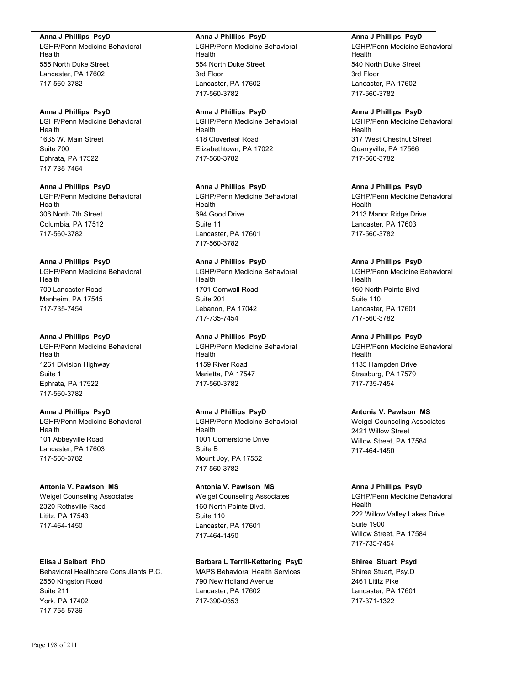#### **Anna J Phillips PsyD**

LGHP/Penn Medicine Behavioral Health 555 North Duke Street Lancaster, PA 17602 717-560-3782

#### **Anna J Phillips PsyD**

LGHP/Penn Medicine Behavioral Health 1635 W. Main Street Suite 700 Ephrata, PA 17522 717-735-7454

#### **Anna J Phillips PsyD**

LGHP/Penn Medicine Behavioral Health 306 North 7th Street Columbia, PA 17512 717-560-3782

## **Anna J Phillips PsyD**

LGHP/Penn Medicine Behavioral Health 700 Lancaster Road Manheim, PA 17545 717-735-7454

#### **Anna J Phillips PsyD**

LGHP/Penn Medicine Behavioral Health 1261 Division Highway Suite 1 Ephrata, PA 17522 717-560-3782

# **Anna J Phillips PsyD**

LGHP/Penn Medicine Behavioral Health 101 Abbeyville Road Lancaster, PA 17603 717-560-3782

#### **Antonia V. Pawlson MS**

Weigel Counseling Associates 2320 Rothsville Raod Lititz, PA 17543 717-464-1450

#### **Elisa J Seibert PhD**

Behavioral Healthcare Consultants P.C. 2550 Kingston Road Suite 211 York, PA 17402 717-755-5736

#### **Anna J Phillips PsyD**

LGHP/Penn Medicine Behavioral Health 554 North Duke Street 3rd Floor Lancaster, PA 17602 717-560-3782

#### **Anna J Phillips PsyD**

LGHP/Penn Medicine Behavioral Health 418 Cloverleaf Road Elizabethtown, PA 17022 717-560-3782

#### **Anna J Phillips PsyD**

LGHP/Penn Medicine Behavioral Health 694 Good Drive Suite 11 Lancaster, PA 17601 717-560-3782

## **Anna J Phillips PsyD**

LGHP/Penn Medicine Behavioral Health 1701 Cornwall Road Suite 201 Lebanon, PA 17042 717-735-7454

## **Anna J Phillips PsyD**

LGHP/Penn Medicine Behavioral Health 1159 River Road Marietta, PA 17547 717-560-3782

## **Anna J Phillips PsyD**

LGHP/Penn Medicine Behavioral Health 1001 Cornerstone Drive Suite B Mount Joy, PA 17552 717-560-3782

## **Antonia V. Pawlson MS**

Weigel Counseling Associates 160 North Pointe Blvd. Suite 110 Lancaster, PA 17601 717-464-1450

## **Barbara L Terrill-Kettering PsyD**

MAPS Behavioral Health Services 790 New Holland Avenue Lancaster, PA 17602 717-390-0353

#### **Anna J Phillips PsyD**

LGHP/Penn Medicine Behavioral Health 540 North Duke Street 3rd Floor Lancaster, PA 17602 717-560-3782

#### **Anna J Phillips PsyD**

LGHP/Penn Medicine Behavioral Health 317 West Chestnut Street Quarryville, PA 17566 717-560-3782

#### **Anna J Phillips PsyD**

LGHP/Penn Medicine Behavioral Health 2113 Manor Ridge Drive Lancaster, PA 17603 717-560-3782

### **Anna J Phillips PsyD**

LGHP/Penn Medicine Behavioral Health 160 North Pointe Blvd Suite 110 Lancaster, PA 17601 717-560-3782

## **Anna J Phillips PsyD**

LGHP/Penn Medicine Behavioral Health 1135 Hampden Drive Strasburg, PA 17579 717-735-7454

#### **Antonia V. Pawlson MS**

Weigel Counseling Associates 2421 Willow Street Willow Street, PA 17584 717-464-1450

## **Anna J Phillips PsyD**

LGHP/Penn Medicine Behavioral Health 222 Willow Valley Lakes Drive Suite 1900 Willow Street, PA 17584 717-735-7454

## **Shiree Stuart Psyd**

Shiree Stuart, Psy.D 2461 Lititz Pike Lancaster, PA 17601 717-371-1322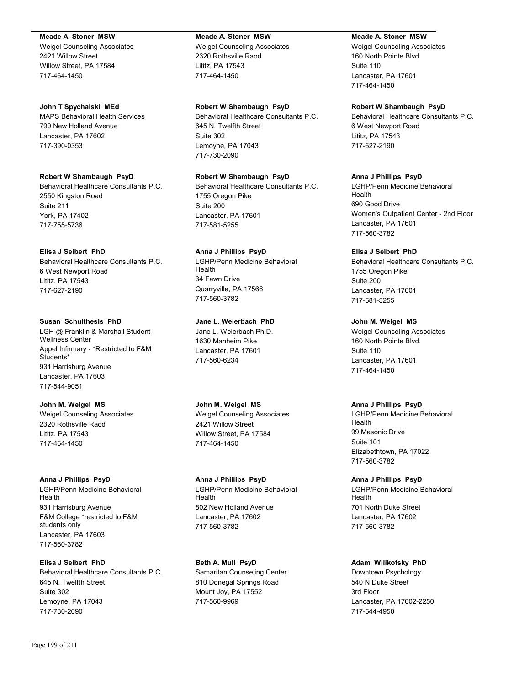#### **Meade A. Stoner MSW**

Weigel Counseling Associates 2421 Willow Street Willow Street, PA 17584 717-464-1450

#### **John T Spychalski MEd**

MAPS Behavioral Health Services 790 New Holland Avenue Lancaster, PA 17602 717-390-0353

# **Robert W Shambaugh PsyD**

Behavioral Healthcare Consultants P.C. 2550 Kingston Road Suite 211 York, PA 17402 717-755-5736

## **Elisa J Seibert PhD**

Behavioral Healthcare Consultants P.C. 6 West Newport Road Lititz, PA 17543 717-627-2190

#### **Susan Schulthesis PhD**

LGH @ Franklin & Marshall Student Wellness Center Appel Infirmary - \*Restricted to F&M Students\* 931 Harrisburg Avenue Lancaster, PA 17603 717-544-9051

**John M. Weigel MS** Weigel Counseling Associates 2320 Rothsville Raod Lititz, PA 17543 717-464-1450

#### **Anna J Phillips PsyD**

LGHP/Penn Medicine Behavioral Health 931 Harrisburg Avenue F&M College \*restricted to F&M students only Lancaster, PA 17603 717-560-3782

**Elisa J Seibert PhD** Behavioral Healthcare Consultants P.C. 645 N. Twelfth Street Suite 302 Lemoyne, PA 17043 717-730-2090

#### **Meade A. Stoner MSW**

Weigel Counseling Associates 2320 Rothsville Raod Lititz, PA 17543 717-464-1450

#### **Robert W Shambaugh PsyD**

Behavioral Healthcare Consultants P.C. 645 N. Twelfth Street Suite 302 Lemoyne, PA 17043 717-730-2090

## **Robert W Shambaugh PsyD**

Behavioral Healthcare Consultants P.C. 1755 Oregon Pike Suite 200 Lancaster, PA 17601 717-581-5255

# **Anna J Phillips PsyD**

LGHP/Penn Medicine Behavioral Health 34 Fawn Drive Quarryville, PA 17566 717-560-3782

## **Jane L. Weierbach PhD**

Jane L. Weierbach Ph.D. 1630 Manheim Pike Lancaster, PA 17601 717-560-6234

# **John M. Weigel MS**

Weigel Counseling Associates 2421 Willow Street Willow Street, PA 17584 717-464-1450

#### **Anna J Phillips PsyD**

LGHP/Penn Medicine Behavioral Health 802 New Holland Avenue Lancaster, PA 17602 717-560-3782

## **Beth A. Mull PsyD** Samaritan Counseling Center 810 Donegal Springs Road Mount Joy, PA 17552 717-560-9969

## **Meade A. Stoner MSW**

Weigel Counseling Associates 160 North Pointe Blvd. Suite 110 Lancaster, PA 17601 717-464-1450

### **Robert W Shambaugh PsyD**

Behavioral Healthcare Consultants P.C. 6 West Newport Road Lititz, PA 17543 717-627-2190

## **Anna J Phillips PsyD**

LGHP/Penn Medicine Behavioral Health 690 Good Drive Women's Outpatient Center - 2nd Floor Lancaster, PA 17601 717-560-3782

## **Elisa J Seibert PhD**

Behavioral Healthcare Consultants P.C. 1755 Oregon Pike Suite 200 Lancaster, PA 17601 717-581-5255

## **John M. Weigel MS**

Weigel Counseling Associates 160 North Pointe Blvd. Suite 110 Lancaster, PA 17601 717-464-1450

## **Anna J Phillips PsyD**

LGHP/Penn Medicine Behavioral Health 99 Masonic Drive Suite 101 Elizabethtown, PA 17022 717-560-3782

## **Anna J Phillips PsyD**

LGHP/Penn Medicine Behavioral Health 701 North Duke Street Lancaster, PA 17602 717-560-3782

## **Adam Wilikofsky PhD**

Downtown Psychology 540 N Duke Street 3rd Floor Lancaster, PA 17602-2250 717-544-4950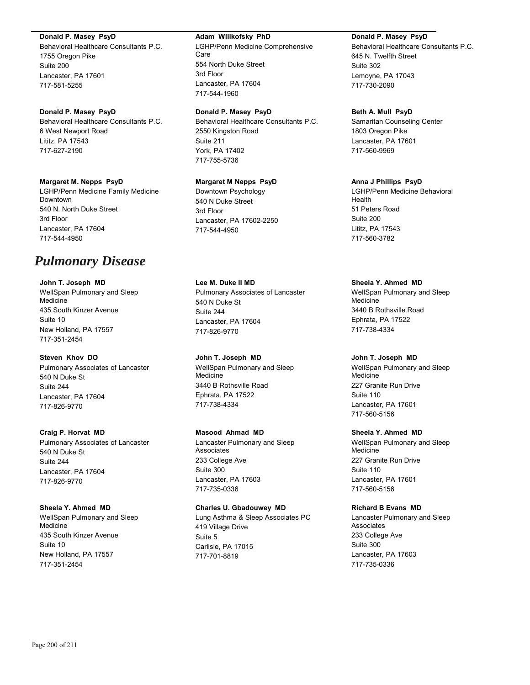#### **Donald P. Masey PsyD**

Behavioral Healthcare Consultants P.C. 1755 Oregon Pike Suite 200 Lancaster, PA 17601 717-581-5255

## **Donald P. Masey PsyD**

Behavioral Healthcare Consultants P.C. 6 West Newport Road Lititz, PA 17543 717-627-2190

#### **Margaret M. Nepps PsyD**

LGHP/Penn Medicine Family Medicine Downtown 540 N. North Duke Street 3rd Floor Lancaster, PA 17604 717-544-4950

# *Pulmonary Disease*

**John T. Joseph MD** WellSpan Pulmonary and Sleep Medicine 435 South Kinzer Avenue Suite 10 New Holland, PA 17557 717-351-2454

## **Steven Khov DO**

Pulmonary Associates of Lancaster 540 N Duke St Suite 244 Lancaster, PA 17604 717-826-9770

**Craig P. Horvat MD** Pulmonary Associates of Lancaster 540 N Duke St Suite 244 Lancaster, PA 17604 717-826-9770

### **Sheela Y. Ahmed MD** WellSpan Pulmonary and Sleep Medicine 435 South Kinzer Avenue Suite 10

New Holland, PA 17557 717-351-2454

#### **Adam Wilikofsky PhD**

LGHP/Penn Medicine Comprehensive Care 554 North Duke Street 3rd Floor Lancaster, PA 17604 717-544-1960

## **Donald P. Masey PsyD**

Behavioral Healthcare Consultants P.C. 2550 Kingston Road Suite 211 York, PA 17402 717-755-5736

## **Margaret M Nepps PsyD**

Downtown Psychology 540 N Duke Street 3rd Floor Lancaster, PA 17602-2250 717-544-4950

**Lee M. Duke II MD** Pulmonary Associates of Lancaster 540 N Duke St Suite 244 Lancaster, PA 17604 717-826-9770

**John T. Joseph MD** WellSpan Pulmonary and Sleep Medicine 3440 B Rothsville Road Ephrata, PA 17522 717-738-4334

**Masood Ahmad MD** Lancaster Pulmonary and Sleep Associates 233 College Ave Suite 300 Lancaster, PA 17603 717-735-0336

#### **Charles U. Gbadouwey MD**

Lung Asthma & Sleep Associates PC 419 Village Drive Suite 5 Carlisle, PA 17015 717-701-8819

## **Donald P. Masey PsyD**

Behavioral Healthcare Consultants P.C. 645 N. Twelfth Street Suite 302 Lemoyne, PA 17043 717-730-2090

#### **Beth A. Mull PsyD**

Samaritan Counseling Center 1803 Oregon Pike Lancaster, PA 17601 717-560-9969

## **Anna J Phillips PsyD**

LGHP/Penn Medicine Behavioral Health 51 Peters Road Suite 200 Lititz, PA 17543 717-560-3782

### **Sheela Y. Ahmed MD**

WellSpan Pulmonary and Sleep Medicine 3440 B Rothsville Road Ephrata, PA 17522 717-738-4334

#### **John T. Joseph MD**

WellSpan Pulmonary and Sleep Medicine 227 Granite Run Drive Suite 110 Lancaster, PA 17601 717-560-5156

## **Sheela Y. Ahmed MD**

WellSpan Pulmonary and Sleep **Medicine** 227 Granite Run Drive Suite 110 Lancaster, PA 17601 717-560-5156

#### **Richard B Evans MD**

Lancaster Pulmonary and Sleep **Associates** 233 College Ave Suite 300 Lancaster, PA 17603 717-735-0336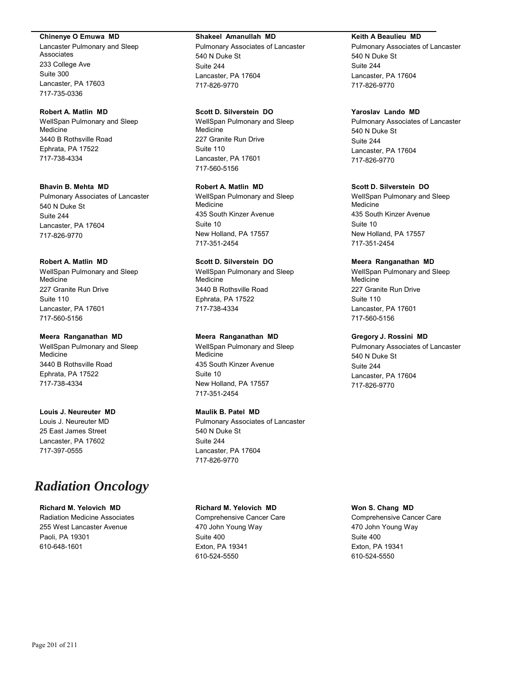#### **Chinenye O Emuwa MD**

Lancaster Pulmonary and Sleep Associates 233 College Ave Suite 300 Lancaster, PA 17603 717-735-0336

#### **Robert A. Matlin MD**

WellSpan Pulmonary and Sleep Medicine 3440 B Rothsville Road Ephrata, PA 17522 717-738-4334

#### **Bhavin B. Mehta MD**

Pulmonary Associates of Lancaster 540 N Duke St Suite 244 Lancaster, PA 17604 717-826-9770

#### **Robert A. Matlin MD**

WellSpan Pulmonary and Sleep Medicine 227 Granite Run Drive Suite 110 Lancaster, PA 17601 717-560-5156

#### **Meera Ranganathan MD**

WellSpan Pulmonary and Sleep Medicine 3440 B Rothsville Road Ephrata, PA 17522 717-738-4334

## **Louis J. Neureuter MD**

Louis J. Neureuter MD 25 East James Street Lancaster, PA 17602 717-397-0555

# *Radiation Oncology*

## **Richard M. Yelovich MD**

Radiation Medicine Associates 255 West Lancaster Avenue Paoli, PA 19301 610-648-1601

#### **Shakeel Amanullah MD**

Pulmonary Associates of Lancaster 540 N Duke St Suite 244 Lancaster, PA 17604 717-826-9770

#### **Scott D. Silverstein DO**

WellSpan Pulmonary and Sleep Medicine 227 Granite Run Drive Suite 110 Lancaster, PA 17601 717-560-5156

#### **Robert A. Matlin MD**

WellSpan Pulmonary and Sleep Medicine 435 South Kinzer Avenue Suite 10 New Holland, PA 17557 717-351-2454

## **Scott D. Silverstein DO**

WellSpan Pulmonary and Sleep Medicine 3440 B Rothsville Road Ephrata, PA 17522 717-738-4334

#### **Meera Ranganathan MD**

WellSpan Pulmonary and Sleep Medicine 435 South Kinzer Avenue Suite 10 New Holland, PA 17557 717-351-2454

#### **Maulik B. Patel MD**

Pulmonary Associates of Lancaster 540 N Duke St Suite 244 Lancaster, PA 17604 717-826-9770

#### **Richard M. Yelovich MD**

Comprehensive Cancer Care 470 John Young Way Suite 400 Exton, PA 19341 610-524-5550

#### **Keith A Beaulieu MD**

Pulmonary Associates of Lancaster 540 N Duke St Suite 244 Lancaster, PA 17604 717-826-9770

#### **Yaroslav Lando MD**

Pulmonary Associates of Lancaster 540 N Duke St Suite 244 Lancaster, PA 17604 717-826-9770

#### **Scott D. Silverstein DO**

WellSpan Pulmonary and Sleep Medicine 435 South Kinzer Avenue Suite 10 New Holland, PA 17557 717-351-2454

#### **Meera Ranganathan MD**

WellSpan Pulmonary and Sleep Medicine 227 Granite Run Drive Suite 110 Lancaster, PA 17601 717-560-5156

#### **Gregory J. Rossini MD**

Pulmonary Associates of Lancaster 540 N Duke St Suite 244 Lancaster, PA 17604 717-826-9770

## **Won S. Chang MD**

Comprehensive Cancer Care 470 John Young Way Suite 400 Exton, PA 19341 610-524-5550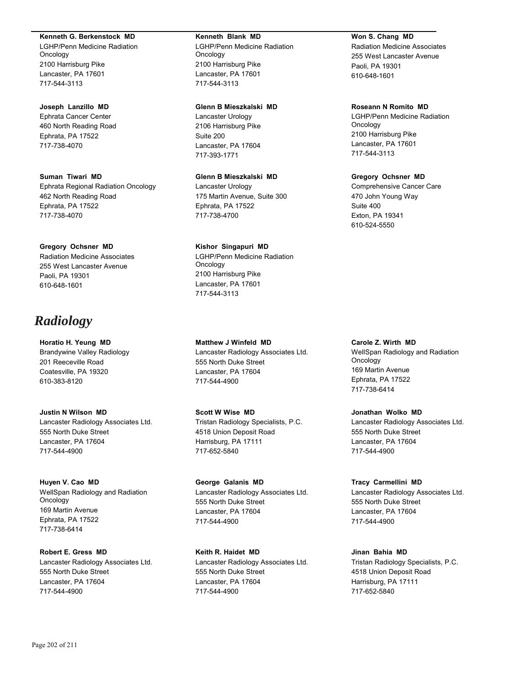#### **Kenneth G. Berkenstock MD**

LGHP/Penn Medicine Radiation Oncology 2100 Harrisburg Pike Lancaster, PA 17601 717-544-3113

#### **Joseph Lanzillo MD**

Ephrata Cancer Center 460 North Reading Road Ephrata, PA 17522 717-738-4070

**Suman Tiwari MD** Ephrata Regional Radiation Oncology 462 North Reading Road Ephrata, PA 17522 717-738-4070

#### **Gregory Ochsner MD** Radiation Medicine Associates

255 West Lancaster Avenue Paoli, PA 19301 610-648-1601

# *Radiology*

**Horatio H. Yeung MD** Brandywine Valley Radiology 201 Reeceville Road Coatesville, PA 19320 610-383-8120

**Justin N Wilson MD** Lancaster Radiology Associates Ltd. 555 North Duke Street Lancaster, PA 17604 717-544-4900

**Huyen V. Cao MD** WellSpan Radiology and Radiation Oncology 169 Martin Avenue Ephrata, PA 17522 717-738-6414

**Robert E. Gress MD** Lancaster Radiology Associates Ltd. 555 North Duke Street Lancaster, PA 17604 717-544-4900

#### **Kenneth Blank MD**

LGHP/Penn Medicine Radiation **Oncology** 2100 Harrisburg Pike Lancaster, PA 17601 717-544-3113

#### **Glenn B Mieszkalski MD**

Lancaster Urology 2106 Harrisburg Pike Suite 200 Lancaster, PA 17604 717-393-1771

## **Glenn B Mieszkalski MD**

Lancaster Urology 175 Martin Avenue, Suite 300 Ephrata, PA 17522 717-738-4700

## **Kishor Singapuri MD**

LGHP/Penn Medicine Radiation Oncology 2100 Harrisburg Pike Lancaster, PA 17601 717-544-3113

**Matthew J Winfeld MD** Lancaster Radiology Associates Ltd. 555 North Duke Street Lancaster, PA 17604 717-544-4900

**Scott W Wise MD** Tristan Radiology Specialists, P.C. 4518 Union Deposit Road Harrisburg, PA 17111 717-652-5840

**George Galanis MD** Lancaster Radiology Associates Ltd. 555 North Duke Street Lancaster, PA 17604 717-544-4900

**Keith R. Haidet MD** Lancaster Radiology Associates Ltd. 555 North Duke Street Lancaster, PA 17604 717-544-4900

## **Won S. Chang MD**

Radiation Medicine Associates 255 West Lancaster Avenue Paoli, PA 19301 610-648-1601

## **Roseann N Romito MD**

LGHP/Penn Medicine Radiation Oncology 2100 Harrisburg Pike Lancaster, PA 17601 717-544-3113

## **Gregory Ochsner MD**

Comprehensive Cancer Care 470 John Young Way Suite 400 Exton, PA 19341 610-524-5550

#### **Carole Z. Wirth MD**

WellSpan Radiology and Radiation **Oncology** 169 Martin Avenue Ephrata, PA 17522 717-738-6414

## **Jonathan Wolko MD**

Lancaster Radiology Associates Ltd. 555 North Duke Street Lancaster, PA 17604 717-544-4900

### **Tracy Carmellini MD**

Lancaster Radiology Associates Ltd. 555 North Duke Street Lancaster, PA 17604 717-544-4900

## **Jinan Bahia MD**

Tristan Radiology Specialists, P.C. 4518 Union Deposit Road Harrisburg, PA 17111 717-652-5840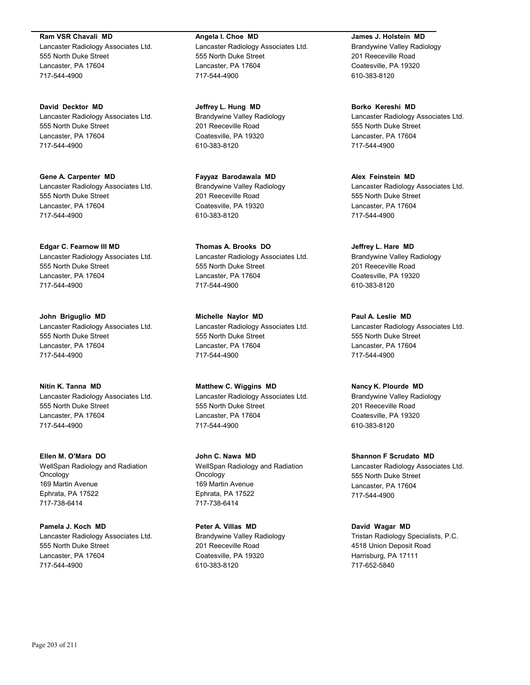**Ram VSR Chavali MD** Lancaster Radiology Associates Ltd. 555 North Duke Street Lancaster, PA 17604 717-544-4900

**David Decktor MD** Lancaster Radiology Associates Ltd. 555 North Duke Street Lancaster, PA 17604 717-544-4900

**Gene A. Carpenter MD** Lancaster Radiology Associates Ltd. 555 North Duke Street Lancaster, PA 17604 717-544-4900

**Edgar C. Fearnow III MD** Lancaster Radiology Associates Ltd. 555 North Duke Street Lancaster, PA 17604 717-544-4900

**John Briguglio MD** Lancaster Radiology Associates Ltd. 555 North Duke Street Lancaster, PA 17604 717-544-4900

**Nitin K. Tanna MD** Lancaster Radiology Associates Ltd. 555 North Duke Street Lancaster, PA 17604 717-544-4900

**Ellen M. O'Mara DO** WellSpan Radiology and Radiation Oncology 169 Martin Avenue Ephrata, PA 17522 717-738-6414

**Pamela J. Koch MD** Lancaster Radiology Associates Ltd. 555 North Duke Street Lancaster, PA 17604 717-544-4900

**Angela I. Choe MD** Lancaster Radiology Associates Ltd. 555 North Duke Street Lancaster, PA 17604 717-544-4900

**Jeffrey L. Hung MD** Brandywine Valley Radiology 201 Reeceville Road Coatesville, PA 19320 610-383-8120

**Fayyaz Barodawala MD** Brandywine Valley Radiology 201 Reeceville Road Coatesville, PA 19320 610-383-8120

**Thomas A. Brooks DO** Lancaster Radiology Associates Ltd. 555 North Duke Street Lancaster, PA 17604 717-544-4900

**Michelle Naylor MD** Lancaster Radiology Associates Ltd. 555 North Duke Street Lancaster, PA 17604 717-544-4900

**Matthew C. Wiggins MD** Lancaster Radiology Associates Ltd. 555 North Duke Street Lancaster, PA 17604 717-544-4900

**John C. Nawa MD** WellSpan Radiology and Radiation Oncology 169 Martin Avenue Ephrata, PA 17522 717-738-6414

**Peter A. Villas MD** Brandywine Valley Radiology 201 Reeceville Road Coatesville, PA 19320 610-383-8120

**James J. Holstein MD** Brandywine Valley Radiology 201 Reeceville Road Coatesville, PA 19320 610-383-8120

**Borko Kereshi MD** Lancaster Radiology Associates Ltd. 555 North Duke Street Lancaster, PA 17604 717-544-4900

**Alex Feinstein MD** Lancaster Radiology Associates Ltd. 555 North Duke Street Lancaster, PA 17604 717-544-4900

**Jeffrey L. Hare MD** Brandywine Valley Radiology 201 Reeceville Road Coatesville, PA 19320 610-383-8120

**Paul A. Leslie MD** Lancaster Radiology Associates Ltd. 555 North Duke Street Lancaster, PA 17604 717-544-4900

**Nancy K. Plourde MD** Brandywine Valley Radiology 201 Reeceville Road Coatesville, PA 19320 610-383-8120

**Shannon F Scrudato MD** Lancaster Radiology Associates Ltd. 555 North Duke Street Lancaster, PA 17604 717-544-4900

**David Wagar MD** Tristan Radiology Specialists, P.C. 4518 Union Deposit Road Harrisburg, PA 17111 717-652-5840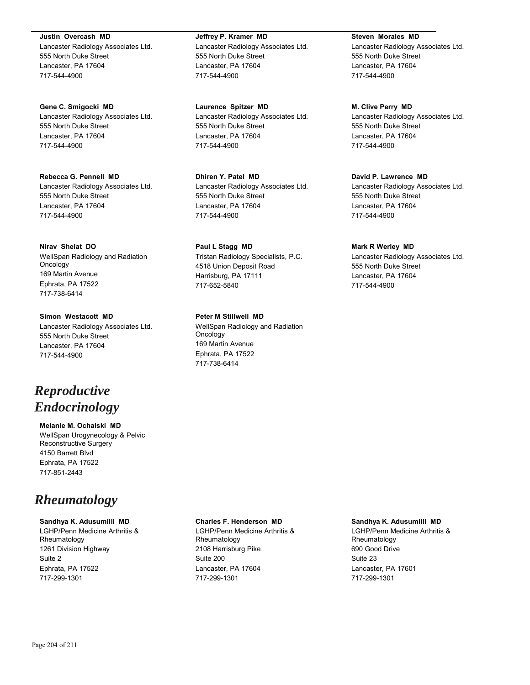**Justin Overcash MD** Lancaster Radiology Associates Ltd. 555 North Duke Street Lancaster, PA 17604 717-544-4900

**Gene C. Smigocki MD** Lancaster Radiology Associates Ltd. 555 North Duke Street Lancaster, PA 17604 717-544-4900

**Rebecca G. Pennell MD** Lancaster Radiology Associates Ltd. 555 North Duke Street Lancaster, PA 17604 717-544-4900

**Nirav Shelat DO** WellSpan Radiology and Radiation Oncology 169 Martin Avenue Ephrata, PA 17522 717-738-6414

**Simon Westacott MD** Lancaster Radiology Associates Ltd. 555 North Duke Street Lancaster, PA 17604 717-544-4900

# *Reproductive Endocrinology*

**Melanie M. Ochalski MD** WellSpan Urogynecology & Pelvic Reconstructive Surgery 4150 Barrett Blvd Ephrata, PA 17522 717-851-2443

# *Rheumatology*

## **Sandhya K. Adusumilli MD**

LGHP/Penn Medicine Arthritis & Rheumatology 1261 Division Highway Suite 2 Ephrata, PA 17522 717-299-1301

**Jeffrey P. Kramer MD** Lancaster Radiology Associates Ltd. 555 North Duke Street Lancaster, PA 17604 717-544-4900

**Laurence Spitzer MD** Lancaster Radiology Associates Ltd. 555 North Duke Street Lancaster, PA 17604 717-544-4900

**Dhiren Y. Patel MD** Lancaster Radiology Associates Ltd. 555 North Duke Street Lancaster, PA 17604 717-544-4900

**Paul L Stagg MD** Tristan Radiology Specialists, P.C. 4518 Union Deposit Road Harrisburg, PA 17111 717-652-5840

**Peter M Stillwell MD** WellSpan Radiology and Radiation **Oncology** 169 Martin Avenue Ephrata, PA 17522 717-738-6414

**Steven Morales MD**

Lancaster Radiology Associates Ltd. 555 North Duke Street Lancaster, PA 17604 717-544-4900

**M. Clive Perry MD** Lancaster Radiology Associates Ltd. 555 North Duke Street

Lancaster, PA 17604 717-544-4900

## **David P. Lawrence MD**

Lancaster Radiology Associates Ltd. 555 North Duke Street Lancaster, PA 17604 717-544-4900

## **Mark R Werley MD**

Lancaster Radiology Associates Ltd. 555 North Duke Street Lancaster, PA 17604 717-544-4900

## **Charles F. Henderson MD**

LGHP/Penn Medicine Arthritis & Rheumatology 2108 Harrisburg Pike Suite 200 Lancaster, PA 17604 717-299-1301

#### **Sandhya K. Adusumilli MD**

LGHP/Penn Medicine Arthritis & Rheumatology 690 Good Drive Suite 23 Lancaster, PA 17601 717-299-1301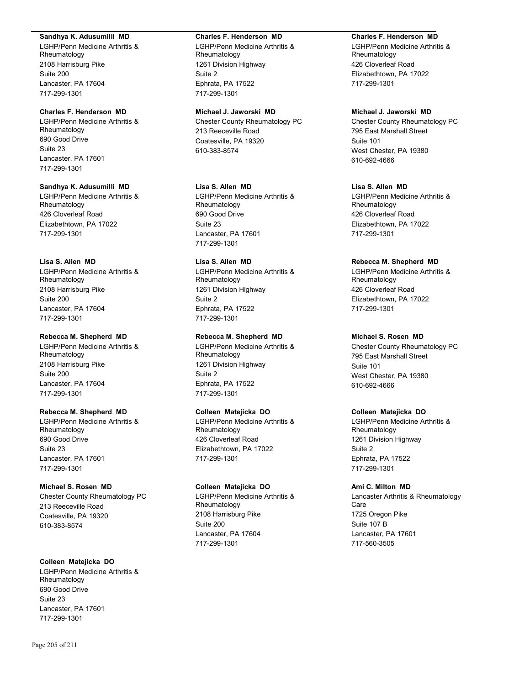#### **Sandhya K. Adusumilli MD**

LGHP/Penn Medicine Arthritis & Rheumatology 2108 Harrisburg Pike Suite 200 Lancaster, PA 17604 717-299-1301

## **Charles F. Henderson MD**

LGHP/Penn Medicine Arthritis & Rheumatology 690 Good Drive Suite 23 Lancaster, PA 17601 717-299-1301

## **Sandhya K. Adusumilli MD**

LGHP/Penn Medicine Arthritis & Rheumatology 426 Cloverleaf Road Elizabethtown, PA 17022 717-299-1301

## **Lisa S. Allen MD**

LGHP/Penn Medicine Arthritis & Rheumatology 2108 Harrisburg Pike Suite 200 Lancaster, PA 17604 717-299-1301

## **Rebecca M. Shepherd MD**

LGHP/Penn Medicine Arthritis & Rheumatology 2108 Harrisburg Pike Suite 200 Lancaster, PA 17604 717-299-1301

## **Rebecca M. Shepherd MD**

LGHP/Penn Medicine Arthritis & Rheumatology 690 Good Drive Suite 23 Lancaster, PA 17601 717-299-1301

## **Michael S. Rosen MD**

Chester County Rheumatology PC 213 Reeceville Road Coatesville, PA 19320 610-383-8574

## **Colleen Matejicka DO**

LGHP/Penn Medicine Arthritis & Rheumatology 690 Good Drive Suite 23 Lancaster, PA 17601 717-299-1301

#### **Charles F. Henderson MD**

LGHP/Penn Medicine Arthritis & Rheumatology 1261 Division Highway Suite 2 Ephrata, PA 17522 717-299-1301

# **Michael J. Jaworski MD**

Chester County Rheumatology PC 213 Reeceville Road Coatesville, PA 19320 610-383-8574

## **Lisa S. Allen MD**

LGHP/Penn Medicine Arthritis & Rheumatology 690 Good Drive Suite 23 Lancaster, PA 17601 717-299-1301

## **Lisa S. Allen MD**

LGHP/Penn Medicine Arthritis & Rheumatology 1261 Division Highway Suite 2 Ephrata, PA 17522 717-299-1301

## **Rebecca M. Shepherd MD**

LGHP/Penn Medicine Arthritis & Rheumatology 1261 Division Highway Suite 2 Ephrata, PA 17522 717-299-1301

## **Colleen Matejicka DO**

LGHP/Penn Medicine Arthritis & Rheumatology 426 Cloverleaf Road Elizabethtown, PA 17022 717-299-1301

## **Colleen Matejicka DO**

LGHP/Penn Medicine Arthritis & Rheumatology 2108 Harrisburg Pike Suite 200 Lancaster, PA 17604 717-299-1301

## **Charles F. Henderson MD**

LGHP/Penn Medicine Arthritis & Rheumatology 426 Cloverleaf Road Elizabethtown, PA 17022 717-299-1301

## **Michael J. Jaworski MD**

Chester County Rheumatology PC 795 East Marshall Street Suite 101 West Chester, PA 19380 610-692-4666

## **Lisa S. Allen MD**

LGHP/Penn Medicine Arthritis & Rheumatology 426 Cloverleaf Road Elizabethtown, PA 17022 717-299-1301

## **Rebecca M. Shepherd MD**

LGHP/Penn Medicine Arthritis & Rheumatology 426 Cloverleaf Road Elizabethtown, PA 17022 717-299-1301

## **Michael S. Rosen MD**

Chester County Rheumatology PC 795 East Marshall Street Suite 101 West Chester, PA 19380 610-692-4666

## **Colleen Matejicka DO**

LGHP/Penn Medicine Arthritis & Rheumatology 1261 Division Highway Suite 2 Ephrata, PA 17522 717-299-1301

## **Ami C. Milton MD**

Lancaster Arthritis & Rheumatology Care 1725 Oregon Pike Suite 107 B Lancaster, PA 17601 717-560-3505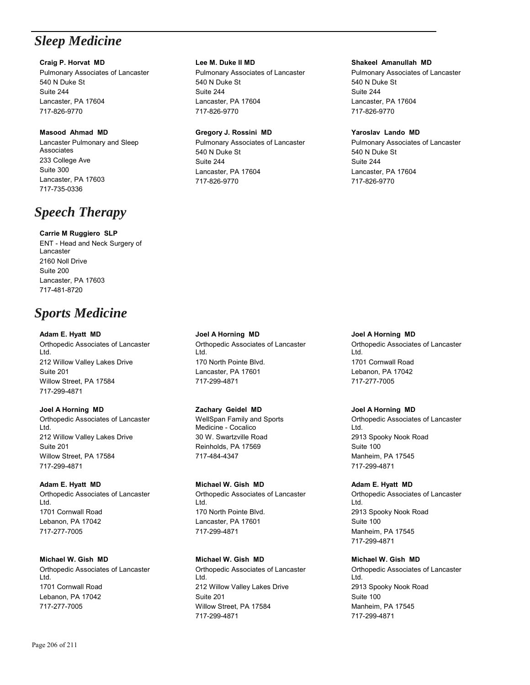# *Sleep Medicine*

# **Craig P. Horvat MD**

Pulmonary Associates of Lancaster 540 N Duke St Suite 244 Lancaster, PA 17604 717-826-9770

## **Masood Ahmad MD**

Lancaster Pulmonary and Sleep Associates 233 College Ave Suite 300 Lancaster, PA 17603 717-735-0336

# *Speech Therapy*

# **Carrie M Ruggiero SLP**

ENT - Head and Neck Surgery of Lancaster 2160 Noll Drive Suite 200 Lancaster, PA 17603 717-481-8720

# *Sports Medicine*

## **Adam E. Hyatt MD**

Orthopedic Associates of Lancaster Ltd. 212 Willow Valley Lakes Drive Suite 201 Willow Street, PA 17584 717-299-4871

# **Joel A Horning MD**

Orthopedic Associates of Lancaster Ltd. 212 Willow Valley Lakes Drive Suite 201 Willow Street, PA 17584 717-299-4871

# **Adam E. Hyatt MD**

Orthopedic Associates of Lancaster Ltd. 1701 Cornwall Road Lebanon, PA 17042 717-277-7005

# **Michael W. Gish MD**

Orthopedic Associates of Lancaster Ltd. 1701 Cornwall Road Lebanon, PA 17042 717-277-7005

## **Lee M. Duke II MD**

Pulmonary Associates of Lancaster 540 N Duke St Suite 244 Lancaster, PA 17604 717-826-9770

## **Gregory J. Rossini MD**

Pulmonary Associates of Lancaster 540 N Duke St Suite 244 Lancaster, PA 17604 717-826-9770

## **Shakeel Amanullah MD**

Pulmonary Associates of Lancaster 540 N Duke St Suite 244 Lancaster, PA 17604 717-826-9770

## **Yaroslav Lando MD**

Pulmonary Associates of Lancaster 540 N Duke St Suite 244 Lancaster, PA 17604 717-826-9770

**Joel A Horning MD** Orthopedic Associates of Lancaster Ltd. 170 North Pointe Blvd. Lancaster, PA 17601 717-299-4871

# **Zachary Geidel MD**

WellSpan Family and Sports Medicine - Cocalico 30 W. Swartzville Road Reinholds, PA 17569 717-484-4347

# **Michael W. Gish MD**

Orthopedic Associates of Lancaster Ltd. 170 North Pointe Blvd. Lancaster, PA 17601 717-299-4871

# **Michael W. Gish MD**

Orthopedic Associates of Lancaster Ltd. 212 Willow Valley Lakes Drive Suite 201 Willow Street, PA 17584 717-299-4871

**Joel A Horning MD** Orthopedic Associates of Lancaster Ltd. 1701 Cornwall Road Lebanon, PA 17042 717-277-7005

# **Joel A Horning MD**

Orthopedic Associates of Lancaster Ltd. 2913 Spooky Nook Road Suite 100 Manheim, PA 17545 717-299-4871

## **Adam E. Hyatt MD**

Orthopedic Associates of Lancaster Ltd. 2913 Spooky Nook Road Suite 100 Manheim, PA 17545 717-299-4871

# **Michael W. Gish MD**

Orthopedic Associates of Lancaster Ltd. 2913 Spooky Nook Road Suite 100 Manheim, PA 17545 717-299-4871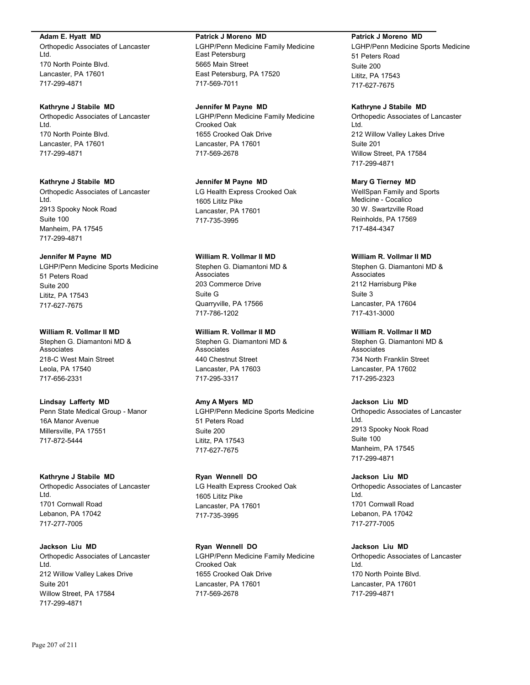#### **Adam E. Hyatt MD**

Orthopedic Associates of Lancaster Ltd. 170 North Pointe Blvd. Lancaster, PA 17601 717-299-4871

#### **Kathryne J Stabile MD**

Orthopedic Associates of Lancaster Ltd. 170 North Pointe Blvd. Lancaster, PA 17601 717-299-4871

#### **Kathryne J Stabile MD**

Orthopedic Associates of Lancaster Ltd. 2913 Spooky Nook Road Suite 100 Manheim, PA 17545 717-299-4871

## **Jennifer M Payne MD**

LGHP/Penn Medicine Sports Medicine 51 Peters Road Suite 200 Lititz, PA 17543 717-627-7675

#### **William R. Vollmar II MD**

Stephen G. Diamantoni MD & Associates 218-C West Main Street Leola, PA 17540 717-656-2331

#### **Lindsay Lafferty MD**

Penn State Medical Group - Manor 16A Manor Avenue Millersville, PA 17551 717-872-5444

#### **Kathryne J Stabile MD**

Orthopedic Associates of Lancaster Ltd. 1701 Cornwall Road Lebanon, PA 17042 717-277-7005

**Jackson Liu MD** Orthopedic Associates of Lancaster Ltd. 212 Willow Valley Lakes Drive Suite 201 Willow Street, PA 17584 717-299-4871

#### **Patrick J Moreno MD**

LGHP/Penn Medicine Family Medicine East Petersburg 5665 Main Street East Petersburg, PA 17520 717-569-7011

**Jennifer M Payne MD** LGHP/Penn Medicine Family Medicine Crooked Oak 1655 Crooked Oak Drive Lancaster, PA 17601 717-569-2678

### **Jennifer M Payne MD**

LG Health Express Crooked Oak 1605 Lititz Pike Lancaster, PA 17601 717-735-3995

# **William R. Vollmar II MD**

Stephen G. Diamantoni MD & Associates 203 Commerce Drive Suite G Quarryville, PA 17566 717-786-1202

## **William R. Vollmar II MD**

Stephen G. Diamantoni MD & Associates 440 Chestnut Street Lancaster, PA 17603 717-295-3317

#### **Amy A Myers MD**

LGHP/Penn Medicine Sports Medicine 51 Peters Road Suite 200 Lititz, PA 17543 717-627-7675

## **Ryan Wennell DO** LG Health Express Crooked Oak 1605 Lititz Pike Lancaster, PA 17601 717-735-3995

**Ryan Wennell DO** LGHP/Penn Medicine Family Medicine Crooked Oak 1655 Crooked Oak Drive Lancaster, PA 17601 717-569-2678

#### **Patrick J Moreno MD**

LGHP/Penn Medicine Sports Medicine 51 Peters Road Suite 200 Lititz, PA 17543 717-627-7675

## **Kathryne J Stabile MD**

Orthopedic Associates of Lancaster Ltd. 212 Willow Valley Lakes Drive Suite 201 Willow Street, PA 17584 717-299-4871

#### **Mary G Tierney MD**

WellSpan Family and Sports Medicine - Cocalico 30 W. Swartzville Road Reinholds, PA 17569 717-484-4347

#### **William R. Vollmar II MD**

Stephen G. Diamantoni MD & **Associates** 2112 Harrisburg Pike Suite 3 Lancaster, PA 17604 717-431-3000

### **William R. Vollmar II MD**

Stephen G. Diamantoni MD & **Associates** 734 North Franklin Street Lancaster, PA 17602 717-295-2323

## **Jackson Liu MD**

Orthopedic Associates of Lancaster Ltd. 2913 Spooky Nook Road Suite 100 Manheim, PA 17545 717-299-4871

#### **Jackson Liu MD**

Orthopedic Associates of Lancaster Ltd. 1701 Cornwall Road Lebanon, PA 17042 717-277-7005

**Jackson Liu MD** Orthopedic Associates of Lancaster Ltd. 170 North Pointe Blvd. Lancaster, PA 17601 717-299-4871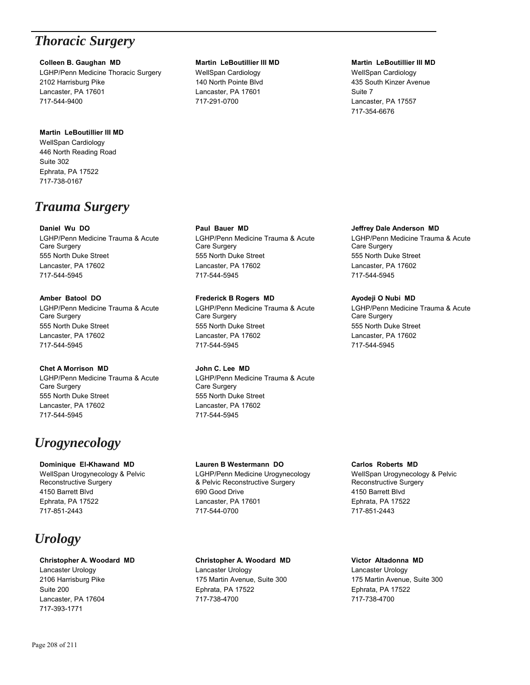# *Thoracic Surgery*

## **Colleen B. Gaughan MD**

LGHP/Penn Medicine Thoracic Surgery 2102 Harrisburg Pike Lancaster, PA 17601 717-544-9400

## **Martin LeBoutillier III MD**

WellSpan Cardiology 446 North Reading Road Suite 302 Ephrata, PA 17522 717-738-0167

# *Trauma Surgery*

## **Daniel Wu DO**

LGHP/Penn Medicine Trauma & Acute Care Surgery 555 North Duke Street Lancaster, PA 17602 717-544-5945

# **Amber Batool DO**

LGHP/Penn Medicine Trauma & Acute Care Surgery 555 North Duke Street Lancaster, PA 17602 717-544-5945

# **Chet A Morrison MD**

LGHP/Penn Medicine Trauma & Acute Care Surgery 555 North Duke Street Lancaster, PA 17602 717-544-5945

# *Urogynecology*

**Dominique El-Khawand MD** WellSpan Urogynecology & Pelvic Reconstructive Surgery 4150 Barrett Blvd Ephrata, PA 17522 717-851-2443

# *Urology*

## **Christopher A. Woodard MD**

Lancaster Urology 2106 Harrisburg Pike Suite 200 Lancaster, PA 17604 717-393-1771

## **Martin LeBoutillier III MD**

WellSpan Cardiology 140 North Pointe Blvd Lancaster, PA 17601 717-291-0700

## **Martin LeBoutillier III MD**

WellSpan Cardiology 435 South Kinzer Avenue Suite 7 Lancaster, PA 17557 717-354-6676

## **Paul Bauer MD**

LGHP/Penn Medicine Trauma & Acute Care Surgery 555 North Duke Street Lancaster, PA 17602 717-544-5945

# **Frederick B Rogers MD**

LGHP/Penn Medicine Trauma & Acute Care Surgery 555 North Duke Street Lancaster, PA 17602 717-544-5945

# **John C. Lee MD**

LGHP/Penn Medicine Trauma & Acute Care Surgery 555 North Duke Street Lancaster, PA 17602 717-544-5945

## **Lauren B Westermann DO**

LGHP/Penn Medicine Urogynecology & Pelvic Reconstructive Surgery 690 Good Drive Lancaster, PA 17601 717-544-0700

## **Christopher A. Woodard MD**

Lancaster Urology 175 Martin Avenue, Suite 300 Ephrata, PA 17522 717-738-4700

## **Jeffrey Dale Anderson MD**

LGHP/Penn Medicine Trauma & Acute Care Surgery 555 North Duke Street Lancaster, PA 17602 717-544-5945

## **Ayodeji O Nubi MD**

LGHP/Penn Medicine Trauma & Acute Care Surgery 555 North Duke Street Lancaster, PA 17602 717-544-5945

## **Carlos Roberts MD**

WellSpan Urogynecology & Pelvic Reconstructive Surgery 4150 Barrett Blvd Ephrata, PA 17522 717-851-2443

## **Victor Altadonna MD**

Lancaster Urology 175 Martin Avenue, Suite 300 Ephrata, PA 17522 717-738-4700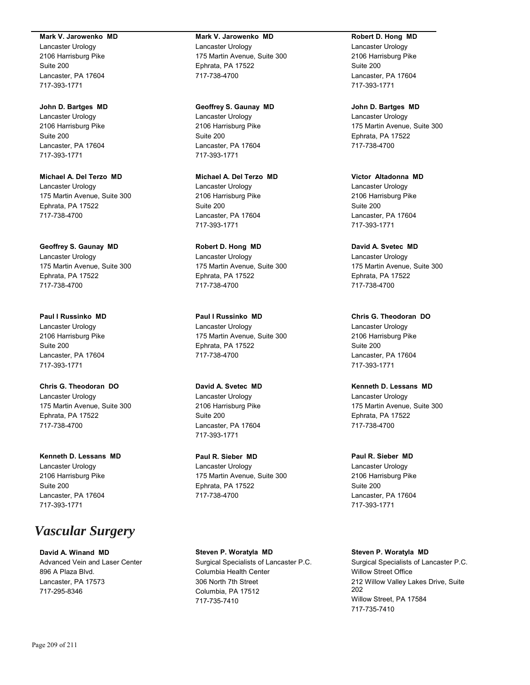#### **Mark V. Jarowenko MD**

Lancaster Urology 2106 Harrisburg Pike Suite 200 Lancaster, PA 17604 717-393-1771

**John D. Bartges MD** Lancaster Urology 2106 Harrisburg Pike

Suite 200 Lancaster, PA 17604 717-393-1771

**Michael A. Del Terzo MD** Lancaster Urology 175 Martin Avenue, Suite 300 Ephrata, PA 17522 717-738-4700

**Geoffrey S. Gaunay MD** Lancaster Urology 175 Martin Avenue, Suite 300 Ephrata, PA 17522 717-738-4700

**Paul I Russinko MD** Lancaster Urology 2106 Harrisburg Pike Suite 200 Lancaster, PA 17604 717-393-1771

**Chris G. Theodoran DO** Lancaster Urology 175 Martin Avenue, Suite 300 Ephrata, PA 17522 717-738-4700

**Kenneth D. Lessans MD** Lancaster Urology 2106 Harrisburg Pike Suite 200 Lancaster, PA 17604 717-393-1771

# *Vascular Surgery*

**David A. Winand MD** Advanced Vein and Laser Center 896 A Plaza Blvd. Lancaster, PA 17573 717-295-8346

## **Mark V. Jarowenko MD** Lancaster Urology 175 Martin Avenue, Suite 300 Ephrata, PA 17522 717-738-4700

**Geoffrey S. Gaunay MD**

Lancaster Urology 2106 Harrisburg Pike Suite 200 Lancaster, PA 17604 717-393-1771

**Michael A. Del Terzo MD** Lancaster Urology 2106 Harrisburg Pike Suite 200 Lancaster, PA 17604 717-393-1771

**Robert D. Hong MD** Lancaster Urology 175 Martin Avenue, Suite 300 Ephrata, PA 17522 717-738-4700

**Paul I Russinko MD** Lancaster Urology 175 Martin Avenue, Suite 300 Ephrata, PA 17522 717-738-4700

**David A. Svetec MD** Lancaster Urology 2106 Harrisburg Pike Suite 200 Lancaster, PA 17604 717-393-1771

**Paul R. Sieber MD** Lancaster Urology 175 Martin Avenue, Suite 300 Ephrata, PA 17522 717-738-4700

**Steven P. Woratyla MD** Surgical Specialists of Lancaster P.C. Columbia Health Center 306 North 7th Street Columbia, PA 17512 717-735-7410

#### **Robert D. Hong MD**

Lancaster Urology 2106 Harrisburg Pike Suite 200 Lancaster, PA 17604 717-393-1771

**John D. Bartges MD** Lancaster Urology 175 Martin Avenue, Suite 300 Ephrata, PA 17522 717-738-4700

**Victor Altadonna MD** Lancaster Urology 2106 Harrisburg Pike Suite 200 Lancaster, PA 17604 717-393-1771

**David A. Svetec MD** Lancaster Urology 175 Martin Avenue, Suite 300 Ephrata, PA 17522 717-738-4700

**Chris G. Theodoran DO** Lancaster Urology 2106 Harrisburg Pike Suite 200 Lancaster, PA 17604 717-393-1771

**Kenneth D. Lessans MD** Lancaster Urology 175 Martin Avenue, Suite 300 Ephrata, PA 17522 717-738-4700

**Paul R. Sieber MD** Lancaster Urology 2106 Harrisburg Pike Suite 200 Lancaster, PA 17604 717-393-1771

**Steven P. Woratyla MD** Surgical Specialists of Lancaster P.C. Willow Street Office 212 Willow Valley Lakes Drive, Suite 202 Willow Street, PA 17584 717-735-7410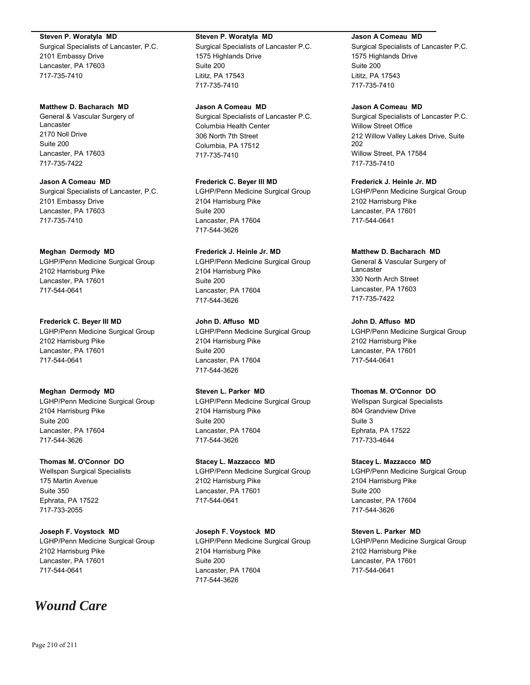#### **Steven P. Woratyla MD**

Surgical Specialists of Lancaster, P.C. 2101 Embassy Drive Lancaster, PA 17603 717-735-7410

## **Matthew D. Bacharach MD**

General & Vascular Surgery of Lancaster 2170 Noll Drive Suite 200 Lancaster, PA 17603 717-735-7422

**Jason A Comeau MD** Surgical Specialists of Lancaster, P.C. 2101 Embassy Drive Lancaster, PA 17603 717-735-7410

## **Meghan Dermody MD**

LGHP/Penn Medicine Surgical Group 2102 Harrisburg Pike Lancaster, PA 17601 717-544-0641

## **Frederick C. Beyer III MD**

LGHP/Penn Medicine Surgical Group 2102 Harrisburg Pike Lancaster, PA 17601 717-544-0641

## **Meghan Dermody MD**

LGHP/Penn Medicine Surgical Group 2104 Harrisburg Pike Suite 200 Lancaster, PA 17604 717-544-3626

## **Thomas M. O'Connor DO**

Wellspan Surgical Specialists 175 Martin Avenue Suite 350 Ephrata, PA 17522 717-733-2055

## **Joseph F. Voystock MD**

LGHP/Penn Medicine Surgical Group 2102 Harrisburg Pike Lancaster, PA 17601 717-544-0641

# *Wound Care*

### **Steven P. Woratyla MD**

Surgical Specialists of Lancaster P.C. 1575 Highlands Drive Suite 200 Lititz, PA 17543 717-735-7410

**Jason A Comeau MD**

Surgical Specialists of Lancaster P.C. Columbia Health Center 306 North 7th Street Columbia, PA 17512 717-735-7410

**Frederick C. Beyer III MD** LGHP/Penn Medicine Surgical Group 2104 Harrisburg Pike Suite 200 Lancaster, PA 17604 717-544-3626

# **Frederick J. Heinle Jr. MD**

LGHP/Penn Medicine Surgical Group 2104 Harrisburg Pike Suite 200 Lancaster, PA 17604 717-544-3626

## **John D. Affuso MD**

LGHP/Penn Medicine Surgical Group 2104 Harrisburg Pike Suite 200 Lancaster, PA 17604 717-544-3626

## **Steven L. Parker MD**

LGHP/Penn Medicine Surgical Group 2104 Harrisburg Pike Suite 200 Lancaster, PA 17604 717-544-3626

## **Stacey L. Mazzacco MD**

LGHP/Penn Medicine Surgical Group 2102 Harrisburg Pike Lancaster, PA 17601 717-544-0641

## **Joseph F. Voystock MD**

LGHP/Penn Medicine Surgical Group 2104 Harrisburg Pike Suite 200 Lancaster, PA 17604 717-544-3626

## **Jason A Comeau MD**

Surgical Specialists of Lancaster P.C. 1575 Highlands Drive Suite 200 Lititz, PA 17543 717-735-7410

## **Jason A Comeau MD**

Surgical Specialists of Lancaster P.C. Willow Street Office 212 Willow Valley Lakes Drive, Suite 202 Willow Street, PA 17584 717-735-7410

**Frederick J. Heinle Jr. MD**

LGHP/Penn Medicine Surgical Group 2102 Harrisburg Pike Lancaster, PA 17601 717-544-0641

## **Matthew D. Bacharach MD**

General & Vascular Surgery of Lancaster 330 North Arch Street Lancaster, PA 17603 717-735-7422

**John D. Affuso MD**

LGHP/Penn Medicine Surgical Group 2102 Harrisburg Pike Lancaster, PA 17601 717-544-0641

## **Thomas M. O'Connor DO**

Wellspan Surgical Specialists 804 Grandview Drive Suite 3 Ephrata, PA 17522 717-733-4644

## **Stacey L. Mazzacco MD**

LGHP/Penn Medicine Surgical Group 2104 Harrisburg Pike Suite 200 Lancaster, PA 17604 717-544-3626

## **Steven L. Parker MD**

LGHP/Penn Medicine Surgical Group 2102 Harrisburg Pike Lancaster, PA 17601 717-544-0641